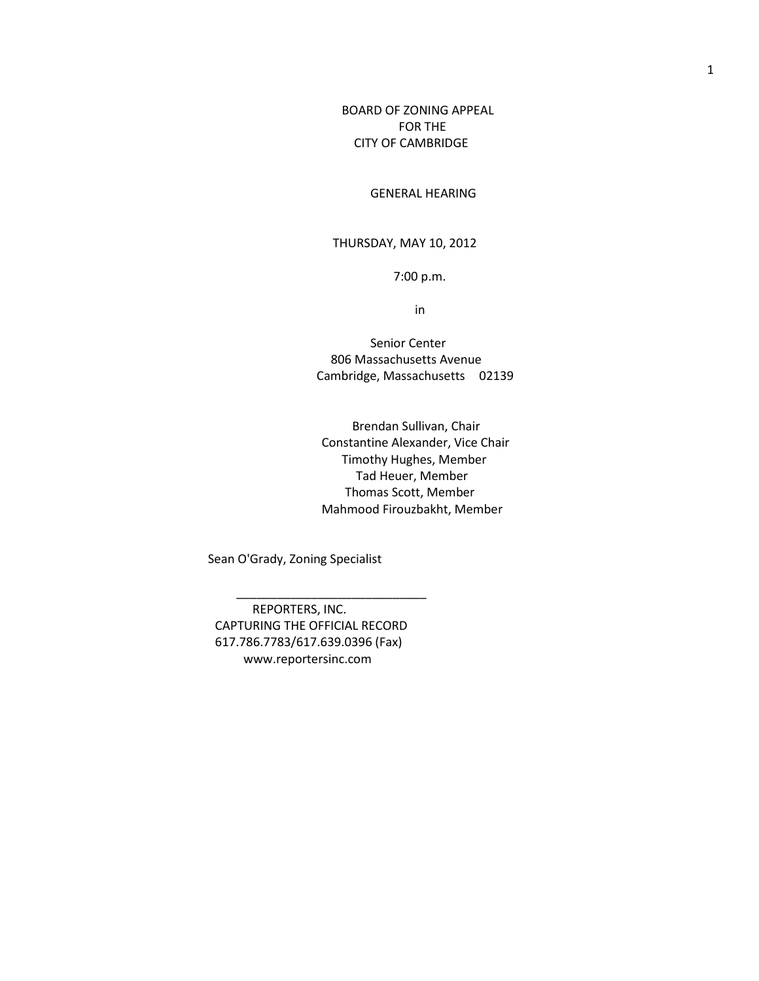BOARD OF ZONING APPEAL FOR THE CITY OF CAMBRIDGE

GENERAL HEARING

## THURSDAY, MAY 10, 2012

7:00 p.m.

in

 Senior Center 806 Massachusetts Avenue Cambridge, Massachusetts 02139

 Brendan Sullivan, Chair Constantine Alexander, Vice Chair Timothy Hughes, Member Tad Heuer, Member Thomas Scott, Member Mahmood Firouzbakht, Member

Sean O'Grady, Zoning Specialist

REPORTERS, INC. CAPTURING THE OFFICIAL RECORD 617.786.7783/617.639.0396 (Fax) www.reportersinc.com

 $\frac{1}{2}$  , and the set of the set of the set of the set of the set of the set of the set of the set of the set of the set of the set of the set of the set of the set of the set of the set of the set of the set of the set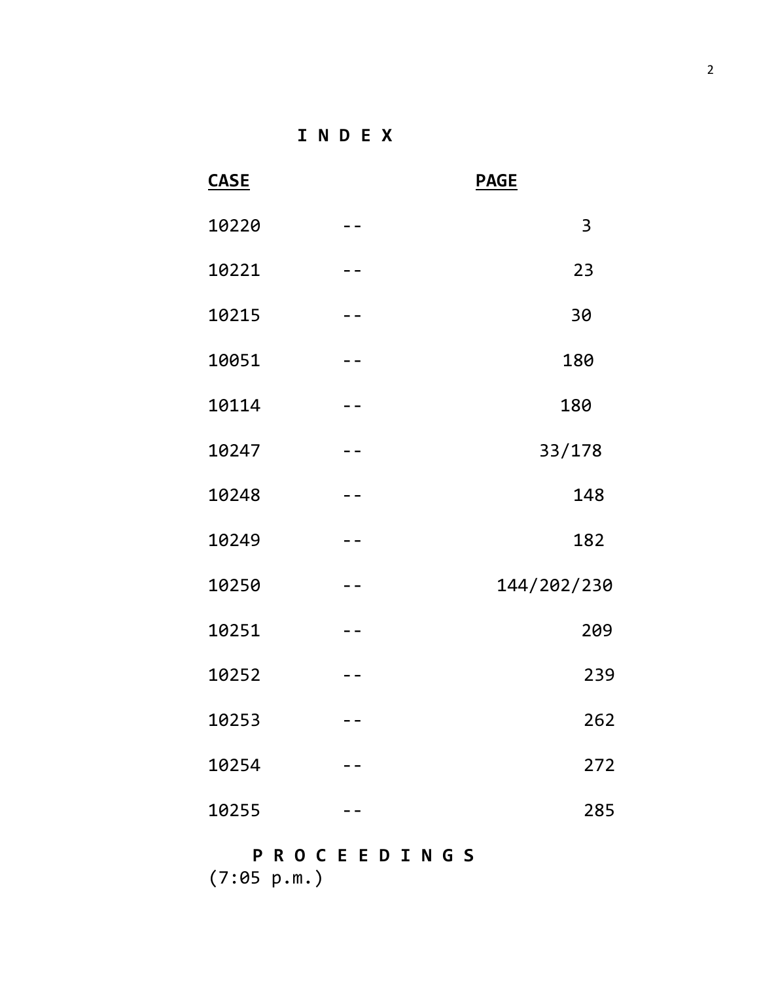**I N D E X**

| <b>CASE</b> |                | <b>PAGE</b> |
|-------------|----------------|-------------|
| 10220       | $- -$          | 3           |
| 10221       | - -            | 23          |
| 10215       |                | 30          |
| 10051       |                | 180         |
| 10114       | $ -$           | 180         |
| 10247       | $\blacksquare$ | 33/178      |
| 10248       |                | 148         |
| 10249       | $- -$          | 182         |
| 10250       | $- -$          | 144/202/230 |
| 10251       | $- -$          | 209         |
| 10252       |                | 239         |
| 10253       | $- -$          | 262         |
| 10254       |                | 272         |
| 10255       |                | 285         |
|             |                |             |

## **P R O C E E D I N G S** (7:05 p.m.)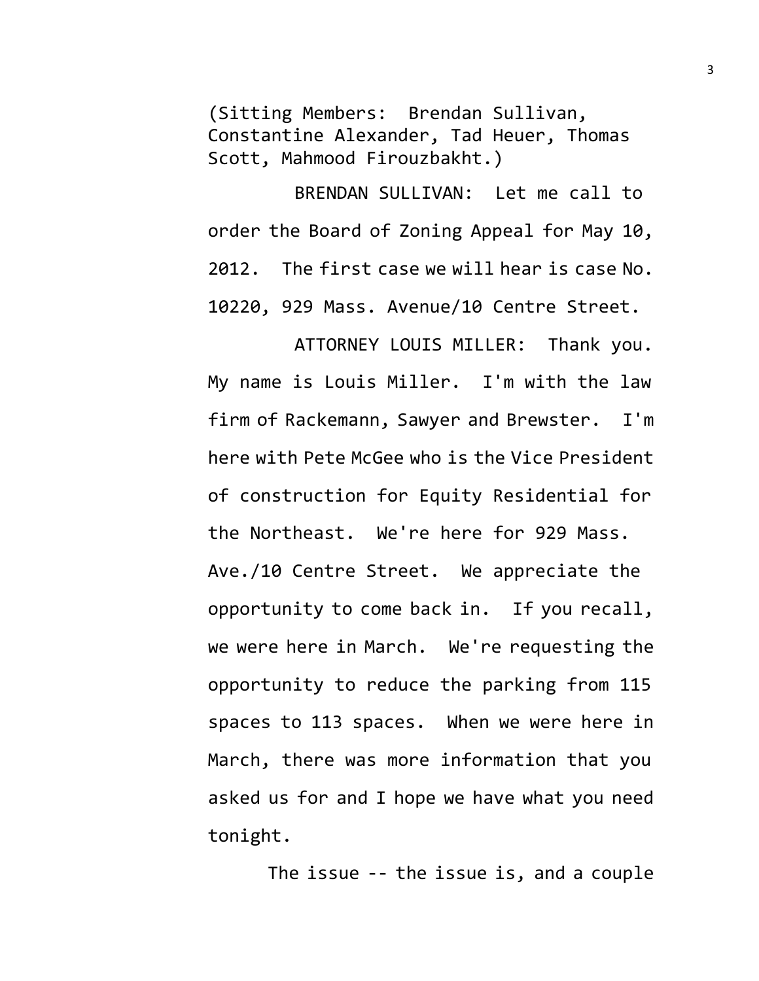(Sitting Members: Brendan Sullivan, Constantine Alexander, Tad Heuer, Thomas Scott, Mahmood Firouzbakht.)

BRENDAN SULLIVAN: Let me call to order the Board of Zoning Appeal for May 10, 2012. The first case we will hear is case No. 10220, 929 Mass. Avenue/10 Centre Street.

ATTORNEY LOUIS MILLER: Thank you. My name is Louis Miller. I'm with the law firm of Rackemann, Sawyer and Brewster. I'm here with Pete McGee who is the Vice President of construction for Equity Residential for the Northeast. We're here for 929 Mass. Ave./10 Centre Street. We appreciate the opportunity to come back in. If you recall, we were here in March. We're requesting the opportunity to reduce the parking from 115 spaces to 113 spaces. When we were here in March, there was more information that you asked us for and I hope we have what you need tonight.

The issue -- the issue is, and a couple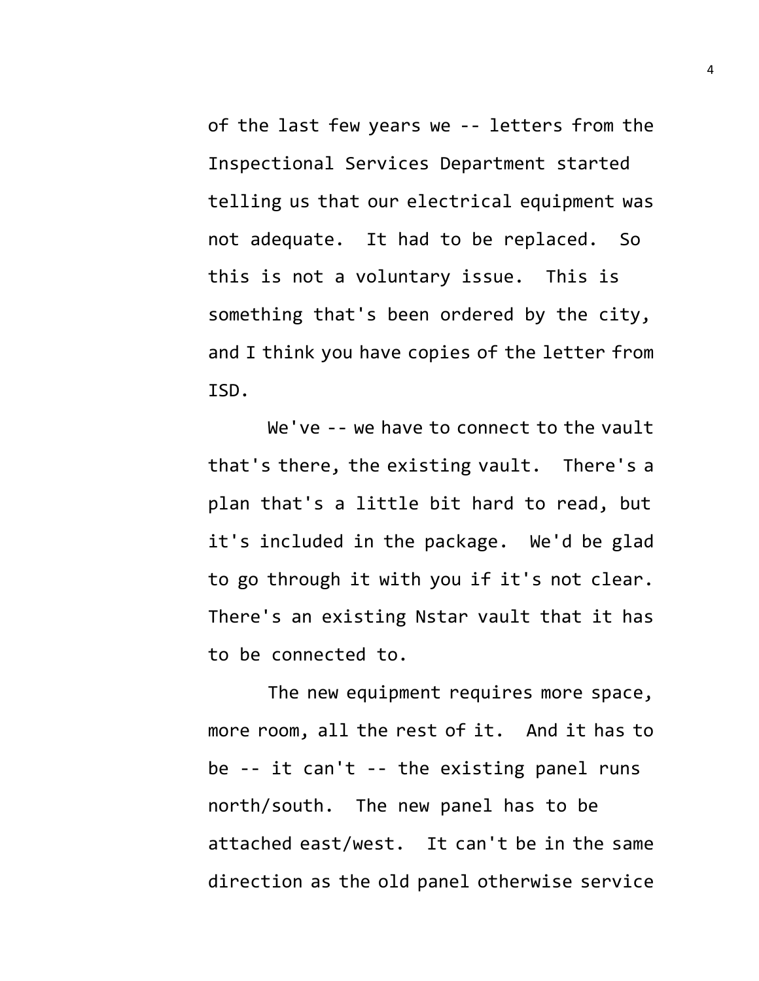of the last few years we -- letters from the Inspectional Services Department started telling us that our electrical equipment was not adequate. It had to be replaced. So this is not a voluntary issue. This is something that's been ordered by the city, and I think you have copies of the letter from ISD.

We've -- we have to connect to the vault that's there, the existing vault. There's a plan that's a little bit hard to read, but it's included in the package. We'd be glad to go through it with you if it's not clear. There's an existing Nstar vault that it has to be connected to.

The new equipment requires more space, more room, all the rest of it. And it has to be -- it can't -- the existing panel runs north/south. The new panel has to be attached east/west. It can't be in the same direction as the old panel otherwise service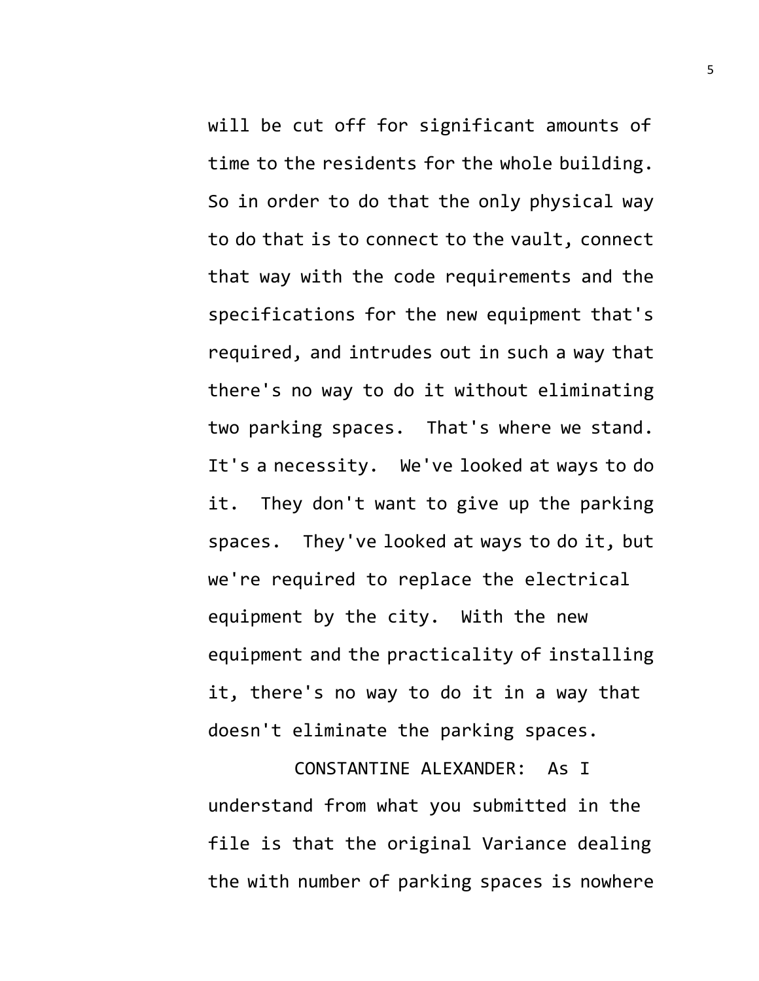will be cut off for significant amounts of time to the residents for the whole building. So in order to do that the only physical way to do that is to connect to the vault, connect that way with the code requirements and the specifications for the new equipment that's required, and intrudes out in such a way that there's no way to do it without eliminating two parking spaces. That's where we stand. It's a necessity. We've looked at ways to do it. They don't want to give up the parking spaces. They've looked at ways to do it, but we're required to replace the electrical equipment by the city. With the new equipment and the practicality of installing it, there's no way to do it in a way that doesn't eliminate the parking spaces.

CONSTANTINE ALEXANDER: As I understand from what you submitted in the file is that the original Variance dealing the with number of parking spaces is nowhere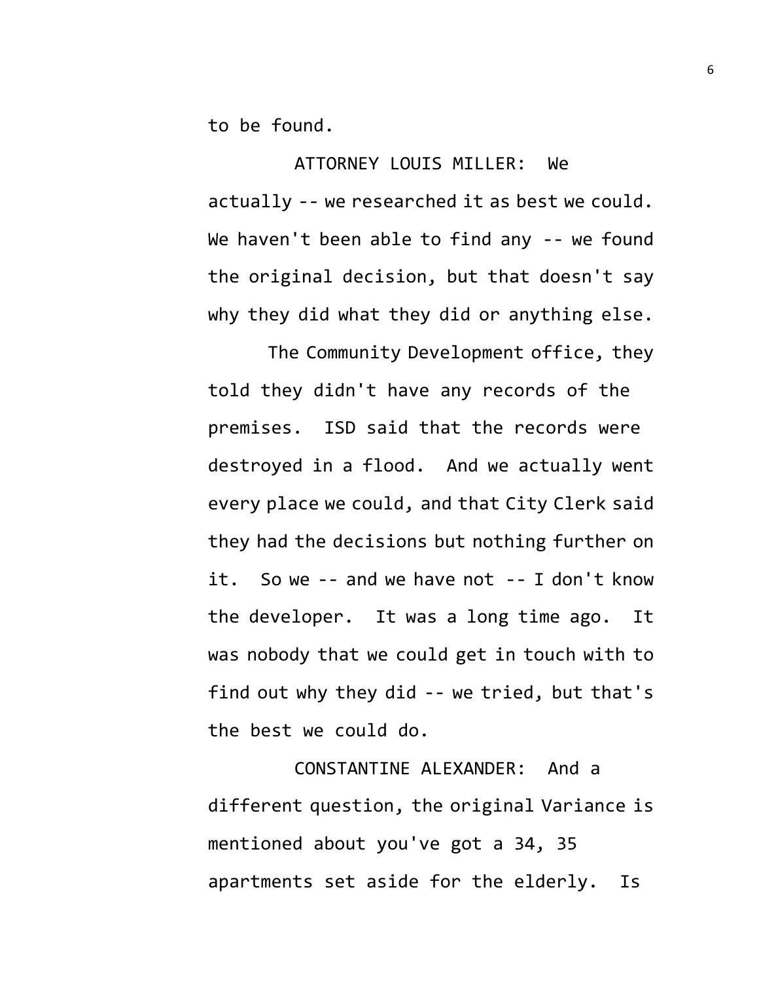to be found.

ATTORNEY LOUIS MILLER: We actually -- we researched it as best we could. We haven't been able to find any -- we found the original decision, but that doesn't say why they did what they did or anything else.

The Community Development office, they told they didn't have any records of the premises. ISD said that the records were destroyed in a flood. And we actually went every place we could, and that City Clerk said they had the decisions but nothing further on it. So we -- and we have not -- I don't know the developer. It was a long time ago. It was nobody that we could get in touch with to find out why they did -- we tried, but that's the best we could do.

CONSTANTINE ALEXANDER: And a different question, the original Variance is mentioned about you've got a 34, 35 apartments set aside for the elderly. Is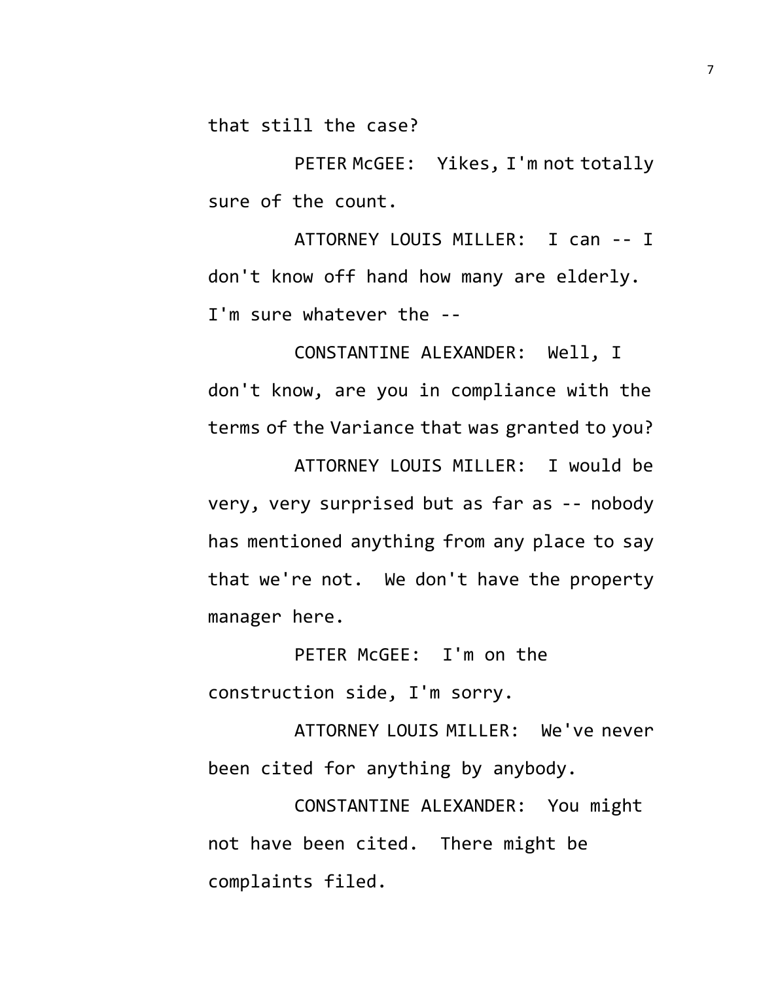that still the case?

PETER McGEE: Yikes, I'm not totally sure of the count.

ATTORNEY LOUIS MILLER: I can -- I don't know off hand how many are elderly. I'm sure whatever the --

CONSTANTINE ALEXANDER: Well, I don't know, are you in compliance with the terms of the Variance that was granted to you? ATTORNEY LOUIS MILLER: I would be very, very surprised but as far as -- nobody has mentioned anything from any place to say that we're not. We don't have the property

manager here.

PETER McGEE: I'm on the construction side, I'm sorry.

ATTORNEY LOUIS MILLER: We've never been cited for anything by anybody.

CONSTANTINE ALEXANDER: You might not have been cited. There might be complaints filed.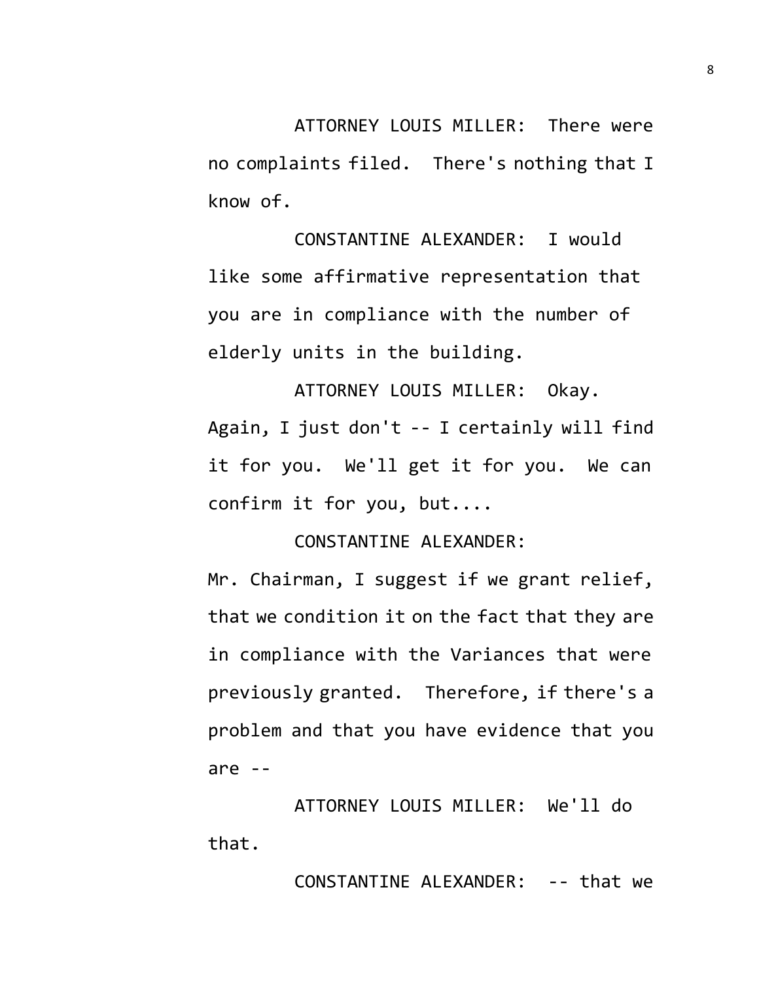ATTORNEY LOUIS MILLER: There were no complaints filed. There's nothing that I know of.

CONSTANTINE ALEXANDER: I would like some affirmative representation that you are in compliance with the number of elderly units in the building.

ATTORNEY LOUIS MILLER: Okay. Again, I just don't -- I certainly will find it for you. We'll get it for you. We can confirm it for you, but....

CONSTANTINE ALEXANDER:

Mr. Chairman, I suggest if we grant relief, that we condition it on the fact that they are in compliance with the Variances that were previously granted. Therefore, if there's a problem and that you have evidence that you are --

ATTORNEY LOUIS MILLER: We'll do that.

CONSTANTINE ALEXANDER: -- that we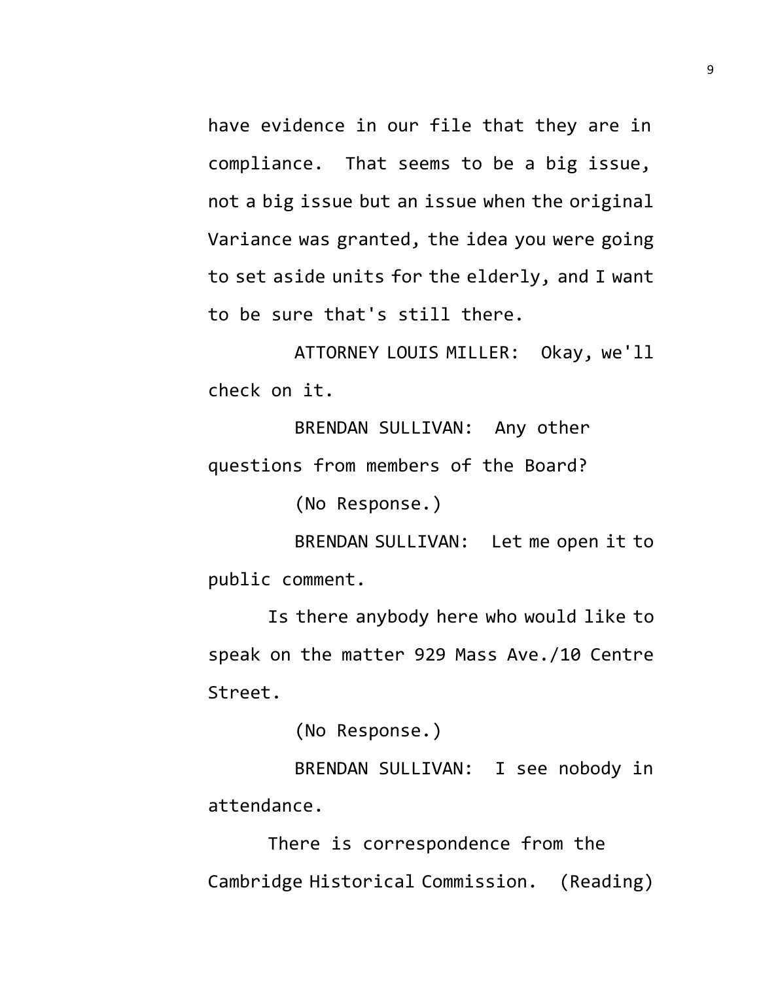have evidence in our file that they are in compliance. That seems to be a big issue, not a big issue but an issue when the original Variance was granted, the idea you were going to set aside units for the elderly, and I want to be sure that's still there.

ATTORNEY LOUIS MILLER: Okay, we'll check on it.

BRENDAN SULLIVAN: Any other questions from members of the Board?

(No Response.)

BRENDAN SULLIVAN: Let me open it to public comment.

Is there anybody here who would like to speak on the matter 929 Mass Ave./10 Centre Street.

(No Response.)

BRENDAN SULLIVAN: I see nobody in attendance.

There is correspondence from the Cambridge Historical Commission. (Reading)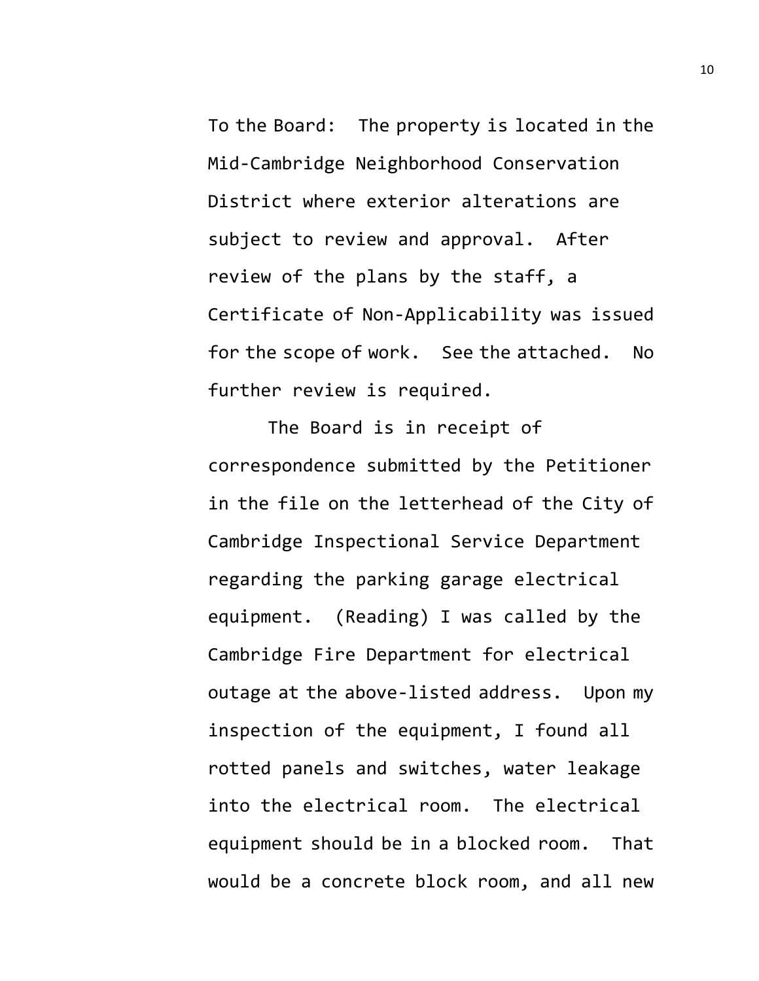To the Board: The property is located in the Mid-Cambridge Neighborhood Conservation District where exterior alterations are subject to review and approval. After review of the plans by the staff, a Certificate of Non-Applicability was issued for the scope of work. See the attached. No further review is required.

The Board is in receipt of correspondence submitted by the Petitioner in the file on the letterhead of the City of Cambridge Inspectional Service Department regarding the parking garage electrical equipment. (Reading) I was called by the Cambridge Fire Department for electrical outage at the above-listed address. Upon my inspection of the equipment, I found all rotted panels and switches, water leakage into the electrical room. The electrical equipment should be in a blocked room. That would be a concrete block room, and all new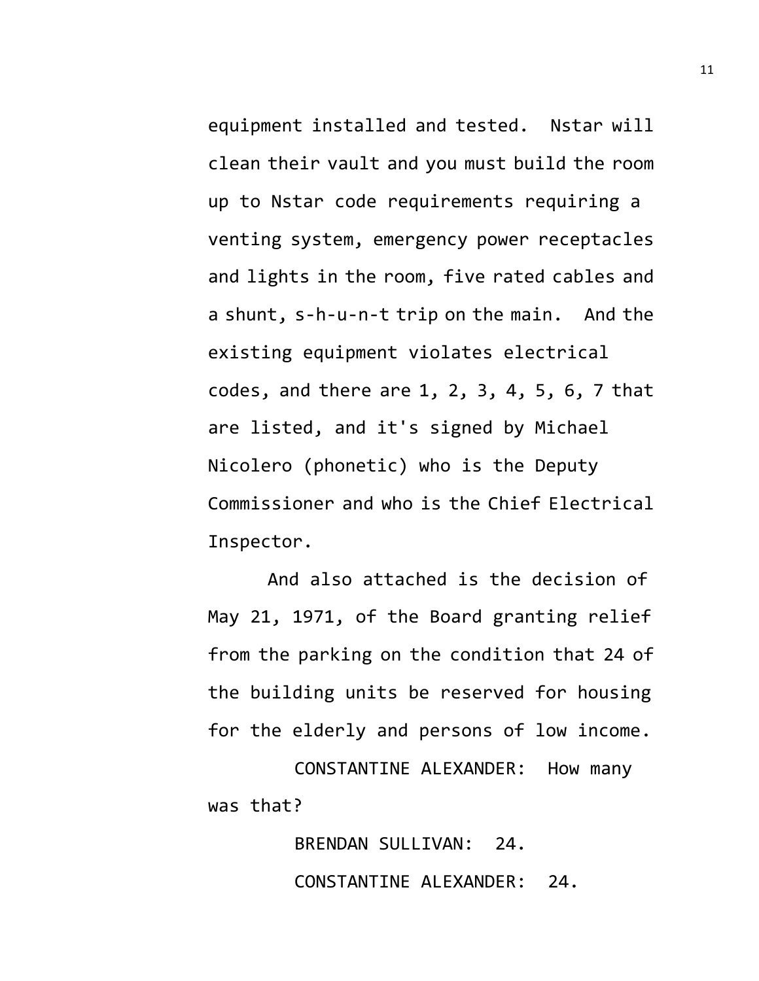equipment installed and tested. Nstar will clean their vault and you must build the room up to Nstar code requirements requiring a venting system, emergency power receptacles and lights in the room, five rated cables and a shunt, s-h-u-n-t trip on the main. And the existing equipment violates electrical codes, and there are 1, 2, 3, 4, 5, 6, 7 that are listed, and it's signed by Michael Nicolero (phonetic) who is the Deputy Commissioner and who is the Chief Electrical Inspector.

And also attached is the decision of May 21, 1971, of the Board granting relief from the parking on the condition that 24 of the building units be reserved for housing for the elderly and persons of low income.

CONSTANTINE ALEXANDER: How many was that?

> BRENDAN SULLIVAN: 24. CONSTANTINE ALEXANDER: 24.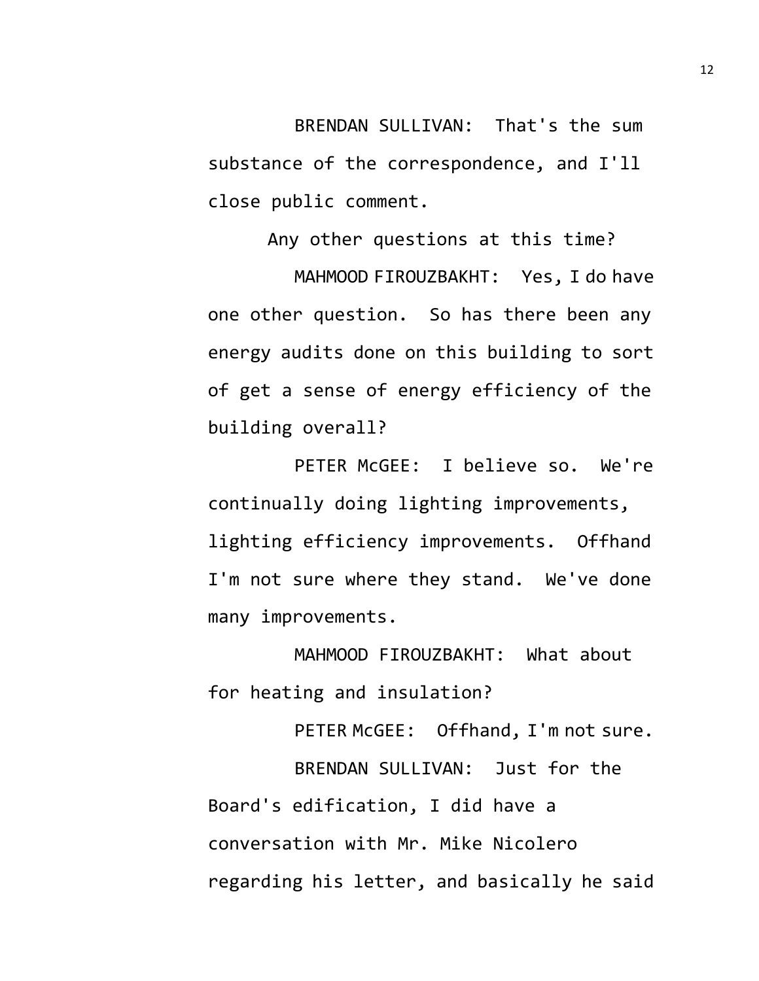BRENDAN SULLIVAN: That's the sum substance of the correspondence, and I'll close public comment.

Any other questions at this time?

MAHMOOD FIROUZBAKHT: Yes, I do have one other question. So has there been any energy audits done on this building to sort of get a sense of energy efficiency of the building overall?

PETER McGEE: I believe so. We're continually doing lighting improvements, lighting efficiency improvements. Offhand I'm not sure where they stand. We've done many improvements.

MAHMOOD FIROUZBAKHT: What about for heating and insulation?

PETER McGEE: Offhand, I'm not sure. BRENDAN SULLIVAN: Just for the Board's edification, I did have a conversation with Mr. Mike Nicolero regarding his letter, and basically he said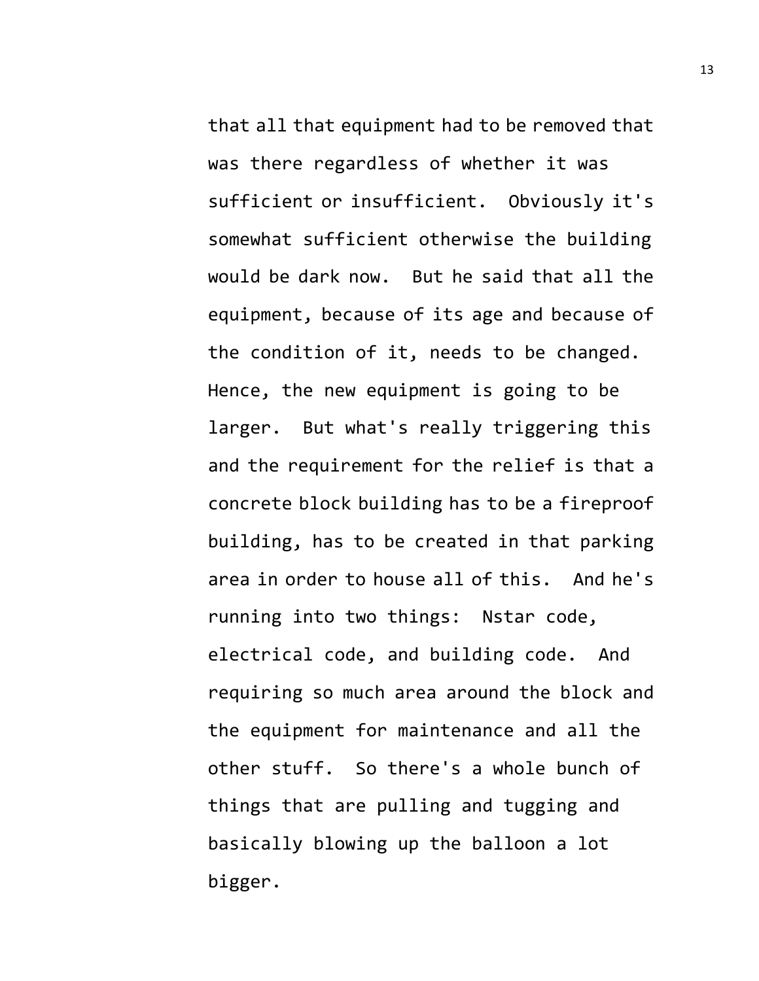that all that equipment had to be removed that was there regardless of whether it was sufficient or insufficient. Obviously it's somewhat sufficient otherwise the building would be dark now. But he said that all the equipment, because of its age and because of the condition of it, needs to be changed. Hence, the new equipment is going to be larger. But what's really triggering this and the requirement for the relief is that a concrete block building has to be a fireproof building, has to be created in that parking area in order to house all of this. And he's running into two things: Nstar code, electrical code, and building code. And requiring so much area around the block and the equipment for maintenance and all the other stuff. So there's a whole bunch of things that are pulling and tugging and basically blowing up the balloon a lot bigger.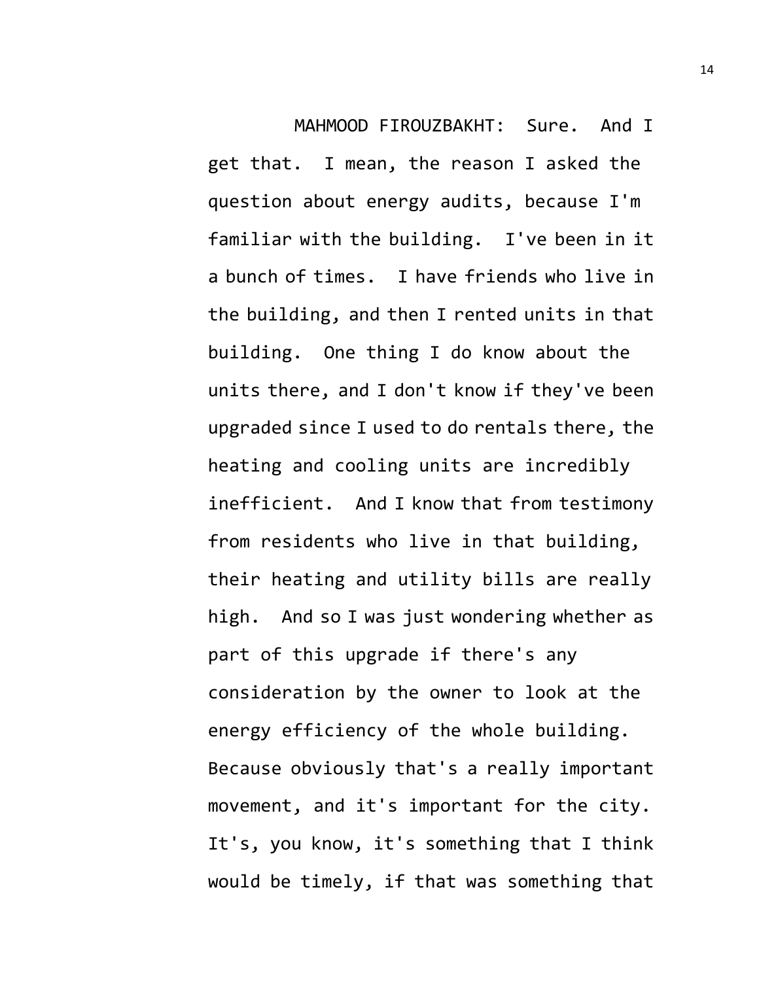MAHMOOD FIROUZBAKHT: Sure. And I get that. I mean, the reason I asked the question about energy audits, because I'm familiar with the building. I've been in it a bunch of times. I have friends who live in the building, and then I rented units in that building. One thing I do know about the units there, and I don't know if they've been upgraded since I used to do rentals there, the heating and cooling units are incredibly inefficient. And I know that from testimony from residents who live in that building, their heating and utility bills are really high. And so I was just wondering whether as part of this upgrade if there's any consideration by the owner to look at the energy efficiency of the whole building. Because obviously that's a really important movement, and it's important for the city. It's, you know, it's something that I think would be timely, if that was something that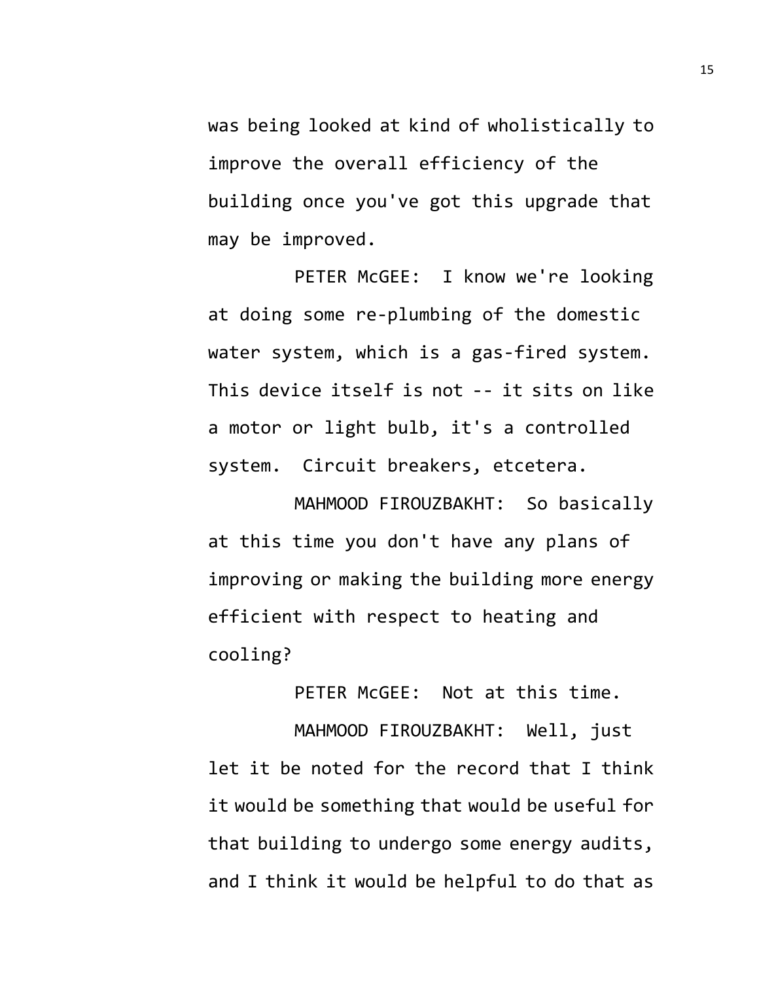was being looked at kind of wholistically to improve the overall efficiency of the building once you've got this upgrade that may be improved.

PETER McGEE: I know we're looking at doing some re-plumbing of the domestic water system, which is a gas-fired system. This device itself is not -- it sits on like a motor or light bulb, it's a controlled system. Circuit breakers, etcetera.

MAHMOOD FIROUZBAKHT: So basically at this time you don't have any plans of improving or making the building more energy efficient with respect to heating and cooling?

PETER McGEE: Not at this time.

MAHMOOD FIROUZBAKHT: Well, just let it be noted for the record that I think it would be something that would be useful for that building to undergo some energy audits, and I think it would be helpful to do that as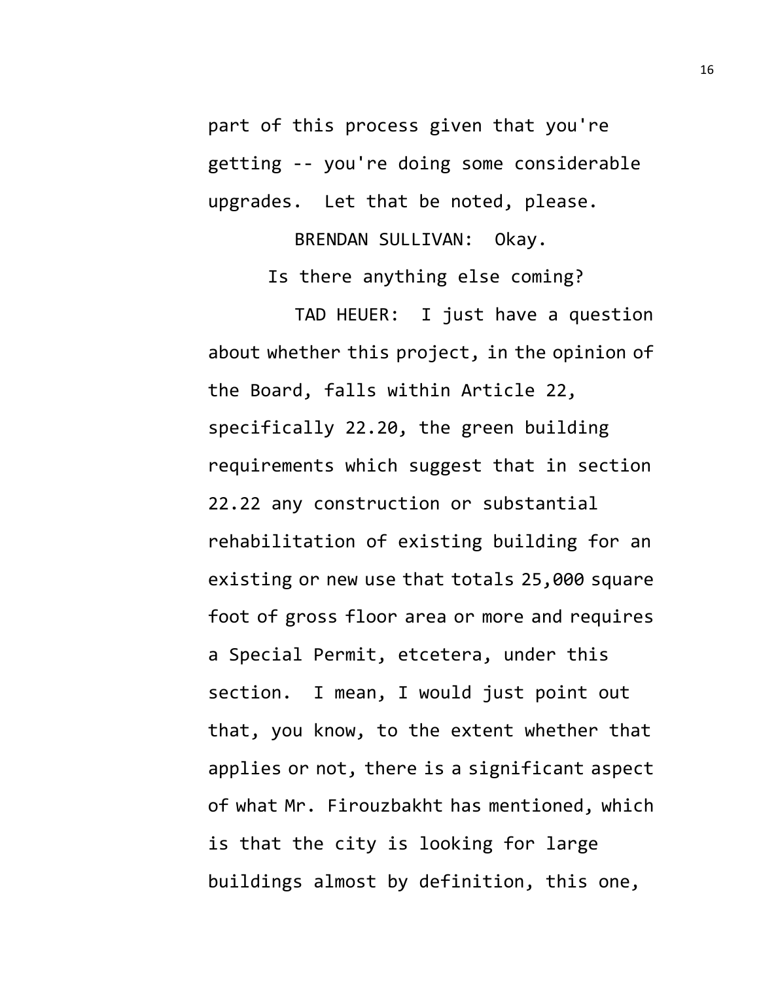part of this process given that you're getting -- you're doing some considerable upgrades. Let that be noted, please.

BRENDAN SULLIVAN: Okay.

Is there anything else coming?

TAD HEUER: I just have a question about whether this project, in the opinion of the Board, falls within Article 22, specifically 22.20, the green building requirements which suggest that in section 22.22 any construction or substantial rehabilitation of existing building for an existing or new use that totals 25,000 square foot of gross floor area or more and requires a Special Permit, etcetera, under this section. I mean, I would just point out that, you know, to the extent whether that applies or not, there is a significant aspect of what Mr. Firouzbakht has mentioned, which is that the city is looking for large buildings almost by definition, this one,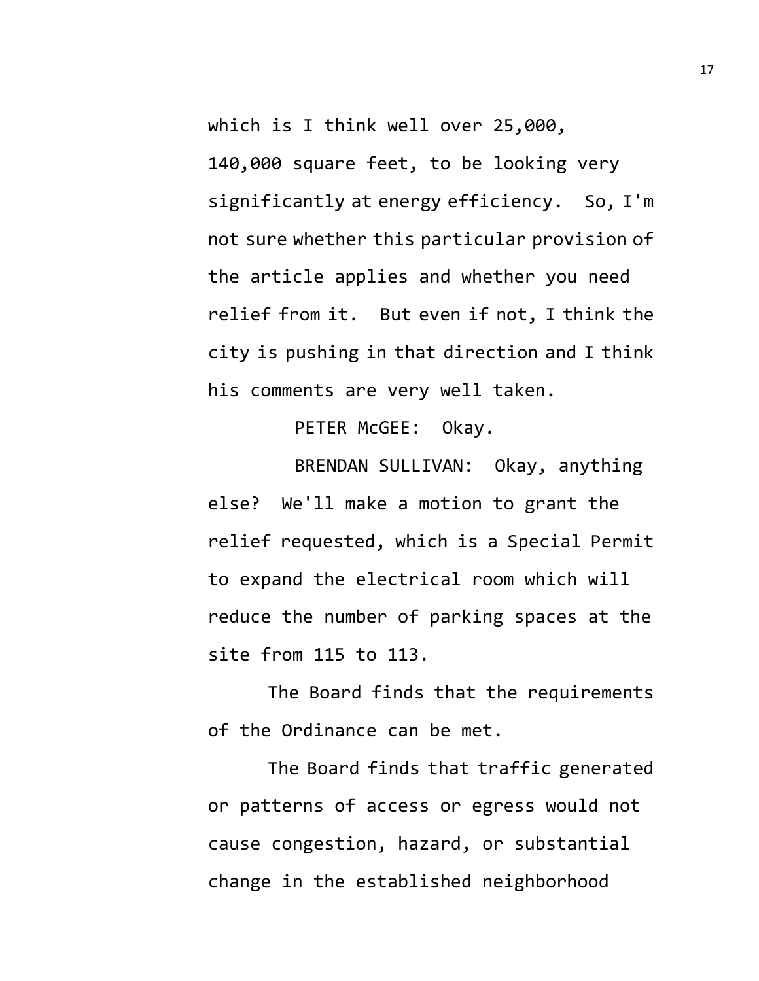which is I think well over 25,000, 140,000 square feet, to be looking very significantly at energy efficiency. So, I'm not sure whether this particular provision of the article applies and whether you need relief from it. But even if not, I think the city is pushing in that direction and I think his comments are very well taken.

PETER McGEE: Okay.

BRENDAN SULLIVAN: Okay, anything else? We'll make a motion to grant the relief requested, which is a Special Permit to expand the electrical room which will reduce the number of parking spaces at the site from 115 to 113.

The Board finds that the requirements of the Ordinance can be met.

The Board finds that traffic generated or patterns of access or egress would not cause congestion, hazard, or substantial change in the established neighborhood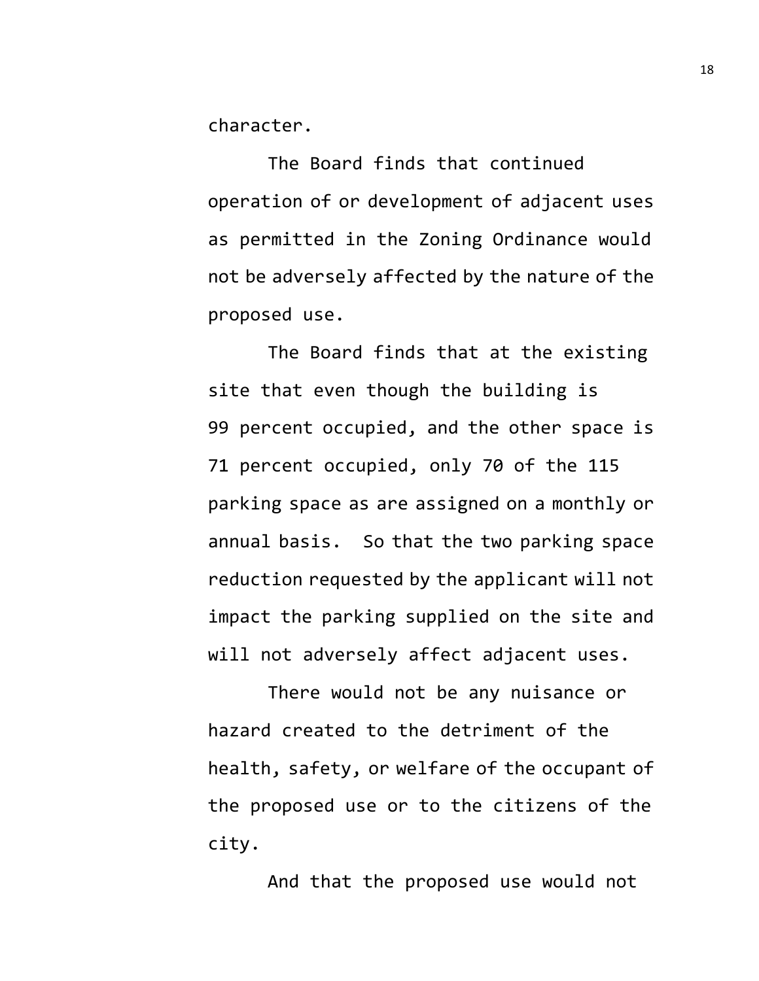character.

The Board finds that continued operation of or development of adjacent uses as permitted in the Zoning Ordinance would not be adversely affected by the nature of the proposed use.

The Board finds that at the existing site that even though the building is 99 percent occupied, and the other space is 71 percent occupied, only 70 of the 115 parking space as are assigned on a monthly or annual basis. So that the two parking space reduction requested by the applicant will not impact the parking supplied on the site and will not adversely affect adjacent uses.

There would not be any nuisance or hazard created to the detriment of the health, safety, or welfare of the occupant of the proposed use or to the citizens of the city.

And that the proposed use would not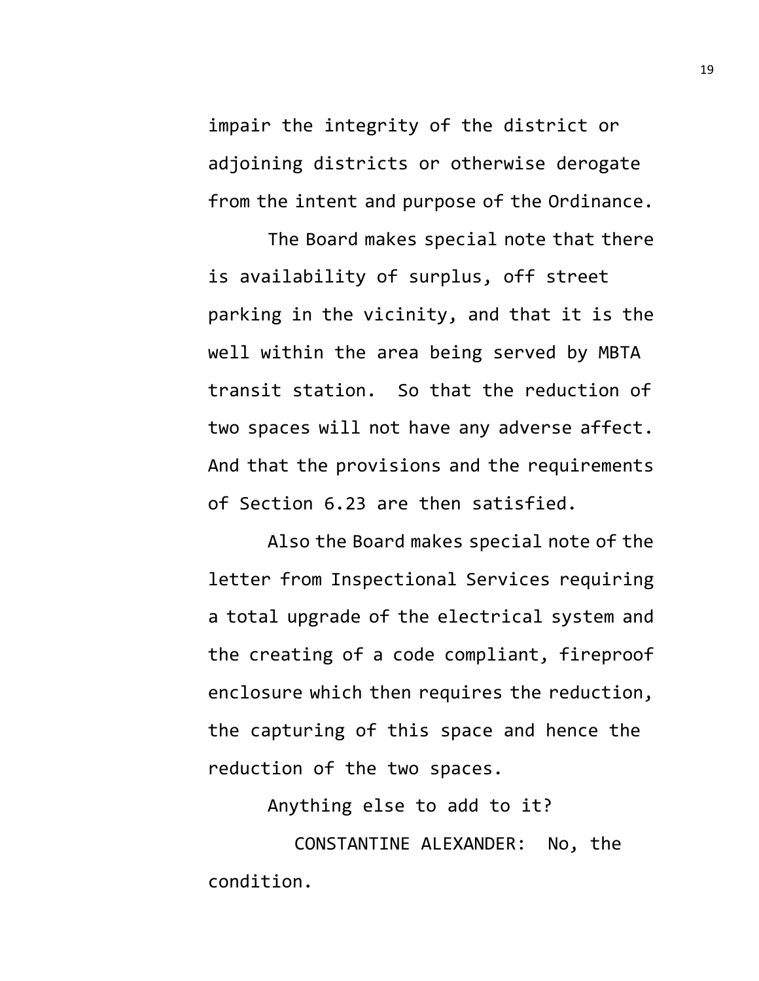impair the integrity of the district or adjoining districts or otherwise derogate from the intent and purpose of the Ordinance.

The Board makes special note that there is availability of surplus, off street parking in the vicinity, and that it is the well within the area being served by MBTA transit station. So that the reduction of two spaces will not have any adverse affect. And that the provisions and the requirements of Section 6.23 are then satisfied.

Also the Board makes special note of the letter from Inspectional Services requiring a total upgrade of the electrical system and the creating of a code compliant, fireproof enclosure which then requires the reduction, the capturing of this space and hence the reduction of the two spaces.

Anything else to add to it?

CONSTANTINE ALEXANDER: No, the condition.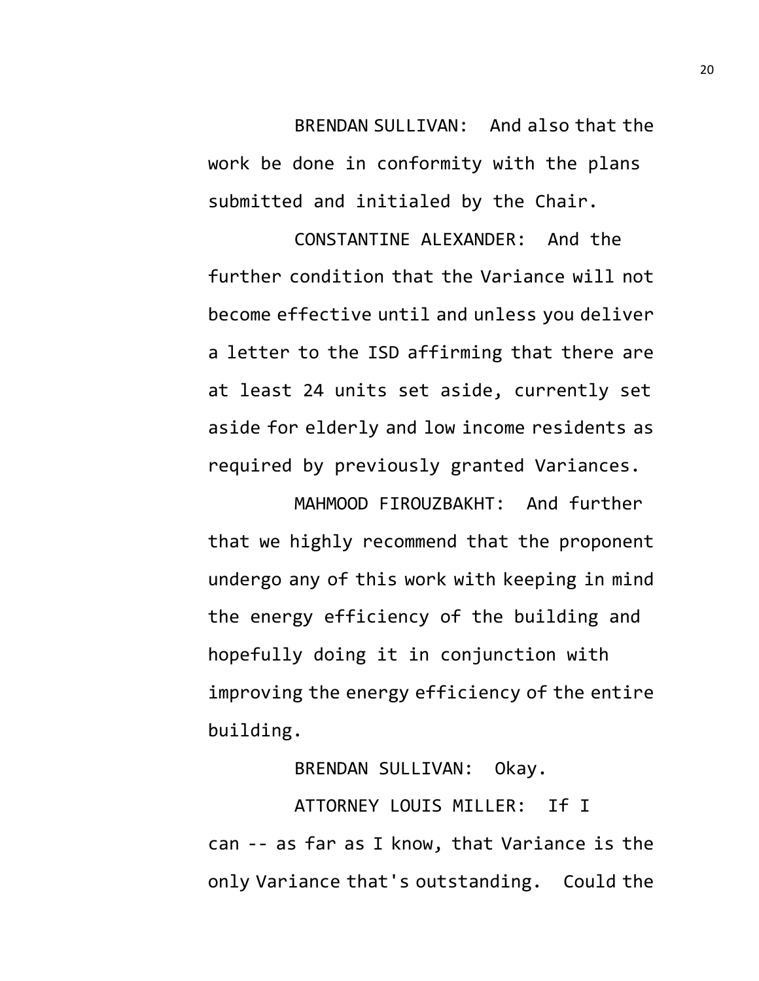BRENDAN SULLIVAN: And also that the work be done in conformity with the plans submitted and initialed by the Chair.

CONSTANTINE ALEXANDER: And the further condition that the Variance will not become effective until and unless you deliver a letter to the ISD affirming that there are at least 24 units set aside, currently set aside for elderly and low income residents as required by previously granted Variances.

MAHMOOD FIROUZBAKHT: And further that we highly recommend that the proponent undergo any of this work with keeping in mind the energy efficiency of the building and hopefully doing it in conjunction with improving the energy efficiency of the entire building.

BRENDAN SULLIVAN: Okay.

ATTORNEY LOUIS MILLER: If I can -- as far as I know, that Variance is the only Variance that's outstanding. Could the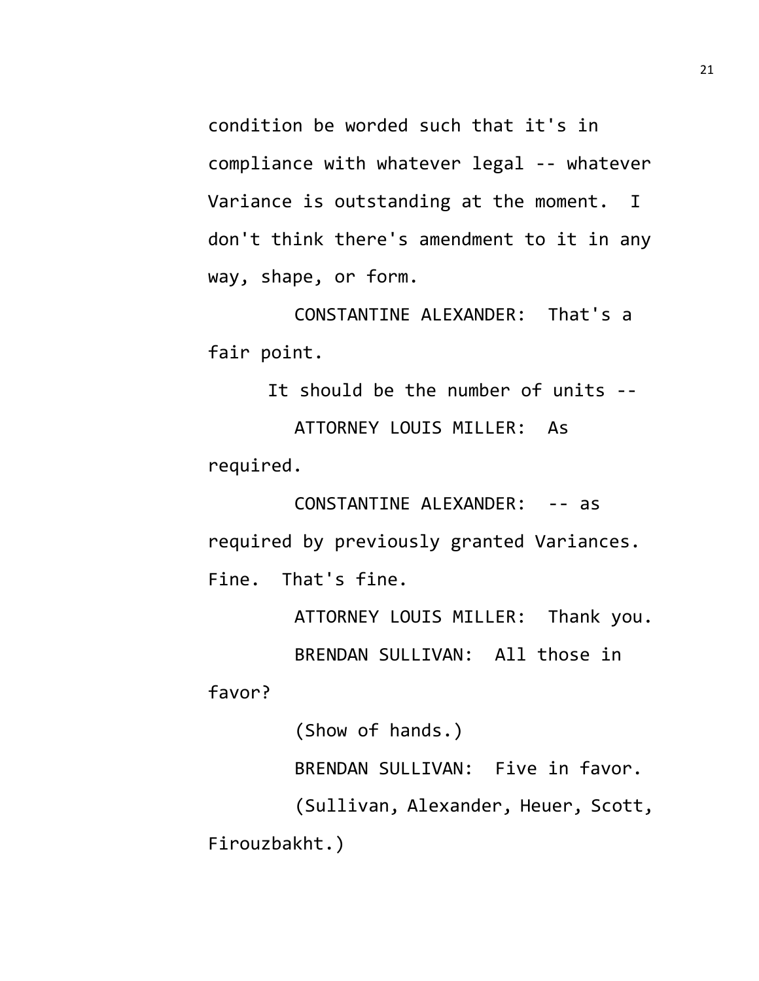condition be worded such that it's in compliance with whatever legal -- whatever Variance is outstanding at the moment. I don't think there's amendment to it in any way, shape, or form.

CONSTANTINE ALEXANDER: That's a fair point.

It should be the number of units -- ATTORNEY LOUIS MILLER: As required.

CONSTANTINE ALEXANDER: -- as required by previously granted Variances. Fine. That's fine.

> ATTORNEY LOUIS MILLER: Thank you. BRENDAN SULLIVAN: All those in

favor?

(Show of hands.) BRENDAN SULLIVAN: Five in favor. (Sullivan, Alexander, Heuer, Scott, Firouzbakht.)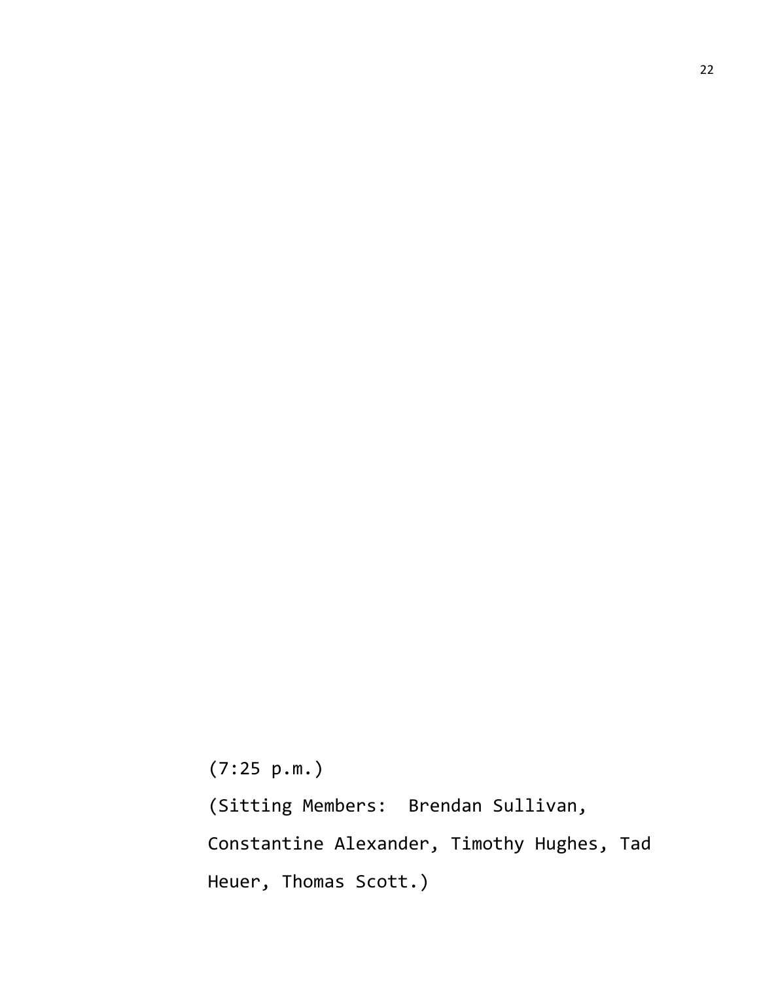(7:25 p.m.)

(Sitting Members: Brendan Sullivan, Constantine Alexander, Timothy Hughes, Tad Heuer, Thomas Scott.)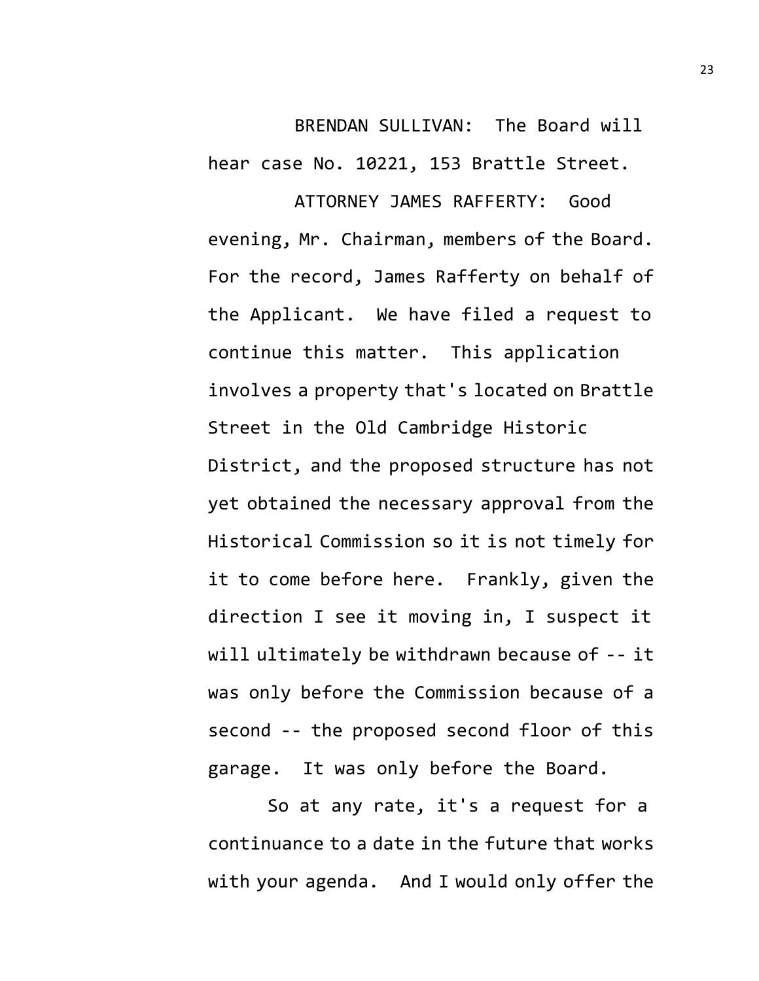BRENDAN SULLIVAN: The Board will hear case No. 10221, 153 Brattle Street.

ATTORNEY JAMES RAFFERTY: Good evening, Mr. Chairman, members of the Board. For the record, James Rafferty on behalf of the Applicant. We have filed a request to continue this matter. This application involves a property that's located on Brattle Street in the Old Cambridge Historic District, and the proposed structure has not yet obtained the necessary approval from the Historical Commission so it is not timely for it to come before here. Frankly, given the direction I see it moving in, I suspect it will ultimately be withdrawn because of -- it was only before the Commission because of a second -- the proposed second floor of this garage. It was only before the Board.

So at any rate, it's a request for a continuance to a date in the future that works with your agenda. And I would only offer the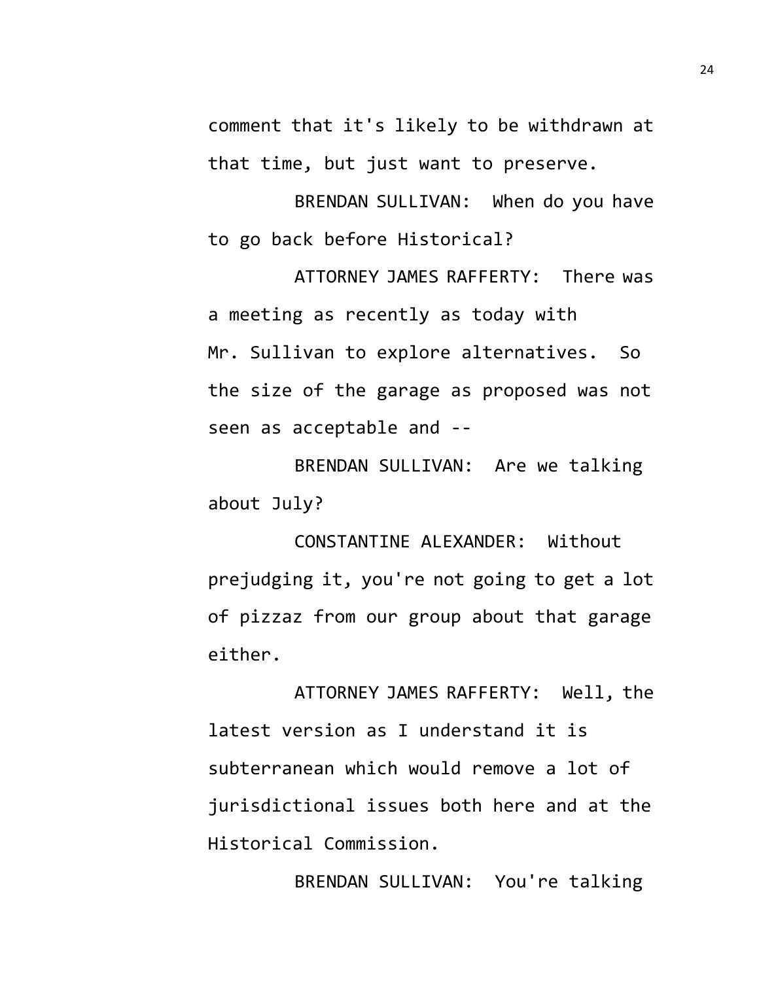comment that it's likely to be withdrawn at that time, but just want to preserve.

BRENDAN SULLIVAN: When do you have to go back before Historical?

ATTORNEY JAMES RAFFERTY: There was a meeting as recently as today with Mr. Sullivan to explore alternatives. So the size of the garage as proposed was not seen as acceptable and --

BRENDAN SULLIVAN: Are we talking about July?

CONSTANTINE ALEXANDER: Without prejudging it, you're not going to get a lot of pizzaz from our group about that garage either.

ATTORNEY JAMES RAFFERTY: Well, the latest version as I understand it is subterranean which would remove a lot of jurisdictional issues both here and at the Historical Commission.

BRENDAN SULLIVAN: You're talking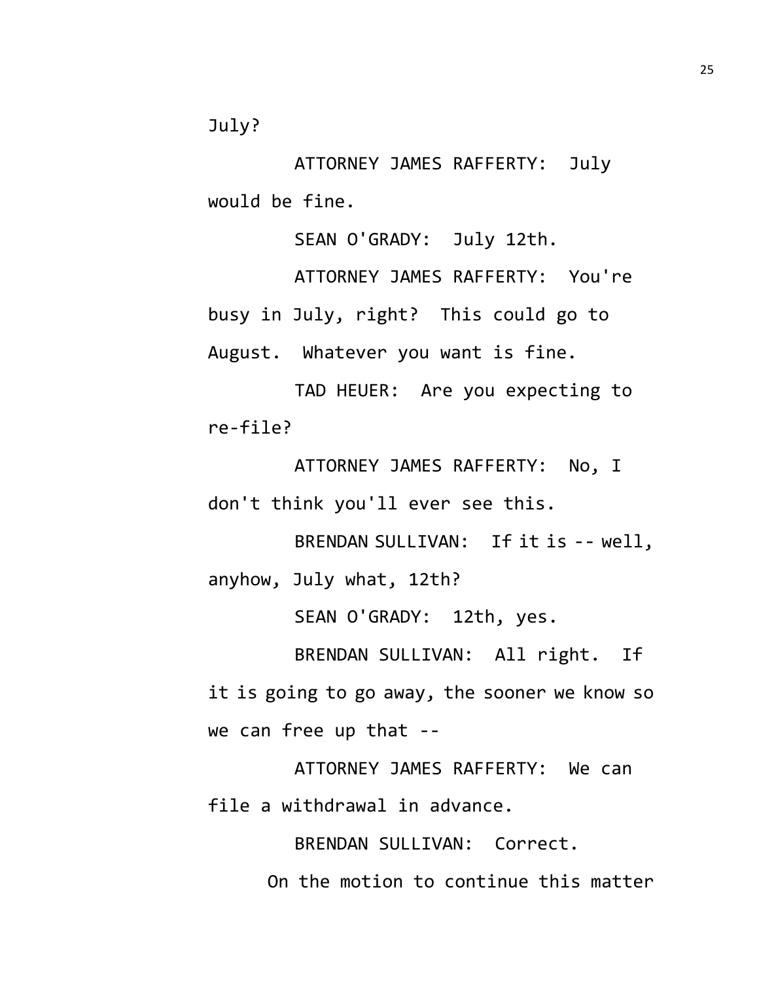July?

ATTORNEY JAMES RAFFERTY: July would be fine.

SEAN O'GRADY: July 12th.

ATTORNEY JAMES RAFFERTY: You're busy in July, right? This could go to August. Whatever you want is fine.

TAD HEUER: Are you expecting to re-file?

ATTORNEY JAMES RAFFERTY: No, I don't think you'll ever see this.

BRENDAN SULLIVAN: If it is -- well, anyhow, July what, 12th?

SEAN O'GRADY: 12th, yes.

BRENDAN SULLIVAN: All right. If it is going to go away, the sooner we know so we can free up that --

ATTORNEY JAMES RAFFERTY: We can file a withdrawal in advance.

> BRENDAN SULLIVAN: Correct. On the motion to continue this matter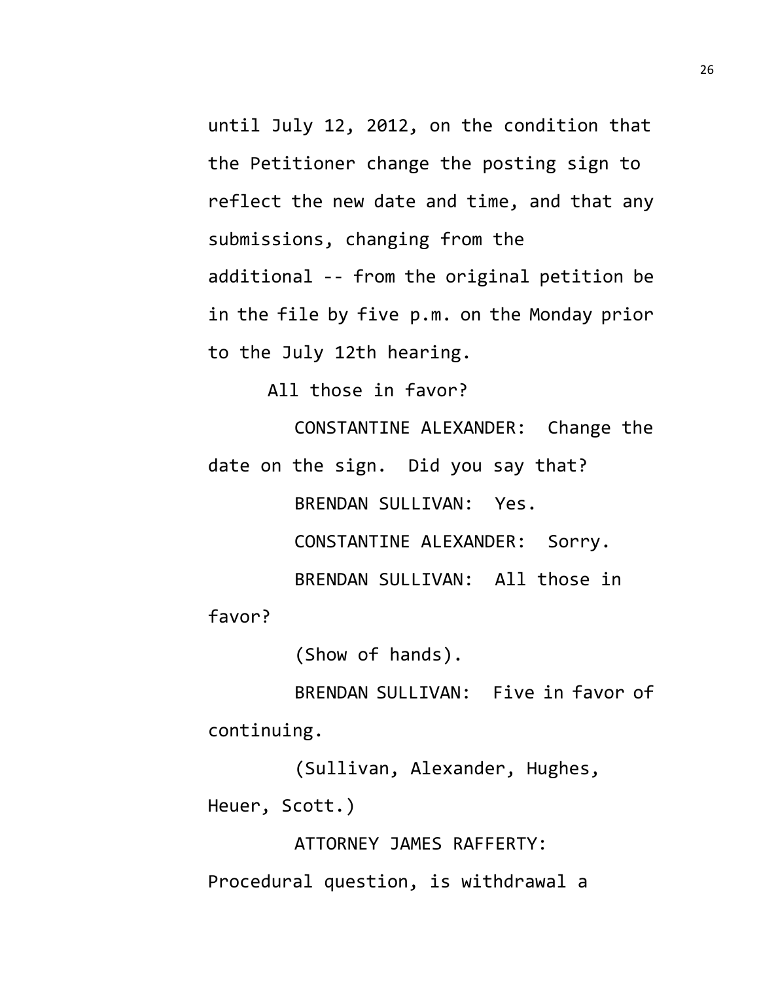until July 12, 2012, on the condition that the Petitioner change the posting sign to reflect the new date and time, and that any submissions, changing from the additional -- from the original petition be in the file by five p.m. on the Monday prior to the July 12th hearing.

All those in favor?

CONSTANTINE ALEXANDER: Change the date on the sign. Did you say that?

> BRENDAN SULLIVAN: Yes. CONSTANTINE ALEXANDER: Sorry.

BRENDAN SULLIVAN: All those in

favor?

(Show of hands).

BRENDAN SULLIVAN: Five in favor of continuing.

(Sullivan, Alexander, Hughes, Heuer, Scott.)

ATTORNEY JAMES RAFFERTY:

Procedural question, is withdrawal a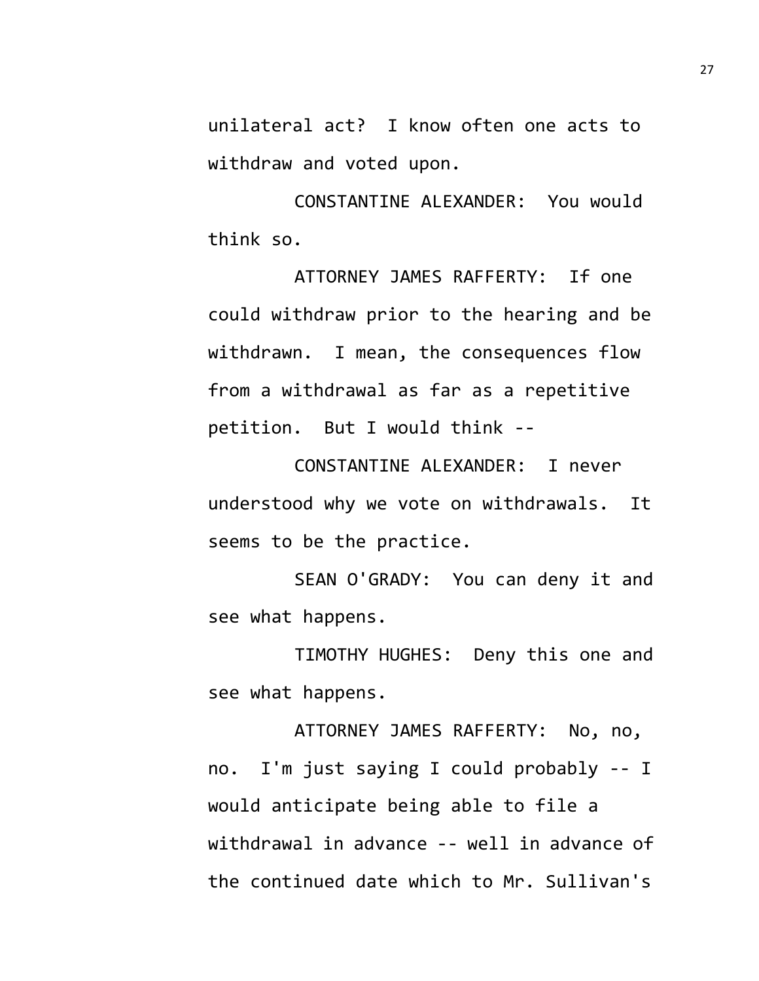unilateral act? I know often one acts to withdraw and voted upon.

CONSTANTINE ALEXANDER: You would think so.

ATTORNEY JAMES RAFFERTY: If one could withdraw prior to the hearing and be withdrawn. I mean, the consequences flow from a withdrawal as far as a repetitive petition. But I would think --

CONSTANTINE ALEXANDER: I never understood why we vote on withdrawals. It seems to be the practice.

SEAN O'GRADY: You can deny it and see what happens.

TIMOTHY HUGHES: Deny this one and see what happens.

ATTORNEY JAMES RAFFERTY: No, no, no. I'm just saying I could probably -- I would anticipate being able to file a withdrawal in advance -- well in advance of the continued date which to Mr. Sullivan's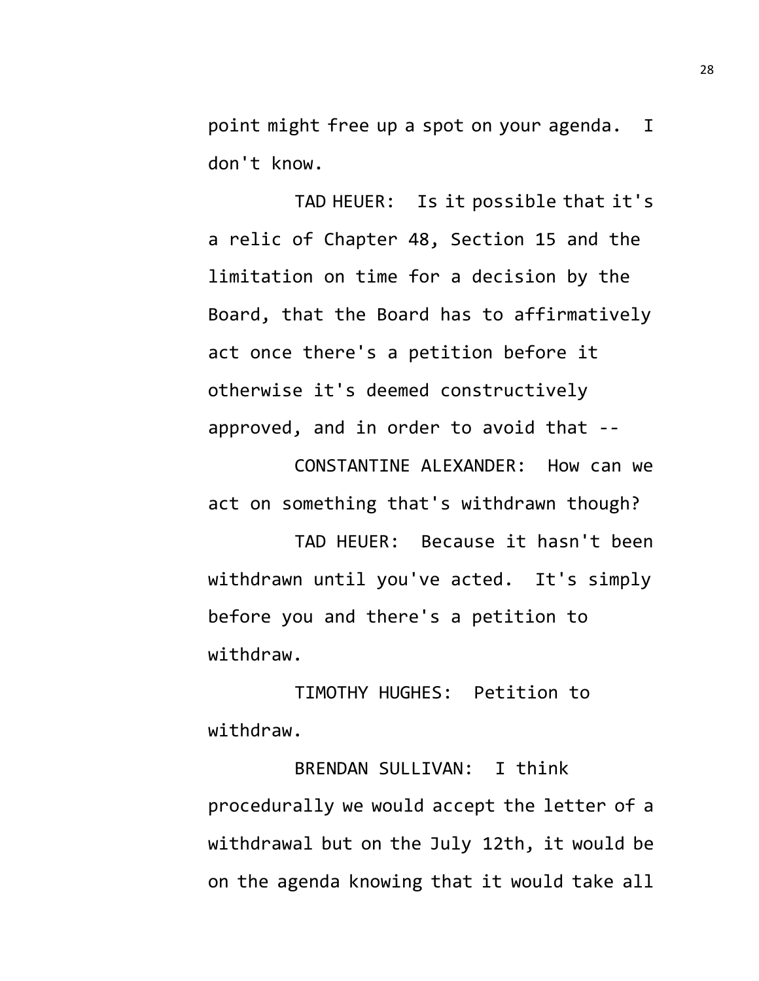point might free up a spot on your agenda. I don't know.

TAD HEUER: Is it possible that it's a relic of Chapter 48, Section 15 and the limitation on time for a decision by the Board, that the Board has to affirmatively act once there's a petition before it otherwise it's deemed constructively approved, and in order to avoid that --

CONSTANTINE ALEXANDER: How can we act on something that's withdrawn though?

TAD HEUER: Because it hasn't been withdrawn until you've acted. It's simply before you and there's a petition to withdraw.

TIMOTHY HUGHES: Petition to withdraw.

BRENDAN SULLIVAN: I think procedurally we would accept the letter of a withdrawal but on the July 12th, it would be on the agenda knowing that it would take all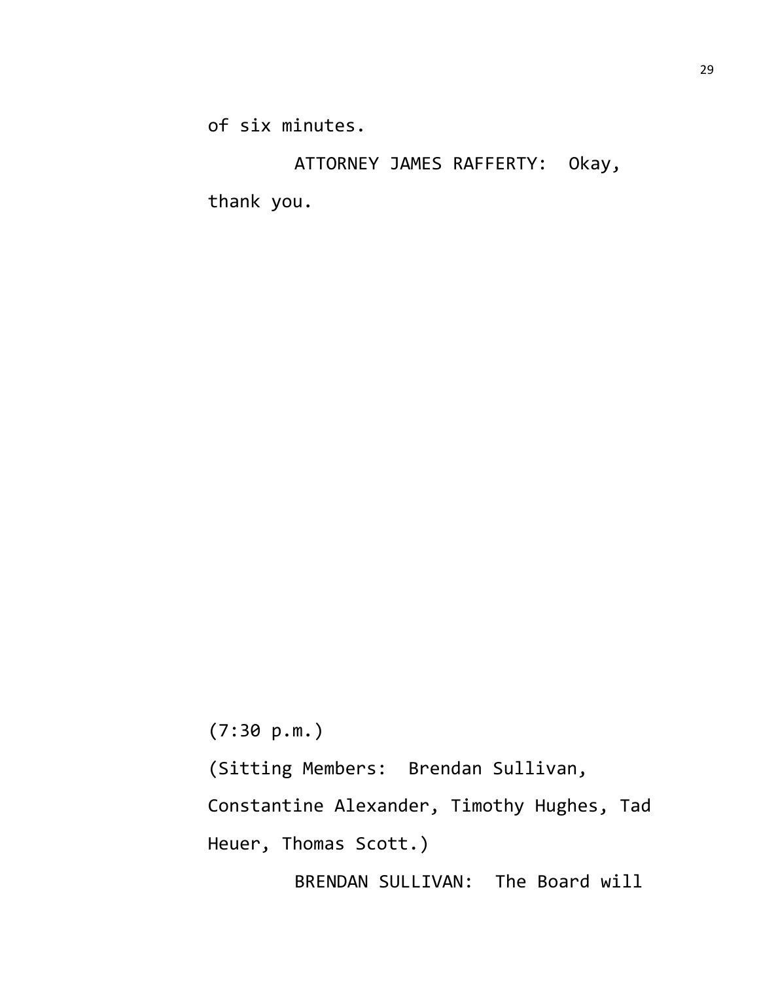of six minutes.

ATTORNEY JAMES RAFFERTY: Okay, thank you.

(7:30 p.m.) (Sitting Members: Brendan Sullivan, Constantine Alexander, Timothy Hughes, Tad Heuer, Thomas Scott.) BRENDAN SULLIVAN: The Board will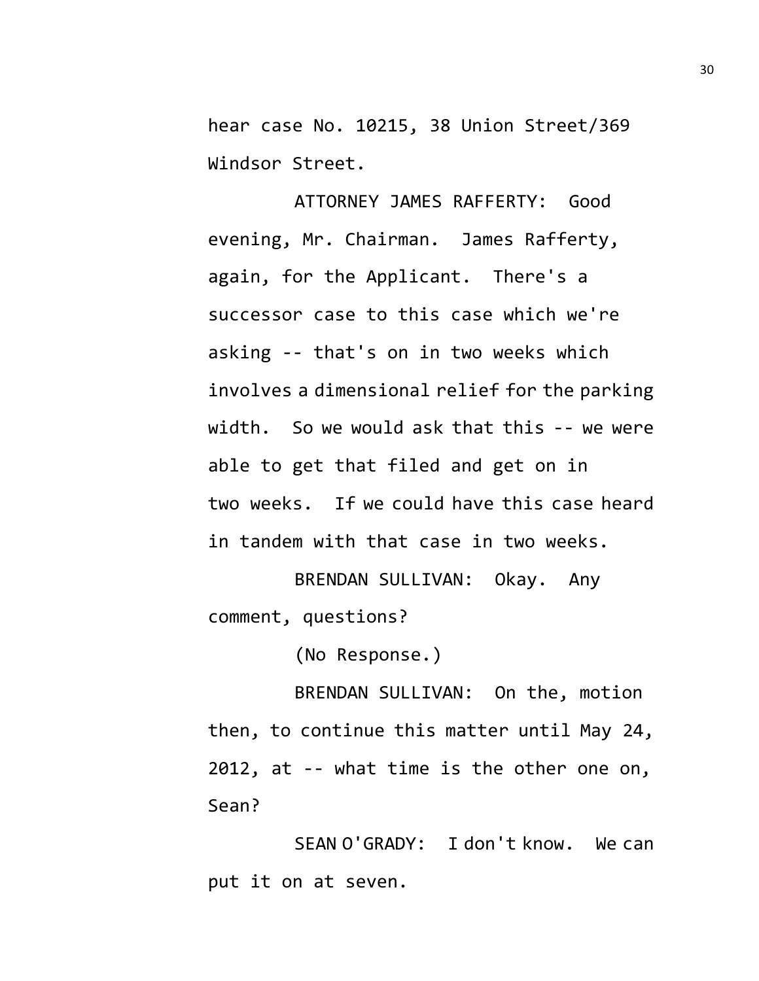hear case No. 10215, 38 Union Street/369 Windsor Street.

ATTORNEY JAMES RAFFERTY: Good evening, Mr. Chairman. James Rafferty, again, for the Applicant. There's a successor case to this case which we're asking -- that's on in two weeks which involves a dimensional relief for the parking width. So we would ask that this -- we were able to get that filed and get on in two weeks. If we could have this case heard in tandem with that case in two weeks.

BRENDAN SULLIVAN: Okay. Any comment, questions?

(No Response.)

BRENDAN SULLIVAN: On the, motion then, to continue this matter until May 24, 2012, at -- what time is the other one on, Sean?

SEAN O'GRADY: I don't know. We can put it on at seven.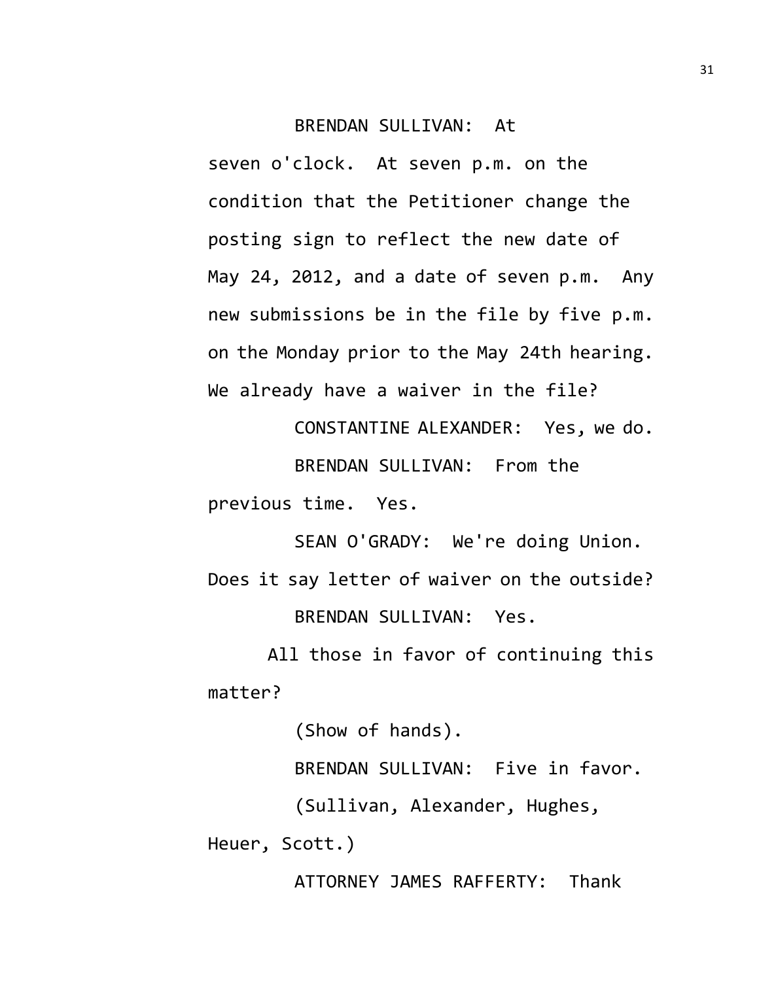## BRENDAN SULLIVAN: At

seven o'clock. At seven p.m. on the condition that the Petitioner change the posting sign to reflect the new date of May 24, 2012, and a date of seven p.m. Any new submissions be in the file by five p.m. on the Monday prior to the May 24th hearing. We already have a waiver in the file?

CONSTANTINE ALEXANDER: Yes, we do. BRENDAN SULLIVAN: From the previous time. Yes.

SEAN O'GRADY: We're doing Union. Does it say letter of waiver on the outside? BRENDAN SULLIVAN: Yes.

All those in favor of continuing this matter?

(Show of hands).

BRENDAN SULLIVAN: Five in favor.

(Sullivan, Alexander, Hughes,

Heuer, Scott.)

ATTORNEY JAMES RAFFERTY: Thank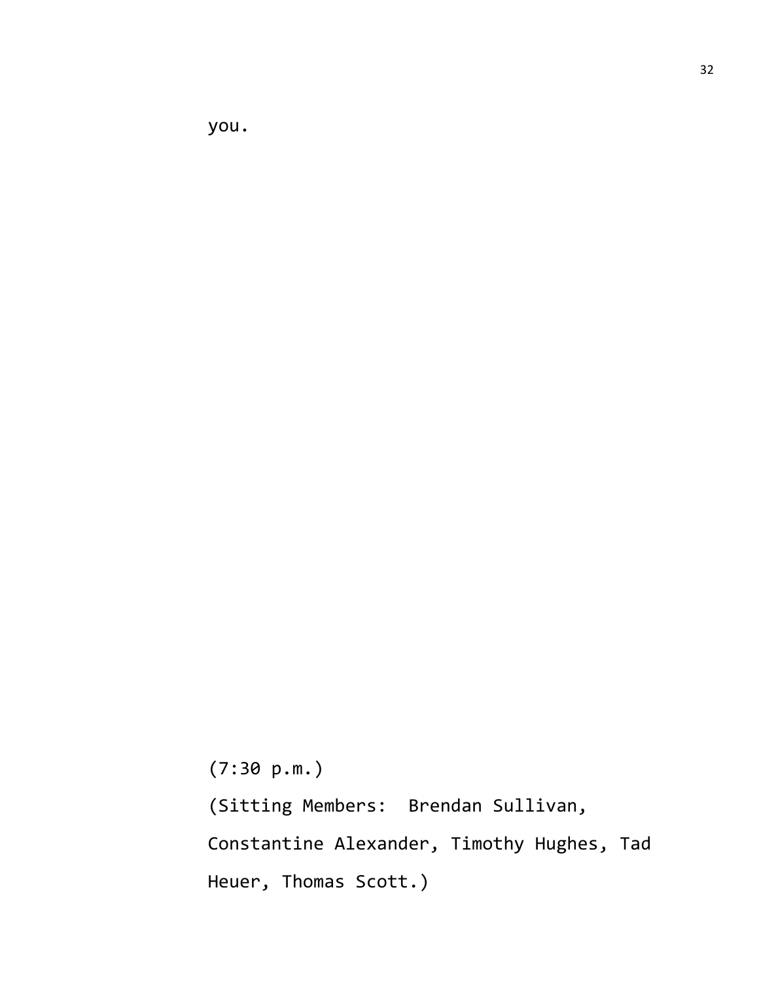you.

(7:30 p.m.)

(Sitting Members: Brendan Sullivan, Constantine Alexander, Timothy Hughes, Tad Heuer, Thomas Scott.)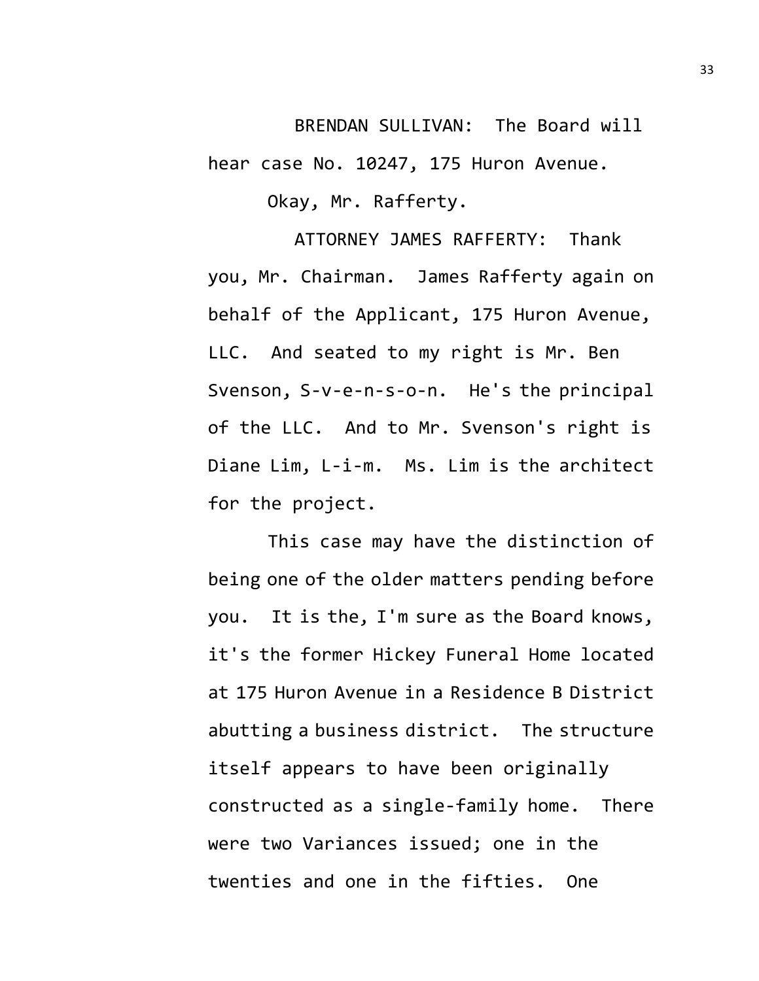BRENDAN SULLIVAN: The Board will hear case No. 10247, 175 Huron Avenue.

Okay, Mr. Rafferty.

ATTORNEY JAMES RAFFERTY: Thank you, Mr. Chairman. James Rafferty again on behalf of the Applicant, 175 Huron Avenue, LLC. And seated to my right is Mr. Ben Svenson, S-v-e-n-s-o-n. He's the principal of the LLC. And to Mr. Svenson's right is Diane Lim, L-i-m. Ms. Lim is the architect for the project.

This case may have the distinction of being one of the older matters pending before you. It is the, I'm sure as the Board knows, it's the former Hickey Funeral Home located at 175 Huron Avenue in a Residence B District abutting a business district. The structure itself appears to have been originally constructed as a single-family home. There were two Variances issued; one in the twenties and one in the fifties. One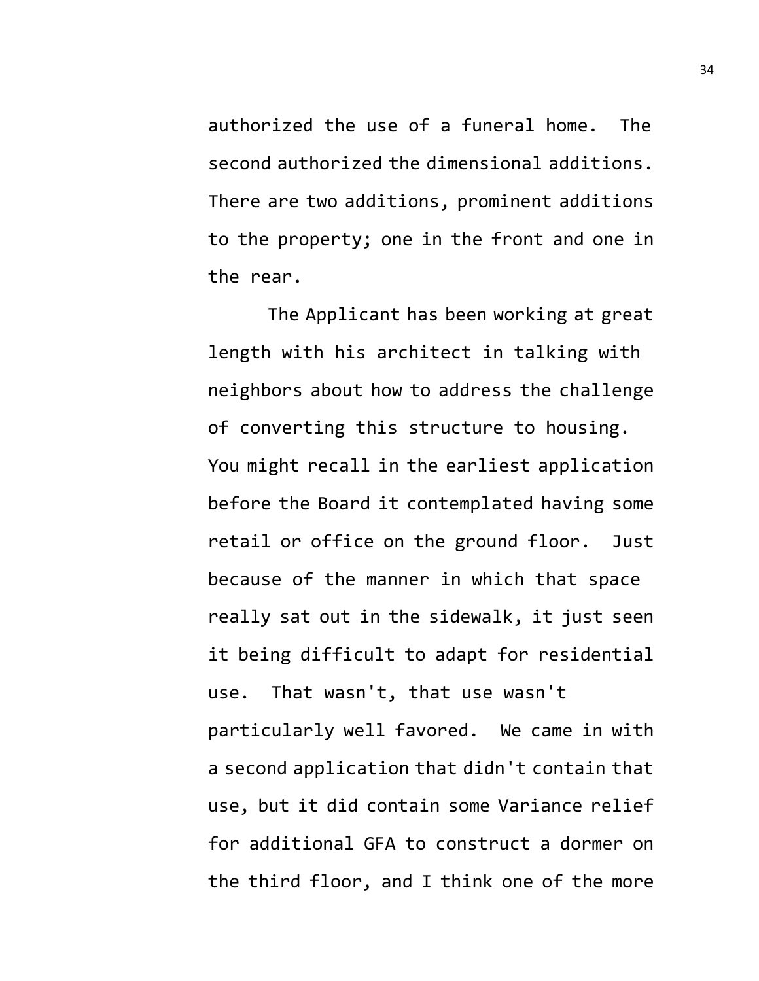authorized the use of a funeral home. The second authorized the dimensional additions. There are two additions, prominent additions to the property; one in the front and one in the rear.

The Applicant has been working at great length with his architect in talking with neighbors about how to address the challenge of converting this structure to housing. You might recall in the earliest application before the Board it contemplated having some retail or office on the ground floor. Just because of the manner in which that space really sat out in the sidewalk, it just seen it being difficult to adapt for residential use. That wasn't, that use wasn't particularly well favored. We came in with a second application that didn't contain that use, but it did contain some Variance relief for additional GFA to construct a dormer on the third floor, and I think one of the more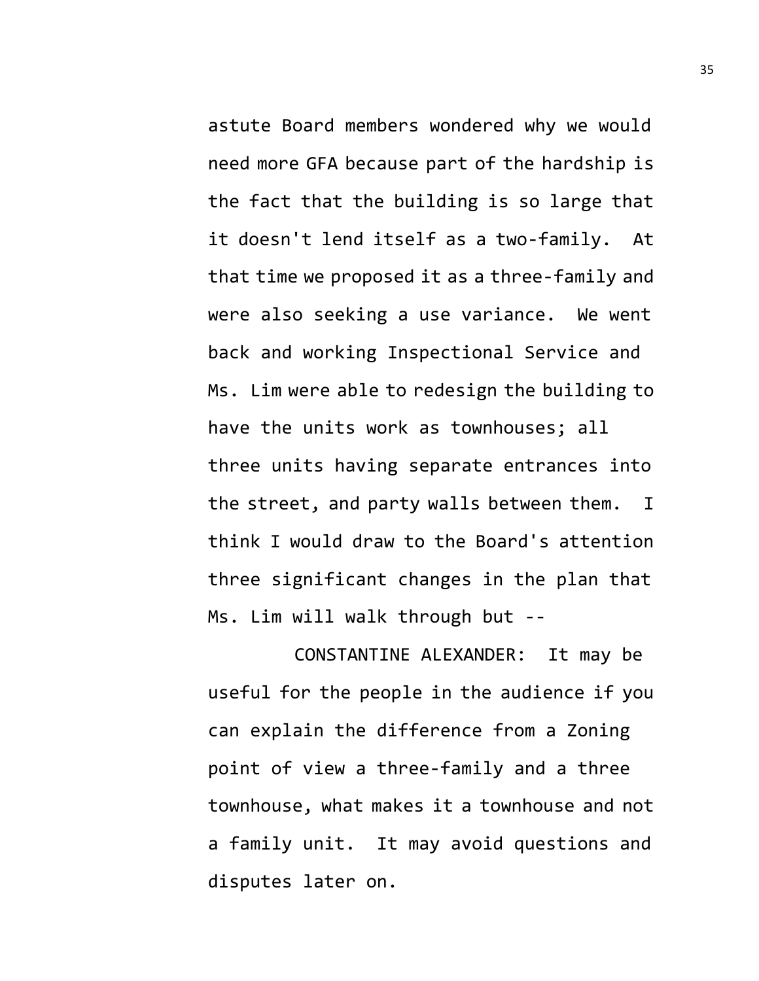astute Board members wondered why we would need more GFA because part of the hardship is the fact that the building is so large that it doesn't lend itself as a two-family. At that time we proposed it as a three-family and were also seeking a use variance. We went back and working Inspectional Service and Ms. Lim were able to redesign the building to have the units work as townhouses; all three units having separate entrances into the street, and party walls between them. I think I would draw to the Board's attention three significant changes in the plan that Ms. Lim will walk through but --

CONSTANTINE ALEXANDER: It may be useful for the people in the audience if you can explain the difference from a Zoning point of view a three-family and a three townhouse, what makes it a townhouse and not a family unit. It may avoid questions and disputes later on.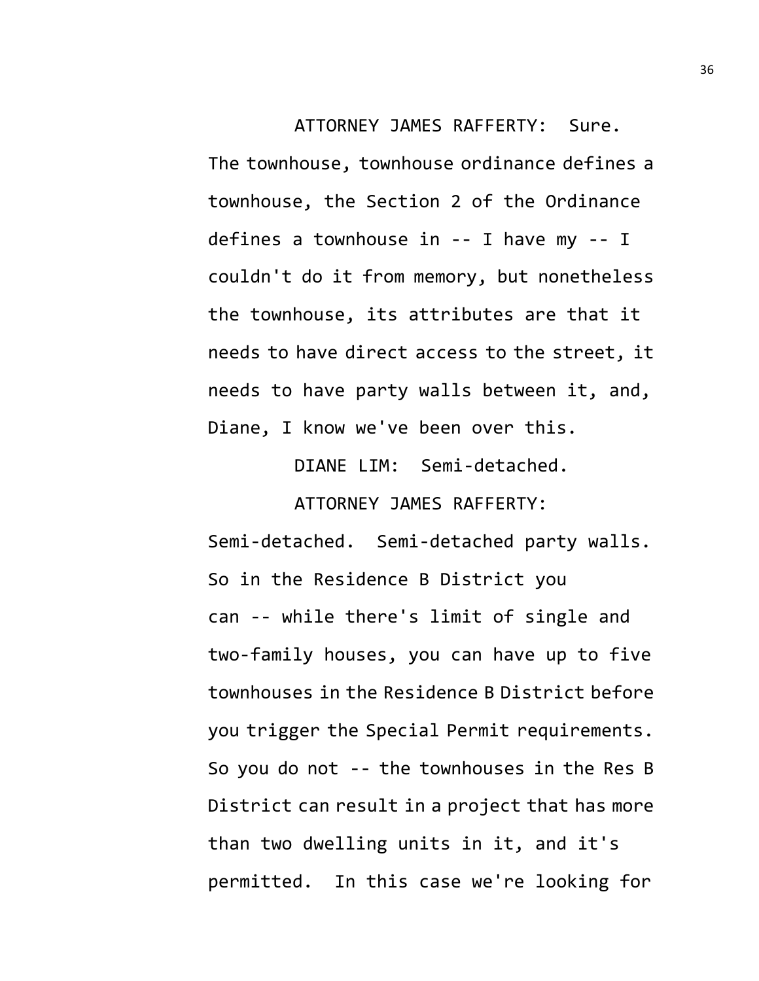ATTORNEY JAMES RAFFERTY: Sure. The townhouse, townhouse ordinance defines a townhouse, the Section 2 of the Ordinance defines a townhouse in -- I have my -- I couldn't do it from memory, but nonetheless the townhouse, its attributes are that it needs to have direct access to the street, it needs to have party walls between it, and, Diane, I know we've been over this.

> DIANE LIM: Semi-detached. ATTORNEY JAMES RAFFERTY:

Semi-detached. Semi-detached party walls. So in the Residence B District you can -- while there's limit of single and two-family houses, you can have up to five townhouses in the Residence B District before you trigger the Special Permit requirements. So you do not -- the townhouses in the Res B District can result in a project that has more than two dwelling units in it, and it's permitted. In this case we're looking for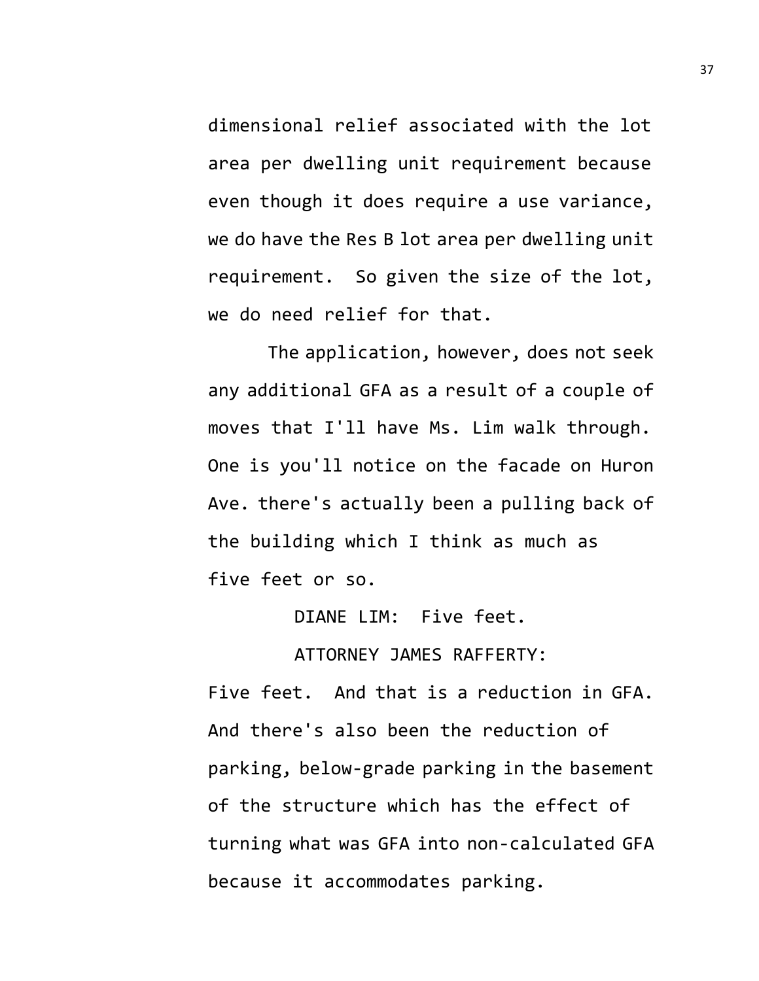dimensional relief associated with the lot area per dwelling unit requirement because even though it does require a use variance, we do have the Res B lot area per dwelling unit requirement. So given the size of the lot, we do need relief for that.

The application, however, does not seek any additional GFA as a result of a couple of moves that I'll have Ms. Lim walk through. One is you'll notice on the facade on Huron Ave. there's actually been a pulling back of the building which I think as much as five feet or so.

DIANE LIM: Five feet.

ATTORNEY JAMES RAFFERTY:

Five feet. And that is a reduction in GFA. And there's also been the reduction of parking, below-grade parking in the basement of the structure which has the effect of turning what was GFA into non-calculated GFA because it accommodates parking.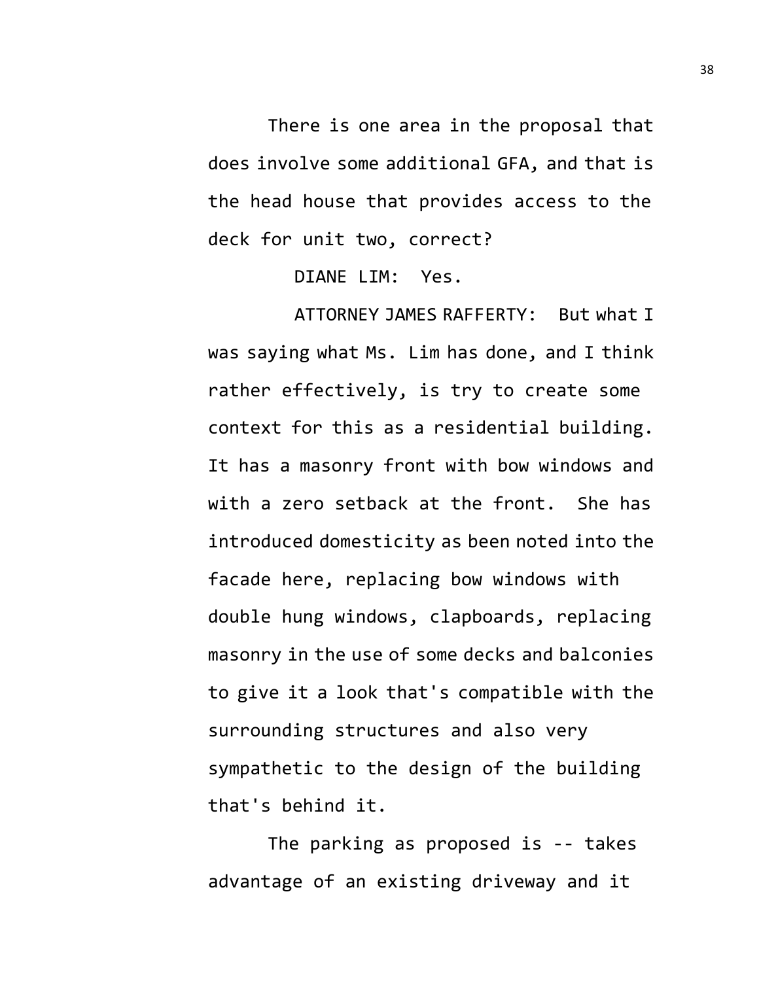There is one area in the proposal that does involve some additional GFA, and that is the head house that provides access to the deck for unit two, correct?

DIANE LIM: Yes.

ATTORNEY JAMES RAFFERTY: But what I was saying what Ms. Lim has done, and I think rather effectively, is try to create some context for this as a residential building. It has a masonry front with bow windows and with a zero setback at the front. She has introduced domesticity as been noted into the facade here, replacing bow windows with double hung windows, clapboards, replacing masonry in the use of some decks and balconies to give it a look that's compatible with the surrounding structures and also very sympathetic to the design of the building that's behind it.

The parking as proposed is -- takes advantage of an existing driveway and it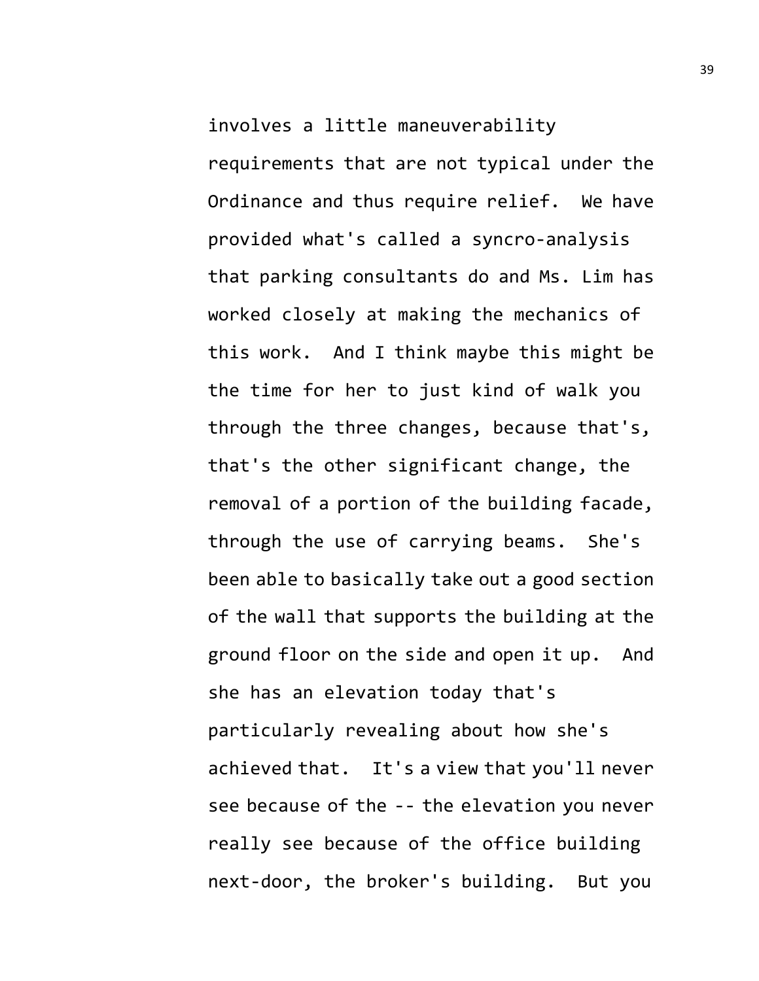involves a little maneuverability requirements that are not typical under the Ordinance and thus require relief. We have provided what's called a syncro-analysis that parking consultants do and Ms. Lim has worked closely at making the mechanics of this work. And I think maybe this might be the time for her to just kind of walk you through the three changes, because that's, that's the other significant change, the removal of a portion of the building facade, through the use of carrying beams. She's been able to basically take out a good section of the wall that supports the building at the ground floor on the side and open it up. And she has an elevation today that's particularly revealing about how she's achieved that. It's a view that you'll never see because of the -- the elevation you never really see because of the office building next-door, the broker's building. But you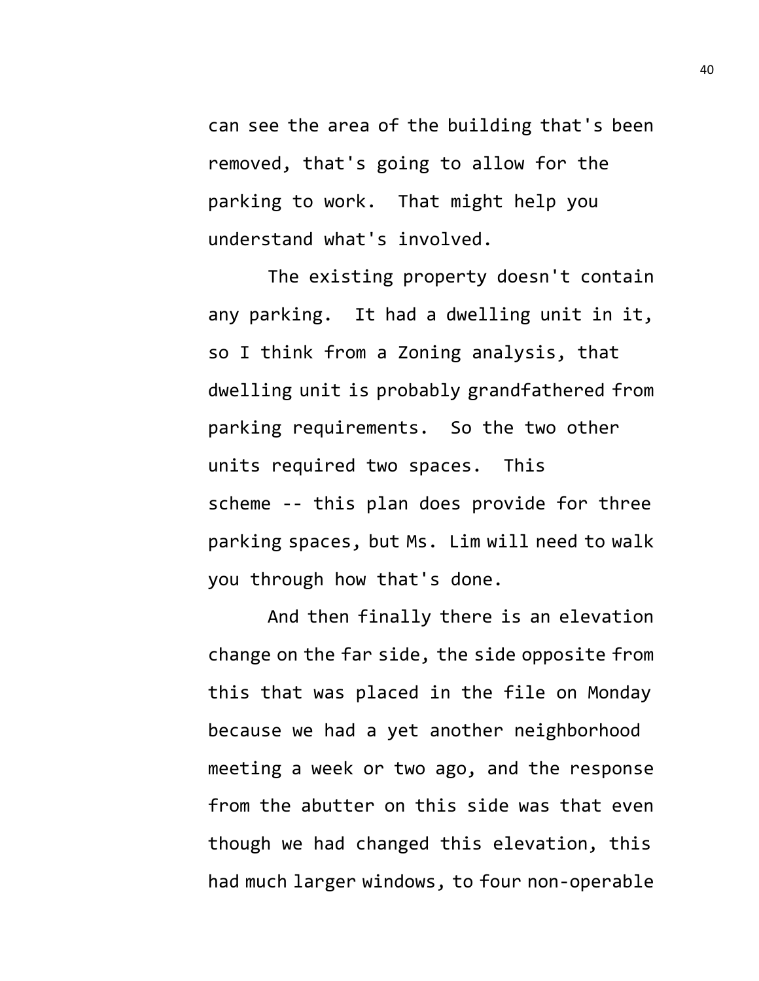can see the area of the building that's been removed, that's going to allow for the parking to work. That might help you understand what's involved.

The existing property doesn't contain any parking. It had a dwelling unit in it, so I think from a Zoning analysis, that dwelling unit is probably grandfathered from parking requirements. So the two other units required two spaces. This scheme -- this plan does provide for three parking spaces, but Ms. Lim will need to walk you through how that's done.

And then finally there is an elevation change on the far side, the side opposite from this that was placed in the file on Monday because we had a yet another neighborhood meeting a week or two ago, and the response from the abutter on this side was that even though we had changed this elevation, this had much larger windows, to four non-operable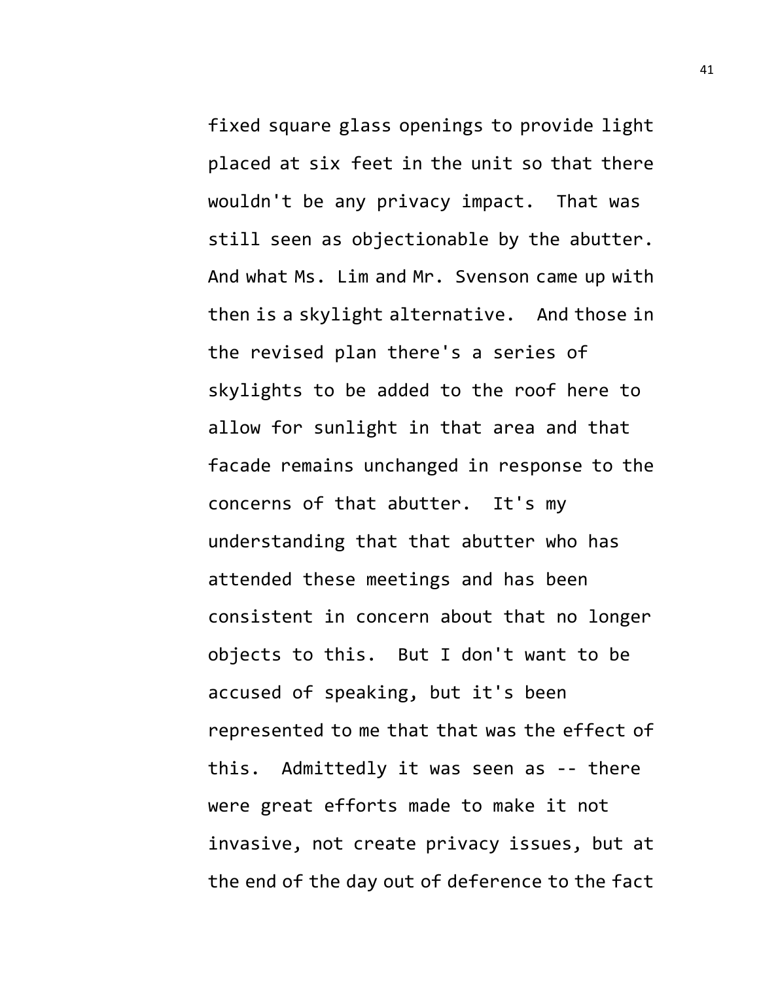fixed square glass openings to provide light placed at six feet in the unit so that there wouldn't be any privacy impact. That was still seen as objectionable by the abutter. And what Ms. Lim and Mr. Svenson came up with then is a skylight alternative. And those in the revised plan there's a series of skylights to be added to the roof here to allow for sunlight in that area and that facade remains unchanged in response to the concerns of that abutter. It's my understanding that that abutter who has attended these meetings and has been consistent in concern about that no longer objects to this. But I don't want to be accused of speaking, but it's been represented to me that that was the effect of this. Admittedly it was seen as -- there were great efforts made to make it not invasive, not create privacy issues, but at the end of the day out of deference to the fact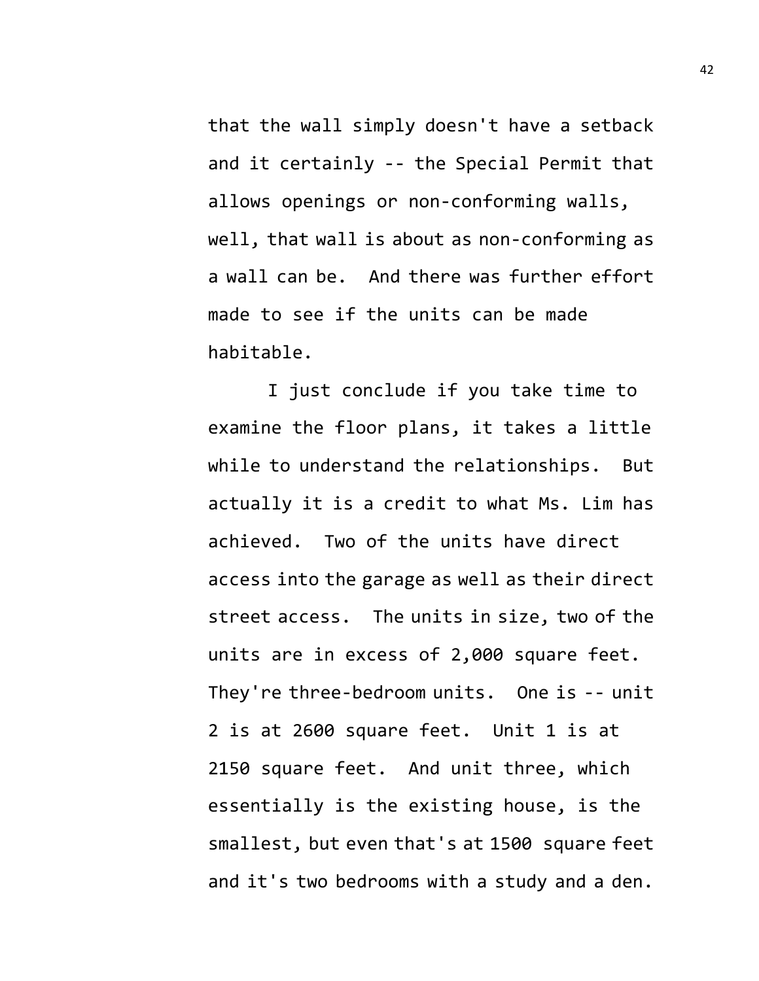that the wall simply doesn't have a setback and it certainly -- the Special Permit that allows openings or non-conforming walls, well, that wall is about as non-conforming as a wall can be. And there was further effort made to see if the units can be made habitable.

I just conclude if you take time to examine the floor plans, it takes a little while to understand the relationships. But actually it is a credit to what Ms. Lim has achieved. Two of the units have direct access into the garage as well as their direct street access. The units in size, two of the units are in excess of 2,000 square feet. They're three-bedroom units. One is -- unit 2 is at 2600 square feet. Unit 1 is at 2150 square feet. And unit three, which essentially is the existing house, is the smallest, but even that's at 1500 square feet and it's two bedrooms with a study and a den.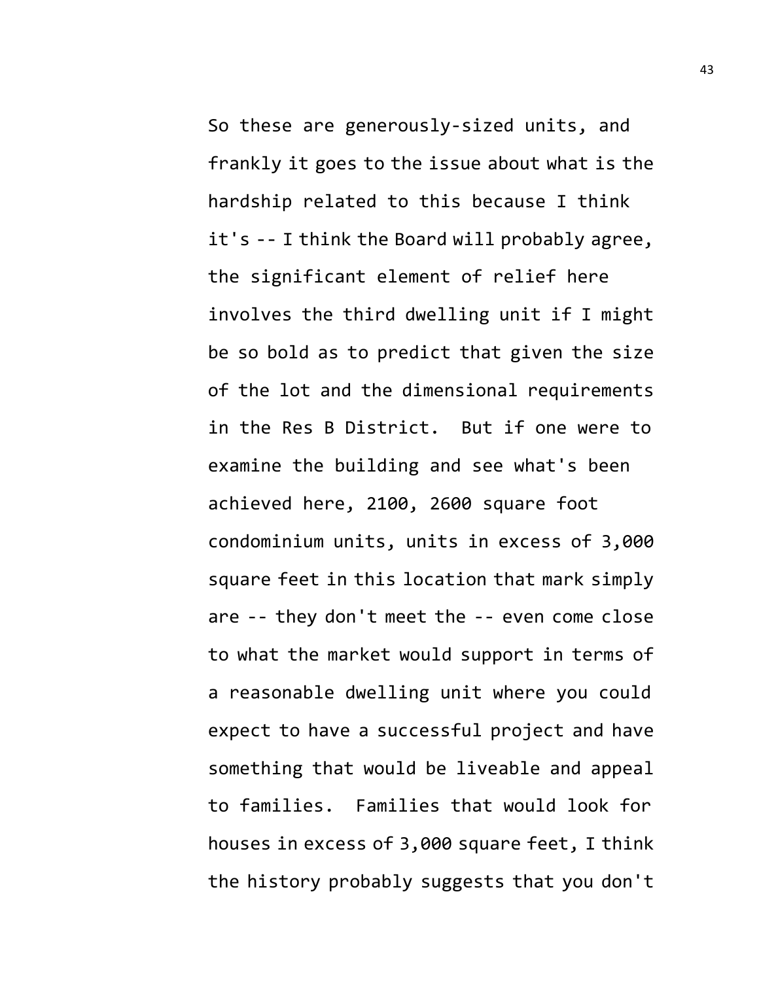So these are generously-sized units, and frankly it goes to the issue about what is the hardship related to this because I think it's -- I think the Board will probably agree, the significant element of relief here involves the third dwelling unit if I might be so bold as to predict that given the size of the lot and the dimensional requirements in the Res B District. But if one were to examine the building and see what's been achieved here, 2100, 2600 square foot condominium units, units in excess of 3,000 square feet in this location that mark simply are -- they don't meet the -- even come close to what the market would support in terms of a reasonable dwelling unit where you could expect to have a successful project and have something that would be liveable and appeal to families. Families that would look for houses in excess of 3,000 square feet, I think the history probably suggests that you don't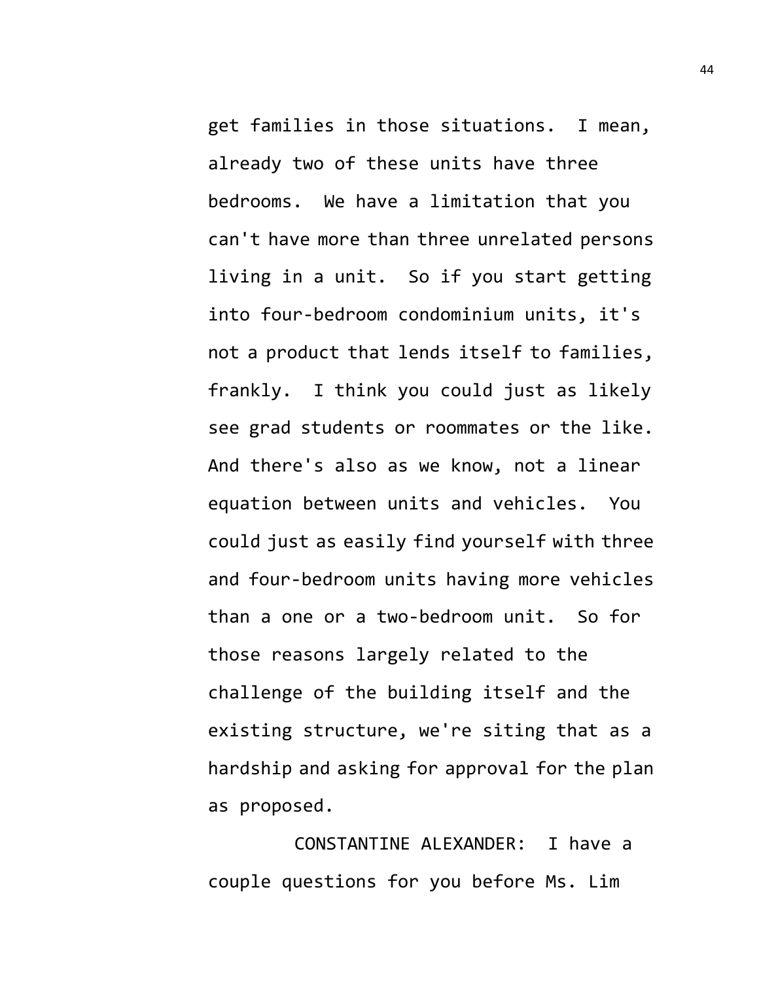get families in those situations. I mean, already two of these units have three bedrooms. We have a limitation that you can't have more than three unrelated persons living in a unit. So if you start getting into four-bedroom condominium units, it's not a product that lends itself to families, frankly. I think you could just as likely see grad students or roommates or the like. And there's also as we know, not a linear equation between units and vehicles. You could just as easily find yourself with three and four-bedroom units having more vehicles than a one or a two-bedroom unit. So for those reasons largely related to the challenge of the building itself and the existing structure, we're siting that as a hardship and asking for approval for the plan as proposed.

CONSTANTINE ALEXANDER: I have a couple questions for you before Ms. Lim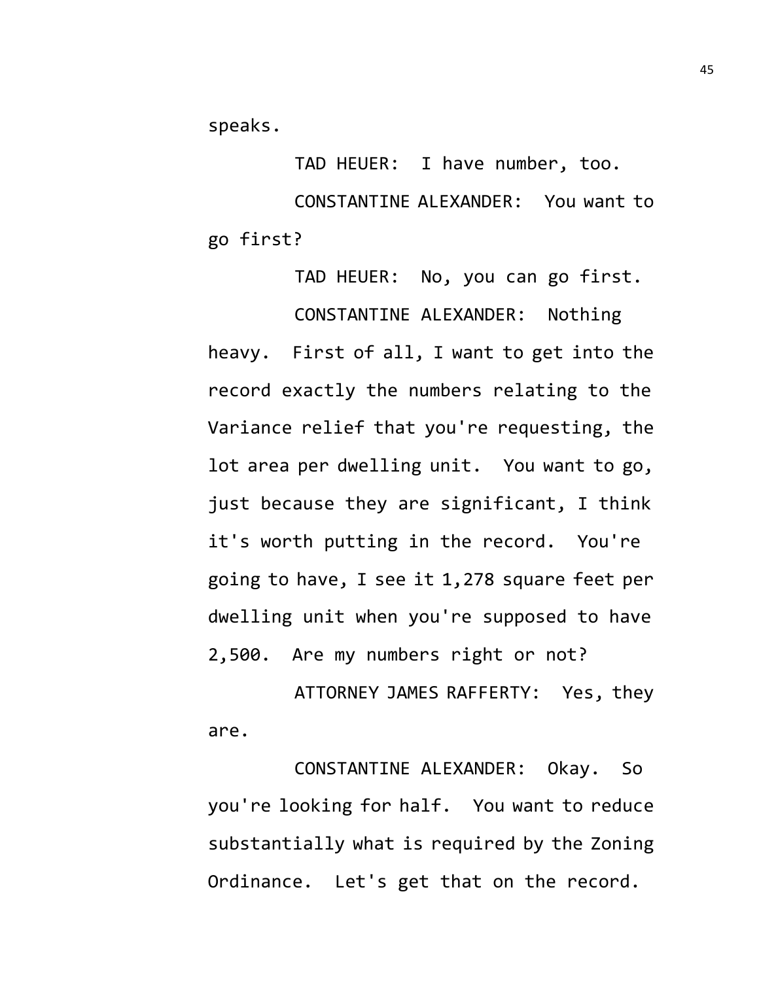speaks.

TAD HEUER: I have number, too. CONSTANTINE ALEXANDER: You want to go first?

TAD HEUER: No, you can go first. CONSTANTINE ALEXANDER: Nothing heavy. First of all, I want to get into the record exactly the numbers relating to the Variance relief that you're requesting, the lot area per dwelling unit. You want to go, just because they are significant, I think it's worth putting in the record. You're going to have, I see it 1,278 square feet per dwelling unit when you're supposed to have 2,500. Are my numbers right or not?

ATTORNEY JAMES RAFFERTY: Yes, they are.

CONSTANTINE ALEXANDER: Okay. So you're looking for half. You want to reduce substantially what is required by the Zoning Ordinance. Let's get that on the record.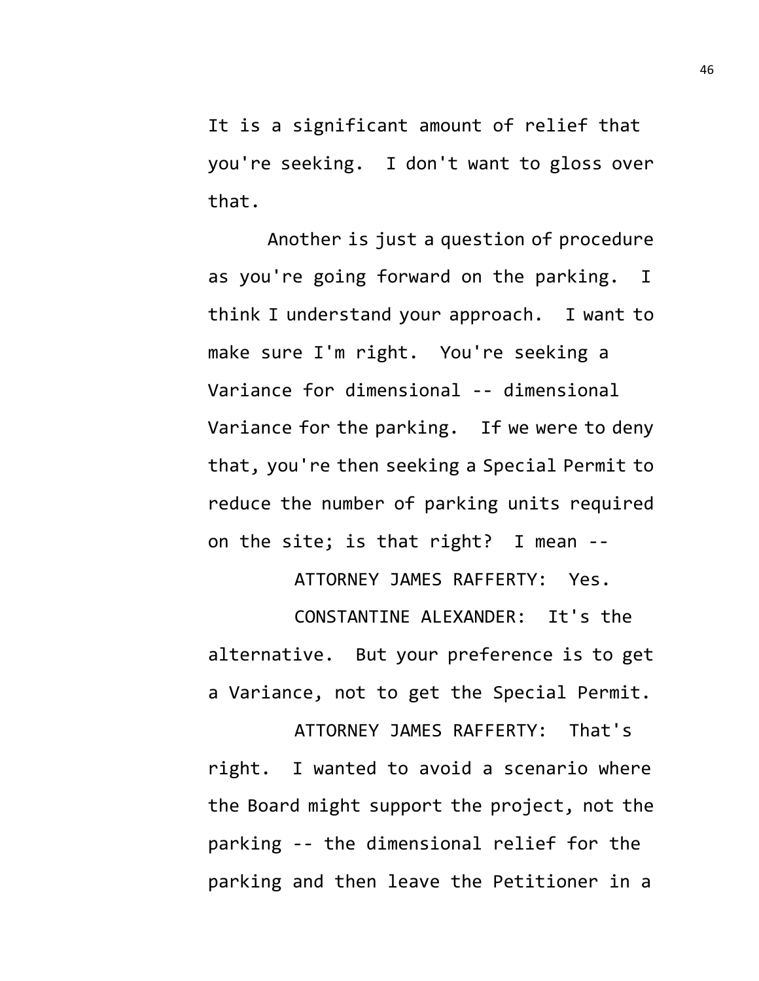It is a significant amount of relief that you're seeking. I don't want to gloss over that.

Another is just a question of procedure as you're going forward on the parking. I think I understand your approach. I want to make sure I'm right. You're seeking a Variance for dimensional -- dimensional Variance for the parking. If we were to deny that, you're then seeking a Special Permit to reduce the number of parking units required on the site; is that right? I mean --

ATTORNEY JAMES RAFFERTY: Yes.

CONSTANTINE ALEXANDER: It's the alternative. But your preference is to get a Variance, not to get the Special Permit.

ATTORNEY JAMES RAFFERTY: That's right. I wanted to avoid a scenario where the Board might support the project, not the parking -- the dimensional relief for the parking and then leave the Petitioner in a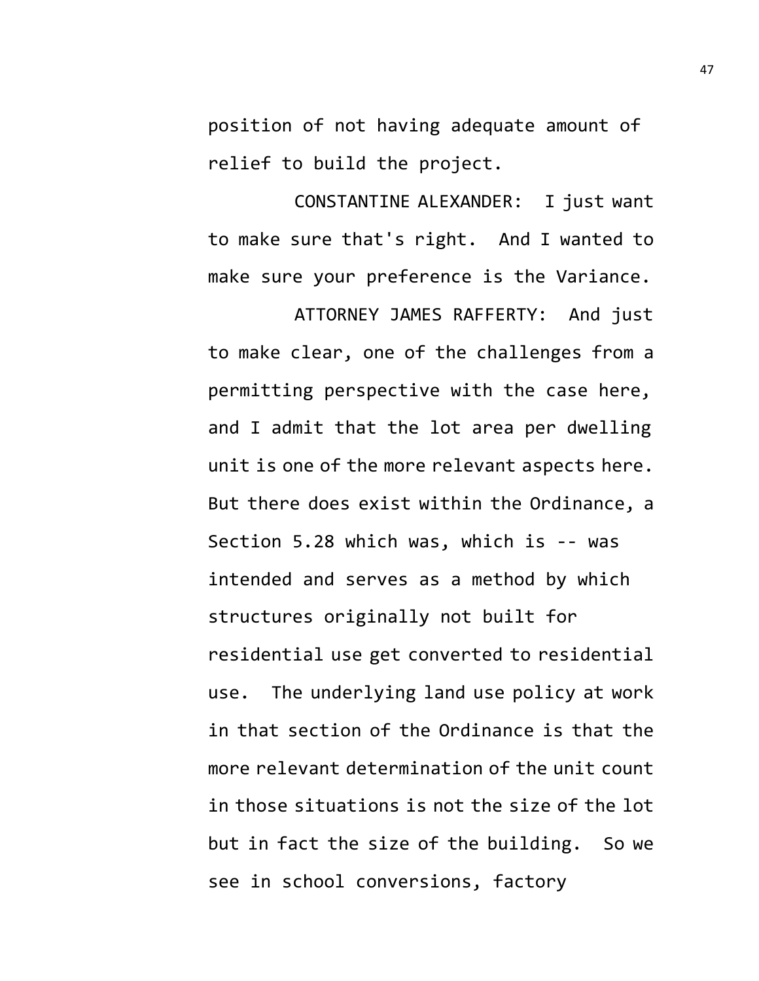position of not having adequate amount of relief to build the project.

CONSTANTINE ALEXANDER: I just want to make sure that's right. And I wanted to make sure your preference is the Variance.

ATTORNEY JAMES RAFFERTY: And just to make clear, one of the challenges from a permitting perspective with the case here, and I admit that the lot area per dwelling unit is one of the more relevant aspects here. But there does exist within the Ordinance, a Section 5.28 which was, which is -- was intended and serves as a method by which structures originally not built for residential use get converted to residential use. The underlying land use policy at work in that section of the Ordinance is that the more relevant determination of the unit count in those situations is not the size of the lot but in fact the size of the building. So we see in school conversions, factory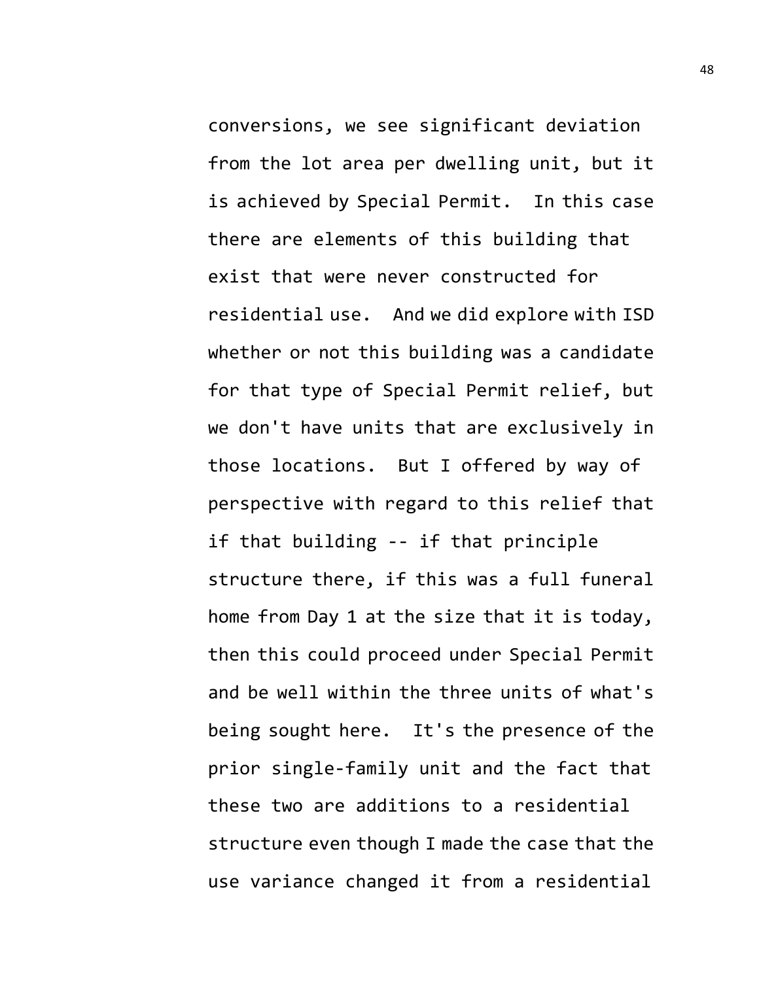conversions, we see significant deviation from the lot area per dwelling unit, but it is achieved by Special Permit. In this case there are elements of this building that exist that were never constructed for residential use. And we did explore with ISD whether or not this building was a candidate for that type of Special Permit relief, but we don't have units that are exclusively in those locations. But I offered by way of perspective with regard to this relief that if that building -- if that principle structure there, if this was a full funeral home from Day 1 at the size that it is today, then this could proceed under Special Permit and be well within the three units of what's being sought here. It's the presence of the prior single-family unit and the fact that these two are additions to a residential structure even though I made the case that the use variance changed it from a residential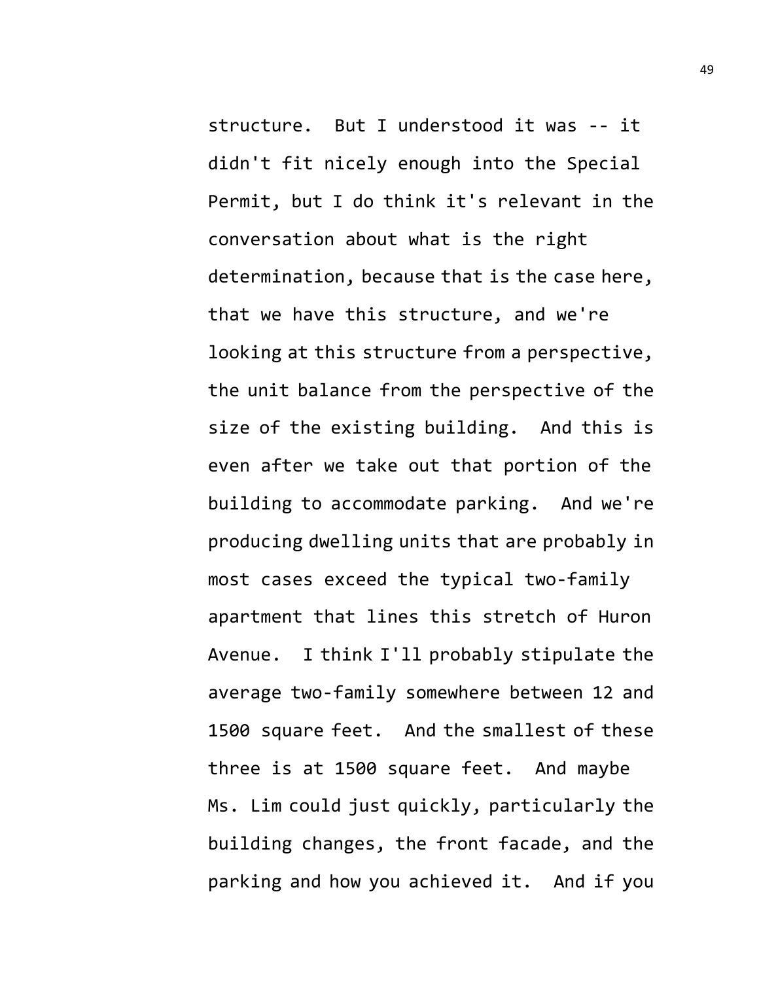structure. But I understood it was -- it didn't fit nicely enough into the Special Permit, but I do think it's relevant in the conversation about what is the right determination, because that is the case here, that we have this structure, and we're looking at this structure from a perspective, the unit balance from the perspective of the size of the existing building. And this is even after we take out that portion of the building to accommodate parking. And we're producing dwelling units that are probably in most cases exceed the typical two-family apartment that lines this stretch of Huron Avenue. I think I'll probably stipulate the average two-family somewhere between 12 and 1500 square feet. And the smallest of these three is at 1500 square feet. And maybe Ms. Lim could just quickly, particularly the building changes, the front facade, and the parking and how you achieved it. And if you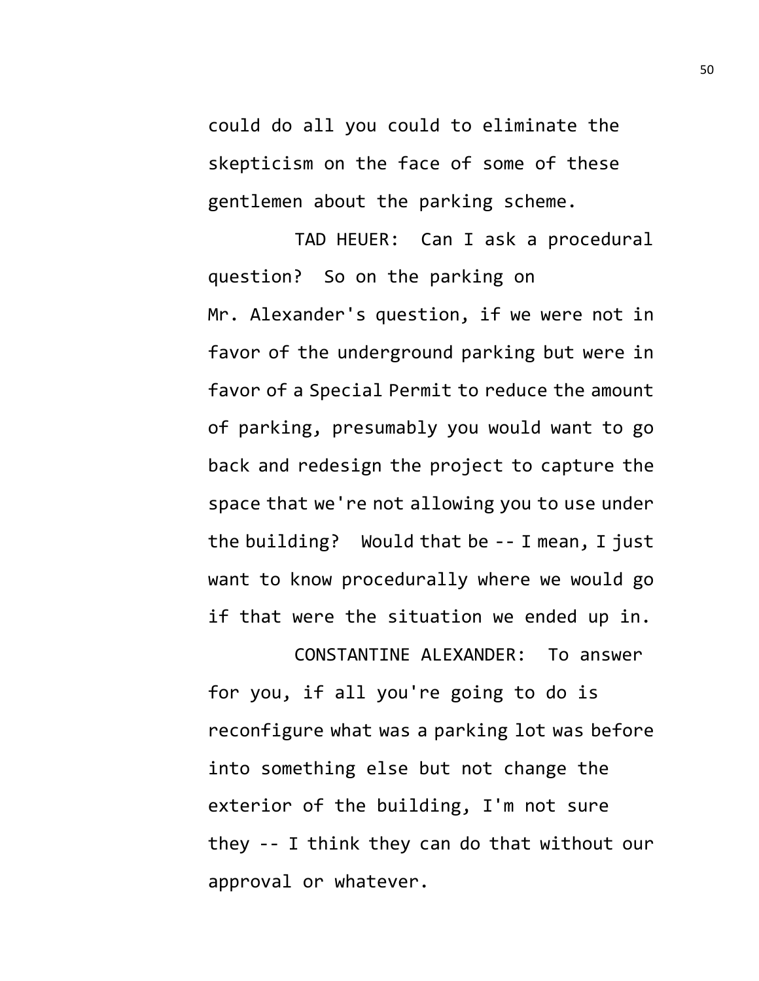could do all you could to eliminate the skepticism on the face of some of these gentlemen about the parking scheme.

TAD HEUER: Can I ask a procedural question? So on the parking on Mr. Alexander's question, if we were not in favor of the underground parking but were in favor of a Special Permit to reduce the amount of parking, presumably you would want to go back and redesign the project to capture the space that we're not allowing you to use under the building? Would that be -- I mean, I just want to know procedurally where we would go if that were the situation we ended up in.

CONSTANTINE ALEXANDER: To answer for you, if all you're going to do is reconfigure what was a parking lot was before into something else but not change the exterior of the building, I'm not sure they -- I think they can do that without our approval or whatever.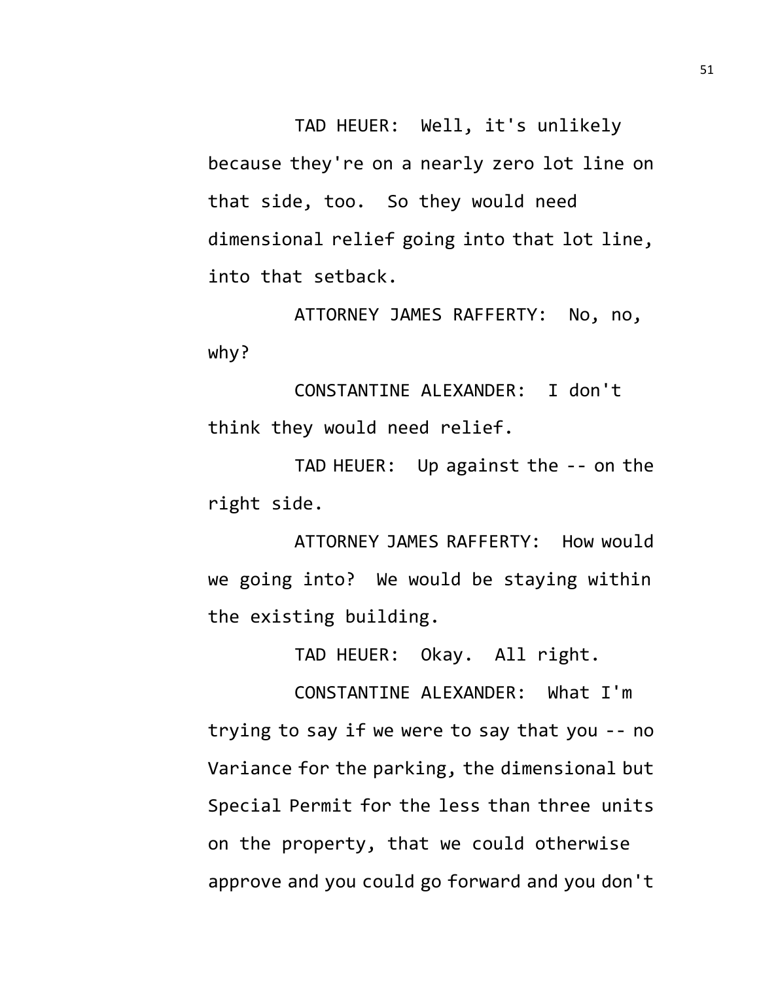TAD HEUER: Well, it's unlikely because they're on a nearly zero lot line on that side, too. So they would need dimensional relief going into that lot line, into that setback.

ATTORNEY JAMES RAFFERTY: No, no, why?

CONSTANTINE ALEXANDER: I don't think they would need relief.

TAD HEUER: Up against the -- on the right side.

ATTORNEY JAMES RAFFERTY: How would we going into? We would be staying within the existing building.

TAD HEUER: Okay. All right.

CONSTANTINE ALEXANDER: What I'm trying to say if we were to say that you -- no Variance for the parking, the dimensional but Special Permit for the less than three units on the property, that we could otherwise approve and you could go forward and you don't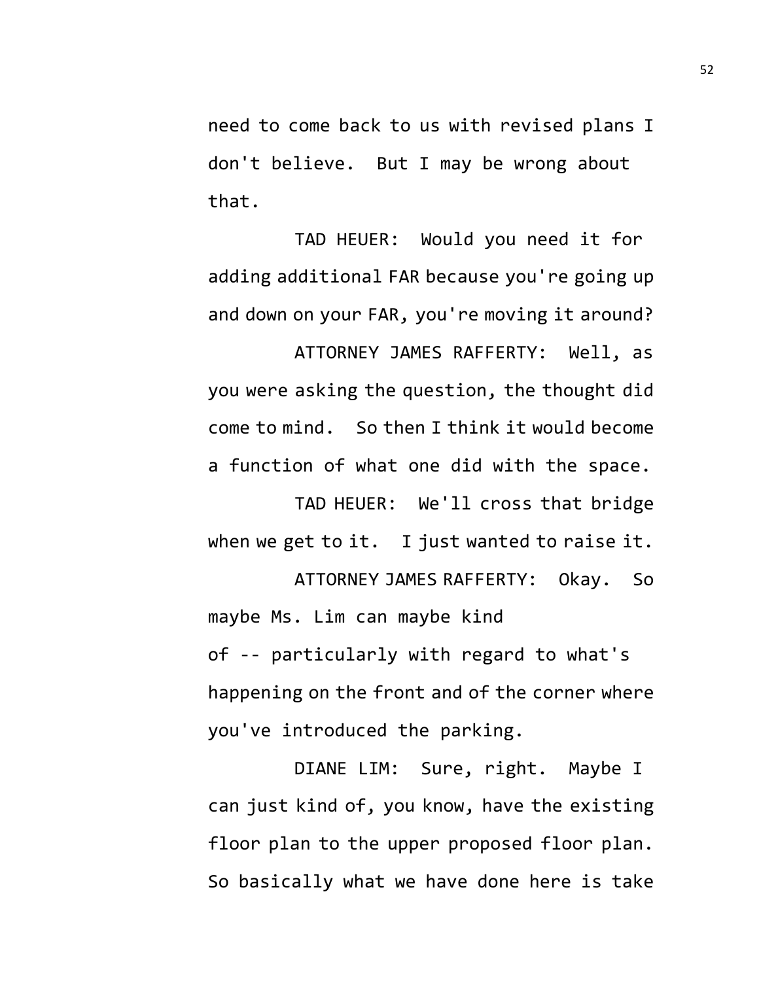need to come back to us with revised plans I don't believe. But I may be wrong about that.

TAD HEUER: Would you need it for adding additional FAR because you're going up and down on your FAR, you're moving it around?

ATTORNEY JAMES RAFFERTY: Well, as you were asking the question, the thought did come to mind. So then I think it would become a function of what one did with the space.

TAD HEUER: We'll cross that bridge when we get to it. I just wanted to raise it.

ATTORNEY JAMES RAFFERTY: Okay. So maybe Ms. Lim can maybe kind of -- particularly with regard to what's happening on the front and of the corner where you've introduced the parking.

DIANE LIM: Sure, right. Maybe I can just kind of, you know, have the existing floor plan to the upper proposed floor plan. So basically what we have done here is take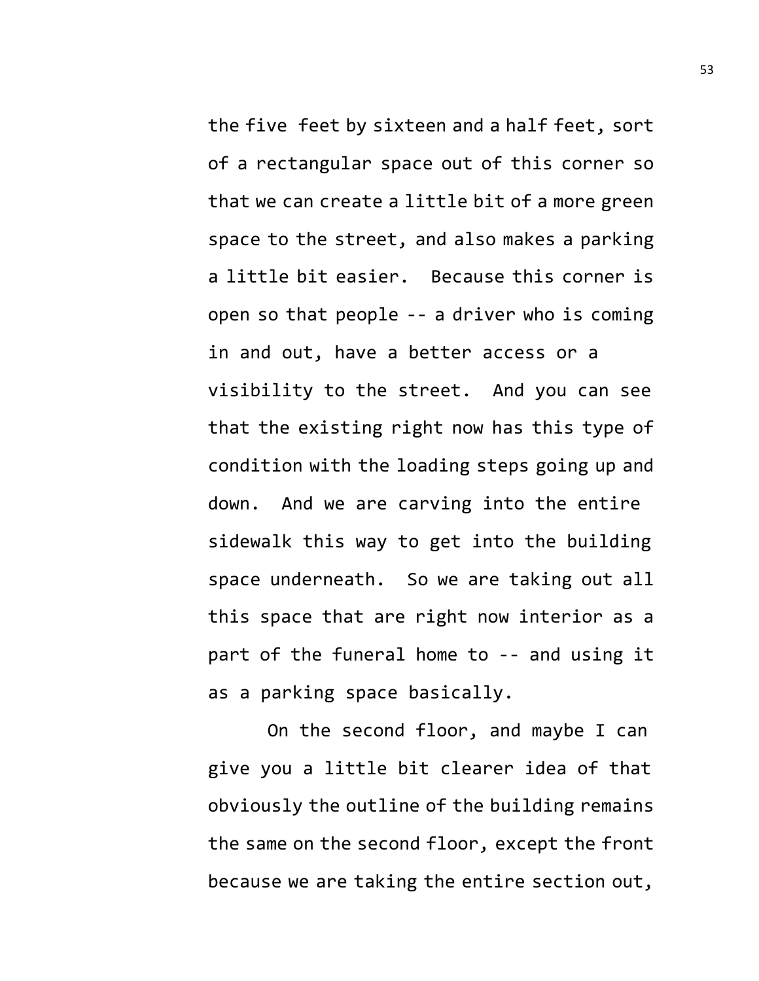the five feet by sixteen and a half feet, sort of a rectangular space out of this corner so that we can create a little bit of a more green space to the street, and also makes a parking a little bit easier. Because this corner is open so that people -- a driver who is coming in and out, have a better access or a visibility to the street. And you can see that the existing right now has this type of condition with the loading steps going up and down. And we are carving into the entire sidewalk this way to get into the building space underneath. So we are taking out all this space that are right now interior as a part of the funeral home to -- and using it as a parking space basically.

On the second floor, and maybe I can give you a little bit clearer idea of that obviously the outline of the building remains the same on the second floor, except the front because we are taking the entire section out,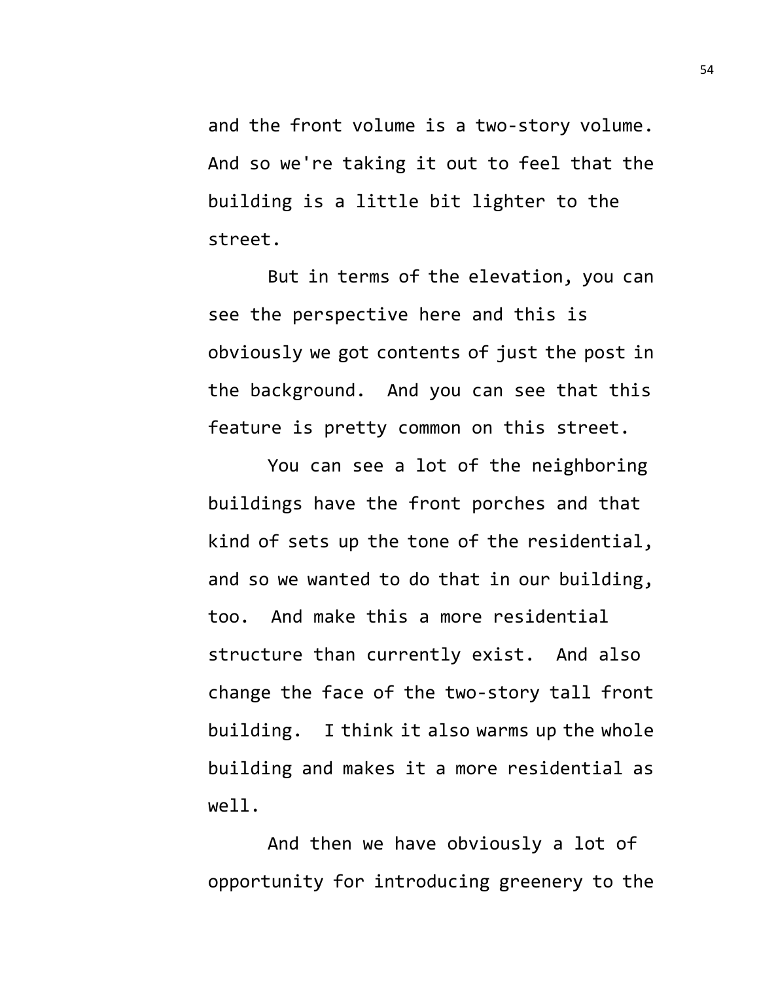and the front volume is a two-story volume. And so we're taking it out to feel that the building is a little bit lighter to the street.

But in terms of the elevation, you can see the perspective here and this is obviously we got contents of just the post in the background. And you can see that this feature is pretty common on this street.

You can see a lot of the neighboring buildings have the front porches and that kind of sets up the tone of the residential, and so we wanted to do that in our building, too. And make this a more residential structure than currently exist. And also change the face of the two-story tall front building. I think it also warms up the whole building and makes it a more residential as well.

And then we have obviously a lot of opportunity for introducing greenery to the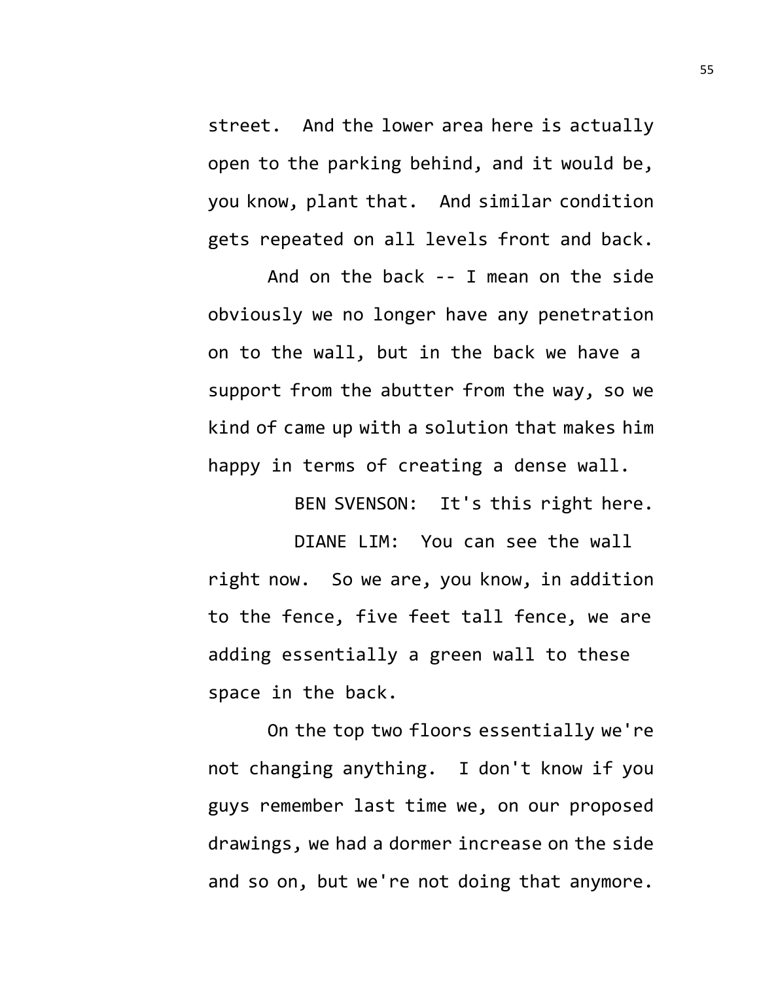street. And the lower area here is actually open to the parking behind, and it would be, you know, plant that. And similar condition gets repeated on all levels front and back.

And on the back -- I mean on the side obviously we no longer have any penetration on to the wall, but in the back we have a support from the abutter from the way, so we kind of came up with a solution that makes him happy in terms of creating a dense wall.

BEN SVENSON: It's this right here.

DIANE LIM: You can see the wall right now. So we are, you know, in addition to the fence, five feet tall fence, we are adding essentially a green wall to these space in the back.

On the top two floors essentially we're not changing anything. I don't know if you guys remember last time we, on our proposed drawings, we had a dormer increase on the side and so on, but we're not doing that anymore.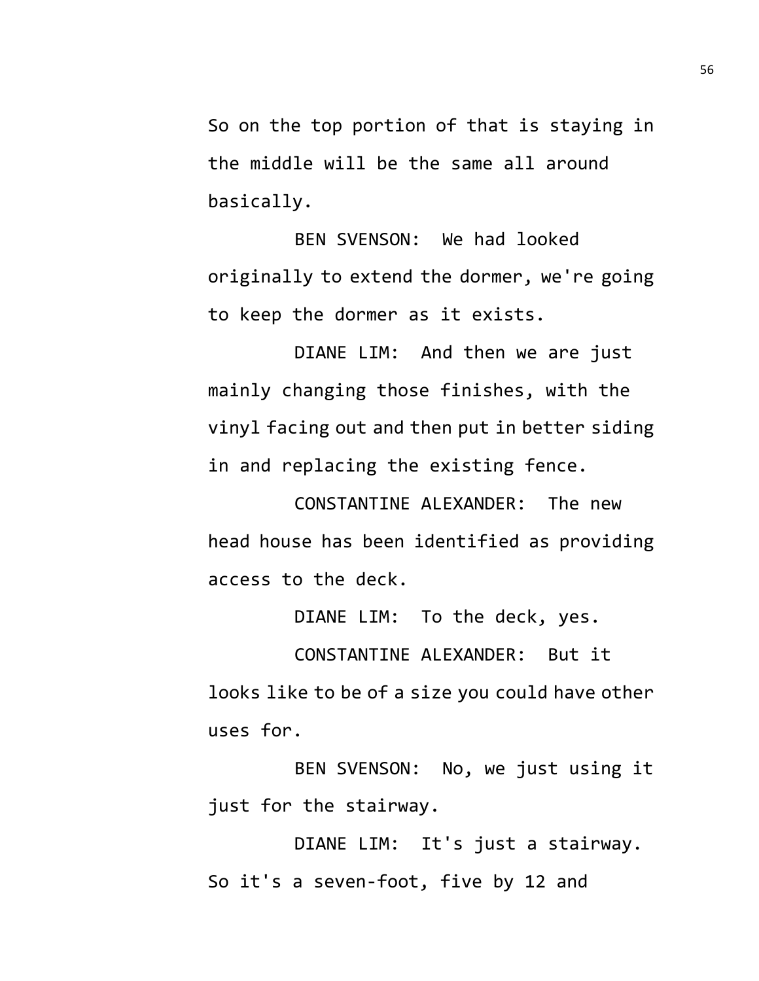So on the top portion of that is staying in the middle will be the same all around basically.

BEN SVENSON: We had looked originally to extend the dormer, we're going to keep the dormer as it exists.

DIANE LIM: And then we are just mainly changing those finishes, with the vinyl facing out and then put in better siding in and replacing the existing fence.

CONSTANTINE ALEXANDER: The new head house has been identified as providing access to the deck.

DIANE LIM: To the deck, yes.

CONSTANTINE ALEXANDER: But it looks like to be of a size you could have other uses for.

BEN SVENSON: No, we just using it just for the stairway.

DIANE LIM: It's just a stairway. So it's a seven-foot, five by 12 and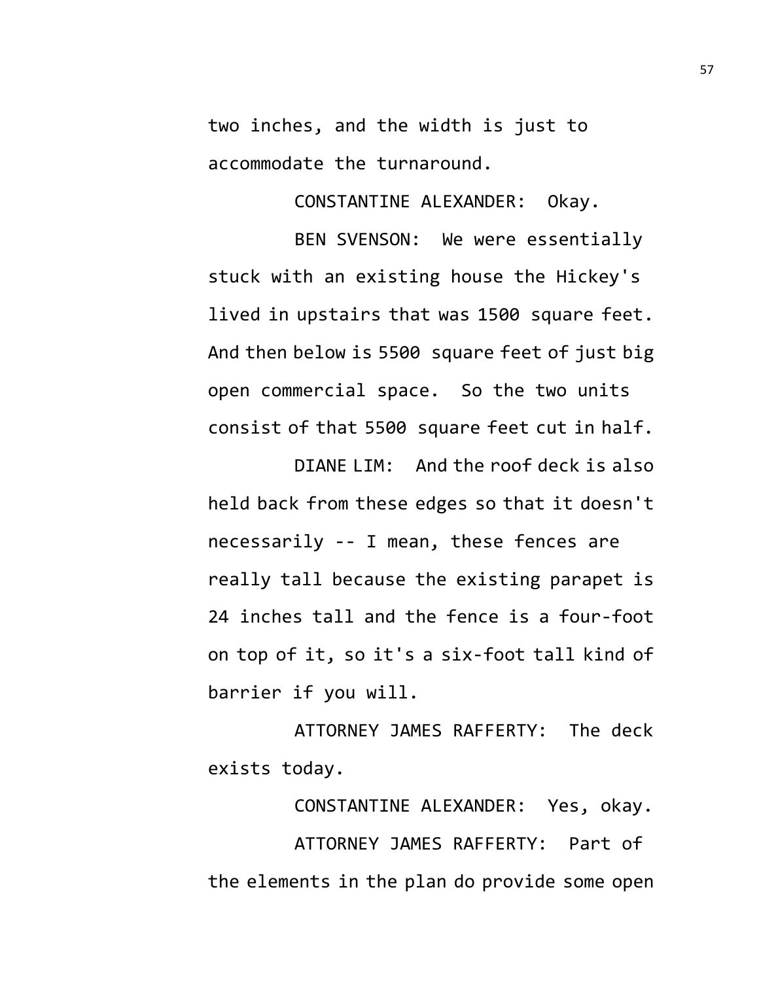two inches, and the width is just to accommodate the turnaround.

CONSTANTINE ALEXANDER: Okay.

BEN SVENSON: We were essentially stuck with an existing house the Hickey's lived in upstairs that was 1500 square feet. And then below is 5500 square feet of just big open commercial space. So the two units consist of that 5500 square feet cut in half.

DIANE LIM: And the roof deck is also held back from these edges so that it doesn't necessarily -- I mean, these fences are really tall because the existing parapet is 24 inches tall and the fence is a four-foot on top of it, so it's a six-foot tall kind of barrier if you will.

ATTORNEY JAMES RAFFERTY: The deck exists today.

CONSTANTINE ALEXANDER: Yes, okay.

ATTORNEY JAMES RAFFERTY: Part of the elements in the plan do provide some open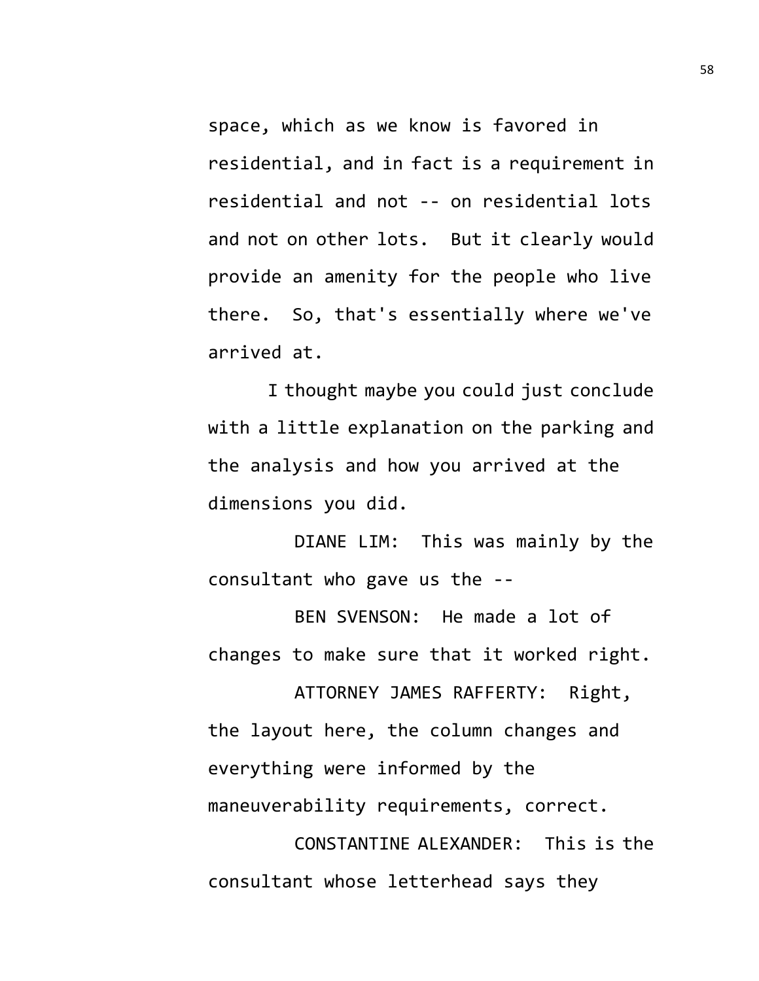space, which as we know is favored in residential, and in fact is a requirement in residential and not -- on residential lots and not on other lots. But it clearly would provide an amenity for the people who live there. So, that's essentially where we've arrived at.

I thought maybe you could just conclude with a little explanation on the parking and the analysis and how you arrived at the dimensions you did.

DIANE LIM: This was mainly by the consultant who gave us the --

BEN SVENSON: He made a lot of changes to make sure that it worked right.

ATTORNEY JAMES RAFFERTY: Right, the layout here, the column changes and everything were informed by the maneuverability requirements, correct.

CONSTANTINE ALEXANDER: This is the consultant whose letterhead says they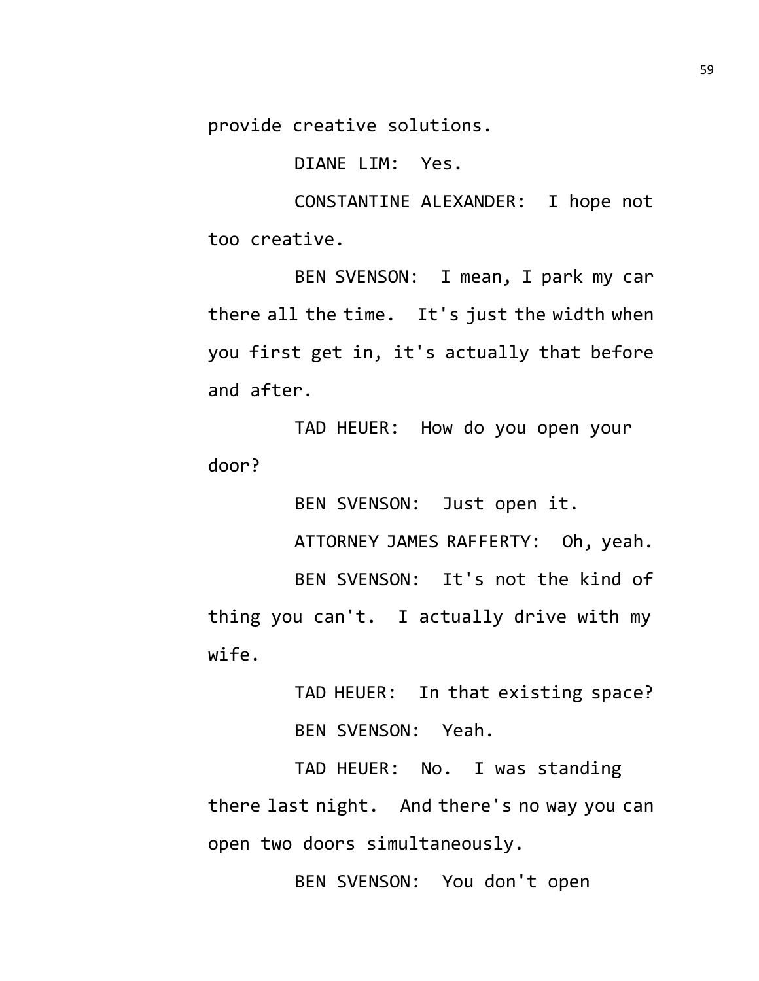provide creative solutions.

DIANE LIM: Yes.

CONSTANTINE ALEXANDER: I hope not too creative.

BEN SVENSON: I mean, I park my car there all the time. It's just the width when you first get in, it's actually that before and after.

TAD HEUER: How do you open your door?

BEN SVENSON: Just open it.

ATTORNEY JAMES RAFFERTY: Oh, yeah.

BEN SVENSON: It's not the kind of thing you can't. I actually drive with my wife.

> TAD HEUER: In that existing space? BEN SVENSON: Yeah.

TAD HEUER: No. I was standing there last night. And there's no way you can open two doors simultaneously.

BEN SVENSON: You don't open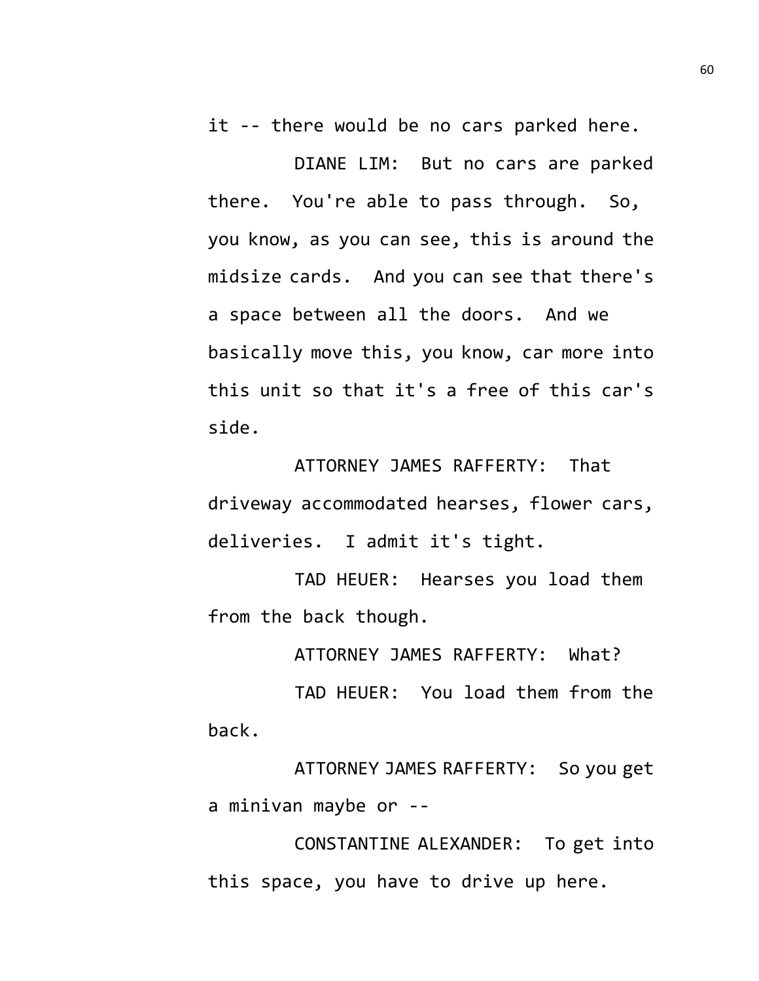it -- there would be no cars parked here.

DIANE LIM: But no cars are parked there. You're able to pass through. So, you know, as you can see, this is around the midsize cards. And you can see that there's a space between all the doors. And we basically move this, you know, car more into this unit so that it's a free of this car's side.

ATTORNEY JAMES RAFFERTY: That driveway accommodated hearses, flower cars, deliveries. I admit it's tight.

TAD HEUER: Hearses you load them from the back though.

ATTORNEY JAMES RAFFERTY: What?

TAD HEUER: You load them from the back.

ATTORNEY JAMES RAFFERTY: So you get a minivan maybe or --

CONSTANTINE ALEXANDER: To get into this space, you have to drive up here.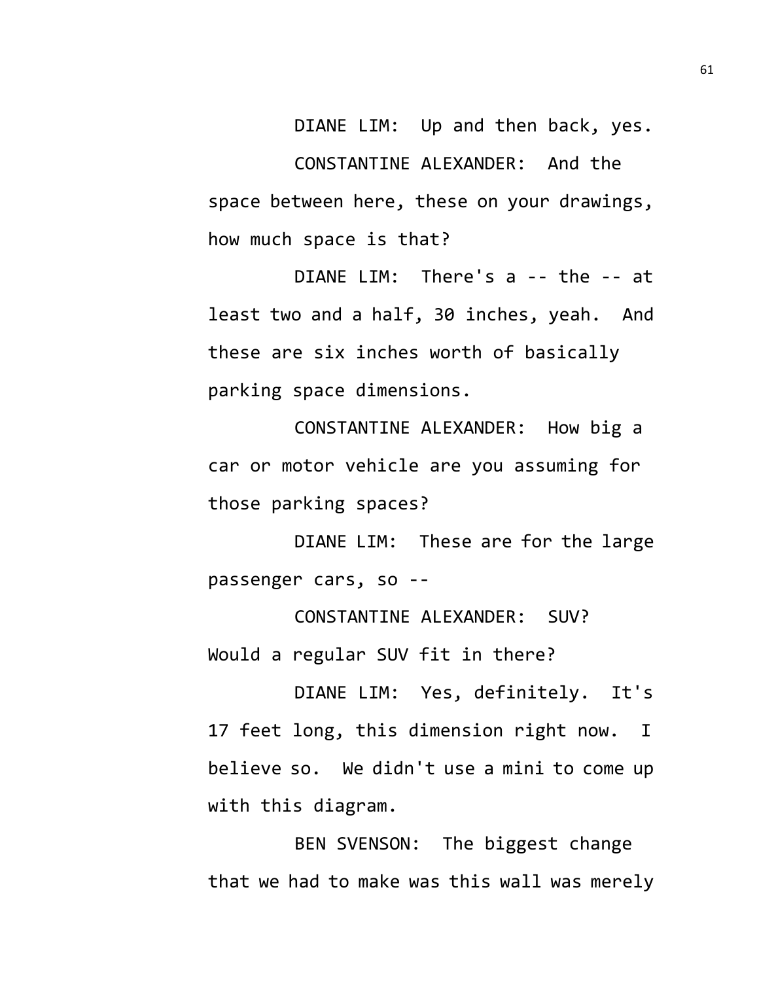DIANE LIM: Up and then back, yes. CONSTANTINE ALEXANDER: And the space between here, these on your drawings, how much space is that?

DIANE LIM: There's a -- the -- at least two and a half, 30 inches, yeah. And these are six inches worth of basically parking space dimensions.

CONSTANTINE ALEXANDER: How big a car or motor vehicle are you assuming for those parking spaces?

DIANE LIM: These are for the large passenger cars, so --

CONSTANTINE ALEXANDER: SUV? Would a regular SUV fit in there?

DIANE LIM: Yes, definitely. It's 17 feet long, this dimension right now. I believe so. We didn't use a mini to come up with this diagram.

BEN SVENSON: The biggest change that we had to make was this wall was merely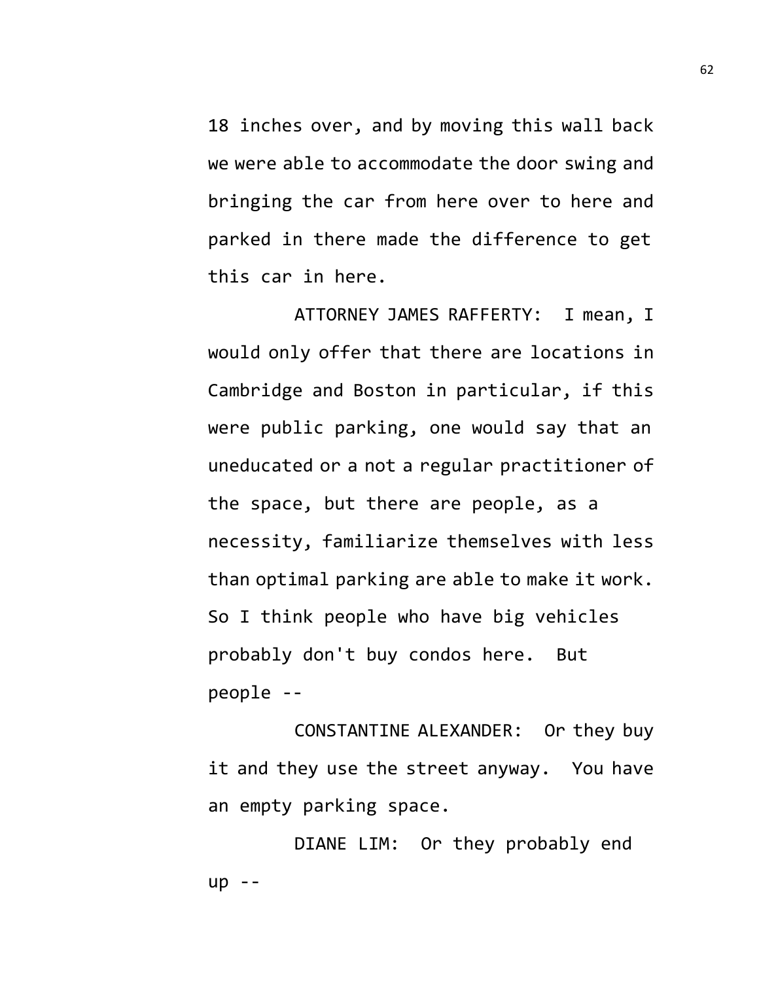18 inches over, and by moving this wall back we were able to accommodate the door swing and bringing the car from here over to here and parked in there made the difference to get this car in here.

ATTORNEY JAMES RAFFERTY: I mean, I would only offer that there are locations in Cambridge and Boston in particular, if this were public parking, one would say that an uneducated or a not a regular practitioner of the space, but there are people, as a necessity, familiarize themselves with less than optimal parking are able to make it work. So I think people who have big vehicles probably don't buy condos here. But people --

CONSTANTINE ALEXANDER: Or they buy it and they use the street anyway. You have an empty parking space.

DIANE LIM: Or they probably end up --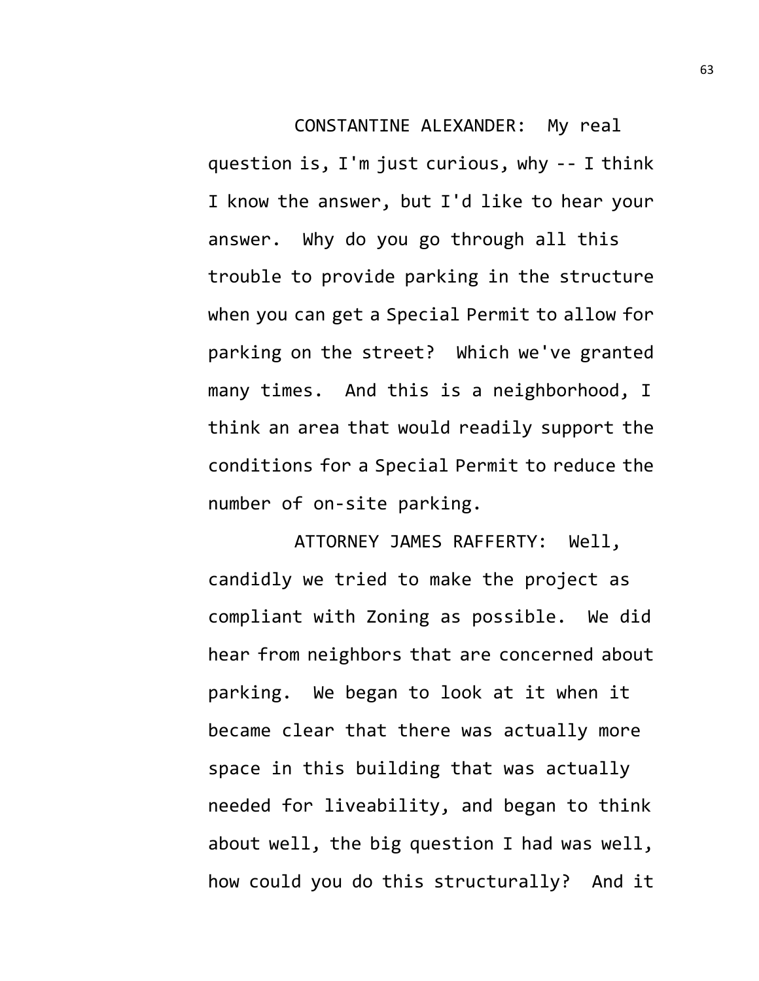CONSTANTINE ALEXANDER: My real question is, I'm just curious, why -- I think I know the answer, but I'd like to hear your answer. Why do you go through all this trouble to provide parking in the structure when you can get a Special Permit to allow for parking on the street? Which we've granted many times. And this is a neighborhood, I think an area that would readily support the conditions for a Special Permit to reduce the number of on-site parking.

ATTORNEY JAMES RAFFERTY: Well, candidly we tried to make the project as compliant with Zoning as possible. We did hear from neighbors that are concerned about parking. We began to look at it when it became clear that there was actually more space in this building that was actually needed for liveability, and began to think about well, the big question I had was well, how could you do this structurally? And it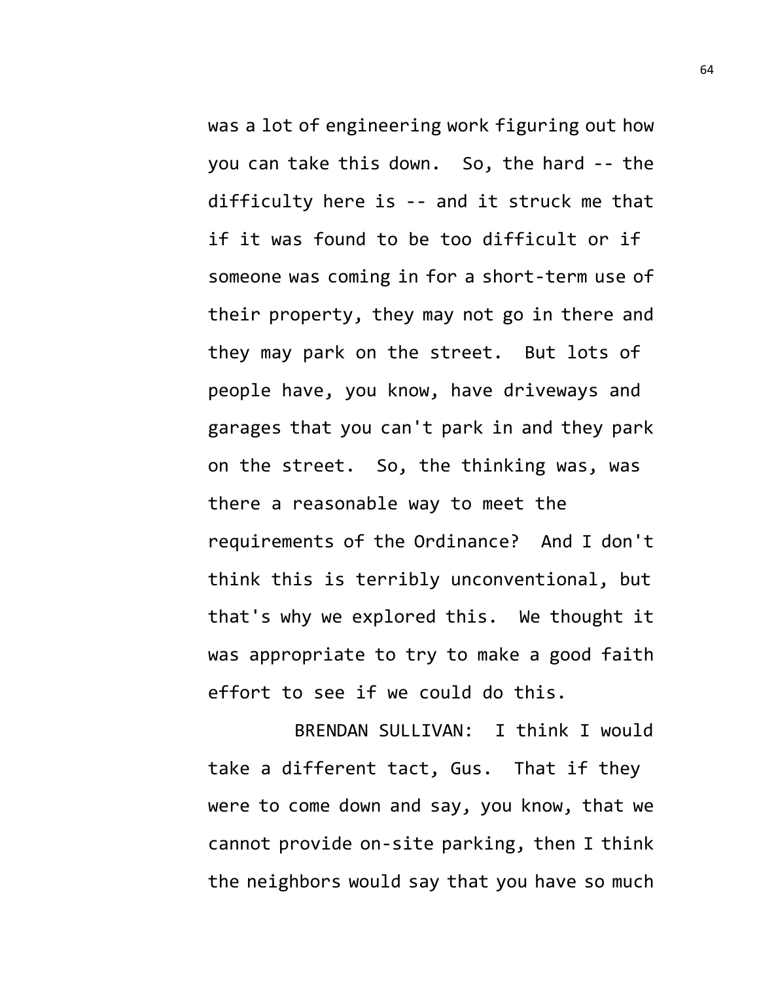was a lot of engineering work figuring out how you can take this down. So, the hard -- the difficulty here is -- and it struck me that if it was found to be too difficult or if someone was coming in for a short-term use of their property, they may not go in there and they may park on the street. But lots of people have, you know, have driveways and garages that you can't park in and they park on the street. So, the thinking was, was there a reasonable way to meet the requirements of the Ordinance? And I don't think this is terribly unconventional, but that's why we explored this. We thought it was appropriate to try to make a good faith effort to see if we could do this.

BRENDAN SULLIVAN: I think I would take a different tact, Gus. That if they were to come down and say, you know, that we cannot provide on-site parking, then I think the neighbors would say that you have so much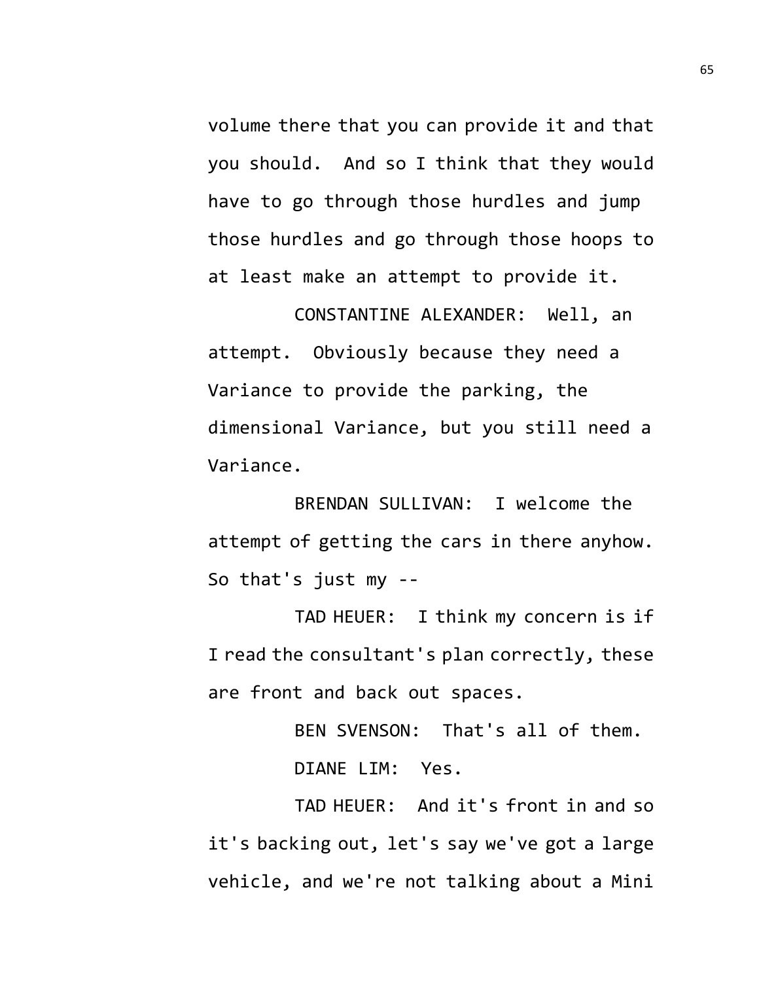volume there that you can provide it and that you should. And so I think that they would have to go through those hurdles and jump those hurdles and go through those hoops to at least make an attempt to provide it.

CONSTANTINE ALEXANDER: Well, an attempt. Obviously because they need a Variance to provide the parking, the dimensional Variance, but you still need a Variance.

BRENDAN SULLIVAN: I welcome the attempt of getting the cars in there anyhow. So that's just my --

TAD HEUER: I think my concern is if I read the consultant's plan correctly, these are front and back out spaces.

BEN SVENSON: That's all of them.

DIANE LIM: Yes.

TAD HEUER: And it's front in and so it's backing out, let's say we've got a large vehicle, and we're not talking about a Mini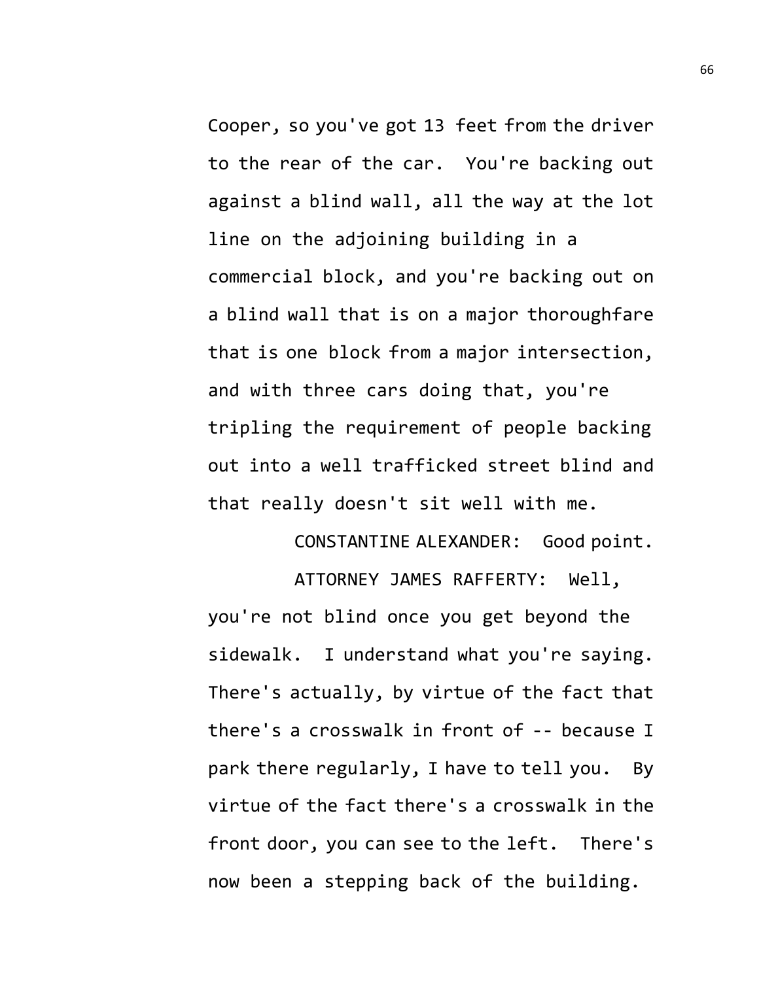Cooper, so you've got 13 feet from the driver to the rear of the car. You're backing out against a blind wall, all the way at the lot line on the adjoining building in a commercial block, and you're backing out on a blind wall that is on a major thoroughfare that is one block from a major intersection, and with three cars doing that, you're tripling the requirement of people backing out into a well trafficked street blind and that really doesn't sit well with me.

CONSTANTINE ALEXANDER: Good point.

ATTORNEY JAMES RAFFERTY: Well, you're not blind once you get beyond the sidewalk. I understand what you're saying. There's actually, by virtue of the fact that there's a crosswalk in front of -- because I park there regularly, I have to tell you. By virtue of the fact there's a crosswalk in the front door, you can see to the left. There's now been a stepping back of the building.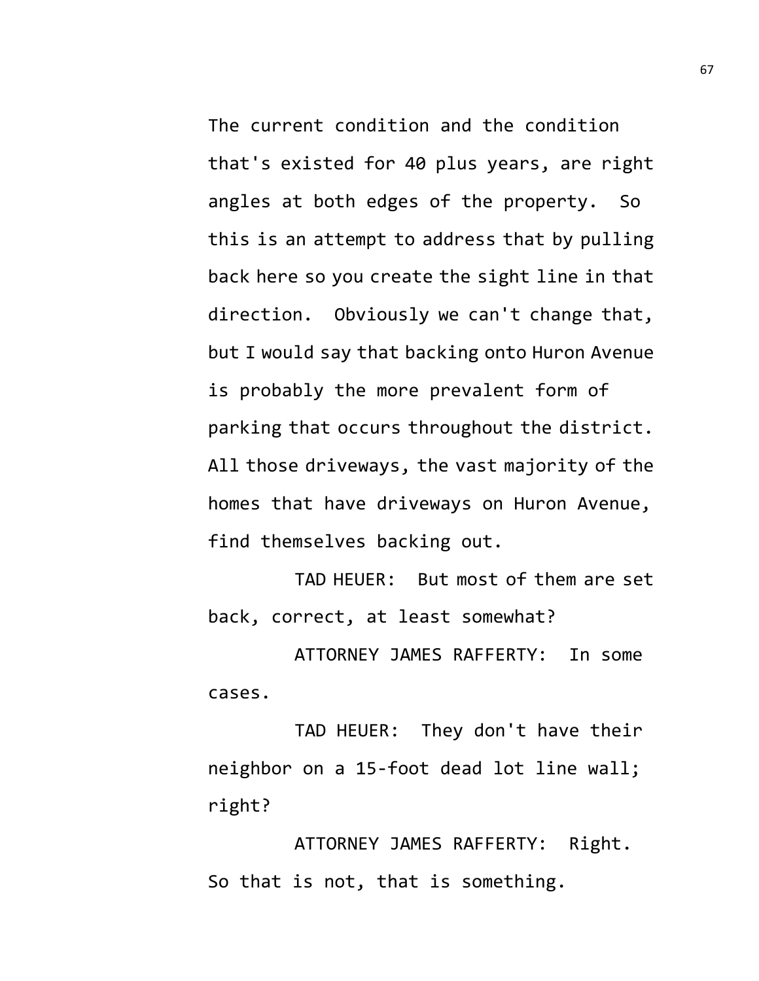The current condition and the condition that's existed for 40 plus years, are right angles at both edges of the property. So this is an attempt to address that by pulling back here so you create the sight line in that direction. Obviously we can't change that, but I would say that backing onto Huron Avenue is probably the more prevalent form of parking that occurs throughout the district. All those driveways, the vast majority of the homes that have driveways on Huron Avenue, find themselves backing out.

TAD HEUER: But most of them are set back, correct, at least somewhat?

ATTORNEY JAMES RAFFERTY: In some cases.

TAD HEUER: They don't have their neighbor on a 15-foot dead lot line wall; right?

ATTORNEY JAMES RAFFERTY: Right. So that is not, that is something.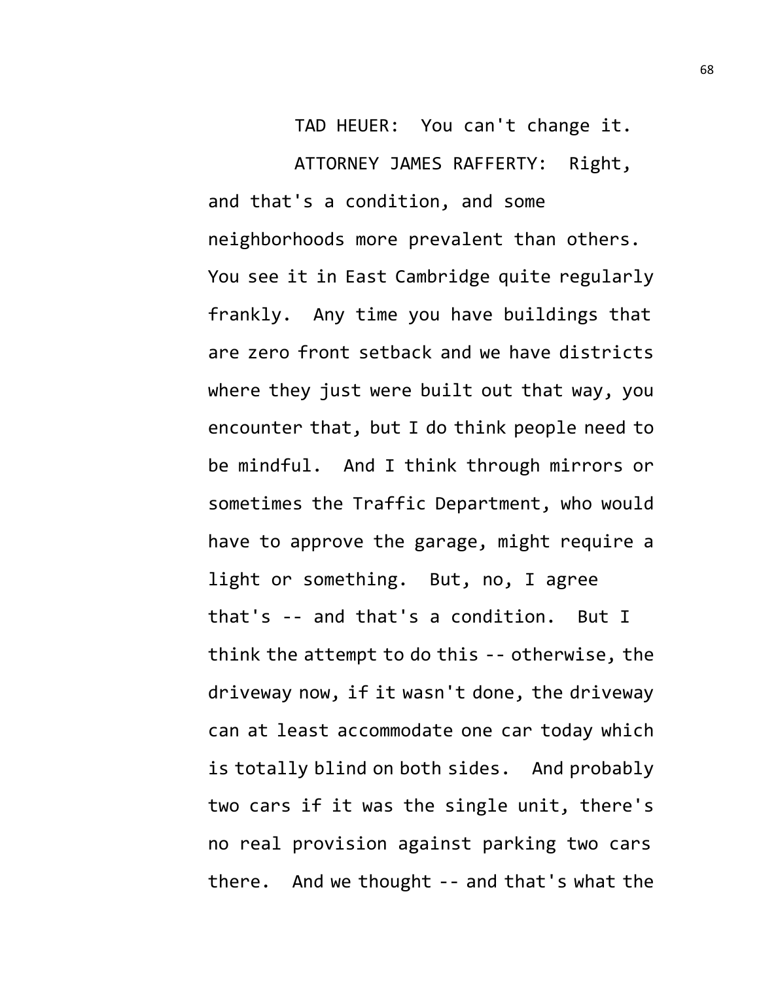TAD HEUER: You can't change it. ATTORNEY JAMES RAFFERTY: Right, and that's a condition, and some neighborhoods more prevalent than others. You see it in East Cambridge quite regularly frankly. Any time you have buildings that are zero front setback and we have districts where they just were built out that way, you encounter that, but I do think people need to be mindful. And I think through mirrors or sometimes the Traffic Department, who would have to approve the garage, might require a light or something. But, no, I agree that's -- and that's a condition. But I think the attempt to do this -- otherwise, the driveway now, if it wasn't done, the driveway can at least accommodate one car today which is totally blind on both sides. And probably two cars if it was the single unit, there's no real provision against parking two cars there. And we thought -- and that's what the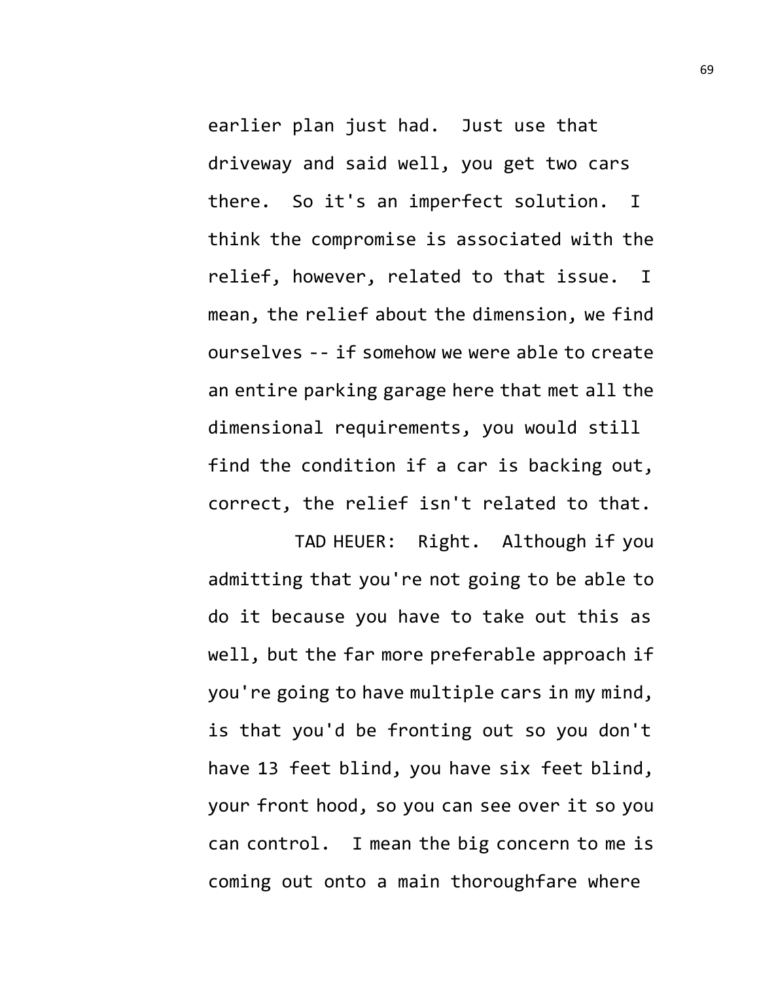earlier plan just had. Just use that driveway and said well, you get two cars there. So it's an imperfect solution. I think the compromise is associated with the relief, however, related to that issue. I mean, the relief about the dimension, we find ourselves -- if somehow we were able to create an entire parking garage here that met all the dimensional requirements, you would still find the condition if a car is backing out, correct, the relief isn't related to that.

TAD HEUER: Right. Although if you admitting that you're not going to be able to do it because you have to take out this as well, but the far more preferable approach if you're going to have multiple cars in my mind, is that you'd be fronting out so you don't have 13 feet blind, you have six feet blind, your front hood, so you can see over it so you can control. I mean the big concern to me is coming out onto a main thoroughfare where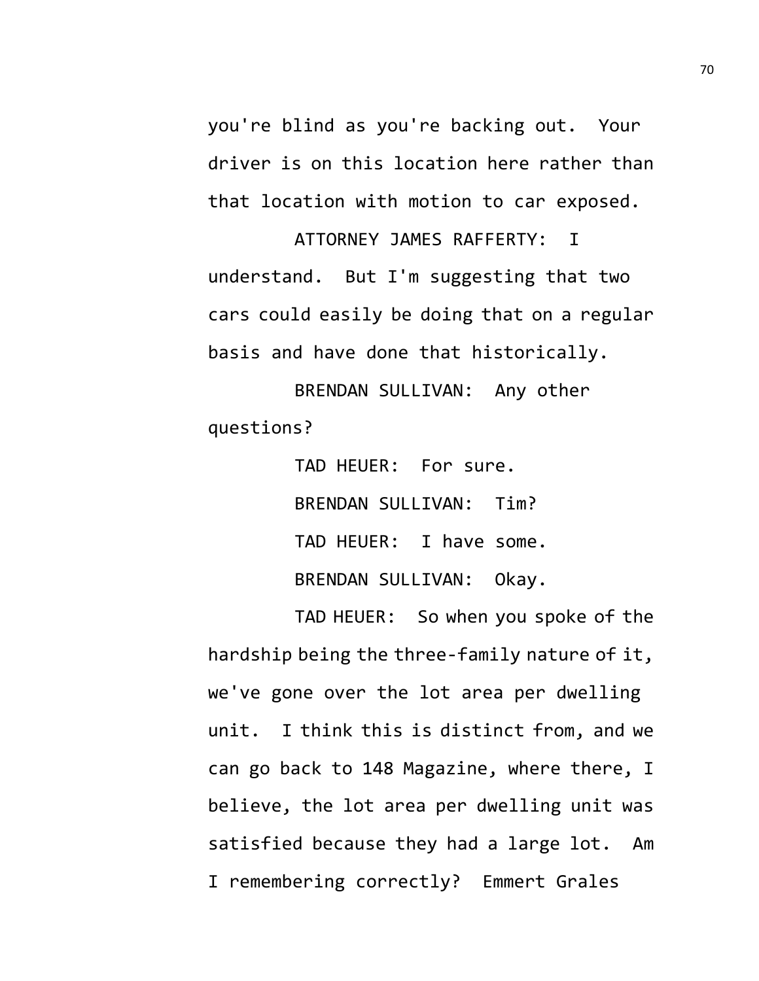you're blind as you're backing out. Your driver is on this location here rather than that location with motion to car exposed.

ATTORNEY JAMES RAFFERTY: I understand. But I'm suggesting that two cars could easily be doing that on a regular basis and have done that historically.

BRENDAN SULLIVAN: Any other questions?

> TAD HEUER: For sure. BRENDAN SULLIVAN: Tim? TAD HEUER: I have some. BRENDAN SULLIVAN: Okay.

TAD HEUER: So when you spoke of the hardship being the three-family nature of it, we've gone over the lot area per dwelling unit. I think this is distinct from, and we can go back to 148 Magazine, where there, I believe, the lot area per dwelling unit was satisfied because they had a large lot. Am I remembering correctly? Emmert Grales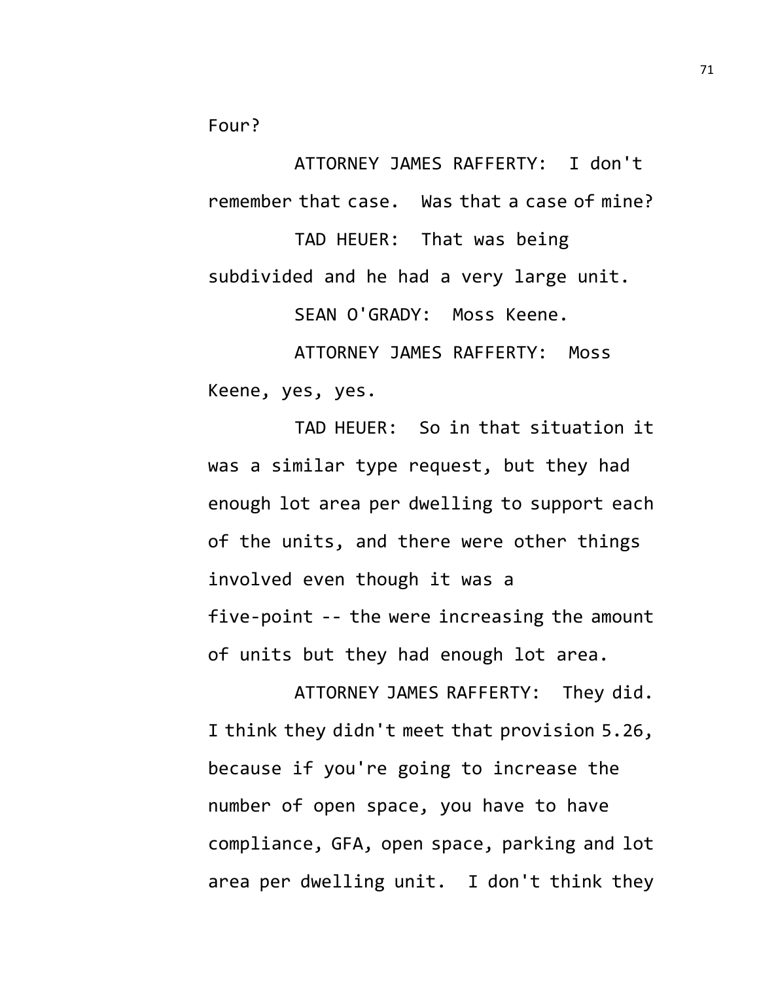Four?

ATTORNEY JAMES RAFFERTY: I don't remember that case. Was that a case of mine?

TAD HEUER: That was being subdivided and he had a very large unit.

SEAN O'GRADY: Moss Keene.

ATTORNEY JAMES RAFFERTY: Moss Keene, yes, yes.

TAD HEUER: So in that situation it was a similar type request, but they had enough lot area per dwelling to support each of the units, and there were other things involved even though it was a five-point -- the were increasing the amount of units but they had enough lot area.

ATTORNEY JAMES RAFFERTY: They did. I think they didn't meet that provision 5.26, because if you're going to increase the number of open space, you have to have compliance, GFA, open space, parking and lot area per dwelling unit. I don't think they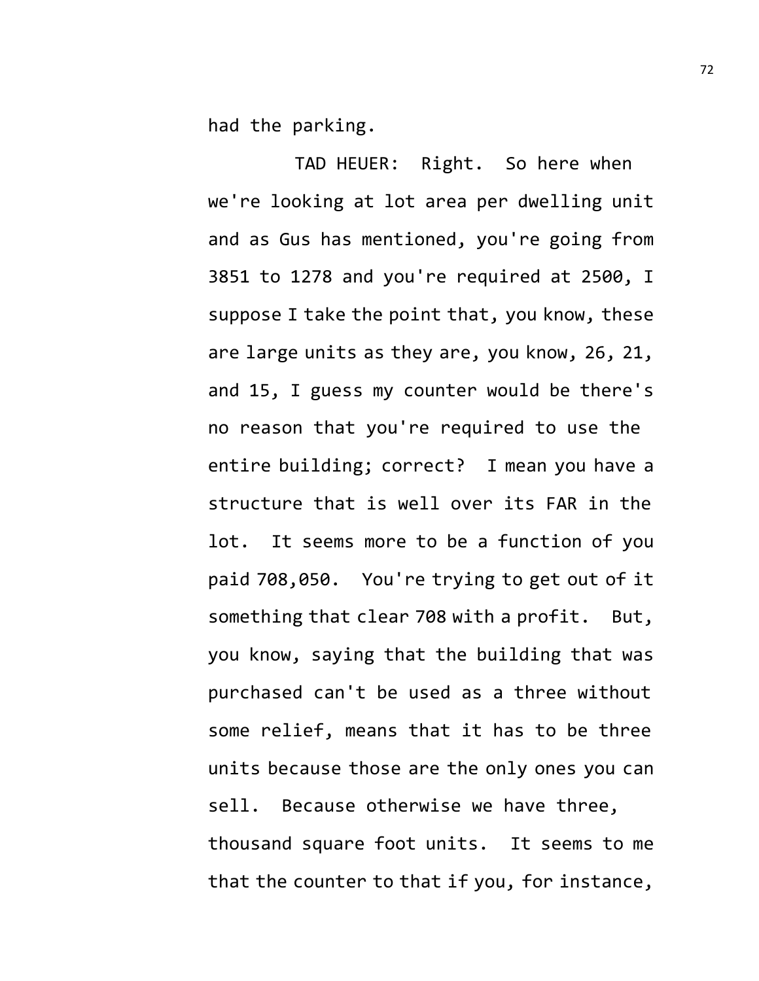had the parking.

TAD HEUER: Right. So here when we're looking at lot area per dwelling unit and as Gus has mentioned, you're going from 3851 to 1278 and you're required at 2500, I suppose I take the point that, you know, these are large units as they are, you know, 26, 21, and 15, I guess my counter would be there's no reason that you're required to use the entire building; correct? I mean you have a structure that is well over its FAR in the lot. It seems more to be a function of you paid 708,050. You're trying to get out of it something that clear 708 with a profit. But, you know, saying that the building that was purchased can't be used as a three without some relief, means that it has to be three units because those are the only ones you can sell. Because otherwise we have three, thousand square foot units. It seems to me that the counter to that if you, for instance,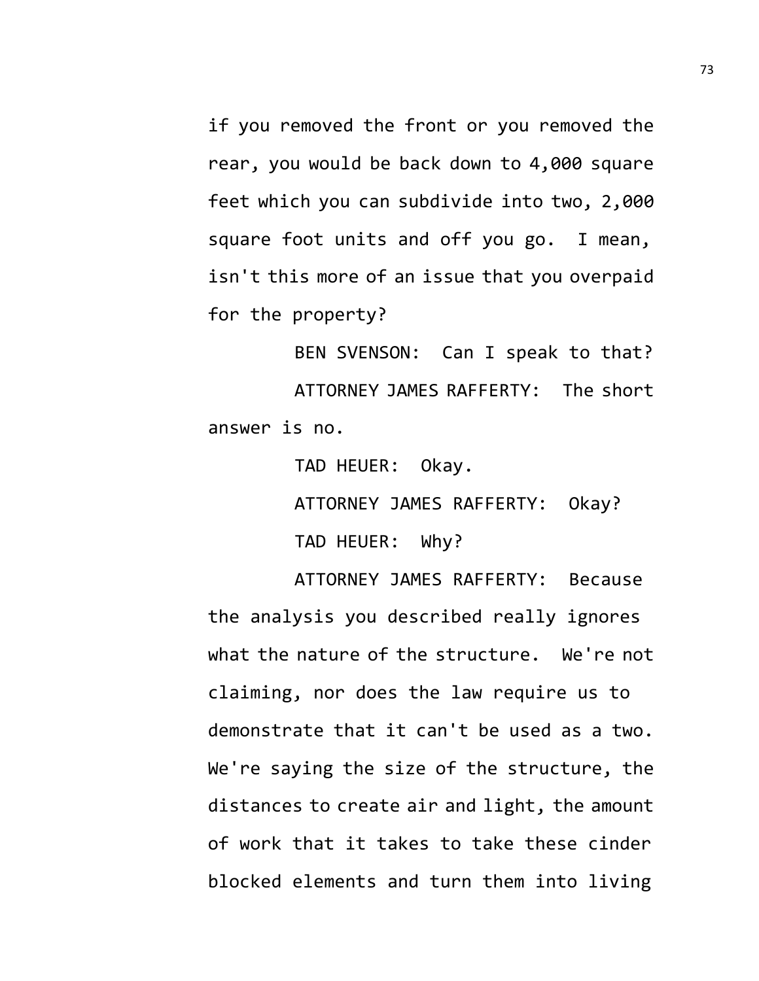if you removed the front or you removed the rear, you would be back down to 4,000 square feet which you can subdivide into two, 2,000 square foot units and off you go. I mean, isn't this more of an issue that you overpaid for the property?

BEN SVENSON: Can I speak to that? ATTORNEY JAMES RAFFERTY: The short answer is no.

TAD HEUER: Okay.

ATTORNEY JAMES RAFFERTY: Okay?

TAD HEUER: Why?

ATTORNEY JAMES RAFFERTY: Because the analysis you described really ignores what the nature of the structure. We're not claiming, nor does the law require us to demonstrate that it can't be used as a two. We're saying the size of the structure, the distances to create air and light, the amount of work that it takes to take these cinder blocked elements and turn them into living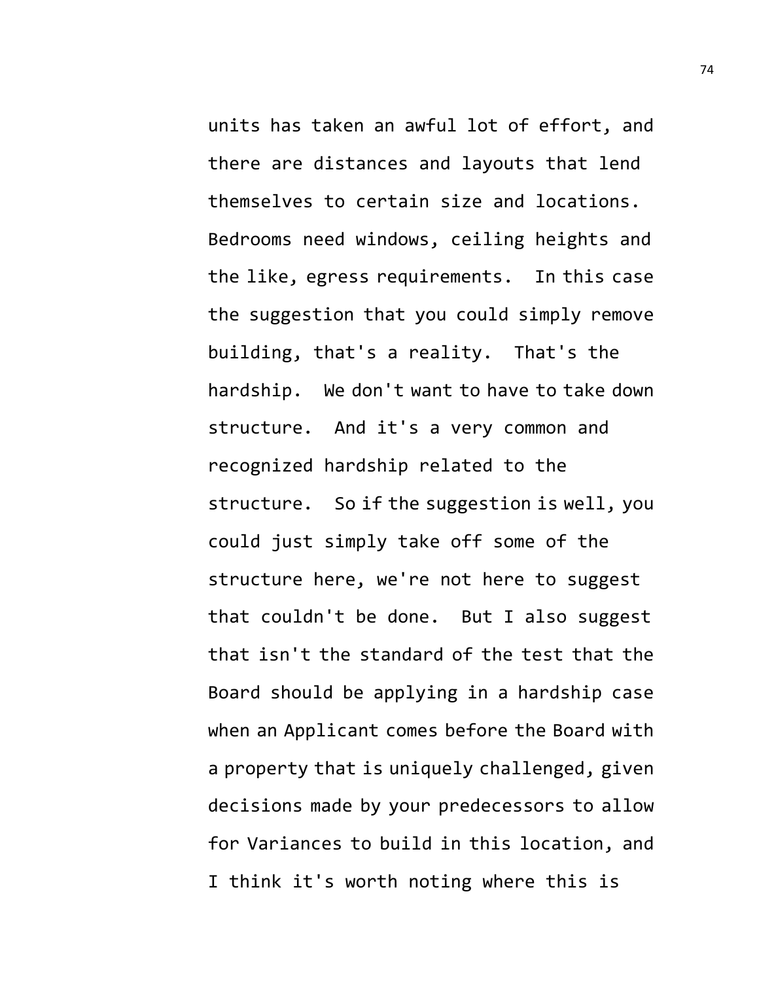units has taken an awful lot of effort, and there are distances and layouts that lend themselves to certain size and locations. Bedrooms need windows, ceiling heights and the like, egress requirements. In this case the suggestion that you could simply remove building, that's a reality. That's the hardship. We don't want to have to take down structure. And it's a very common and recognized hardship related to the structure. So if the suggestion is well, you could just simply take off some of the structure here, we're not here to suggest that couldn't be done. But I also suggest that isn't the standard of the test that the Board should be applying in a hardship case when an Applicant comes before the Board with a property that is uniquely challenged, given decisions made by your predecessors to allow for Variances to build in this location, and I think it's worth noting where this is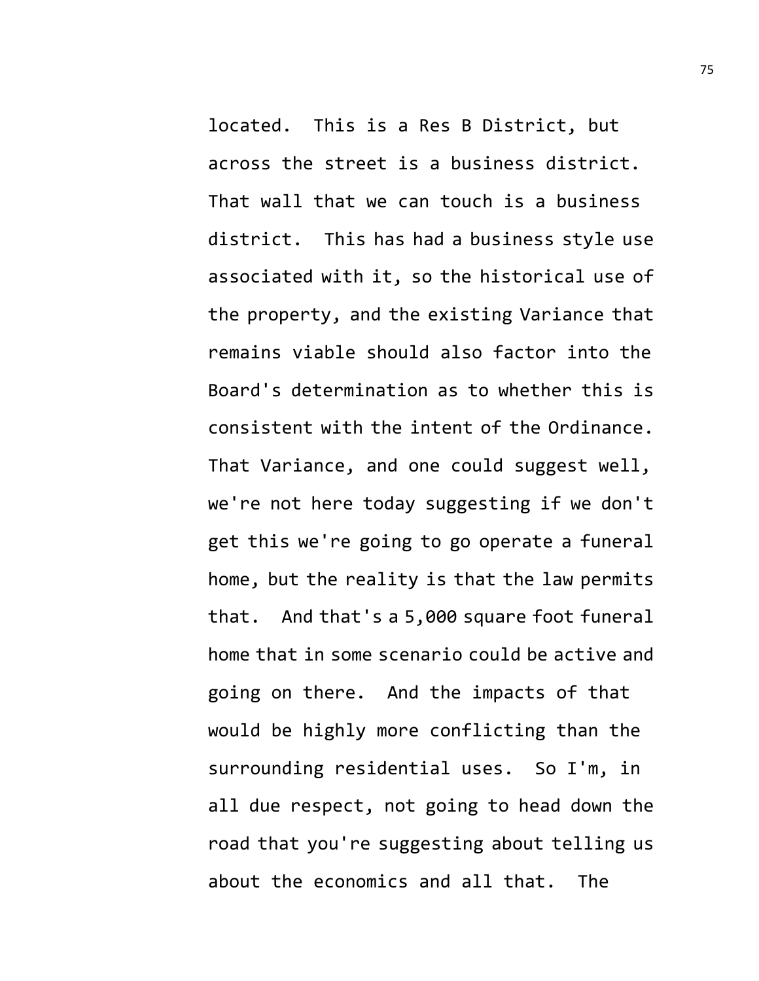located. This is a Res B District, but across the street is a business district. That wall that we can touch is a business district. This has had a business style use associated with it, so the historical use of the property, and the existing Variance that remains viable should also factor into the Board's determination as to whether this is consistent with the intent of the Ordinance. That Variance, and one could suggest well, we're not here today suggesting if we don't get this we're going to go operate a funeral home, but the reality is that the law permits that. And that's a 5,000 square foot funeral home that in some scenario could be active and going on there. And the impacts of that would be highly more conflicting than the surrounding residential uses. So I'm, in all due respect, not going to head down the road that you're suggesting about telling us about the economics and all that. The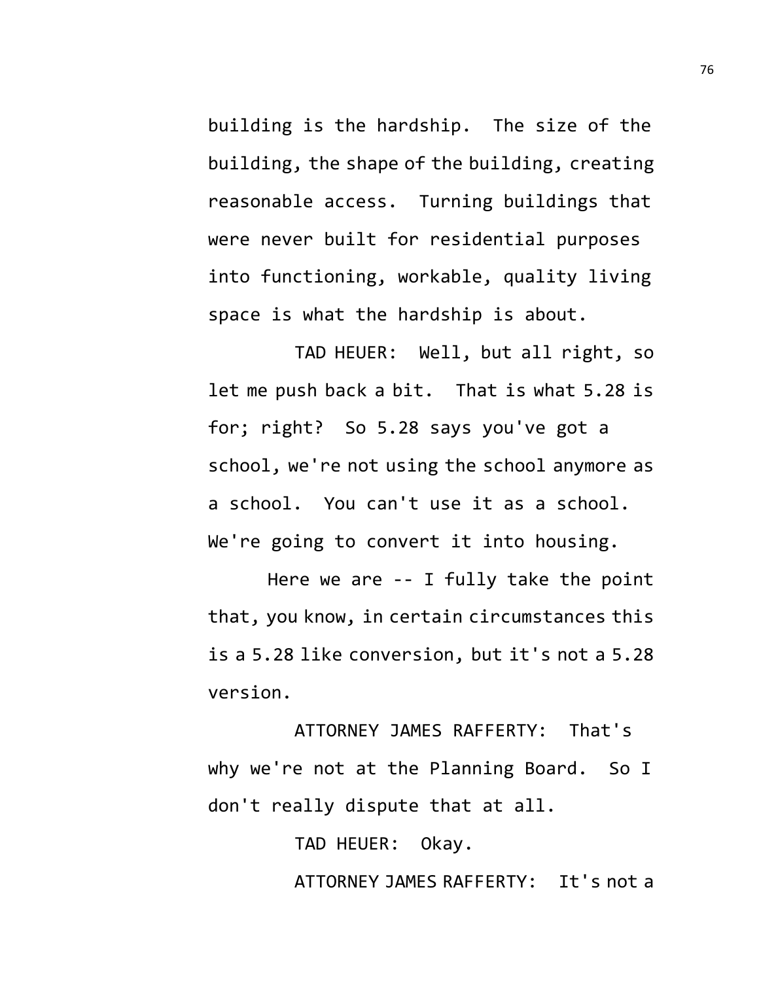building is the hardship. The size of the building, the shape of the building, creating reasonable access. Turning buildings that were never built for residential purposes into functioning, workable, quality living space is what the hardship is about.

TAD HEUER: Well, but all right, so let me push back a bit. That is what 5.28 is for; right? So 5.28 says you've got a school, we're not using the school anymore as a school. You can't use it as a school. We're going to convert it into housing.

Here we are -- I fully take the point that, you know, in certain circumstances this is a 5.28 like conversion, but it's not a 5.28 version.

ATTORNEY JAMES RAFFERTY: That's why we're not at the Planning Board. So I don't really dispute that at all.

TAD HEUER: Okay.

ATTORNEY JAMES RAFFERTY: It's not a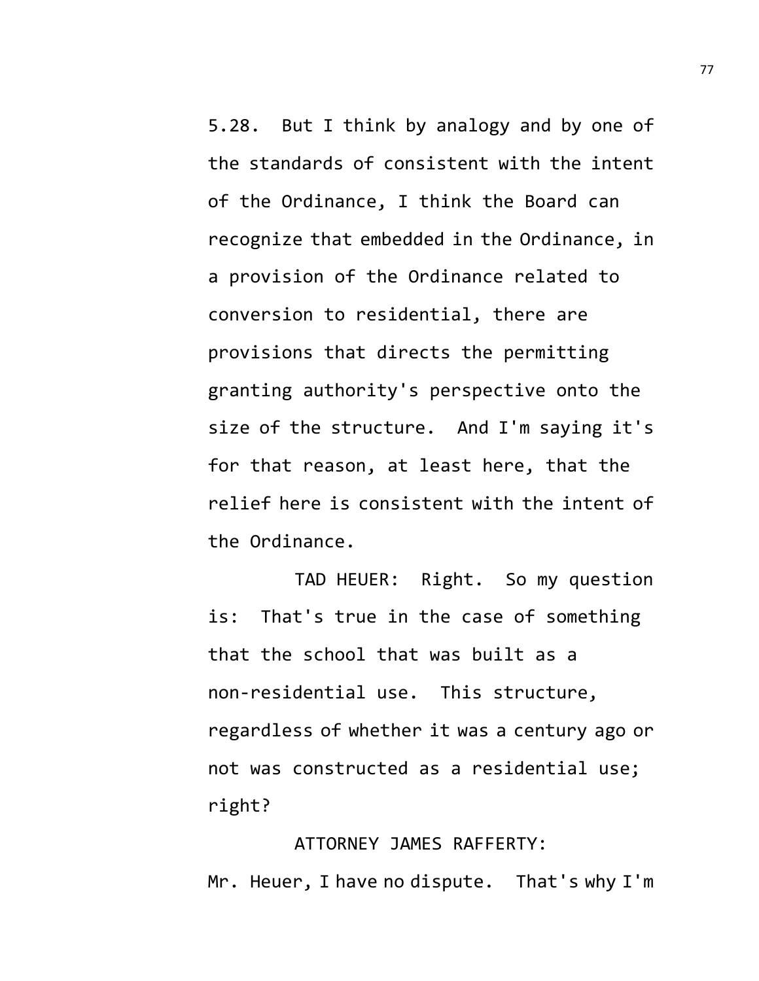5.28. But I think by analogy and by one of the standards of consistent with the intent of the Ordinance, I think the Board can recognize that embedded in the Ordinance, in a provision of the Ordinance related to conversion to residential, there are provisions that directs the permitting granting authority's perspective onto the size of the structure. And I'm saying it's for that reason, at least here, that the relief here is consistent with the intent of the Ordinance.

TAD HEUER: Right. So my question is: That's true in the case of something that the school that was built as a non-residential use. This structure, regardless of whether it was a century ago or not was constructed as a residential use; right?

ATTORNEY JAMES RAFFERTY: Mr. Heuer, I have no dispute. That's why I'm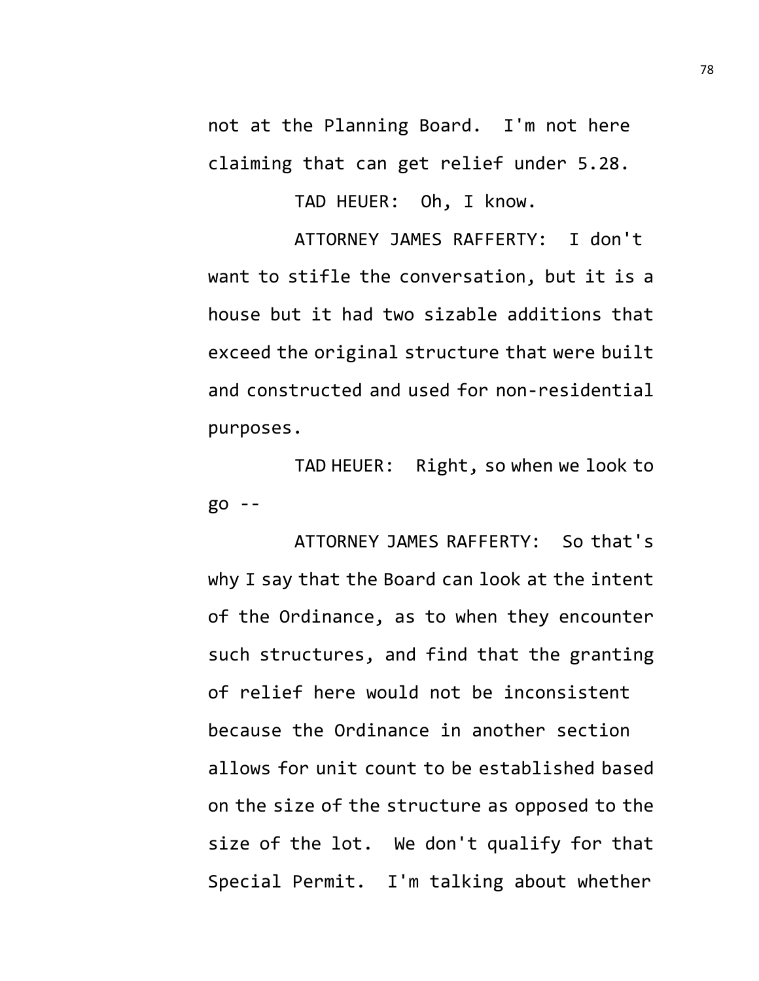not at the Planning Board. I'm not here claiming that can get relief under 5.28.

TAD HEUER: Oh, I know.

ATTORNEY JAMES RAFFERTY: I don't want to stifle the conversation, but it is a house but it had two sizable additions that exceed the original structure that were built and constructed and used for non-residential purposes.

TAD HEUER: Right, so when we look to go --

ATTORNEY JAMES RAFFERTY: So that's why I say that the Board can look at the intent of the Ordinance, as to when they encounter such structures, and find that the granting of relief here would not be inconsistent because the Ordinance in another section allows for unit count to be established based on the size of the structure as opposed to the size of the lot. We don't qualify for that Special Permit. I'm talking about whether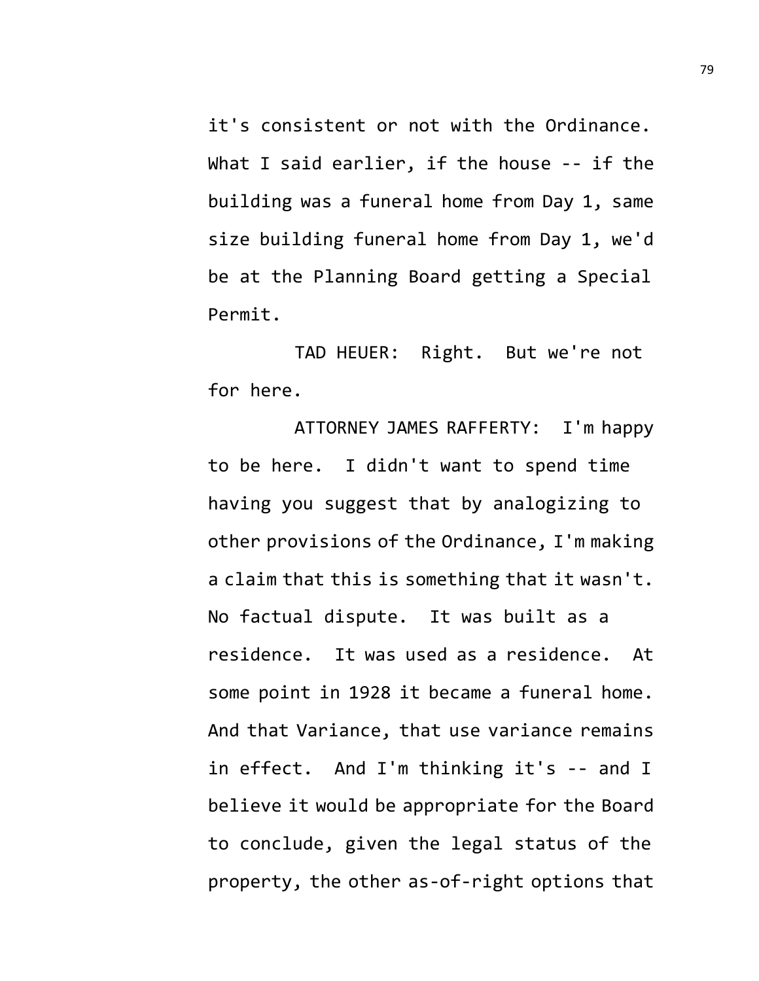it's consistent or not with the Ordinance. What I said earlier, if the house -- if the building was a funeral home from Day 1, same size building funeral home from Day 1, we'd be at the Planning Board getting a Special Permit.

TAD HEUER: Right. But we're not for here.

ATTORNEY JAMES RAFFERTY: I'm happy to be here. I didn't want to spend time having you suggest that by analogizing to other provisions of the Ordinance, I'm making a claim that this is something that it wasn't. No factual dispute. It was built as a residence. It was used as a residence. At some point in 1928 it became a funeral home. And that Variance, that use variance remains in effect. And I'm thinking it's -- and I believe it would be appropriate for the Board to conclude, given the legal status of the property, the other as-of-right options that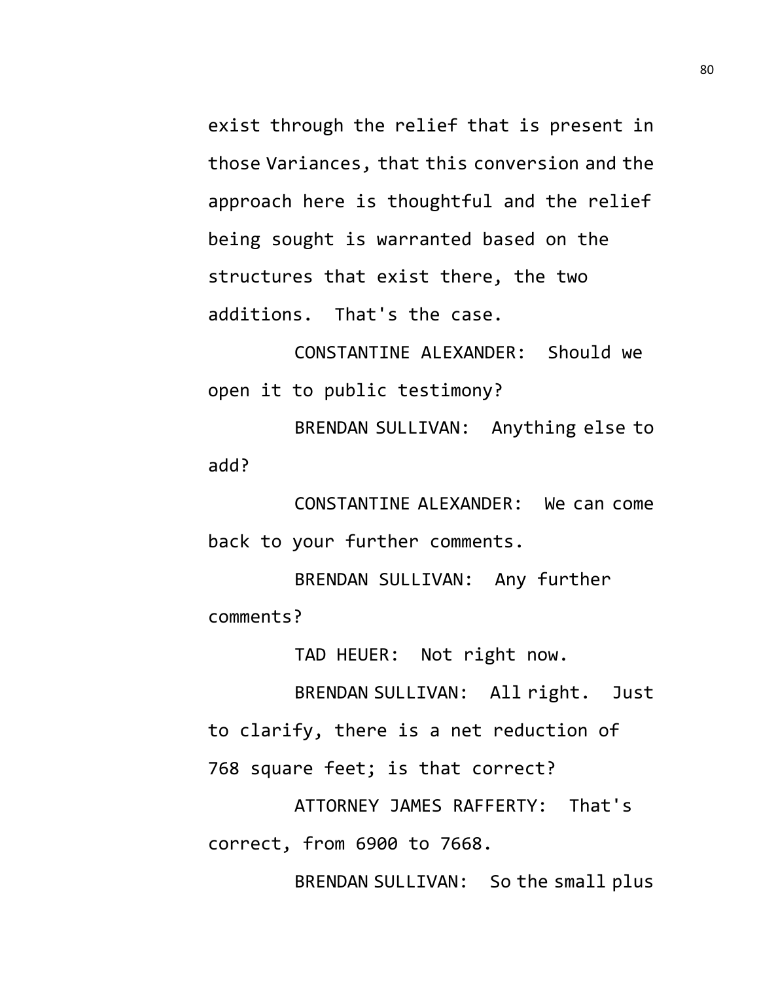exist through the relief that is present in those Variances, that this conversion and the approach here is thoughtful and the relief being sought is warranted based on the structures that exist there, the two additions. That's the case.

CONSTANTINE ALEXANDER: Should we open it to public testimony?

BRENDAN SULLIVAN: Anything else to add?

CONSTANTINE ALEXANDER: We can come back to your further comments.

BRENDAN SULLIVAN: Any further comments?

TAD HEUER: Not right now.

BRENDAN SULLIVAN: All right. Just

to clarify, there is a net reduction of

768 square feet; is that correct?

ATTORNEY JAMES RAFFERTY: That's correct, from 6900 to 7668.

BRENDAN SULLIVAN: So the small plus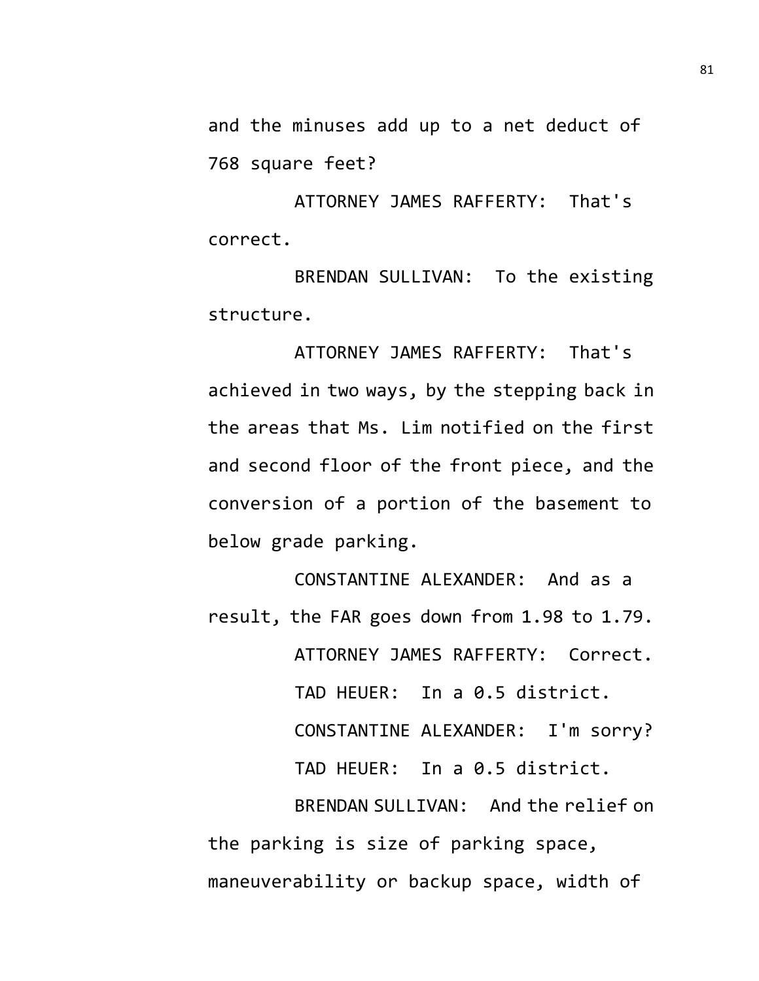and the minuses add up to a net deduct of 768 square feet?

ATTORNEY JAMES RAFFERTY: That's correct.

BRENDAN SULLIVAN: To the existing structure.

ATTORNEY JAMES RAFFERTY: That's achieved in two ways, by the stepping back in the areas that Ms. Lim notified on the first and second floor of the front piece, and the conversion of a portion of the basement to below grade parking.

CONSTANTINE ALEXANDER: And as a result, the FAR goes down from 1.98 to 1.79. ATTORNEY JAMES RAFFERTY: Correct. TAD HEUER: In a 0.5 district. CONSTANTINE ALEXANDER: I'm sorry? TAD HEUER: In a 0.5 district. BRENDAN SULLIVAN: And the relief on the parking is size of parking space, maneuverability or backup space, width of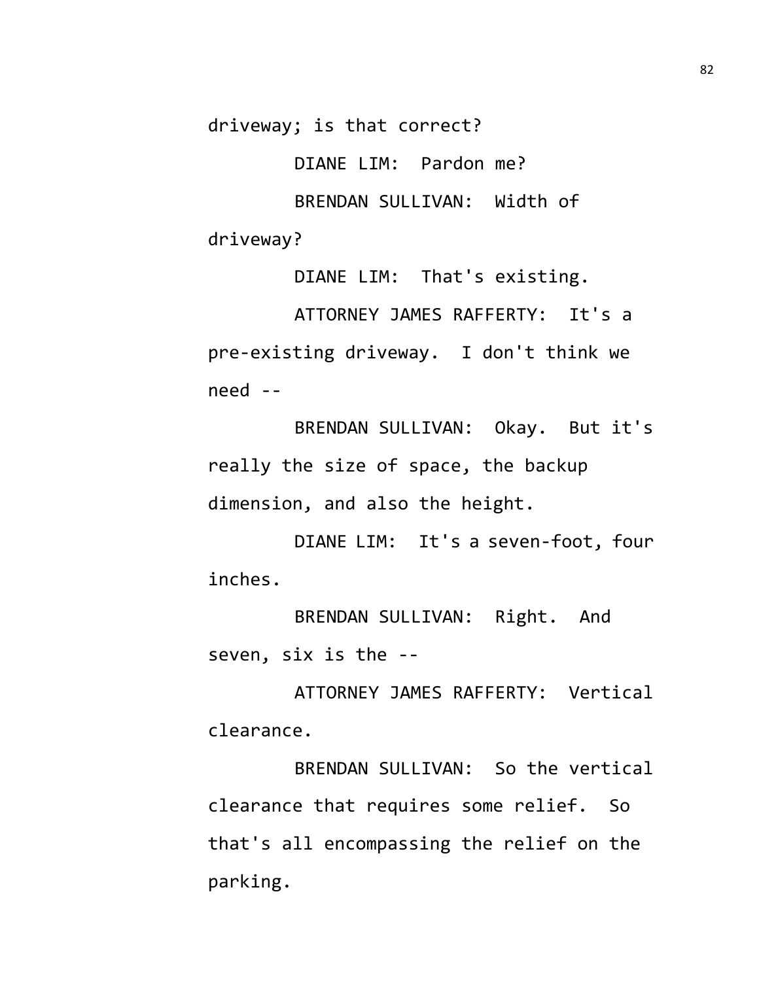driveway; is that correct?

DIANE LIM: Pardon me?

BRENDAN SULLIVAN: Width of driveway?

DIANE LIM: That's existing. ATTORNEY JAMES RAFFERTY: It's a pre-existing driveway. I don't think we need --

BRENDAN SULLIVAN: Okay. But it's really the size of space, the backup dimension, and also the height.

DIANE LIM: It's a seven-foot, four inches.

BRENDAN SULLIVAN: Right. And seven, six is the --

ATTORNEY JAMES RAFFERTY: Vertical clearance.

BRENDAN SULLIVAN: So the vertical clearance that requires some relief. So that's all encompassing the relief on the parking.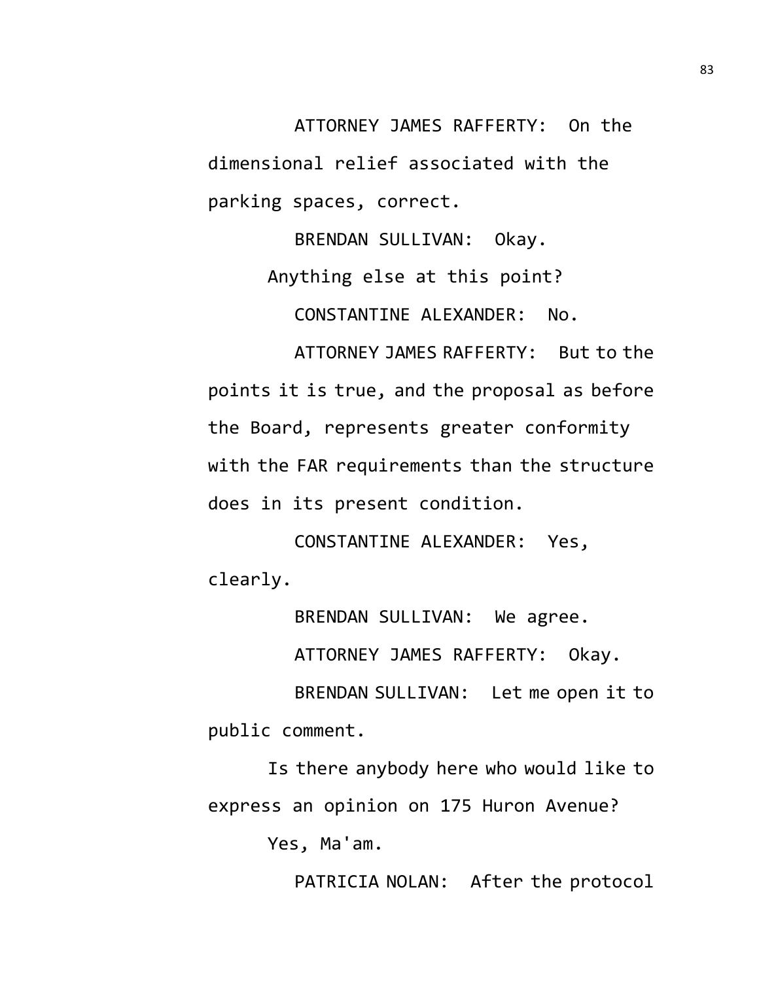ATTORNEY JAMES RAFFERTY: On the dimensional relief associated with the parking spaces, correct.

> BRENDAN SULLIVAN: Okay. Anything else at this point? CONSTANTINE ALEXANDER: No.

ATTORNEY JAMES RAFFERTY: But to the points it is true, and the proposal as before the Board, represents greater conformity with the FAR requirements than the structure does in its present condition.

CONSTANTINE ALEXANDER: Yes, clearly.

BRENDAN SULLIVAN: We agree.

ATTORNEY JAMES RAFFERTY: Okay.

BRENDAN SULLIVAN: Let me open it to public comment.

Is there anybody here who would like to express an opinion on 175 Huron Avenue?

Yes, Ma'am.

PATRICIA NOLAN: After the protocol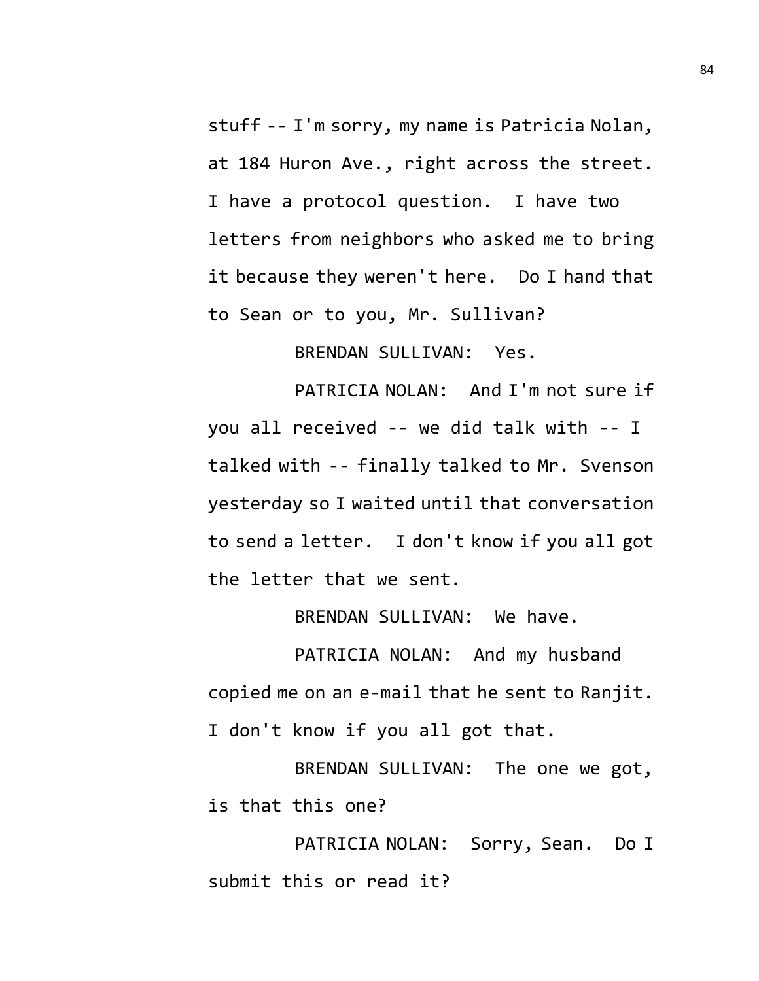stuff -- I'm sorry, my name is Patricia Nolan, at 184 Huron Ave., right across the street. I have a protocol question. I have two letters from neighbors who asked me to bring it because they weren't here. Do I hand that to Sean or to you, Mr. Sullivan?

BRENDAN SULLIVAN: Yes.

PATRICIA NOLAN: And I'm not sure if you all received -- we did talk with -- I talked with -- finally talked to Mr. Svenson yesterday so I waited until that conversation to send a letter. I don't know if you all got the letter that we sent.

BRENDAN SULLIVAN: We have.

PATRICIA NOLAN: And my husband copied me on an e-mail that he sent to Ranjit. I don't know if you all got that.

BRENDAN SULLIVAN: The one we got, is that this one?

PATRICIA NOLAN: Sorry, Sean. Do I submit this or read it?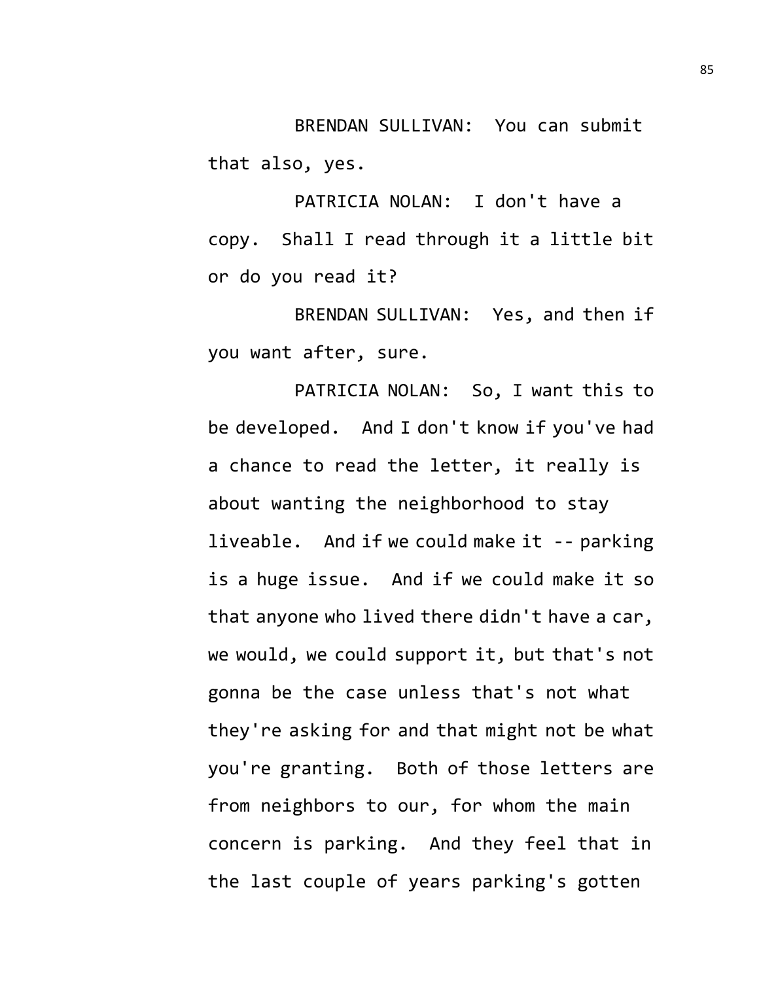BRENDAN SULLIVAN: You can submit that also, yes.

PATRICIA NOLAN: I don't have a copy. Shall I read through it a little bit or do you read it?

BRENDAN SULLIVAN: Yes, and then if you want after, sure.

PATRICIA NOLAN: So, I want this to be developed. And I don't know if you've had a chance to read the letter, it really is about wanting the neighborhood to stay liveable. And if we could make it -- parking is a huge issue. And if we could make it so that anyone who lived there didn't have a car, we would, we could support it, but that's not gonna be the case unless that's not what they're asking for and that might not be what you're granting. Both of those letters are from neighbors to our, for whom the main concern is parking. And they feel that in the last couple of years parking's gotten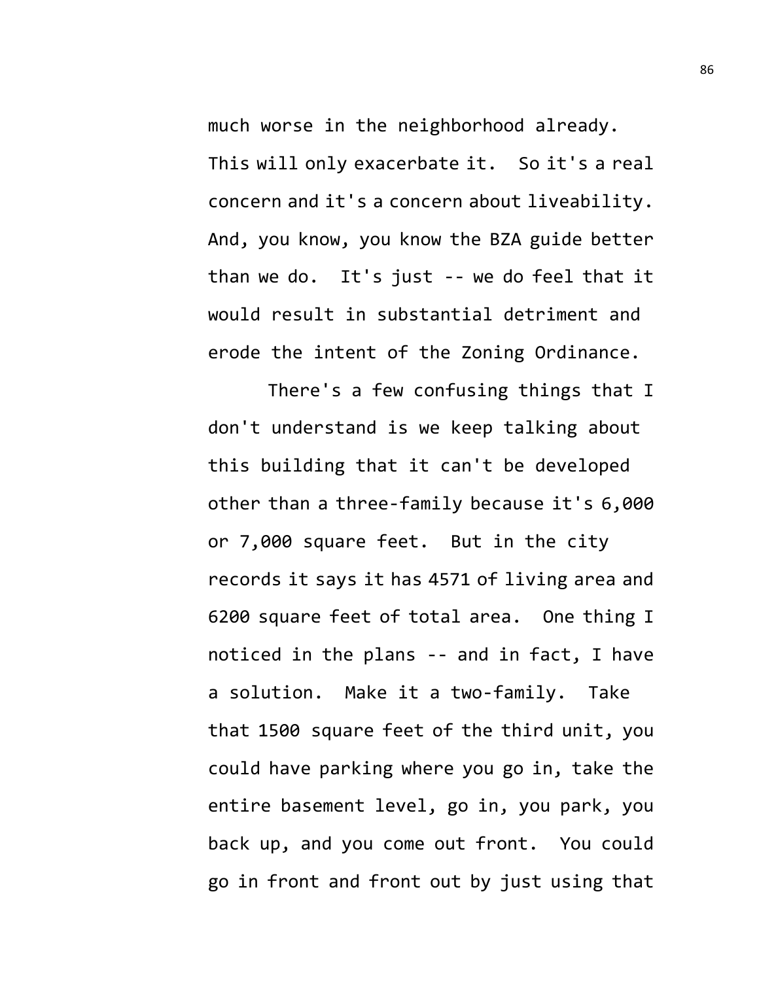much worse in the neighborhood already. This will only exacerbate it. So it's a real concern and it's a concern about liveability. And, you know, you know the BZA guide better than we do. It's just -- we do feel that it would result in substantial detriment and erode the intent of the Zoning Ordinance.

There's a few confusing things that I don't understand is we keep talking about this building that it can't be developed other than a three-family because it's 6,000 or 7,000 square feet. But in the city records it says it has 4571 of living area and 6200 square feet of total area. One thing I noticed in the plans -- and in fact, I have a solution. Make it a two-family. Take that 1500 square feet of the third unit, you could have parking where you go in, take the entire basement level, go in, you park, you back up, and you come out front. You could go in front and front out by just using that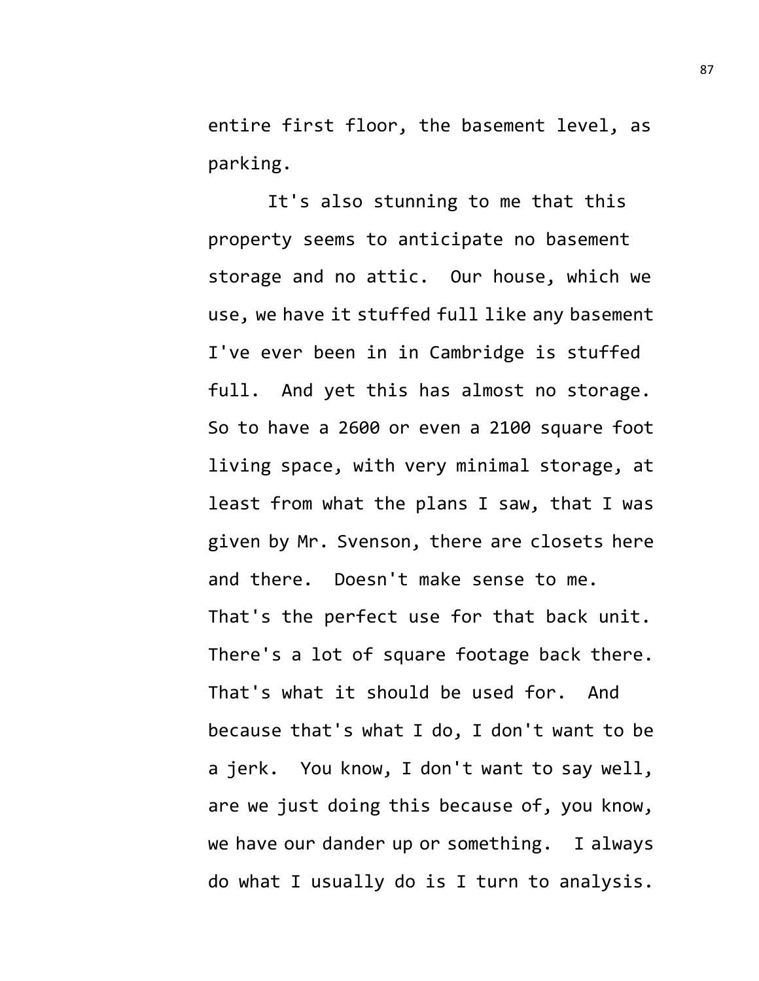entire first floor, the basement level, as parking.

It's also stunning to me that this property seems to anticipate no basement storage and no attic. Our house, which we use, we have it stuffed full like any basement I've ever been in in Cambridge is stuffed full. And yet this has almost no storage. So to have a 2600 or even a 2100 square foot living space, with very minimal storage, at least from what the plans I saw, that I was given by Mr. Svenson, there are closets here and there. Doesn't make sense to me. That's the perfect use for that back unit. There's a lot of square footage back there. That's what it should be used for. And because that's what I do, I don't want to be a jerk. You know, I don't want to say well, are we just doing this because of, you know, we have our dander up or something. I always do what I usually do is I turn to analysis.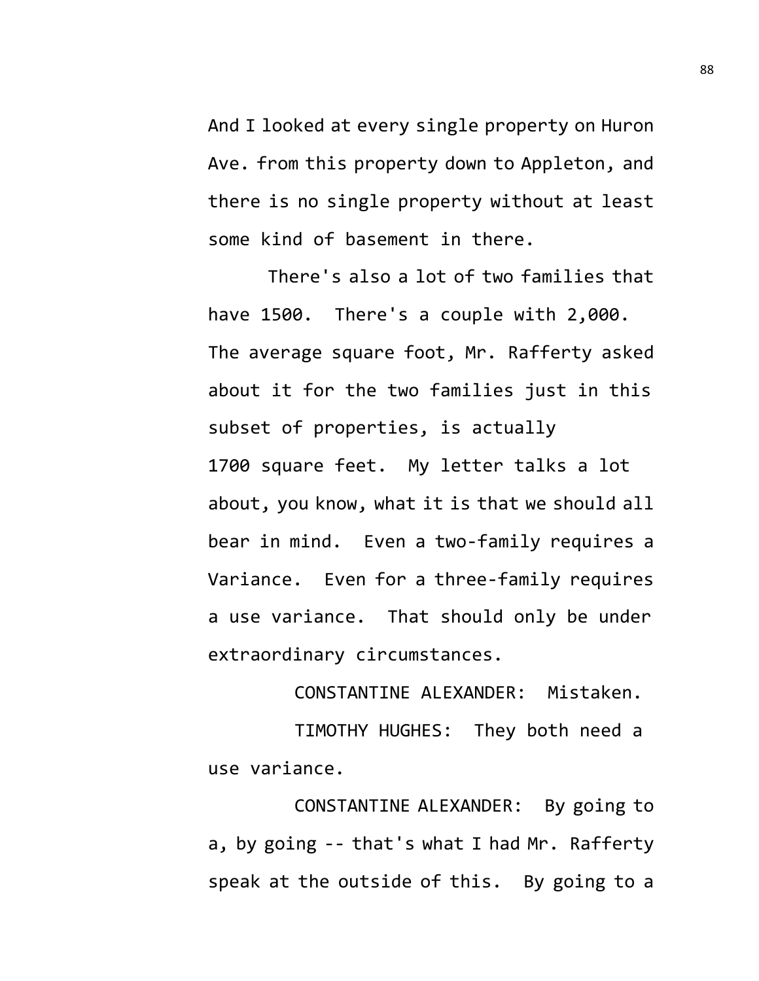And I looked at every single property on Huron Ave. from this property down to Appleton, and there is no single property without at least some kind of basement in there.

There's also a lot of two families that have 1500. There's a couple with 2,000. The average square foot, Mr. Rafferty asked about it for the two families just in this subset of properties, is actually 1700 square feet. My letter talks a lot about, you know, what it is that we should all bear in mind. Even a two-family requires a Variance. Even for a three-family requires a use variance. That should only be under extraordinary circumstances.

CONSTANTINE ALEXANDER: Mistaken.

TIMOTHY HUGHES: They both need a use variance.

CONSTANTINE ALEXANDER: By going to a, by going -- that's what I had Mr. Rafferty speak at the outside of this. By going to a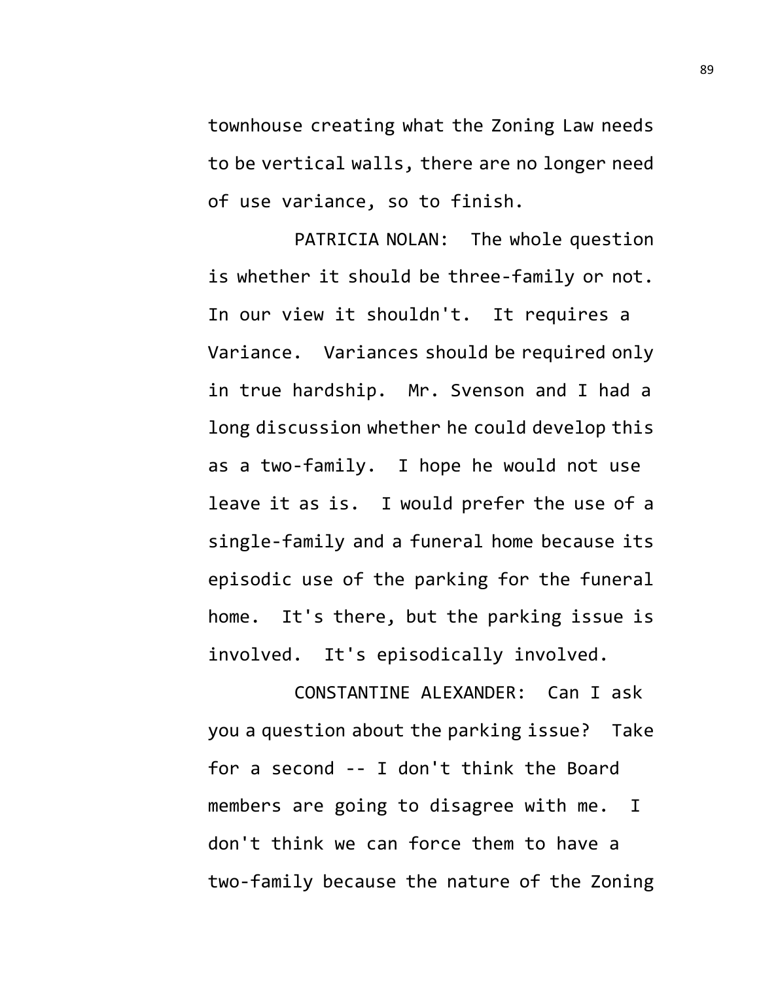townhouse creating what the Zoning Law needs to be vertical walls, there are no longer need of use variance, so to finish.

PATRICIA NOLAN: The whole question is whether it should be three-family or not. In our view it shouldn't. It requires a Variance. Variances should be required only in true hardship. Mr. Svenson and I had a long discussion whether he could develop this as a two-family. I hope he would not use leave it as is. I would prefer the use of a single-family and a funeral home because its episodic use of the parking for the funeral home. It's there, but the parking issue is involved. It's episodically involved.

CONSTANTINE ALEXANDER: Can I ask you a question about the parking issue? Take for a second -- I don't think the Board members are going to disagree with me. I don't think we can force them to have a two-family because the nature of the Zoning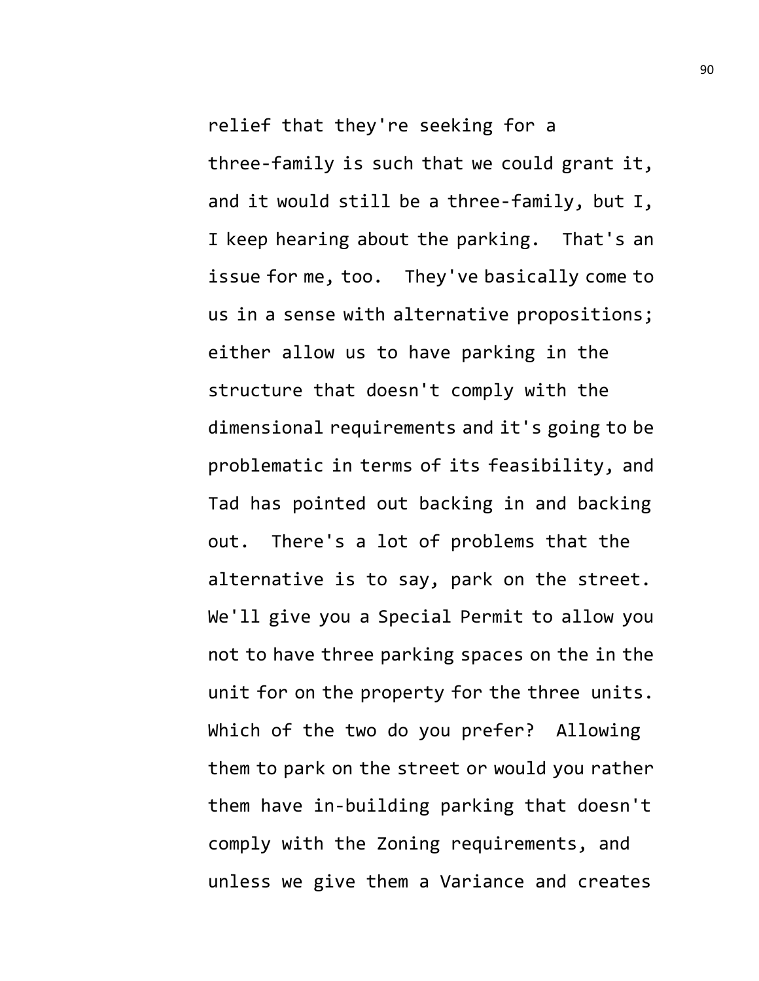relief that they're seeking for a three-family is such that we could grant it, and it would still be a three-family, but I, I keep hearing about the parking. That's an issue for me, too. They've basically come to us in a sense with alternative propositions; either allow us to have parking in the structure that doesn't comply with the dimensional requirements and it's going to be problematic in terms of its feasibility, and Tad has pointed out backing in and backing out. There's a lot of problems that the alternative is to say, park on the street. We'll give you a Special Permit to allow you not to have three parking spaces on the in the unit for on the property for the three units. Which of the two do you prefer? Allowing them to park on the street or would you rather them have in-building parking that doesn't comply with the Zoning requirements, and unless we give them a Variance and creates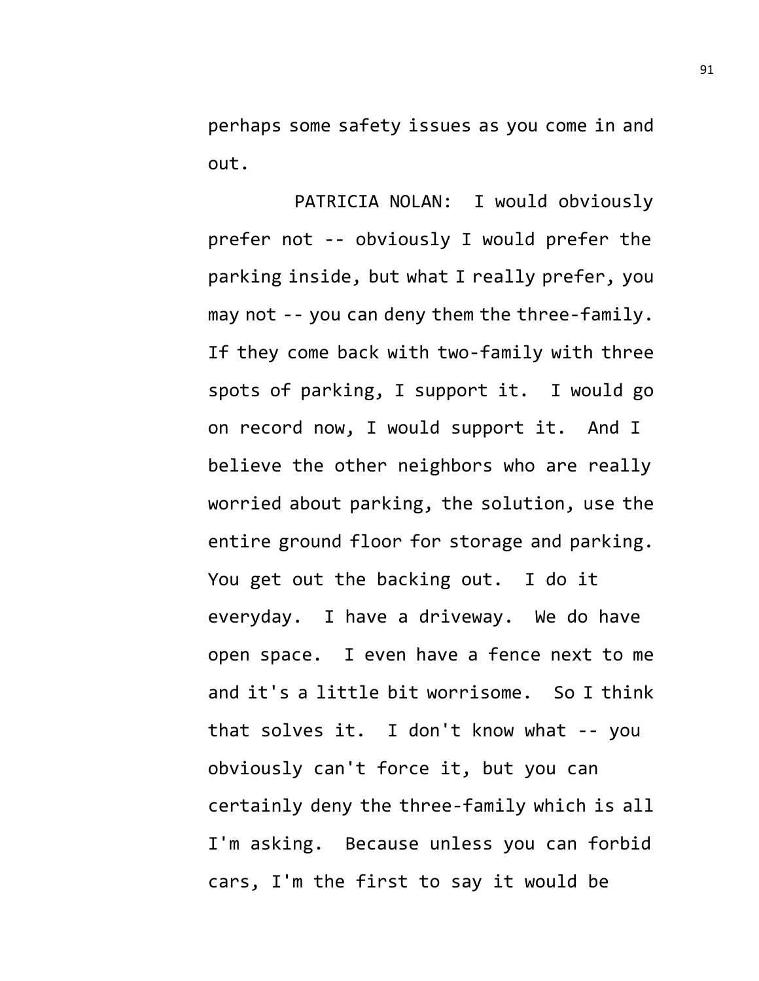perhaps some safety issues as you come in and out.

PATRICIA NOLAN: I would obviously prefer not -- obviously I would prefer the parking inside, but what I really prefer, you may not -- you can deny them the three-family. If they come back with two-family with three spots of parking, I support it. I would go on record now, I would support it. And I believe the other neighbors who are really worried about parking, the solution, use the entire ground floor for storage and parking. You get out the backing out. I do it everyday. I have a driveway. We do have open space. I even have a fence next to me and it's a little bit worrisome. So I think that solves it. I don't know what -- you obviously can't force it, but you can certainly deny the three-family which is all I'm asking. Because unless you can forbid cars, I'm the first to say it would be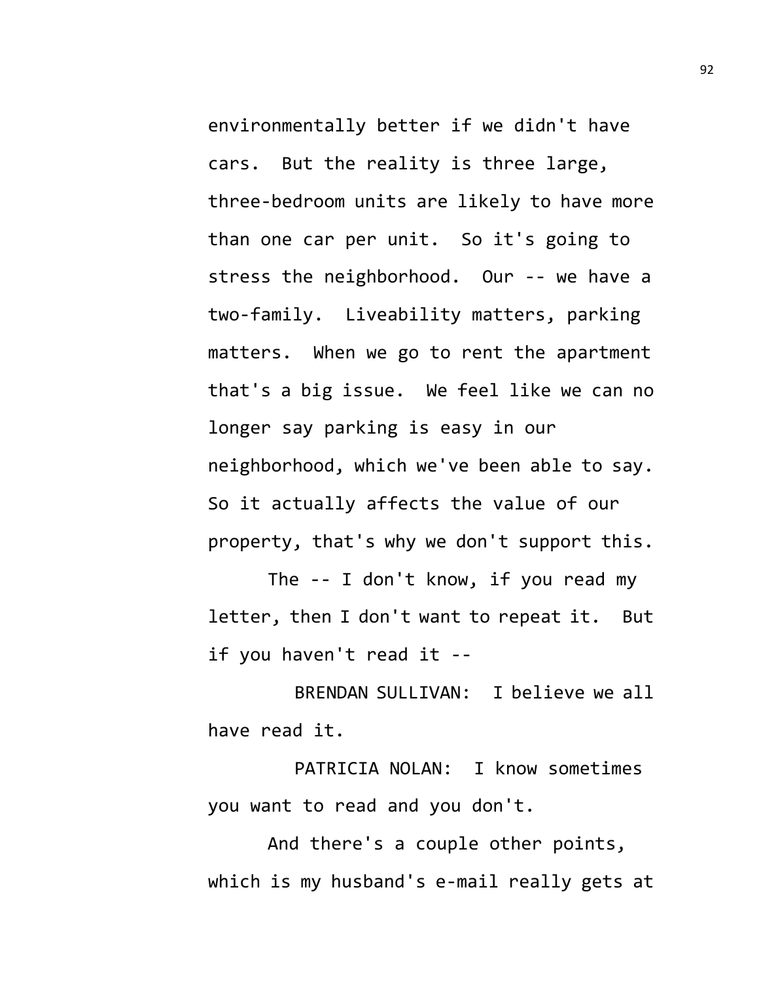environmentally better if we didn't have cars. But the reality is three large, three-bedroom units are likely to have more than one car per unit. So it's going to stress the neighborhood. Our -- we have a two-family. Liveability matters, parking matters. When we go to rent the apartment that's a big issue. We feel like we can no longer say parking is easy in our neighborhood, which we've been able to say. So it actually affects the value of our property, that's why we don't support this.

The -- I don't know, if you read my letter, then I don't want to repeat it. But if you haven't read it --

BRENDAN SULLIVAN: I believe we all have read it.

PATRICIA NOLAN: I know sometimes you want to read and you don't.

And there's a couple other points, which is my husband's e-mail really gets at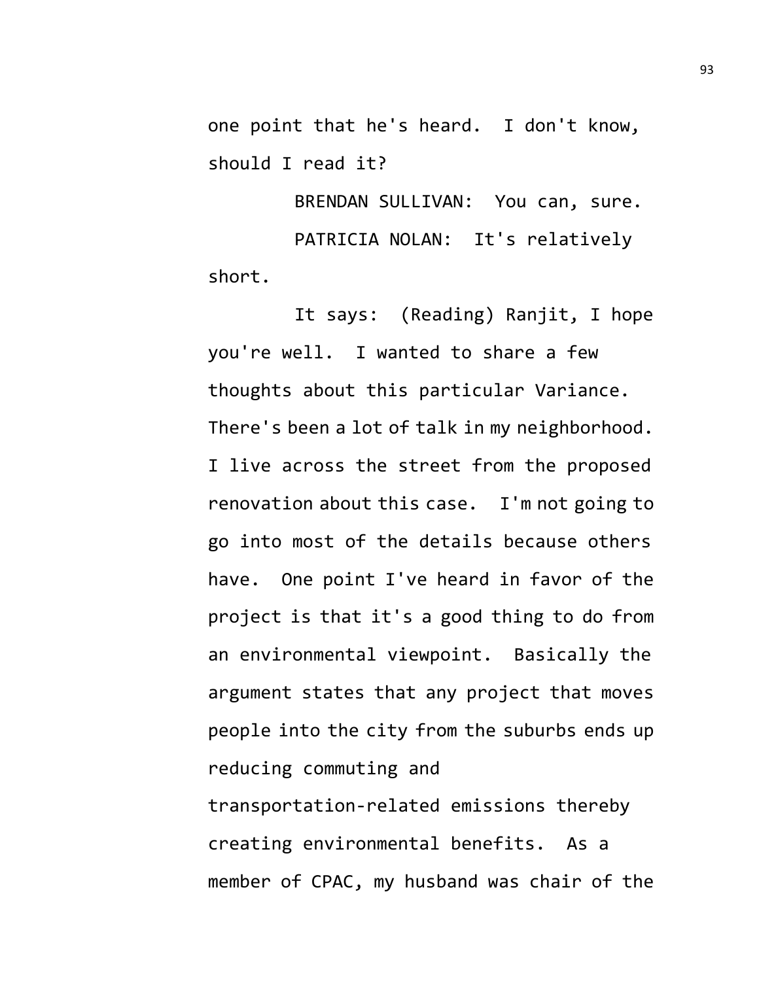one point that he's heard. I don't know, should I read it?

BRENDAN SULLIVAN: You can, sure. PATRICIA NOLAN: It's relatively short.

It says: (Reading) Ranjit, I hope you're well. I wanted to share a few thoughts about this particular Variance. There's been a lot of talk in my neighborhood. I live across the street from the proposed renovation about this case. I'm not going to go into most of the details because others have. One point I've heard in favor of the project is that it's a good thing to do from an environmental viewpoint. Basically the argument states that any project that moves people into the city from the suburbs ends up reducing commuting and transportation-related emissions thereby creating environmental benefits. As a member of CPAC, my husband was chair of the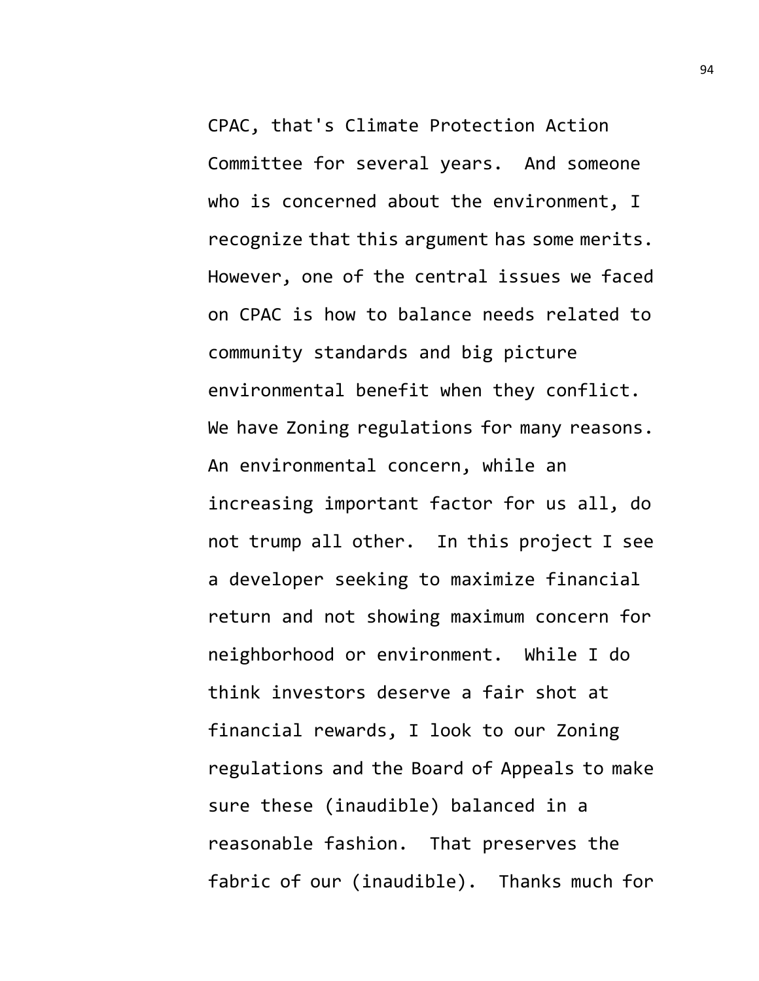CPAC, that's Climate Protection Action Committee for several years. And someone who is concerned about the environment, I recognize that this argument has some merits. However, one of the central issues we faced on CPAC is how to balance needs related to community standards and big picture environmental benefit when they conflict. We have Zoning regulations for many reasons. An environmental concern, while an increasing important factor for us all, do not trump all other. In this project I see a developer seeking to maximize financial return and not showing maximum concern for neighborhood or environment. While I do think investors deserve a fair shot at financial rewards, I look to our Zoning regulations and the Board of Appeals to make sure these (inaudible) balanced in a reasonable fashion. That preserves the fabric of our (inaudible). Thanks much for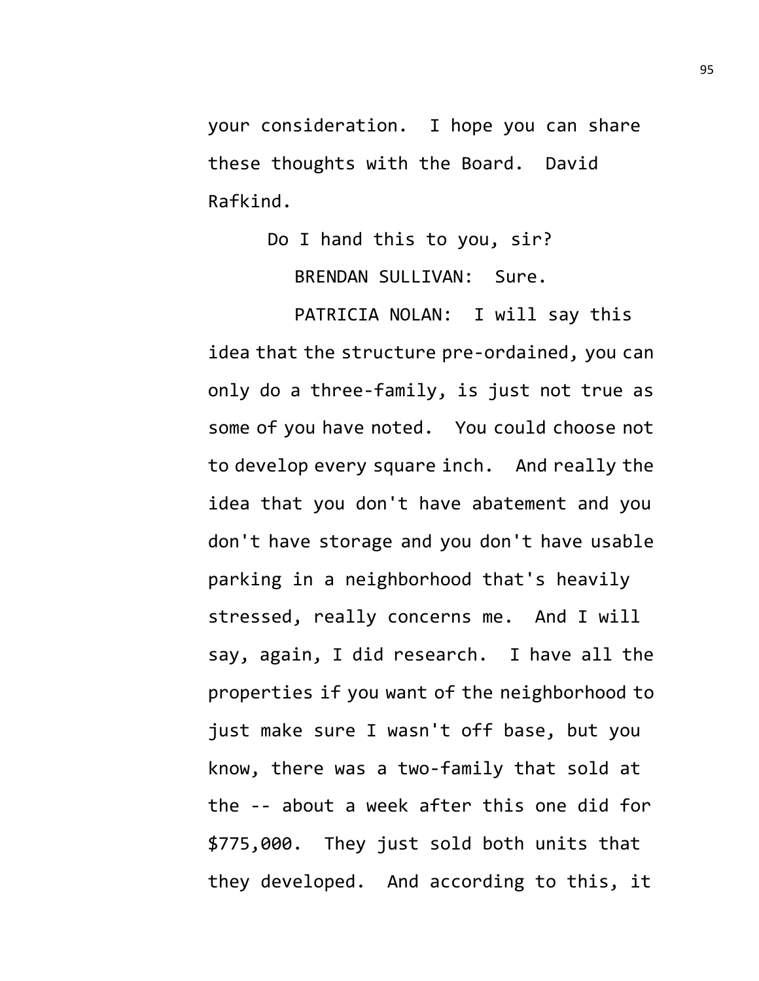your consideration. I hope you can share these thoughts with the Board. David Rafkind.

> Do I hand this to you, sir? BRENDAN SULLIVAN: Sure.

PATRICIA NOLAN: I will say this idea that the structure pre-ordained, you can only do a three-family, is just not true as some of you have noted. You could choose not to develop every square inch. And really the idea that you don't have abatement and you don't have storage and you don't have usable parking in a neighborhood that's heavily stressed, really concerns me. And I will say, again, I did research. I have all the properties if you want of the neighborhood to just make sure I wasn't off base, but you know, there was a two-family that sold at the -- about a week after this one did for \$775,000. They just sold both units that they developed. And according to this, it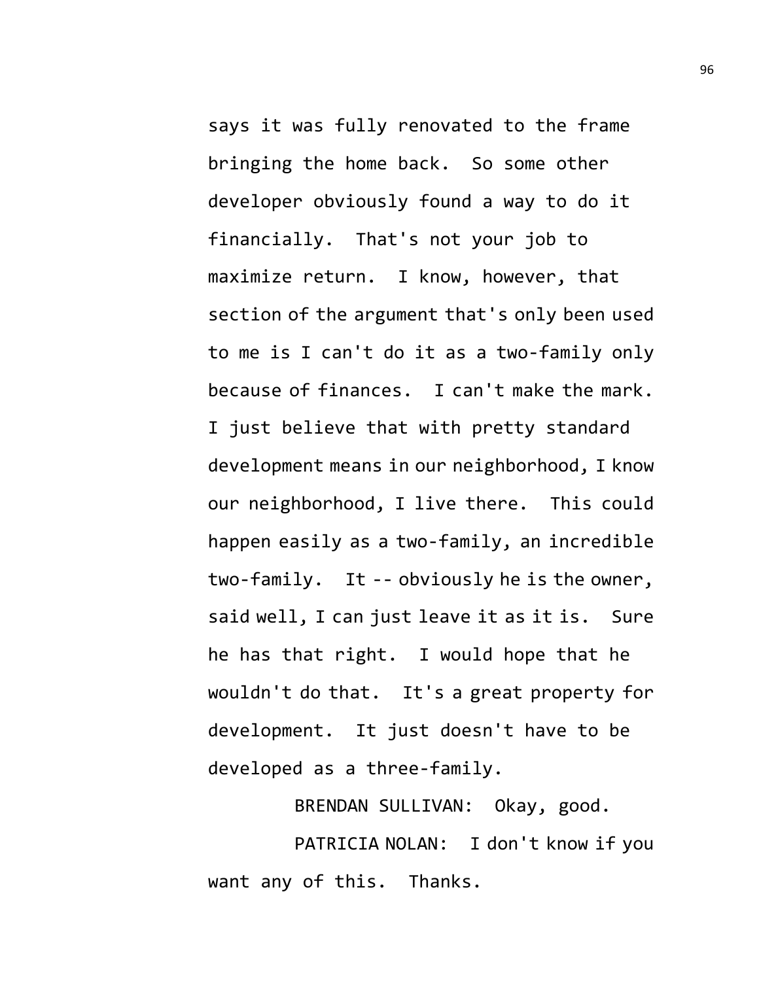says it was fully renovated to the frame bringing the home back. So some other developer obviously found a way to do it financially. That's not your job to maximize return. I know, however, that section of the argument that's only been used to me is I can't do it as a two-family only because of finances. I can't make the mark. I just believe that with pretty standard development means in our neighborhood, I know our neighborhood, I live there. This could happen easily as a two-family, an incredible two-family. It -- obviously he is the owner, said well, I can just leave it as it is. Sure he has that right. I would hope that he wouldn't do that. It's a great property for development. It just doesn't have to be developed as a three-family.

BRENDAN SULLIVAN: Okay, good.

PATRICIA NOLAN: I don't know if you want any of this. Thanks.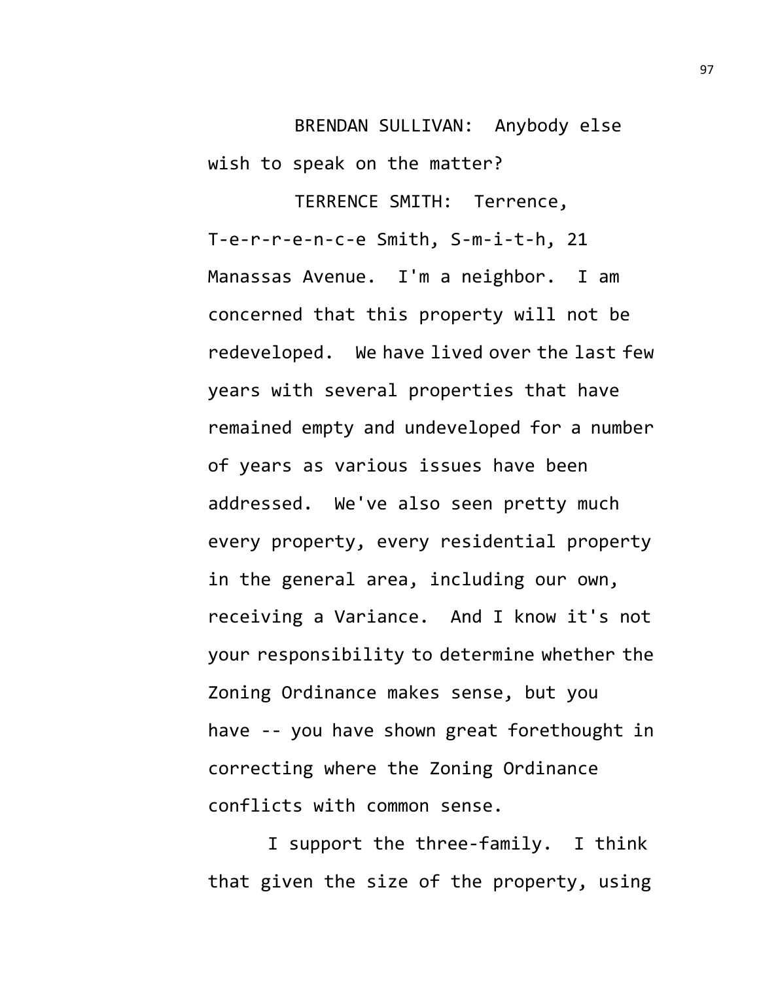BRENDAN SULLIVAN: Anybody else wish to speak on the matter?

TERRENCE SMITH: Terrence, T-e-r-r-e-n-c-e Smith, S-m-i-t-h, 21 Manassas Avenue. I'm a neighbor. I am concerned that this property will not be redeveloped. We have lived over the last few years with several properties that have remained empty and undeveloped for a number of years as various issues have been addressed. We've also seen pretty much every property, every residential property in the general area, including our own, receiving a Variance. And I know it's not your responsibility to determine whether the Zoning Ordinance makes sense, but you have -- you have shown great forethought in correcting where the Zoning Ordinance conflicts with common sense.

I support the three-family. I think that given the size of the property, using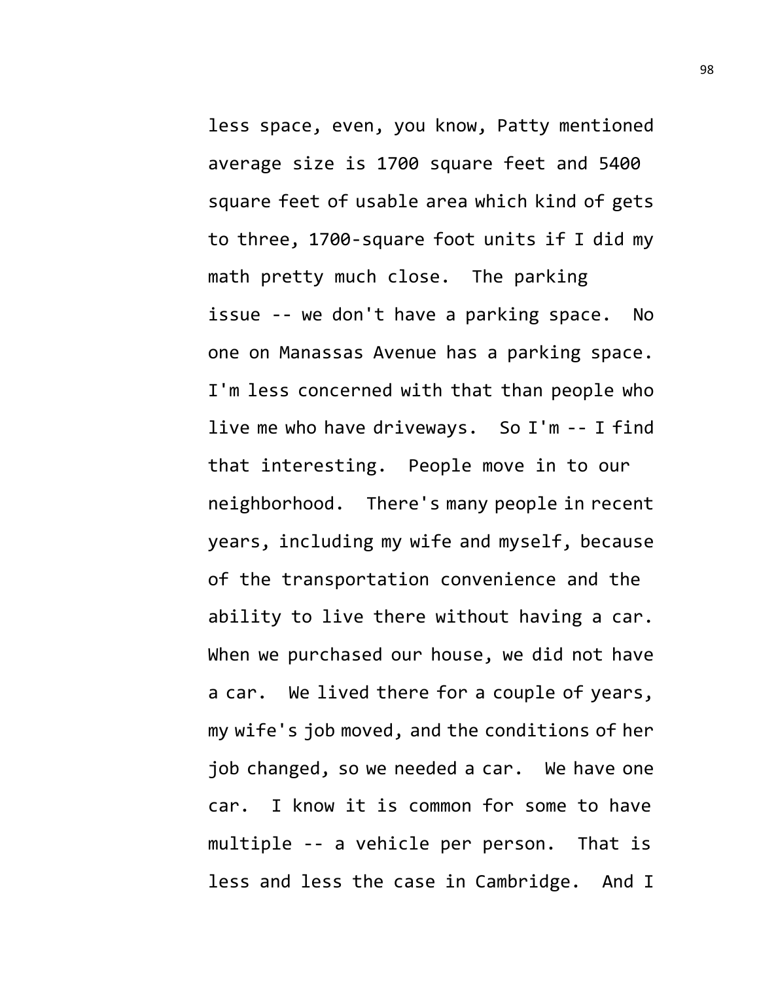less space, even, you know, Patty mentioned average size is 1700 square feet and 5400 square feet of usable area which kind of gets to three, 1700-square foot units if I did my math pretty much close. The parking issue -- we don't have a parking space. No one on Manassas Avenue has a parking space. I'm less concerned with that than people who live me who have driveways. So I'm -- I find that interesting. People move in to our neighborhood. There's many people in recent years, including my wife and myself, because of the transportation convenience and the ability to live there without having a car. When we purchased our house, we did not have a car. We lived there for a couple of years, my wife's job moved, and the conditions of her job changed, so we needed a car. We have one car. I know it is common for some to have multiple -- a vehicle per person. That is less and less the case in Cambridge. And I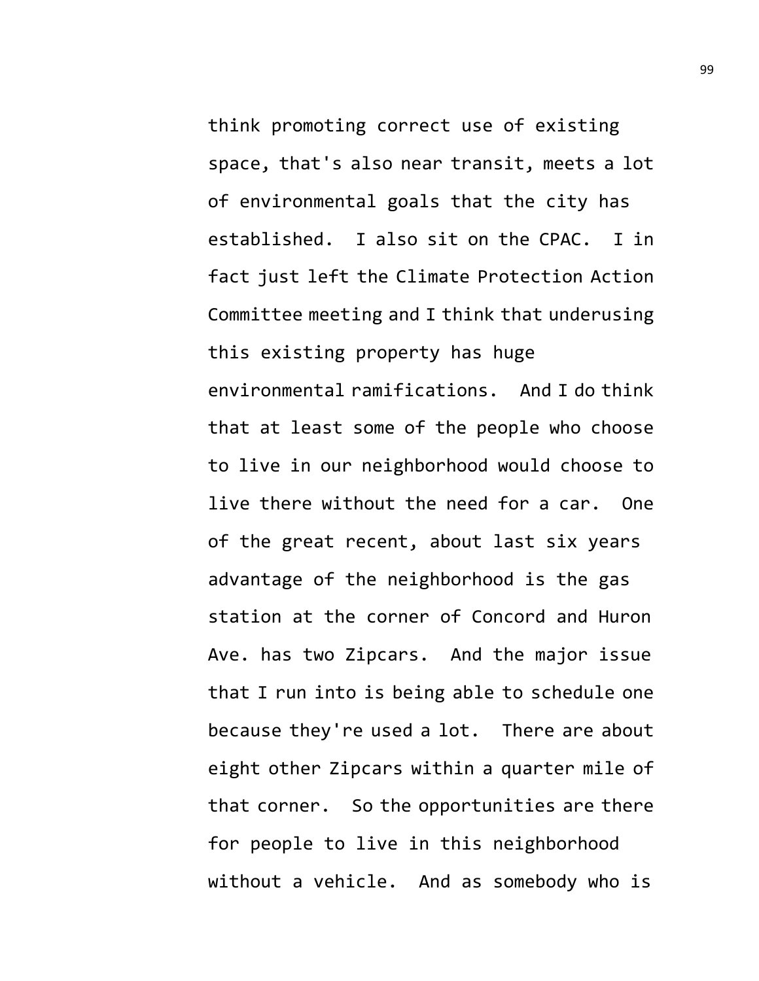think promoting correct use of existing space, that's also near transit, meets a lot of environmental goals that the city has established. I also sit on the CPAC. I in fact just left the Climate Protection Action Committee meeting and I think that underusing this existing property has huge environmental ramifications. And I do think that at least some of the people who choose to live in our neighborhood would choose to live there without the need for a car. One of the great recent, about last six years advantage of the neighborhood is the gas station at the corner of Concord and Huron Ave. has two Zipcars. And the major issue that I run into is being able to schedule one because they're used a lot. There are about eight other Zipcars within a quarter mile of that corner. So the opportunities are there for people to live in this neighborhood without a vehicle. And as somebody who is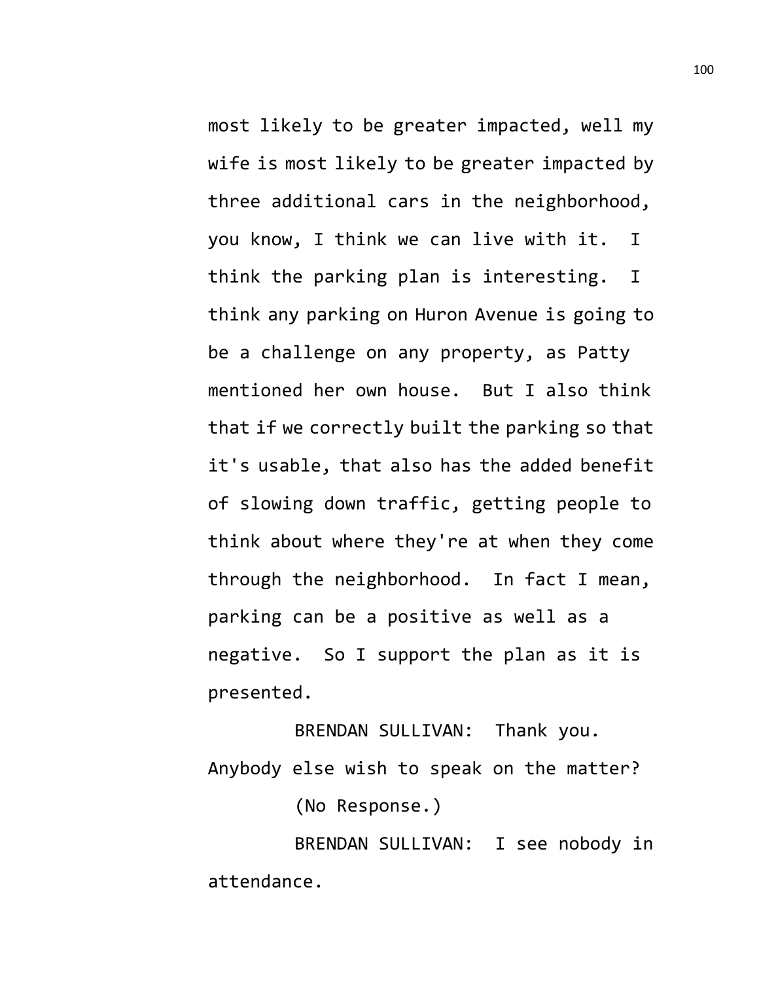most likely to be greater impacted, well my wife is most likely to be greater impacted by three additional cars in the neighborhood, you know, I think we can live with it. I think the parking plan is interesting. I think any parking on Huron Avenue is going to be a challenge on any property, as Patty mentioned her own house. But I also think that if we correctly built the parking so that it's usable, that also has the added benefit of slowing down traffic, getting people to think about where they're at when they come through the neighborhood. In fact I mean, parking can be a positive as well as a negative. So I support the plan as it is presented.

BRENDAN SULLIVAN: Thank you. Anybody else wish to speak on the matter? (No Response.)

BRENDAN SULLIVAN: I see nobody in

attendance.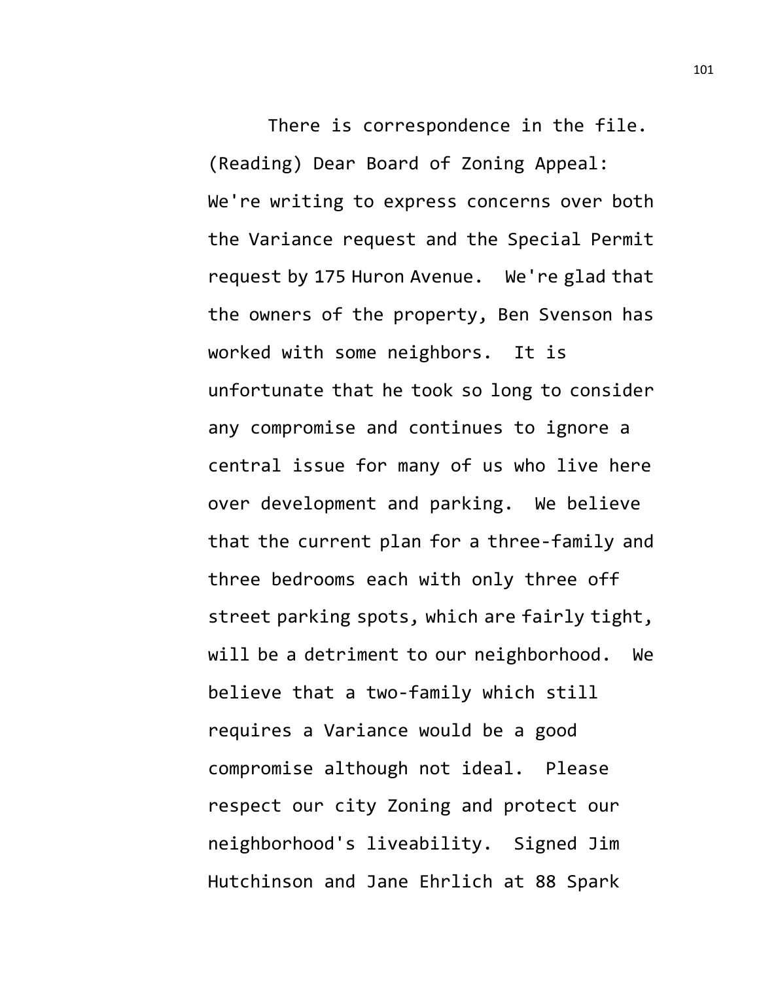There is correspondence in the file. (Reading) Dear Board of Zoning Appeal: We're writing to express concerns over both the Variance request and the Special Permit request by 175 Huron Avenue. We're glad that the owners of the property, Ben Svenson has worked with some neighbors. It is unfortunate that he took so long to consider any compromise and continues to ignore a central issue for many of us who live here over development and parking. We believe that the current plan for a three-family and three bedrooms each with only three off street parking spots, which are fairly tight, will be a detriment to our neighborhood. We believe that a two-family which still requires a Variance would be a good compromise although not ideal. Please respect our city Zoning and protect our neighborhood's liveability. Signed Jim Hutchinson and Jane Ehrlich at 88 Spark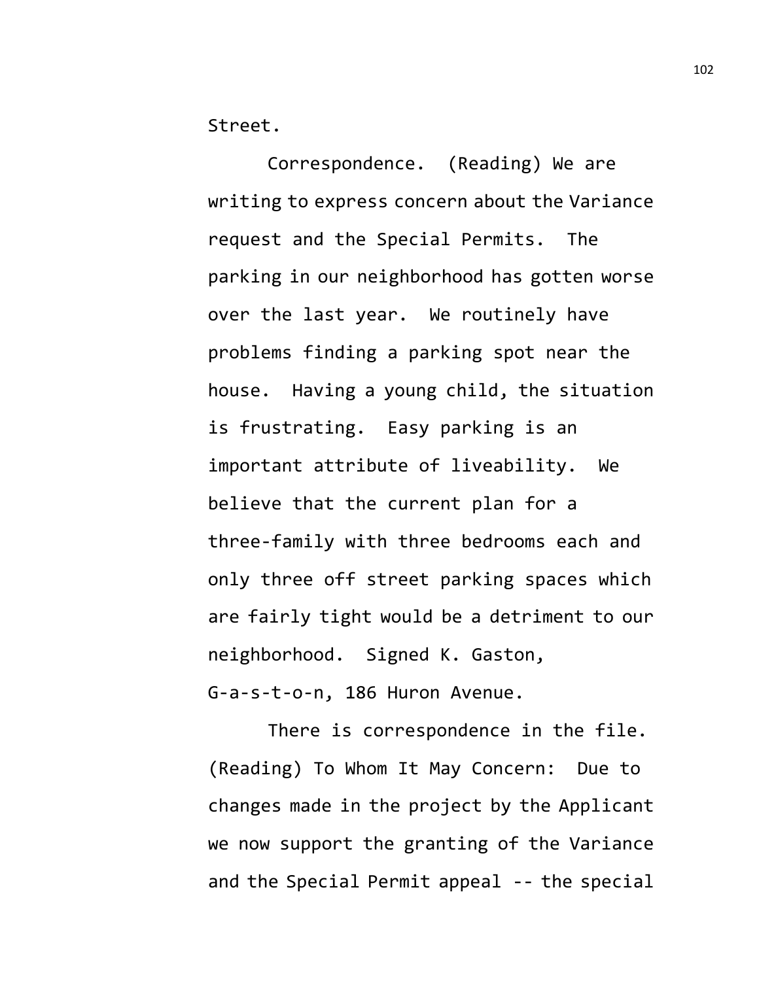Street.

Correspondence. (Reading) We are writing to express concern about the Variance request and the Special Permits. The parking in our neighborhood has gotten worse over the last year. We routinely have problems finding a parking spot near the house. Having a young child, the situation is frustrating. Easy parking is an important attribute of liveability. We believe that the current plan for a three-family with three bedrooms each and only three off street parking spaces which are fairly tight would be a detriment to our neighborhood. Signed K. Gaston, G-a-s-t-o-n, 186 Huron Avenue.

There is correspondence in the file. (Reading) To Whom It May Concern: Due to changes made in the project by the Applicant we now support the granting of the Variance and the Special Permit appeal -- the special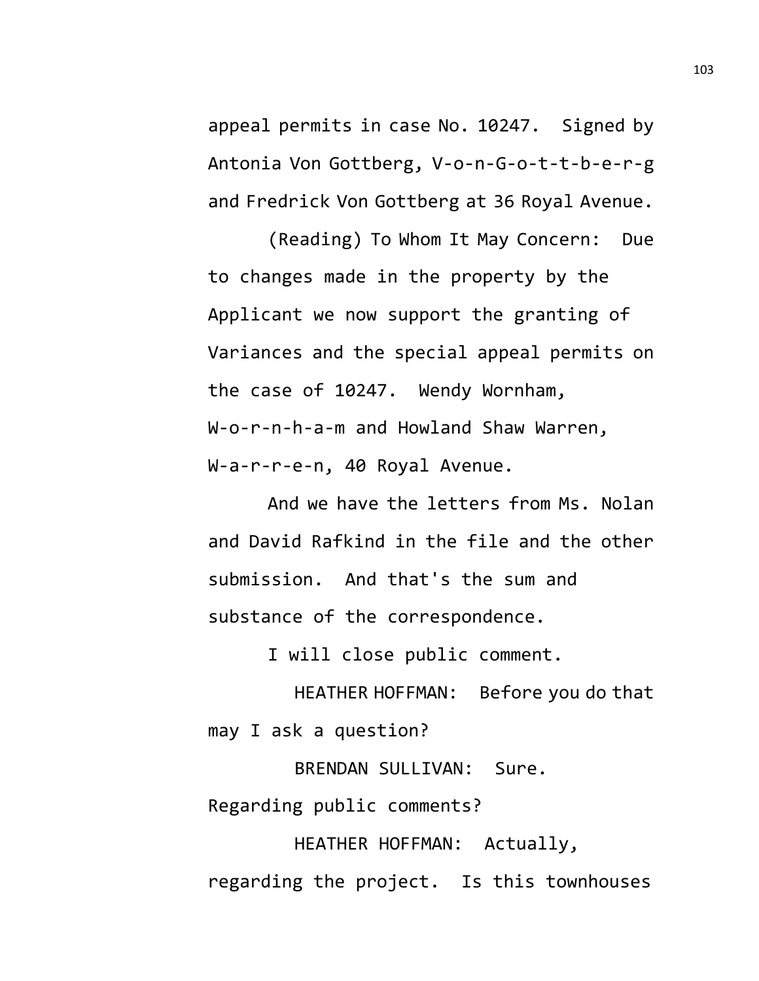appeal permits in case No. 10247. Signed by Antonia Von Gottberg, V-o-n-G-o-t-t-b-e-r-g and Fredrick Von Gottberg at 36 Royal Avenue.

(Reading) To Whom It May Concern: Due to changes made in the property by the Applicant we now support the granting of Variances and the special appeal permits on the case of 10247. Wendy Wornham, W-o-r-n-h-a-m and Howland Shaw Warren, W-a-r-r-e-n, 40 Royal Avenue.

And we have the letters from Ms. Nolan and David Rafkind in the file and the other submission. And that's the sum and substance of the correspondence.

I will close public comment.

HEATHER HOFFMAN: Before you do that may I ask a question?

BRENDAN SULLIVAN: Sure. Regarding public comments?

HEATHER HOFFMAN: Actually, regarding the project. Is this townhouses 103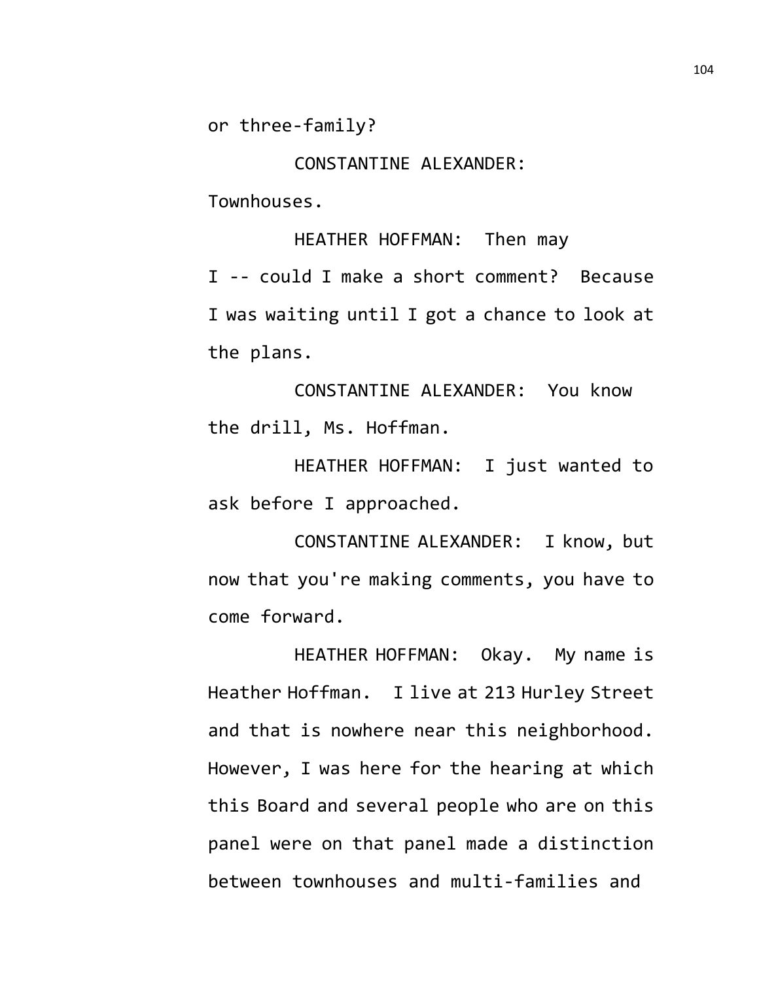or three-family?

CONSTANTINE ALEXANDER:

Townhouses.

HEATHER HOFFMAN: Then may I -- could I make a short comment? Because I was waiting until I got a chance to look at the plans.

CONSTANTINE ALEXANDER: You know the drill, Ms. Hoffman.

HEATHER HOFFMAN: I just wanted to ask before I approached.

CONSTANTINE ALEXANDER: I know, but now that you're making comments, you have to come forward.

HEATHER HOFFMAN: Okay. My name is Heather Hoffman. I live at 213 Hurley Street and that is nowhere near this neighborhood. However, I was here for the hearing at which this Board and several people who are on this panel were on that panel made a distinction between townhouses and multi-families and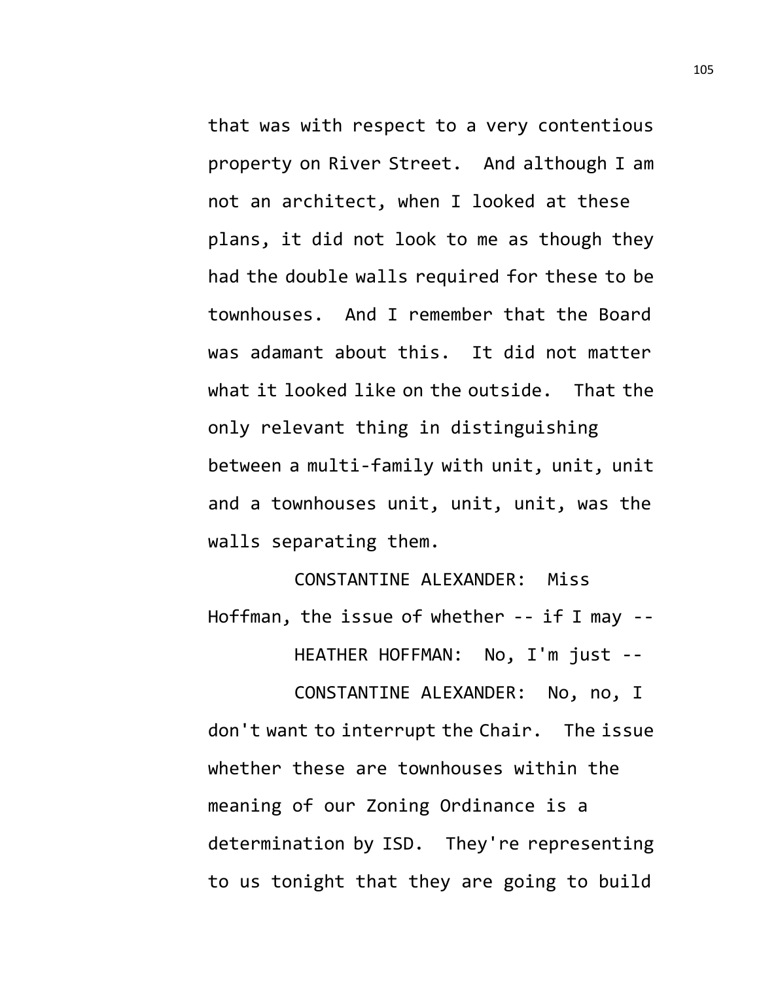that was with respect to a very contentious property on River Street. And although I am not an architect, when I looked at these plans, it did not look to me as though they had the double walls required for these to be townhouses. And I remember that the Board was adamant about this. It did not matter what it looked like on the outside. That the only relevant thing in distinguishing between a multi-family with unit, unit, unit and a townhouses unit, unit, unit, was the walls separating them.

CONSTANTINE ALEXANDER: Miss Hoffman, the issue of whether -- if I may -- HEATHER HOFFMAN: No, I'm just --

CONSTANTINE ALEXANDER: No, no, I don't want to interrupt the Chair. The issue whether these are townhouses within the meaning of our Zoning Ordinance is a determination by ISD. They're representing to us tonight that they are going to build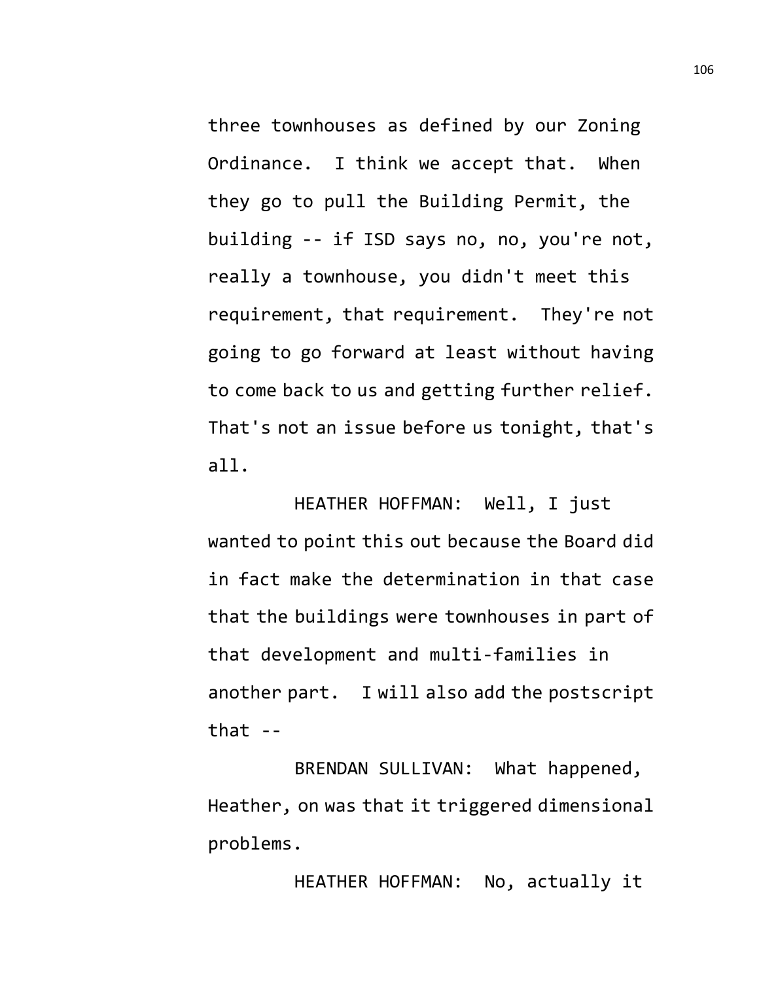three townhouses as defined by our Zoning Ordinance. I think we accept that. When they go to pull the Building Permit, the building -- if ISD says no, no, you're not, really a townhouse, you didn't meet this requirement, that requirement. They're not going to go forward at least without having to come back to us and getting further relief. That's not an issue before us tonight, that's all.

HEATHER HOFFMAN: Well, I just wanted to point this out because the Board did in fact make the determination in that case that the buildings were townhouses in part of that development and multi-families in another part. I will also add the postscript that  $-$ 

BRENDAN SULLIVAN: What happened, Heather, on was that it triggered dimensional problems.

HEATHER HOFFMAN: No, actually it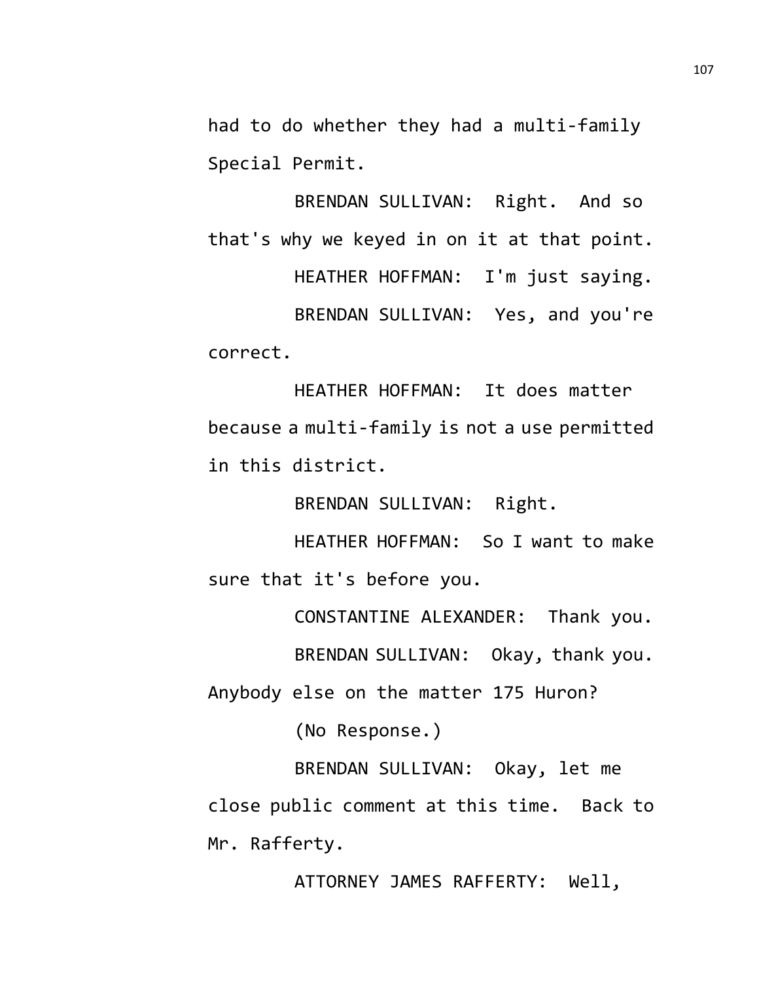had to do whether they had a multi-family Special Permit.

BRENDAN SULLIVAN: Right. And so that's why we keyed in on it at that point. HEATHER HOFFMAN: I'm just saying. BRENDAN SULLIVAN: Yes, and you're correct.

HEATHER HOFFMAN: It does matter because a multi-family is not a use permitted in this district.

BRENDAN SULLIVAN: Right.

HEATHER HOFFMAN: So I want to make sure that it's before you.

CONSTANTINE ALEXANDER: Thank you.

BRENDAN SULLIVAN: Okay, thank you.

Anybody else on the matter 175 Huron?

(No Response.)

BRENDAN SULLIVAN: Okay, let me close public comment at this time. Back to Mr. Rafferty.

ATTORNEY JAMES RAFFERTY: Well,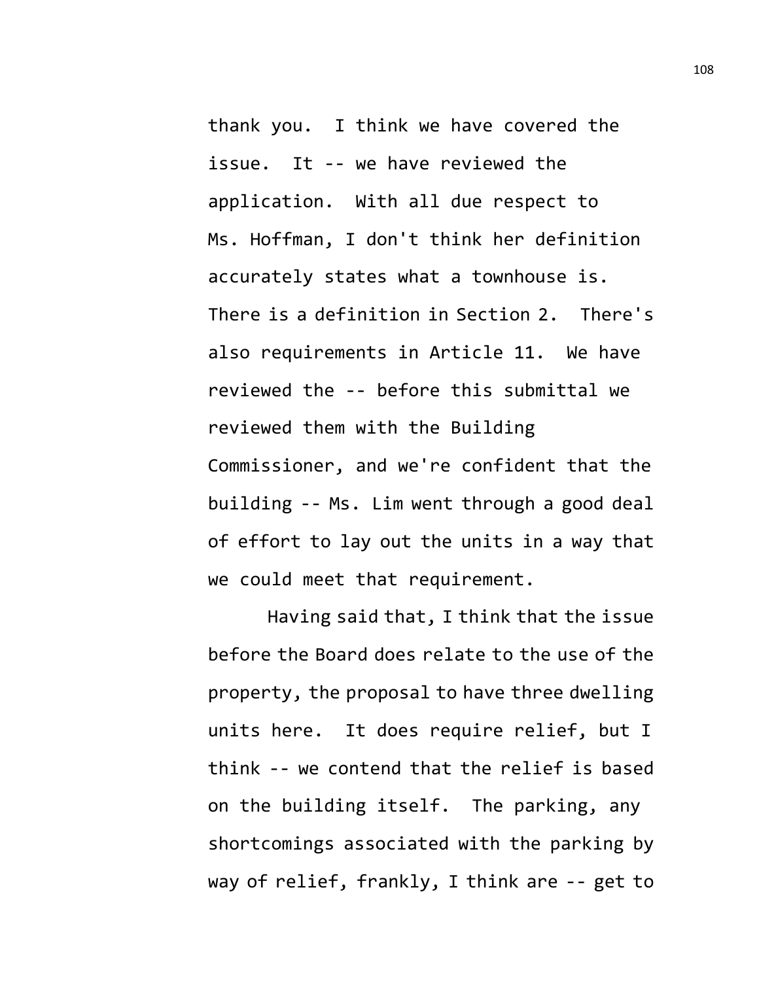thank you. I think we have covered the issue. It -- we have reviewed the application. With all due respect to Ms. Hoffman, I don't think her definition accurately states what a townhouse is. There is a definition in Section 2. There's also requirements in Article 11. We have reviewed the -- before this submittal we reviewed them with the Building Commissioner, and we're confident that the building -- Ms. Lim went through a good deal of effort to lay out the units in a way that we could meet that requirement.

Having said that, I think that the issue before the Board does relate to the use of the property, the proposal to have three dwelling units here. It does require relief, but I think -- we contend that the relief is based on the building itself. The parking, any shortcomings associated with the parking by way of relief, frankly, I think are -- get to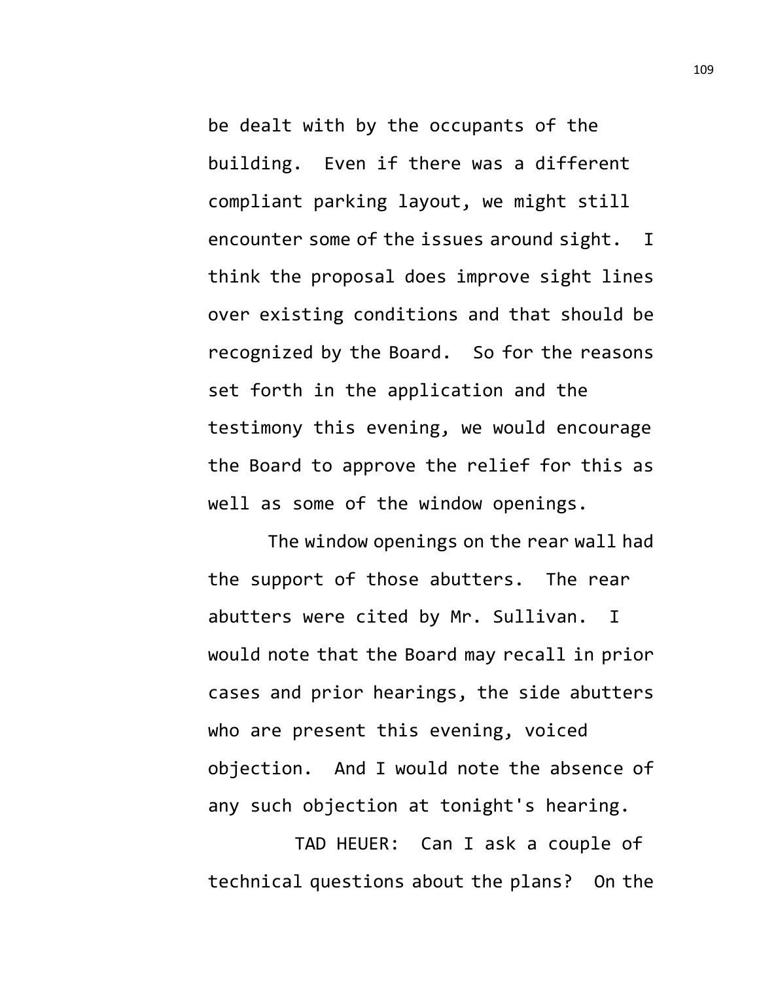be dealt with by the occupants of the building. Even if there was a different compliant parking layout, we might still encounter some of the issues around sight. I think the proposal does improve sight lines over existing conditions and that should be recognized by the Board. So for the reasons set forth in the application and the testimony this evening, we would encourage the Board to approve the relief for this as well as some of the window openings.

The window openings on the rear wall had the support of those abutters. The rear abutters were cited by Mr. Sullivan. I would note that the Board may recall in prior cases and prior hearings, the side abutters who are present this evening, voiced objection. And I would note the absence of any such objection at tonight's hearing.

TAD HEUER: Can I ask a couple of technical questions about the plans? On the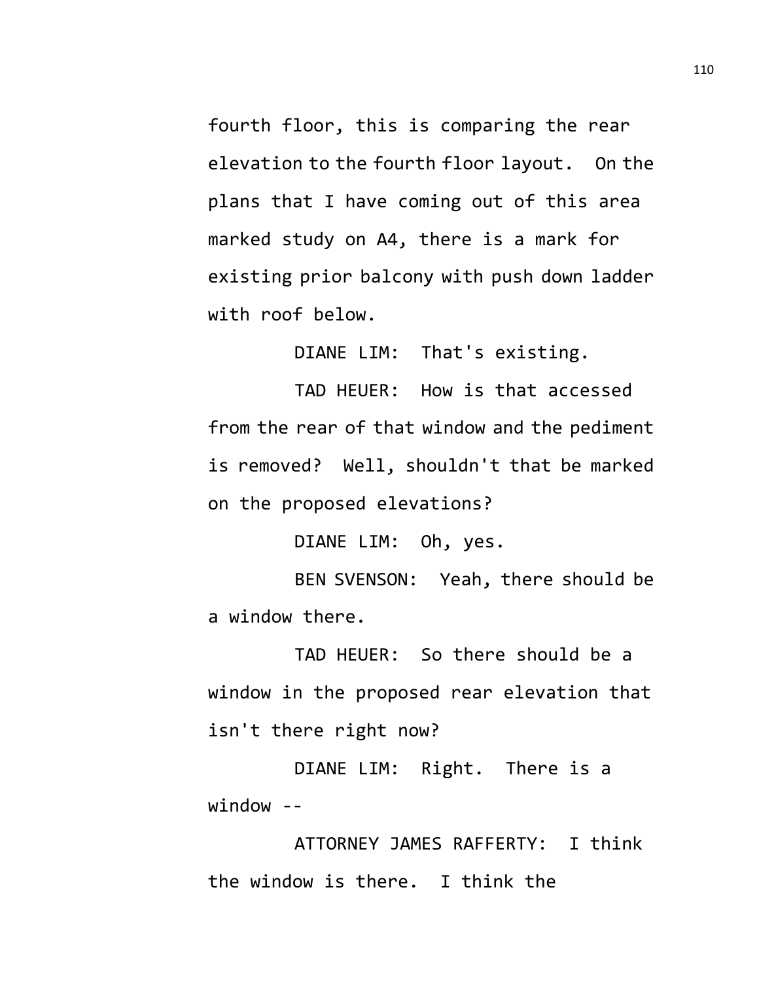fourth floor, this is comparing the rear elevation to the fourth floor layout. On the plans that I have coming out of this area marked study on A4, there is a mark for existing prior balcony with push down ladder with roof below.

DIANE LIM: That's existing.

TAD HEUER: How is that accessed from the rear of that window and the pediment is removed? Well, shouldn't that be marked on the proposed elevations?

DIANE LIM: Oh, yes.

BEN SVENSON: Yeah, there should be a window there.

TAD HEUER: So there should be a window in the proposed rear elevation that isn't there right now?

DIANE LIM: Right. There is a window --

ATTORNEY JAMES RAFFERTY: I think the window is there. I think the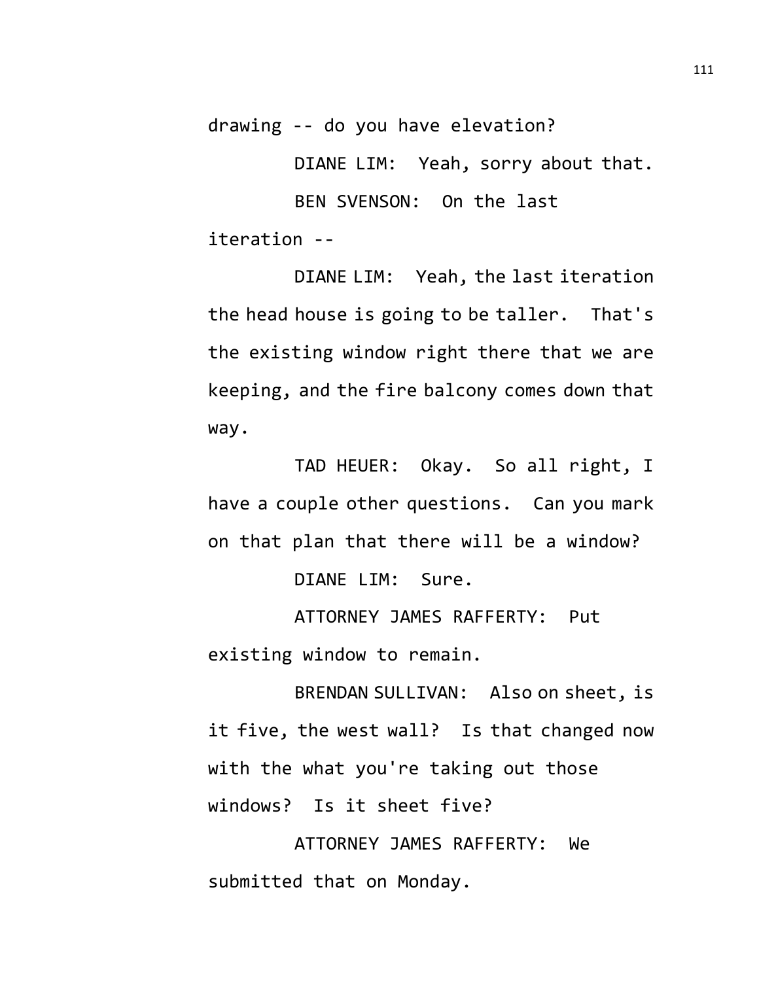drawing -- do you have elevation?

DIANE LIM: Yeah, sorry about that.

BEN SVENSON: On the last iteration --

DIANE LIM: Yeah, the last iteration the head house is going to be taller. That's the existing window right there that we are keeping, and the fire balcony comes down that way.

TAD HEUER: Okay. So all right, I have a couple other questions. Can you mark on that plan that there will be a window?

DIANE LIM: Sure.

ATTORNEY JAMES RAFFERTY: Put existing window to remain.

BRENDAN SULLIVAN: Also on sheet, is it five, the west wall? Is that changed now with the what you're taking out those windows? Is it sheet five?

ATTORNEY JAMES RAFFERTY: We submitted that on Monday.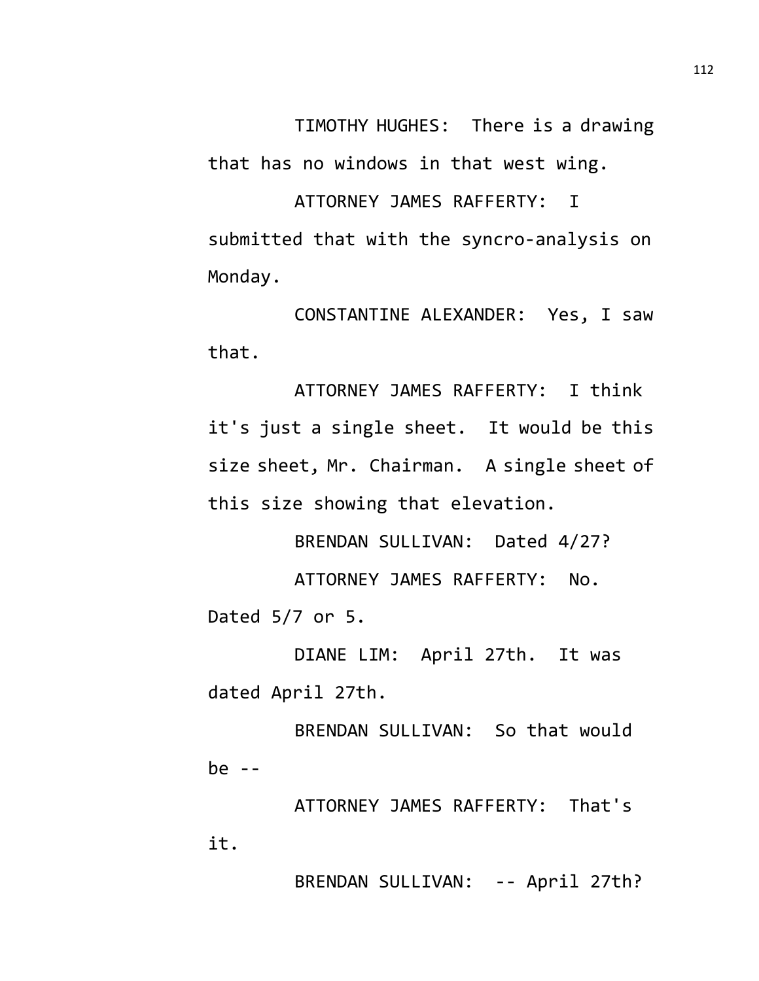TIMOTHY HUGHES: There is a drawing that has no windows in that west wing.

ATTORNEY JAMES RAFFERTY: I submitted that with the syncro-analysis on Monday.

CONSTANTINE ALEXANDER: Yes, I saw that.

ATTORNEY JAMES RAFFERTY: I think it's just a single sheet. It would be this size sheet, Mr. Chairman. A single sheet of this size showing that elevation.

BRENDAN SULLIVAN: Dated 4/27? ATTORNEY JAMES RAFFERTY: No. Dated 5/7 or 5.

DIANE LIM: April 27th. It was dated April 27th.

BRENDAN SULLIVAN: So that would be --

ATTORNEY JAMES RAFFERTY: That's it.

BRENDAN SULLIVAN: -- April 27th?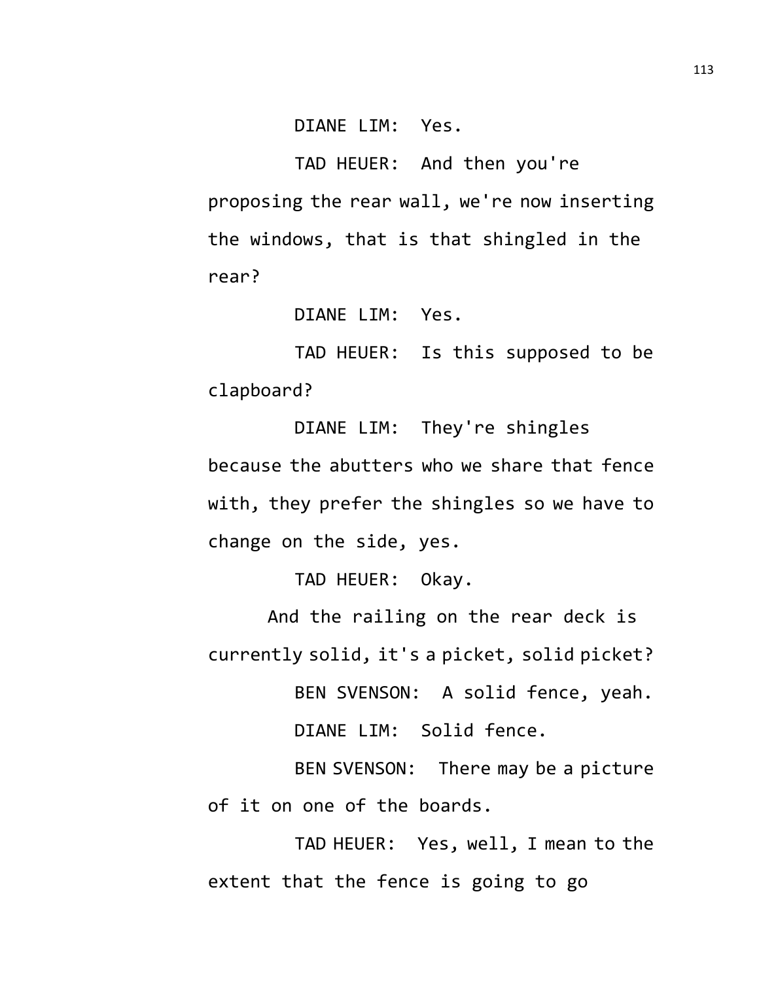DIANE LIM: Yes.

TAD HEUER: And then you're proposing the rear wall, we're now inserting the windows, that is that shingled in the rear?

DIANE LIM: Yes.

TAD HEUER: Is this supposed to be clapboard?

DIANE LIM: They're shingles because the abutters who we share that fence with, they prefer the shingles so we have to change on the side, yes.

TAD HEUER: Okay.

And the railing on the rear deck is currently solid, it's a picket, solid picket?

BEN SVENSON: A solid fence, yeah.

DIANE LIM: Solid fence.

BEN SVENSON: There may be a picture of it on one of the boards.

TAD HEUER: Yes, well, I mean to the extent that the fence is going to go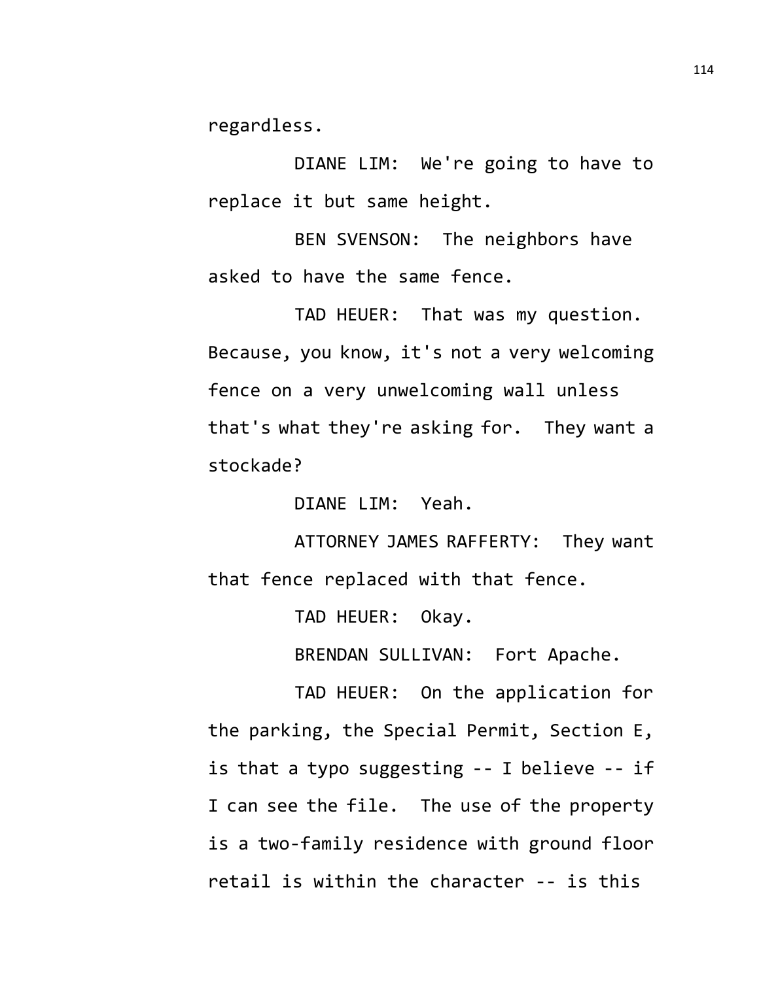regardless.

DIANE LIM: We're going to have to replace it but same height.

BEN SVENSON: The neighbors have asked to have the same fence.

TAD HEUER: That was my question. Because, you know, it's not a very welcoming fence on a very unwelcoming wall unless that's what they're asking for. They want a stockade?

DIANE LIM: Yeah.

ATTORNEY JAMES RAFFERTY: They want that fence replaced with that fence.

TAD HEUER: Okay.

BRENDAN SULLIVAN: Fort Apache.

TAD HEUER: On the application for the parking, the Special Permit, Section E, is that a typo suggesting -- I believe -- if I can see the file. The use of the property is a two-family residence with ground floor retail is within the character -- is this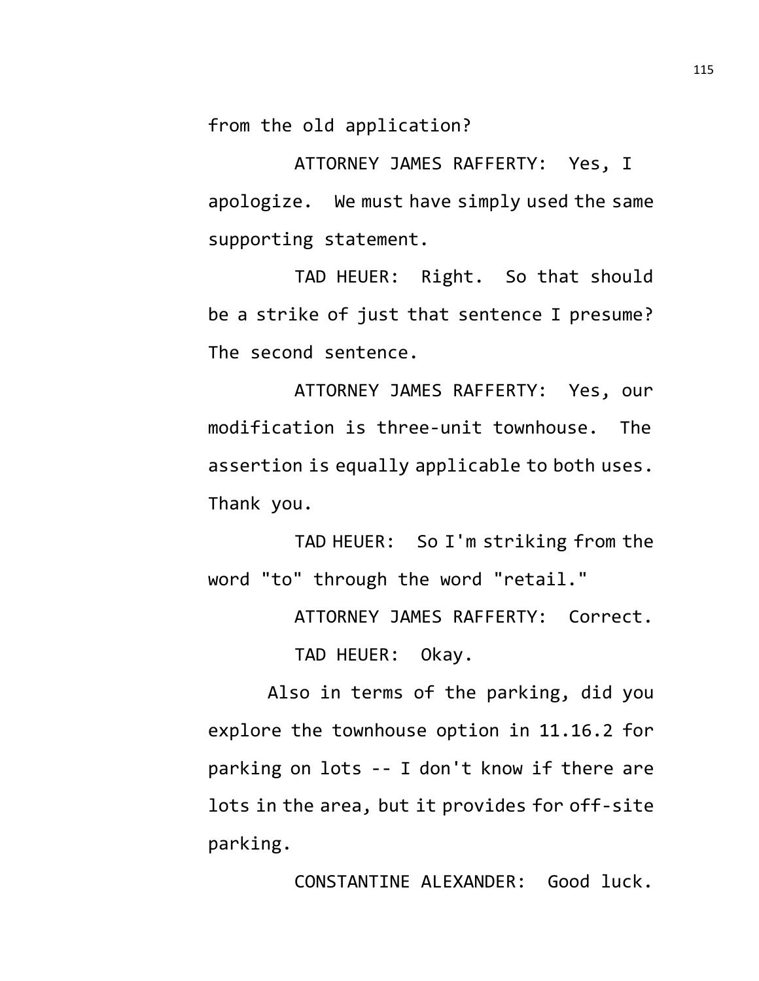from the old application?

ATTORNEY JAMES RAFFERTY: Yes, I apologize. We must have simply used the same supporting statement.

TAD HEUER: Right. So that should be a strike of just that sentence I presume? The second sentence.

ATTORNEY JAMES RAFFERTY: Yes, our modification is three-unit townhouse. The assertion is equally applicable to both uses. Thank you.

TAD HEUER: So I'm striking from the word "to" through the word "retail."

ATTORNEY JAMES RAFFERTY: Correct.

TAD HEUER: Okay.

Also in terms of the parking, did you explore the townhouse option in 11.16.2 for parking on lots -- I don't know if there are lots in the area, but it provides for off-site parking.

CONSTANTINE ALEXANDER: Good luck.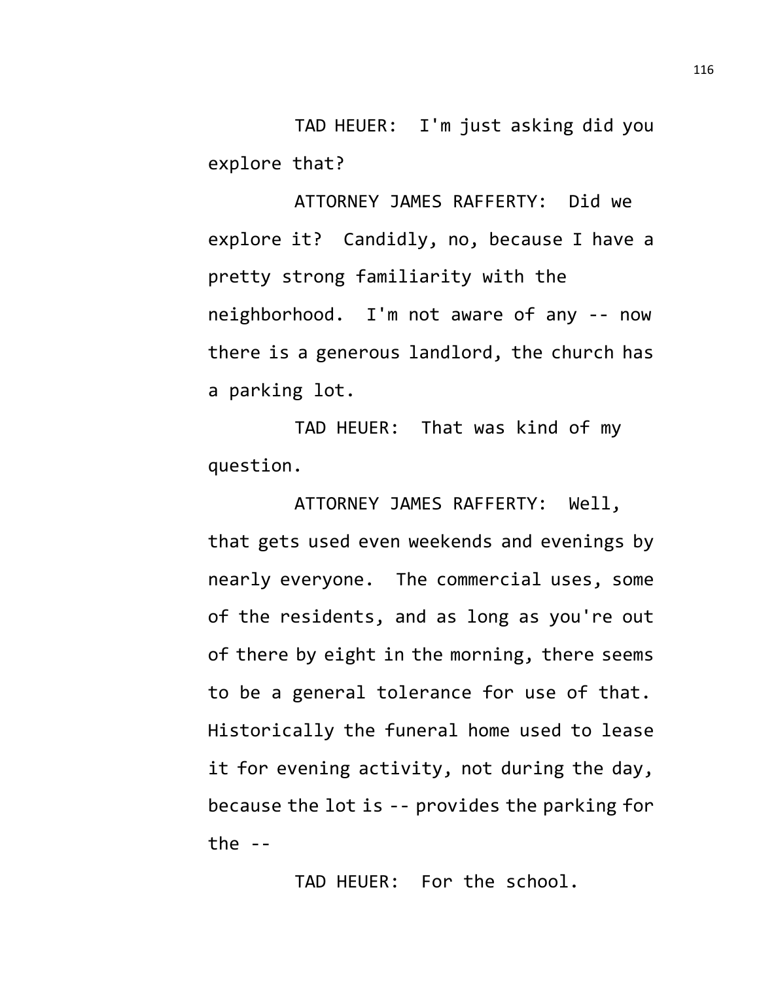TAD HEUER: I'm just asking did you explore that?

ATTORNEY JAMES RAFFERTY: Did we explore it? Candidly, no, because I have a pretty strong familiarity with the neighborhood. I'm not aware of any -- now there is a generous landlord, the church has a parking lot.

TAD HEUER: That was kind of my question.

ATTORNEY JAMES RAFFERTY: Well, that gets used even weekends and evenings by nearly everyone. The commercial uses, some of the residents, and as long as you're out of there by eight in the morning, there seems to be a general tolerance for use of that. Historically the funeral home used to lease it for evening activity, not during the day, because the lot is -- provides the parking for the  $-$ 

TAD HEUER: For the school.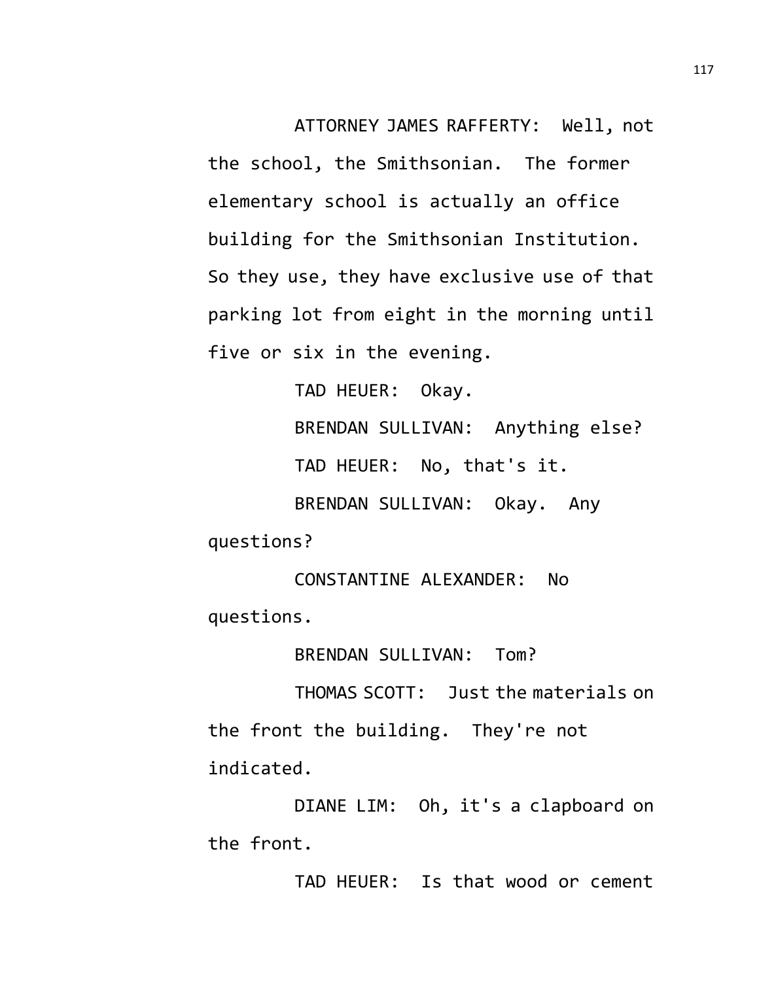ATTORNEY JAMES RAFFERTY: Well, not the school, the Smithsonian. The former elementary school is actually an office building for the Smithsonian Institution. So they use, they have exclusive use of that parking lot from eight in the morning until five or six in the evening.

> TAD HEUER: Okay. BRENDAN SULLIVAN: Anything else? TAD HEUER: No, that's it. BRENDAN SULLIVAN: Okay. Any

questions?

CONSTANTINE ALEXANDER: No questions.

BRENDAN SULLIVAN: Tom?

THOMAS SCOTT: Just the materials on the front the building. They're not indicated.

DIANE LIM: Oh, it's a clapboard on the front.

TAD HEUER: Is that wood or cement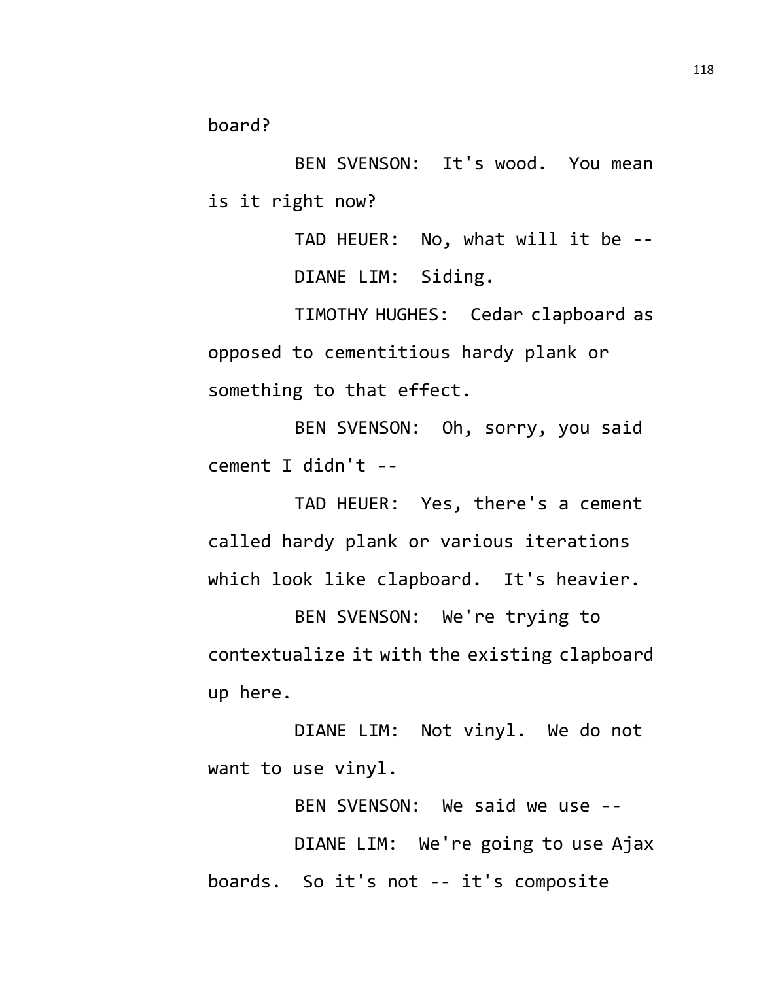board?

BEN SVENSON: It's wood. You mean is it right now?

> TAD HEUER: No, what will it be -- DIANE LIM: Siding.

TIMOTHY HUGHES: Cedar clapboard as opposed to cementitious hardy plank or something to that effect.

BEN SVENSON: Oh, sorry, you said cement I didn't --

TAD HEUER: Yes, there's a cement called hardy plank or various iterations which look like clapboard. It's heavier.

BEN SVENSON: We're trying to contextualize it with the existing clapboard up here.

DIANE LIM: Not vinyl. We do not want to use vinyl.

BEN SVENSON: We said we use --

DIANE LIM: We're going to use Ajax boards. So it's not -- it's composite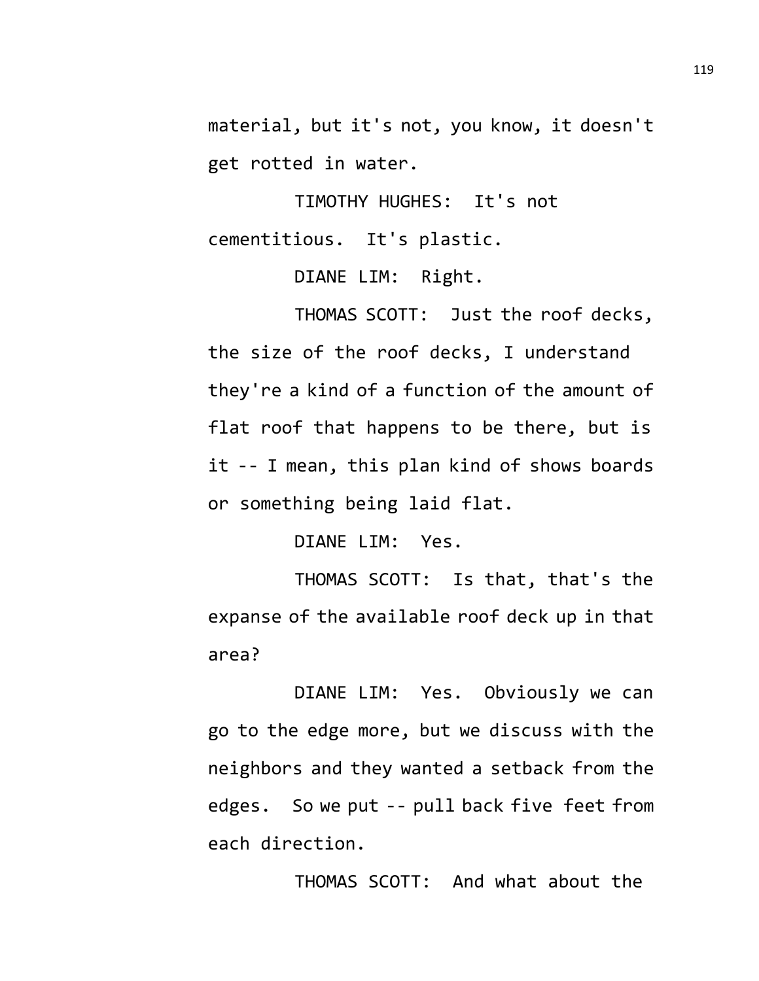material, but it's not, you know, it doesn't get rotted in water.

TIMOTHY HUGHES: It's not cementitious. It's plastic.

DIANE LIM: Right.

THOMAS SCOTT: Just the roof decks, the size of the roof decks, I understand they're a kind of a function of the amount of flat roof that happens to be there, but is it -- I mean, this plan kind of shows boards or something being laid flat.

DIANE LIM: Yes.

THOMAS SCOTT: Is that, that's the expanse of the available roof deck up in that area?

DIANE LIM: Yes. Obviously we can go to the edge more, but we discuss with the neighbors and they wanted a setback from the edges. So we put -- pull back five feet from each direction.

THOMAS SCOTT: And what about the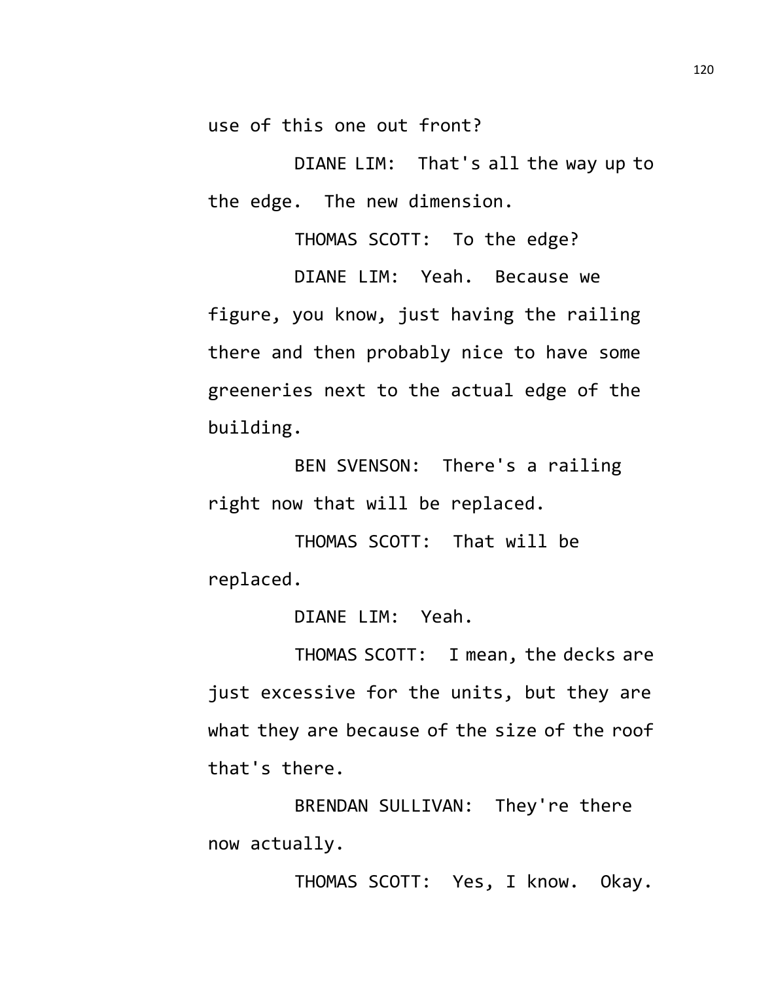use of this one out front?

DIANE LIM: That's all the way up to the edge. The new dimension.

THOMAS SCOTT: To the edge?

DIANE LIM: Yeah. Because we figure, you know, just having the railing there and then probably nice to have some greeneries next to the actual edge of the building.

BEN SVENSON: There's a railing right now that will be replaced.

THOMAS SCOTT: That will be replaced.

DIANE LIM: Yeah.

THOMAS SCOTT: I mean, the decks are just excessive for the units, but they are what they are because of the size of the roof that's there.

BRENDAN SULLIVAN: They're there now actually.

THOMAS SCOTT: Yes, I know. Okay.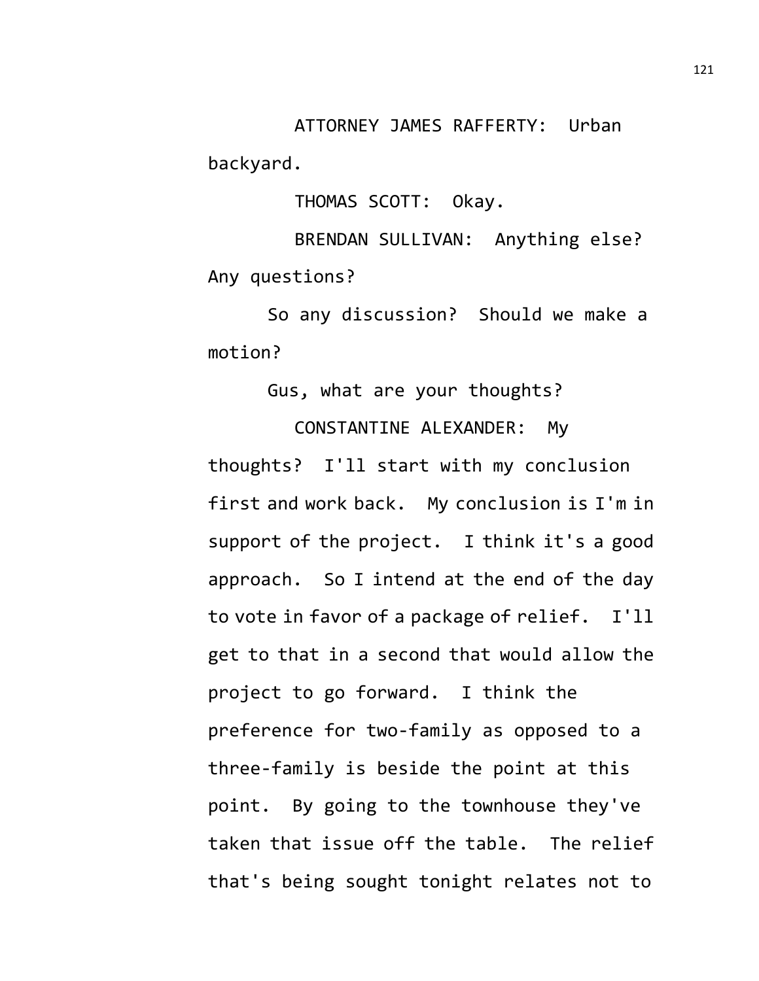ATTORNEY JAMES RAFFERTY: Urban backyard.

THOMAS SCOTT: Okay.

BRENDAN SULLIVAN: Anything else? Any questions?

So any discussion? Should we make a motion?

Gus, what are your thoughts?

CONSTANTINE ALEXANDER: My thoughts? I'll start with my conclusion first and work back. My conclusion is I'm in support of the project. I think it's a good approach. So I intend at the end of the day to vote in favor of a package of relief. I'll get to that in a second that would allow the project to go forward. I think the preference for two-family as opposed to a three-family is beside the point at this point. By going to the townhouse they've taken that issue off the table. The relief that's being sought tonight relates not to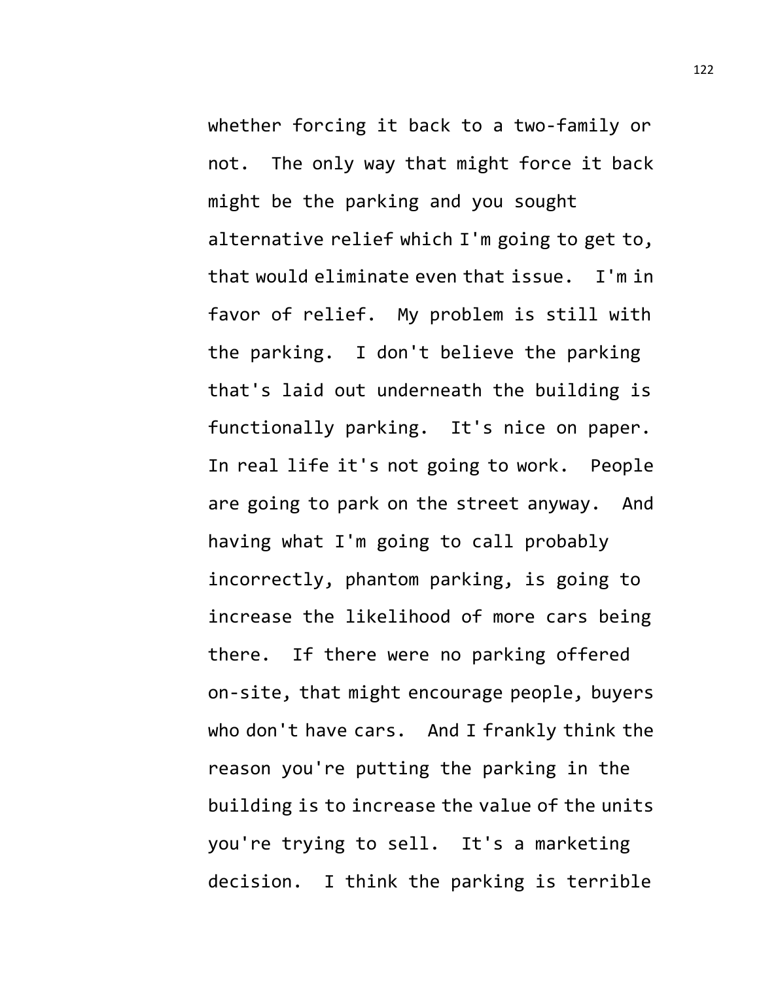whether forcing it back to a two-family or not. The only way that might force it back might be the parking and you sought alternative relief which I'm going to get to, that would eliminate even that issue. I'm in favor of relief. My problem is still with the parking. I don't believe the parking that's laid out underneath the building is functionally parking. It's nice on paper. In real life it's not going to work. People are going to park on the street anyway. And having what I'm going to call probably incorrectly, phantom parking, is going to increase the likelihood of more cars being there. If there were no parking offered on-site, that might encourage people, buyers who don't have cars. And I frankly think the reason you're putting the parking in the building is to increase the value of the units you're trying to sell. It's a marketing decision. I think the parking is terrible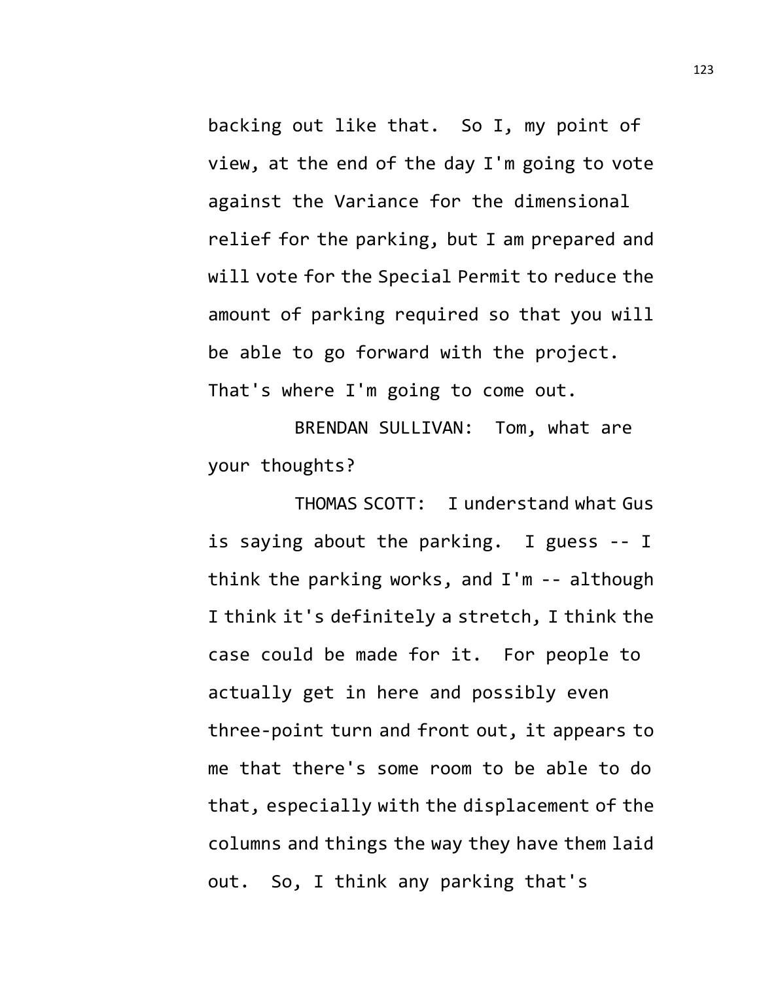backing out like that. So I, my point of view, at the end of the day I'm going to vote against the Variance for the dimensional relief for the parking, but I am prepared and will vote for the Special Permit to reduce the amount of parking required so that you will be able to go forward with the project. That's where I'm going to come out.

BRENDAN SULLIVAN: Tom, what are your thoughts?

THOMAS SCOTT: I understand what Gus is saying about the parking. I guess -- I think the parking works, and I'm -- although I think it's definitely a stretch, I think the case could be made for it. For people to actually get in here and possibly even three-point turn and front out, it appears to me that there's some room to be able to do that, especially with the displacement of the columns and things the way they have them laid out. So, I think any parking that's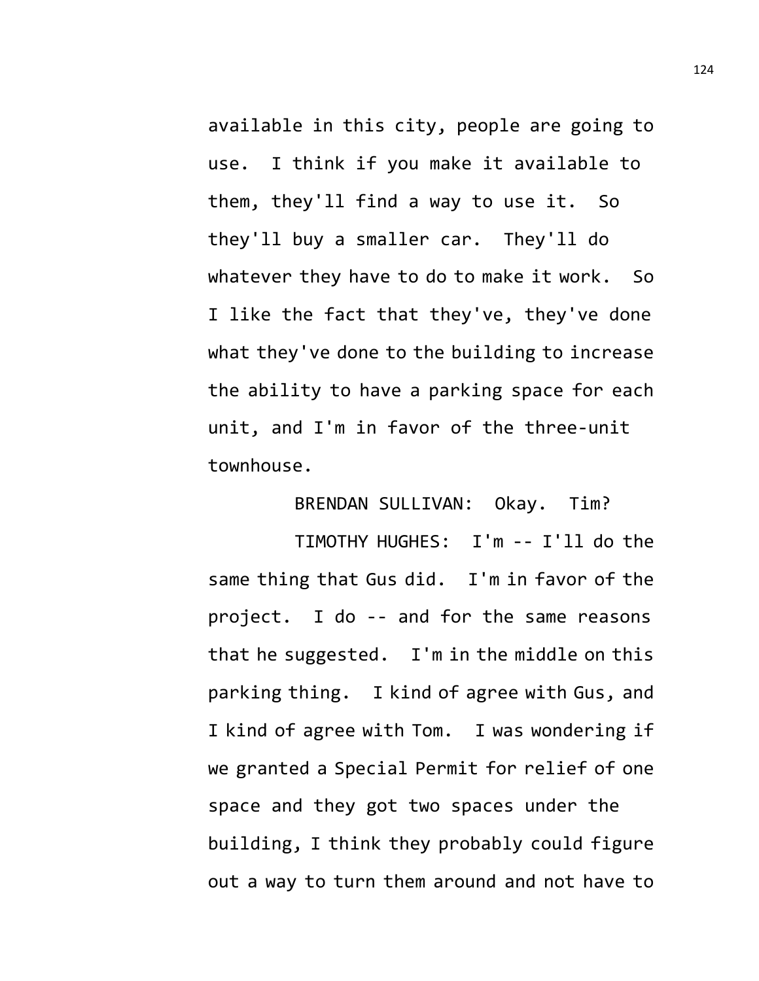available in this city, people are going to use. I think if you make it available to them, they'll find a way to use it. So they'll buy a smaller car. They'll do whatever they have to do to make it work. So I like the fact that they've, they've done what they've done to the building to increase the ability to have a parking space for each unit, and I'm in favor of the three-unit townhouse.

## BRENDAN SULLIVAN: Okay. Tim?

TIMOTHY HUGHES: I'm -- I'll do the same thing that Gus did. I'm in favor of the project. I do -- and for the same reasons that he suggested. I'm in the middle on this parking thing. I kind of agree with Gus, and I kind of agree with Tom. I was wondering if we granted a Special Permit for relief of one space and they got two spaces under the building, I think they probably could figure out a way to turn them around and not have to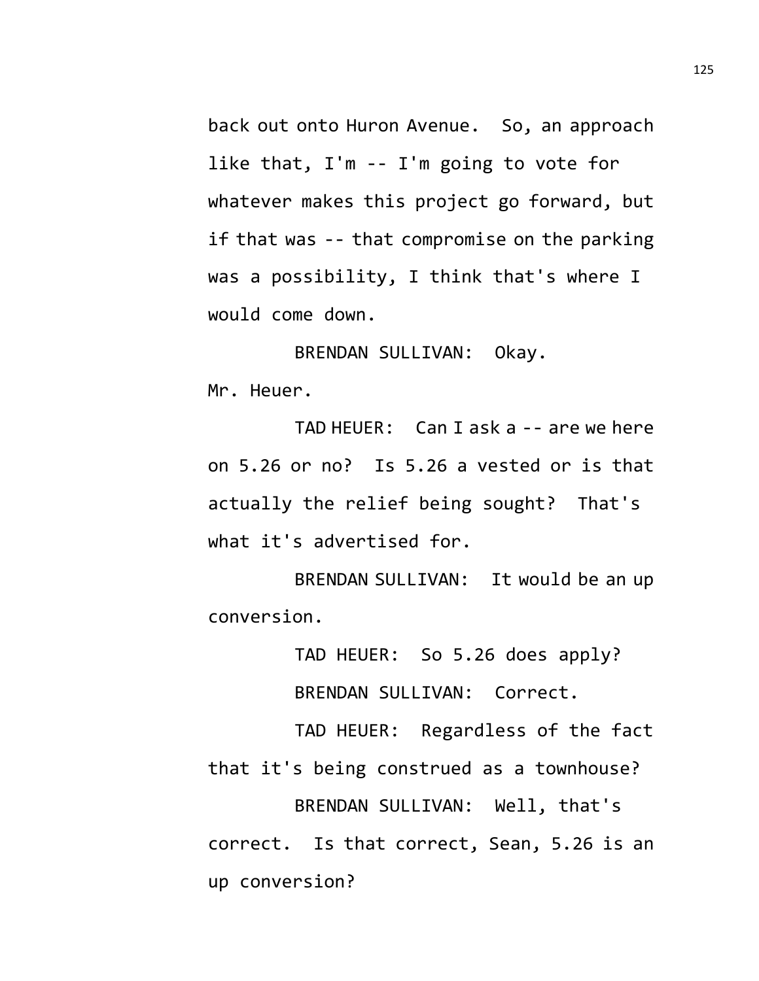back out onto Huron Avenue. So, an approach like that, I'm -- I'm going to vote for whatever makes this project go forward, but if that was -- that compromise on the parking was a possibility, I think that's where I would come down.

BRENDAN SULLIVAN: Okay. Mr. Heuer.

TAD HEUER: Can I ask a -- are we here on 5.26 or no? Is 5.26 a vested or is that actually the relief being sought? That's what it's advertised for.

BRENDAN SULLIVAN: It would be an up conversion.

TAD HEUER: So 5.26 does apply?

BRENDAN SULLIVAN: Correct.

TAD HEUER: Regardless of the fact that it's being construed as a townhouse? BRENDAN SULLIVAN: Well, that's correct. Is that correct, Sean, 5.26 is an up conversion?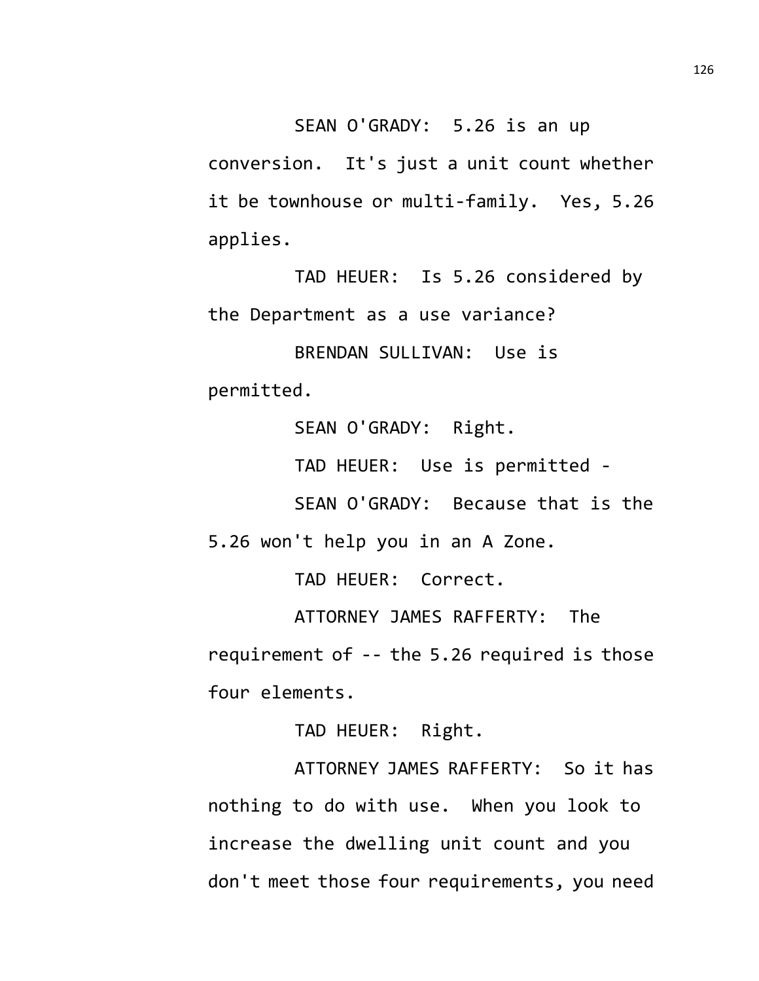SEAN O'GRADY: 5.26 is an up

conversion. It's just a unit count whether it be townhouse or multi-family. Yes, 5.26 applies.

TAD HEUER: Is 5.26 considered by the Department as a use variance?

BRENDAN SULLIVAN: Use is permitted.

SEAN O'GRADY: Right.

TAD HEUER: Use is permitted -

SEAN O'GRADY: Because that is the

5.26 won't help you in an A Zone.

TAD HEUER: Correct.

ATTORNEY JAMES RAFFERTY: The requirement of -- the 5.26 required is those four elements.

TAD HEUER: Right.

ATTORNEY JAMES RAFFERTY: So it has nothing to do with use. When you look to increase the dwelling unit count and you don't meet those four requirements, you need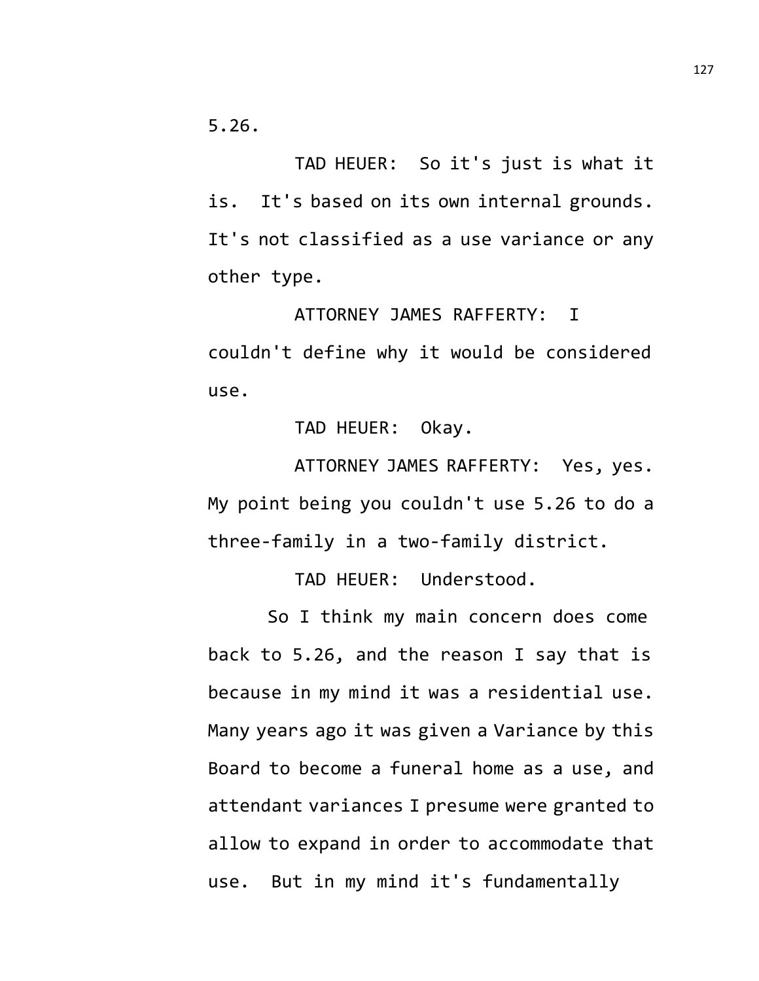5.26.

TAD HEUER: So it's just is what it is. It's based on its own internal grounds. It's not classified as a use variance or any other type.

ATTORNEY JAMES RAFFERTY: I couldn't define why it would be considered use.

TAD HEUER: Okay.

ATTORNEY JAMES RAFFERTY: Yes, yes. My point being you couldn't use 5.26 to do a three-family in a two-family district.

TAD HEUER: Understood.

So I think my main concern does come back to 5.26, and the reason I say that is because in my mind it was a residential use. Many years ago it was given a Variance by this Board to become a funeral home as a use, and attendant variances I presume were granted to allow to expand in order to accommodate that use. But in my mind it's fundamentally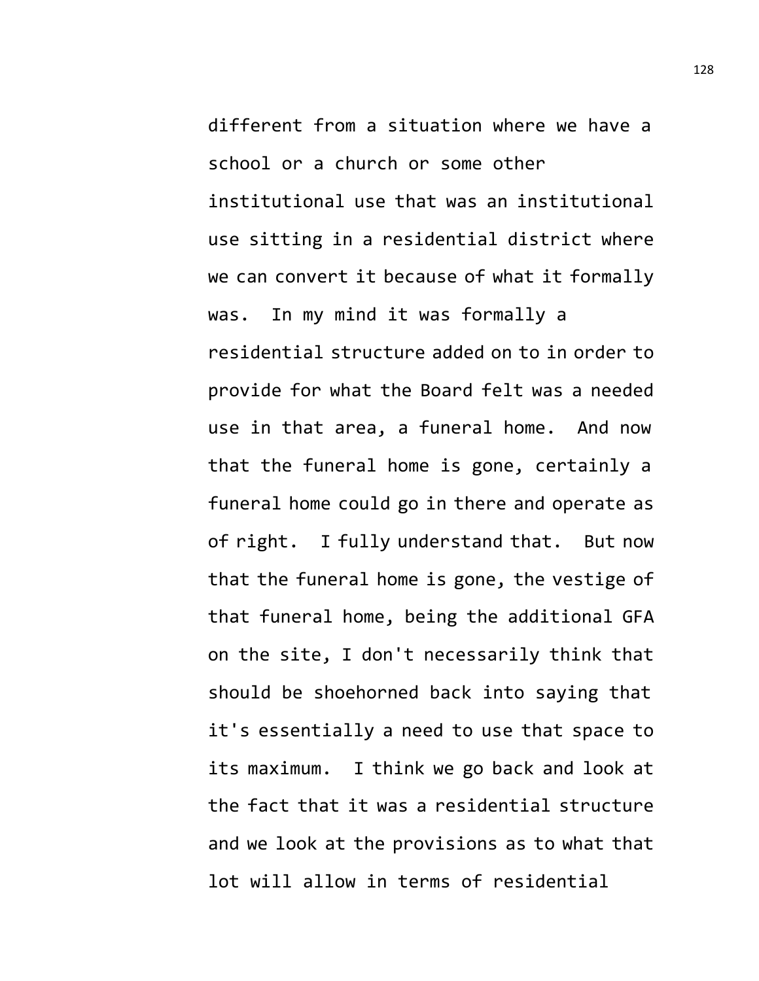different from a situation where we have a school or a church or some other institutional use that was an institutional use sitting in a residential district where we can convert it because of what it formally was. In my mind it was formally a residential structure added on to in order to provide for what the Board felt was a needed use in that area, a funeral home. And now that the funeral home is gone, certainly a funeral home could go in there and operate as of right. I fully understand that. But now that the funeral home is gone, the vestige of that funeral home, being the additional GFA on the site, I don't necessarily think that should be shoehorned back into saying that it's essentially a need to use that space to its maximum. I think we go back and look at the fact that it was a residential structure and we look at the provisions as to what that lot will allow in terms of residential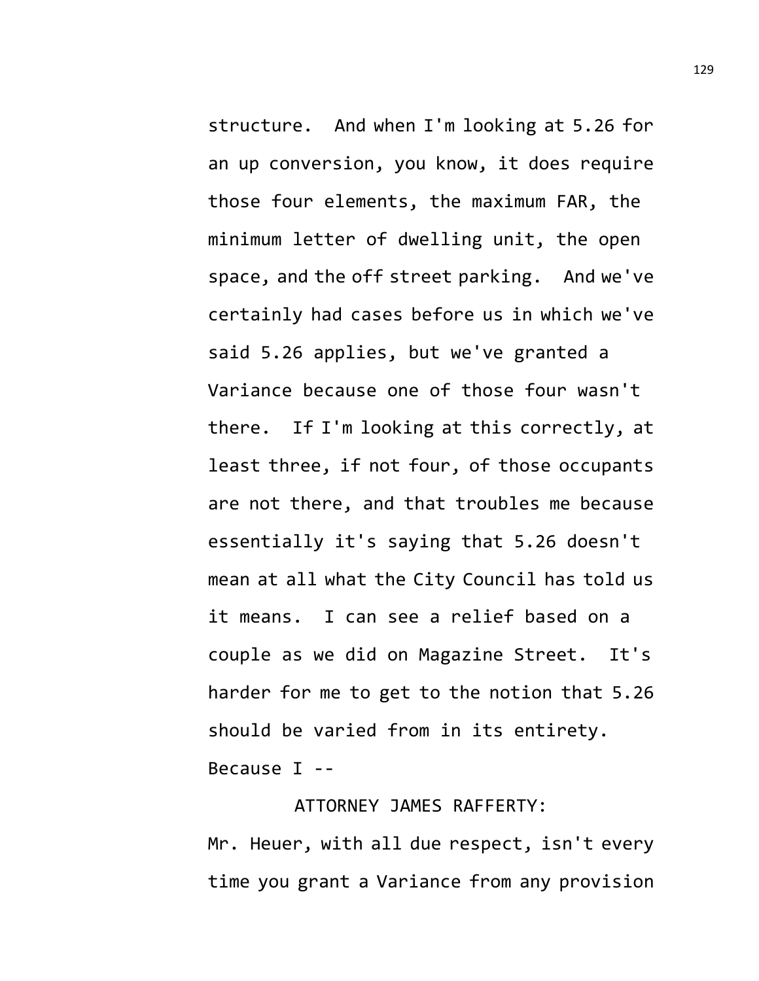structure. And when I'm looking at 5.26 for an up conversion, you know, it does require those four elements, the maximum FAR, the minimum letter of dwelling unit, the open space, and the off street parking. And we've certainly had cases before us in which we've said 5.26 applies, but we've granted a Variance because one of those four wasn't there. If I'm looking at this correctly, at least three, if not four, of those occupants are not there, and that troubles me because essentially it's saying that 5.26 doesn't mean at all what the City Council has told us it means. I can see a relief based on a couple as we did on Magazine Street. It's harder for me to get to the notion that 5.26 should be varied from in its entirety. Because I --

## ATTORNEY JAMES RAFFERTY:

Mr. Heuer, with all due respect, isn't every time you grant a Variance from any provision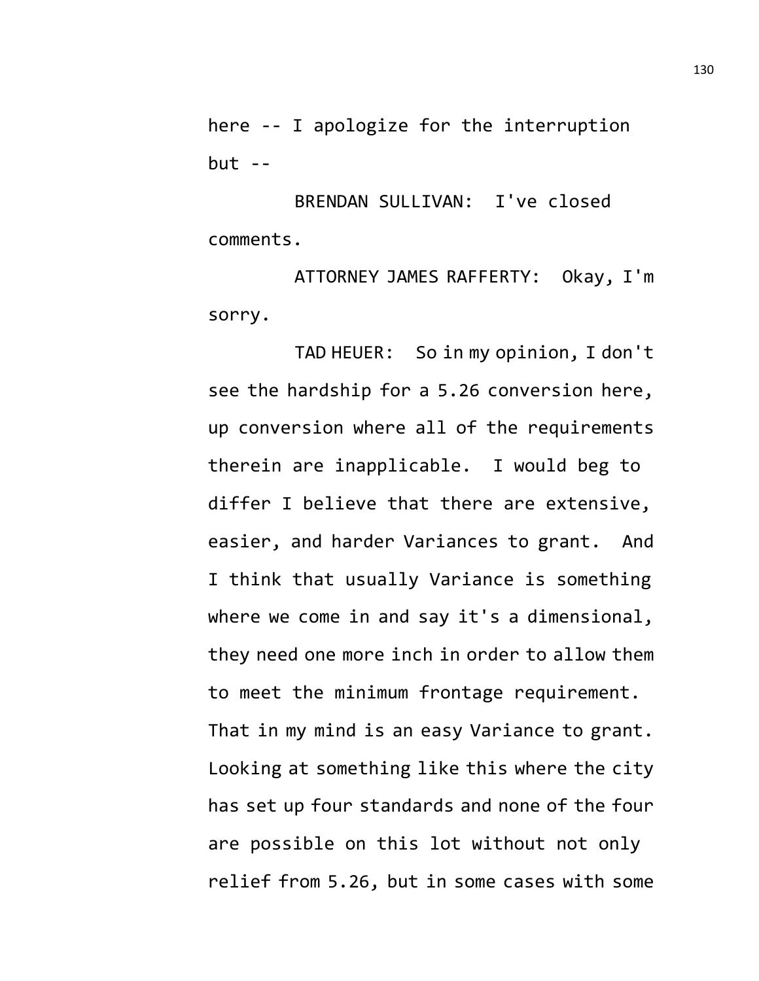here -- I apologize for the interruption  $but --$ 

BRENDAN SULLIVAN: I've closed comments.

ATTORNEY JAMES RAFFERTY: Okay, I'm sorry.

TAD HEUER: So in my opinion, I don't see the hardship for a 5.26 conversion here, up conversion where all of the requirements therein are inapplicable. I would beg to differ I believe that there are extensive, easier, and harder Variances to grant. And I think that usually Variance is something where we come in and say it's a dimensional, they need one more inch in order to allow them to meet the minimum frontage requirement. That in my mind is an easy Variance to grant. Looking at something like this where the city has set up four standards and none of the four are possible on this lot without not only relief from 5.26, but in some cases with some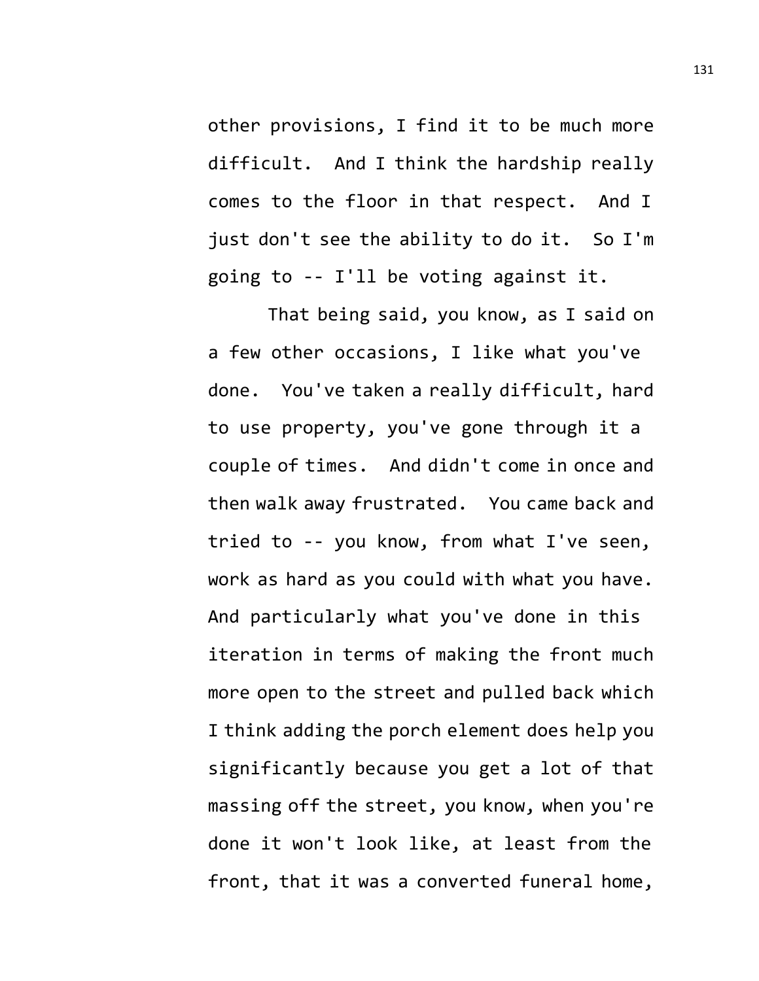other provisions, I find it to be much more difficult. And I think the hardship really comes to the floor in that respect. And I just don't see the ability to do it. So I'm going to -- I'll be voting against it.

That being said, you know, as I said on a few other occasions, I like what you've done. You've taken a really difficult, hard to use property, you've gone through it a couple of times. And didn't come in once and then walk away frustrated. You came back and tried to -- you know, from what I've seen, work as hard as you could with what you have. And particularly what you've done in this iteration in terms of making the front much more open to the street and pulled back which I think adding the porch element does help you significantly because you get a lot of that massing off the street, you know, when you're done it won't look like, at least from the front, that it was a converted funeral home,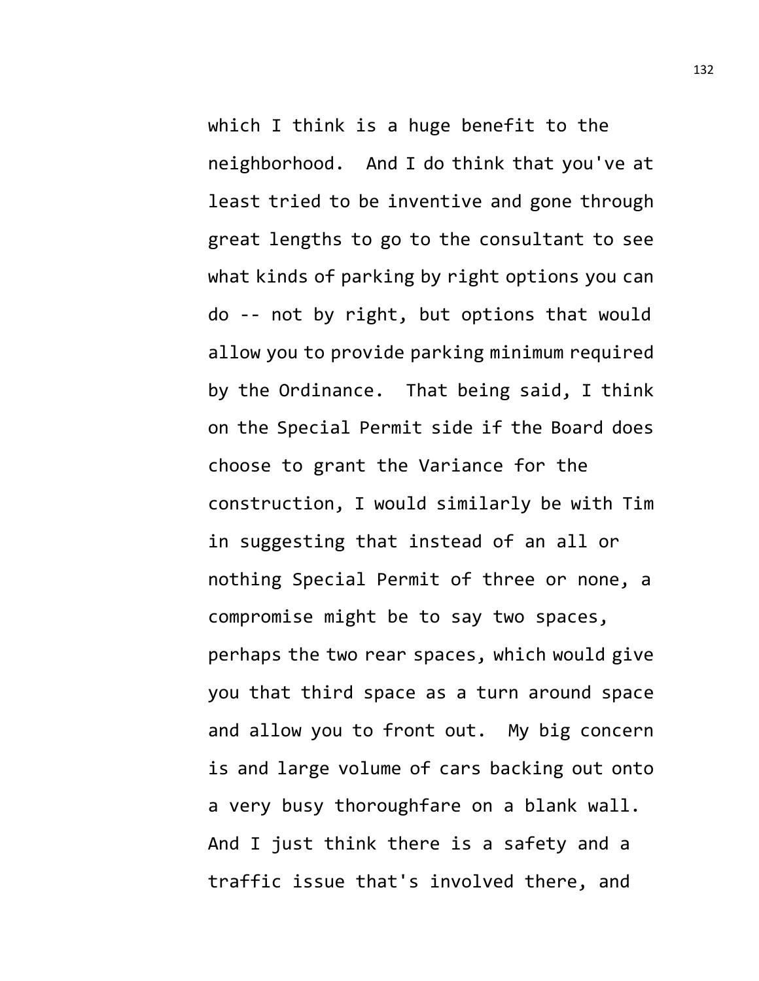which I think is a huge benefit to the neighborhood. And I do think that you've at least tried to be inventive and gone through great lengths to go to the consultant to see what kinds of parking by right options you can do -- not by right, but options that would allow you to provide parking minimum required by the Ordinance. That being said, I think on the Special Permit side if the Board does choose to grant the Variance for the construction, I would similarly be with Tim in suggesting that instead of an all or nothing Special Permit of three or none, a compromise might be to say two spaces, perhaps the two rear spaces, which would give you that third space as a turn around space and allow you to front out. My big concern is and large volume of cars backing out onto a very busy thoroughfare on a blank wall. And I just think there is a safety and a traffic issue that's involved there, and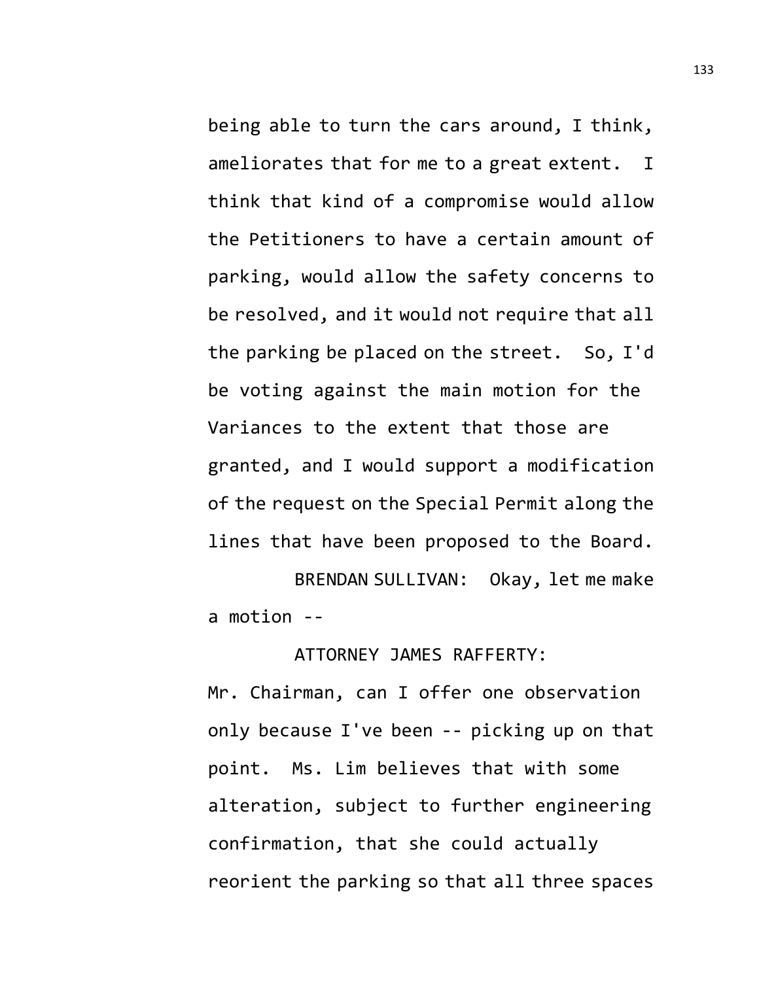being able to turn the cars around, I think, ameliorates that for me to a great extent. I think that kind of a compromise would allow the Petitioners to have a certain amount of parking, would allow the safety concerns to be resolved, and it would not require that all the parking be placed on the street. So, I'd be voting against the main motion for the Variances to the extent that those are granted, and I would support a modification of the request on the Special Permit along the lines that have been proposed to the Board.

BRENDAN SULLIVAN: Okay, let me make a motion --

ATTORNEY JAMES RAFFERTY:

Mr. Chairman, can I offer one observation only because I've been -- picking up on that point. Ms. Lim believes that with some alteration, subject to further engineering confirmation, that she could actually reorient the parking so that all three spaces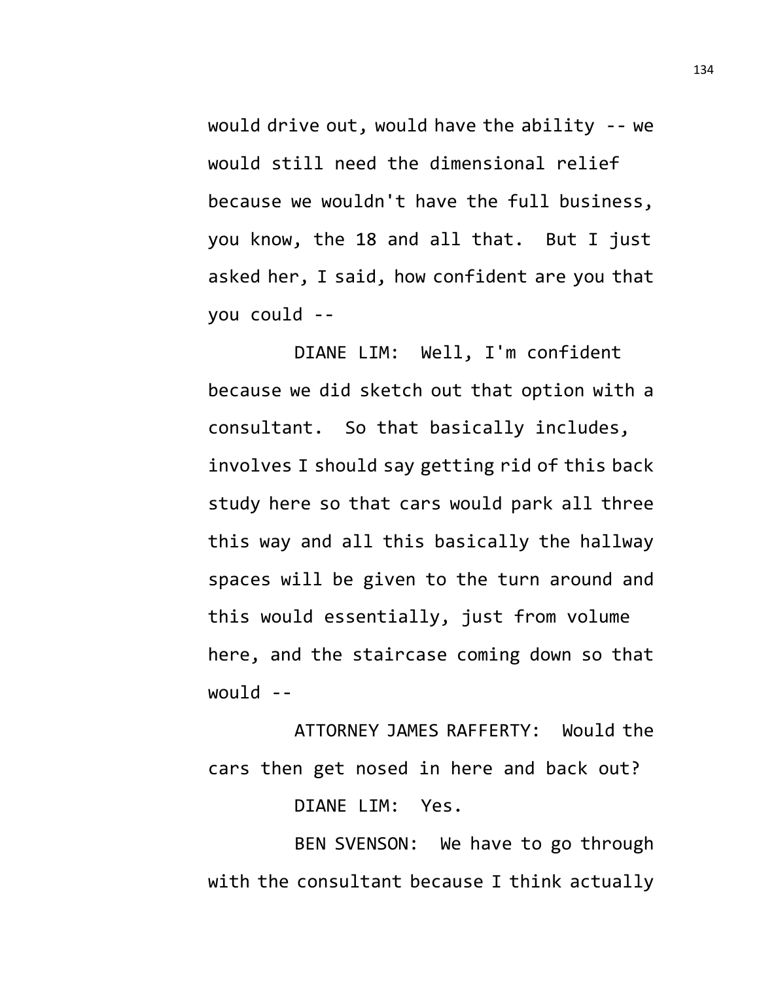would drive out, would have the ability -- we would still need the dimensional relief because we wouldn't have the full business, you know, the 18 and all that. But I just asked her, I said, how confident are you that you could --

DIANE LIM: Well, I'm confident because we did sketch out that option with a consultant. So that basically includes, involves I should say getting rid of this back study here so that cars would park all three this way and all this basically the hallway spaces will be given to the turn around and this would essentially, just from volume here, and the staircase coming down so that would --

ATTORNEY JAMES RAFFERTY: Would the cars then get nosed in here and back out?

DIANE LIM: Yes.

BEN SVENSON: We have to go through with the consultant because I think actually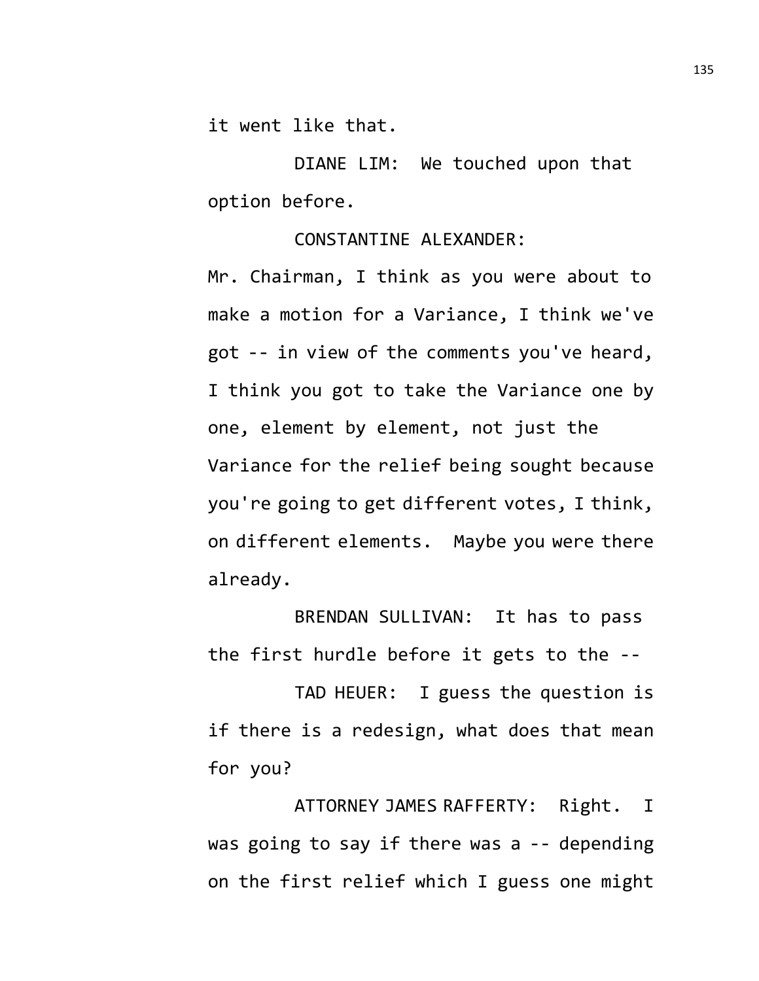it went like that.

DIANE LIM: We touched upon that option before.

## CONSTANTINE ALEXANDER:

Mr. Chairman, I think as you were about to make a motion for a Variance, I think we've got -- in view of the comments you've heard, I think you got to take the Variance one by one, element by element, not just the Variance for the relief being sought because you're going to get different votes, I think, on different elements. Maybe you were there already.

BRENDAN SULLIVAN: It has to pass the first hurdle before it gets to the --

TAD HEUER: I guess the question is if there is a redesign, what does that mean for you?

ATTORNEY JAMES RAFFERTY: Right. I was going to say if there was a -- depending on the first relief which I guess one might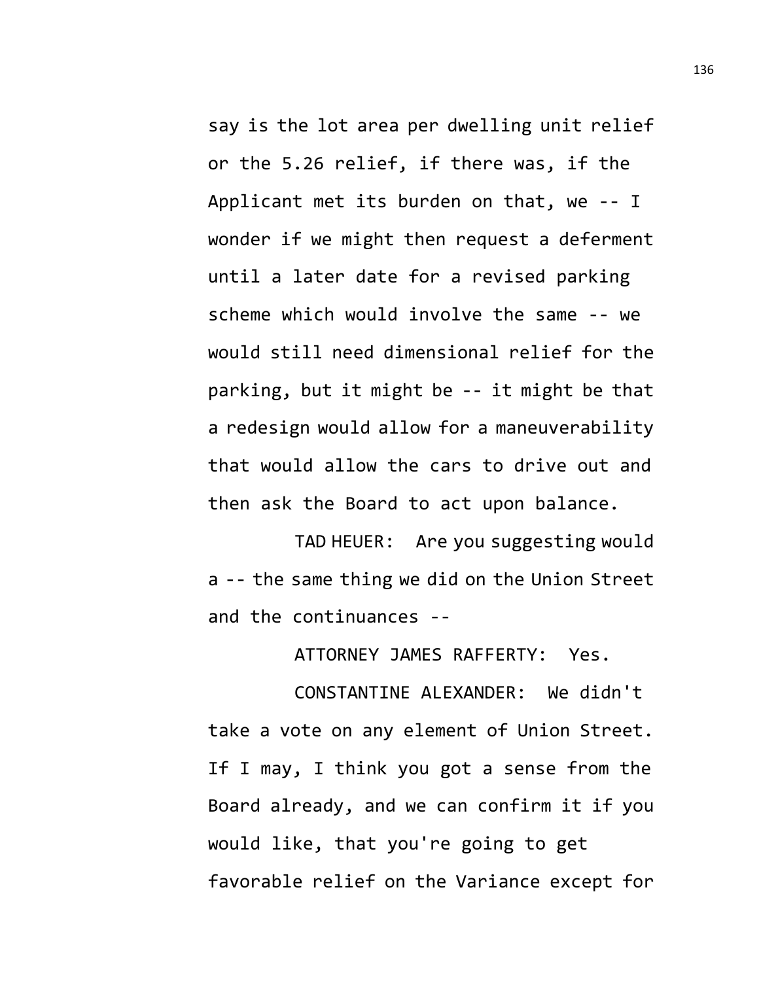say is the lot area per dwelling unit relief or the 5.26 relief, if there was, if the Applicant met its burden on that, we -- I wonder if we might then request a deferment until a later date for a revised parking scheme which would involve the same -- we would still need dimensional relief for the parking, but it might be -- it might be that a redesign would allow for a maneuverability that would allow the cars to drive out and then ask the Board to act upon balance.

TAD HEUER: Are you suggesting would a -- the same thing we did on the Union Street and the continuances --

ATTORNEY JAMES RAFFERTY: Yes.

CONSTANTINE ALEXANDER: We didn't take a vote on any element of Union Street. If I may, I think you got a sense from the Board already, and we can confirm it if you would like, that you're going to get favorable relief on the Variance except for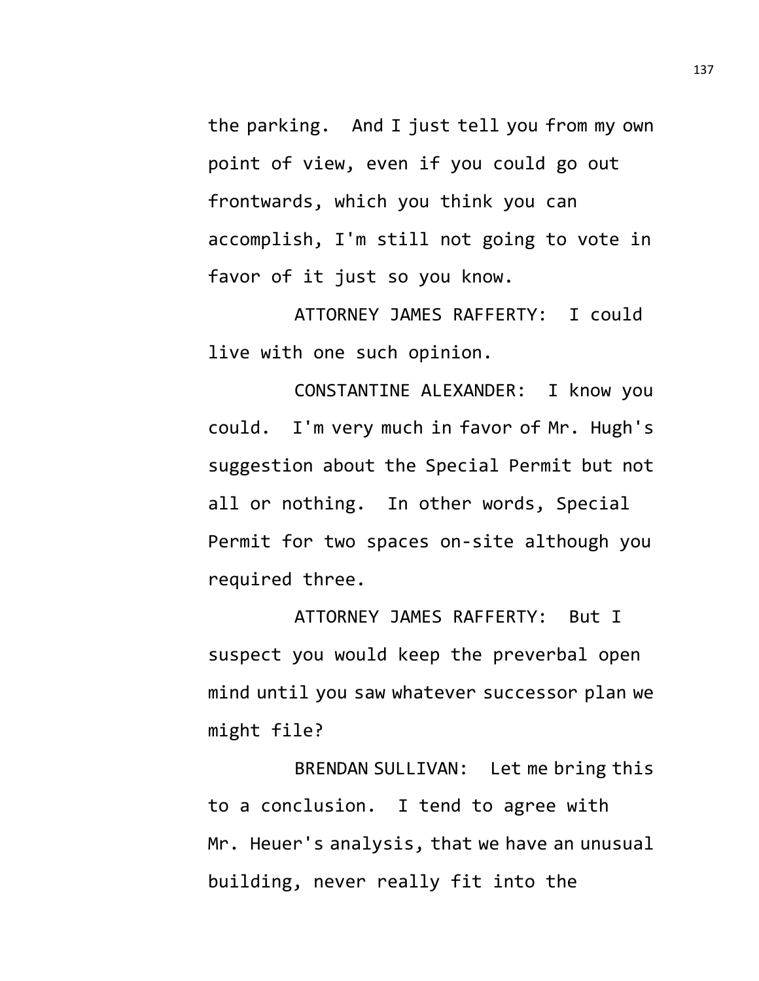the parking. And I just tell you from my own point of view, even if you could go out frontwards, which you think you can accomplish, I'm still not going to vote in favor of it just so you know.

ATTORNEY JAMES RAFFERTY: I could live with one such opinion.

CONSTANTINE ALEXANDER: I know you could. I'm very much in favor of Mr. Hugh's suggestion about the Special Permit but not all or nothing. In other words, Special Permit for two spaces on-site although you required three.

ATTORNEY JAMES RAFFERTY: But I suspect you would keep the preverbal open mind until you saw whatever successor plan we might file?

BRENDAN SULLIVAN: Let me bring this to a conclusion. I tend to agree with Mr. Heuer's analysis, that we have an unusual building, never really fit into the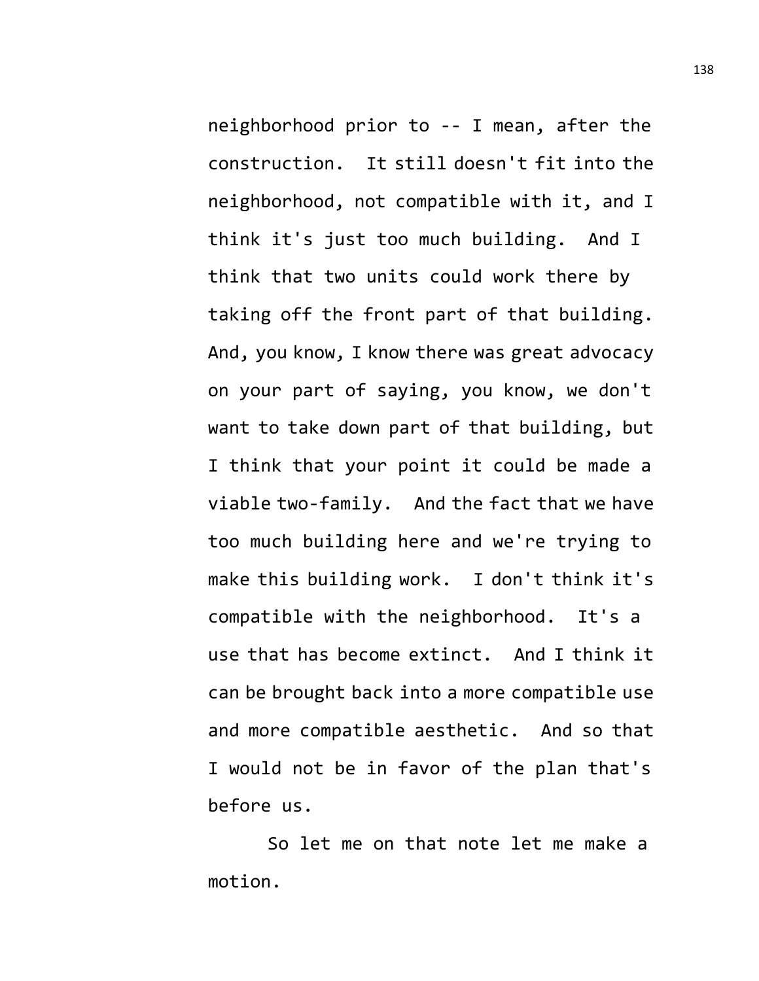neighborhood prior to -- I mean, after the construction. It still doesn't fit into the neighborhood, not compatible with it, and I think it's just too much building. And I think that two units could work there by taking off the front part of that building. And, you know, I know there was great advocacy on your part of saying, you know, we don't want to take down part of that building, but I think that your point it could be made a viable two-family. And the fact that we have too much building here and we're trying to make this building work. I don't think it's compatible with the neighborhood. It's a use that has become extinct. And I think it can be brought back into a more compatible use and more compatible aesthetic. And so that I would not be in favor of the plan that's before us.

So let me on that note let me make a motion.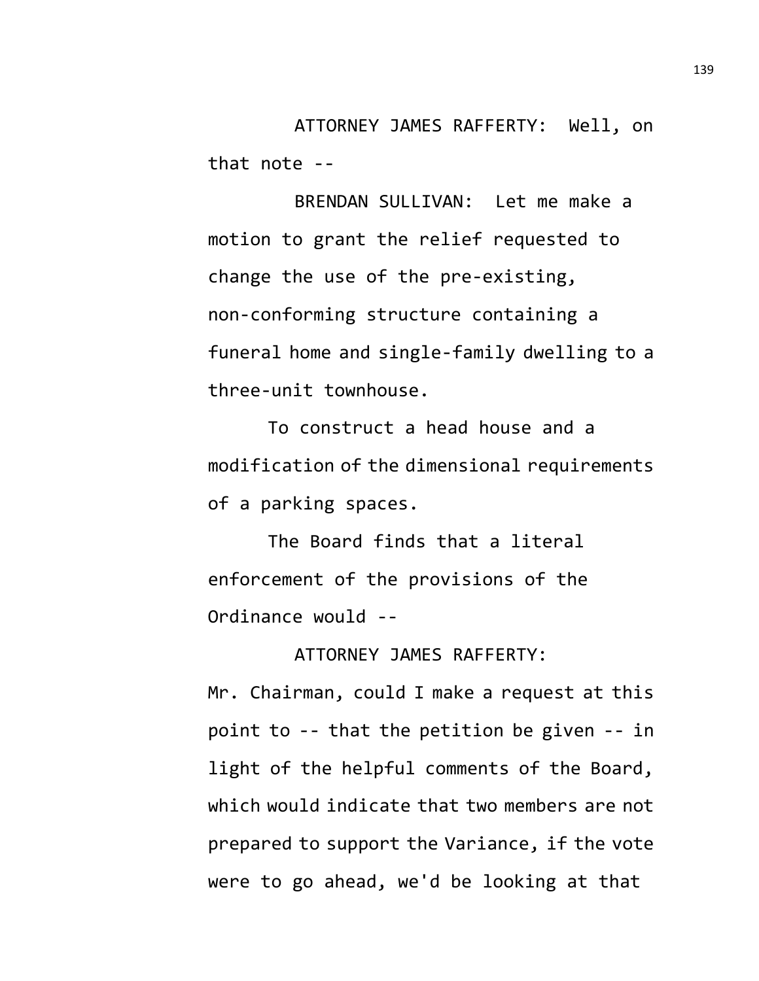ATTORNEY JAMES RAFFERTY: Well, on that note --

BRENDAN SULLIVAN: Let me make a motion to grant the relief requested to change the use of the pre-existing, non-conforming structure containing a funeral home and single-family dwelling to a three-unit townhouse.

To construct a head house and a modification of the dimensional requirements of a parking spaces.

The Board finds that a literal enforcement of the provisions of the Ordinance would --

ATTORNEY JAMES RAFFERTY:

Mr. Chairman, could I make a request at this point to -- that the petition be given -- in light of the helpful comments of the Board, which would indicate that two members are not prepared to support the Variance, if the vote were to go ahead, we'd be looking at that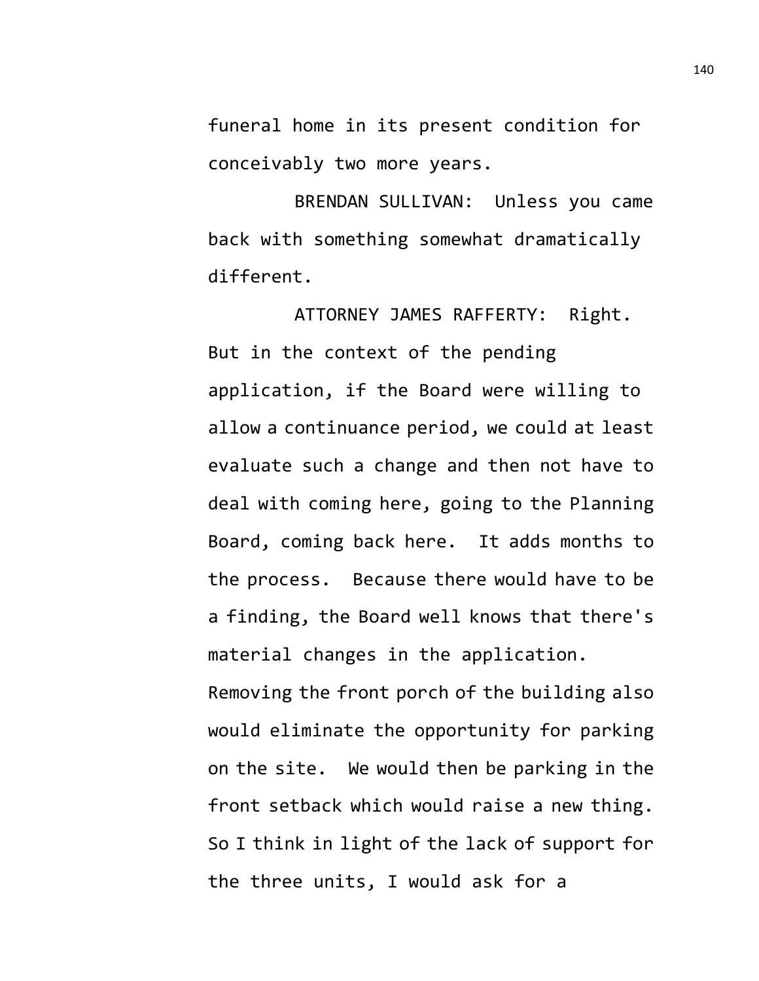funeral home in its present condition for conceivably two more years.

BRENDAN SULLIVAN: Unless you came back with something somewhat dramatically different.

ATTORNEY JAMES RAFFERTY: Right. But in the context of the pending application, if the Board were willing to allow a continuance period, we could at least evaluate such a change and then not have to deal with coming here, going to the Planning Board, coming back here. It adds months to the process. Because there would have to be a finding, the Board well knows that there's material changes in the application.

Removing the front porch of the building also would eliminate the opportunity for parking on the site. We would then be parking in the front setback which would raise a new thing. So I think in light of the lack of support for the three units, I would ask for a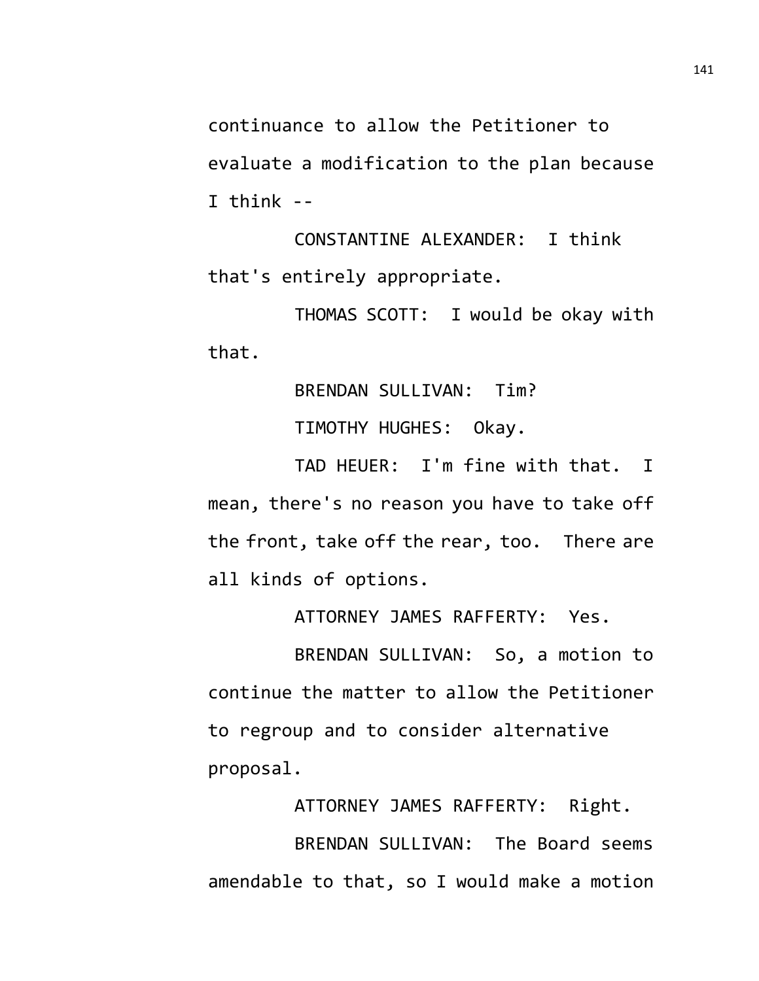continuance to allow the Petitioner to evaluate a modification to the plan because I think --

CONSTANTINE ALEXANDER: I think that's entirely appropriate.

THOMAS SCOTT: I would be okay with that.

> BRENDAN SULLIVAN: Tim? TIMOTHY HUGHES: Okay.

TAD HEUER: I'm fine with that. I mean, there's no reason you have to take off the front, take off the rear, too. There are all kinds of options.

ATTORNEY JAMES RAFFERTY: Yes.

BRENDAN SULLIVAN: So, a motion to continue the matter to allow the Petitioner to regroup and to consider alternative proposal.

ATTORNEY JAMES RAFFERTY: Right. BRENDAN SULLIVAN: The Board seems amendable to that, so I would make a motion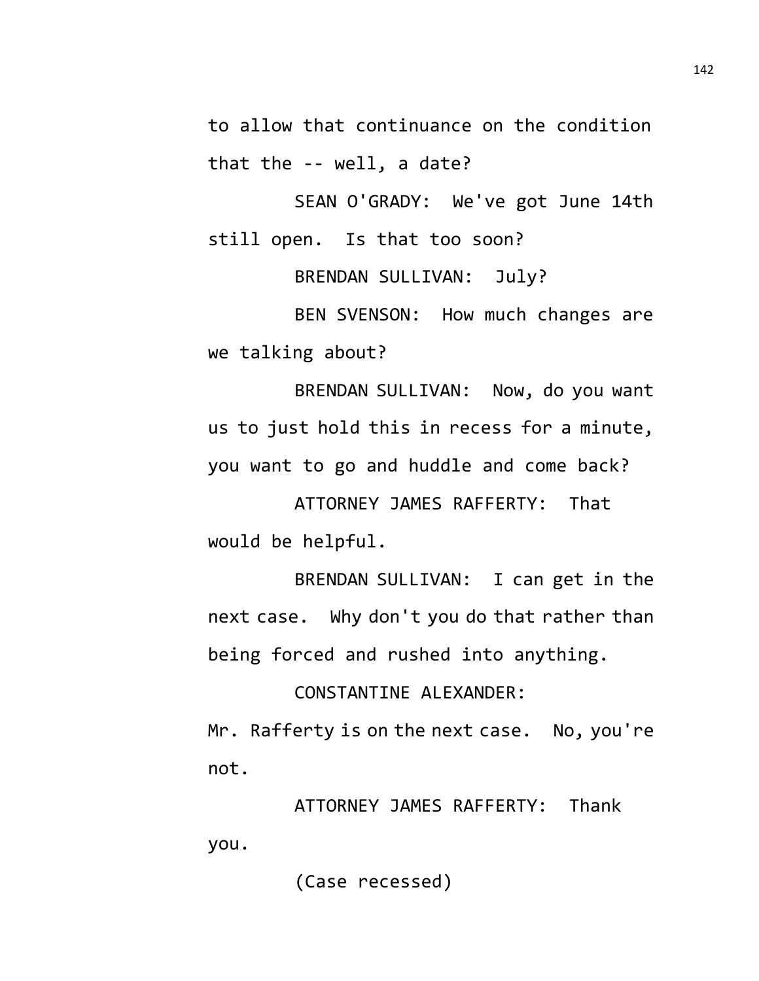to allow that continuance on the condition that the -- well, a date?

SEAN O'GRADY: We've got June 14th still open. Is that too soon?

BRENDAN SULLIVAN: July?

BEN SVENSON: How much changes are we talking about?

BRENDAN SULLIVAN: Now, do you want us to just hold this in recess for a minute, you want to go and huddle and come back?

ATTORNEY JAMES RAFFERTY: That would be helpful.

BRENDAN SULLIVAN: I can get in the next case. Why don't you do that rather than being forced and rushed into anything.

CONSTANTINE ALEXANDER:

Mr. Rafferty is on the next case. No, you're not.

ATTORNEY JAMES RAFFERTY: Thank you.

(Case recessed)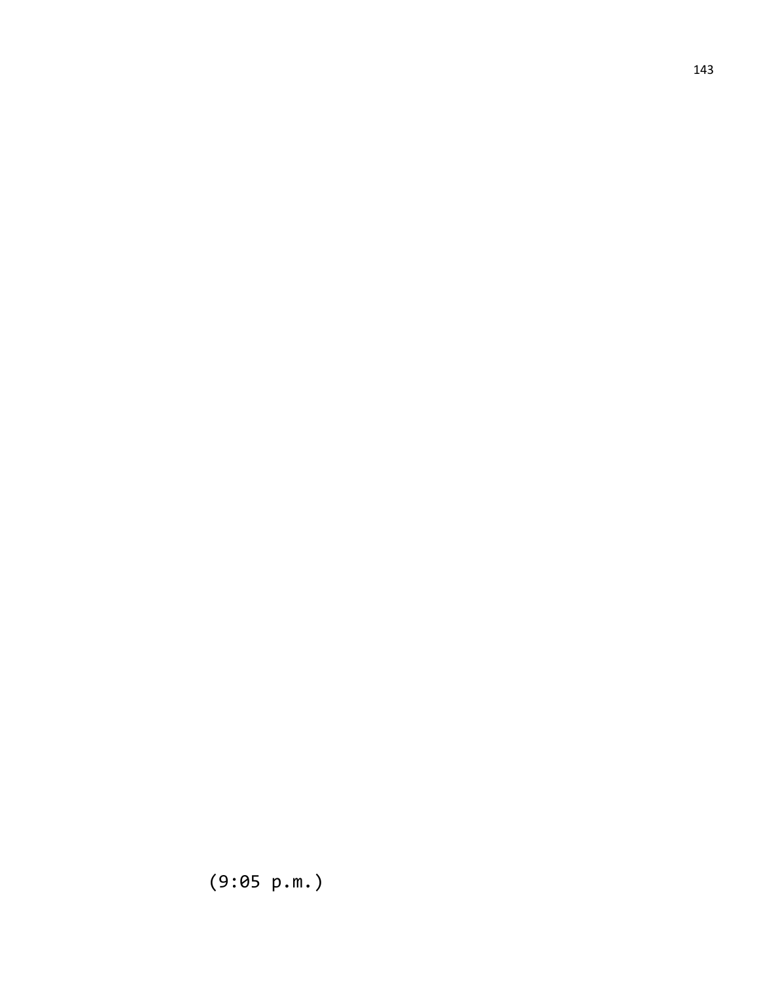(9:05 p.m.)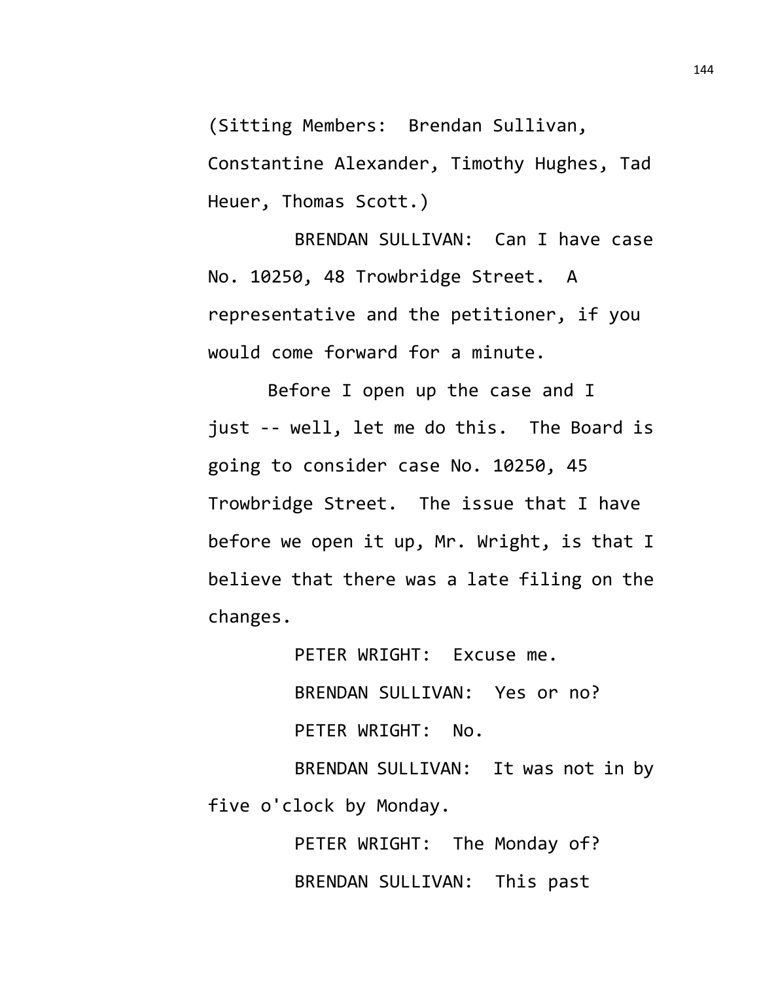(Sitting Members: Brendan Sullivan,

Constantine Alexander, Timothy Hughes, Tad Heuer, Thomas Scott.)

BRENDAN SULLIVAN: Can I have case No. 10250, 48 Trowbridge Street. A representative and the petitioner, if you would come forward for a minute.

Before I open up the case and I just -- well, let me do this. The Board is going to consider case No. 10250, 45 Trowbridge Street. The issue that I have before we open it up, Mr. Wright, is that I believe that there was a late filing on the changes.

> PETER WRIGHT: Excuse me. BRENDAN SULLIVAN: Yes or no? PETER WRIGHT: No.

BRENDAN SULLIVAN: It was not in by five o'clock by Monday.

> PETER WRIGHT: The Monday of? BRENDAN SULLIVAN: This past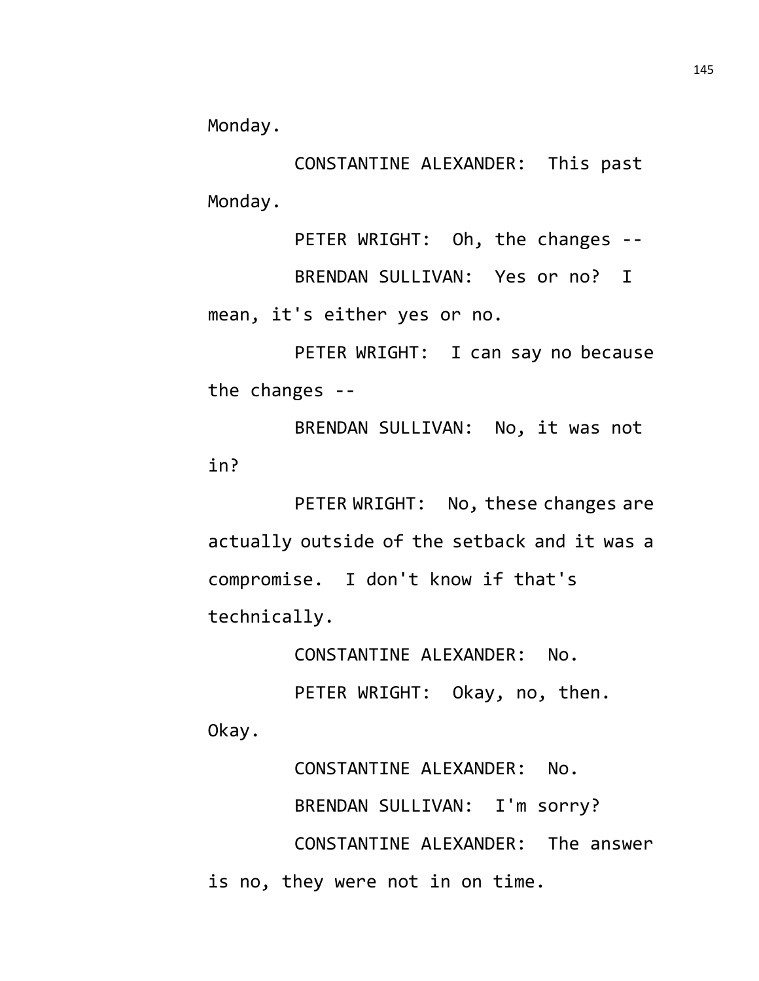Monday.

CONSTANTINE ALEXANDER: This past Monday.

PETER WRIGHT: Oh, the changes -- BRENDAN SULLIVAN: Yes or no? I mean, it's either yes or no.

PETER WRIGHT: I can say no because the changes --

BRENDAN SULLIVAN: No, it was not in?

PETER WRIGHT: No, these changes are actually outside of the setback and it was a compromise. I don't know if that's technically.

CONSTANTINE ALEXANDER: No.

PETER WRIGHT: Okay, no, then. Okay.

CONSTANTINE ALEXANDER: No.

BRENDAN SULLIVAN: I'm sorry?

CONSTANTINE ALEXANDER: The answer is no, they were not in on time.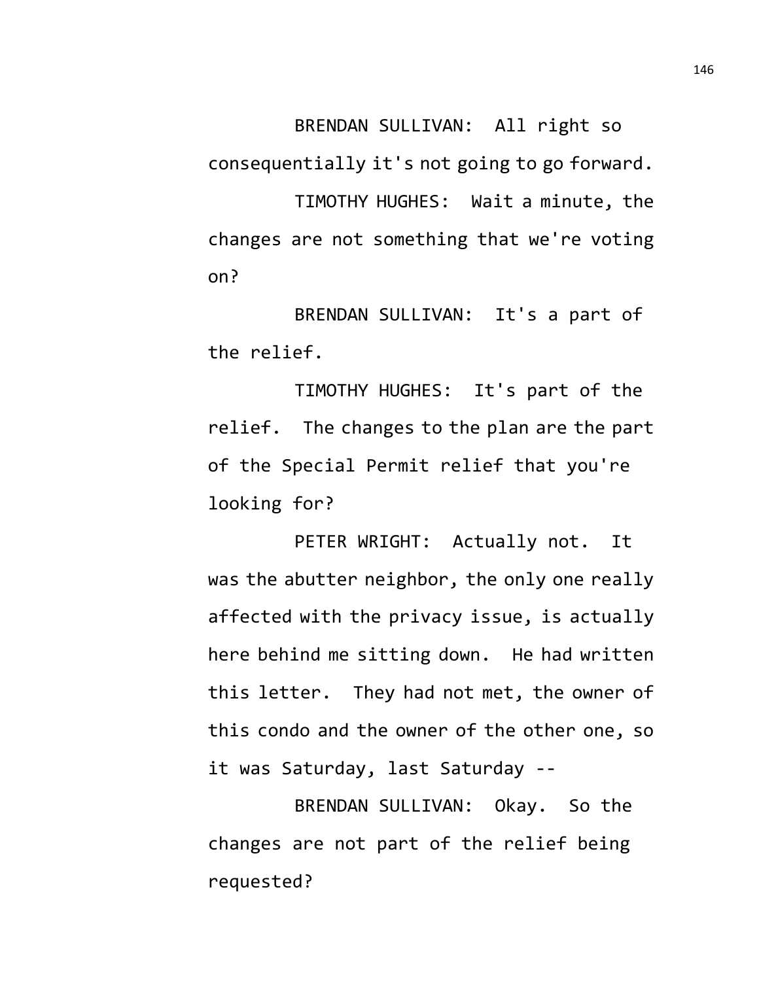BRENDAN SULLIVAN: All right so

consequentially it's not going to go forward.

TIMOTHY HUGHES: Wait a minute, the changes are not something that we're voting on?

BRENDAN SULLIVAN: It's a part of the relief.

TIMOTHY HUGHES: It's part of the relief. The changes to the plan are the part of the Special Permit relief that you're looking for?

PETER WRIGHT: Actually not. It was the abutter neighbor, the only one really affected with the privacy issue, is actually here behind me sitting down. He had written this letter. They had not met, the owner of this condo and the owner of the other one, so it was Saturday, last Saturday --

BRENDAN SULLIVAN: Okay. So the changes are not part of the relief being requested?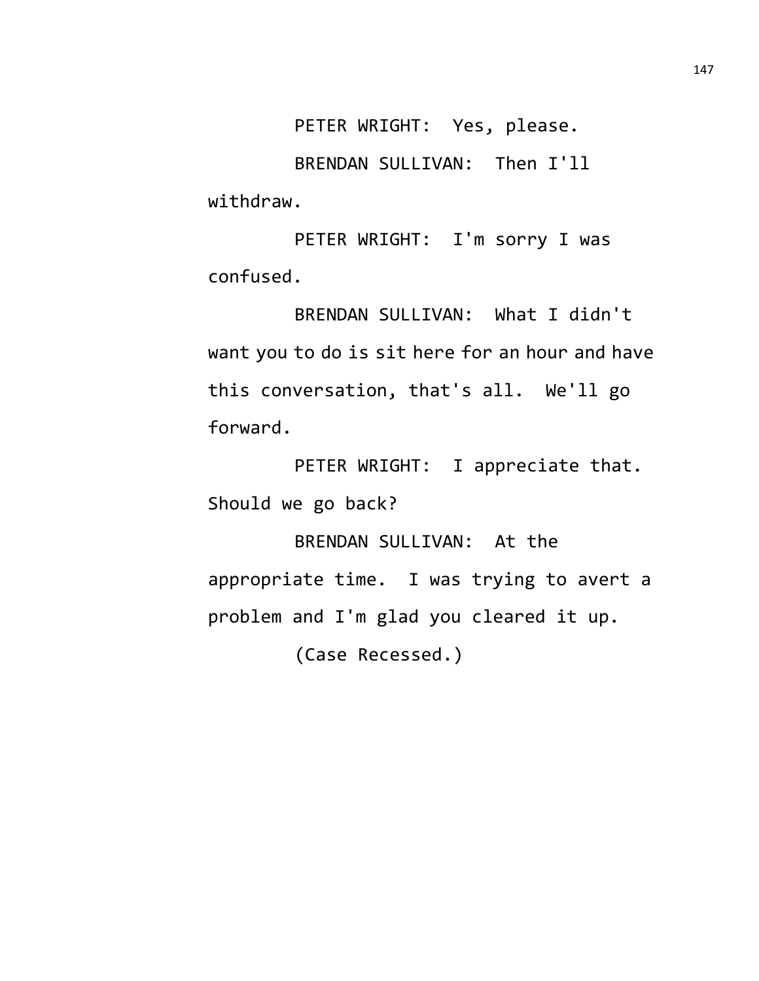PETER WRIGHT: Yes, please.

BRENDAN SULLIVAN: Then I'll withdraw.

PETER WRIGHT: I'm sorry I was confused.

BRENDAN SULLIVAN: What I didn't want you to do is sit here for an hour and have this conversation, that's all. We'll go forward.

PETER WRIGHT: I appreciate that. Should we go back?

BRENDAN SULLIVAN: At the appropriate time. I was trying to avert a problem and I'm glad you cleared it up. (Case Recessed.)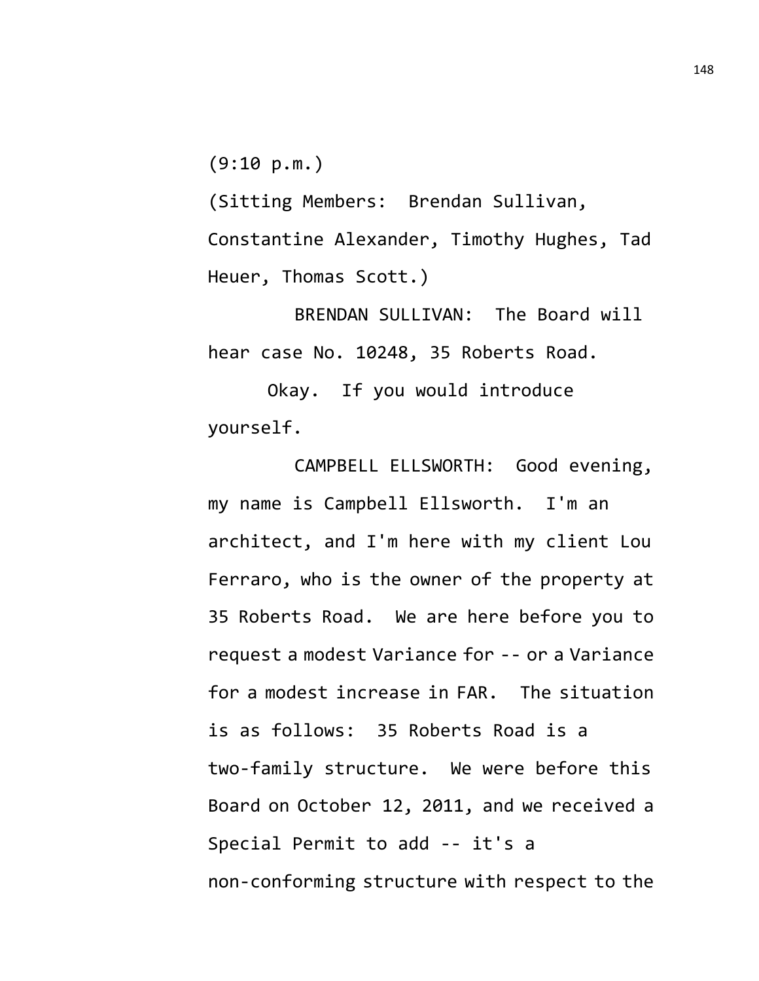$(9:10 p.m.)$ 

(Sitting Members: Brendan Sullivan, Constantine Alexander, Timothy Hughes, Tad Heuer, Thomas Scott.)

BRENDAN SULLIVAN: The Board will hear case No. 10248, 35 Roberts Road.

Okay. If you would introduce yourself.

CAMPBELL ELLSWORTH: Good evening, my name is Campbell Ellsworth. I'm an architect, and I'm here with my client Lou Ferraro, who is the owner of the property at 35 Roberts Road. We are here before you to request a modest Variance for -- or a Variance for a modest increase in FAR. The situation is as follows: 35 Roberts Road is a two-family structure. We were before this Board on October 12, 2011, and we received a Special Permit to add -- it's a non-conforming structure with respect to the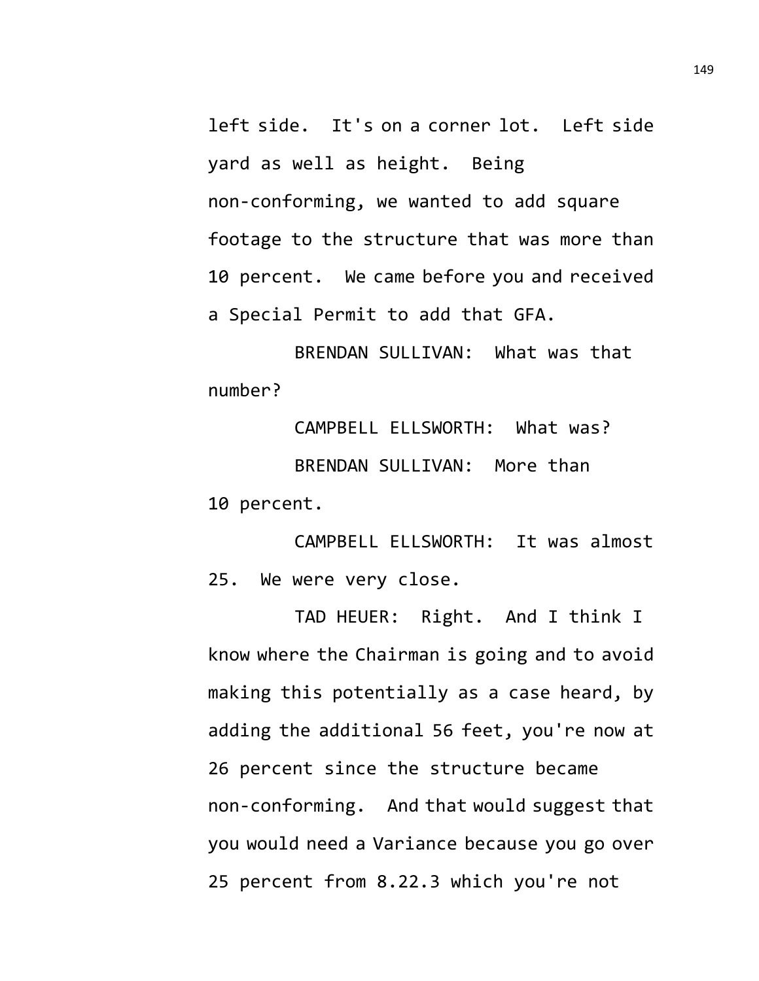left side. It's on a corner lot. Left side yard as well as height. Being non-conforming, we wanted to add square footage to the structure that was more than 10 percent. We came before you and received a Special Permit to add that GFA.

BRENDAN SULLIVAN: What was that number?

CAMPBELL ELLSWORTH: What was? BRENDAN SULLIVAN: More than 10 percent.

CAMPBELL ELLSWORTH: It was almost 25. We were very close.

TAD HEUER: Right. And I think I know where the Chairman is going and to avoid making this potentially as a case heard, by adding the additional 56 feet, you're now at 26 percent since the structure became non-conforming. And that would suggest that you would need a Variance because you go over 25 percent from 8.22.3 which you're not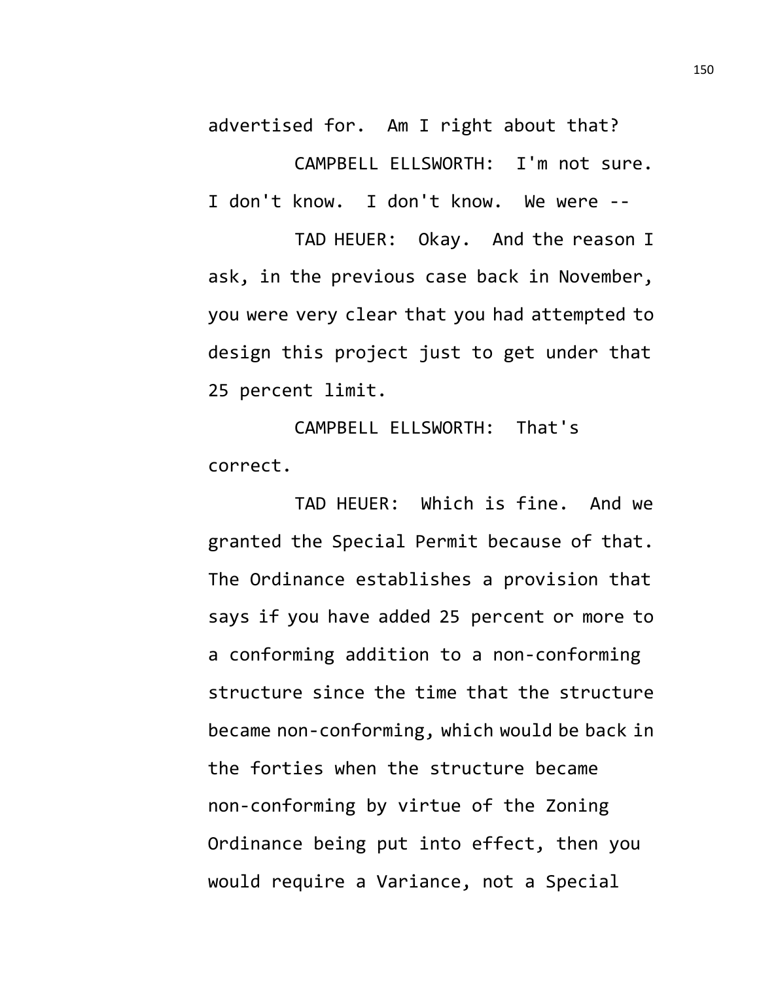advertised for. Am I right about that?

CAMPBELL ELLSWORTH: I'm not sure. I don't know. I don't know. We were --

TAD HEUER: Okay. And the reason I ask, in the previous case back in November, you were very clear that you had attempted to design this project just to get under that 25 percent limit.

CAMPBELL ELLSWORTH: That's correct.

TAD HEUER: Which is fine. And we granted the Special Permit because of that. The Ordinance establishes a provision that says if you have added 25 percent or more to a conforming addition to a non-conforming structure since the time that the structure became non-conforming, which would be back in the forties when the structure became non-conforming by virtue of the Zoning Ordinance being put into effect, then you would require a Variance, not a Special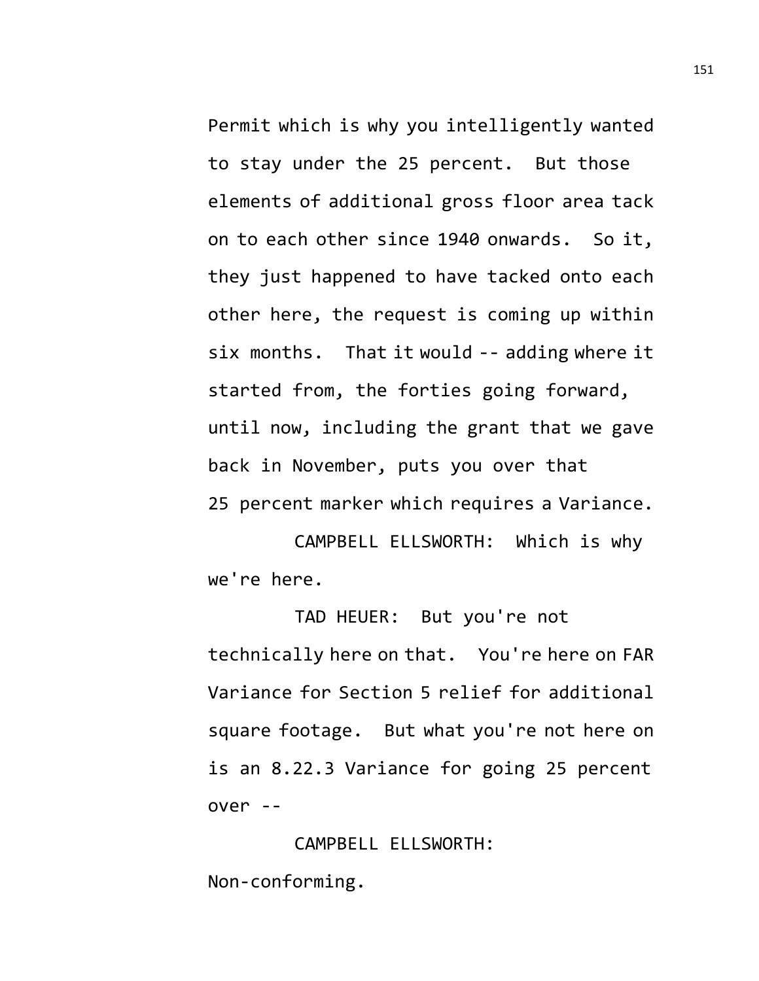Permit which is why you intelligently wanted to stay under the 25 percent. But those elements of additional gross floor area tack on to each other since 1940 onwards. So it, they just happened to have tacked onto each other here, the request is coming up within six months. That it would -- adding where it started from, the forties going forward, until now, including the grant that we gave back in November, puts you over that 25 percent marker which requires a Variance.

CAMPBELL ELLSWORTH: Which is why we're here.

TAD HEUER: But you're not technically here on that. You're here on FAR Variance for Section 5 relief for additional square footage. But what you're not here on is an 8.22.3 Variance for going 25 percent over --

CAMPBELL ELLSWORTH: Non-conforming.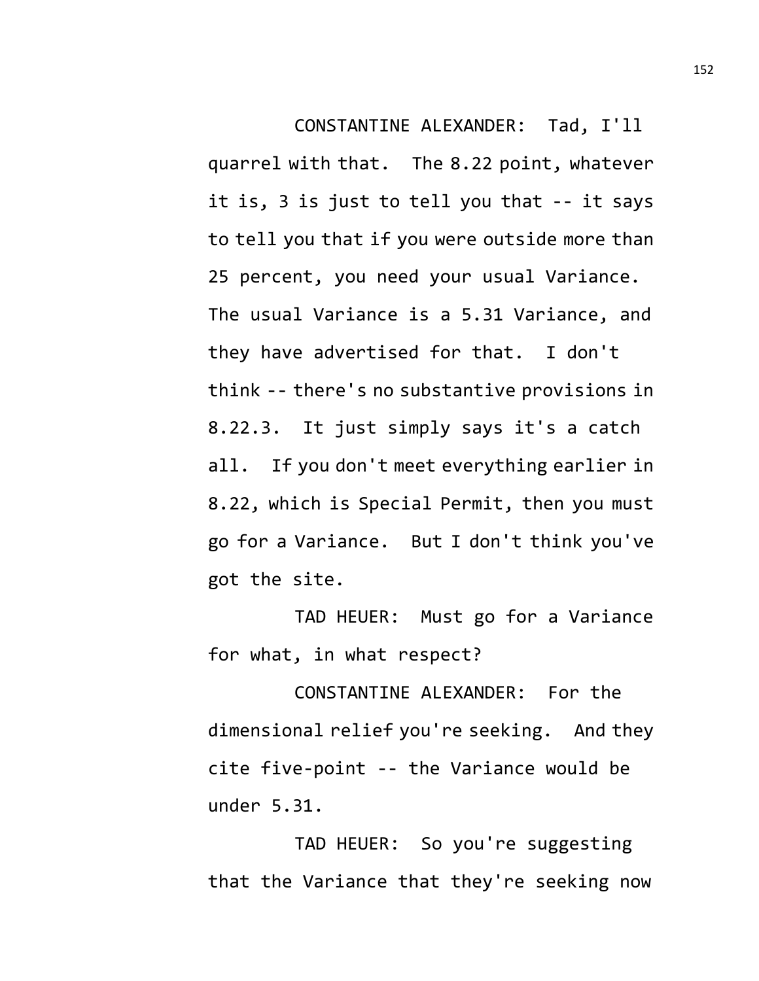CONSTANTINE ALEXANDER: Tad, I'll quarrel with that. The 8.22 point, whatever it is, 3 is just to tell you that -- it says to tell you that if you were outside more than 25 percent, you need your usual Variance. The usual Variance is a 5.31 Variance, and they have advertised for that. I don't think -- there's no substantive provisions in 8.22.3. It just simply says it's a catch all. If you don't meet everything earlier in 8.22, which is Special Permit, then you must go for a Variance. But I don't think you've got the site.

TAD HEUER: Must go for a Variance for what, in what respect?

CONSTANTINE ALEXANDER: For the dimensional relief you're seeking. And they cite five-point -- the Variance would be under 5.31.

TAD HEUER: So you're suggesting that the Variance that they're seeking now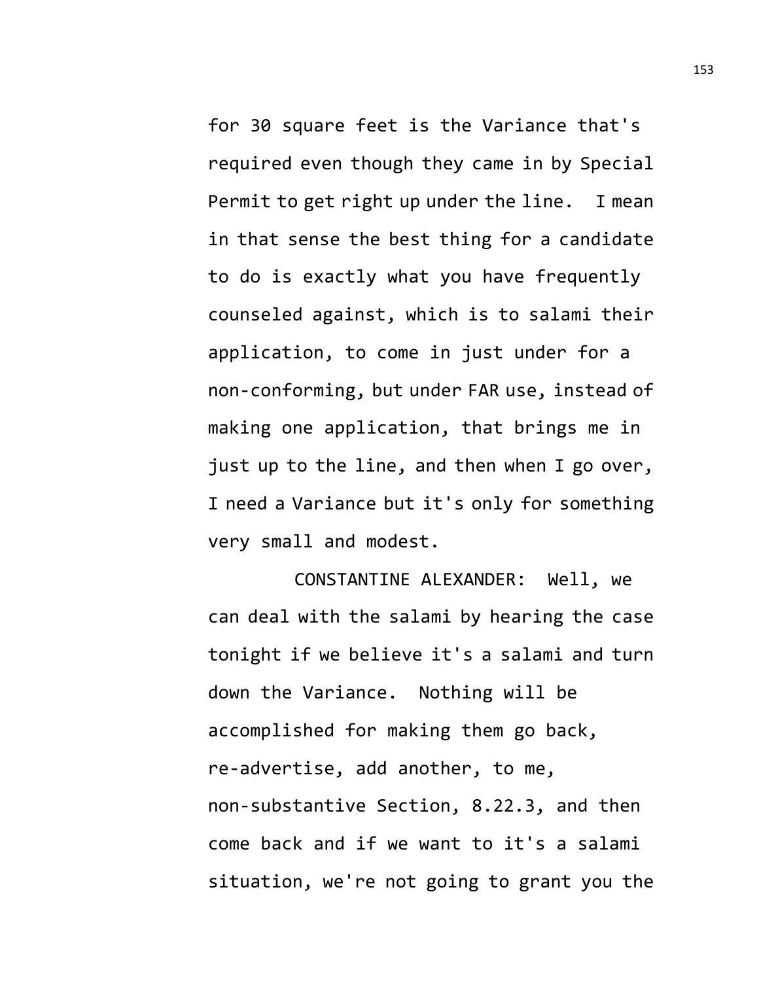for 30 square feet is the Variance that's required even though they came in by Special Permit to get right up under the line. I mean in that sense the best thing for a candidate to do is exactly what you have frequently counseled against, which is to salami their application, to come in just under for a non-conforming, but under FAR use, instead of making one application, that brings me in just up to the line, and then when I go over, I need a Variance but it's only for something very small and modest.

CONSTANTINE ALEXANDER: Well, we can deal with the salami by hearing the case tonight if we believe it's a salami and turn down the Variance. Nothing will be accomplished for making them go back, re-advertise, add another, to me, non-substantive Section, 8.22.3, and then come back and if we want to it's a salami situation, we're not going to grant you the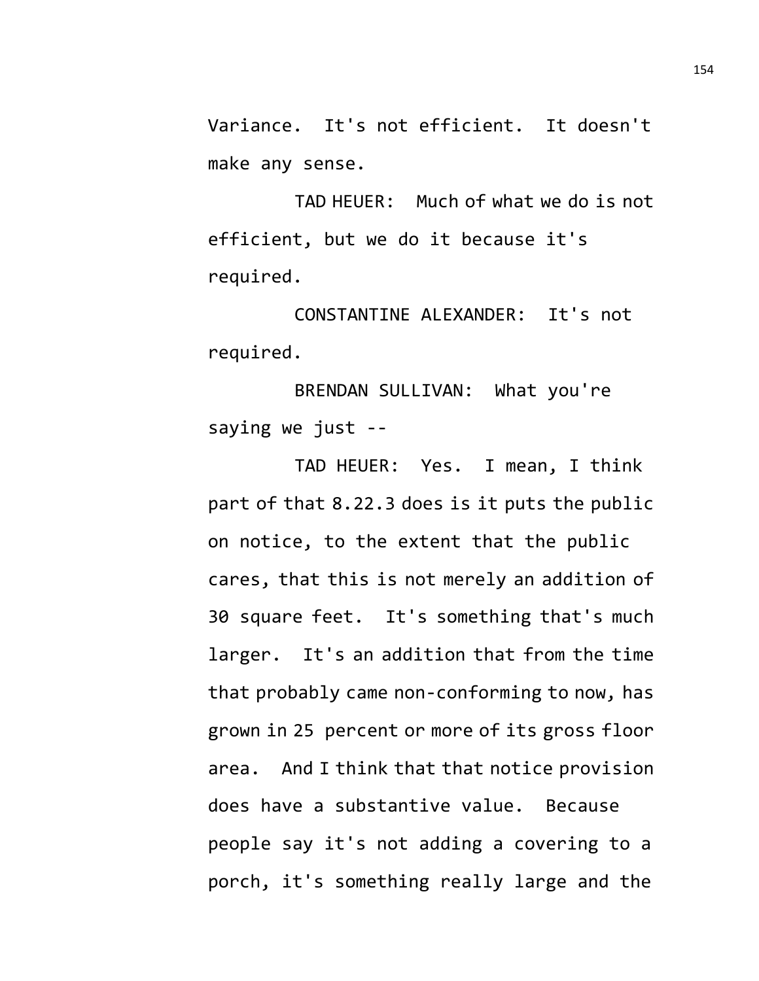Variance. It's not efficient. It doesn't make any sense.

TAD HEUER: Much of what we do is not efficient, but we do it because it's required.

CONSTANTINE ALEXANDER: It's not required.

BRENDAN SULLIVAN: What you're saying we just --

TAD HEUER: Yes. I mean, I think part of that 8.22.3 does is it puts the public on notice, to the extent that the public cares, that this is not merely an addition of 30 square feet. It's something that's much larger. It's an addition that from the time that probably came non-conforming to now, has grown in 25 percent or more of its gross floor area. And I think that that notice provision does have a substantive value. Because people say it's not adding a covering to a porch, it's something really large and the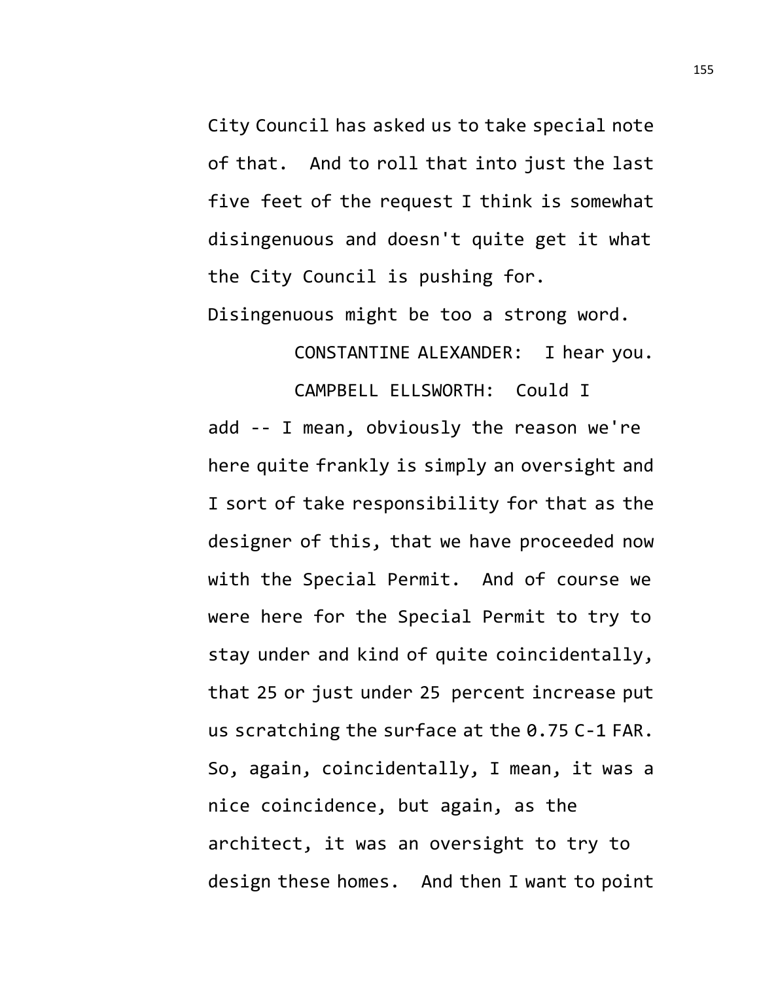City Council has asked us to take special note of that. And to roll that into just the last five feet of the request I think is somewhat disingenuous and doesn't quite get it what the City Council is pushing for. Disingenuous might be too a strong word.

CONSTANTINE ALEXANDER: I hear you.

CAMPBELL ELLSWORTH: Could I add -- I mean, obviously the reason we're here quite frankly is simply an oversight and I sort of take responsibility for that as the designer of this, that we have proceeded now with the Special Permit. And of course we were here for the Special Permit to try to stay under and kind of quite coincidentally, that 25 or just under 25 percent increase put us scratching the surface at the 0.75 C-1 FAR. So, again, coincidentally, I mean, it was a nice coincidence, but again, as the architect, it was an oversight to try to design these homes. And then I want to point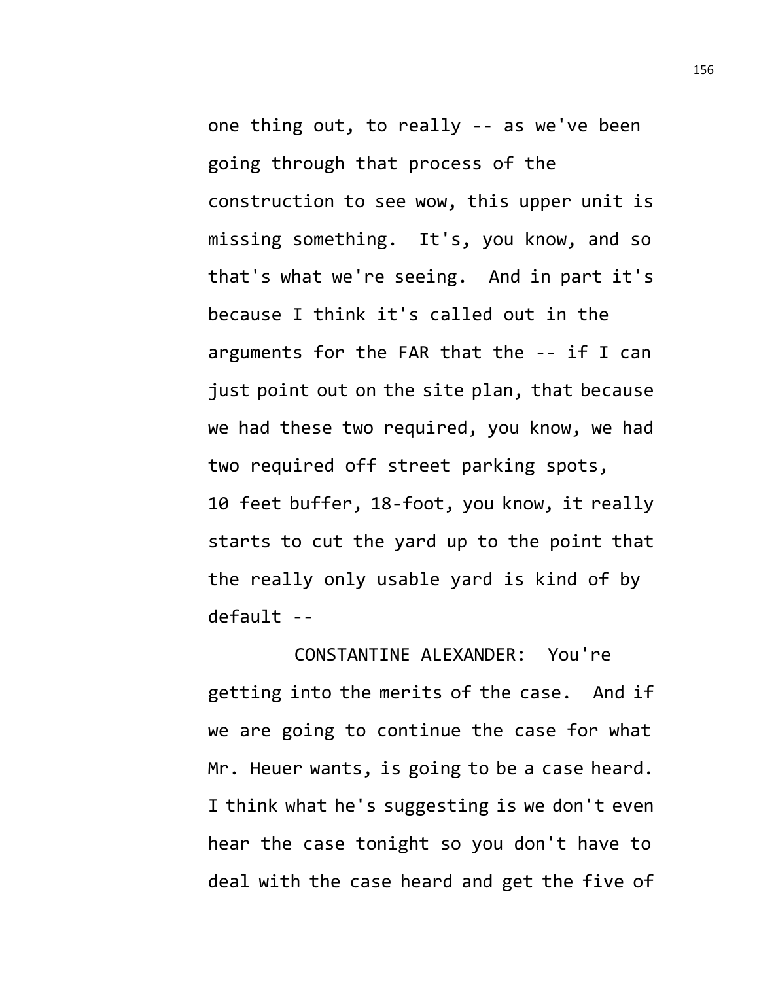one thing out, to really -- as we've been going through that process of the construction to see wow, this upper unit is missing something. It's, you know, and so that's what we're seeing. And in part it's because I think it's called out in the arguments for the FAR that the -- if I can just point out on the site plan, that because we had these two required, you know, we had two required off street parking spots, 10 feet buffer, 18-foot, you know, it really starts to cut the yard up to the point that the really only usable yard is kind of by default --

CONSTANTINE ALEXANDER: You're getting into the merits of the case. And if we are going to continue the case for what Mr. Heuer wants, is going to be a case heard. I think what he's suggesting is we don't even hear the case tonight so you don't have to deal with the case heard and get the five of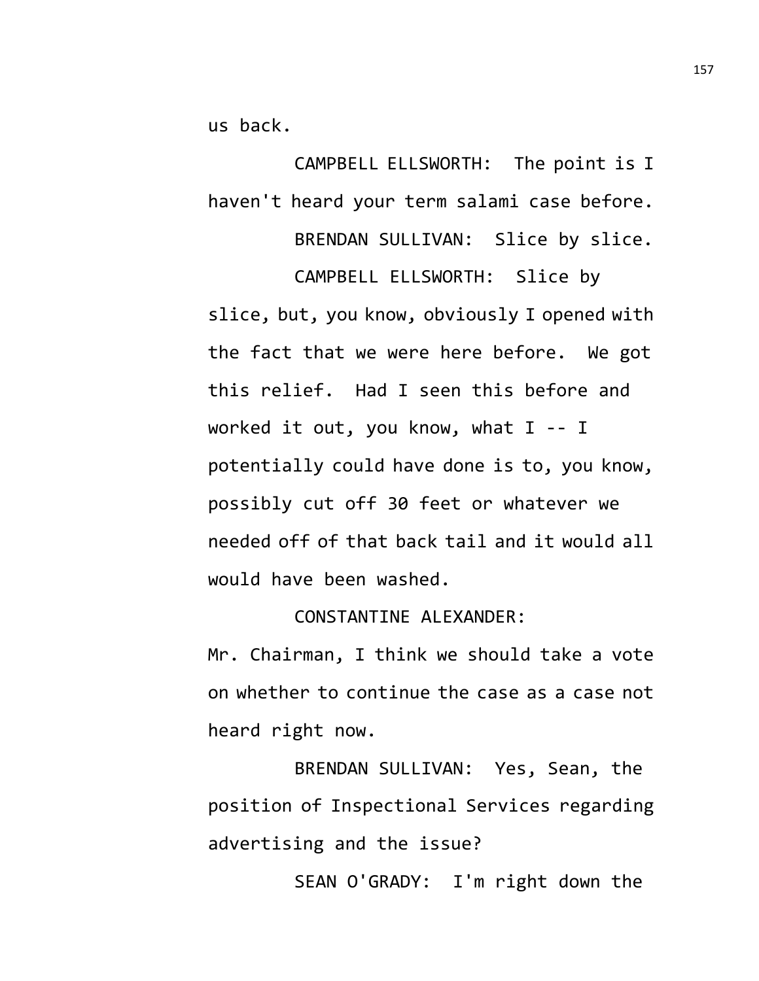us back.

CAMPBELL ELLSWORTH: The point is I haven't heard your term salami case before. BRENDAN SULLIVAN: Slice by slice.

CAMPBELL ELLSWORTH: Slice by slice, but, you know, obviously I opened with the fact that we were here before. We got this relief. Had I seen this before and worked it out, you know, what I -- I potentially could have done is to, you know, possibly cut off 30 feet or whatever we needed off of that back tail and it would all would have been washed.

## CONSTANTINE ALEXANDER:

Mr. Chairman, I think we should take a vote on whether to continue the case as a case not heard right now.

BRENDAN SULLIVAN: Yes, Sean, the position of Inspectional Services regarding advertising and the issue?

SEAN O'GRADY: I'm right down the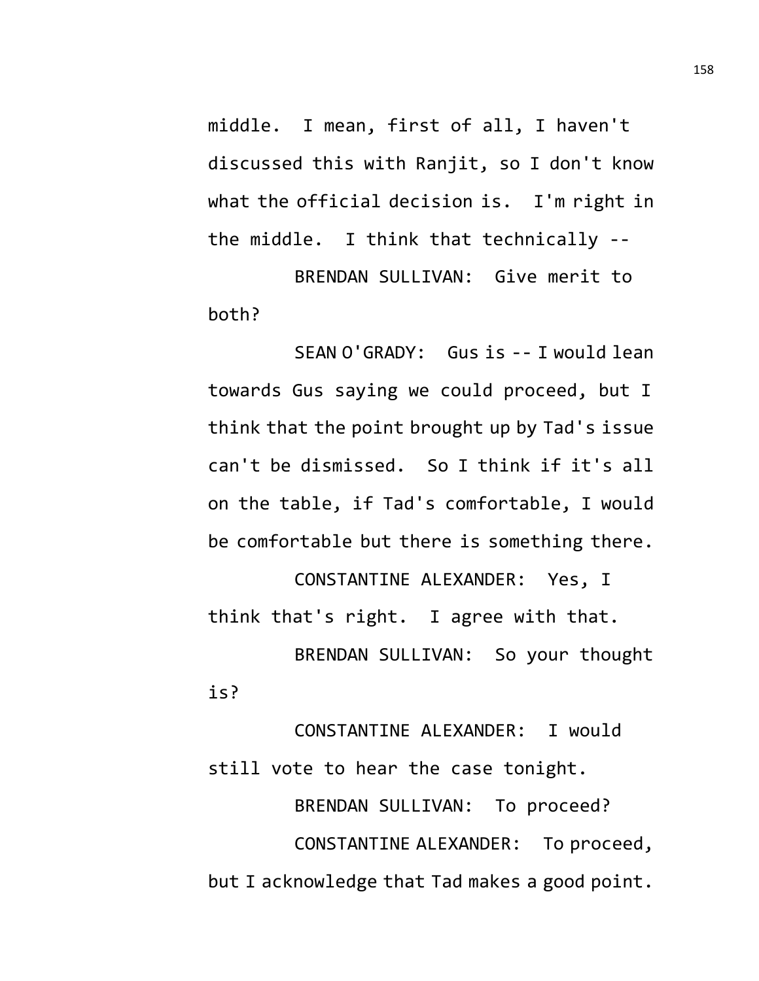middle. I mean, first of all, I haven't discussed this with Ranjit, so I don't know what the official decision is. I'm right in the middle. I think that technically --

BRENDAN SULLIVAN: Give merit to both?

SEAN O'GRADY: Gus is -- I would lean towards Gus saying we could proceed, but I think that the point brought up by Tad's issue can't be dismissed. So I think if it's all on the table, if Tad's comfortable, I would be comfortable but there is something there.

CONSTANTINE ALEXANDER: Yes, I think that's right. I agree with that. BRENDAN SULLIVAN: So your thought is?

CONSTANTINE ALEXANDER: I would still vote to hear the case tonight. BRENDAN SULLIVAN: To proceed? CONSTANTINE ALEXANDER: To proceed, but I acknowledge that Tad makes a good point.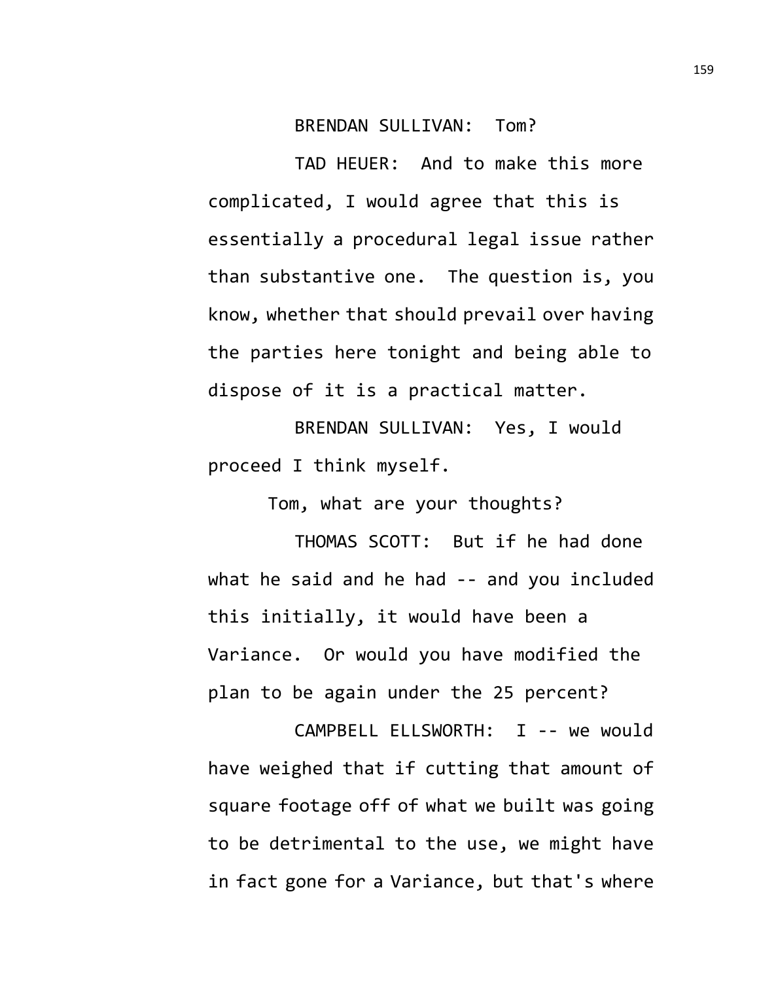## BRENDAN SULLIVAN: Tom?

TAD HEUER: And to make this more complicated, I would agree that this is essentially a procedural legal issue rather than substantive one. The question is, you know, whether that should prevail over having the parties here tonight and being able to dispose of it is a practical matter.

BRENDAN SULLIVAN: Yes, I would proceed I think myself.

Tom, what are your thoughts?

THOMAS SCOTT: But if he had done what he said and he had -- and you included this initially, it would have been a Variance. Or would you have modified the plan to be again under the 25 percent?

CAMPBELL ELLSWORTH: I -- we would have weighed that if cutting that amount of square footage off of what we built was going to be detrimental to the use, we might have in fact gone for a Variance, but that's where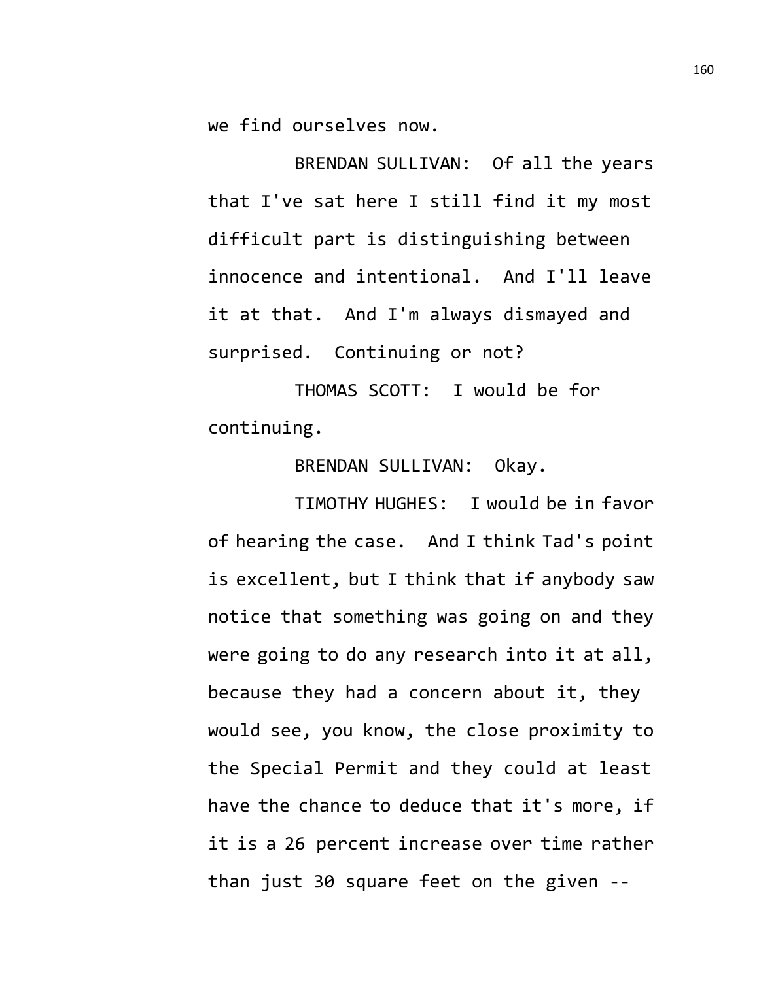we find ourselves now.

BRENDAN SULLIVAN: Of all the years that I've sat here I still find it my most difficult part is distinguishing between innocence and intentional. And I'll leave it at that. And I'm always dismayed and surprised. Continuing or not?

THOMAS SCOTT: I would be for continuing.

BRENDAN SULLIVAN: Okay.

TIMOTHY HUGHES: I would be in favor of hearing the case. And I think Tad's point is excellent, but I think that if anybody saw notice that something was going on and they were going to do any research into it at all, because they had a concern about it, they would see, you know, the close proximity to the Special Permit and they could at least have the chance to deduce that it's more, if it is a 26 percent increase over time rather than just 30 square feet on the given --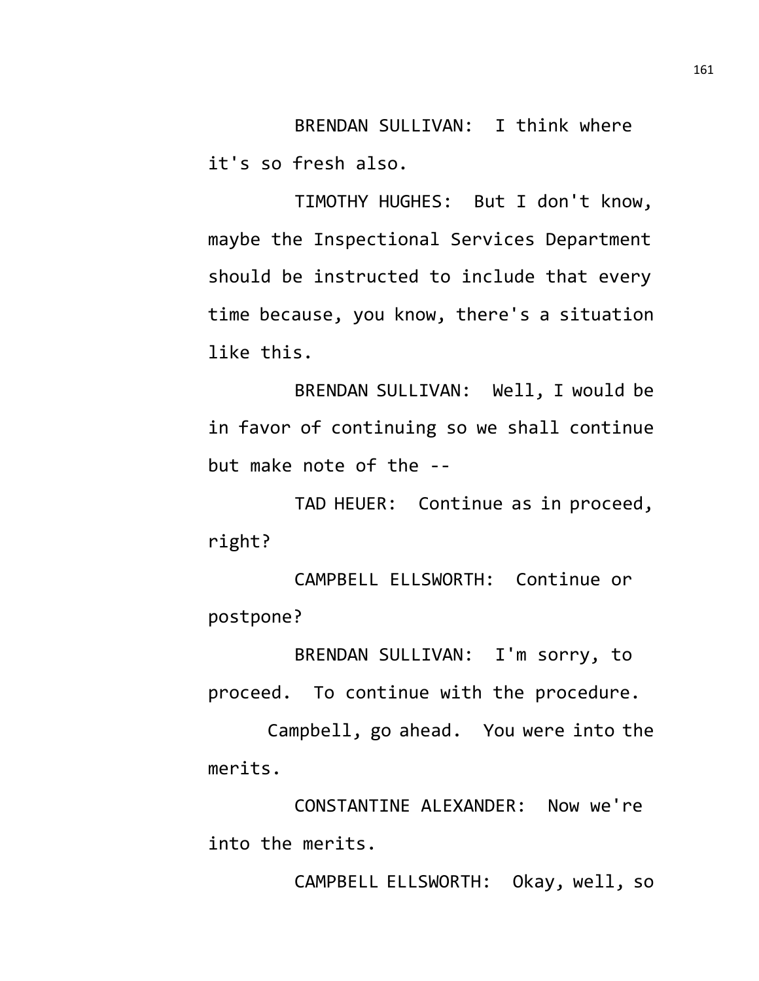BRENDAN SULLIVAN: I think where it's so fresh also.

TIMOTHY HUGHES: But I don't know, maybe the Inspectional Services Department should be instructed to include that every time because, you know, there's a situation like this.

BRENDAN SULLIVAN: Well, I would be in favor of continuing so we shall continue but make note of the --

TAD HEUER: Continue as in proceed, right?

CAMPBELL ELLSWORTH: Continue or postpone?

BRENDAN SULLIVAN: I'm sorry, to proceed. To continue with the procedure.

Campbell, go ahead. You were into the merits.

CONSTANTINE ALEXANDER: Now we're into the merits.

CAMPBELL ELLSWORTH: Okay, well, so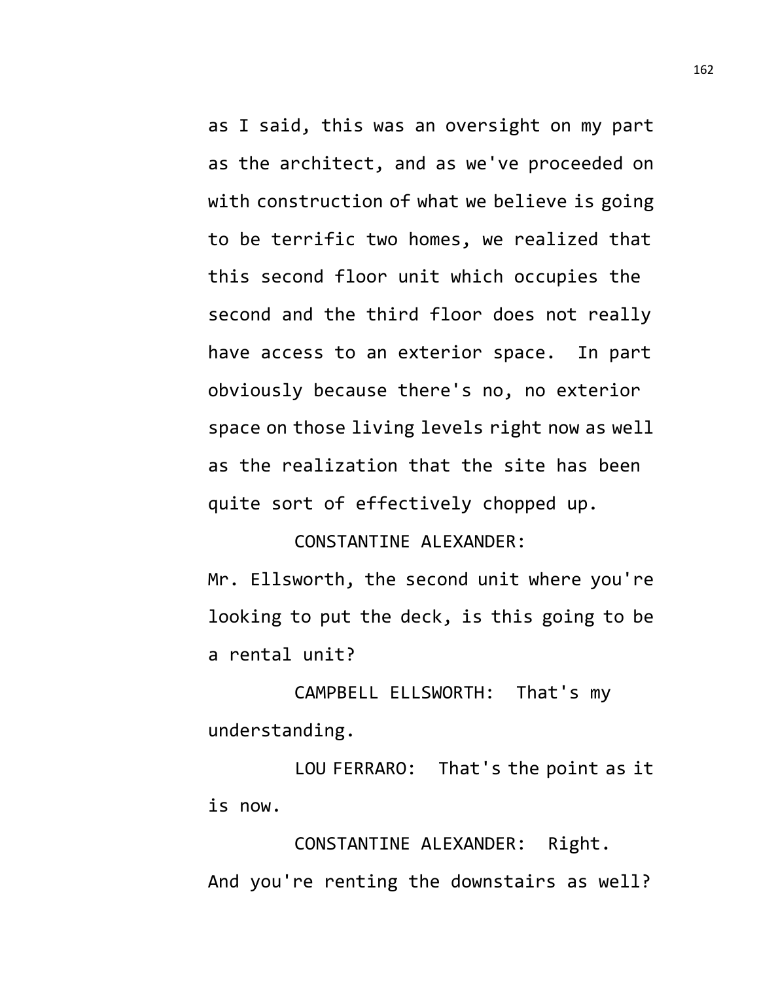as I said, this was an oversight on my part as the architect, and as we've proceeded on with construction of what we believe is going to be terrific two homes, we realized that this second floor unit which occupies the second and the third floor does not really have access to an exterior space. In part obviously because there's no, no exterior space on those living levels right now as well as the realization that the site has been quite sort of effectively chopped up.

## CONSTANTINE ALEXANDER:

Mr. Ellsworth, the second unit where you're looking to put the deck, is this going to be a rental unit?

CAMPBELL ELLSWORTH: That's my understanding.

LOU FERRARO: That's the point as it is now.

CONSTANTINE ALEXANDER: Right. And you're renting the downstairs as well?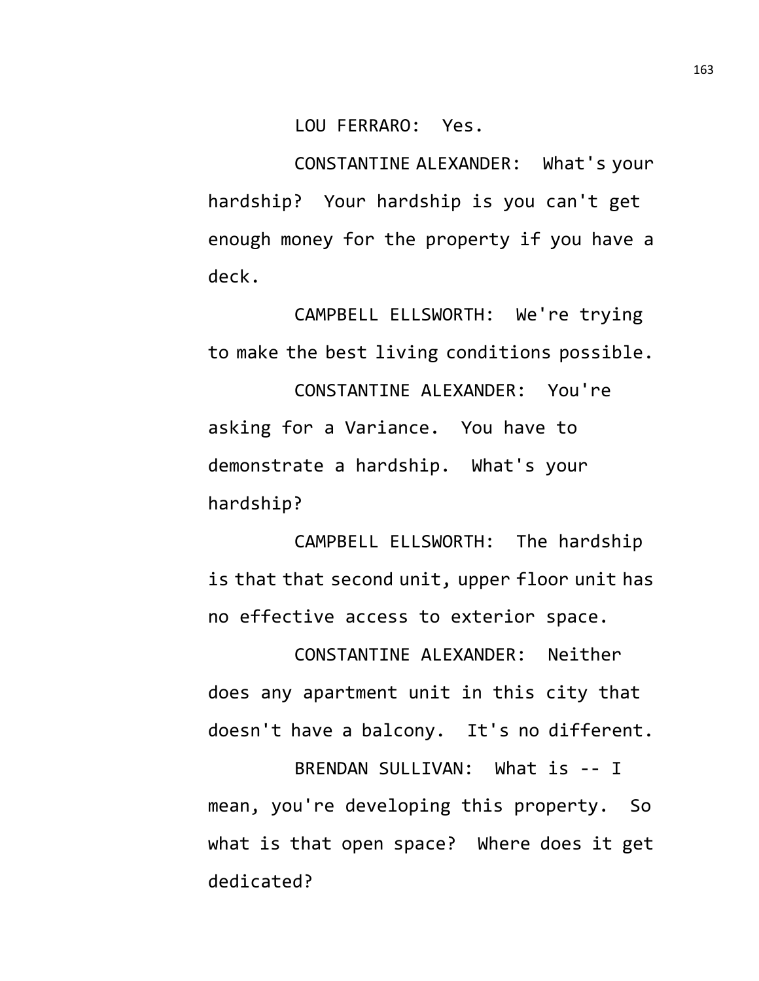LOU FERRARO: Yes.

CONSTANTINE ALEXANDER: What's your hardship? Your hardship is you can't get enough money for the property if you have a deck.

CAMPBELL ELLSWORTH: We're trying to make the best living conditions possible.

CONSTANTINE ALEXANDER: You're asking for a Variance. You have to demonstrate a hardship. What's your hardship?

CAMPBELL ELLSWORTH: The hardship is that that second unit, upper floor unit has no effective access to exterior space.

CONSTANTINE ALEXANDER: Neither does any apartment unit in this city that doesn't have a balcony. It's no different.

BRENDAN SULLIVAN: What is -- I mean, you're developing this property. So what is that open space? Where does it get dedicated?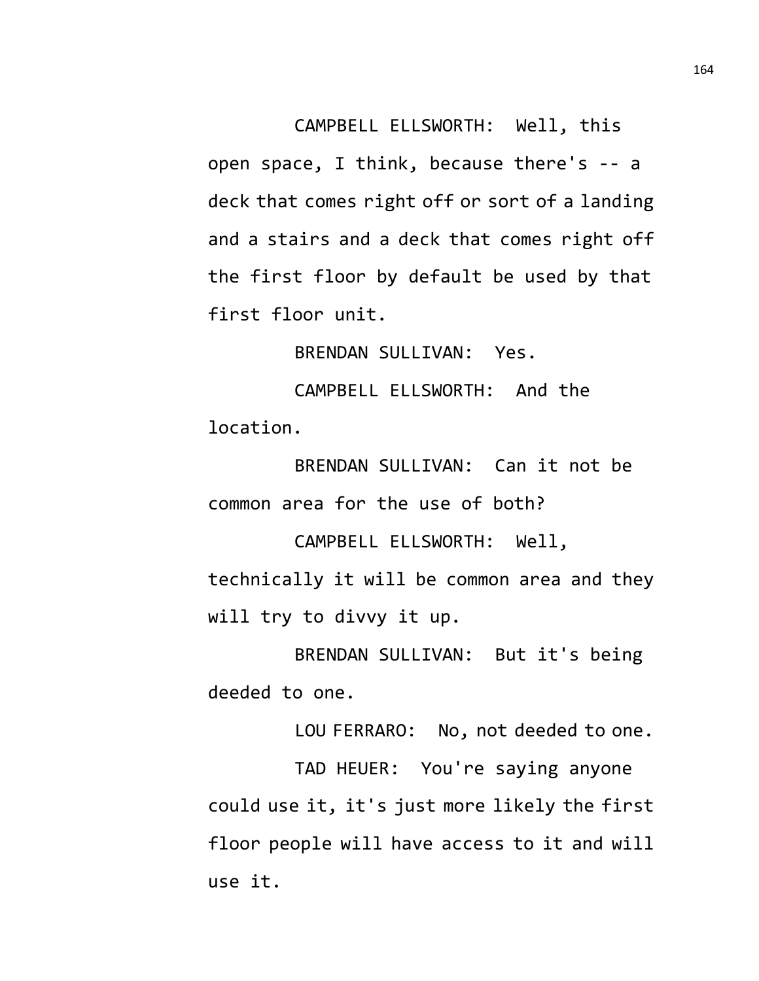CAMPBELL ELLSWORTH: Well, this open space, I think, because there's -- a deck that comes right off or sort of a landing and a stairs and a deck that comes right off the first floor by default be used by that first floor unit.

BRENDAN SULLIVAN: Yes.

CAMPBELL ELLSWORTH: And the location.

BRENDAN SULLIVAN: Can it not be common area for the use of both?

CAMPBELL ELLSWORTH: Well, technically it will be common area and they will try to divvy it up.

BRENDAN SULLIVAN: But it's being deeded to one.

LOU FERRARO: No, not deeded to one.

TAD HEUER: You're saying anyone could use it, it's just more likely the first floor people will have access to it and will use it.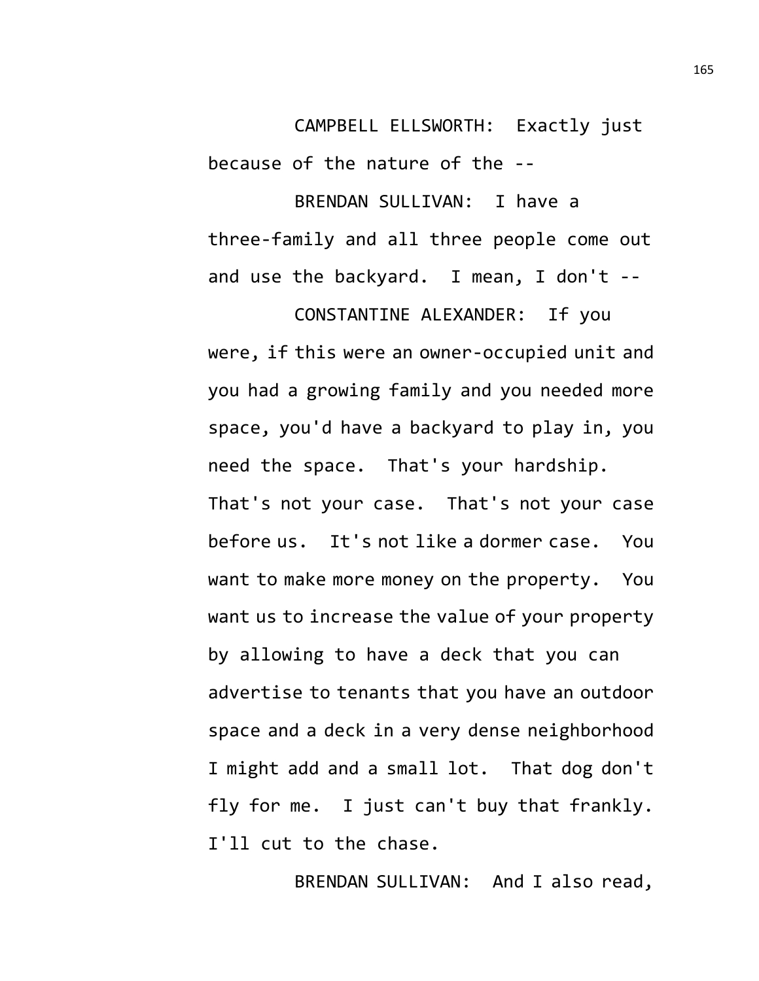CAMPBELL ELLSWORTH: Exactly just because of the nature of the --

BRENDAN SULLIVAN: I have a three-family and all three people come out and use the backyard. I mean, I don't --

CONSTANTINE ALEXANDER: If you were, if this were an owner-occupied unit and you had a growing family and you needed more space, you'd have a backyard to play in, you need the space. That's your hardship. That's not your case. That's not your case before us. It's not like a dormer case. You want to make more money on the property. You want us to increase the value of your property by allowing to have a deck that you can advertise to tenants that you have an outdoor space and a deck in a very dense neighborhood I might add and a small lot. That dog don't fly for me. I just can't buy that frankly. I'll cut to the chase.

BRENDAN SULLIVAN: And I also read,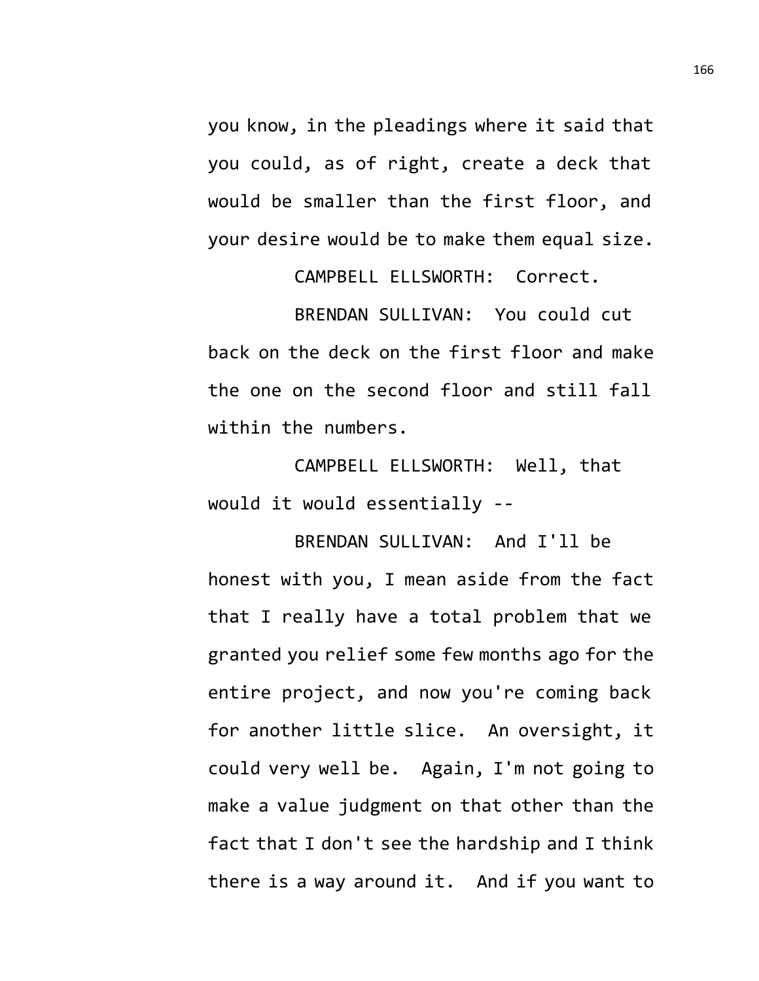you know, in the pleadings where it said that you could, as of right, create a deck that would be smaller than the first floor, and your desire would be to make them equal size.

CAMPBELL ELLSWORTH: Correct.

BRENDAN SULLIVAN: You could cut back on the deck on the first floor and make the one on the second floor and still fall within the numbers.

CAMPBELL ELLSWORTH: Well, that would it would essentially --

BRENDAN SULLIVAN: And I'll be honest with you, I mean aside from the fact that I really have a total problem that we granted you relief some few months ago for the entire project, and now you're coming back for another little slice. An oversight, it could very well be. Again, I'm not going to make a value judgment on that other than the fact that I don't see the hardship and I think there is a way around it. And if you want to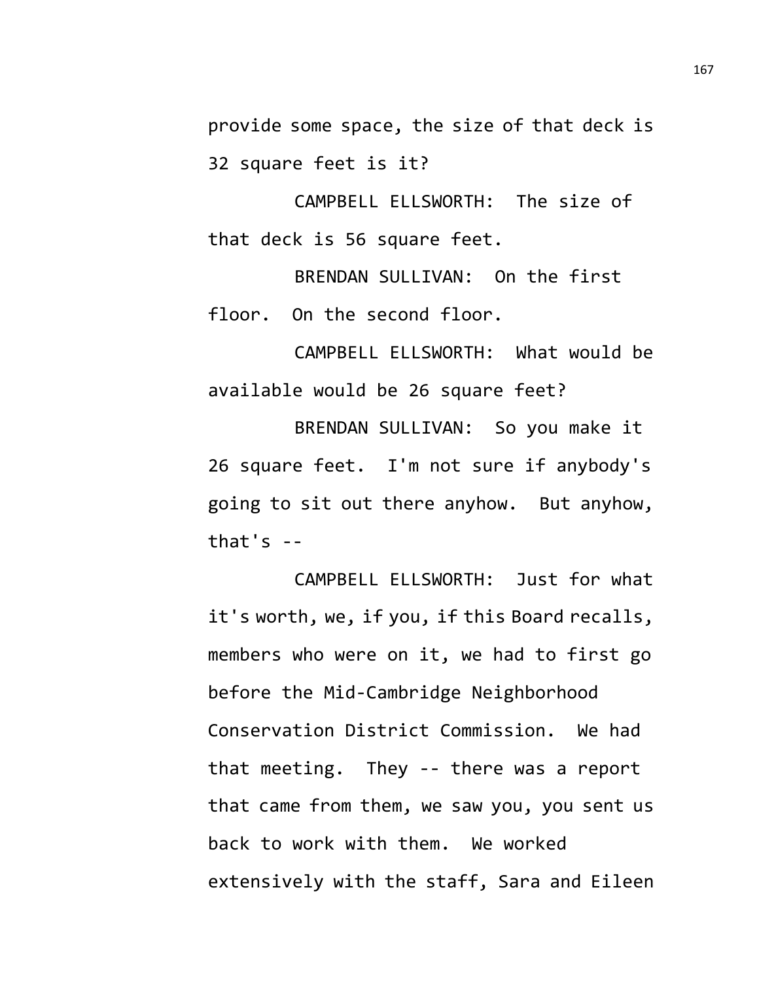provide some space, the size of that deck is 32 square feet is it?

CAMPBELL ELLSWORTH: The size of that deck is 56 square feet.

BRENDAN SULLIVAN: On the first floor. On the second floor.

CAMPBELL ELLSWORTH: What would be available would be 26 square feet?

BRENDAN SULLIVAN: So you make it 26 square feet. I'm not sure if anybody's going to sit out there anyhow. But anyhow, that's  $-$ 

CAMPBELL ELLSWORTH: Just for what it's worth, we, if you, if this Board recalls, members who were on it, we had to first go before the Mid-Cambridge Neighborhood Conservation District Commission. We had that meeting. They -- there was a report that came from them, we saw you, you sent us back to work with them. We worked extensively with the staff, Sara and Eileen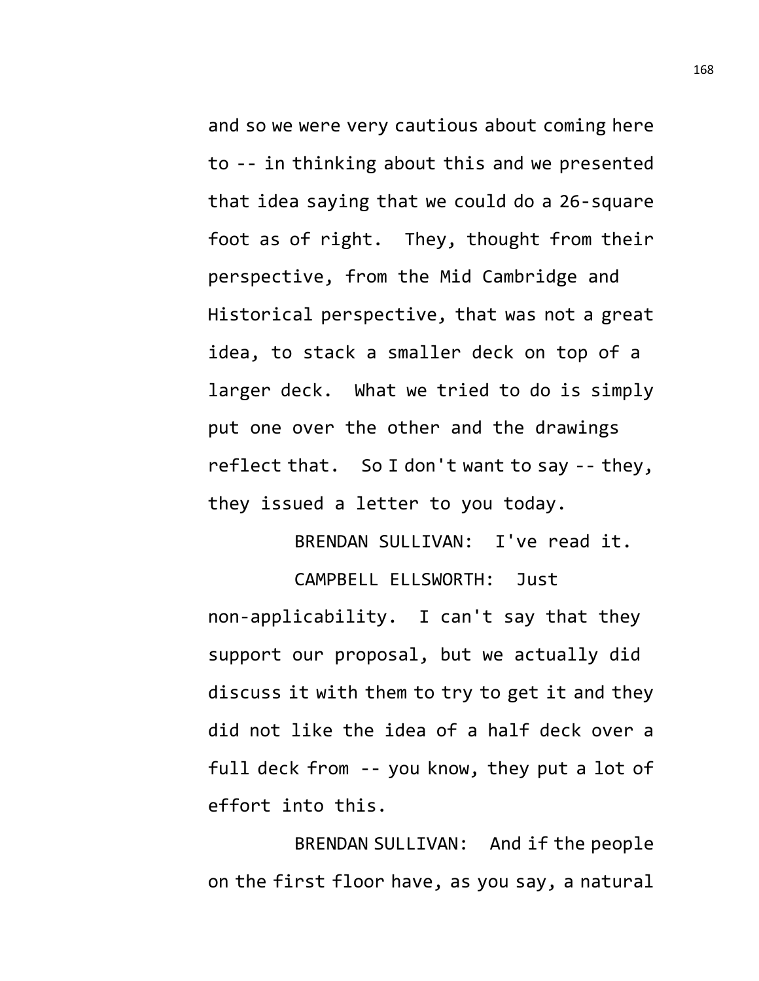and so we were very cautious about coming here to -- in thinking about this and we presented that idea saying that we could do a 26-square foot as of right. They, thought from their perspective, from the Mid Cambridge and Historical perspective, that was not a great idea, to stack a smaller deck on top of a larger deck. What we tried to do is simply put one over the other and the drawings reflect that. So I don't want to say -- they, they issued a letter to you today.

BRENDAN SULLIVAN: I've read it.

CAMPBELL ELLSWORTH: Just non-applicability. I can't say that they support our proposal, but we actually did discuss it with them to try to get it and they did not like the idea of a half deck over a full deck from -- you know, they put a lot of effort into this.

BRENDAN SULLIVAN: And if the people on the first floor have, as you say, a natural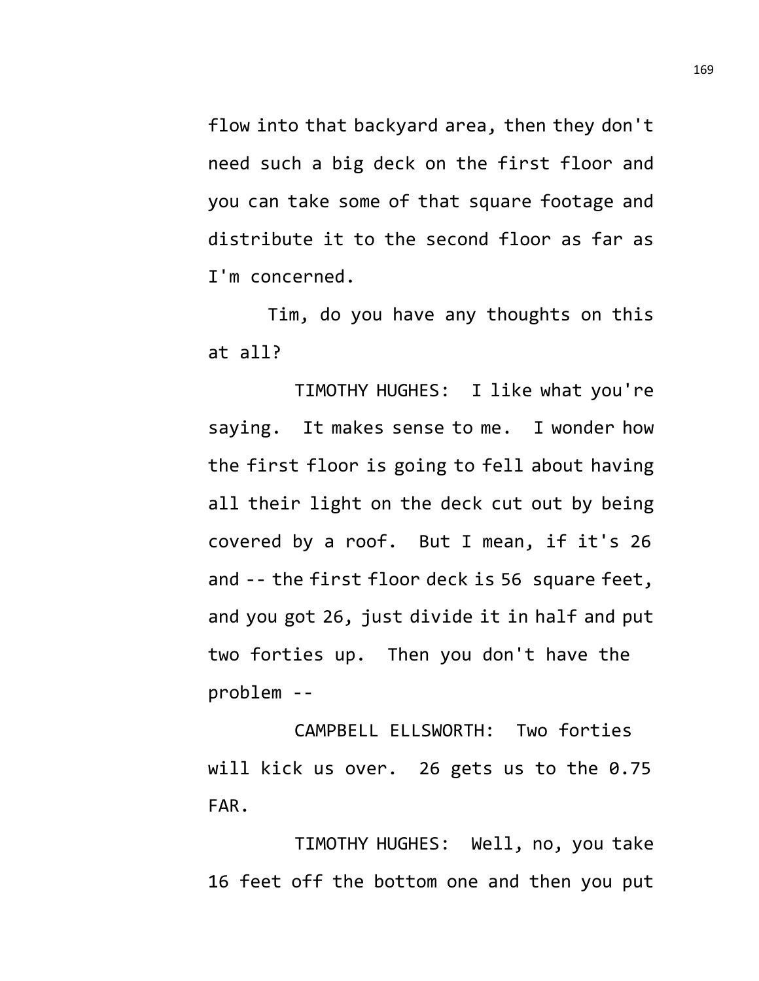flow into that backyard area, then they don't need such a big deck on the first floor and you can take some of that square footage and distribute it to the second floor as far as I'm concerned.

Tim, do you have any thoughts on this at all?

TIMOTHY HUGHES: I like what you're saying. It makes sense to me. I wonder how the first floor is going to fell about having all their light on the deck cut out by being covered by a roof. But I mean, if it's 26 and -- the first floor deck is 56 square feet, and you got 26, just divide it in half and put two forties up. Then you don't have the problem --

CAMPBELL ELLSWORTH: Two forties will kick us over. 26 gets us to the 0.75 FAR.

TIMOTHY HUGHES: Well, no, you take 16 feet off the bottom one and then you put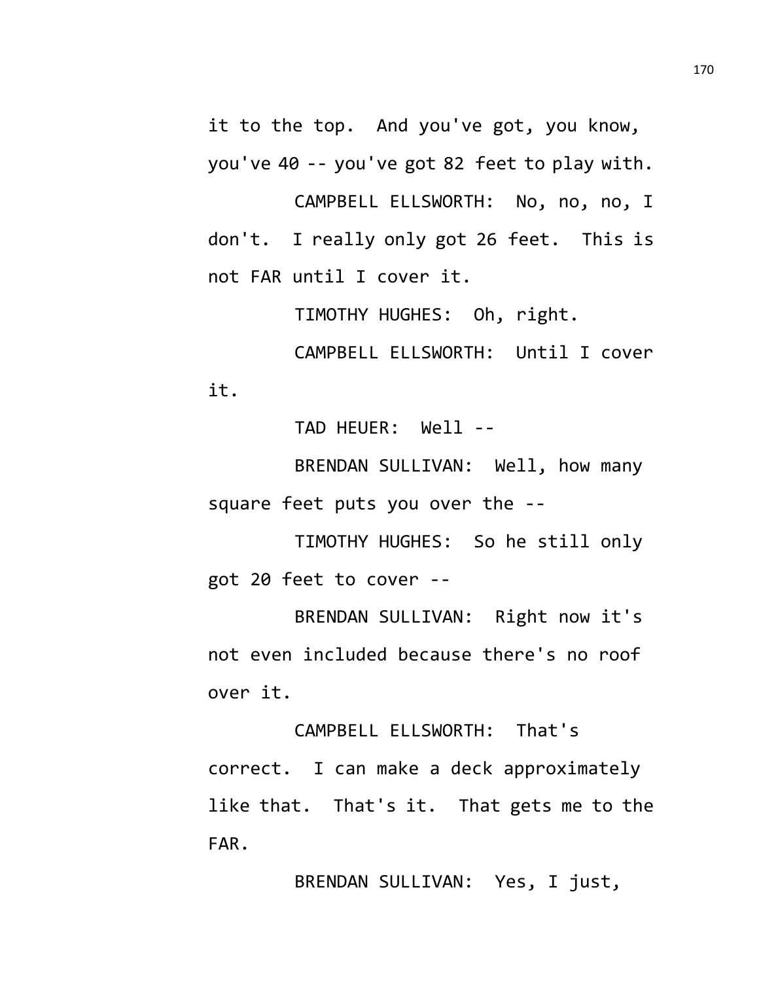it to the top. And you've got, you know, you've 40 -- you've got 82 feet to play with.

CAMPBELL ELLSWORTH: No, no, no, I don't. I really only got 26 feet. This is not FAR until I cover it.

TIMOTHY HUGHES: Oh, right.

CAMPBELL ELLSWORTH: Until I cover it.

TAD HEUER: Well --

BRENDAN SULLIVAN: Well, how many square feet puts you over the --

TIMOTHY HUGHES: So he still only got 20 feet to cover --

BRENDAN SULLIVAN: Right now it's not even included because there's no roof over it.

CAMPBELL ELLSWORTH: That's correct. I can make a deck approximately like that. That's it. That gets me to the FAR.

BRENDAN SULLIVAN: Yes, I just,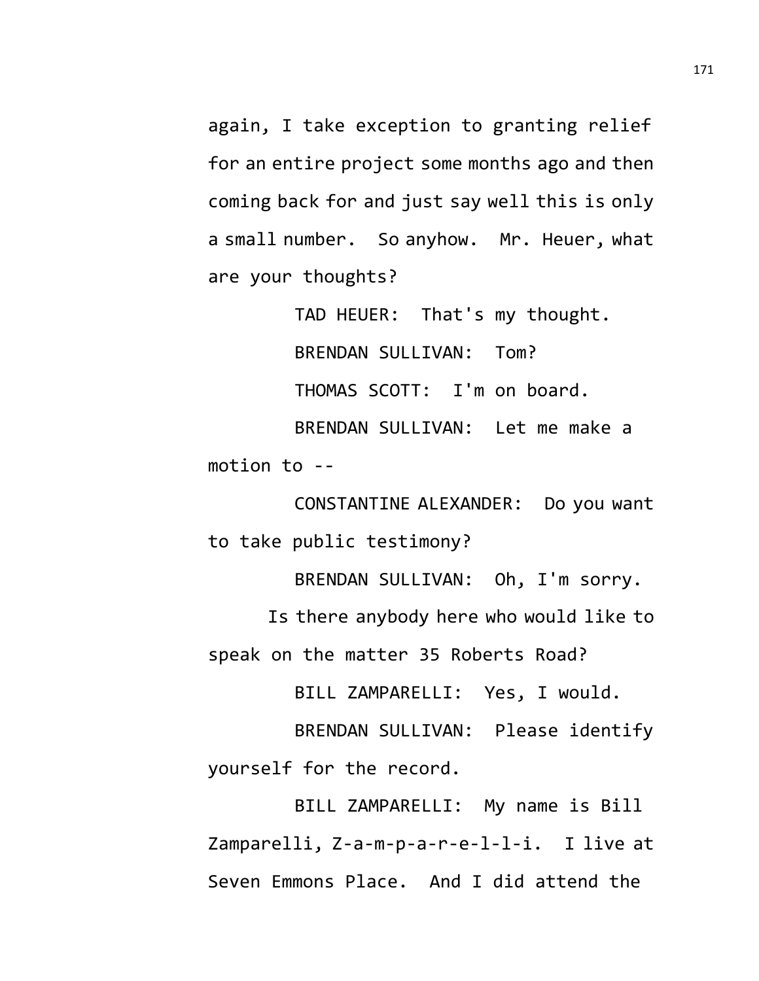again, I take exception to granting relief for an entire project some months ago and then coming back for and just say well this is only a small number. So anyhow. Mr. Heuer, what are your thoughts?

TAD HEUER: That's my thought.

BRENDAN SULLIVAN: Tom?

THOMAS SCOTT: I'm on board.

BRENDAN SULLIVAN: Let me make a motion to --

CONSTANTINE ALEXANDER: Do you want to take public testimony?

BRENDAN SULLIVAN: Oh, I'm sorry.

Is there anybody here who would like to speak on the matter 35 Roberts Road?

BILL ZAMPARELLI: Yes, I would.

BRENDAN SULLIVAN: Please identify yourself for the record.

BILL ZAMPARELLI: My name is Bill Zamparelli, Z-a-m-p-a-r-e-l-l-i. I live at Seven Emmons Place. And I did attend the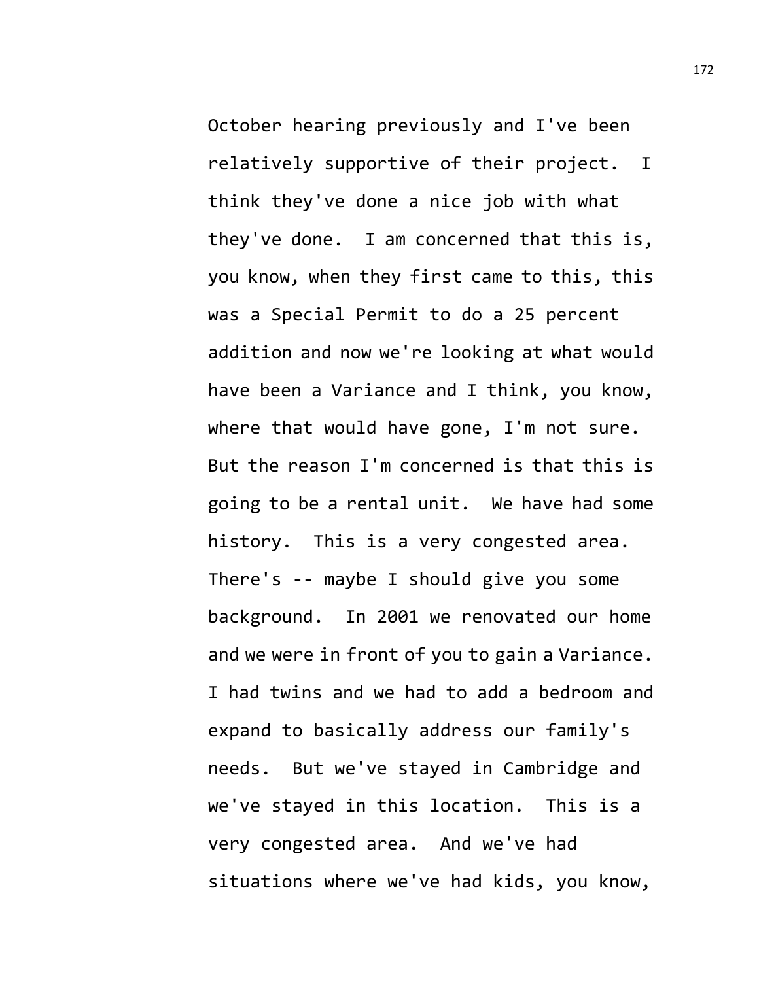October hearing previously and I've been relatively supportive of their project. I think they've done a nice job with what they've done. I am concerned that this is, you know, when they first came to this, this was a Special Permit to do a 25 percent addition and now we're looking at what would have been a Variance and I think, you know, where that would have gone, I'm not sure. But the reason I'm concerned is that this is going to be a rental unit. We have had some history. This is a very congested area. There's -- maybe I should give you some background. In 2001 we renovated our home and we were in front of you to gain a Variance. I had twins and we had to add a bedroom and expand to basically address our family's needs. But we've stayed in Cambridge and we've stayed in this location. This is a very congested area. And we've had situations where we've had kids, you know,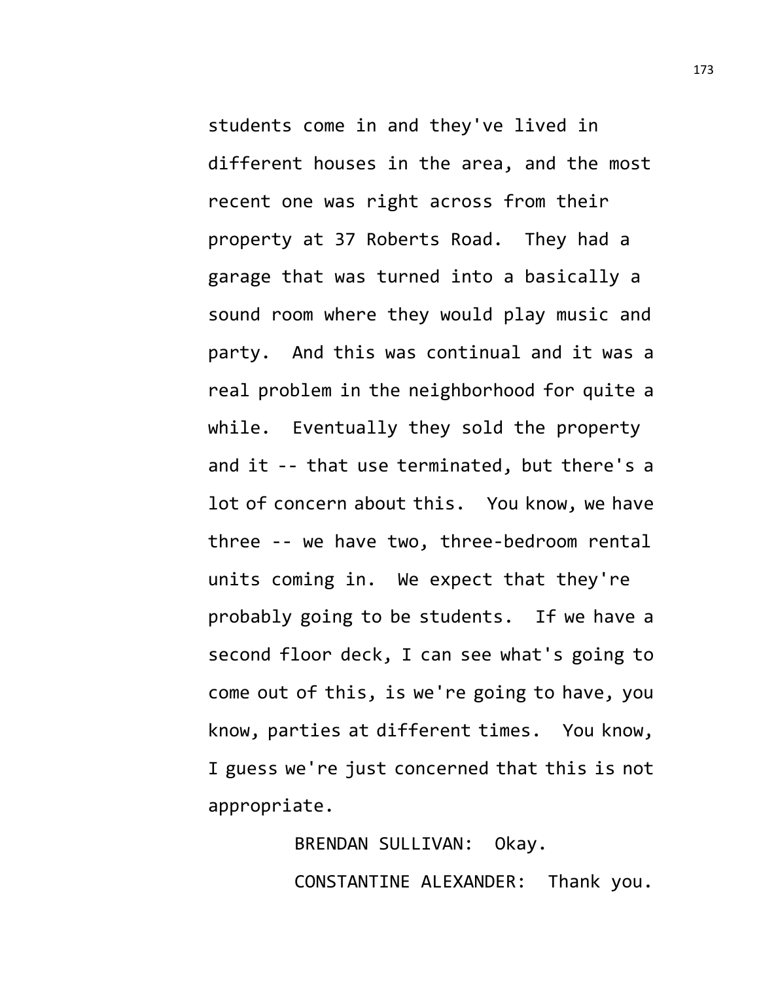students come in and they've lived in different houses in the area, and the most recent one was right across from their property at 37 Roberts Road. They had a garage that was turned into a basically a sound room where they would play music and party. And this was continual and it was a real problem in the neighborhood for quite a while. Eventually they sold the property and it -- that use terminated, but there's a lot of concern about this. You know, we have three -- we have two, three-bedroom rental units coming in. We expect that they're probably going to be students. If we have a second floor deck, I can see what's going to come out of this, is we're going to have, you know, parties at different times. You know, I guess we're just concerned that this is not appropriate.

> BRENDAN SULLIVAN: Okay. CONSTANTINE ALEXANDER: Thank you.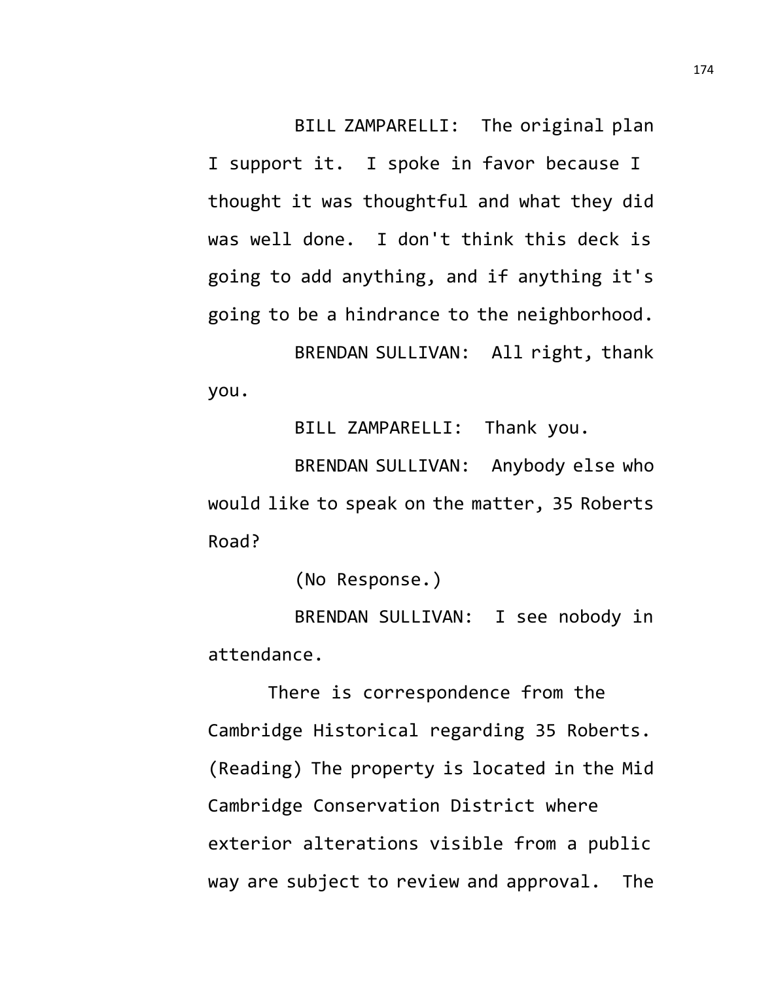BILL ZAMPARELLI: The original plan

I support it. I spoke in favor because I thought it was thoughtful and what they did was well done. I don't think this deck is going to add anything, and if anything it's going to be a hindrance to the neighborhood. BRENDAN SULLIVAN: All right, thank

you.

BILL ZAMPARELLI: Thank you.

BRENDAN SULLIVAN: Anybody else who would like to speak on the matter, 35 Roberts Road?

(No Response.)

BRENDAN SULLIVAN: I see nobody in attendance.

There is correspondence from the Cambridge Historical regarding 35 Roberts. (Reading) The property is located in the Mid Cambridge Conservation District where exterior alterations visible from a public way are subject to review and approval. The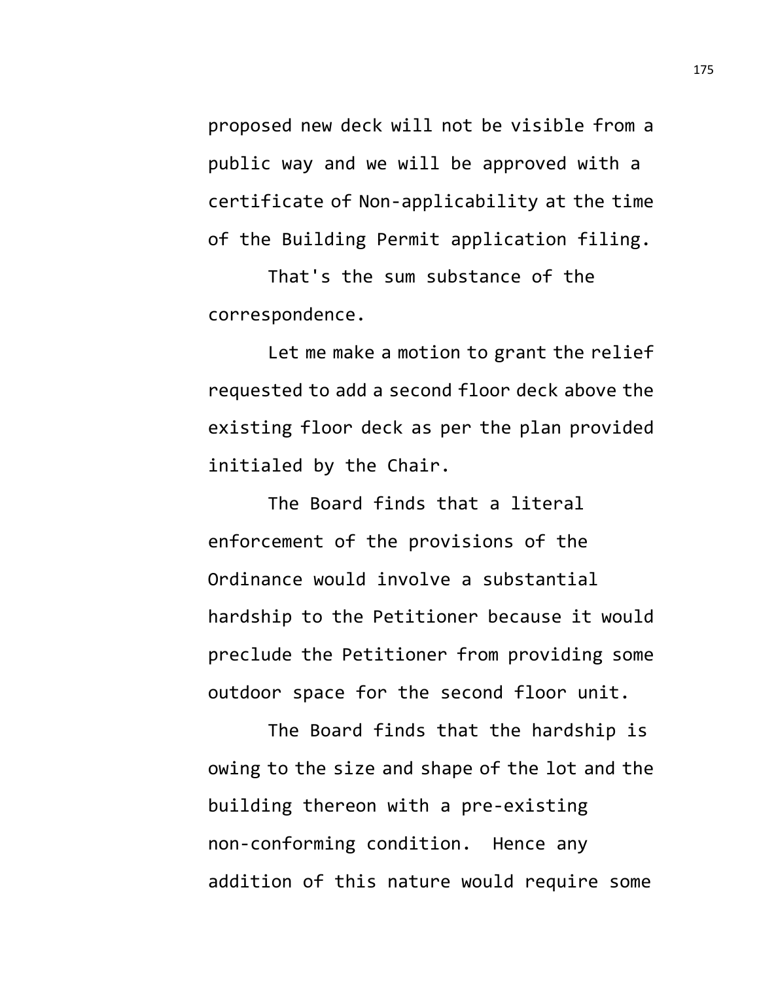proposed new deck will not be visible from a public way and we will be approved with a certificate of Non-applicability at the time of the Building Permit application filing.

That's the sum substance of the correspondence.

Let me make a motion to grant the relief requested to add a second floor deck above the existing floor deck as per the plan provided initialed by the Chair.

The Board finds that a literal enforcement of the provisions of the Ordinance would involve a substantial hardship to the Petitioner because it would preclude the Petitioner from providing some outdoor space for the second floor unit.

The Board finds that the hardship is owing to the size and shape of the lot and the building thereon with a pre-existing non-conforming condition. Hence any addition of this nature would require some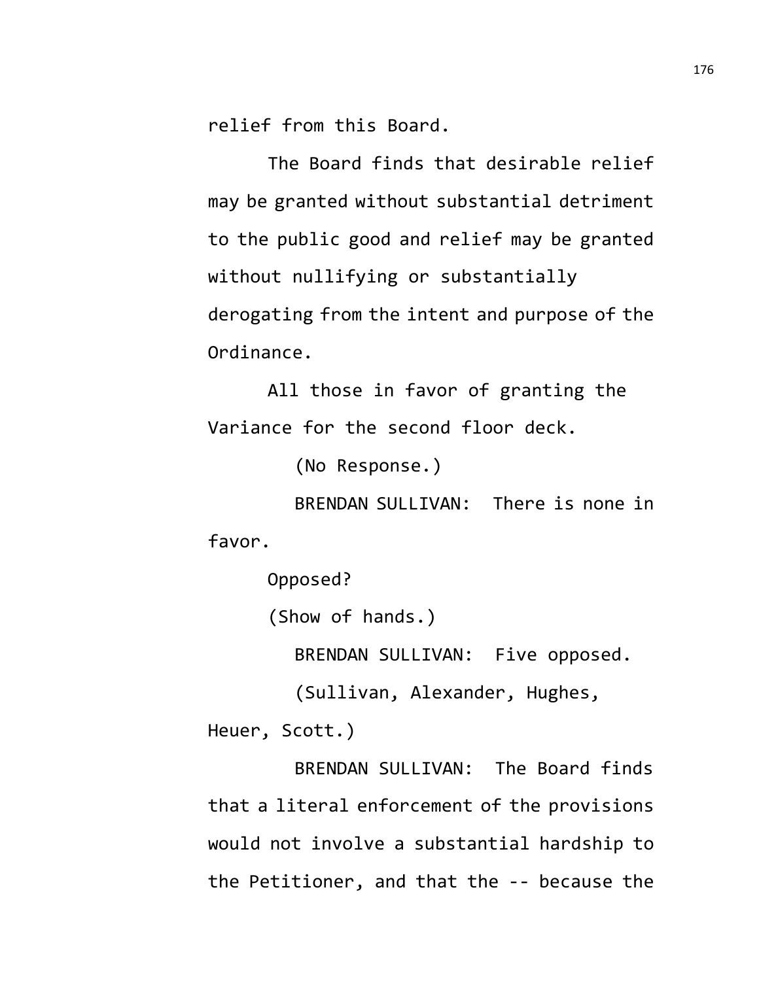relief from this Board.

The Board finds that desirable relief may be granted without substantial detriment to the public good and relief may be granted without nullifying or substantially derogating from the intent and purpose of the Ordinance.

All those in favor of granting the Variance for the second floor deck.

(No Response.)

BRENDAN SULLIVAN: There is none in favor.

Opposed?

(Show of hands.)

BRENDAN SULLIVAN: Five opposed.

(Sullivan, Alexander, Hughes,

Heuer, Scott.)

BRENDAN SULLIVAN: The Board finds that a literal enforcement of the provisions would not involve a substantial hardship to the Petitioner, and that the -- because the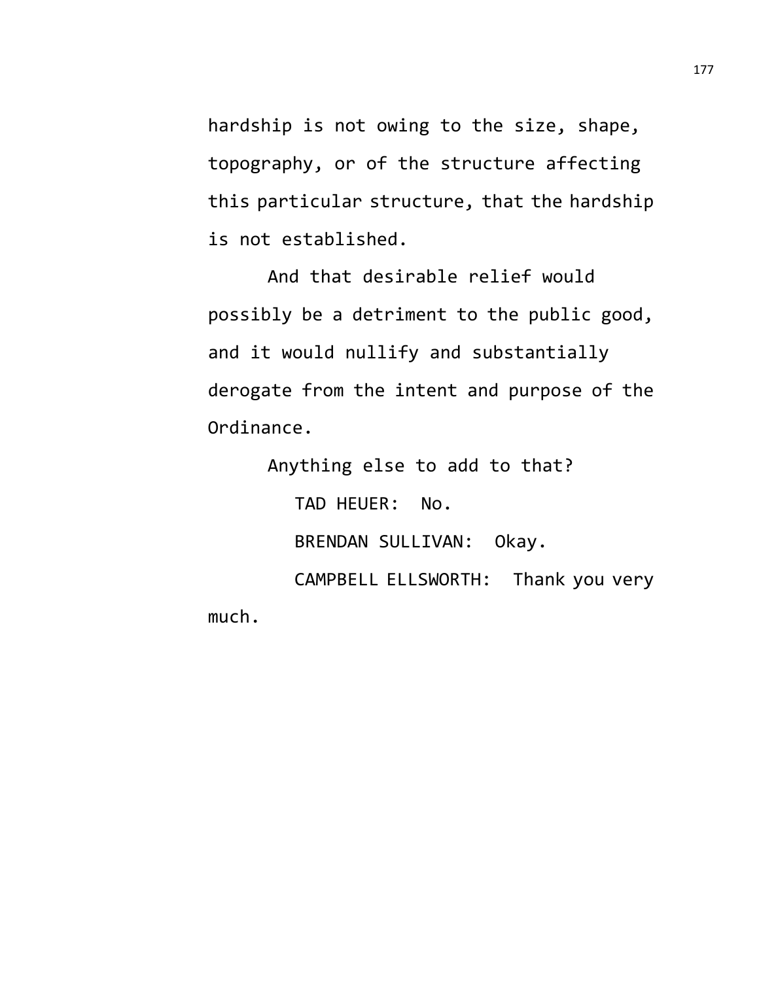hardship is not owing to the size, shape, topography, or of the structure affecting this particular structure, that the hardship is not established.

And that desirable relief would possibly be a detriment to the public good, and it would nullify and substantially derogate from the intent and purpose of the Ordinance.

Anything else to add to that?

TAD HEUER: No.

BRENDAN SULLIVAN: Okay.

CAMPBELL ELLSWORTH: Thank you very much.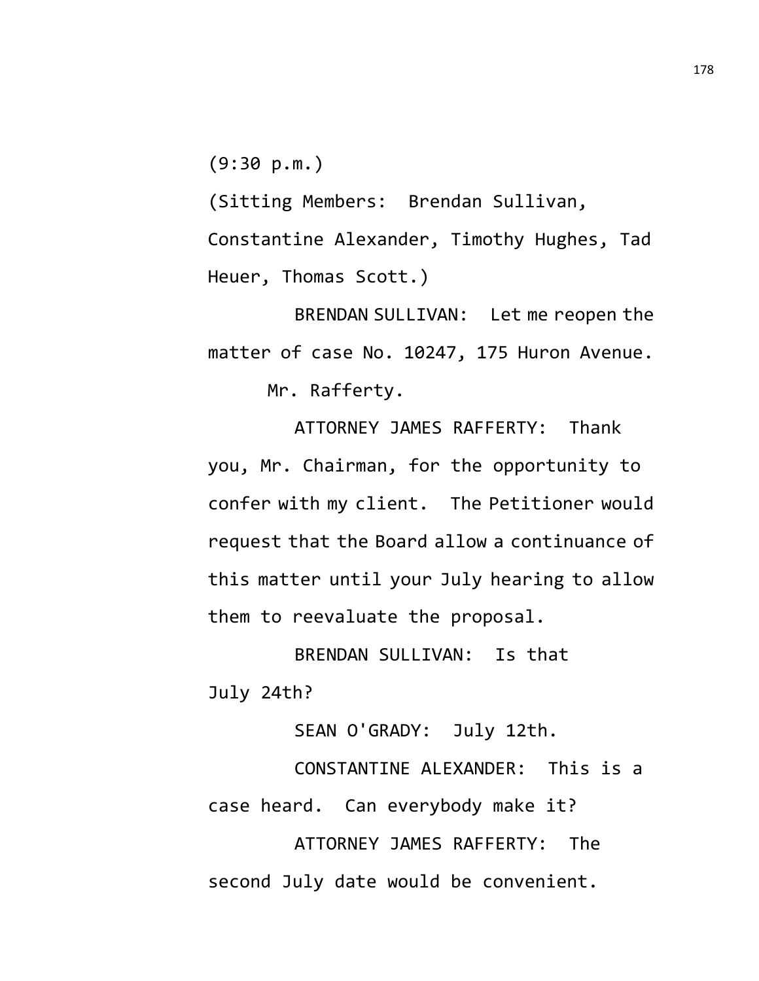$(9:30 p.m.)$ 

(Sitting Members: Brendan Sullivan, Constantine Alexander, Timothy Hughes, Tad Heuer, Thomas Scott.)

BRENDAN SULLIVAN: Let me reopen the matter of case No. 10247, 175 Huron Avenue. Mr. Rafferty.

ATTORNEY JAMES RAFFERTY: Thank you, Mr. Chairman, for the opportunity to confer with my client. The Petitioner would request that the Board allow a continuance of this matter until your July hearing to allow them to reevaluate the proposal.

BRENDAN SULLIVAN: Is that July 24th?

SEAN O'GRADY: July 12th.

CONSTANTINE ALEXANDER: This is a case heard. Can everybody make it?

ATTORNEY JAMES RAFFERTY: The second July date would be convenient.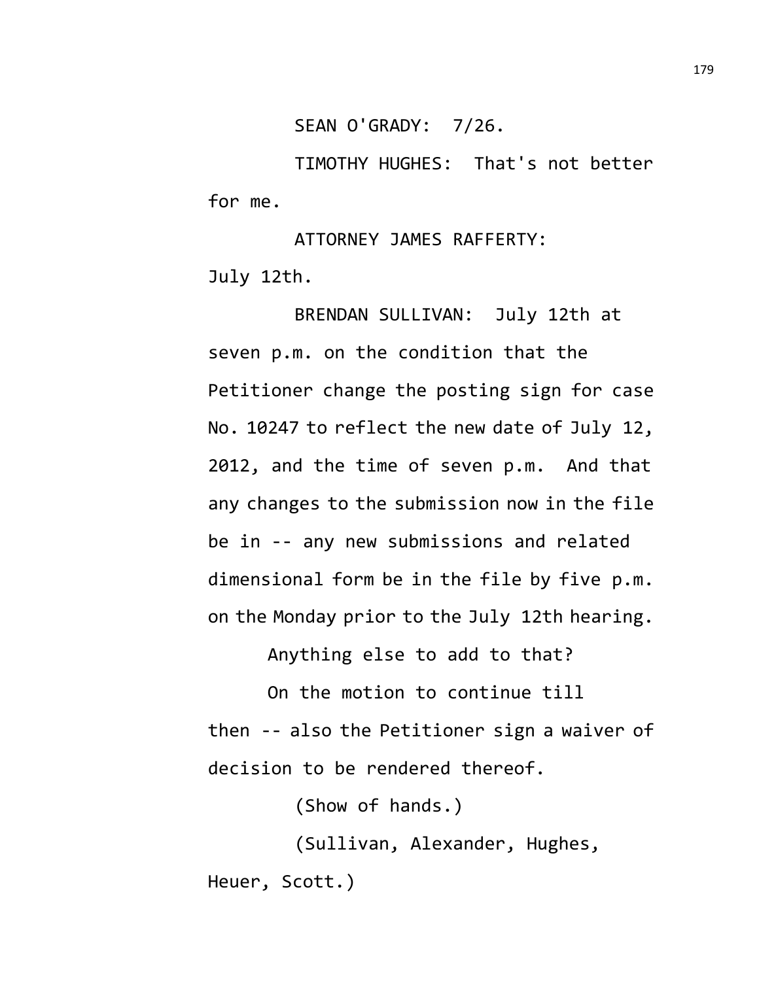SEAN O'GRADY: 7/26.

TIMOTHY HUGHES: That's not better for me.

ATTORNEY JAMES RAFFERTY: July 12th.

BRENDAN SULLIVAN: July 12th at seven p.m. on the condition that the Petitioner change the posting sign for case No. 10247 to reflect the new date of July 12, 2012, and the time of seven p.m. And that any changes to the submission now in the file be in -- any new submissions and related dimensional form be in the file by five p.m. on the Monday prior to the July 12th hearing.

Anything else to add to that?

On the motion to continue till then -- also the Petitioner sign a waiver of decision to be rendered thereof.

(Show of hands.)

(Sullivan, Alexander, Hughes, Heuer, Scott.)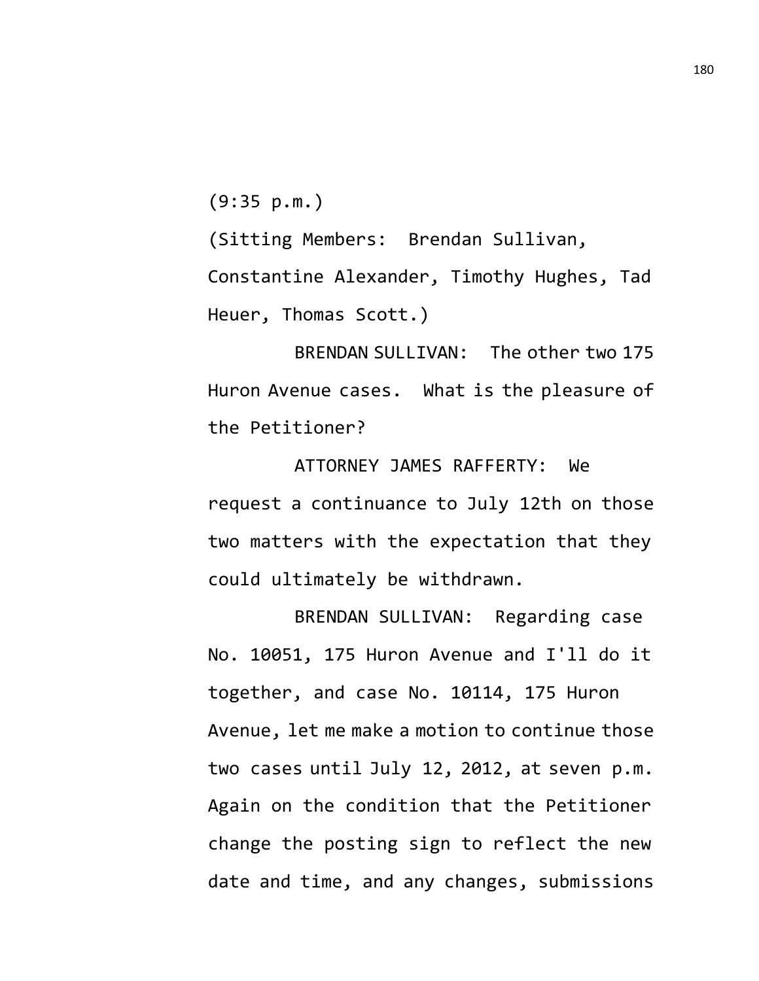(9:35 p.m.)

(Sitting Members: Brendan Sullivan, Constantine Alexander, Timothy Hughes, Tad Heuer, Thomas Scott.)

BRENDAN SULLIVAN: The other two 175 Huron Avenue cases. What is the pleasure of the Petitioner?

ATTORNEY JAMES RAFFERTY: We request a continuance to July 12th on those two matters with the expectation that they could ultimately be withdrawn.

BRENDAN SULLIVAN: Regarding case No. 10051, 175 Huron Avenue and I'll do it together, and case No. 10114, 175 Huron Avenue, let me make a motion to continue those two cases until July 12, 2012, at seven p.m. Again on the condition that the Petitioner change the posting sign to reflect the new date and time, and any changes, submissions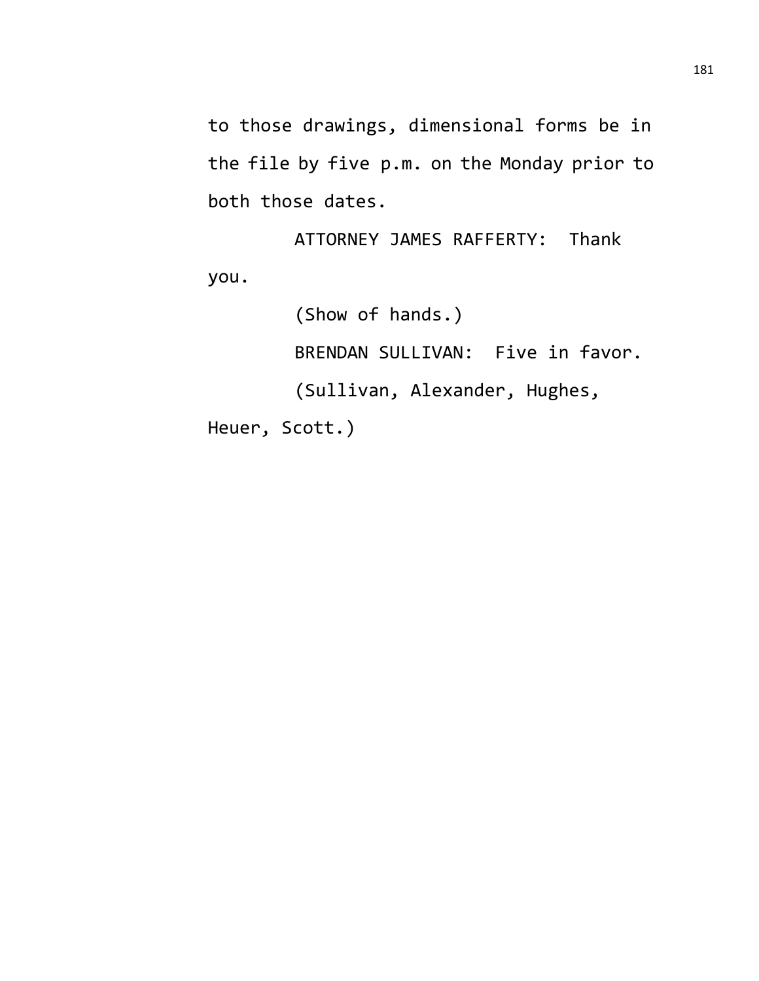to those drawings, dimensional forms be in the file by five p.m. on the Monday prior to both those dates.

ATTORNEY JAMES RAFFERTY: Thank you.

(Show of hands.)

BRENDAN SULLIVAN: Five in favor.

(Sullivan, Alexander, Hughes,

Heuer, Scott.)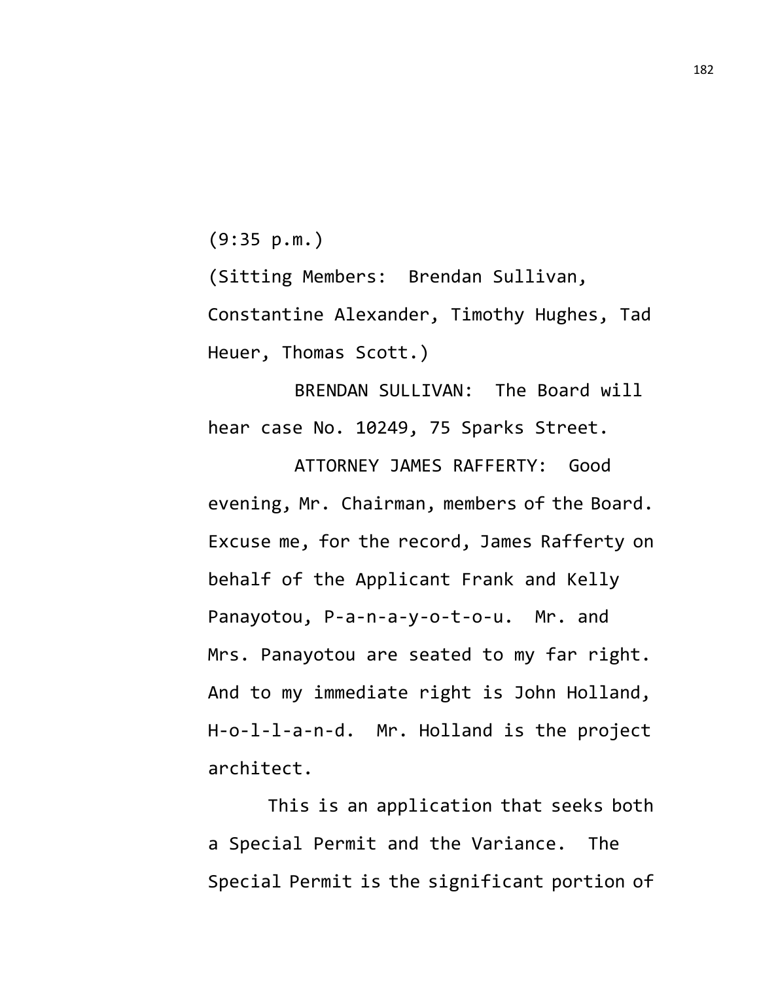(9:35 p.m.)

(Sitting Members: Brendan Sullivan, Constantine Alexander, Timothy Hughes, Tad Heuer, Thomas Scott.)

BRENDAN SULLIVAN: The Board will hear case No. 10249, 75 Sparks Street.

ATTORNEY JAMES RAFFERTY: Good evening, Mr. Chairman, members of the Board. Excuse me, for the record, James Rafferty on behalf of the Applicant Frank and Kelly Panayotou, P-a-n-a-y-o-t-o-u. Mr. and Mrs. Panayotou are seated to my far right. And to my immediate right is John Holland, H-o-l-l-a-n-d. Mr. Holland is the project architect.

This is an application that seeks both a Special Permit and the Variance. The Special Permit is the significant portion of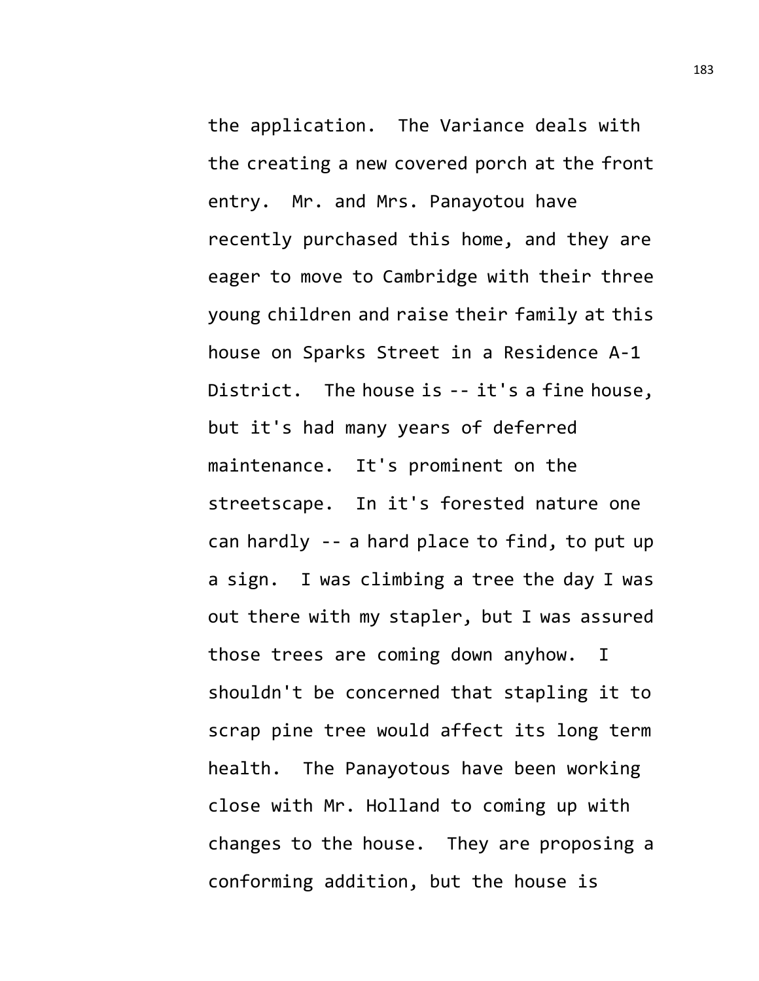the application. The Variance deals with the creating a new covered porch at the front entry. Mr. and Mrs. Panayotou have recently purchased this home, and they are eager to move to Cambridge with their three young children and raise their family at this house on Sparks Street in a Residence A-1 District. The house is -- it's a fine house, but it's had many years of deferred maintenance. It's prominent on the streetscape. In it's forested nature one can hardly -- a hard place to find, to put up a sign. I was climbing a tree the day I was out there with my stapler, but I was assured those trees are coming down anyhow. I shouldn't be concerned that stapling it to scrap pine tree would affect its long term health. The Panayotous have been working close with Mr. Holland to coming up with changes to the house. They are proposing a conforming addition, but the house is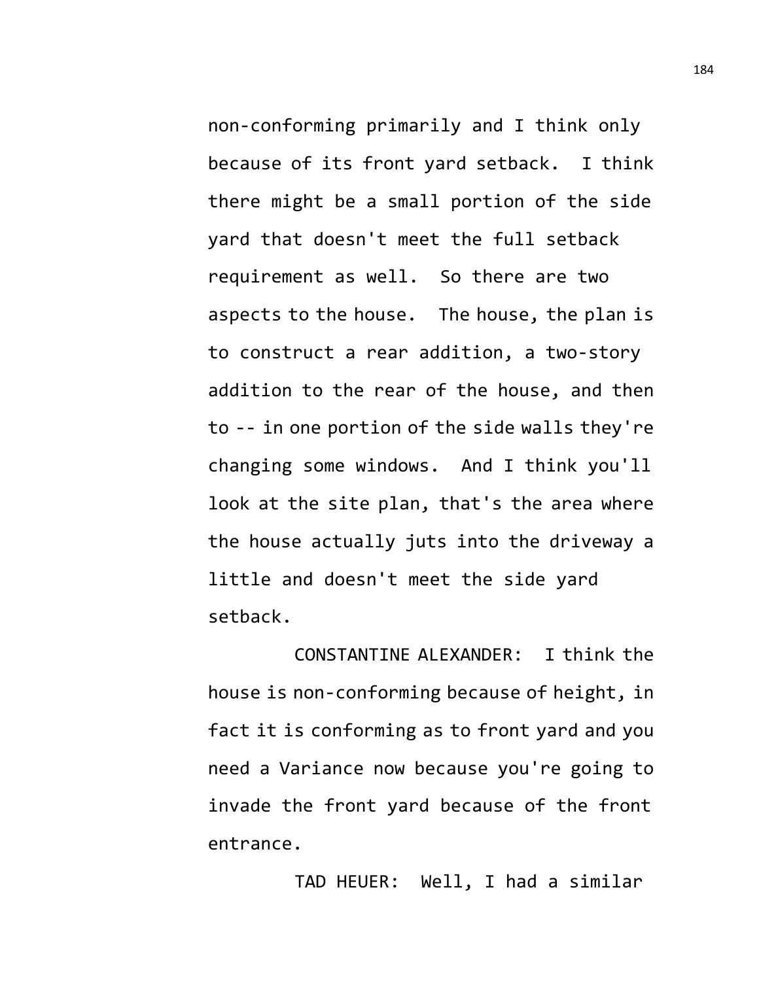non-conforming primarily and I think only because of its front yard setback. I think there might be a small portion of the side yard that doesn't meet the full setback requirement as well. So there are two aspects to the house. The house, the plan is to construct a rear addition, a two-story addition to the rear of the house, and then to -- in one portion of the side walls they're changing some windows. And I think you'll look at the site plan, that's the area where the house actually juts into the driveway a little and doesn't meet the side yard setback.

CONSTANTINE ALEXANDER: I think the house is non-conforming because of height, in fact it is conforming as to front yard and you need a Variance now because you're going to invade the front yard because of the front entrance.

TAD HEUER: Well, I had a similar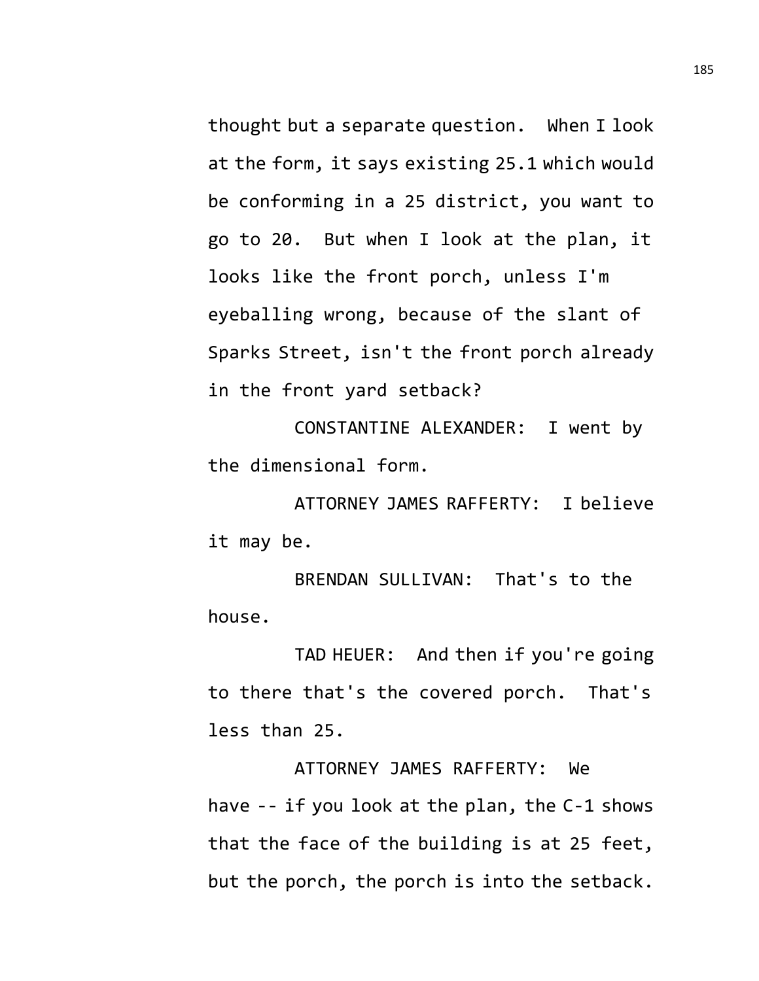thought but a separate question. When I look at the form, it says existing 25.1 which would be conforming in a 25 district, you want to go to 20. But when I look at the plan, it looks like the front porch, unless I'm eyeballing wrong, because of the slant of Sparks Street, isn't the front porch already in the front yard setback?

CONSTANTINE ALEXANDER: I went by the dimensional form.

ATTORNEY JAMES RAFFERTY: I believe it may be.

BRENDAN SULLIVAN: That's to the house.

TAD HEUER: And then if you're going to there that's the covered porch. That's less than 25.

ATTORNEY JAMES RAFFERTY: We have -- if you look at the plan, the C-1 shows that the face of the building is at 25 feet, but the porch, the porch is into the setback.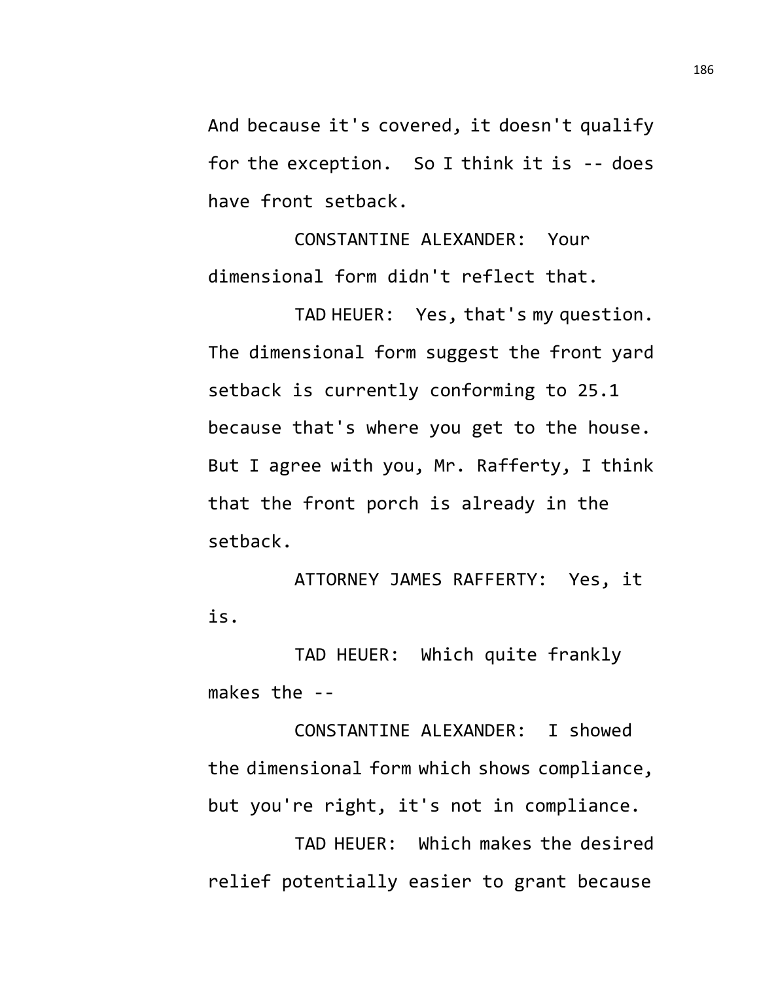And because it's covered, it doesn't qualify for the exception. So I think it is -- does have front setback.

CONSTANTINE ALEXANDER: Your dimensional form didn't reflect that.

TAD HEUER: Yes, that's my question. The dimensional form suggest the front yard setback is currently conforming to 25.1 because that's where you get to the house. But I agree with you, Mr. Rafferty, I think that the front porch is already in the setback.

ATTORNEY JAMES RAFFERTY: Yes, it is.

TAD HEUER: Which quite frankly makes the --

CONSTANTINE ALEXANDER: I showed the dimensional form which shows compliance, but you're right, it's not in compliance.

TAD HEUER: Which makes the desired relief potentially easier to grant because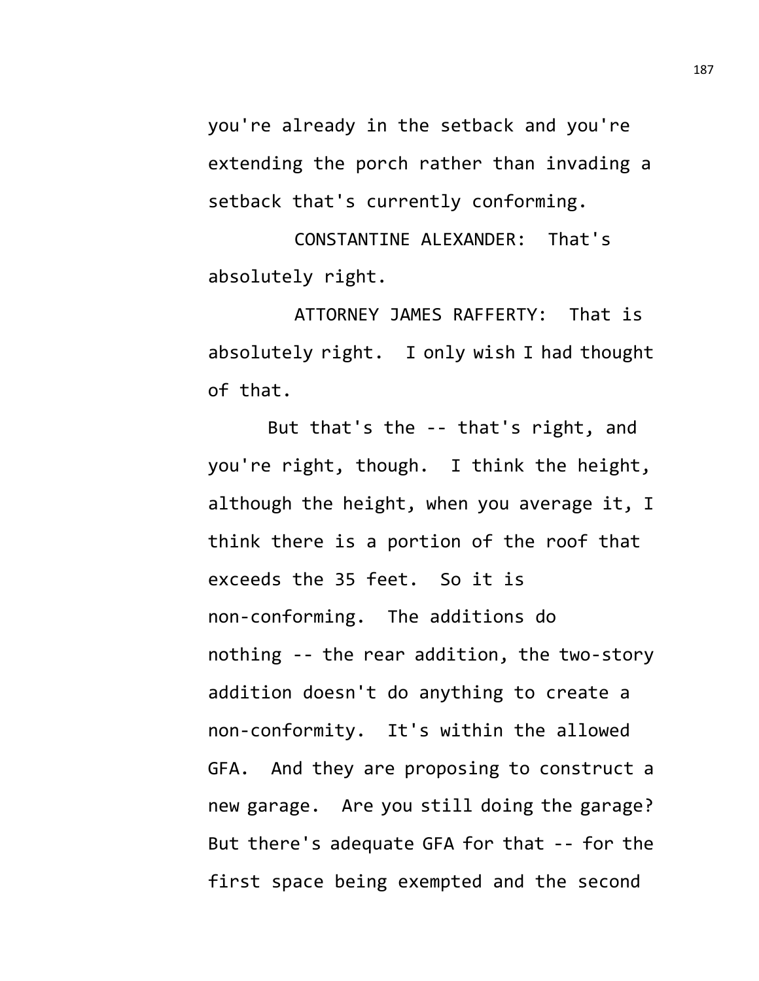you're already in the setback and you're extending the porch rather than invading a setback that's currently conforming.

CONSTANTINE ALEXANDER: That's absolutely right.

ATTORNEY JAMES RAFFERTY: That is absolutely right. I only wish I had thought of that.

But that's the -- that's right, and you're right, though. I think the height, although the height, when you average it, I think there is a portion of the roof that exceeds the 35 feet. So it is non-conforming. The additions do nothing -- the rear addition, the two-story addition doesn't do anything to create a non-conformity. It's within the allowed GFA. And they are proposing to construct a new garage. Are you still doing the garage? But there's adequate GFA for that -- for the first space being exempted and the second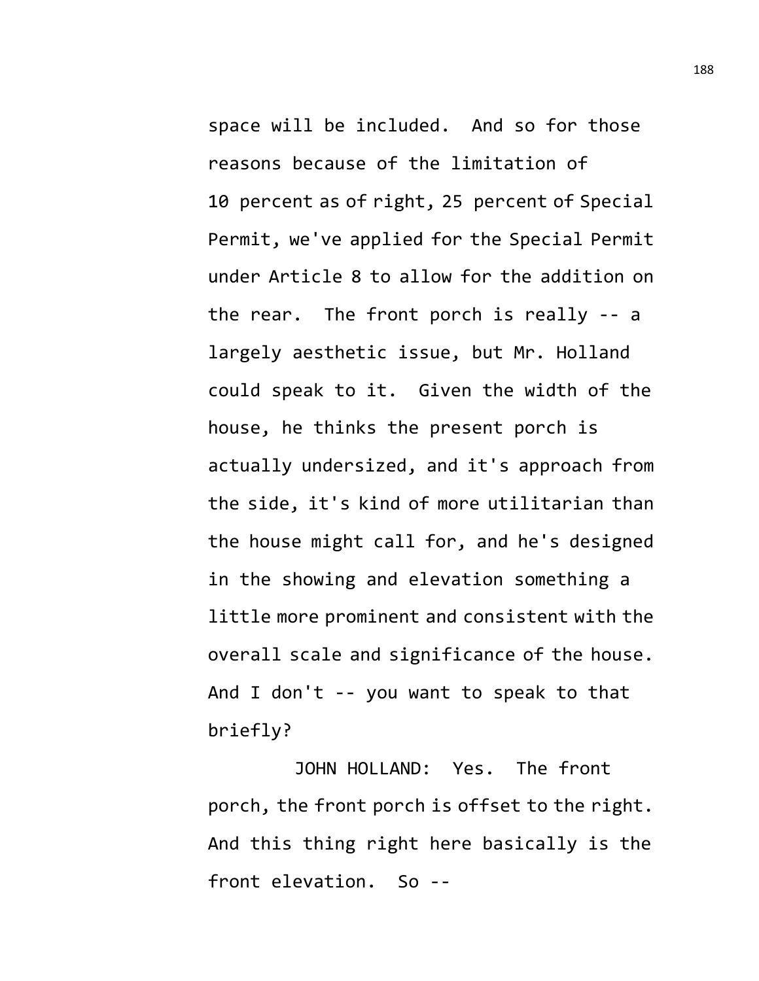space will be included. And so for those reasons because of the limitation of 10 percent as of right, 25 percent of Special Permit, we've applied for the Special Permit under Article 8 to allow for the addition on the rear. The front porch is really -- a largely aesthetic issue, but Mr. Holland could speak to it. Given the width of the house, he thinks the present porch is actually undersized, and it's approach from the side, it's kind of more utilitarian than the house might call for, and he's designed in the showing and elevation something a little more prominent and consistent with the overall scale and significance of the house. And I don't -- you want to speak to that briefly?

JOHN HOLLAND: Yes. The front porch, the front porch is offset to the right. And this thing right here basically is the front elevation. So --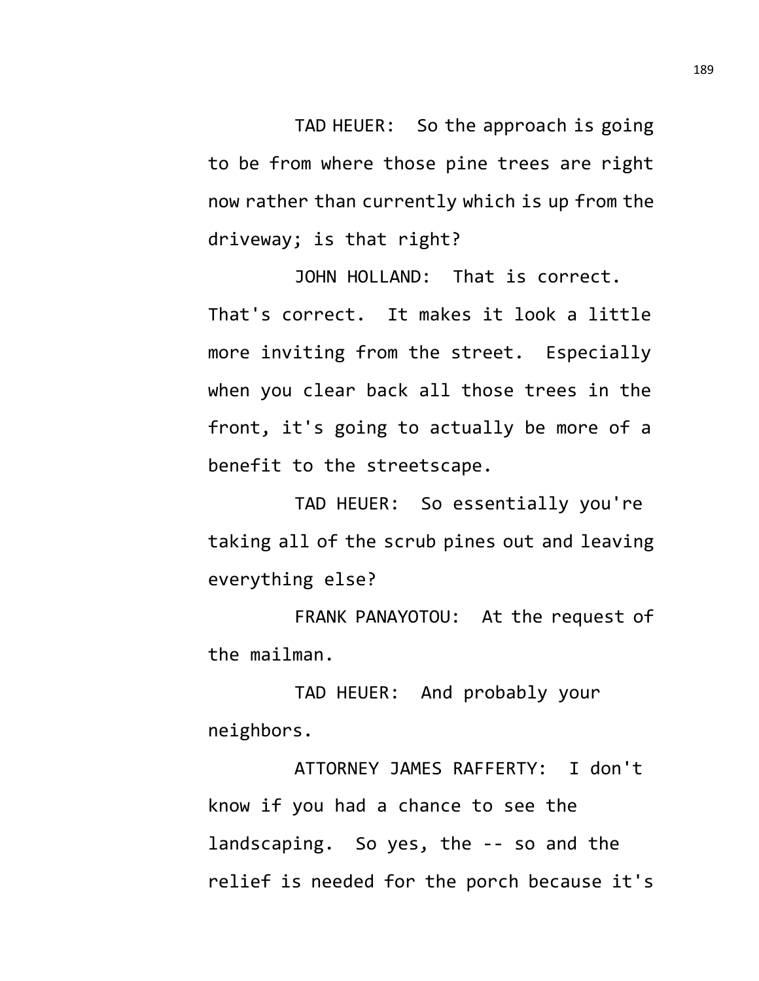TAD HEUER: So the approach is going to be from where those pine trees are right now rather than currently which is up from the driveway; is that right?

JOHN HOLLAND: That is correct. That's correct. It makes it look a little more inviting from the street. Especially when you clear back all those trees in the front, it's going to actually be more of a benefit to the streetscape.

TAD HEUER: So essentially you're taking all of the scrub pines out and leaving everything else?

FRANK PANAYOTOU: At the request of the mailman.

TAD HEUER: And probably your neighbors.

ATTORNEY JAMES RAFFERTY: I don't know if you had a chance to see the landscaping. So yes, the -- so and the relief is needed for the porch because it's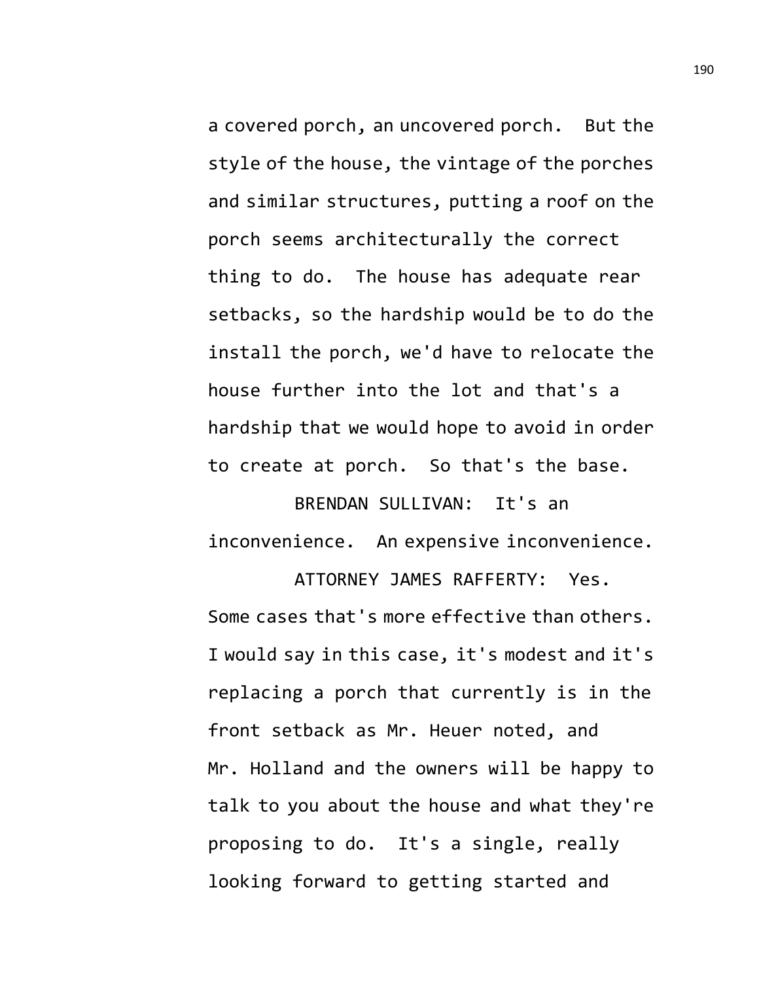a covered porch, an uncovered porch. But the style of the house, the vintage of the porches and similar structures, putting a roof on the porch seems architecturally the correct thing to do. The house has adequate rear setbacks, so the hardship would be to do the install the porch, we'd have to relocate the house further into the lot and that's a hardship that we would hope to avoid in order to create at porch. So that's the base.

BRENDAN SULLIVAN: It's an inconvenience. An expensive inconvenience.

ATTORNEY JAMES RAFFERTY: Yes. Some cases that's more effective than others. I would say in this case, it's modest and it's replacing a porch that currently is in the front setback as Mr. Heuer noted, and Mr. Holland and the owners will be happy to talk to you about the house and what they're proposing to do. It's a single, really looking forward to getting started and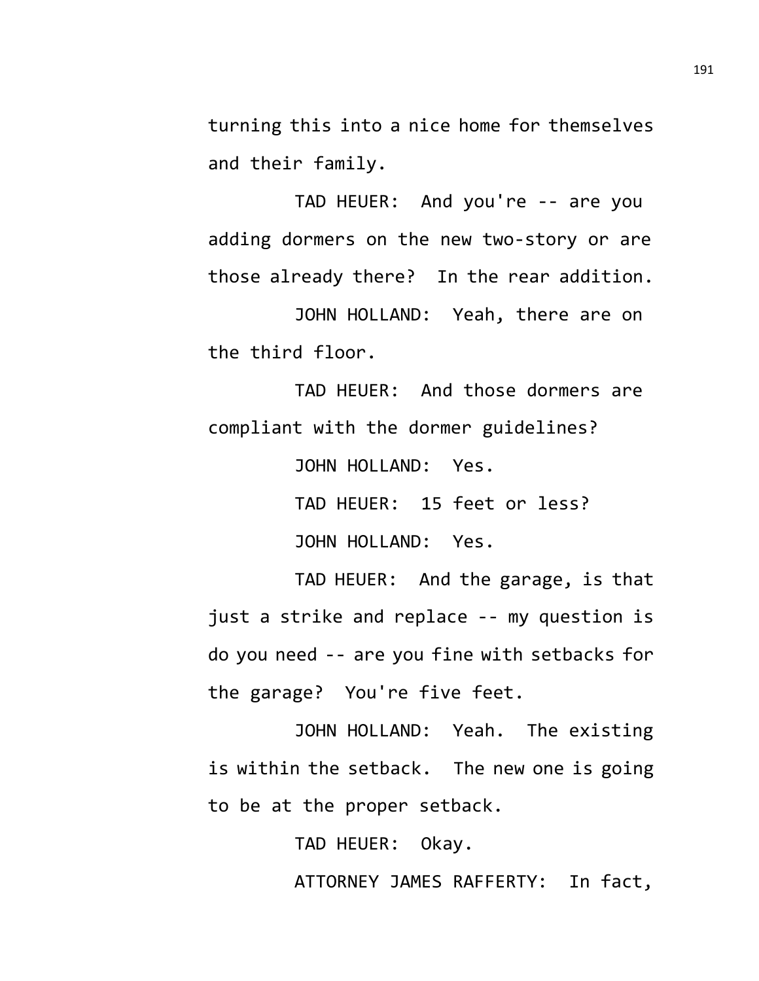turning this into a nice home for themselves and their family.

TAD HEUER: And you're -- are you adding dormers on the new two-story or are those already there? In the rear addition.

JOHN HOLLAND: Yeah, there are on the third floor.

TAD HEUER: And those dormers are compliant with the dormer guidelines?

JOHN HOLLAND: Yes.

TAD HEUER: 15 feet or less? JOHN HOLLAND: Yes.

TAD HEUER: And the garage, is that just a strike and replace -- my question is do you need -- are you fine with setbacks for the garage? You're five feet.

JOHN HOLLAND: Yeah. The existing is within the setback. The new one is going to be at the proper setback.

TAD HEUER: Okay.

ATTORNEY JAMES RAFFERTY: In fact,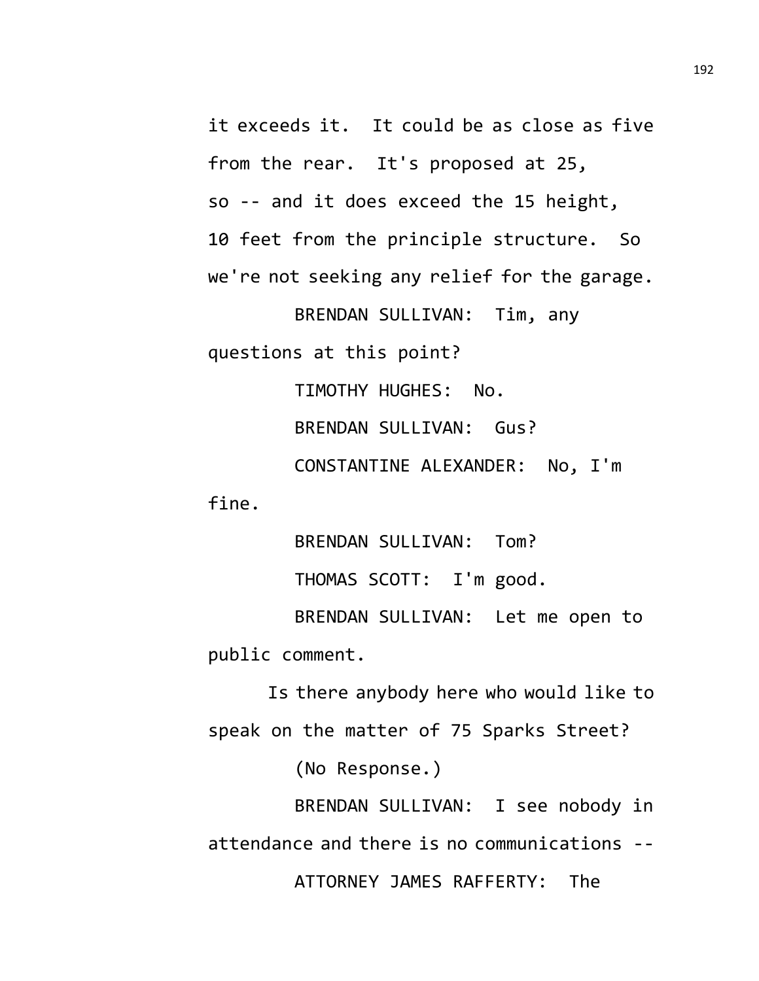it exceeds it. It could be as close as five from the rear. It's proposed at 25, so -- and it does exceed the 15 height, 10 feet from the principle structure. So we're not seeking any relief for the garage.

BRENDAN SULLIVAN: Tim, any questions at this point?

TIMOTHY HUGHES: No.

BRENDAN SULLIVAN: Gus?

CONSTANTINE ALEXANDER: No, I'm fine.

> BRENDAN SULLIVAN: Tom? THOMAS SCOTT: I'm good.

BRENDAN SULLIVAN: Let me open to public comment.

Is there anybody here who would like to speak on the matter of 75 Sparks Street?

(No Response.)

BRENDAN SULLIVAN: I see nobody in attendance and there is no communications -- ATTORNEY JAMES RAFFERTY: The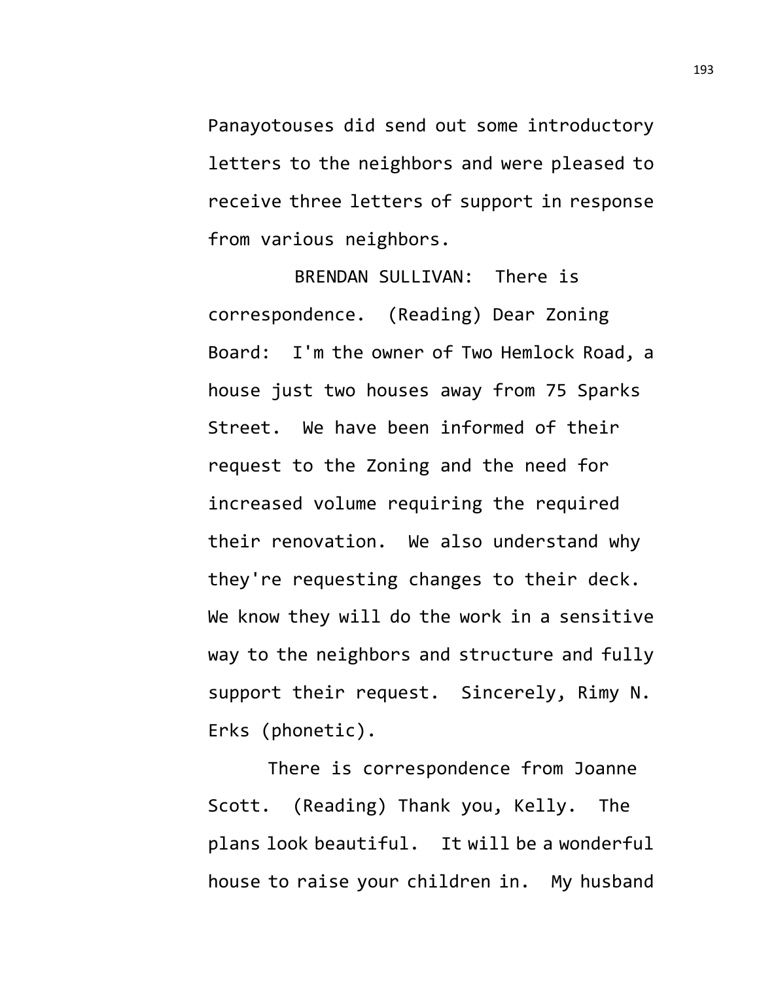Panayotouses did send out some introductory letters to the neighbors and were pleased to receive three letters of support in response from various neighbors.

BRENDAN SULLIVAN: There is correspondence. (Reading) Dear Zoning Board: I'm the owner of Two Hemlock Road, a house just two houses away from 75 Sparks Street. We have been informed of their request to the Zoning and the need for increased volume requiring the required their renovation. We also understand why they're requesting changes to their deck. We know they will do the work in a sensitive way to the neighbors and structure and fully support their request. Sincerely, Rimy N. Erks (phonetic).

There is correspondence from Joanne Scott. (Reading) Thank you, Kelly. The plans look beautiful. It will be a wonderful house to raise your children in. My husband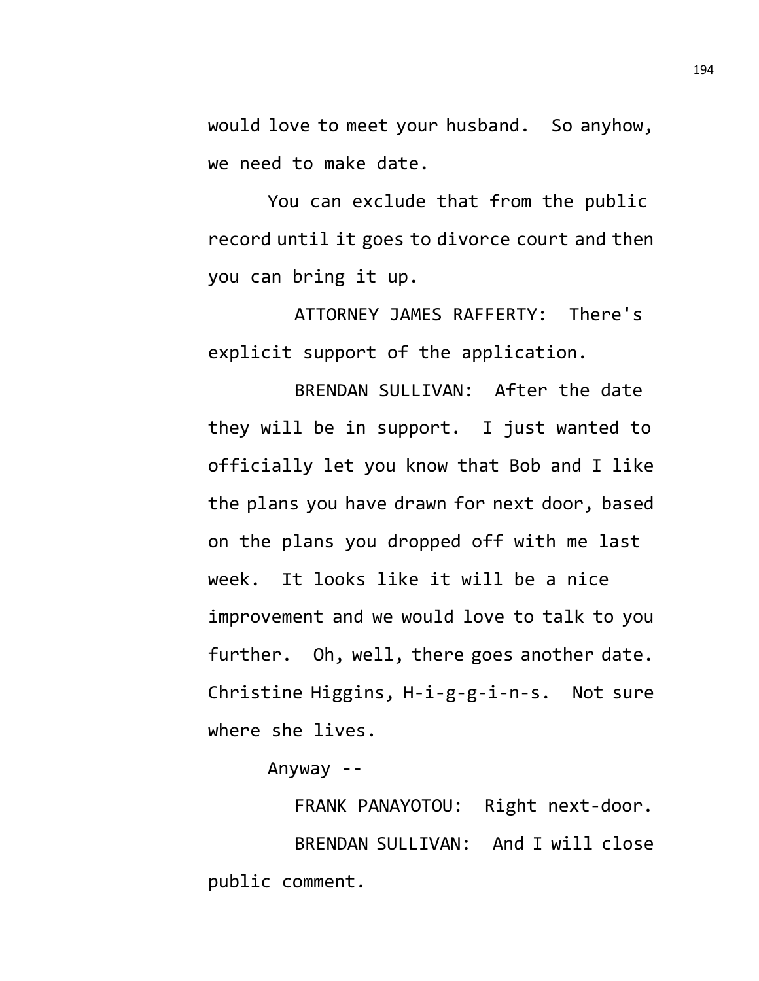would love to meet your husband. So anyhow, we need to make date.

You can exclude that from the public record until it goes to divorce court and then you can bring it up.

ATTORNEY JAMES RAFFERTY: There's explicit support of the application.

BRENDAN SULLIVAN: After the date they will be in support. I just wanted to officially let you know that Bob and I like the plans you have drawn for next door, based on the plans you dropped off with me last week. It looks like it will be a nice improvement and we would love to talk to you further. Oh, well, there goes another date. Christine Higgins, H-i-g-g-i-n-s. Not sure where she lives.

Anyway --

FRANK PANAYOTOU: Right next-door. BRENDAN SULLIVAN: And I will close public comment.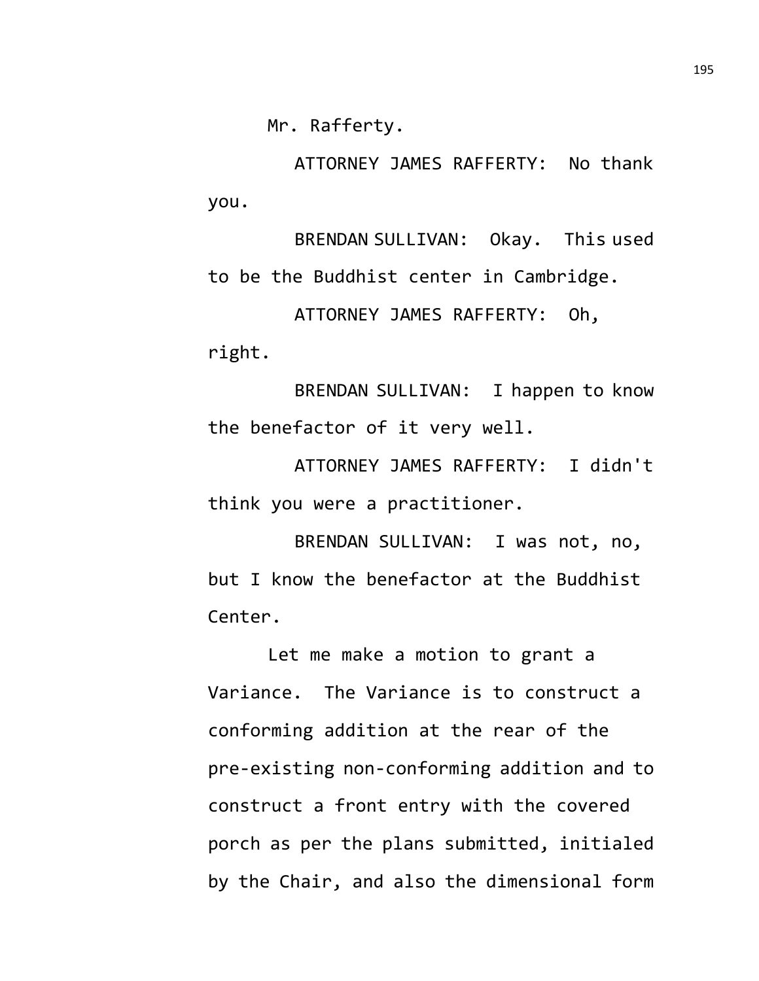Mr. Rafferty.

ATTORNEY JAMES RAFFERTY: No thank you.

BRENDAN SULLIVAN: Okay. This used to be the Buddhist center in Cambridge. ATTORNEY JAMES RAFFERTY: Oh,

right.

BRENDAN SULLIVAN: I happen to know the benefactor of it very well.

ATTORNEY JAMES RAFFERTY: I didn't think you were a practitioner.

BRENDAN SULLIVAN: I was not, no, but I know the benefactor at the Buddhist Center.

Let me make a motion to grant a Variance. The Variance is to construct a conforming addition at the rear of the pre-existing non-conforming addition and to construct a front entry with the covered porch as per the plans submitted, initialed by the Chair, and also the dimensional form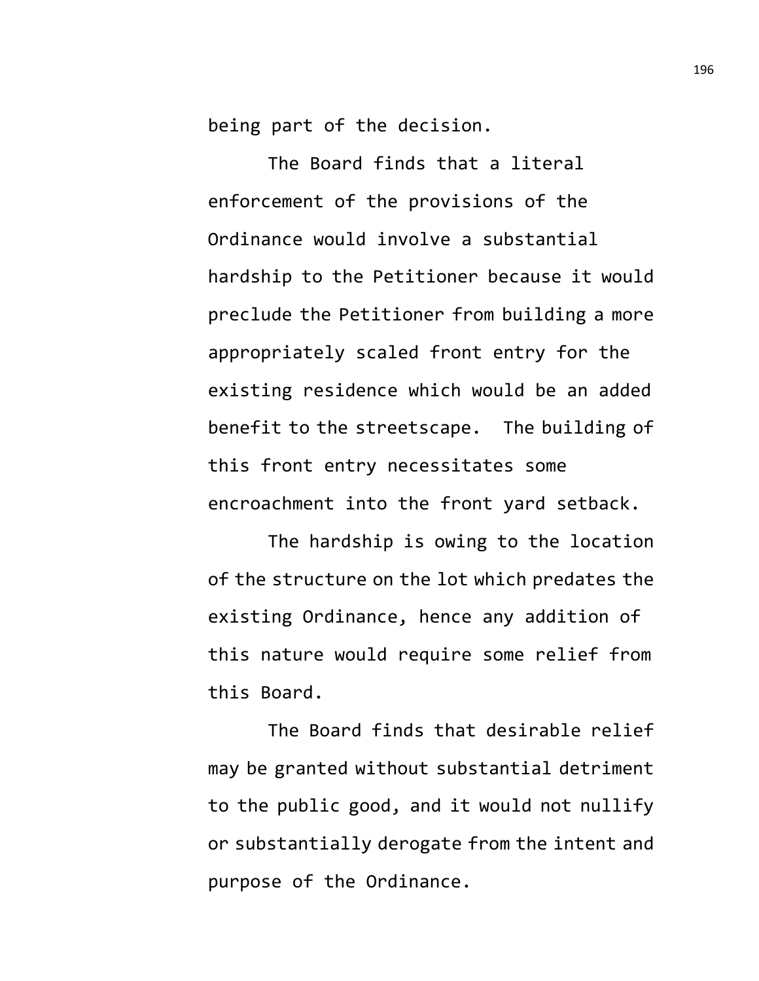being part of the decision.

The Board finds that a literal enforcement of the provisions of the Ordinance would involve a substantial hardship to the Petitioner because it would preclude the Petitioner from building a more appropriately scaled front entry for the existing residence which would be an added benefit to the streetscape. The building of this front entry necessitates some encroachment into the front yard setback.

The hardship is owing to the location of the structure on the lot which predates the existing Ordinance, hence any addition of this nature would require some relief from this Board.

The Board finds that desirable relief may be granted without substantial detriment to the public good, and it would not nullify or substantially derogate from the intent and purpose of the Ordinance.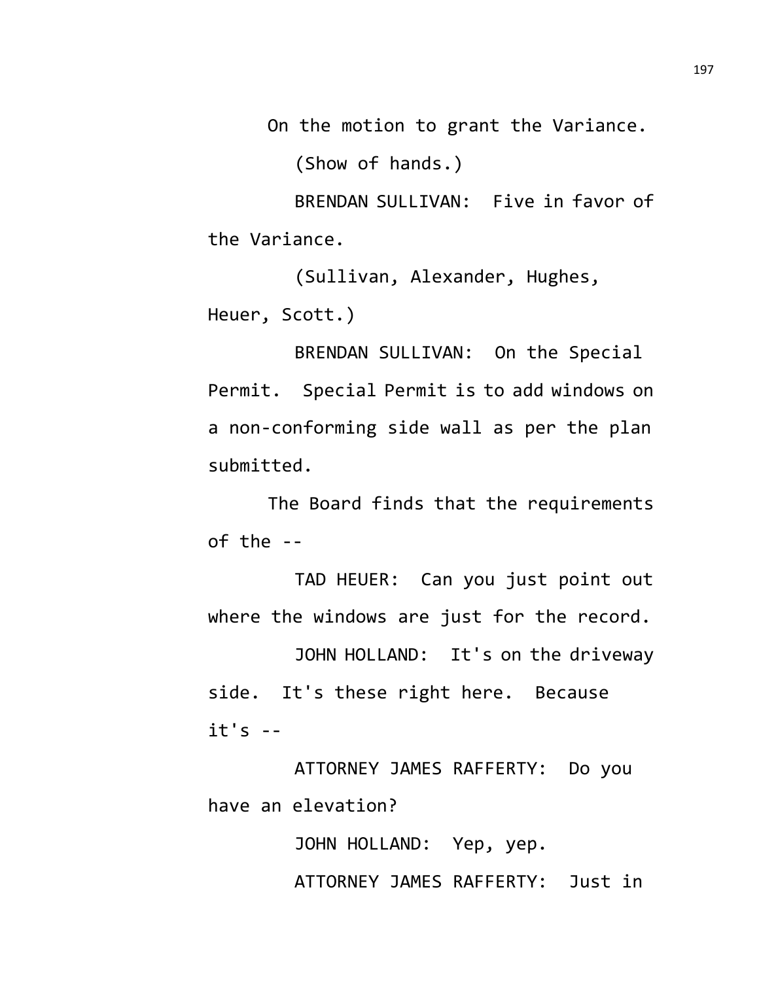On the motion to grant the Variance.

(Show of hands.)

BRENDAN SULLIVAN: Five in favor of the Variance.

(Sullivan, Alexander, Hughes, Heuer, Scott.)

BRENDAN SULLIVAN: On the Special Permit. Special Permit is to add windows on a non-conforming side wall as per the plan submitted.

The Board finds that the requirements of the --

TAD HEUER: Can you just point out where the windows are just for the record.

JOHN HOLLAND: It's on the driveway side. It's these right here. Because it's --

ATTORNEY JAMES RAFFERTY: Do you have an elevation?

> JOHN HOLLAND: Yep, yep. ATTORNEY JAMES RAFFERTY: Just in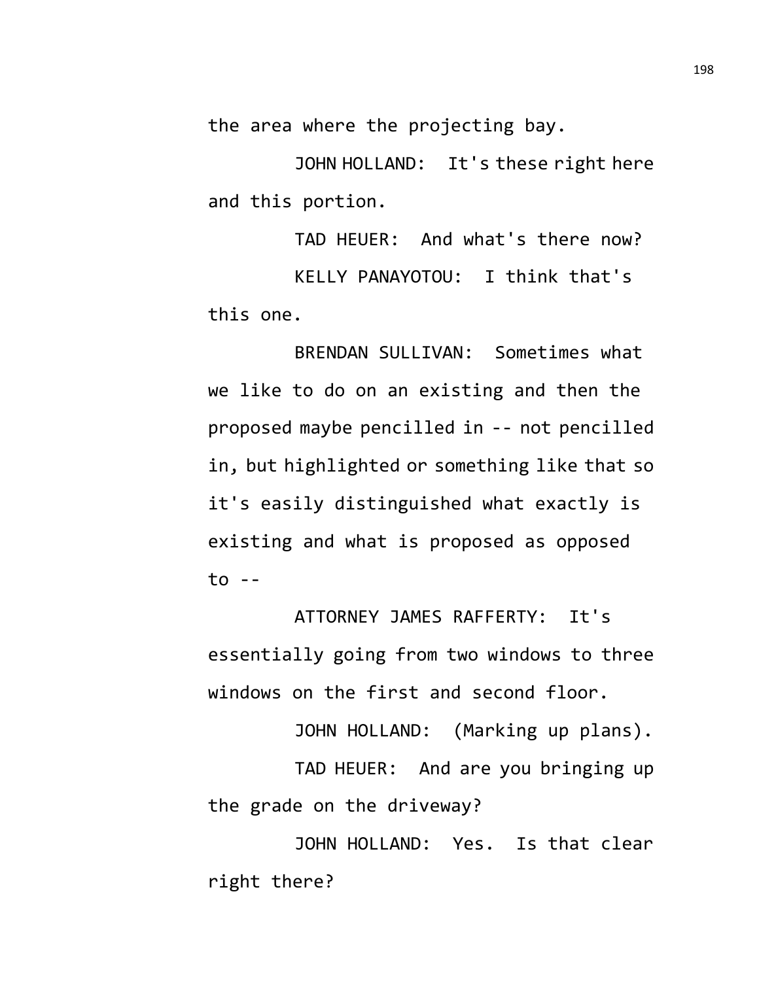the area where the projecting bay.

JOHN HOLLAND: It's these right here and this portion.

TAD HEUER: And what's there now? KELLY PANAYOTOU: I think that's this one.

BRENDAN SULLIVAN: Sometimes what we like to do on an existing and then the proposed maybe pencilled in -- not pencilled in, but highlighted or something like that so it's easily distinguished what exactly is existing and what is proposed as opposed to --

ATTORNEY JAMES RAFFERTY: It's essentially going from two windows to three windows on the first and second floor.

JOHN HOLLAND: (Marking up plans).

TAD HEUER: And are you bringing up the grade on the driveway?

JOHN HOLLAND: Yes. Is that clear right there?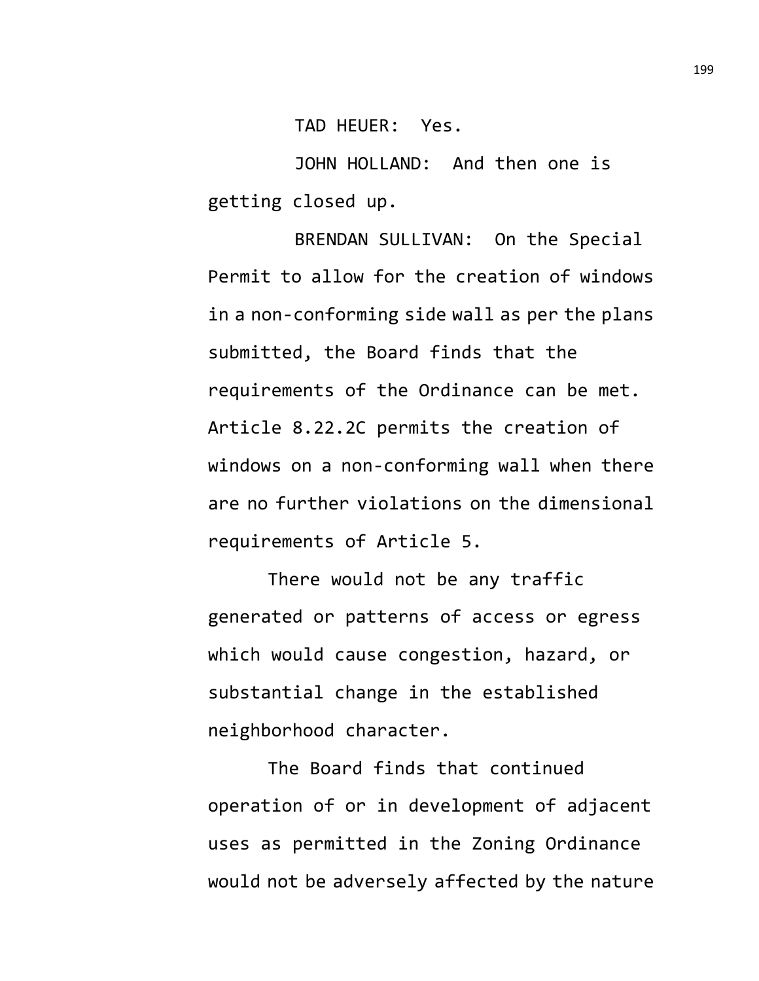TAD HEUER: Yes.

JOHN HOLLAND: And then one is getting closed up.

BRENDAN SULLIVAN: On the Special Permit to allow for the creation of windows in a non-conforming side wall as per the plans submitted, the Board finds that the requirements of the Ordinance can be met. Article 8.22.2C permits the creation of windows on a non-conforming wall when there are no further violations on the dimensional requirements of Article 5.

There would not be any traffic generated or patterns of access or egress which would cause congestion, hazard, or substantial change in the established neighborhood character.

The Board finds that continued operation of or in development of adjacent uses as permitted in the Zoning Ordinance would not be adversely affected by the nature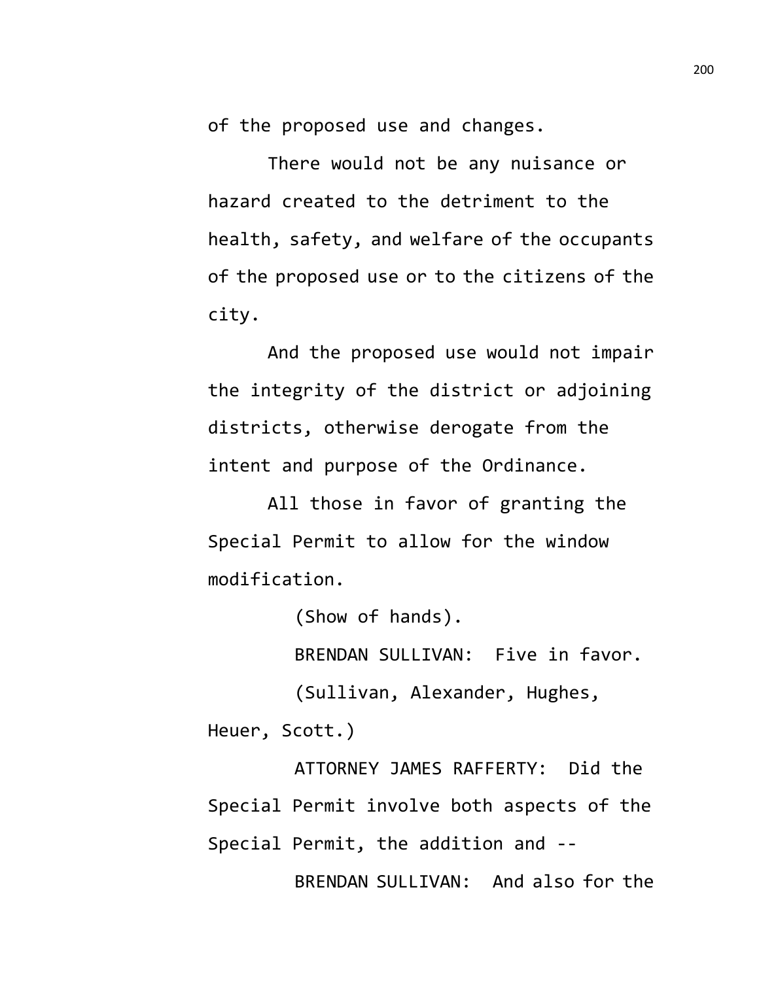of the proposed use and changes.

There would not be any nuisance or hazard created to the detriment to the health, safety, and welfare of the occupants of the proposed use or to the citizens of the city.

And the proposed use would not impair the integrity of the district or adjoining districts, otherwise derogate from the intent and purpose of the Ordinance.

All those in favor of granting the Special Permit to allow for the window modification.

(Show of hands).

BRENDAN SULLIVAN: Five in favor.

(Sullivan, Alexander, Hughes, Heuer, Scott.)

ATTORNEY JAMES RAFFERTY: Did the Special Permit involve both aspects of the Special Permit, the addition and -- BRENDAN SULLIVAN: And also for the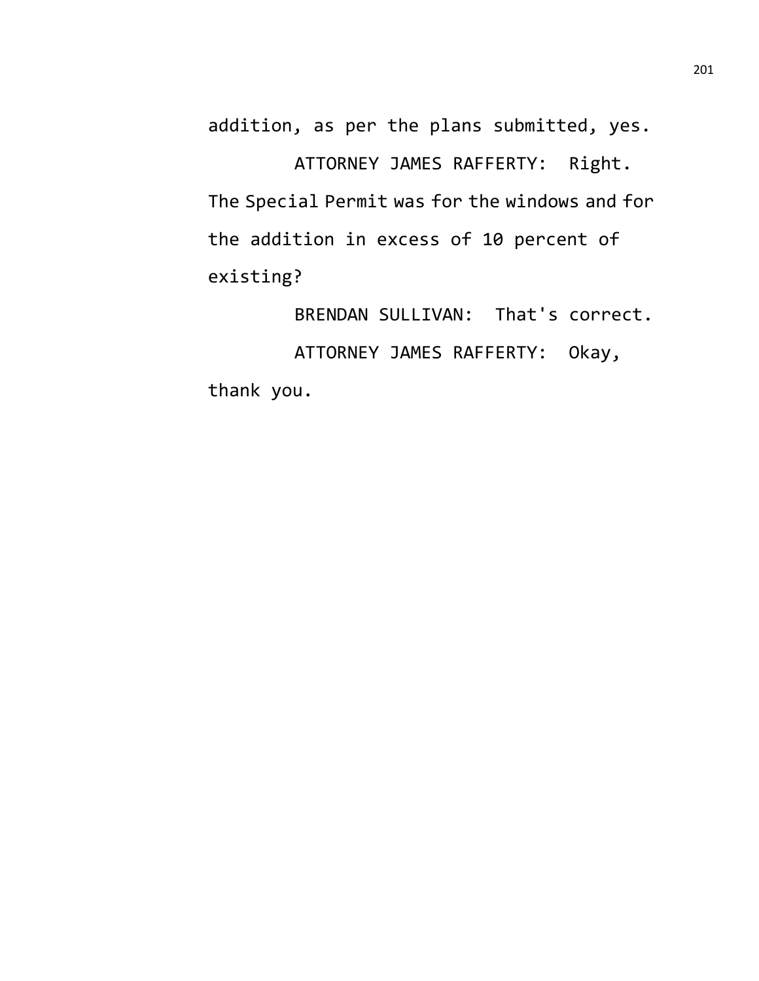addition, as per the plans submitted, yes.

ATTORNEY JAMES RAFFERTY: Right. The Special Permit was for the windows and for the addition in excess of 10 percent of existing?

BRENDAN SULLIVAN: That's correct. ATTORNEY JAMES RAFFERTY: Okay, thank you.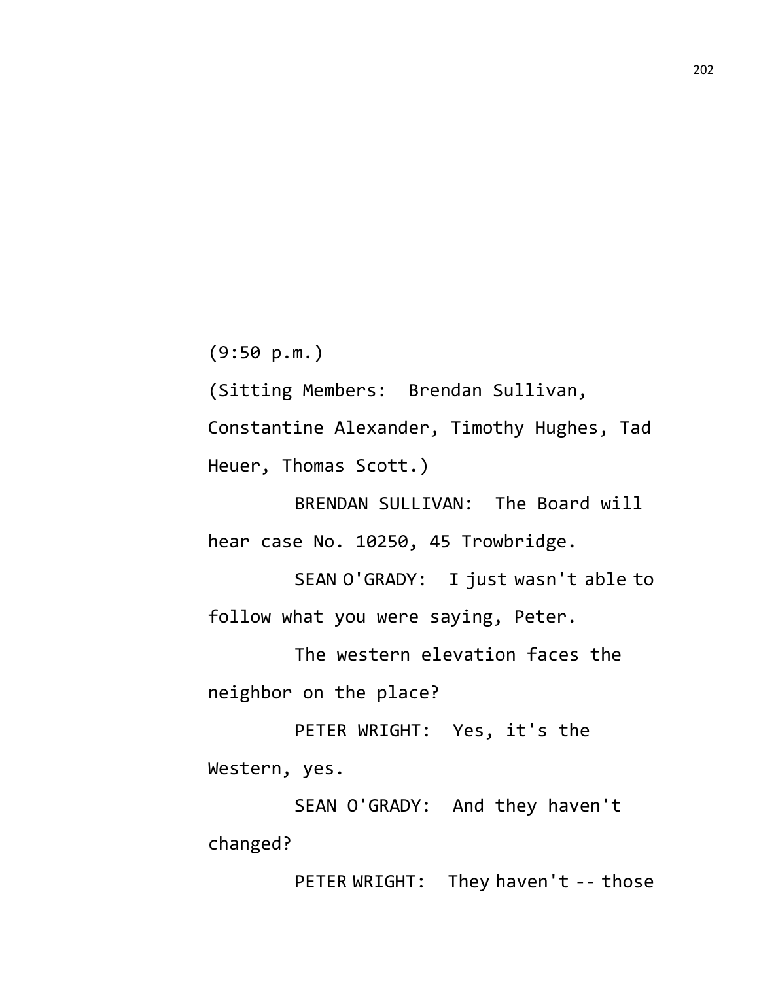(9:50 p.m.)

(Sitting Members: Brendan Sullivan,

Constantine Alexander, Timothy Hughes, Tad Heuer, Thomas Scott.)

BRENDAN SULLIVAN: The Board will hear case No. 10250, 45 Trowbridge.

SEAN O'GRADY: I just wasn't able to follow what you were saying, Peter.

The western elevation faces the neighbor on the place?

PETER WRIGHT: Yes, it's the Western, yes.

SEAN O'GRADY: And they haven't changed?

PETER WRIGHT: They haven't -- those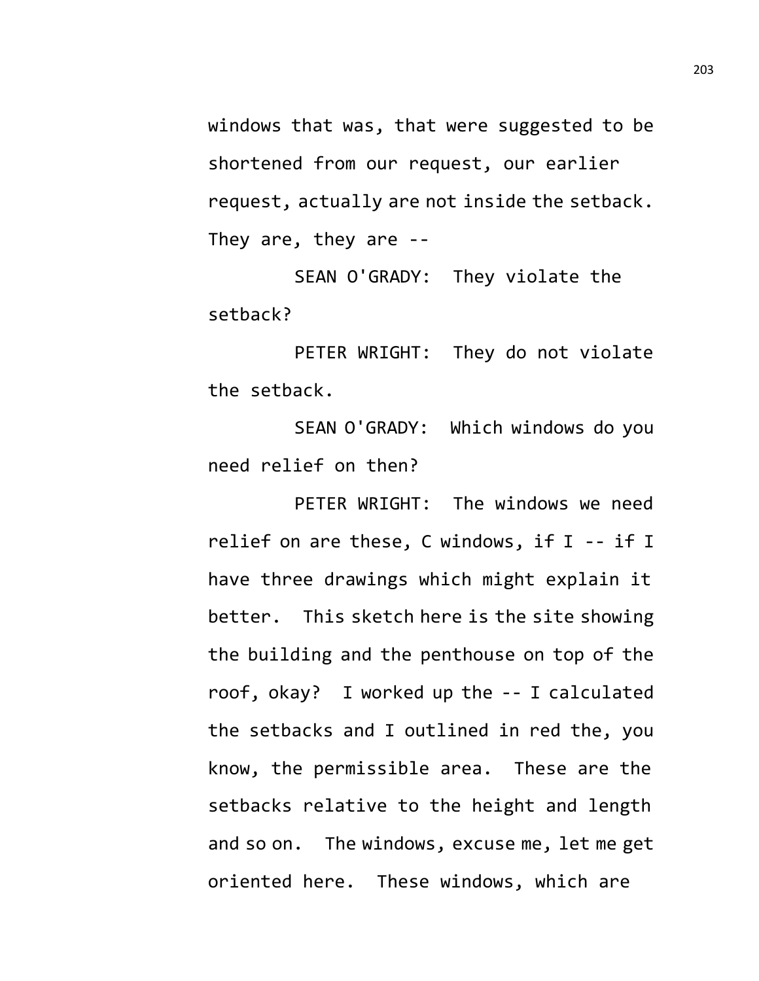windows that was, that were suggested to be shortened from our request, our earlier request, actually are not inside the setback. They are, they are --

SEAN O'GRADY: They violate the setback?

PETER WRIGHT: They do not violate the setback.

SEAN O'GRADY: Which windows do you need relief on then?

PETER WRIGHT: The windows we need relief on are these, C windows, if I -- if I have three drawings which might explain it better. This sketch here is the site showing the building and the penthouse on top of the roof, okay? I worked up the -- I calculated the setbacks and I outlined in red the, you know, the permissible area. These are the setbacks relative to the height and length and so on. The windows, excuse me, let me get oriented here. These windows, which are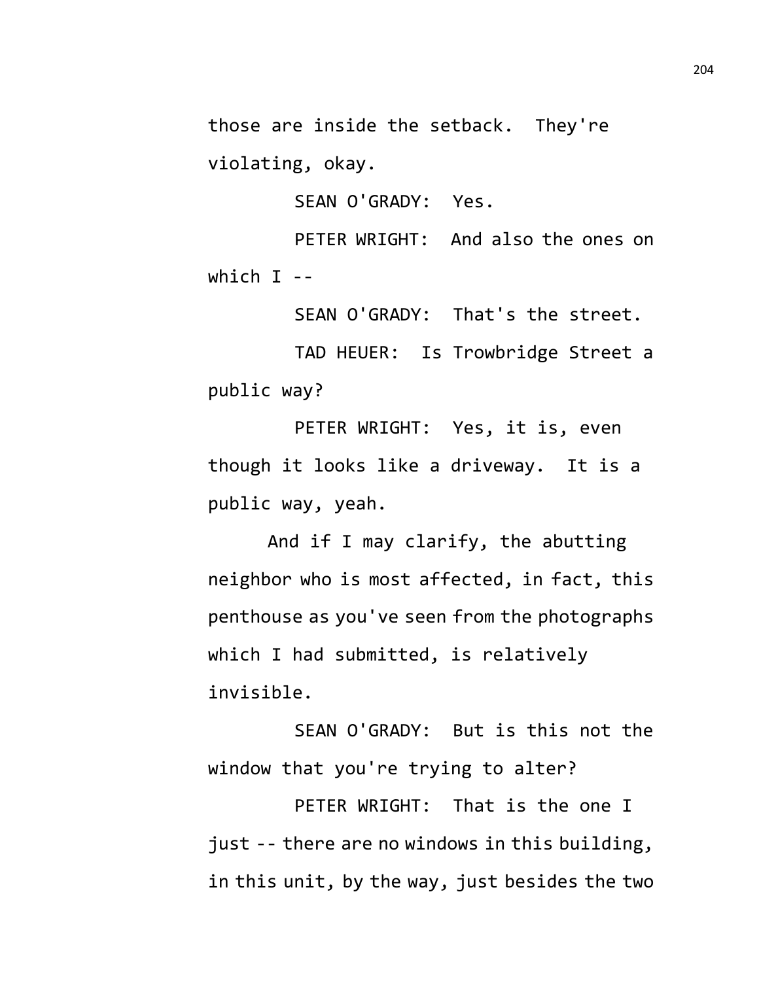those are inside the setback. They're violating, okay.

SEAN O'GRADY: Yes.

PETER WRIGHT: And also the ones on which  $I$  --

SEAN O'GRADY: That's the street.

TAD HEUER: Is Trowbridge Street a public way?

PETER WRIGHT: Yes, it is, even though it looks like a driveway. It is a public way, yeah.

And if I may clarify, the abutting neighbor who is most affected, in fact, this penthouse as you've seen from the photographs which I had submitted, is relatively invisible.

SEAN O'GRADY: But is this not the window that you're trying to alter?

PETER WRIGHT: That is the one I just -- there are no windows in this building, in this unit, by the way, just besides the two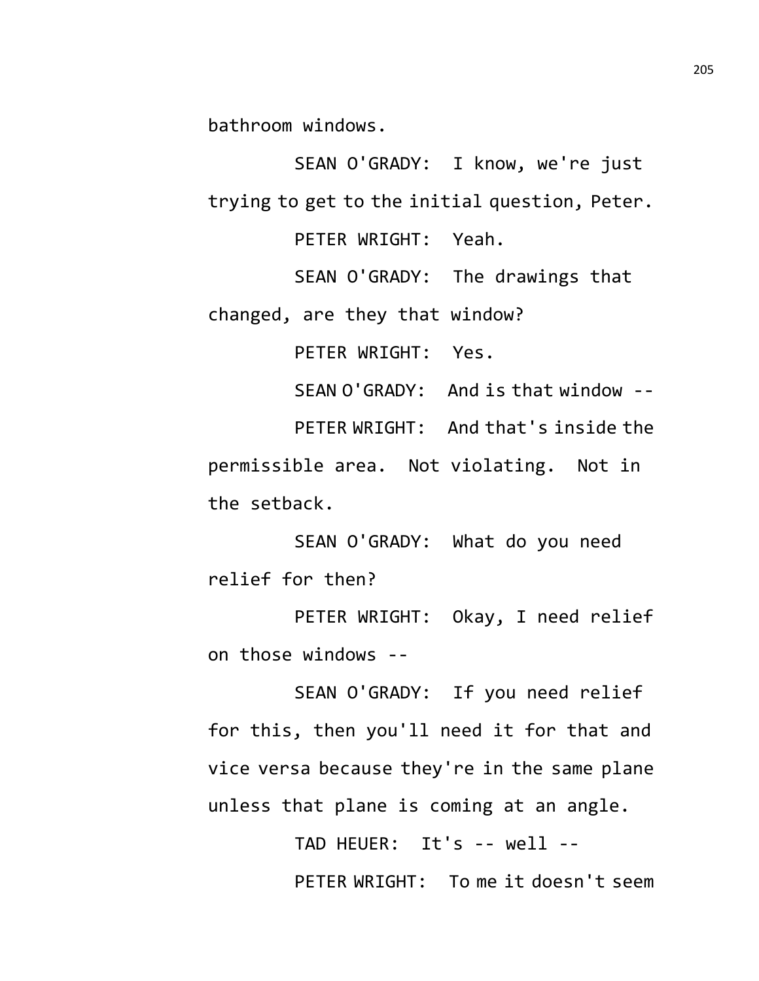bathroom windows.

SEAN O'GRADY: I know, we're just trying to get to the initial question, Peter.

PETER WRIGHT: Yeah.

SEAN O'GRADY: The drawings that

changed, are they that window?

PETER WRIGHT: Yes.

SEAN O'GRADY: And is that window --

PETER WRIGHT: And that's inside the permissible area. Not violating. Not in the setback.

SEAN O'GRADY: What do you need relief for then?

PETER WRIGHT: Okay, I need relief on those windows --

SEAN O'GRADY: If you need relief for this, then you'll need it for that and vice versa because they're in the same plane unless that plane is coming at an angle.

> TAD HEUER: It's -- well -- PETER WRIGHT: To me it doesn't seem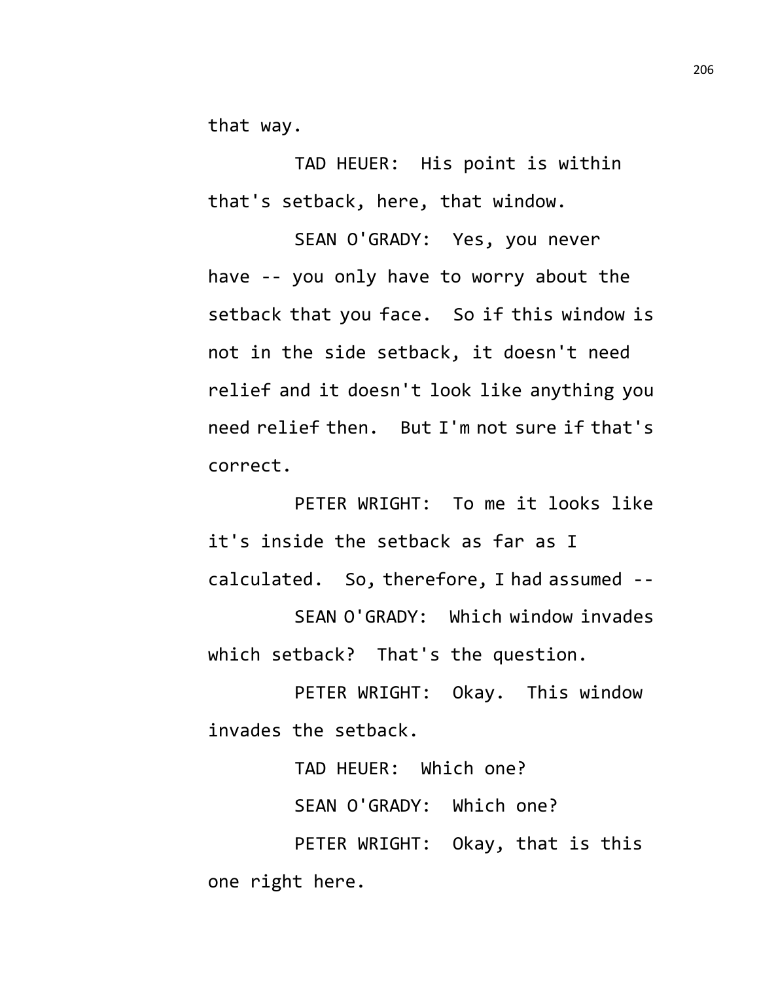that way.

TAD HEUER: His point is within that's setback, here, that window.

SEAN O'GRADY: Yes, you never have -- you only have to worry about the setback that you face. So if this window is not in the side setback, it doesn't need relief and it doesn't look like anything you need relief then. But I'm not sure if that's correct.

PETER WRIGHT: To me it looks like it's inside the setback as far as I calculated. So, therefore, I had assumed --

SEAN O'GRADY: Which window invades which setback? That's the question.

PETER WRIGHT: Okay. This window invades the setback.

> TAD HEUER: Which one? SEAN O'GRADY: Which one?

PETER WRIGHT: Okay, that is this one right here.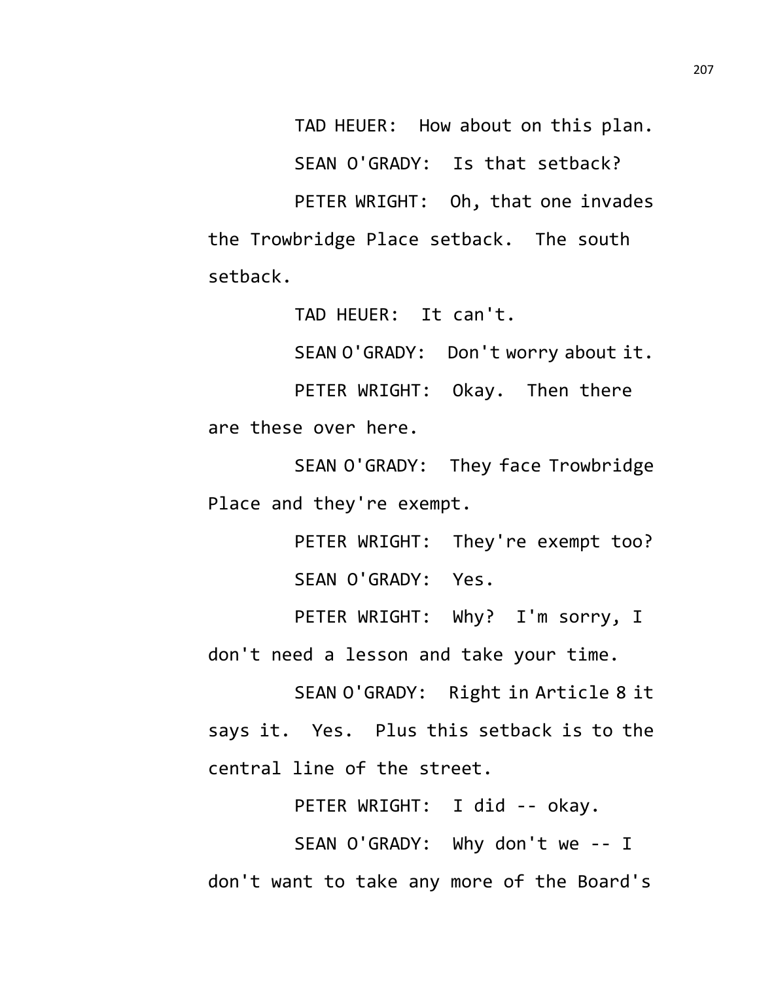TAD HEUER: How about on this plan.

SEAN O'GRADY: Is that setback?

PETER WRIGHT: Oh, that one invades the Trowbridge Place setback. The south setback.

TAD HEUER: It can't.

SEAN O'GRADY: Don't worry about it.

PETER WRIGHT: Okay. Then there are these over here.

SEAN O'GRADY: They face Trowbridge Place and they're exempt.

> PETER WRIGHT: They're exempt too? SEAN O'GRADY: Yes.

PETER WRIGHT: Why? I'm sorry, I don't need a lesson and take your time.

SEAN O'GRADY: Right in Article 8 it says it. Yes. Plus this setback is to the central line of the street.

PETER WRIGHT: I did -- okay.

SEAN O'GRADY: Why don't we -- I don't want to take any more of the Board's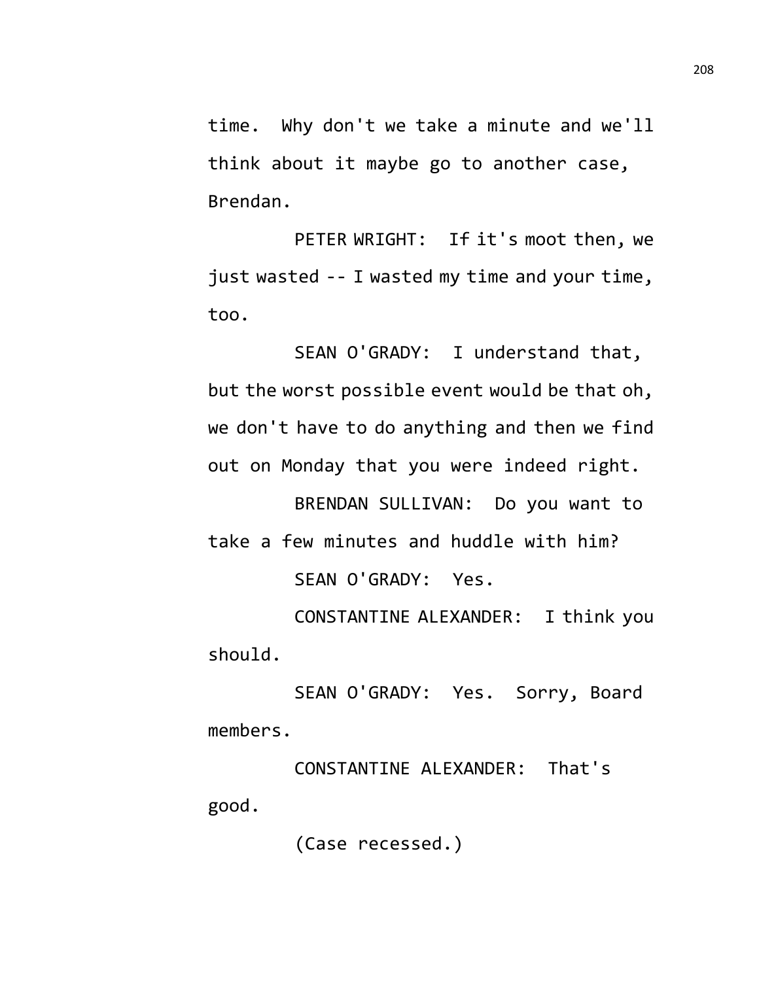time. Why don't we take a minute and we'll think about it maybe go to another case, Brendan.

PETER WRIGHT: If it's moot then, we just wasted -- I wasted my time and your time, too.

SEAN O'GRADY: I understand that, but the worst possible event would be that oh, we don't have to do anything and then we find out on Monday that you were indeed right.

BRENDAN SULLIVAN: Do you want to take a few minutes and huddle with him? SEAN O'GRADY: Yes.

CONSTANTINE ALEXANDER: I think you should.

SEAN O'GRADY: Yes. Sorry, Board members.

CONSTANTINE ALEXANDER: That's good.

(Case recessed.)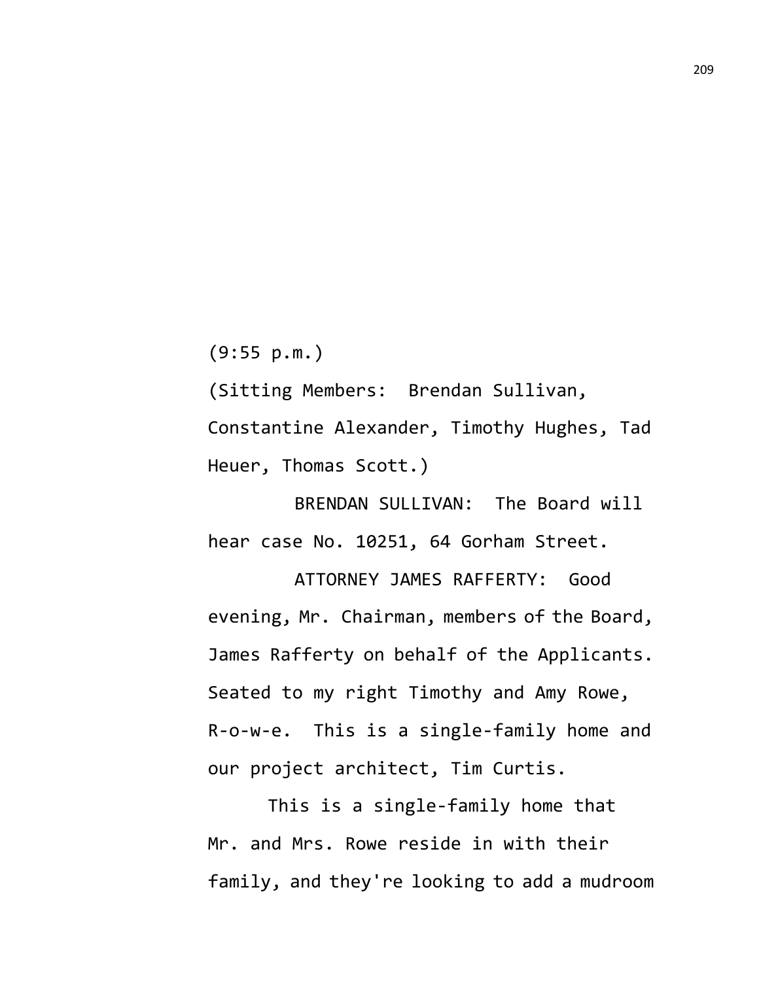(9:55 p.m.)

(Sitting Members: Brendan Sullivan, Constantine Alexander, Timothy Hughes, Tad Heuer, Thomas Scott.)

BRENDAN SULLIVAN: The Board will hear case No. 10251, 64 Gorham Street.

ATTORNEY JAMES RAFFERTY: Good evening, Mr. Chairman, members of the Board, James Rafferty on behalf of the Applicants. Seated to my right Timothy and Amy Rowe, R-o-w-e. This is a single-family home and our project architect, Tim Curtis.

This is a single-family home that Mr. and Mrs. Rowe reside in with their family, and they're looking to add a mudroom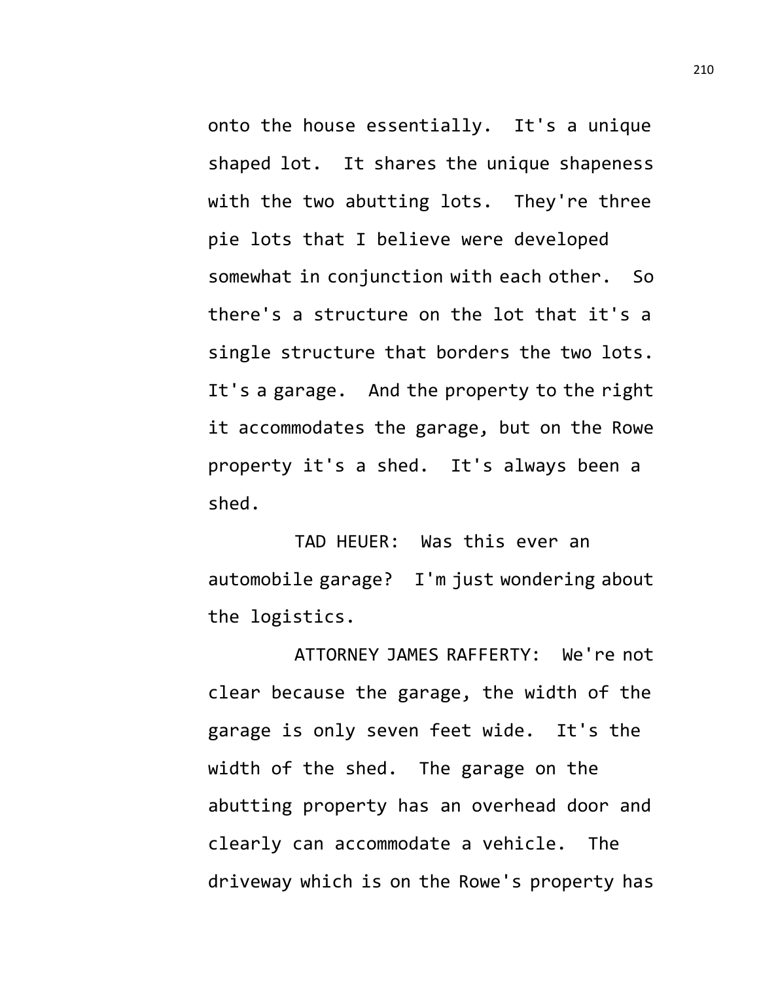onto the house essentially. It's a unique shaped lot. It shares the unique shapeness with the two abutting lots. They're three pie lots that I believe were developed somewhat in conjunction with each other. So there's a structure on the lot that it's a single structure that borders the two lots. It's a garage. And the property to the right it accommodates the garage, but on the Rowe property it's a shed. It's always been a shed.

TAD HEUER: Was this ever an automobile garage? I'm just wondering about the logistics.

ATTORNEY JAMES RAFFERTY: We're not clear because the garage, the width of the garage is only seven feet wide. It's the width of the shed. The garage on the abutting property has an overhead door and clearly can accommodate a vehicle. The driveway which is on the Rowe's property has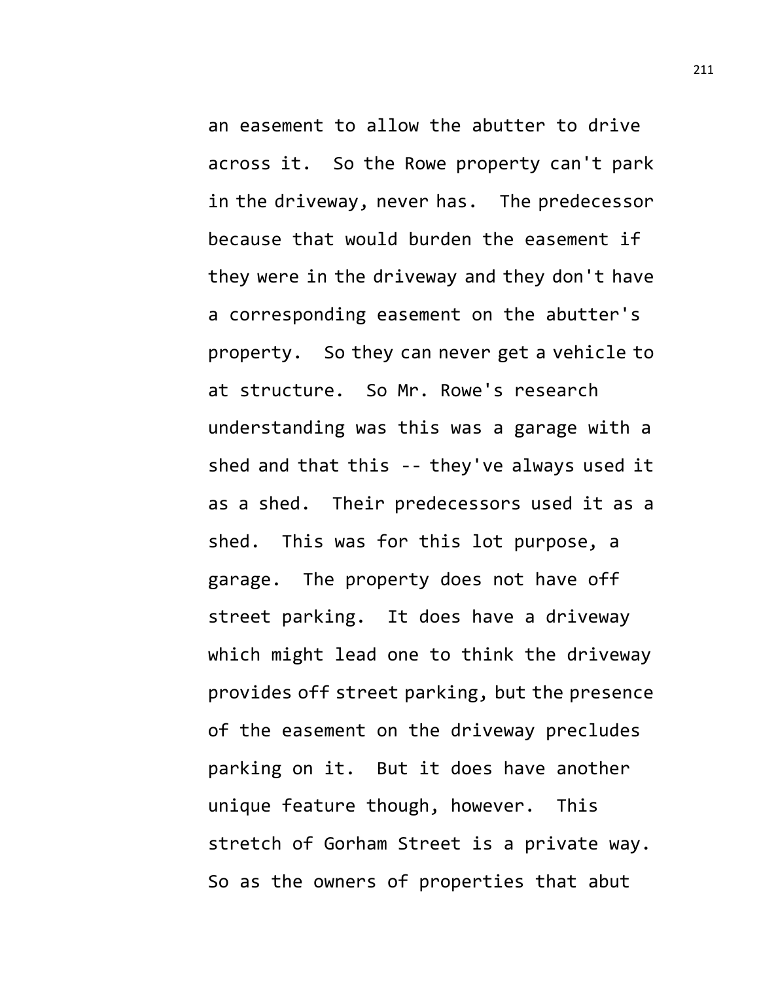an easement to allow the abutter to drive across it. So the Rowe property can't park in the driveway, never has. The predecessor because that would burden the easement if they were in the driveway and they don't have a corresponding easement on the abutter's property. So they can never get a vehicle to at structure. So Mr. Rowe's research understanding was this was a garage with a shed and that this -- they've always used it as a shed. Their predecessors used it as a shed. This was for this lot purpose, a garage. The property does not have off street parking. It does have a driveway which might lead one to think the driveway provides off street parking, but the presence of the easement on the driveway precludes parking on it. But it does have another unique feature though, however. This stretch of Gorham Street is a private way. So as the owners of properties that abut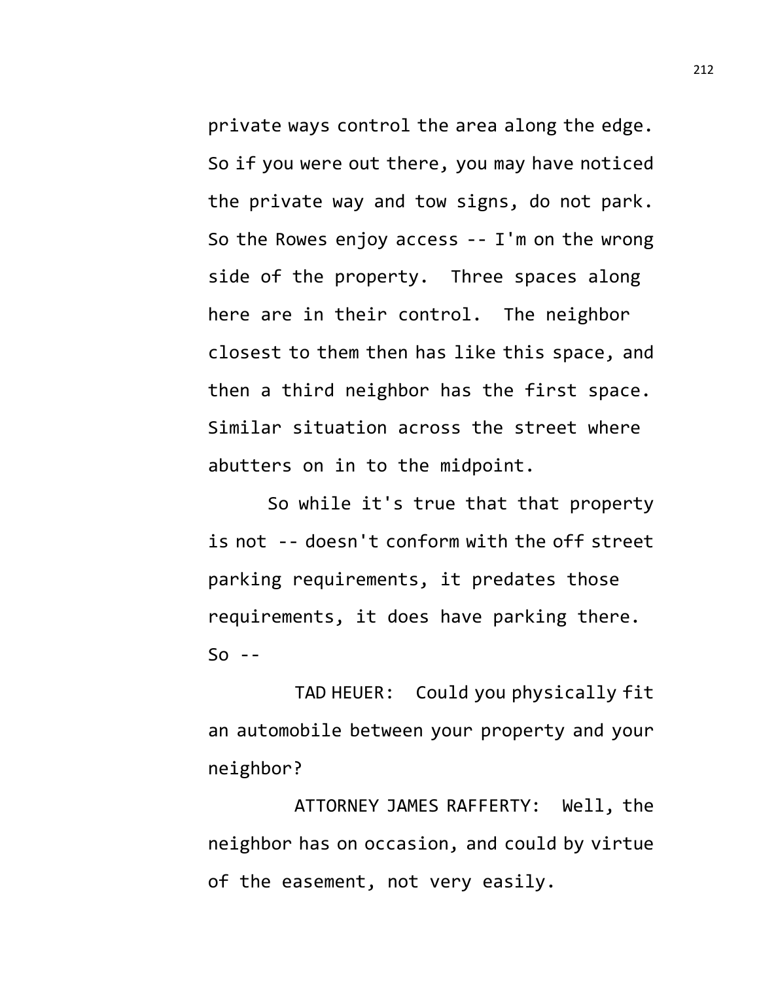private ways control the area along the edge. So if you were out there, you may have noticed the private way and tow signs, do not park. So the Rowes enjoy access -- I'm on the wrong side of the property. Three spaces along here are in their control. The neighbor closest to them then has like this space, and then a third neighbor has the first space. Similar situation across the street where abutters on in to the midpoint.

So while it's true that that property is not -- doesn't conform with the off street parking requirements, it predates those requirements, it does have parking there.  $So - -$ 

TAD HEUER: Could you physically fit an automobile between your property and your neighbor?

ATTORNEY JAMES RAFFERTY: Well, the neighbor has on occasion, and could by virtue of the easement, not very easily.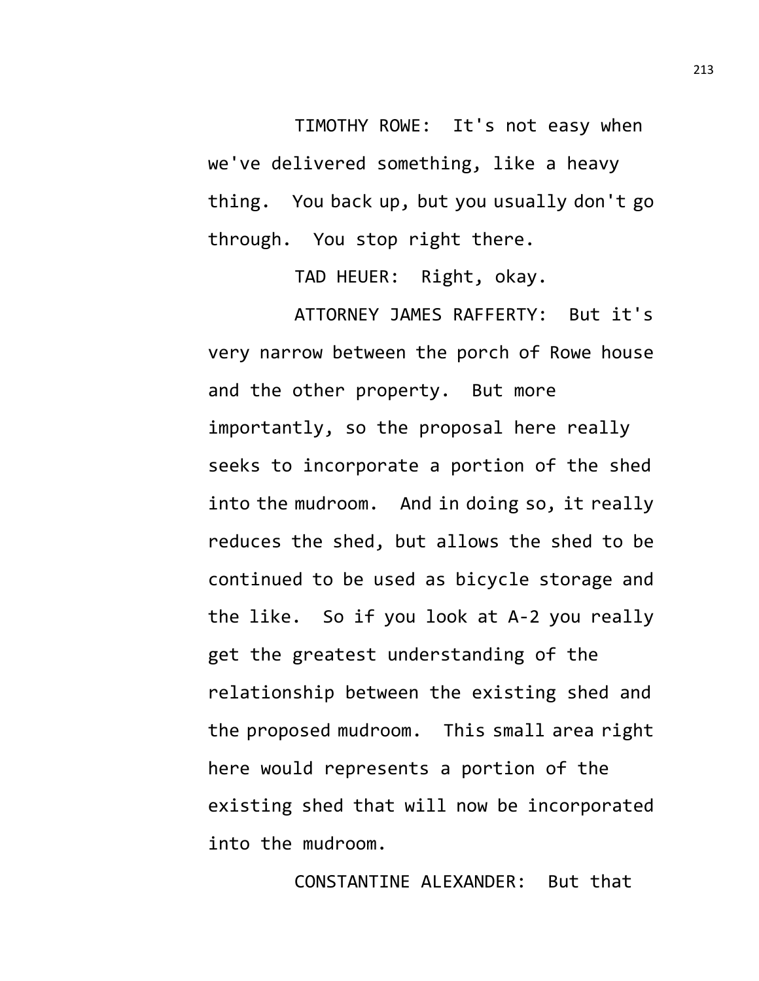TIMOTHY ROWE: It's not easy when we've delivered something, like a heavy thing. You back up, but you usually don't go through. You stop right there.

TAD HEUER: Right, okay.

ATTORNEY JAMES RAFFERTY: But it's very narrow between the porch of Rowe house and the other property. But more importantly, so the proposal here really seeks to incorporate a portion of the shed into the mudroom. And in doing so, it really reduces the shed, but allows the shed to be continued to be used as bicycle storage and the like. So if you look at A-2 you really get the greatest understanding of the relationship between the existing shed and the proposed mudroom. This small area right here would represents a portion of the existing shed that will now be incorporated into the mudroom.

CONSTANTINE ALEXANDER: But that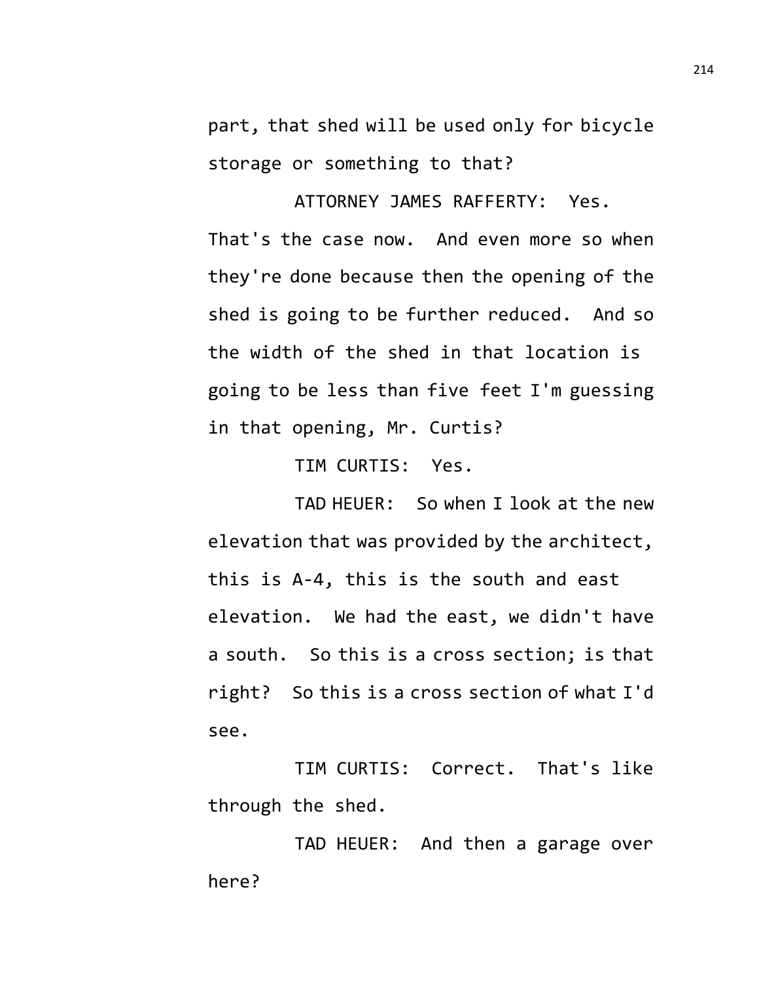part, that shed will be used only for bicycle storage or something to that?

ATTORNEY JAMES RAFFERTY: Yes. That's the case now. And even more so when they're done because then the opening of the shed is going to be further reduced. And so the width of the shed in that location is going to be less than five feet I'm guessing in that opening, Mr. Curtis?

TIM CURTIS: Yes.

TAD HEUER: So when I look at the new elevation that was provided by the architect, this is A-4, this is the south and east elevation. We had the east, we didn't have a south. So this is a cross section; is that right? So this is a cross section of what I'd see.

TIM CURTIS: Correct. That's like through the shed.

TAD HEUER: And then a garage over here?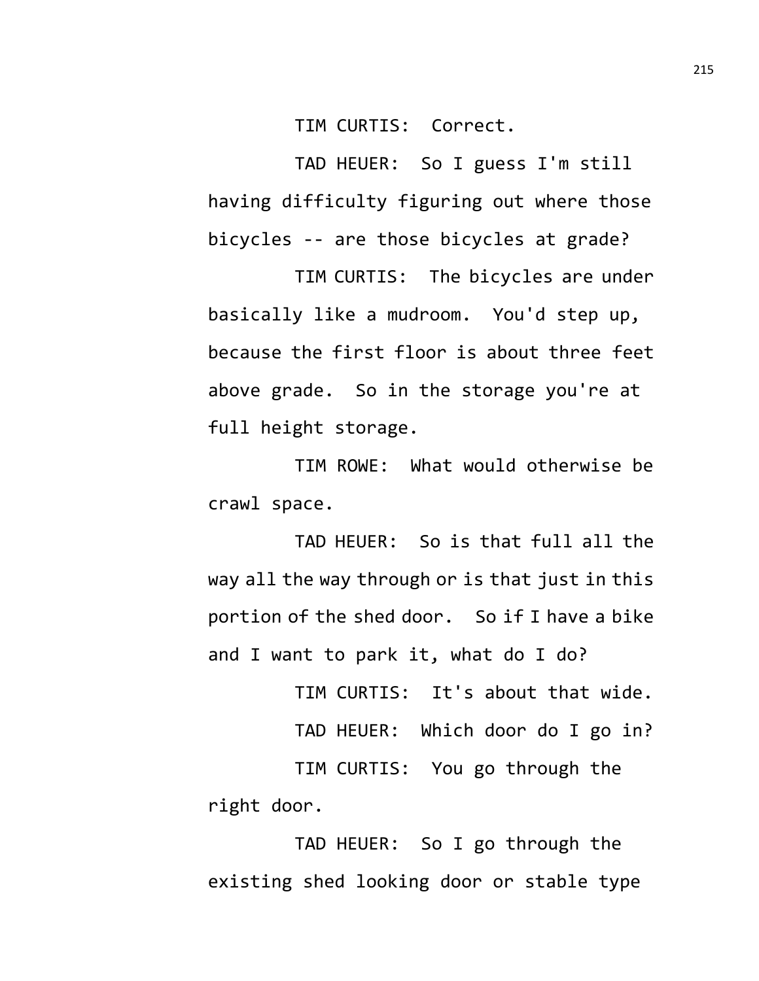TIM CURTIS: Correct.

TAD HEUER: So I guess I'm still having difficulty figuring out where those bicycles -- are those bicycles at grade?

TIM CURTIS: The bicycles are under basically like a mudroom. You'd step up, because the first floor is about three feet above grade. So in the storage you're at full height storage.

TIM ROWE: What would otherwise be crawl space.

TAD HEUER: So is that full all the way all the way through or is that just in this portion of the shed door. So if I have a bike and I want to park it, what do I do?

TIM CURTIS: It's about that wide.

TAD HEUER: Which door do I go in?

TIM CURTIS: You go through the right door.

TAD HEUER: So I go through the existing shed looking door or stable type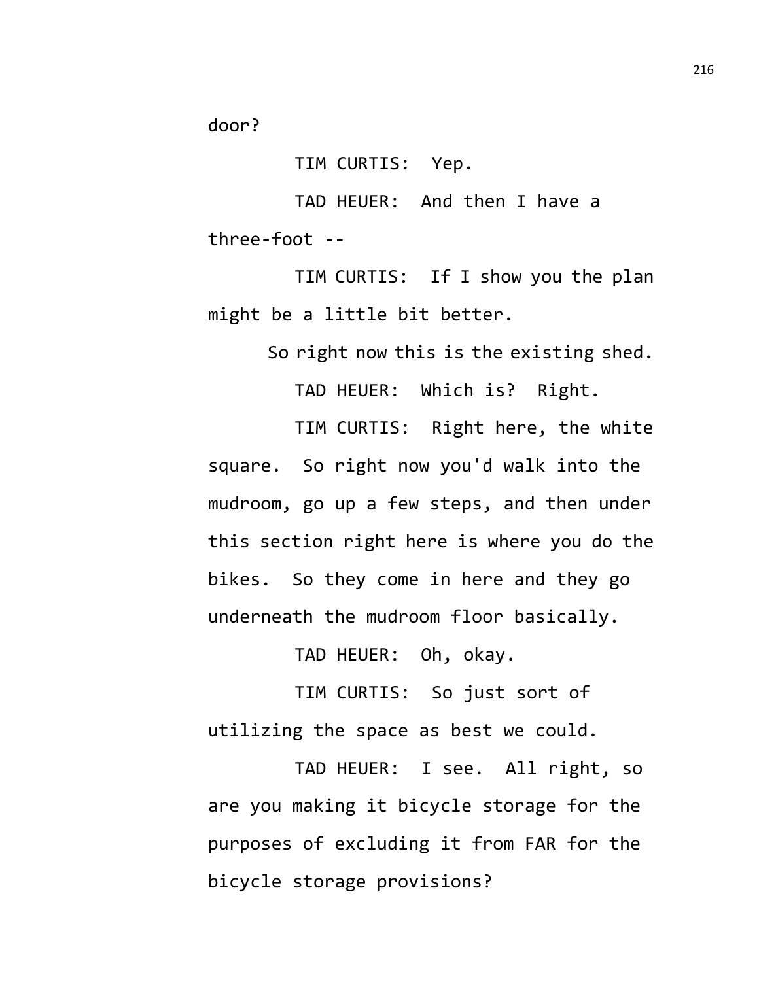door?

TIM CURTIS: Yep.

TAD HEUER: And then I have a three-foot --

TIM CURTIS: If I show you the plan might be a little bit better.

So right now this is the existing shed.

TAD HEUER: Which is? Right.

TIM CURTIS: Right here, the white square. So right now you'd walk into the mudroom, go up a few steps, and then under this section right here is where you do the bikes. So they come in here and they go underneath the mudroom floor basically.

TAD HEUER: Oh, okay.

TIM CURTIS: So just sort of utilizing the space as best we could.

TAD HEUER: I see. All right, so are you making it bicycle storage for the purposes of excluding it from FAR for the bicycle storage provisions?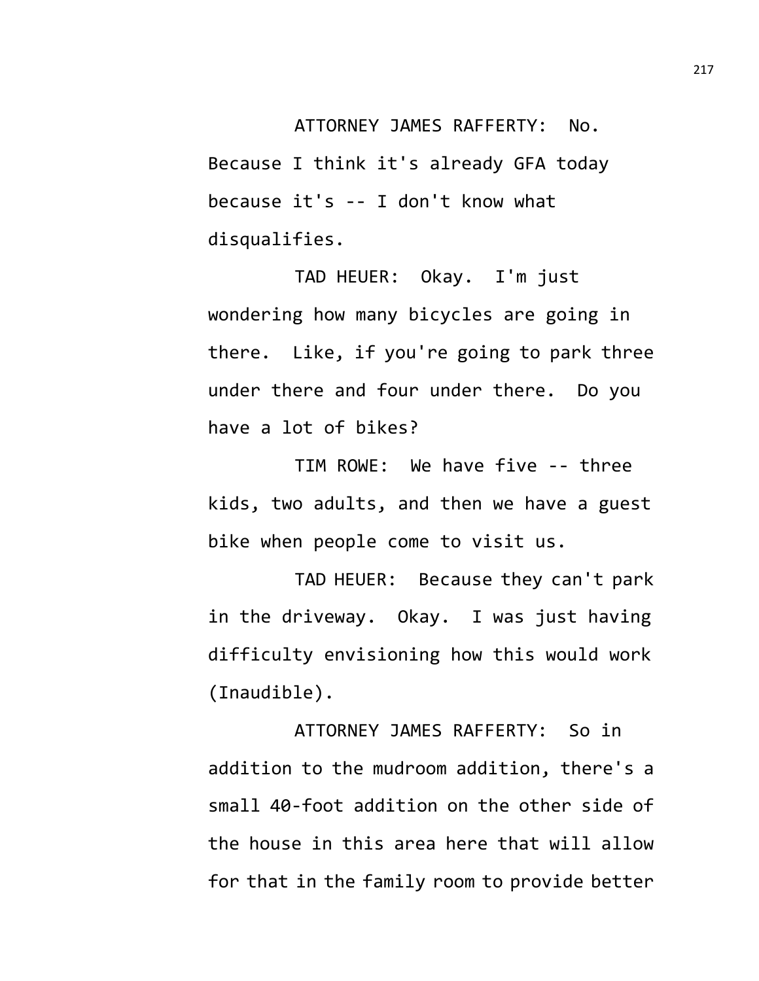ATTORNEY JAMES RAFFERTY: No. Because I think it's already GFA today because it's -- I don't know what disqualifies.

TAD HEUER: Okay. I'm just wondering how many bicycles are going in there. Like, if you're going to park three under there and four under there. Do you have a lot of bikes?

TIM ROWE: We have five -- three kids, two adults, and then we have a guest bike when people come to visit us.

TAD HEUER: Because they can't park in the driveway. Okay. I was just having difficulty envisioning how this would work (Inaudible).

ATTORNEY JAMES RAFFERTY: So in addition to the mudroom addition, there's a small 40-foot addition on the other side of the house in this area here that will allow for that in the family room to provide better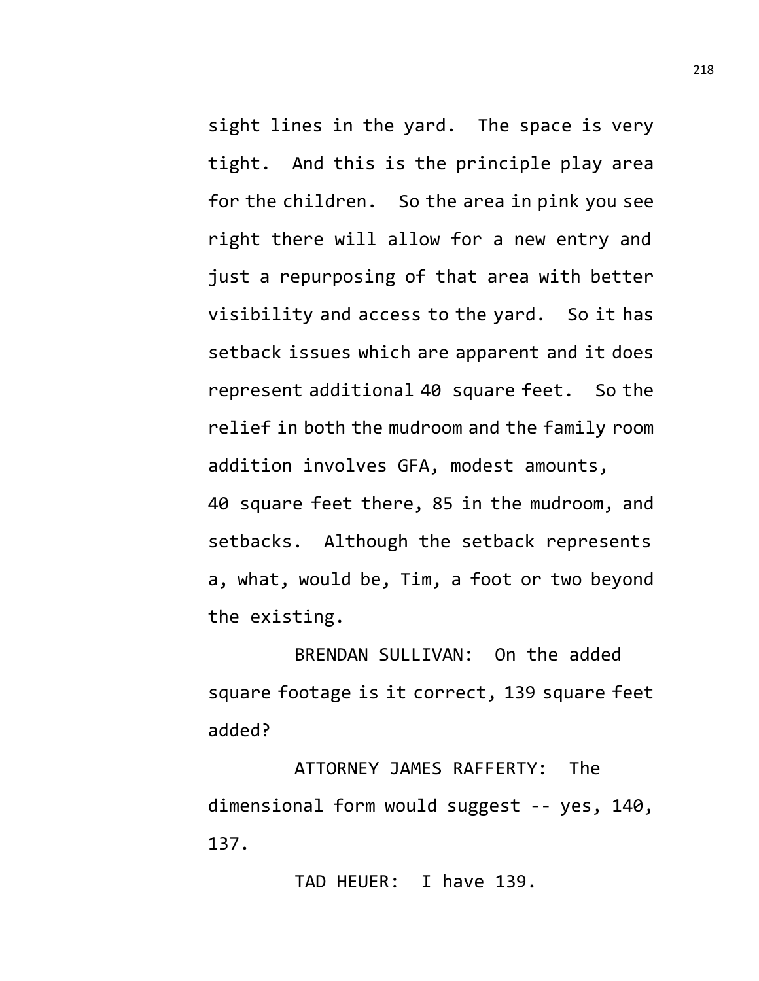sight lines in the yard. The space is very tight. And this is the principle play area for the children. So the area in pink you see right there will allow for a new entry and just a repurposing of that area with better visibility and access to the yard. So it has setback issues which are apparent and it does represent additional 40 square feet. So the relief in both the mudroom and the family room addition involves GFA, modest amounts, 40 square feet there, 85 in the mudroom, and setbacks. Although the setback represents a, what, would be, Tim, a foot or two beyond the existing.

BRENDAN SULLIVAN: On the added square footage is it correct, 139 square feet added?

ATTORNEY JAMES RAFFERTY: The dimensional form would suggest -- yes, 140, 137.

TAD HEUER: I have 139.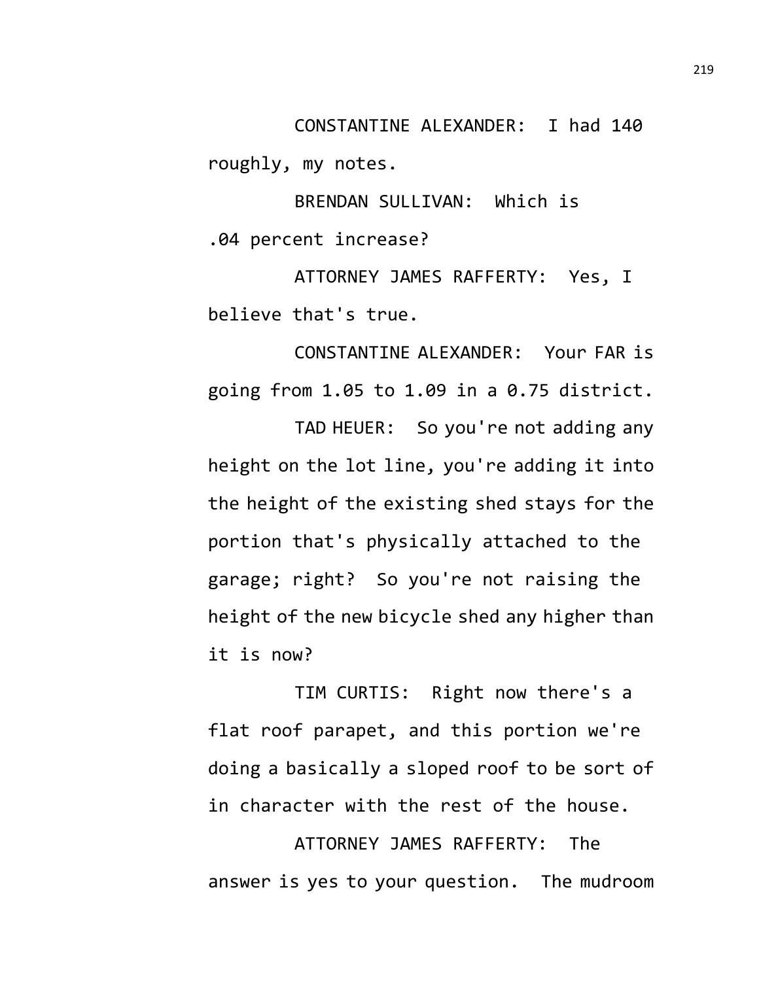CONSTANTINE ALEXANDER: I had 140 roughly, my notes.

BRENDAN SULLIVAN: Which is .04 percent increase?

ATTORNEY JAMES RAFFERTY: Yes, I believe that's true.

CONSTANTINE ALEXANDER: Your FAR is going from 1.05 to 1.09 in a 0.75 district.

TAD HEUER: So you're not adding any height on the lot line, you're adding it into the height of the existing shed stays for the portion that's physically attached to the garage; right? So you're not raising the height of the new bicycle shed any higher than it is now?

TIM CURTIS: Right now there's a flat roof parapet, and this portion we're doing a basically a sloped roof to be sort of in character with the rest of the house.

ATTORNEY JAMES RAFFERTY: The answer is yes to your question. The mudroom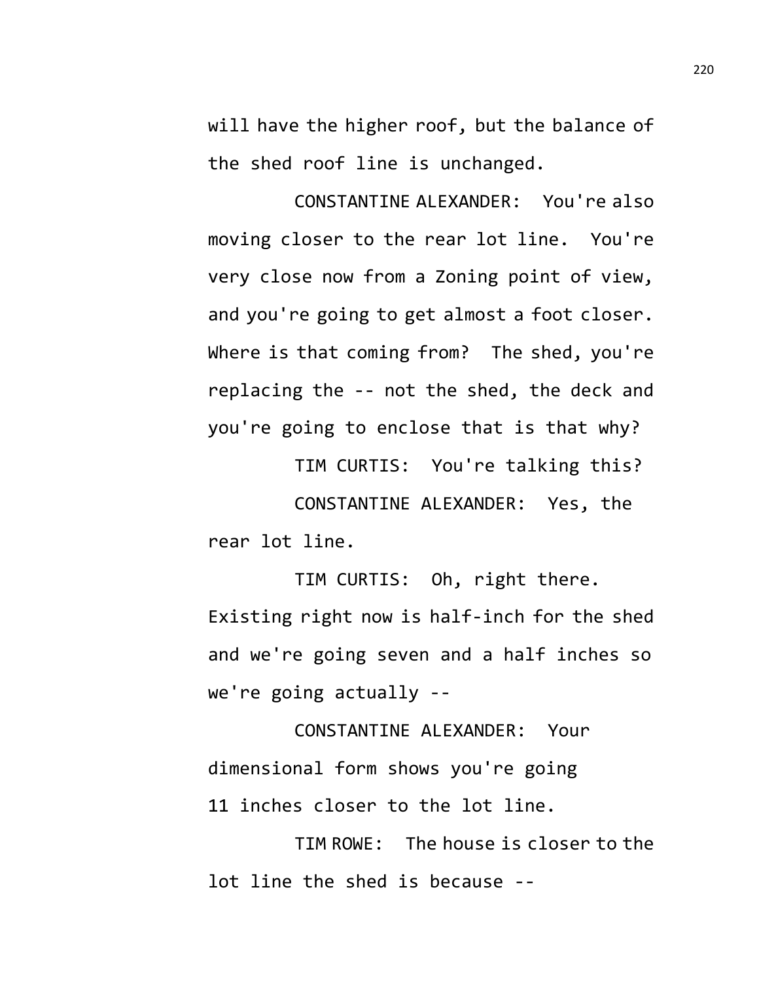will have the higher roof, but the balance of the shed roof line is unchanged.

CONSTANTINE ALEXANDER: You're also moving closer to the rear lot line. You're very close now from a Zoning point of view, and you're going to get almost a foot closer. Where is that coming from? The shed, you're replacing the -- not the shed, the deck and you're going to enclose that is that why?

TIM CURTIS: You're talking this? CONSTANTINE ALEXANDER: Yes, the rear lot line.

TIM CURTIS: Oh, right there. Existing right now is half-inch for the shed and we're going seven and a half inches so we're going actually --

CONSTANTINE ALEXANDER: Your dimensional form shows you're going 11 inches closer to the lot line.

TIM ROWE: The house is closer to the lot line the shed is because --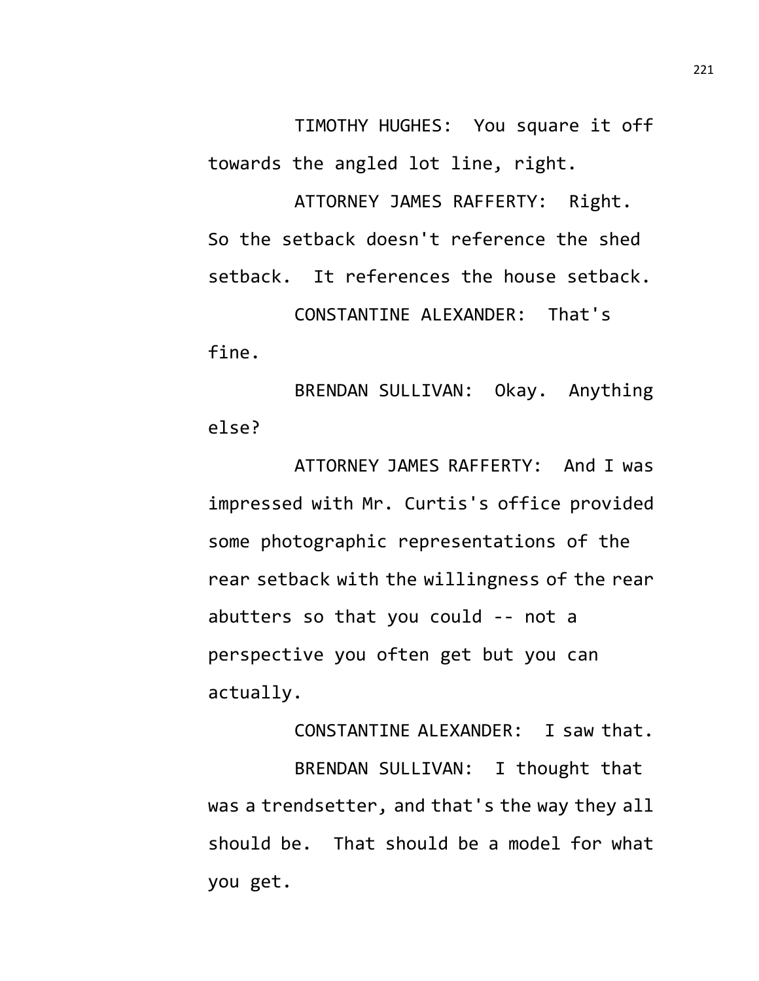TIMOTHY HUGHES: You square it off towards the angled lot line, right.

ATTORNEY JAMES RAFFERTY: Right. So the setback doesn't reference the shed setback. It references the house setback. CONSTANTINE ALEXANDER: That's fine.

BRENDAN SULLIVAN: Okay. Anything else?

ATTORNEY JAMES RAFFERTY: And I was impressed with Mr. Curtis's office provided some photographic representations of the rear setback with the willingness of the rear abutters so that you could -- not a perspective you often get but you can actually.

CONSTANTINE ALEXANDER: I saw that. BRENDAN SULLIVAN: I thought that was a trendsetter, and that's the way they all should be. That should be a model for what you get.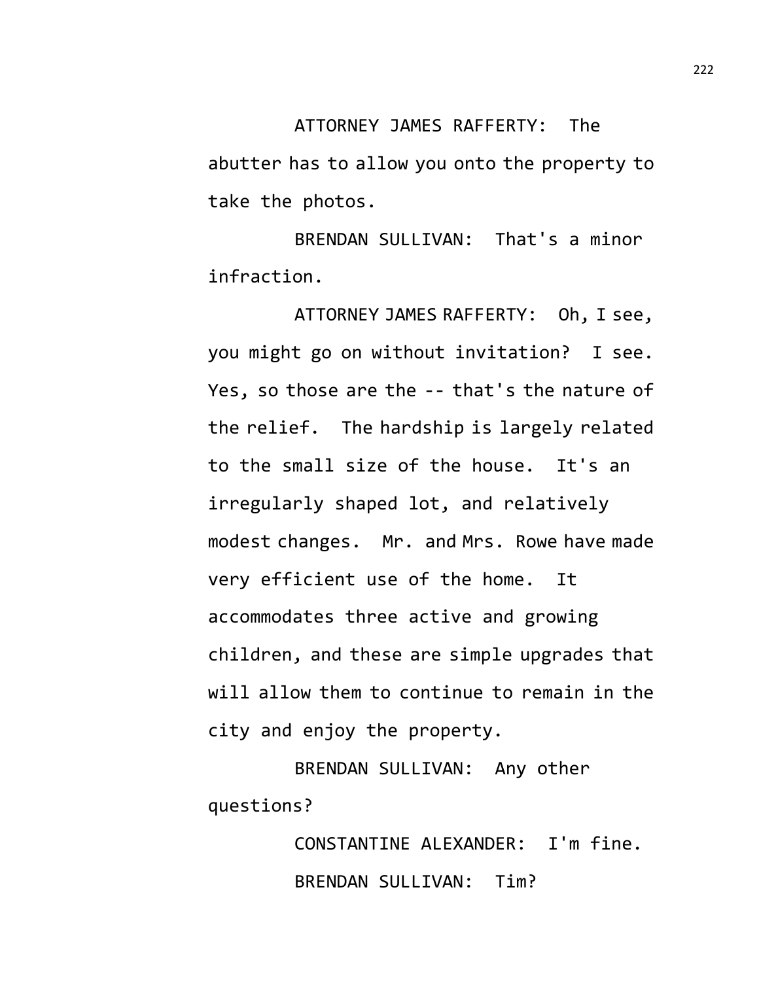ATTORNEY JAMES RAFFERTY: The abutter has to allow you onto the property to take the photos.

BRENDAN SULLIVAN: That's a minor infraction.

ATTORNEY JAMES RAFFERTY: Oh, I see, you might go on without invitation? I see. Yes, so those are the -- that's the nature of the relief. The hardship is largely related to the small size of the house. It's an irregularly shaped lot, and relatively modest changes. Mr. and Mrs. Rowe have made very efficient use of the home. It accommodates three active and growing children, and these are simple upgrades that will allow them to continue to remain in the city and enjoy the property.

BRENDAN SULLIVAN: Any other questions?

> CONSTANTINE ALEXANDER: I'm fine. BRENDAN SULLIVAN: Tim?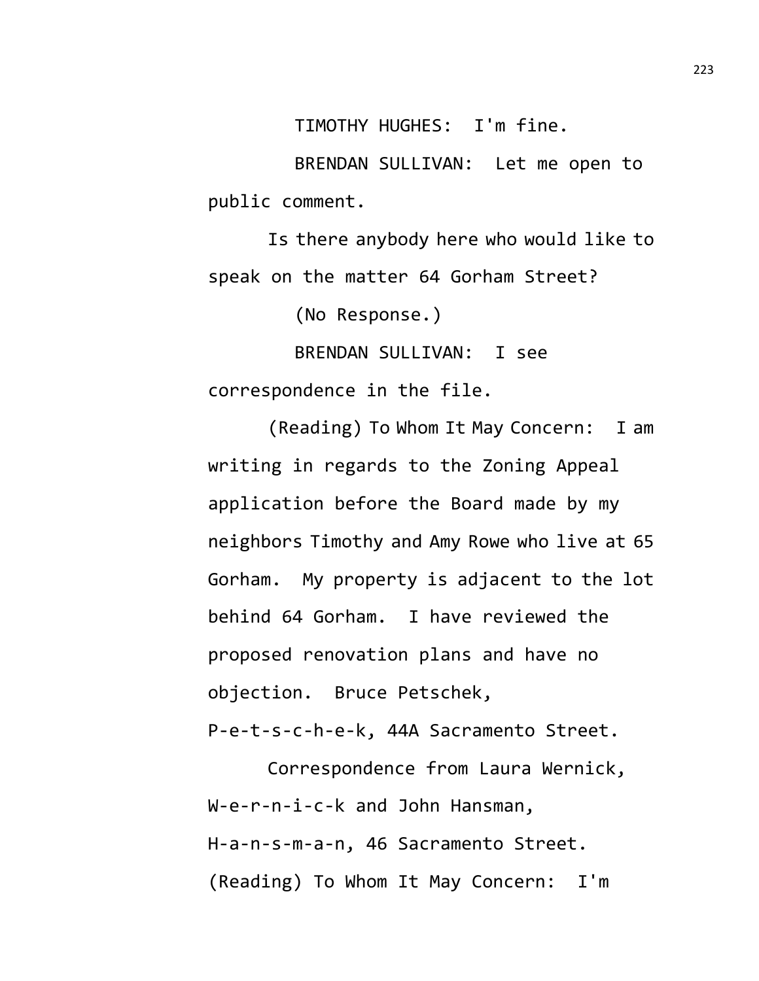TIMOTHY HUGHES: I'm fine.

BRENDAN SULLIVAN: Let me open to public comment.

Is there anybody here who would like to speak on the matter 64 Gorham Street?

(No Response.)

BRENDAN SULLIVAN: I see correspondence in the file.

(Reading) To Whom It May Concern: I am writing in regards to the Zoning Appeal application before the Board made by my neighbors Timothy and Amy Rowe who live at 65 Gorham. My property is adjacent to the lot behind 64 Gorham. I have reviewed the proposed renovation plans and have no objection. Bruce Petschek,

P-e-t-s-c-h-e-k, 44A Sacramento Street.

Correspondence from Laura Wernick, W-e-r-n-i-c-k and John Hansman, H-a-n-s-m-a-n, 46 Sacramento Street. (Reading) To Whom It May Concern: I'm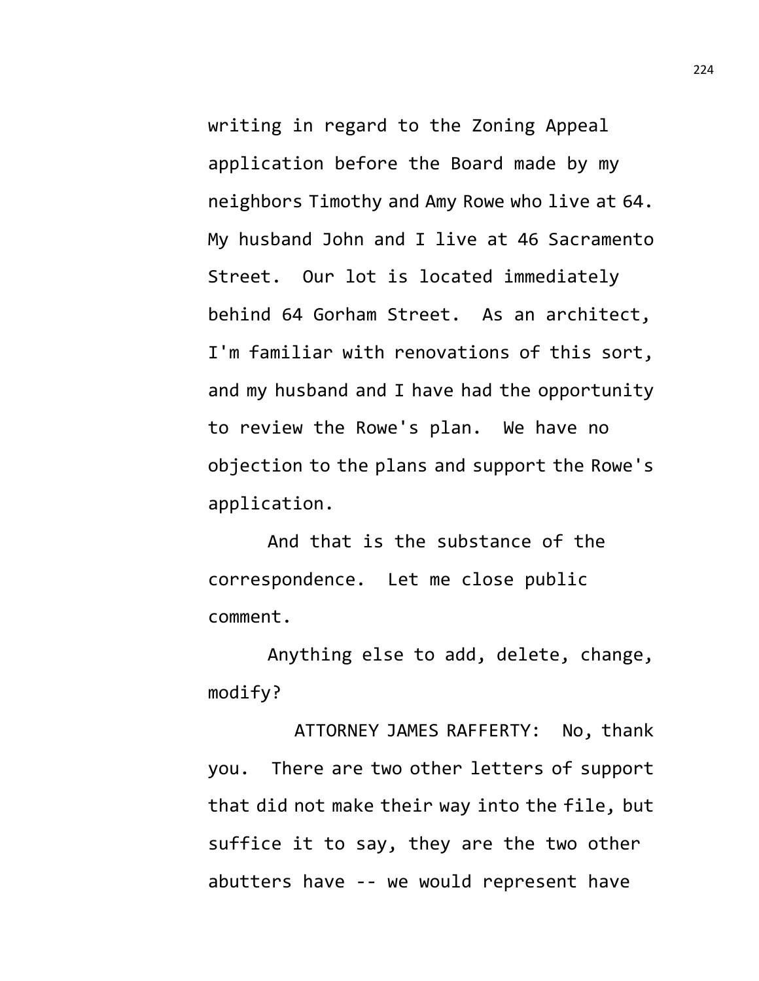writing in regard to the Zoning Appeal application before the Board made by my neighbors Timothy and Amy Rowe who live at 64. My husband John and I live at 46 Sacramento Street. Our lot is located immediately behind 64 Gorham Street. As an architect, I'm familiar with renovations of this sort, and my husband and I have had the opportunity to review the Rowe's plan. We have no objection to the plans and support the Rowe's application.

And that is the substance of the correspondence. Let me close public comment.

Anything else to add, delete, change, modify?

ATTORNEY JAMES RAFFERTY: No, thank you. There are two other letters of support that did not make their way into the file, but suffice it to say, they are the two other abutters have -- we would represent have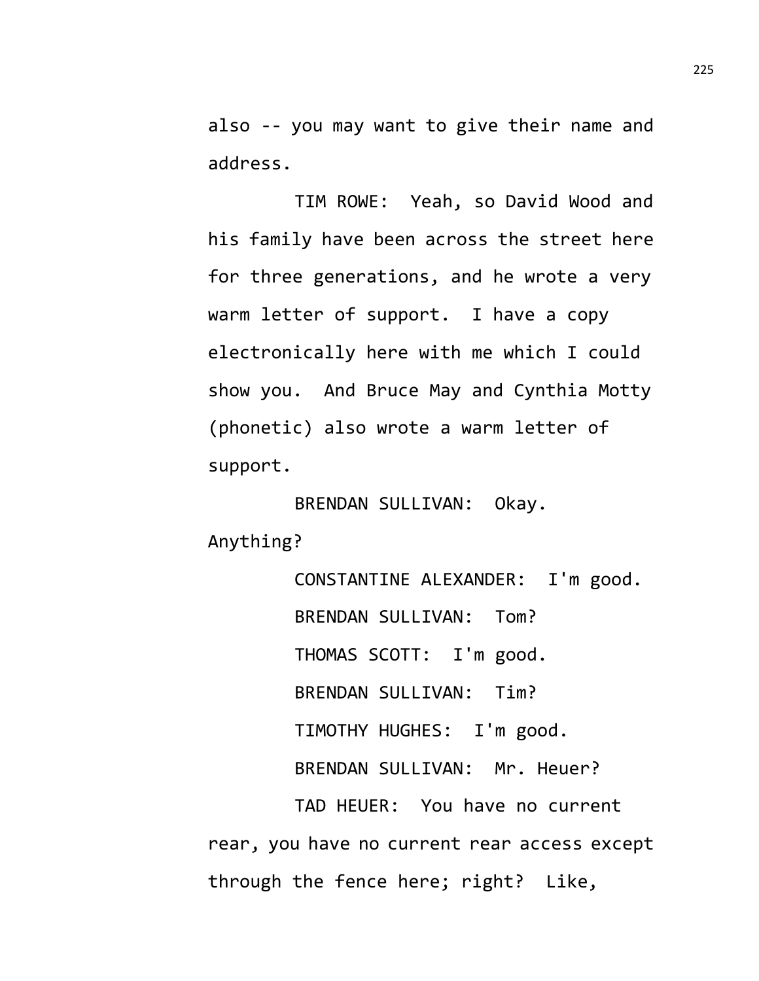also -- you may want to give their name and address.

TIM ROWE: Yeah, so David Wood and his family have been across the street here for three generations, and he wrote a very warm letter of support. I have a copy electronically here with me which I could show you. And Bruce May and Cynthia Motty (phonetic) also wrote a warm letter of support.

BRENDAN SULLIVAN: Okay. Anything?

CONSTANTINE ALEXANDER: I'm good. BRENDAN SULLIVAN: Tom? THOMAS SCOTT: I'm good. BRENDAN SULLIVAN: Tim? TIMOTHY HUGHES: I'm good. BRENDAN SULLIVAN: Mr. Heuer? TAD HEUER: You have no current rear, you have no current rear access except through the fence here; right? Like,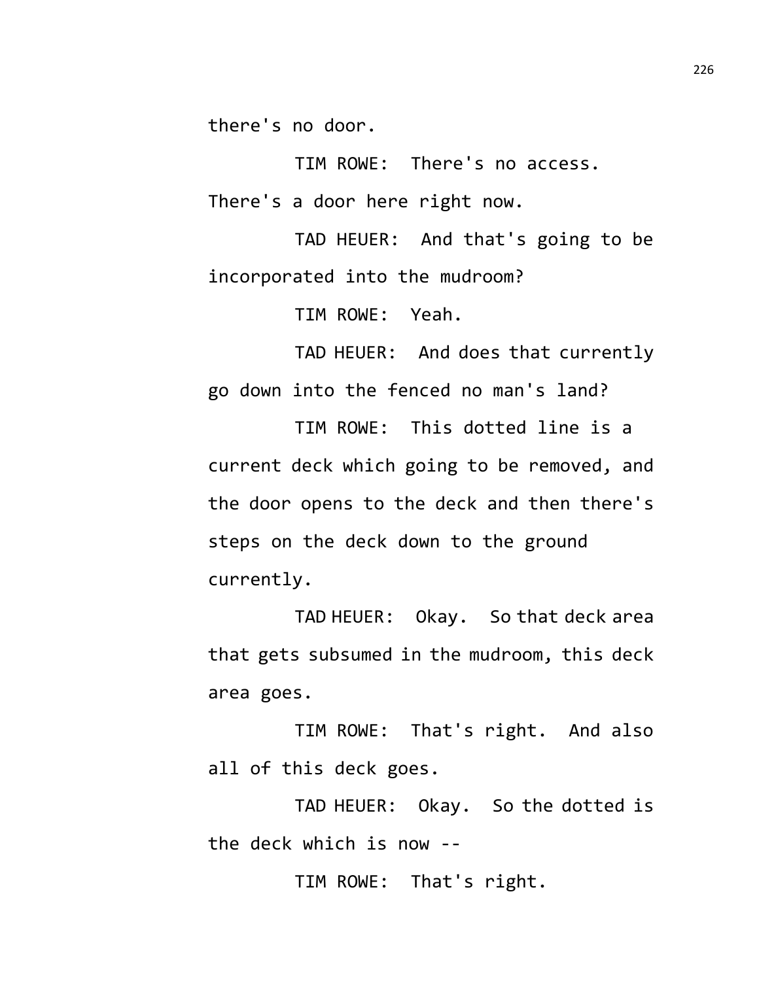there's no door.

TIM ROWE: There's no access.

There's a door here right now.

TAD HEUER: And that's going to be incorporated into the mudroom?

TIM ROWE: Yeah.

TAD HEUER: And does that currently go down into the fenced no man's land?

TIM ROWE: This dotted line is a current deck which going to be removed, and the door opens to the deck and then there's steps on the deck down to the ground currently.

TAD HEUER: Okay. So that deck area that gets subsumed in the mudroom, this deck area goes.

TIM ROWE: That's right. And also all of this deck goes.

TAD HEUER: Okay. So the dotted is the deck which is now --

TIM ROWE: That's right.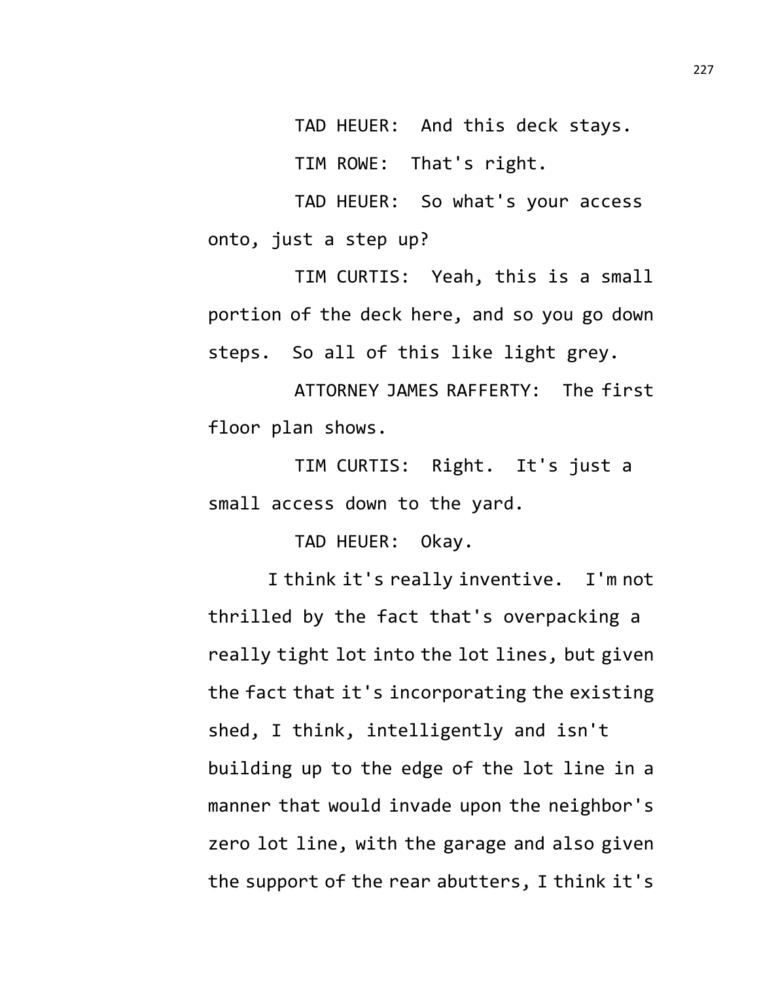TAD HEUER: And this deck stays.

TIM ROWE: That's right.

TAD HEUER: So what's your access onto, just a step up?

TIM CURTIS: Yeah, this is a small portion of the deck here, and so you go down steps. So all of this like light grey.

ATTORNEY JAMES RAFFERTY: The first floor plan shows.

TIM CURTIS: Right. It's just a small access down to the yard.

TAD HEUER: Okay.

I think it's really inventive. I'm not thrilled by the fact that's overpacking a really tight lot into the lot lines, but given the fact that it's incorporating the existing shed, I think, intelligently and isn't building up to the edge of the lot line in a manner that would invade upon the neighbor's zero lot line, with the garage and also given the support of the rear abutters, I think it's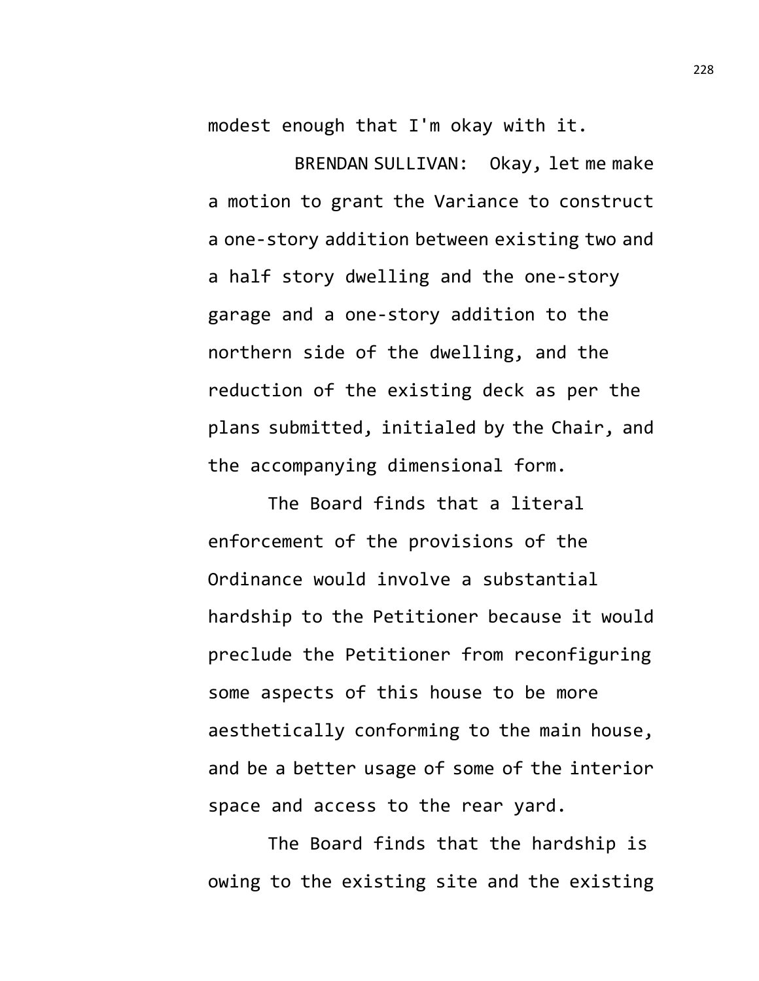modest enough that I'm okay with it.

BRENDAN SULLIVAN: Okay, let me make a motion to grant the Variance to construct a one-story addition between existing two and a half story dwelling and the one-story garage and a one-story addition to the northern side of the dwelling, and the reduction of the existing deck as per the plans submitted, initialed by the Chair, and the accompanying dimensional form.

The Board finds that a literal enforcement of the provisions of the Ordinance would involve a substantial hardship to the Petitioner because it would preclude the Petitioner from reconfiguring some aspects of this house to be more aesthetically conforming to the main house, and be a better usage of some of the interior space and access to the rear yard.

The Board finds that the hardship is owing to the existing site and the existing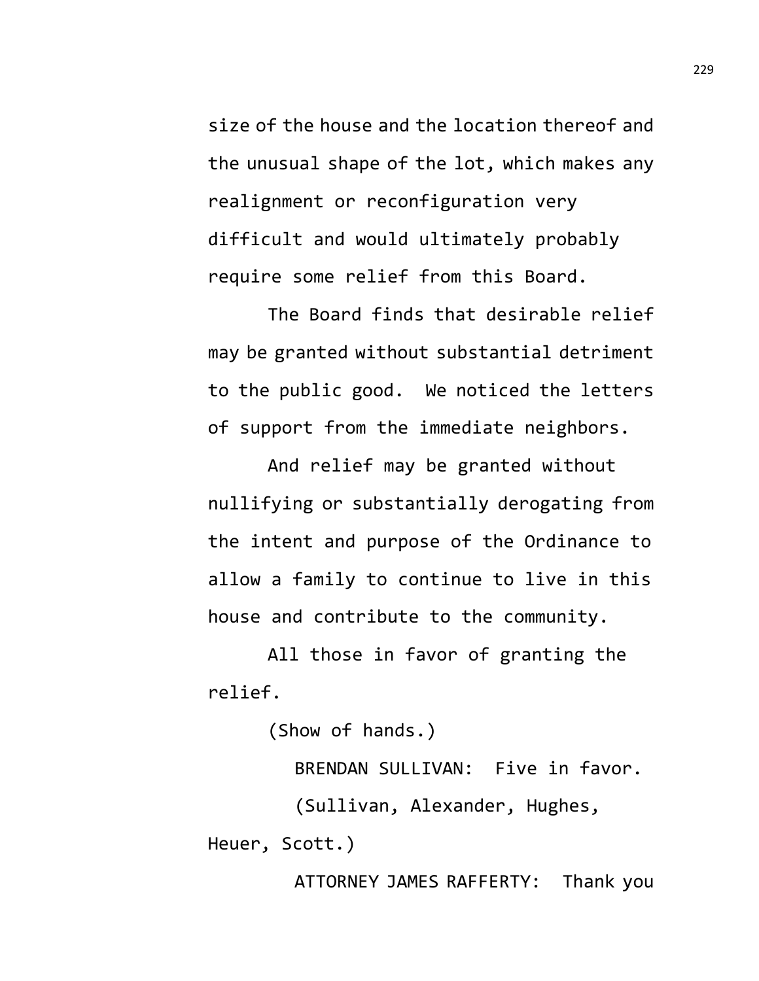size of the house and the location thereof and the unusual shape of the lot, which makes any realignment or reconfiguration very difficult and would ultimately probably require some relief from this Board.

The Board finds that desirable relief may be granted without substantial detriment to the public good. We noticed the letters of support from the immediate neighbors.

And relief may be granted without nullifying or substantially derogating from the intent and purpose of the Ordinance to allow a family to continue to live in this house and contribute to the community.

All those in favor of granting the relief.

(Show of hands.)

BRENDAN SULLIVAN: Five in favor.

(Sullivan, Alexander, Hughes,

Heuer, Scott.)

ATTORNEY JAMES RAFFERTY: Thank you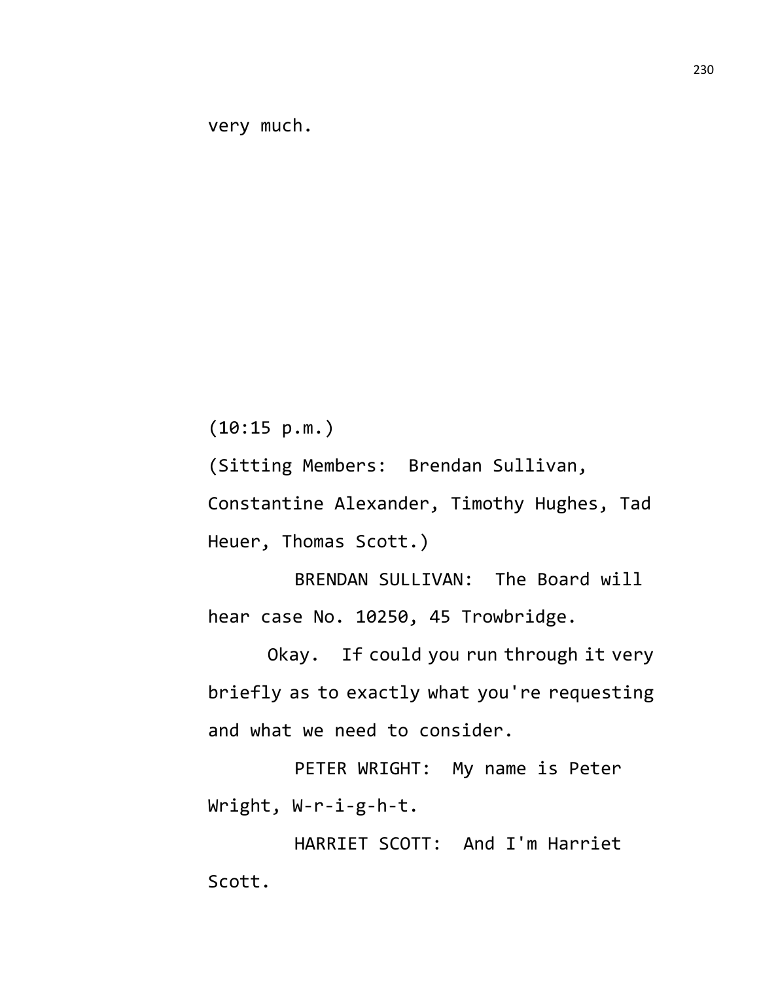very much.

(10:15 p.m.)

(Sitting Members: Brendan Sullivan,

Constantine Alexander, Timothy Hughes, Tad Heuer, Thomas Scott.)

BRENDAN SULLIVAN: The Board will hear case No. 10250, 45 Trowbridge.

Okay. If could you run through it very briefly as to exactly what you're requesting and what we need to consider.

PETER WRIGHT: My name is Peter Wright, W-r-i-g-h-t.

HARRIET SCOTT: And I'm Harriet Scott.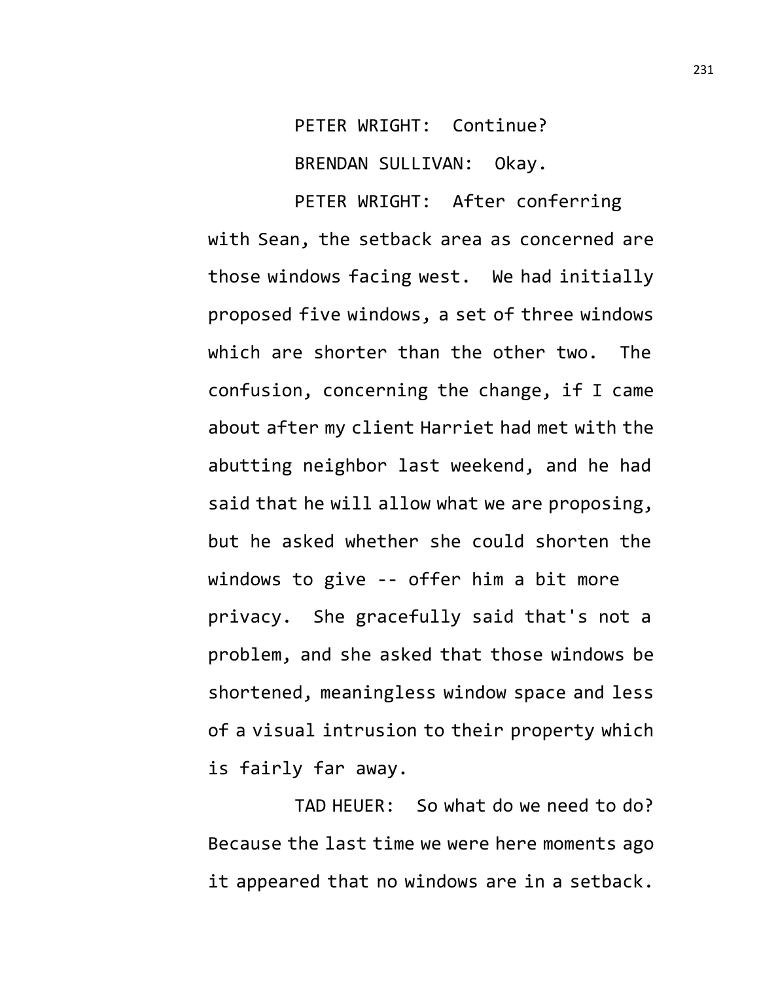PETER WRIGHT: Continue? BRENDAN SULLIVAN: Okay.

PETER WRIGHT: After conferring with Sean, the setback area as concerned are those windows facing west. We had initially proposed five windows, a set of three windows which are shorter than the other two. The confusion, concerning the change, if I came about after my client Harriet had met with the abutting neighbor last weekend, and he had said that he will allow what we are proposing, but he asked whether she could shorten the windows to give -- offer him a bit more privacy. She gracefully said that's not a problem, and she asked that those windows be shortened, meaningless window space and less of a visual intrusion to their property which is fairly far away.

TAD HEUER: So what do we need to do? Because the last time we were here moments ago it appeared that no windows are in a setback.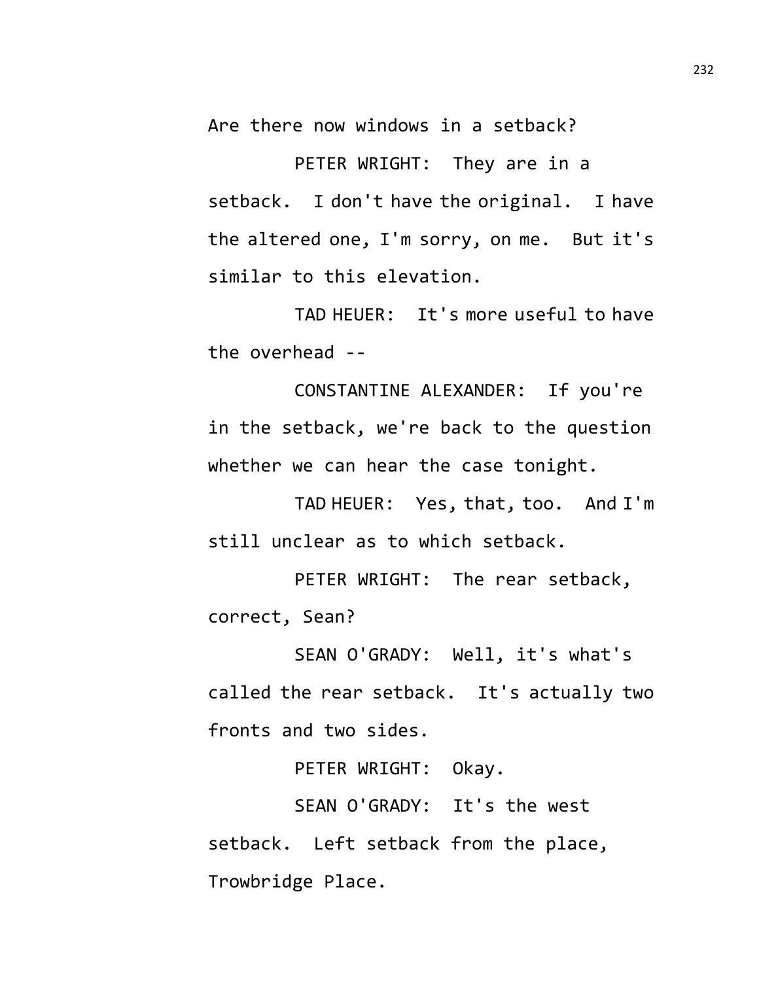Are there now windows in a setback?

PETER WRIGHT: They are in a setback. I don't have the original. I have the altered one, I'm sorry, on me. But it's similar to this elevation.

TAD HEUER: It's more useful to have the overhead --

CONSTANTINE ALEXANDER: If you're in the setback, we're back to the question whether we can hear the case tonight.

TAD HEUER: Yes, that, too. And I'm still unclear as to which setback.

PETER WRIGHT: The rear setback, correct, Sean?

SEAN O'GRADY: Well, it's what's called the rear setback. It's actually two fronts and two sides.

PETER WRIGHT: Okay.

SEAN O'GRADY: It's the west setback. Left setback from the place, Trowbridge Place.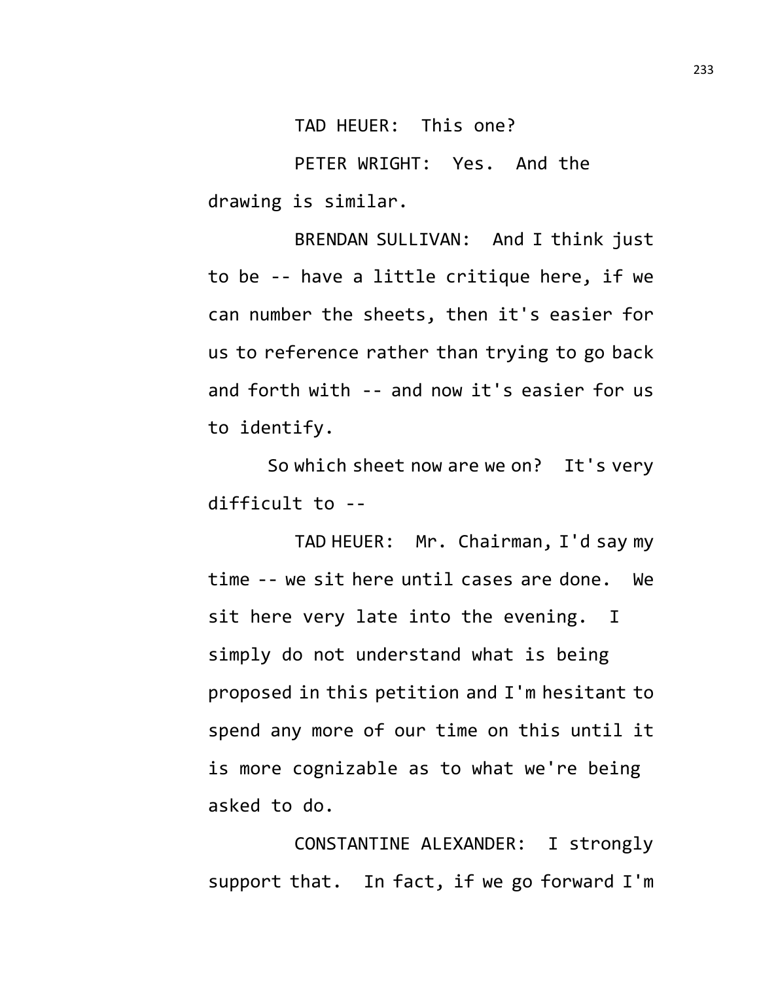TAD HEUER: This one?

PETER WRIGHT: Yes. And the drawing is similar.

BRENDAN SULLIVAN: And I think just to be -- have a little critique here, if we can number the sheets, then it's easier for us to reference rather than trying to go back and forth with -- and now it's easier for us to identify.

So which sheet now are we on? It's very difficult to --

TAD HEUER: Mr. Chairman, I'd say my time -- we sit here until cases are done. We sit here very late into the evening. I simply do not understand what is being proposed in this petition and I'm hesitant to spend any more of our time on this until it is more cognizable as to what we're being asked to do.

CONSTANTINE ALEXANDER: I strongly support that. In fact, if we go forward I'm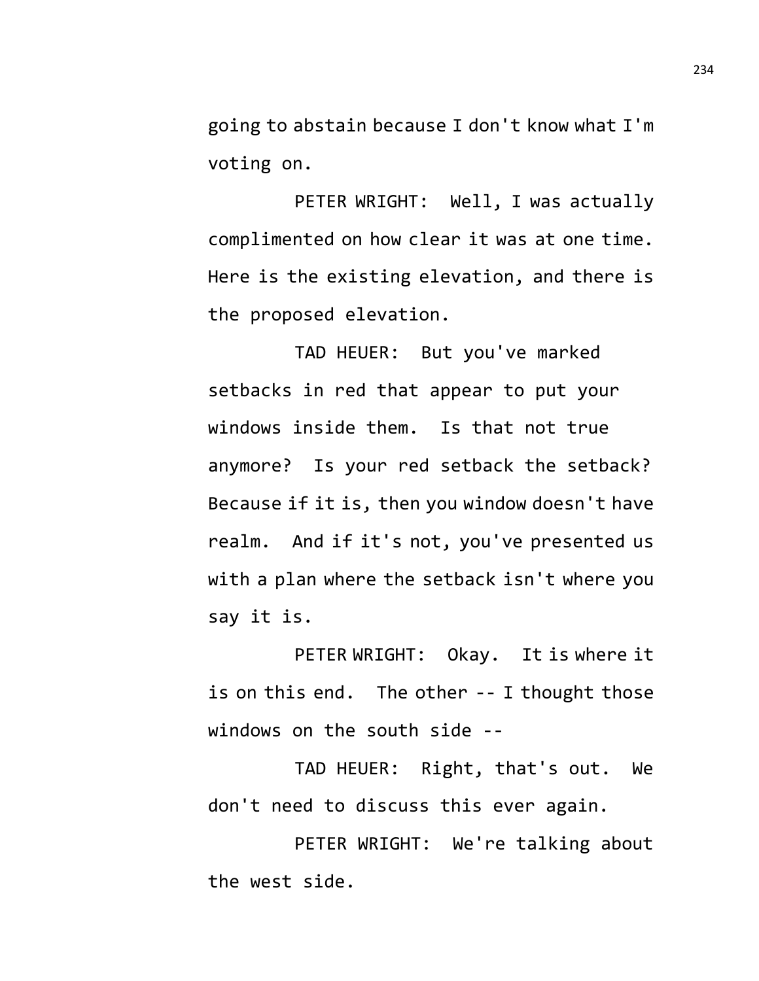going to abstain because I don't know what I'm voting on.

PETER WRIGHT: Well, I was actually complimented on how clear it was at one time. Here is the existing elevation, and there is the proposed elevation.

TAD HEUER: But you've marked setbacks in red that appear to put your windows inside them. Is that not true anymore? Is your red setback the setback? Because if it is, then you window doesn't have realm. And if it's not, you've presented us with a plan where the setback isn't where you say it is.

PETER WRIGHT: Okay. It is where it is on this end. The other -- I thought those windows on the south side --

TAD HEUER: Right, that's out. We don't need to discuss this ever again.

PETER WRIGHT: We're talking about the west side.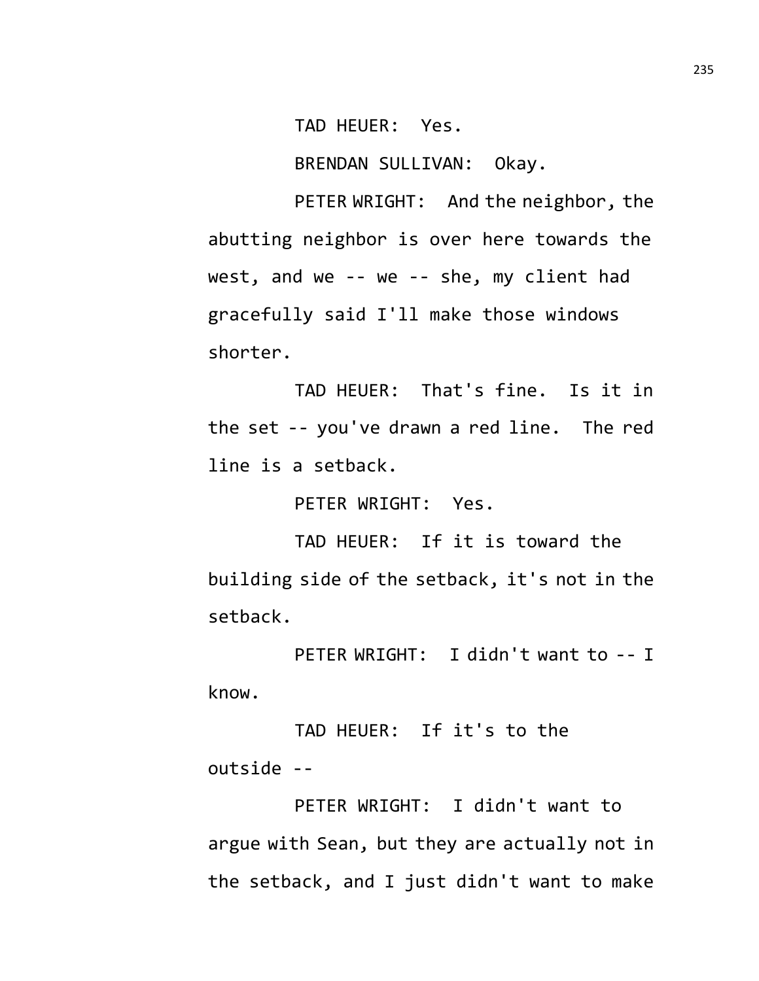TAD HEUER: Yes.

BRENDAN SULLIVAN: Okay.

PETER WRIGHT: And the neighbor, the abutting neighbor is over here towards the west, and we -- we -- she, my client had gracefully said I'll make those windows shorter.

TAD HEUER: That's fine. Is it in the set -- you've drawn a red line. The red line is a setback.

PETER WRIGHT: Yes.

TAD HEUER: If it is toward the building side of the setback, it's not in the setback.

PETER WRIGHT: I didn't want to -- I know.

TAD HEUER: If it's to the outside --

PETER WRIGHT: I didn't want to argue with Sean, but they are actually not in the setback, and I just didn't want to make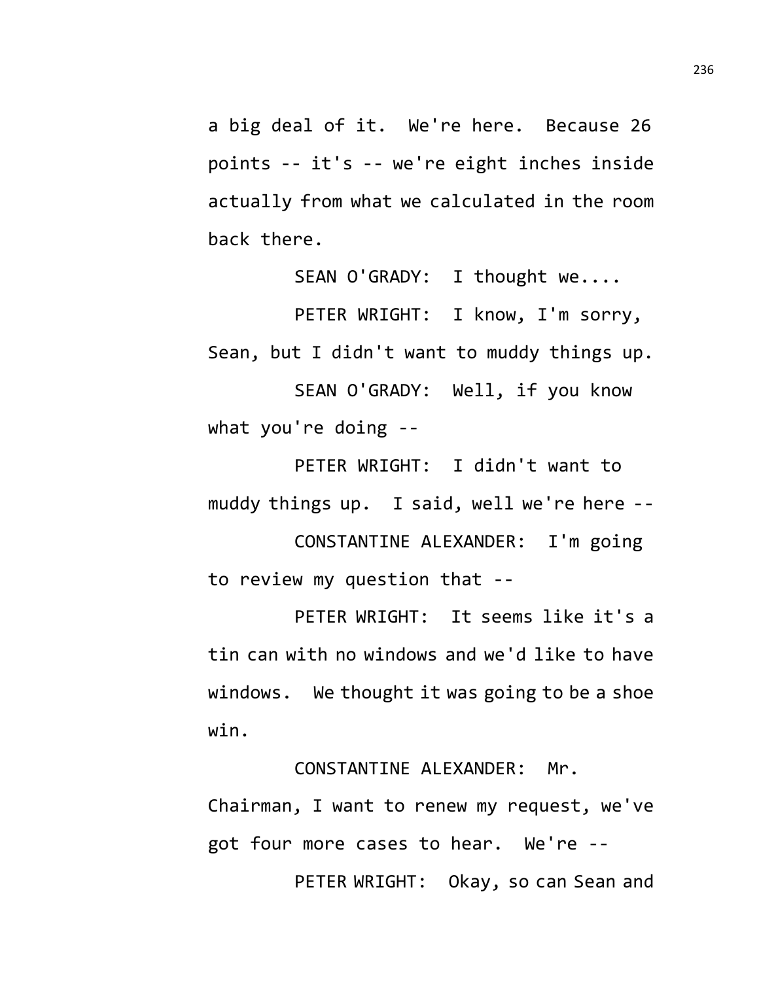a big deal of it. We're here. Because 26 points -- it's -- we're eight inches inside actually from what we calculated in the room back there.

SEAN O'GRADY: I thought we....

PETER WRIGHT: I know, I'm sorry, Sean, but I didn't want to muddy things up. SEAN O'GRADY: Well, if you know what you're doing --

PETER WRIGHT: I didn't want to muddy things up. I said, well we're here --

CONSTANTINE ALEXANDER: I'm going to review my question that --

PETER WRIGHT: It seems like it's a tin can with no windows and we'd like to have windows. We thought it was going to be a shoe win.

Chairman, I want to renew my request, we've got four more cases to hear. We're --

CONSTANTINE ALEXANDER: Mr.

PETER WRIGHT: Okay, so can Sean and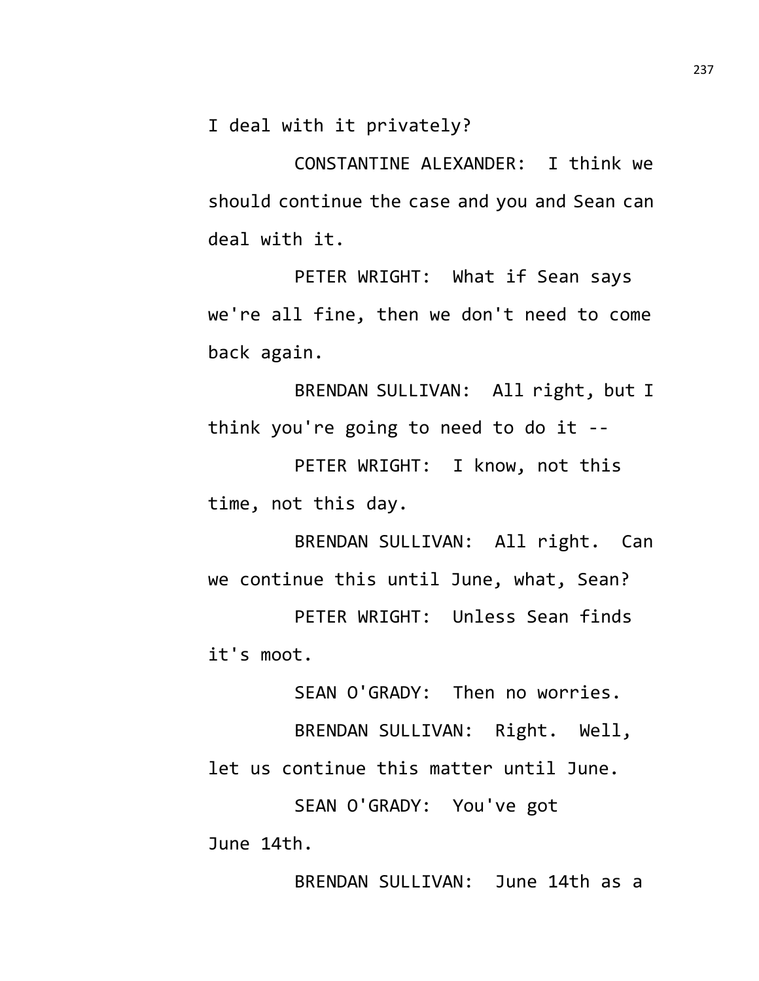I deal with it privately?

CONSTANTINE ALEXANDER: I think we should continue the case and you and Sean can deal with it.

PETER WRIGHT: What if Sean says we're all fine, then we don't need to come back again.

BRENDAN SULLIVAN: All right, but I think you're going to need to do it --

PETER WRIGHT: I know, not this time, not this day.

BRENDAN SULLIVAN: All right. Can we continue this until June, what, Sean?

PETER WRIGHT: Unless Sean finds it's moot.

SEAN O'GRADY: Then no worries.

BRENDAN SULLIVAN: Right. Well, let us continue this matter until June.

SEAN O'GRADY: You've got June 14th.

BRENDAN SULLIVAN: June 14th as a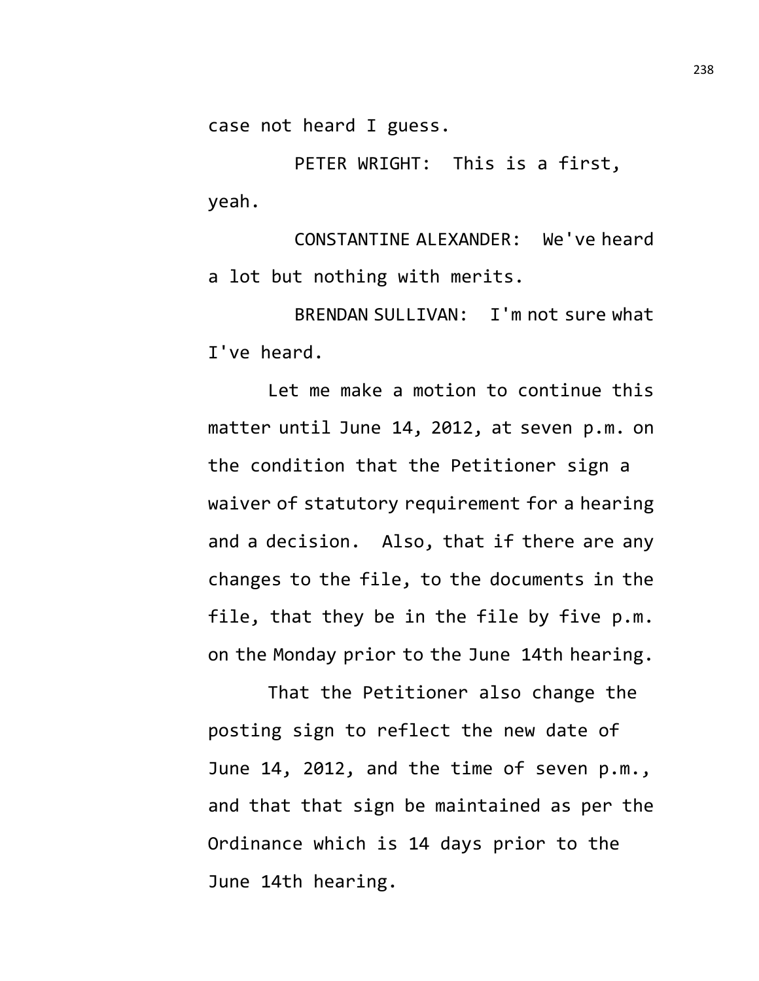case not heard I guess.

PETER WRIGHT: This is a first, yeah.

CONSTANTINE ALEXANDER: We've heard a lot but nothing with merits.

BRENDAN SULLIVAN: I'm not sure what I've heard.

Let me make a motion to continue this matter until June 14, 2012, at seven p.m. on the condition that the Petitioner sign a waiver of statutory requirement for a hearing and a decision. Also, that if there are any changes to the file, to the documents in the file, that they be in the file by five p.m. on the Monday prior to the June 14th hearing.

That the Petitioner also change the posting sign to reflect the new date of June 14, 2012, and the time of seven p.m., and that that sign be maintained as per the Ordinance which is 14 days prior to the June 14th hearing.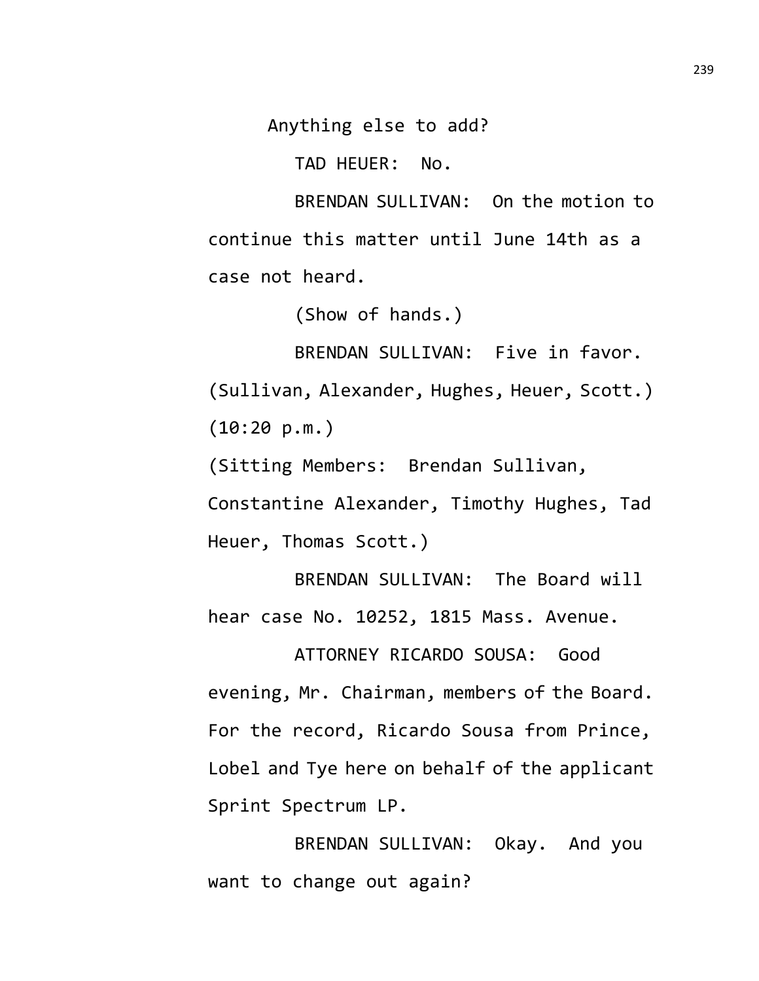Anything else to add?

TAD HEUER: No.

BRENDAN SULLIVAN: On the motion to continue this matter until June 14th as a case not heard.

(Show of hands.)

BRENDAN SULLIVAN: Five in favor. (Sullivan, Alexander, Hughes, Heuer, Scott.) (10:20 p.m.)

(Sitting Members: Brendan Sullivan,

Constantine Alexander, Timothy Hughes, Tad Heuer, Thomas Scott.)

BRENDAN SULLIVAN: The Board will hear case No. 10252, 1815 Mass. Avenue.

ATTORNEY RICARDO SOUSA: Good evening, Mr. Chairman, members of the Board. For the record, Ricardo Sousa from Prince, Lobel and Tye here on behalf of the applicant Sprint Spectrum LP.

BRENDAN SULLIVAN: Okay. And you want to change out again?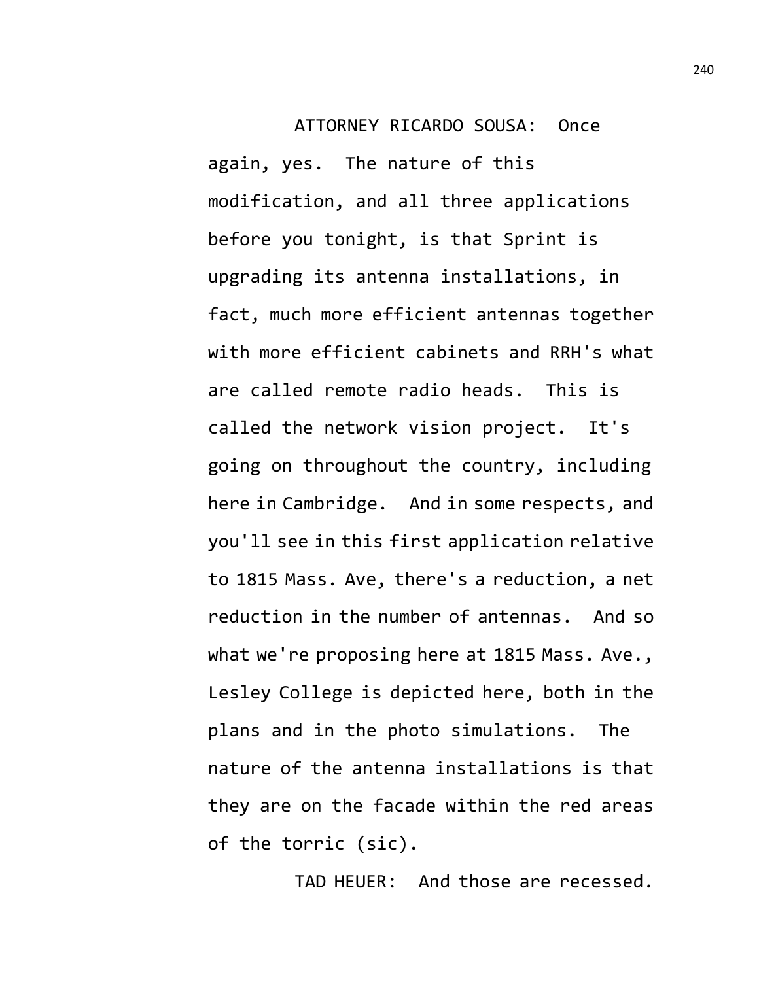ATTORNEY RICARDO SOUSA: Once again, yes. The nature of this modification, and all three applications before you tonight, is that Sprint is upgrading its antenna installations, in fact, much more efficient antennas together with more efficient cabinets and RRH's what are called remote radio heads. This is called the network vision project. It's going on throughout the country, including here in Cambridge. And in some respects, and you'll see in this first application relative to 1815 Mass. Ave, there's a reduction, a net reduction in the number of antennas. And so what we're proposing here at 1815 Mass. Ave., Lesley College is depicted here, both in the plans and in the photo simulations. The nature of the antenna installations is that they are on the facade within the red areas of the torric (sic).

TAD HEUER: And those are recessed.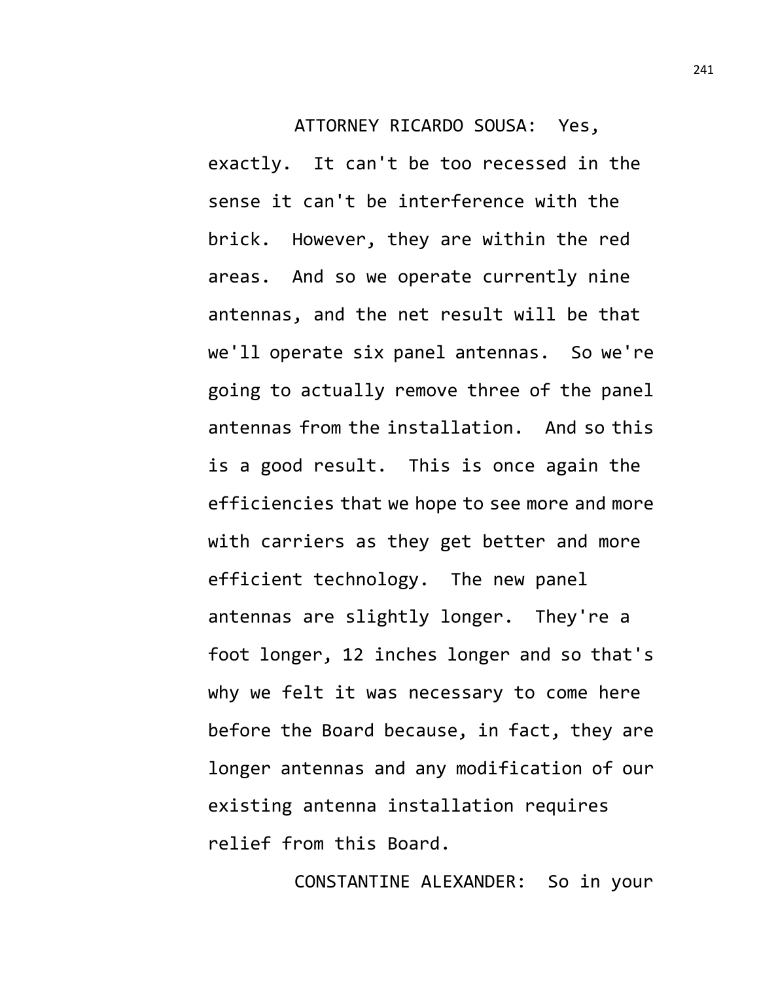ATTORNEY RICARDO SOUSA: Yes,

exactly. It can't be too recessed in the sense it can't be interference with the brick. However, they are within the red areas. And so we operate currently nine antennas, and the net result will be that we'll operate six panel antennas. So we're going to actually remove three of the panel antennas from the installation. And so this is a good result. This is once again the efficiencies that we hope to see more and more with carriers as they get better and more efficient technology. The new panel antennas are slightly longer. They're a foot longer, 12 inches longer and so that's why we felt it was necessary to come here before the Board because, in fact, they are longer antennas and any modification of our existing antenna installation requires relief from this Board.

CONSTANTINE ALEXANDER: So in your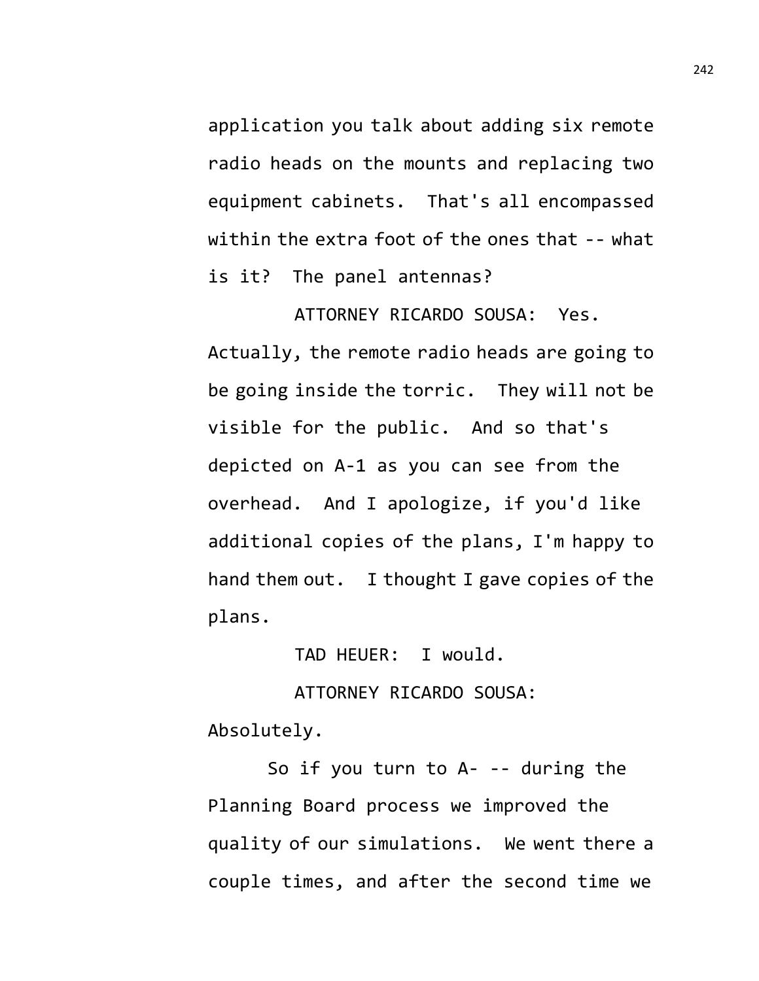application you talk about adding six remote radio heads on the mounts and replacing two equipment cabinets. That's all encompassed within the extra foot of the ones that -- what is it? The panel antennas?

ATTORNEY RICARDO SOUSA: Yes. Actually, the remote radio heads are going to be going inside the torric. They will not be visible for the public. And so that's depicted on A-1 as you can see from the overhead. And I apologize, if you'd like additional copies of the plans, I'm happy to hand them out. I thought I gave copies of the plans.

TAD HEUER: I would.

ATTORNEY RICARDO SOUSA:

Absolutely.

So if you turn to A- -- during the Planning Board process we improved the quality of our simulations. We went there a couple times, and after the second time we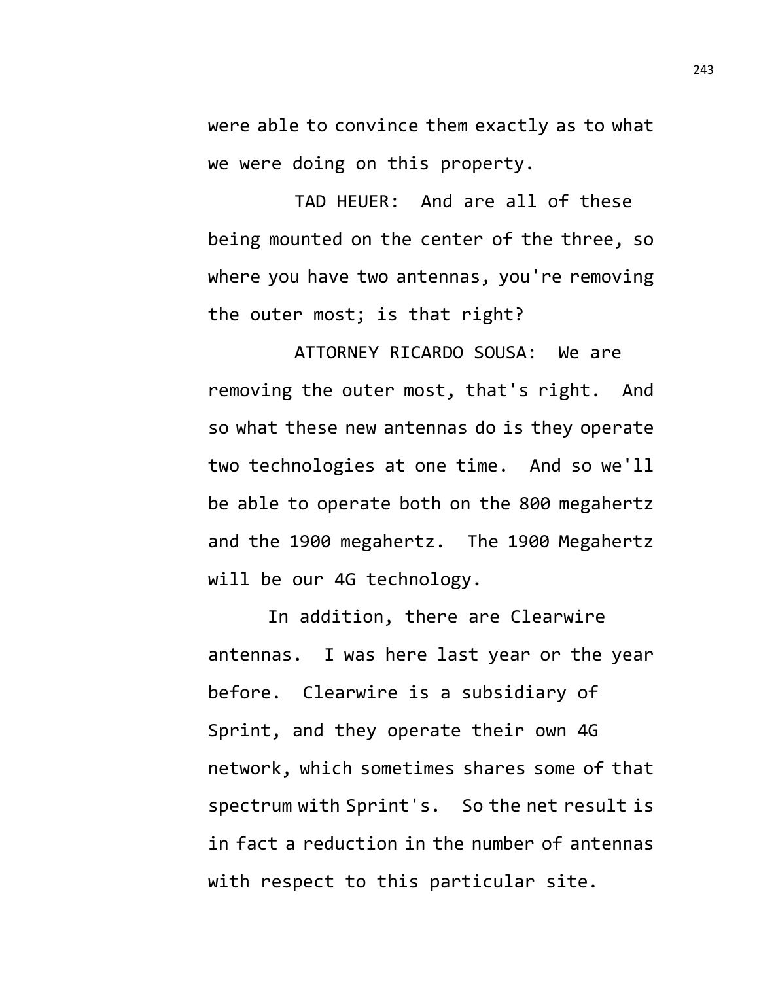were able to convince them exactly as to what we were doing on this property.

TAD HEUER: And are all of these being mounted on the center of the three, so where you have two antennas, you're removing the outer most; is that right?

ATTORNEY RICARDO SOUSA: We are removing the outer most, that's right. And so what these new antennas do is they operate two technologies at one time. And so we'll be able to operate both on the 800 megahertz and the 1900 megahertz. The 1900 Megahertz will be our 4G technology.

In addition, there are Clearwire antennas. I was here last year or the year before. Clearwire is a subsidiary of Sprint, and they operate their own 4G network, which sometimes shares some of that spectrum with Sprint's. So the net result is in fact a reduction in the number of antennas with respect to this particular site.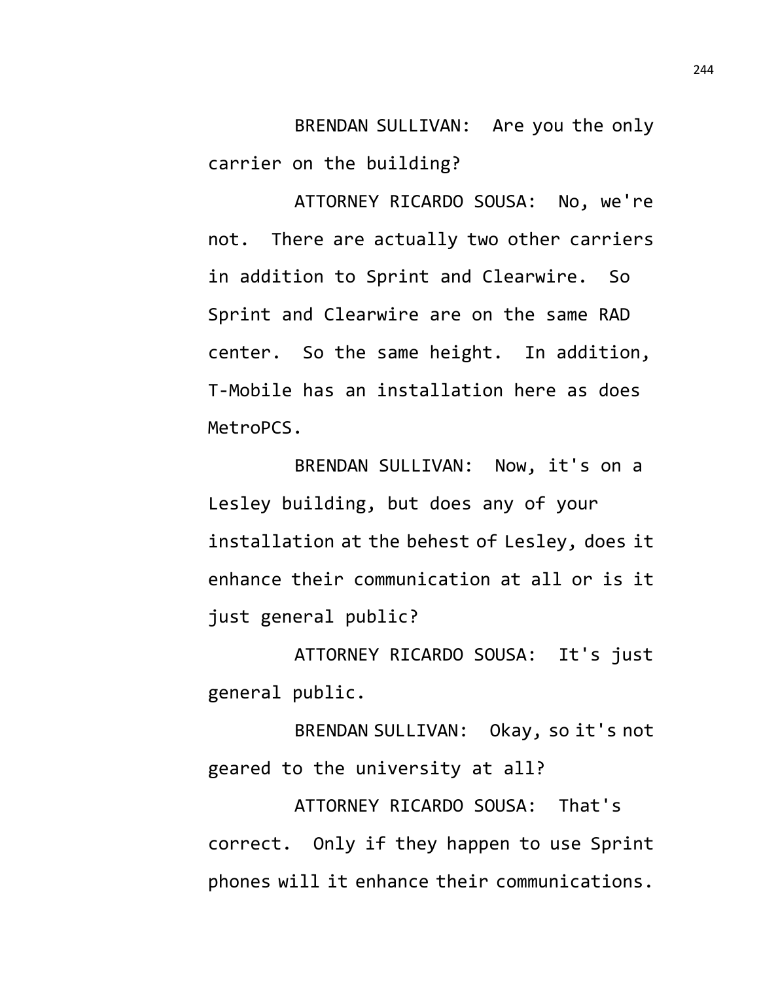BRENDAN SULLIVAN: Are you the only carrier on the building?

ATTORNEY RICARDO SOUSA: No, we're not. There are actually two other carriers in addition to Sprint and Clearwire. So Sprint and Clearwire are on the same RAD center. So the same height. In addition, T-Mobile has an installation here as does MetroPCS.

BRENDAN SULLIVAN: Now, it's on a Lesley building, but does any of your installation at the behest of Lesley, does it enhance their communication at all or is it just general public?

ATTORNEY RICARDO SOUSA: It's just general public.

BRENDAN SULLIVAN: Okay, so it's not geared to the university at all?

ATTORNEY RICARDO SOUSA: That's correct. Only if they happen to use Sprint phones will it enhance their communications.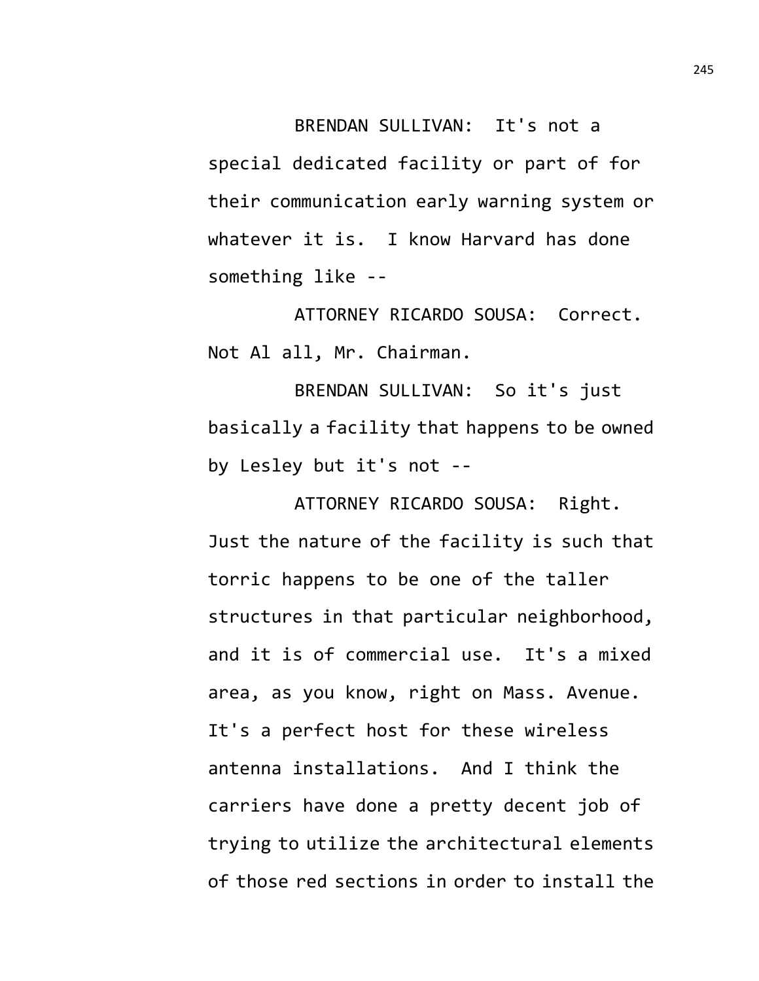BRENDAN SULLIVAN: It's not a special dedicated facility or part of for their communication early warning system or whatever it is. I know Harvard has done something like --

ATTORNEY RICARDO SOUSA: Correct. Not Al all, Mr. Chairman.

BRENDAN SULLIVAN: So it's just basically a facility that happens to be owned by Lesley but it's not --

ATTORNEY RICARDO SOUSA: Right. Just the nature of the facility is such that torric happens to be one of the taller structures in that particular neighborhood, and it is of commercial use. It's a mixed area, as you know, right on Mass. Avenue. It's a perfect host for these wireless antenna installations. And I think the carriers have done a pretty decent job of trying to utilize the architectural elements of those red sections in order to install the 245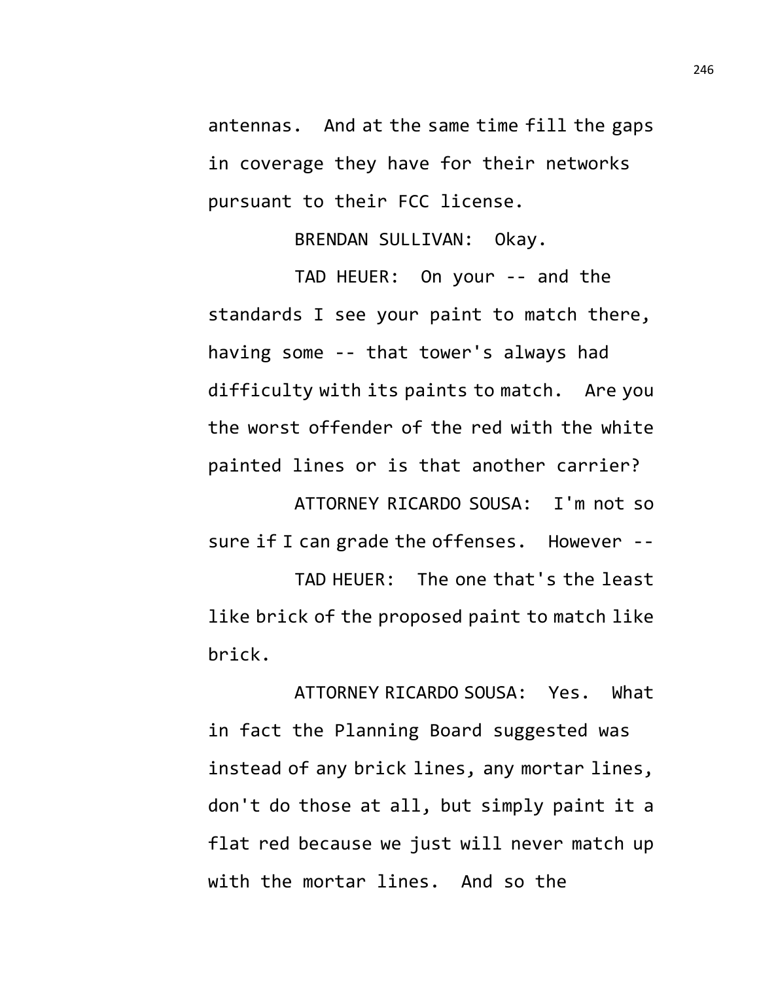antennas. And at the same time fill the gaps in coverage they have for their networks pursuant to their FCC license.

BRENDAN SULLIVAN: Okay.

TAD HEUER: On your -- and the standards I see your paint to match there, having some -- that tower's always had difficulty with its paints to match. Are you the worst offender of the red with the white painted lines or is that another carrier?

ATTORNEY RICARDO SOUSA: I'm not so sure if I can grade the offenses. However --TAD HEUER: The one that's the least

like brick of the proposed paint to match like brick.

ATTORNEY RICARDO SOUSA: Yes. What in fact the Planning Board suggested was instead of any brick lines, any mortar lines, don't do those at all, but simply paint it a flat red because we just will never match up with the mortar lines. And so the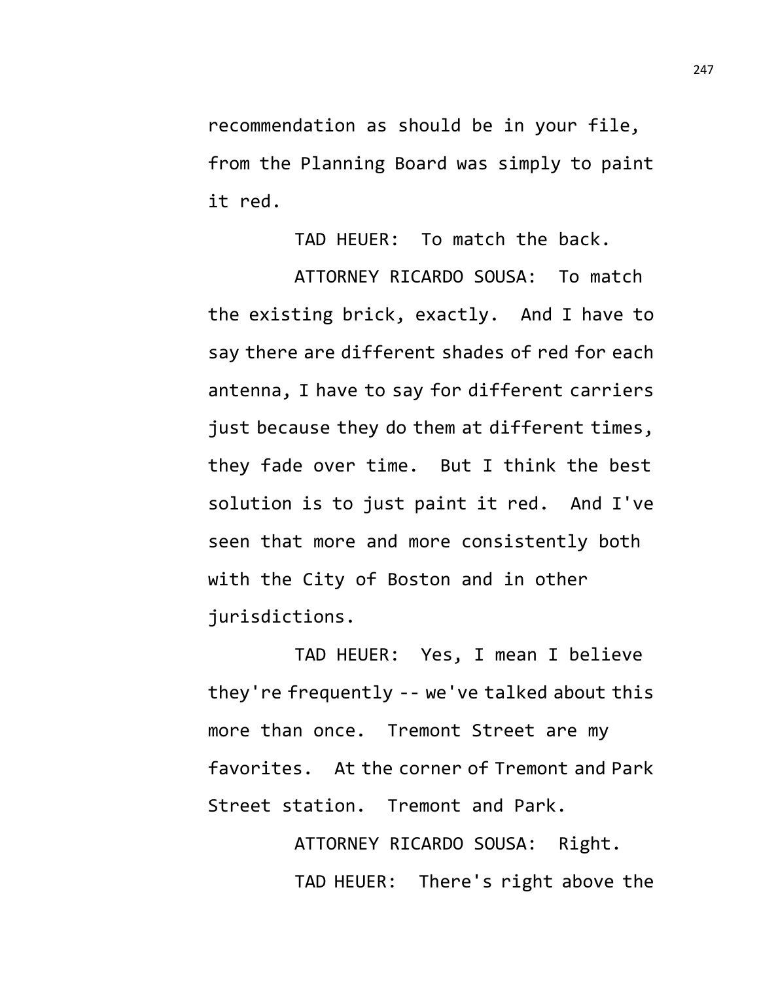recommendation as should be in your file, from the Planning Board was simply to paint it red.

TAD HEUER: To match the back.

ATTORNEY RICARDO SOUSA: To match the existing brick, exactly. And I have to say there are different shades of red for each antenna, I have to say for different carriers just because they do them at different times, they fade over time. But I think the best solution is to just paint it red. And I've seen that more and more consistently both with the City of Boston and in other jurisdictions.

TAD HEUER: Yes, I mean I believe they're frequently -- we've talked about this more than once. Tremont Street are my favorites. At the corner of Tremont and Park Street station. Tremont and Park.

> ATTORNEY RICARDO SOUSA: Right. TAD HEUER: There's right above the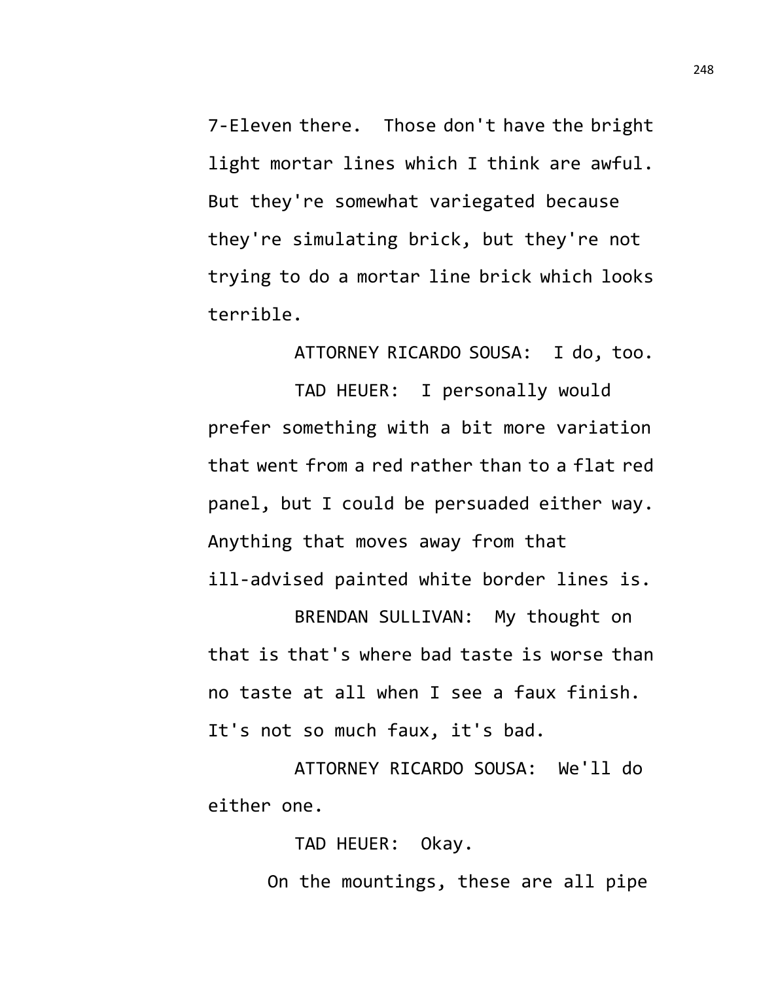7-Eleven there. Those don't have the bright light mortar lines which I think are awful. But they're somewhat variegated because they're simulating brick, but they're not trying to do a mortar line brick which looks terrible.

ATTORNEY RICARDO SOUSA: I do, too.

TAD HEUER: I personally would prefer something with a bit more variation that went from a red rather than to a flat red panel, but I could be persuaded either way. Anything that moves away from that ill-advised painted white border lines is.

BRENDAN SULLIVAN: My thought on that is that's where bad taste is worse than no taste at all when I see a faux finish. It's not so much faux, it's bad.

ATTORNEY RICARDO SOUSA: We'll do either one.

TAD HEUER: Okay.

On the mountings, these are all pipe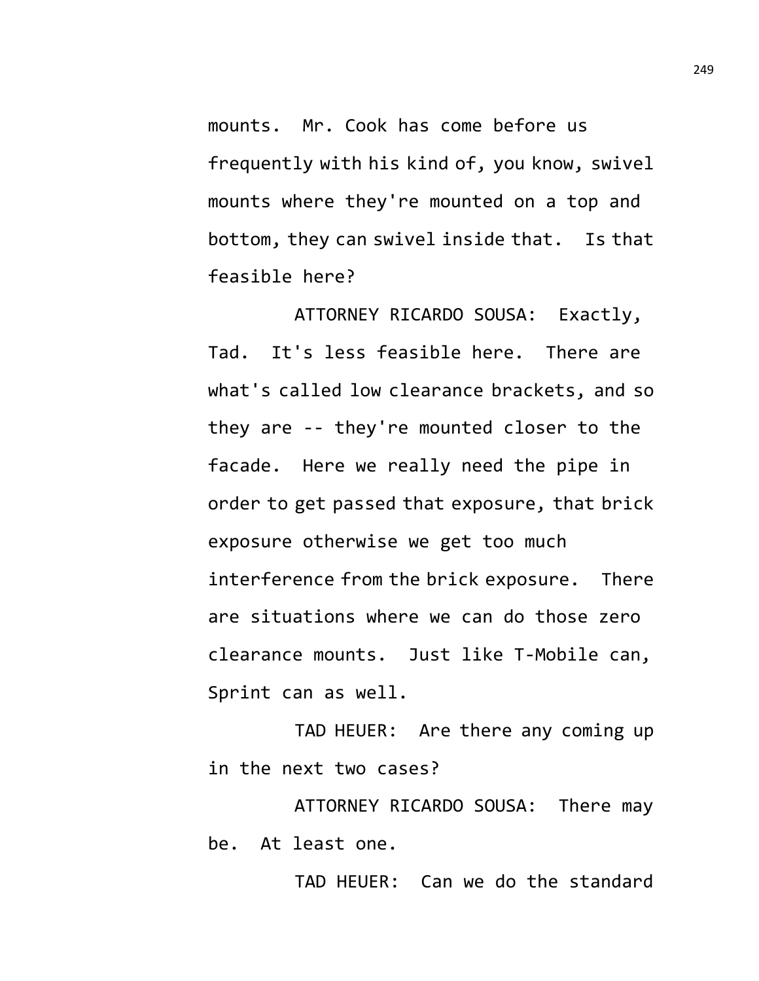mounts. Mr. Cook has come before us frequently with his kind of, you know, swivel mounts where they're mounted on a top and bottom, they can swivel inside that. Is that feasible here?

ATTORNEY RICARDO SOUSA: Exactly, Tad. It's less feasible here. There are what's called low clearance brackets, and so they are -- they're mounted closer to the facade. Here we really need the pipe in order to get passed that exposure, that brick exposure otherwise we get too much interference from the brick exposure. There are situations where we can do those zero clearance mounts. Just like T-Mobile can, Sprint can as well.

TAD HEUER: Are there any coming up in the next two cases?

ATTORNEY RICARDO SOUSA: There may be. At least one.

TAD HEUER: Can we do the standard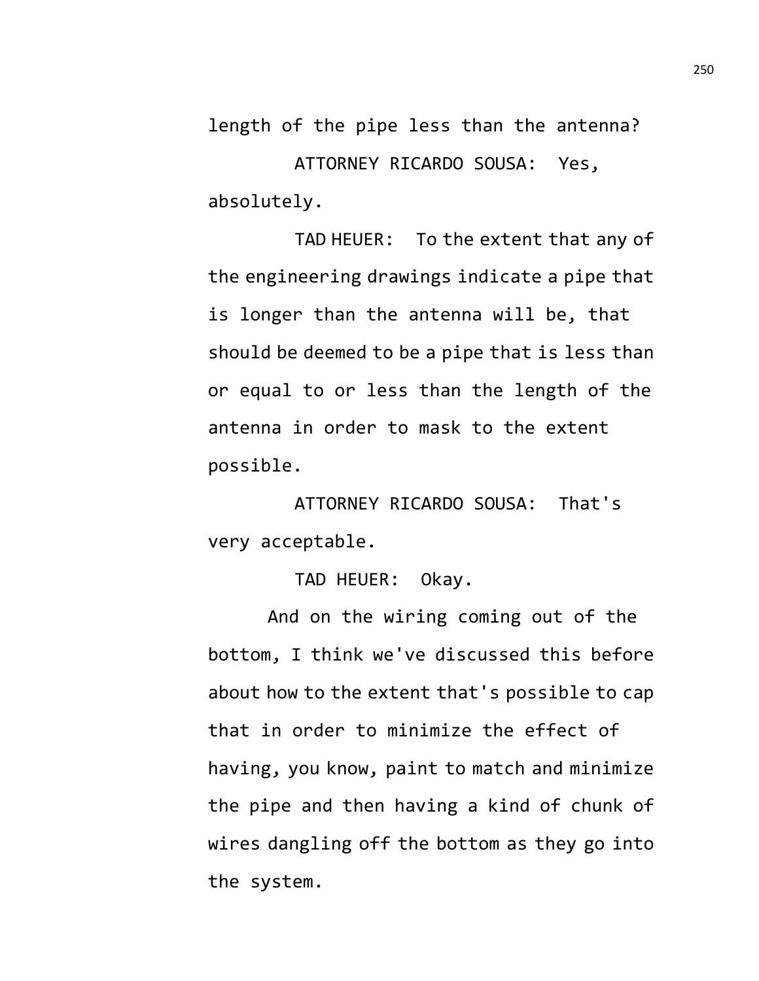length of the pipe less than the antenna? ATTORNEY RICARDO SOUSA: Yes, absolutely.

TAD HEUER: To the extent that any of the engineering drawings indicate a pipe that is longer than the antenna will be, that should be deemed to be a pipe that is less than or equal to or less than the length of the antenna in order to mask to the extent possible.

ATTORNEY RICARDO SOUSA: That's very acceptable.

TAD HEUER: Okay.

And on the wiring coming out of the bottom, I think we've discussed this before about how to the extent that's possible to cap that in order to minimize the effect of having, you know, paint to match and minimize the pipe and then having a kind of chunk of wires dangling off the bottom as they go into the system.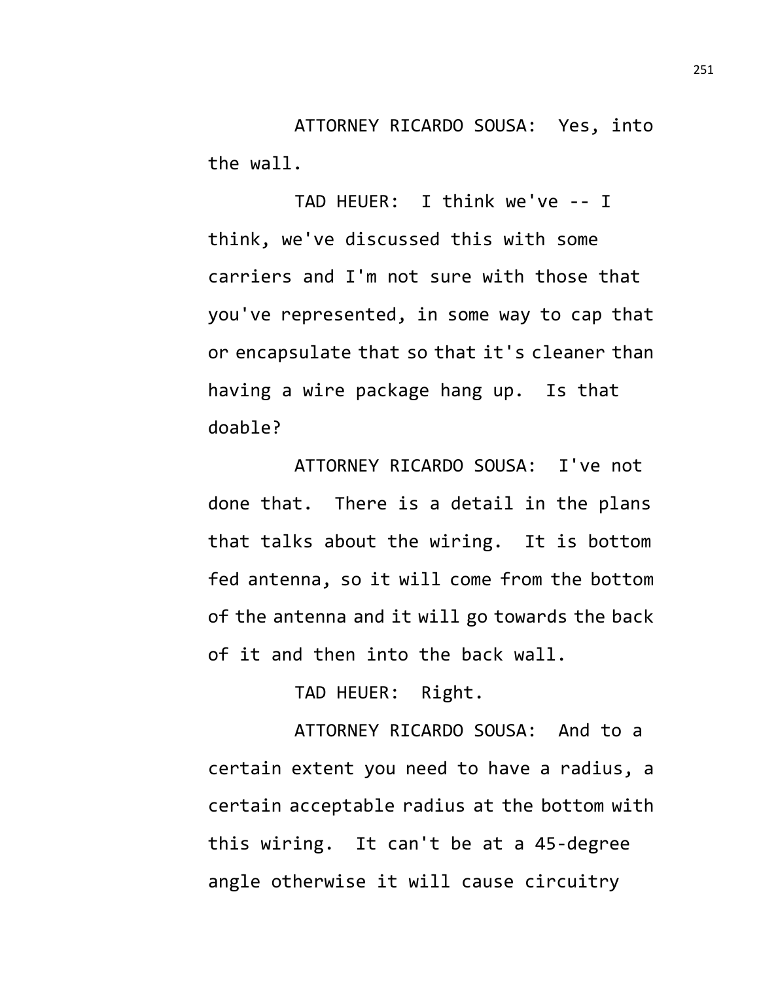ATTORNEY RICARDO SOUSA: Yes, into the wall.

TAD HEUER: I think we've -- I think, we've discussed this with some carriers and I'm not sure with those that you've represented, in some way to cap that or encapsulate that so that it's cleaner than having a wire package hang up. Is that doable?

ATTORNEY RICARDO SOUSA: I've not done that. There is a detail in the plans that talks about the wiring. It is bottom fed antenna, so it will come from the bottom of the antenna and it will go towards the back of it and then into the back wall.

TAD HEUER: Right.

ATTORNEY RICARDO SOUSA: And to a certain extent you need to have a radius, a certain acceptable radius at the bottom with this wiring. It can't be at a 45-degree angle otherwise it will cause circuitry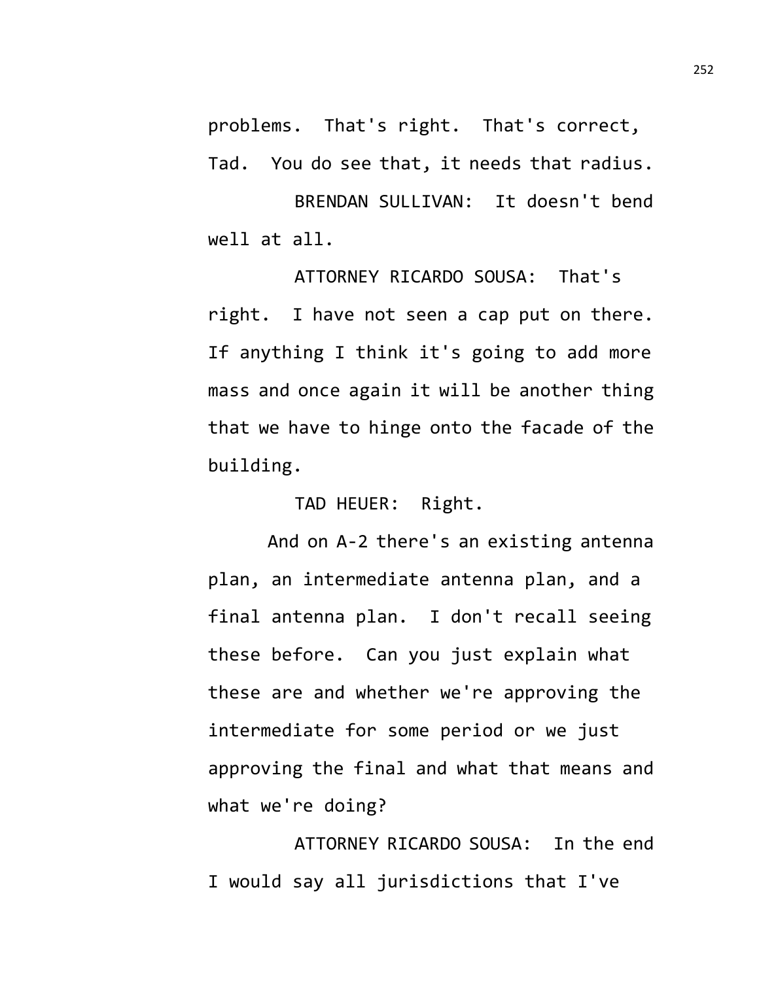problems. That's right. That's correct, Tad. You do see that, it needs that radius.

BRENDAN SULLIVAN: It doesn't bend well at all.

ATTORNEY RICARDO SOUSA: That's right. I have not seen a cap put on there. If anything I think it's going to add more mass and once again it will be another thing that we have to hinge onto the facade of the building.

TAD HEUER: Right.

And on A-2 there's an existing antenna plan, an intermediate antenna plan, and a final antenna plan. I don't recall seeing these before. Can you just explain what these are and whether we're approving the intermediate for some period or we just approving the final and what that means and what we're doing?

ATTORNEY RICARDO SOUSA: In the end I would say all jurisdictions that I've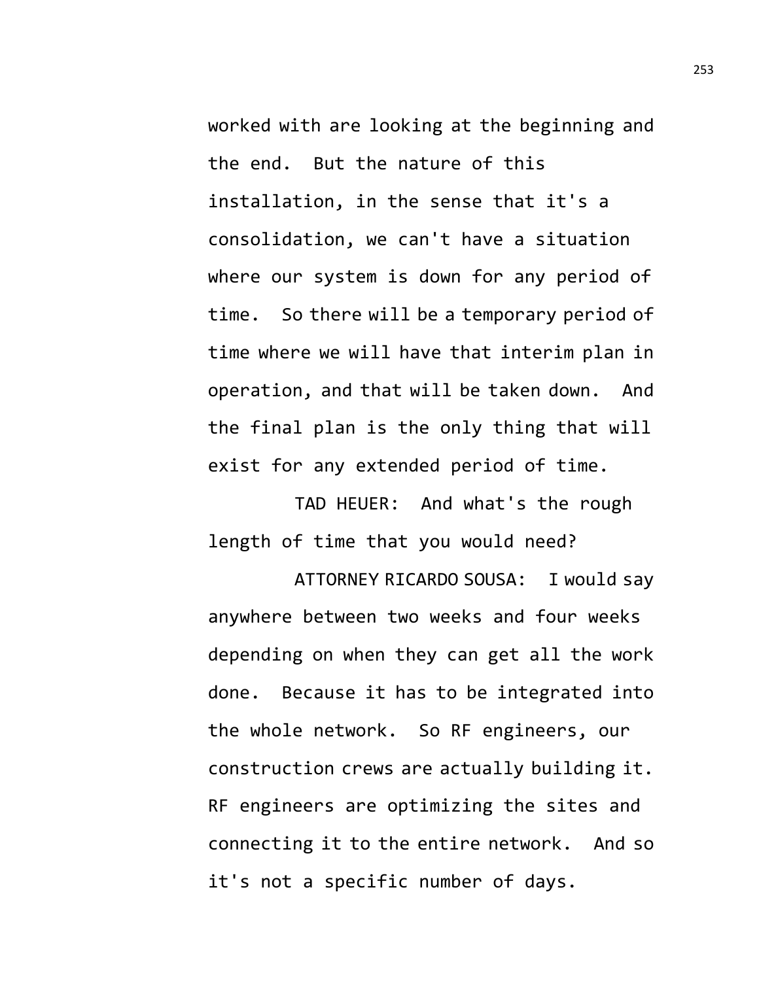worked with are looking at the beginning and the end. But the nature of this installation, in the sense that it's a consolidation, we can't have a situation where our system is down for any period of time. So there will be a temporary period of time where we will have that interim plan in operation, and that will be taken down. And the final plan is the only thing that will exist for any extended period of time.

TAD HEUER: And what's the rough length of time that you would need?

ATTORNEY RICARDO SOUSA: I would say anywhere between two weeks and four weeks depending on when they can get all the work done. Because it has to be integrated into the whole network. So RF engineers, our construction crews are actually building it. RF engineers are optimizing the sites and connecting it to the entire network. And so it's not a specific number of days.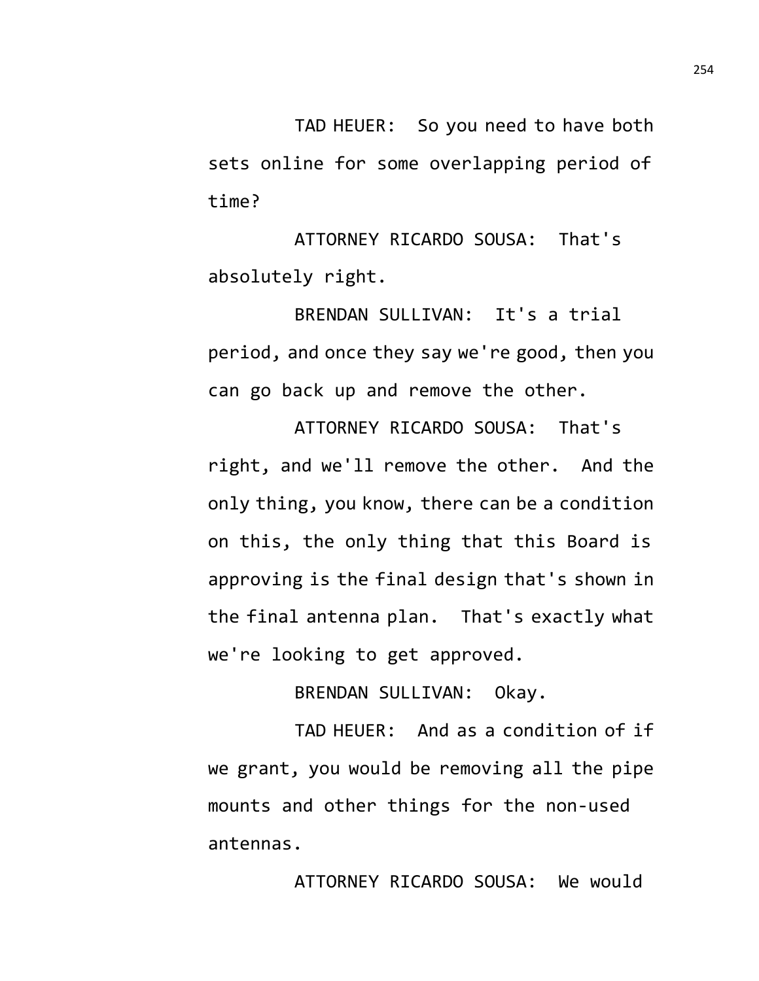TAD HEUER: So you need to have both sets online for some overlapping period of time?

ATTORNEY RICARDO SOUSA: That's absolutely right.

BRENDAN SULLIVAN: It's a trial period, and once they say we're good, then you can go back up and remove the other.

ATTORNEY RICARDO SOUSA: That's right, and we'll remove the other. And the only thing, you know, there can be a condition on this, the only thing that this Board is approving is the final design that's shown in the final antenna plan. That's exactly what we're looking to get approved.

BRENDAN SULLIVAN: Okay.

TAD HEUER: And as a condition of if we grant, you would be removing all the pipe mounts and other things for the non-used antennas.

ATTORNEY RICARDO SOUSA: We would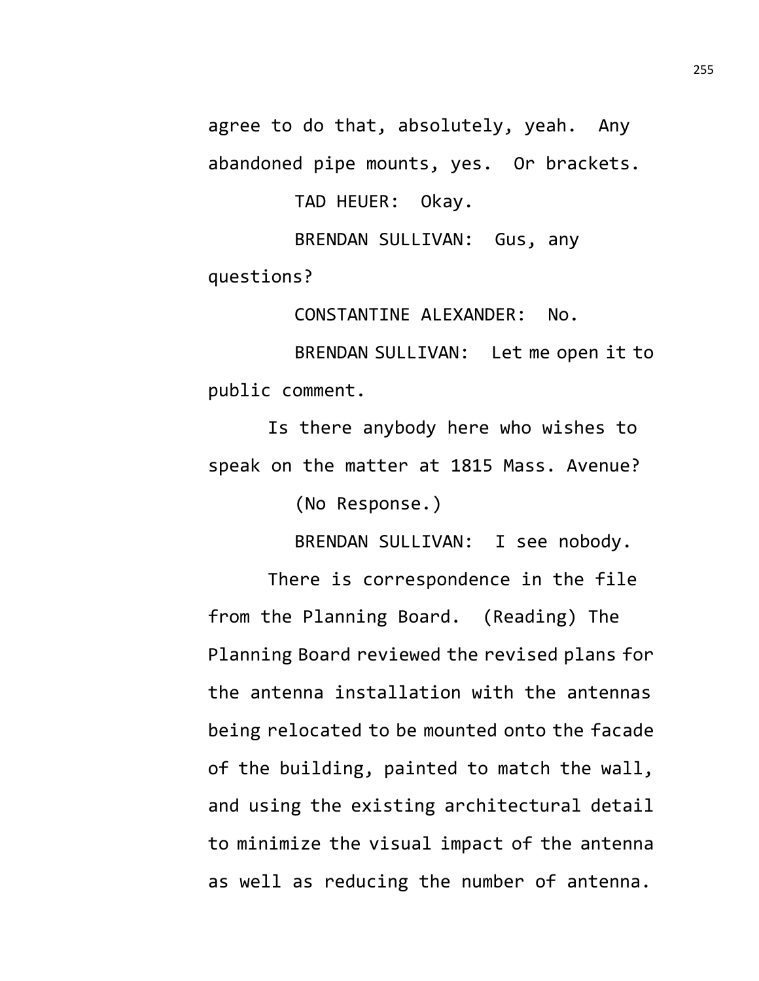agree to do that, absolutely, yeah. Any abandoned pipe mounts, yes. Or brackets.

TAD HEUER: Okay.

BRENDAN SULLIVAN: Gus, any questions?

CONSTANTINE ALEXANDER: No.

BRENDAN SULLIVAN: Let me open it to public comment.

Is there anybody here who wishes to speak on the matter at 1815 Mass. Avenue?

(No Response.)

BRENDAN SULLIVAN: I see nobody.

There is correspondence in the file from the Planning Board. (Reading) The Planning Board reviewed the revised plans for the antenna installation with the antennas being relocated to be mounted onto the facade of the building, painted to match the wall, and using the existing architectural detail to minimize the visual impact of the antenna as well as reducing the number of antenna.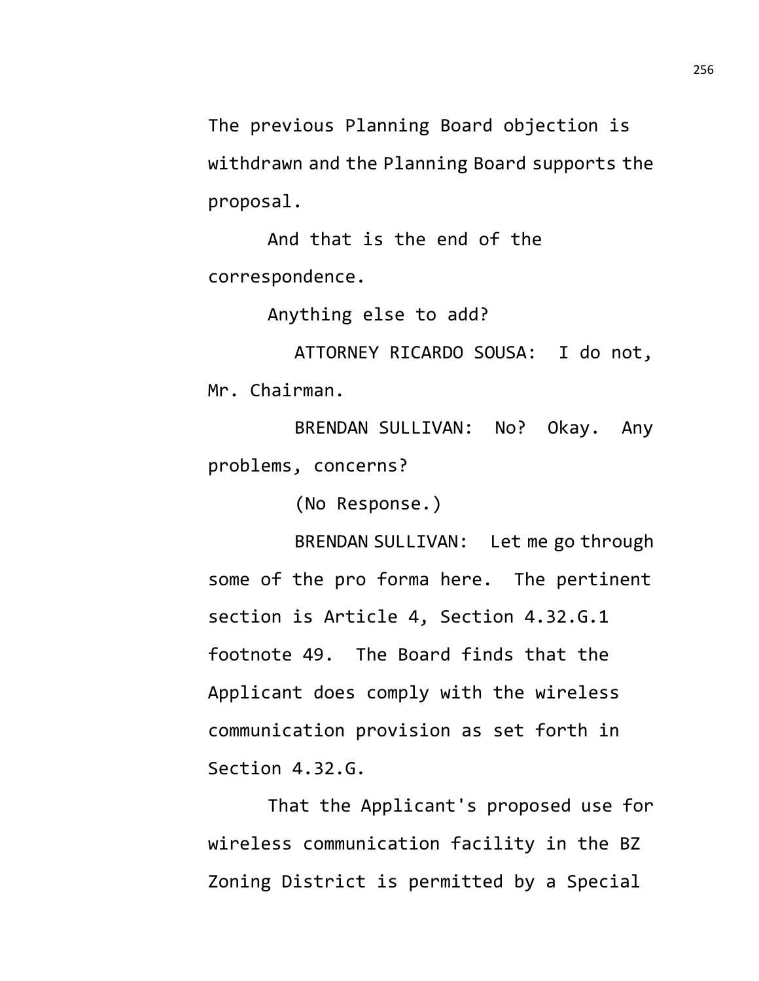The previous Planning Board objection is withdrawn and the Planning Board supports the proposal.

And that is the end of the correspondence.

Anything else to add?

ATTORNEY RICARDO SOUSA: I do not, Mr. Chairman.

BRENDAN SULLIVAN: No? Okay. Any problems, concerns?

(No Response.)

BRENDAN SULLIVAN: Let me go through some of the pro forma here. The pertinent section is Article 4, Section 4.32.G.1 footnote 49. The Board finds that the Applicant does comply with the wireless communication provision as set forth in Section 4.32.G.

That the Applicant's proposed use for wireless communication facility in the BZ Zoning District is permitted by a Special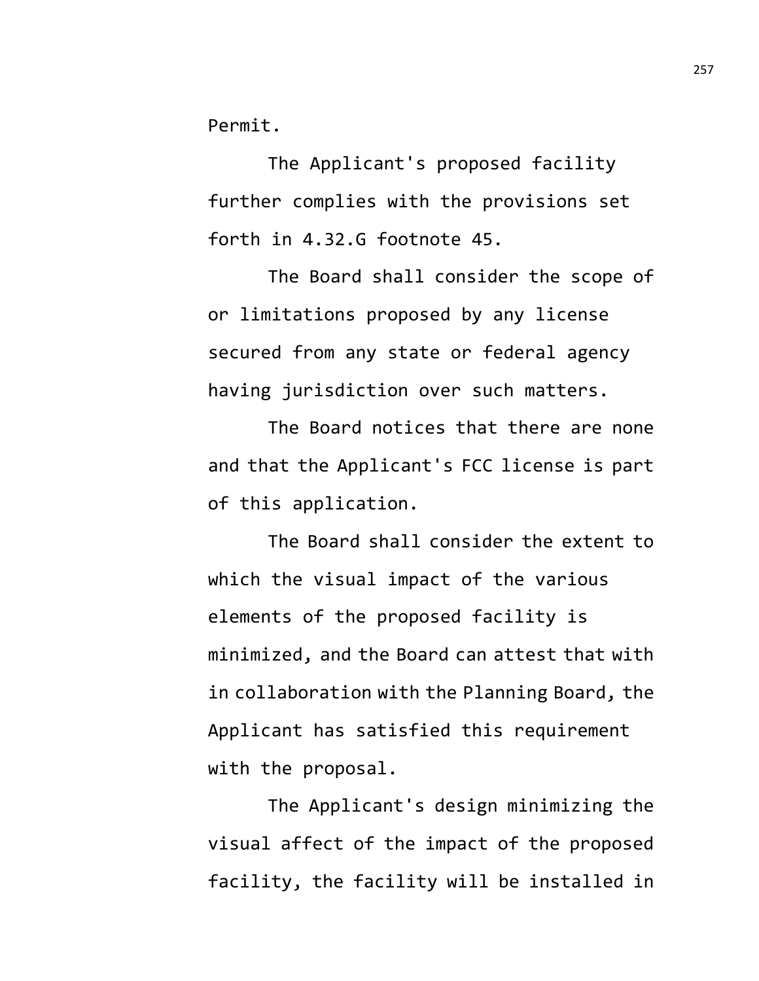Permit.

The Applicant's proposed facility further complies with the provisions set forth in 4.32.G footnote 45.

The Board shall consider the scope of or limitations proposed by any license secured from any state or federal agency having jurisdiction over such matters.

The Board notices that there are none and that the Applicant's FCC license is part of this application.

The Board shall consider the extent to which the visual impact of the various elements of the proposed facility is minimized, and the Board can attest that with in collaboration with the Planning Board, the Applicant has satisfied this requirement with the proposal.

The Applicant's design minimizing the visual affect of the impact of the proposed facility, the facility will be installed in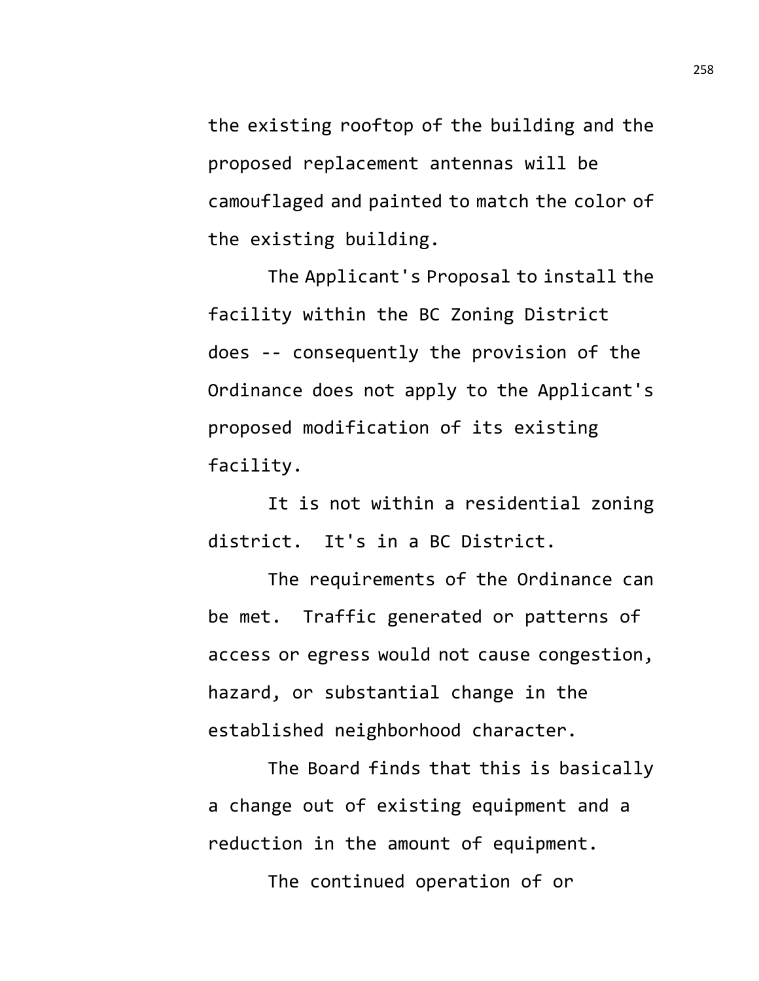the existing rooftop of the building and the proposed replacement antennas will be camouflaged and painted to match the color of the existing building.

The Applicant's Proposal to install the facility within the BC Zoning District does -- consequently the provision of the Ordinance does not apply to the Applicant's proposed modification of its existing facility.

It is not within a residential zoning district. It's in a BC District.

The requirements of the Ordinance can be met. Traffic generated or patterns of access or egress would not cause congestion, hazard, or substantial change in the established neighborhood character.

The Board finds that this is basically a change out of existing equipment and a reduction in the amount of equipment.

The continued operation of or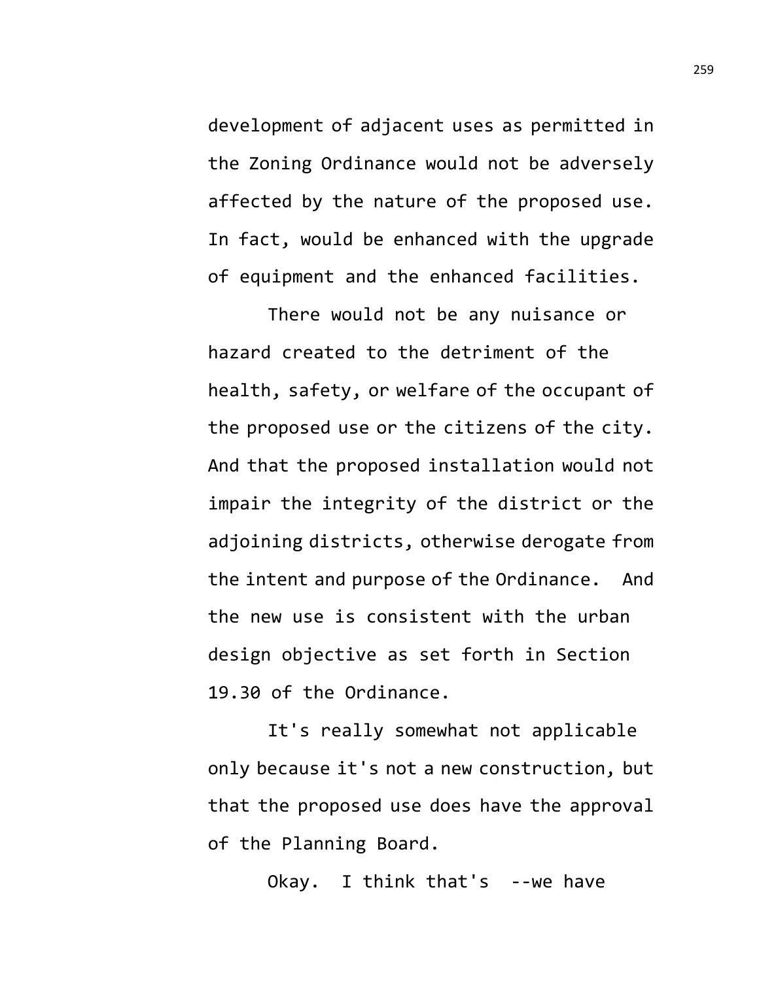development of adjacent uses as permitted in the Zoning Ordinance would not be adversely affected by the nature of the proposed use. In fact, would be enhanced with the upgrade of equipment and the enhanced facilities.

There would not be any nuisance or hazard created to the detriment of the health, safety, or welfare of the occupant of the proposed use or the citizens of the city. And that the proposed installation would not impair the integrity of the district or the adjoining districts, otherwise derogate from the intent and purpose of the Ordinance. And the new use is consistent with the urban design objective as set forth in Section 19.30 of the Ordinance.

It's really somewhat not applicable only because it's not a new construction, but that the proposed use does have the approval of the Planning Board.

Okay. I think that's --we have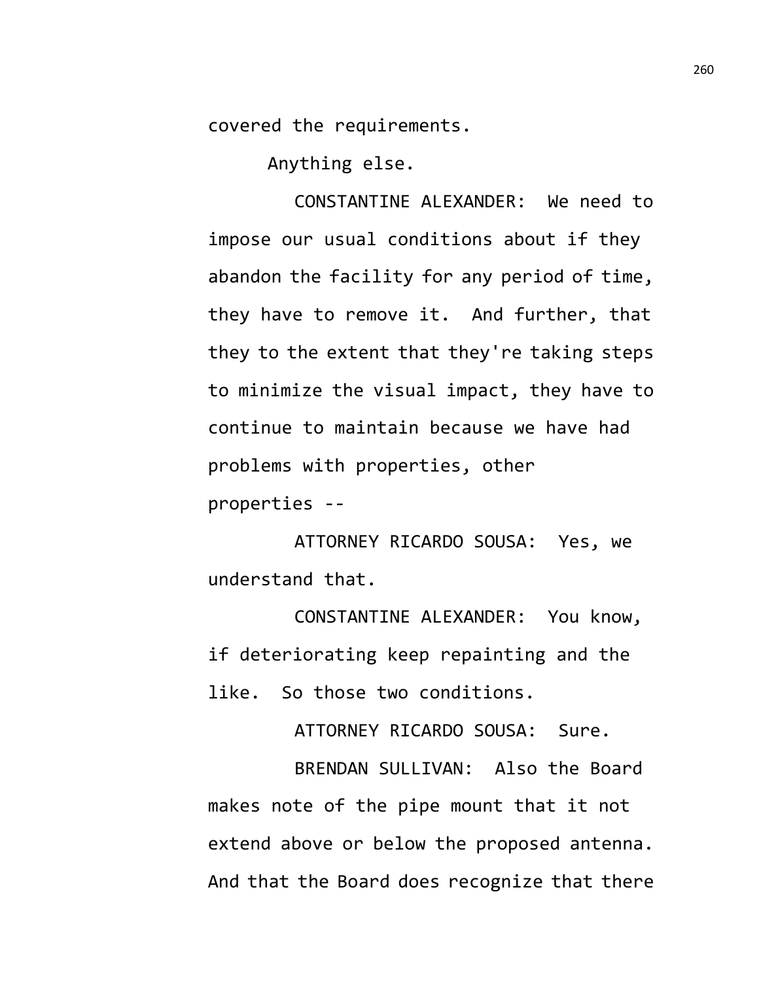covered the requirements.

Anything else.

CONSTANTINE ALEXANDER: We need to impose our usual conditions about if they abandon the facility for any period of time, they have to remove it. And further, that they to the extent that they're taking steps to minimize the visual impact, they have to continue to maintain because we have had problems with properties, other properties --

ATTORNEY RICARDO SOUSA: Yes, we understand that.

CONSTANTINE ALEXANDER: You know, if deteriorating keep repainting and the like. So those two conditions.

ATTORNEY RICARDO SOUSA: Sure.

BRENDAN SULLIVAN: Also the Board makes note of the pipe mount that it not extend above or below the proposed antenna. And that the Board does recognize that there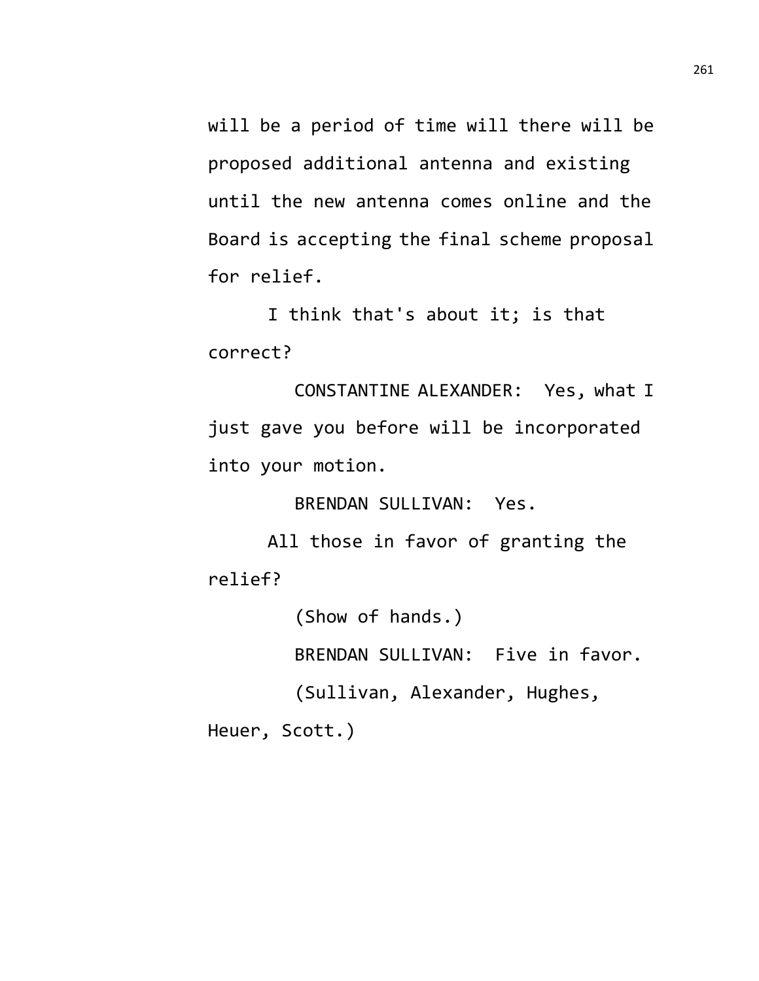will be a period of time will there will be proposed additional antenna and existing until the new antenna comes online and the Board is accepting the final scheme proposal for relief.

I think that's about it; is that correct?

CONSTANTINE ALEXANDER: Yes, what I just gave you before will be incorporated into your motion.

BRENDAN SULLIVAN: Yes.

All those in favor of granting the relief?

(Show of hands.)

BRENDAN SULLIVAN: Five in favor.

(Sullivan, Alexander, Hughes,

Heuer, Scott.)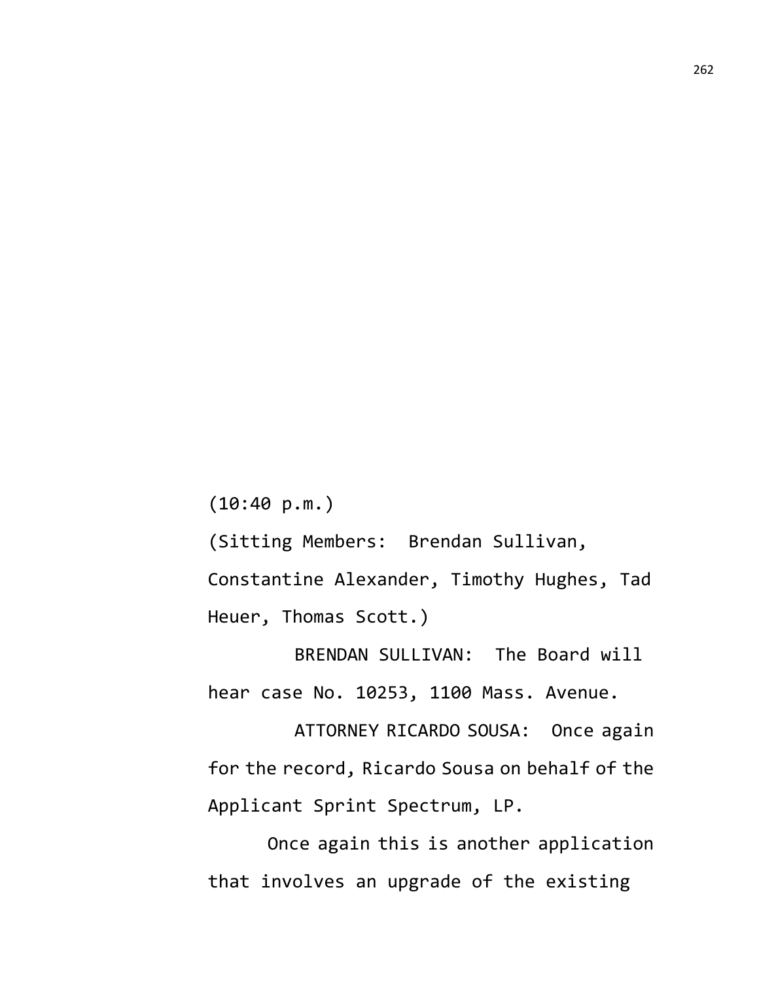(10:40 p.m.)

(Sitting Members: Brendan Sullivan,

Constantine Alexander, Timothy Hughes, Tad Heuer, Thomas Scott.)

BRENDAN SULLIVAN: The Board will hear case No. 10253, 1100 Mass. Avenue.

ATTORNEY RICARDO SOUSA: Once again for the record, Ricardo Sousa on behalf of the Applicant Sprint Spectrum, LP.

Once again this is another application that involves an upgrade of the existing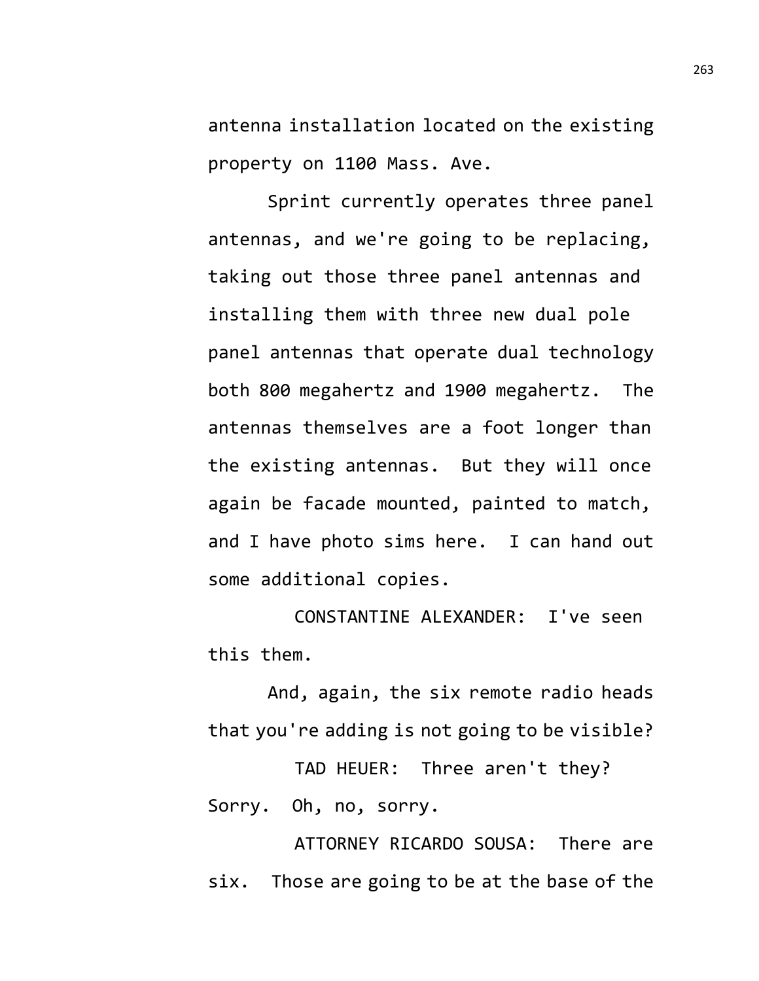antenna installation located on the existing property on 1100 Mass. Ave.

Sprint currently operates three panel antennas, and we're going to be replacing, taking out those three panel antennas and installing them with three new dual pole panel antennas that operate dual technology both 800 megahertz and 1900 megahertz. The antennas themselves are a foot longer than the existing antennas. But they will once again be facade mounted, painted to match, and I have photo sims here. I can hand out some additional copies.

CONSTANTINE ALEXANDER: I've seen this them.

And, again, the six remote radio heads that you're adding is not going to be visible?

TAD HEUER: Three aren't they? Sorry. Oh, no, sorry.

ATTORNEY RICARDO SOUSA: There are six. Those are going to be at the base of the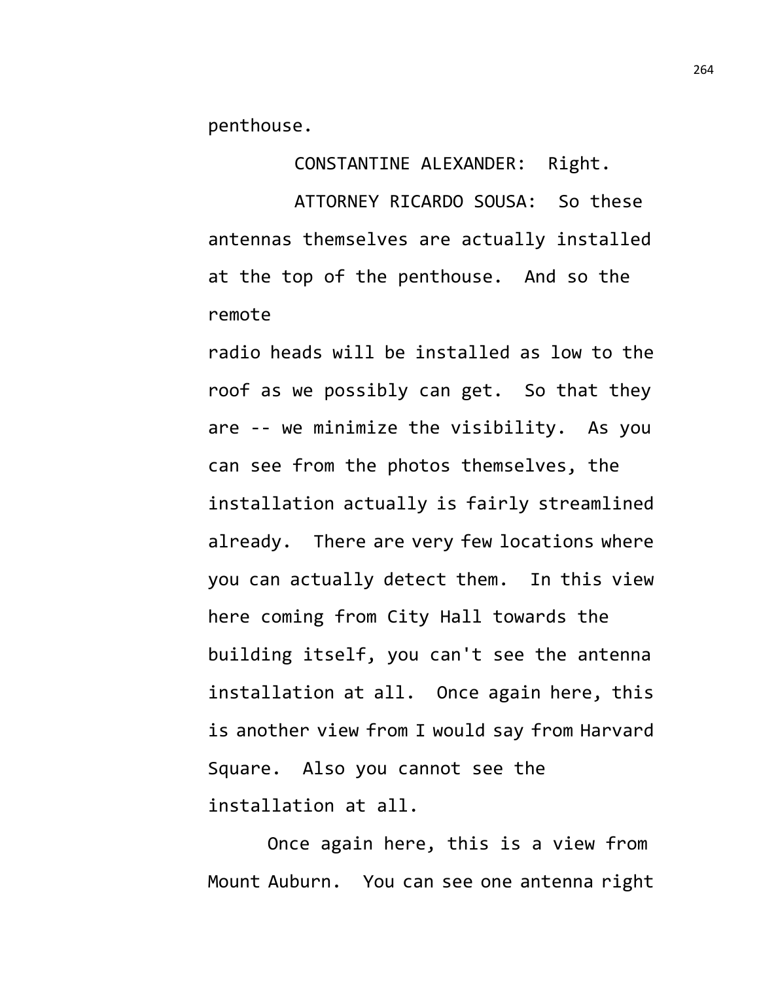penthouse.

CONSTANTINE ALEXANDER: Right.

ATTORNEY RICARDO SOUSA: So these antennas themselves are actually installed at the top of the penthouse. And so the remote

radio heads will be installed as low to the roof as we possibly can get. So that they are -- we minimize the visibility. As you can see from the photos themselves, the installation actually is fairly streamlined already. There are very few locations where you can actually detect them. In this view here coming from City Hall towards the building itself, you can't see the antenna installation at all. Once again here, this is another view from I would say from Harvard Square. Also you cannot see the installation at all.

Once again here, this is a view from Mount Auburn. You can see one antenna right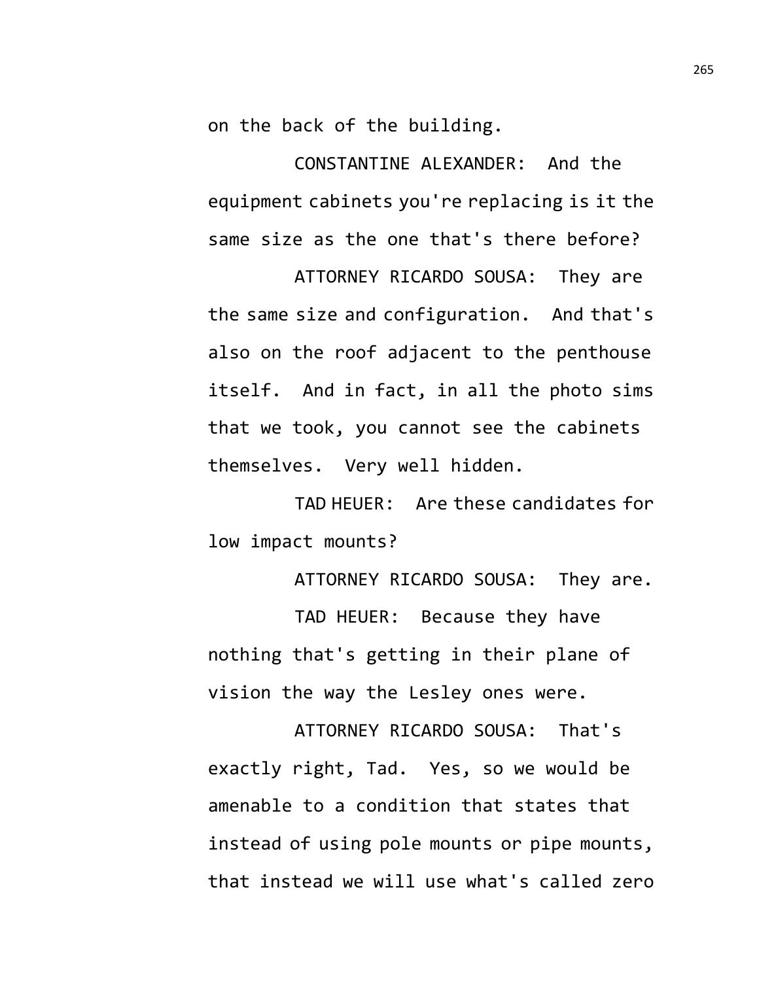on the back of the building.

CONSTANTINE ALEXANDER: And the equipment cabinets you're replacing is it the same size as the one that's there before?

ATTORNEY RICARDO SOUSA: They are the same size and configuration. And that's also on the roof adjacent to the penthouse itself. And in fact, in all the photo sims that we took, you cannot see the cabinets themselves. Very well hidden.

TAD HEUER: Are these candidates for low impact mounts?

ATTORNEY RICARDO SOUSA: They are.

TAD HEUER: Because they have nothing that's getting in their plane of vision the way the Lesley ones were.

ATTORNEY RICARDO SOUSA: That's exactly right, Tad. Yes, so we would be amenable to a condition that states that instead of using pole mounts or pipe mounts, that instead we will use what's called zero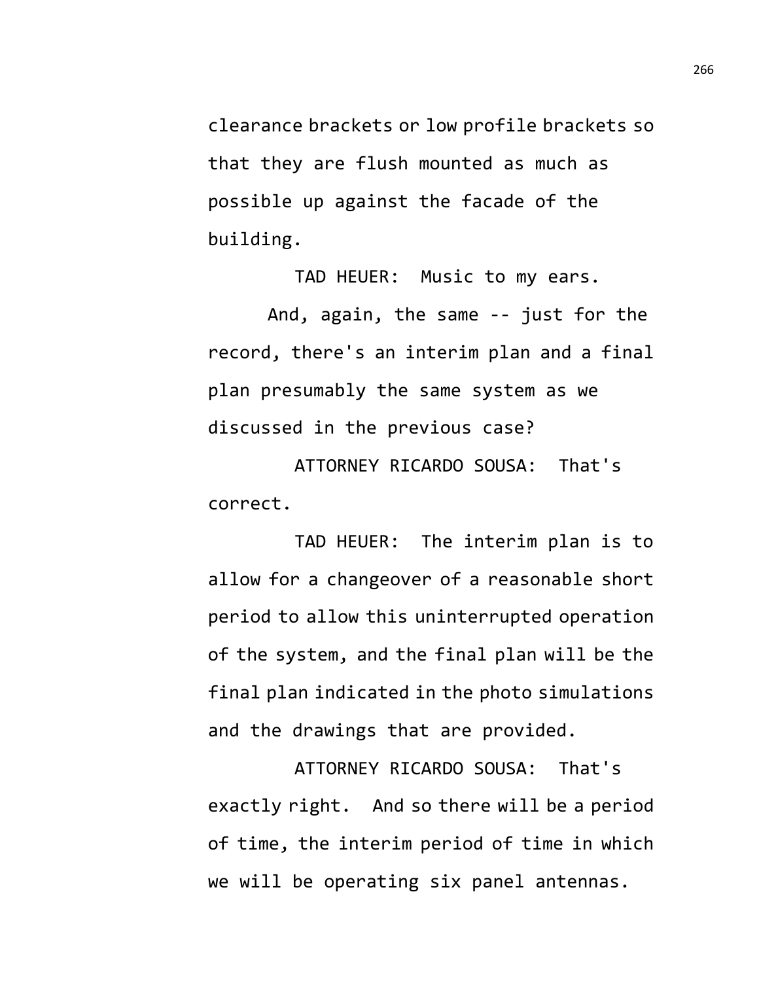clearance brackets or low profile brackets so that they are flush mounted as much as possible up against the facade of the building.

TAD HEUER: Music to my ears. And, again, the same -- just for the record, there's an interim plan and a final plan presumably the same system as we discussed in the previous case?

ATTORNEY RICARDO SOUSA: That's correct.

TAD HEUER: The interim plan is to allow for a changeover of a reasonable short period to allow this uninterrupted operation of the system, and the final plan will be the final plan indicated in the photo simulations and the drawings that are provided.

ATTORNEY RICARDO SOUSA: That's exactly right. And so there will be a period of time, the interim period of time in which we will be operating six panel antennas.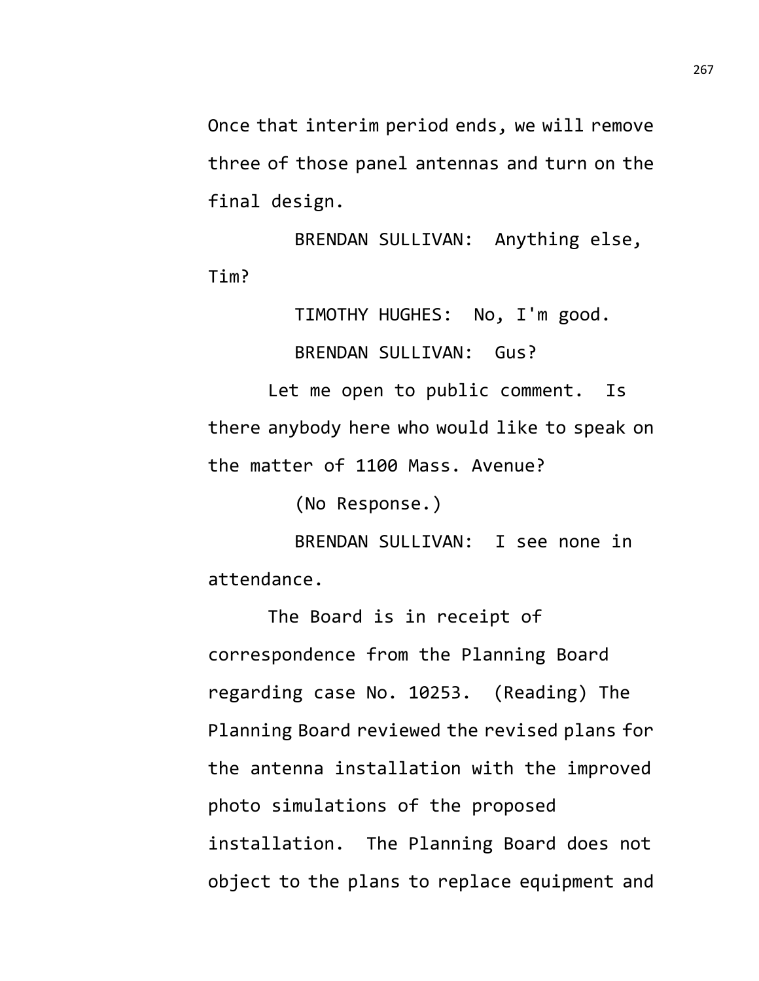Once that interim period ends, we will remove three of those panel antennas and turn on the final design.

BRENDAN SULLIVAN: Anything else, Tim?

> TIMOTHY HUGHES: No, I'm good. BRENDAN SULLIVAN: Gus?

Let me open to public comment. Is there anybody here who would like to speak on the matter of 1100 Mass. Avenue?

(No Response.)

BRENDAN SULLIVAN: I see none in attendance.

The Board is in receipt of correspondence from the Planning Board regarding case No. 10253. (Reading) The Planning Board reviewed the revised plans for the antenna installation with the improved photo simulations of the proposed installation. The Planning Board does not object to the plans to replace equipment and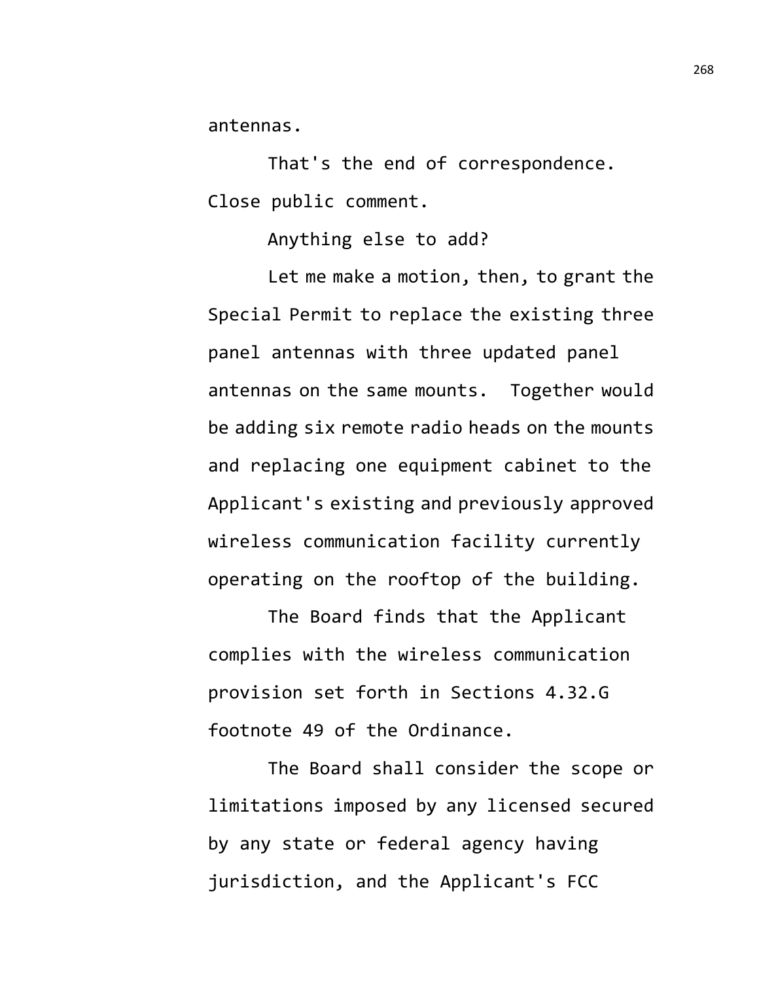antennas.

That's the end of correspondence. Close public comment.

Anything else to add?

Let me make a motion, then, to grant the Special Permit to replace the existing three panel antennas with three updated panel antennas on the same mounts. Together would be adding six remote radio heads on the mounts and replacing one equipment cabinet to the Applicant's existing and previously approved wireless communication facility currently operating on the rooftop of the building.

The Board finds that the Applicant complies with the wireless communication provision set forth in Sections 4.32.G footnote 49 of the Ordinance.

The Board shall consider the scope or limitations imposed by any licensed secured by any state or federal agency having jurisdiction, and the Applicant's FCC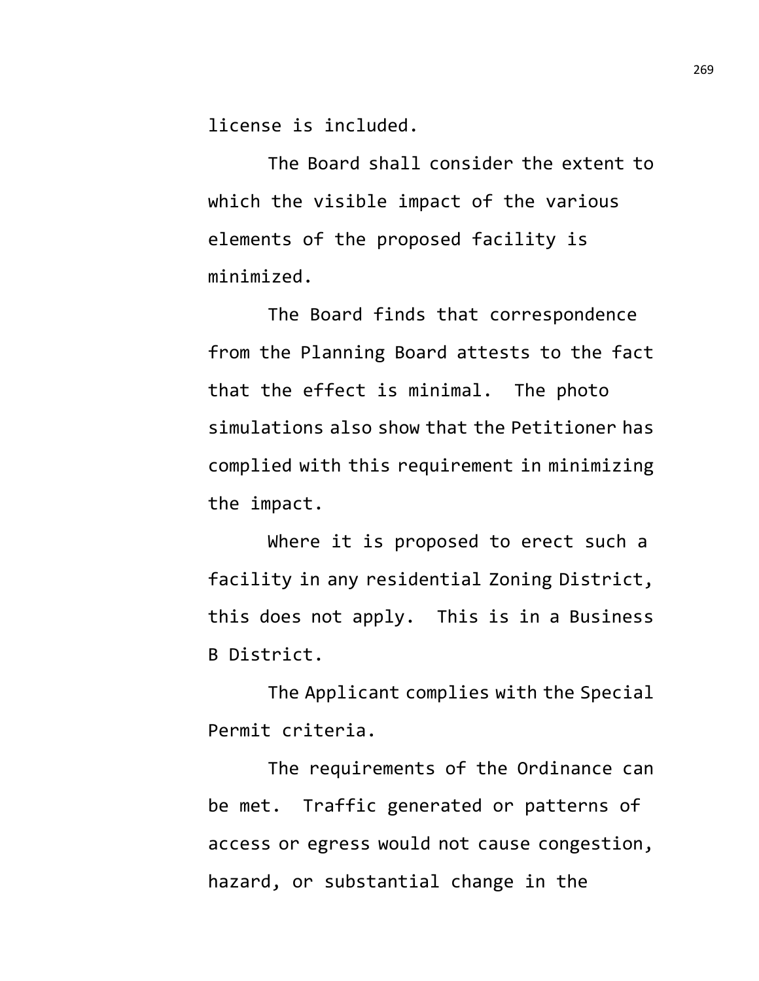license is included.

The Board shall consider the extent to which the visible impact of the various elements of the proposed facility is minimized.

The Board finds that correspondence from the Planning Board attests to the fact that the effect is minimal. The photo simulations also show that the Petitioner has complied with this requirement in minimizing the impact.

Where it is proposed to erect such a facility in any residential Zoning District, this does not apply. This is in a Business B District.

The Applicant complies with the Special Permit criteria.

The requirements of the Ordinance can be met. Traffic generated or patterns of access or egress would not cause congestion, hazard, or substantial change in the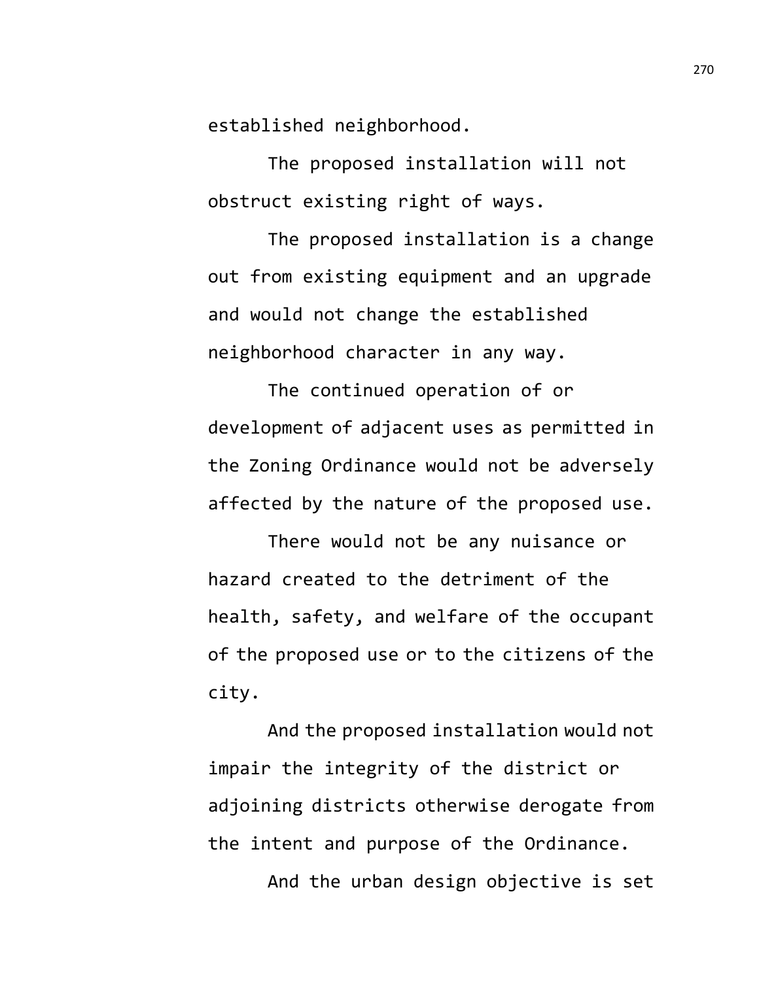established neighborhood.

The proposed installation will not obstruct existing right of ways.

The proposed installation is a change out from existing equipment and an upgrade and would not change the established neighborhood character in any way.

The continued operation of or development of adjacent uses as permitted in the Zoning Ordinance would not be adversely affected by the nature of the proposed use.

There would not be any nuisance or hazard created to the detriment of the health, safety, and welfare of the occupant of the proposed use or to the citizens of the city.

And the proposed installation would not impair the integrity of the district or adjoining districts otherwise derogate from the intent and purpose of the Ordinance.

And the urban design objective is set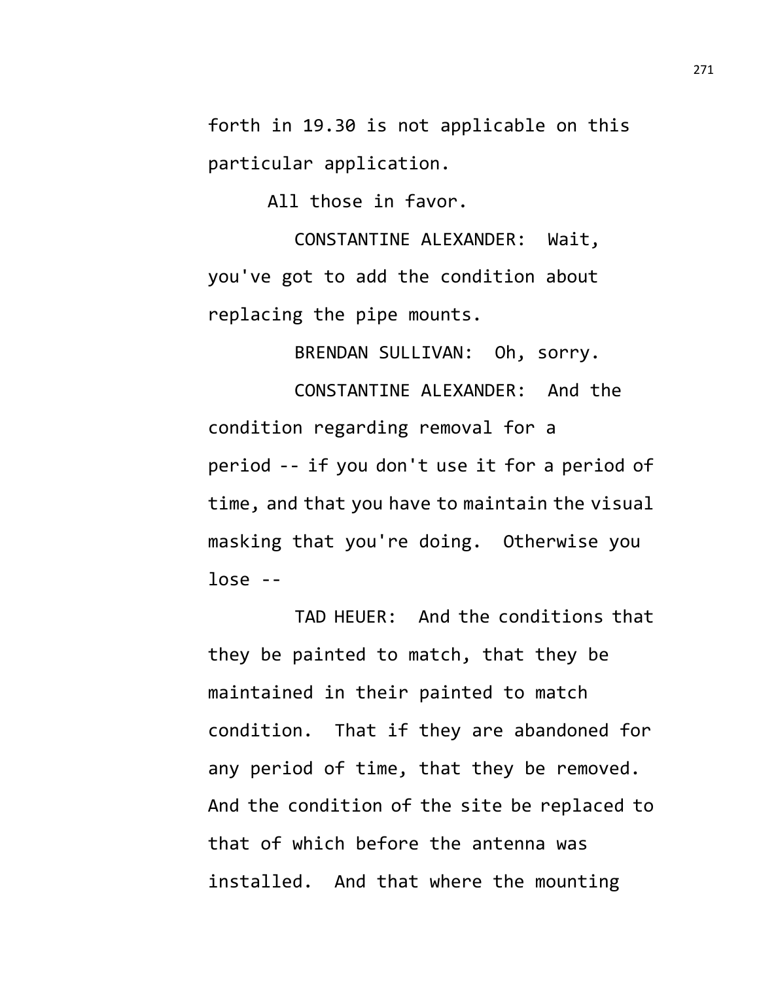forth in 19.30 is not applicable on this particular application.

All those in favor.

CONSTANTINE ALEXANDER: Wait, you've got to add the condition about replacing the pipe mounts.

BRENDAN SULLIVAN: Oh, sorry.

CONSTANTINE ALEXANDER: And the condition regarding removal for a period -- if you don't use it for a period of time, and that you have to maintain the visual masking that you're doing. Otherwise you lose --

TAD HEUER: And the conditions that they be painted to match, that they be maintained in their painted to match condition. That if they are abandoned for any period of time, that they be removed. And the condition of the site be replaced to that of which before the antenna was installed. And that where the mounting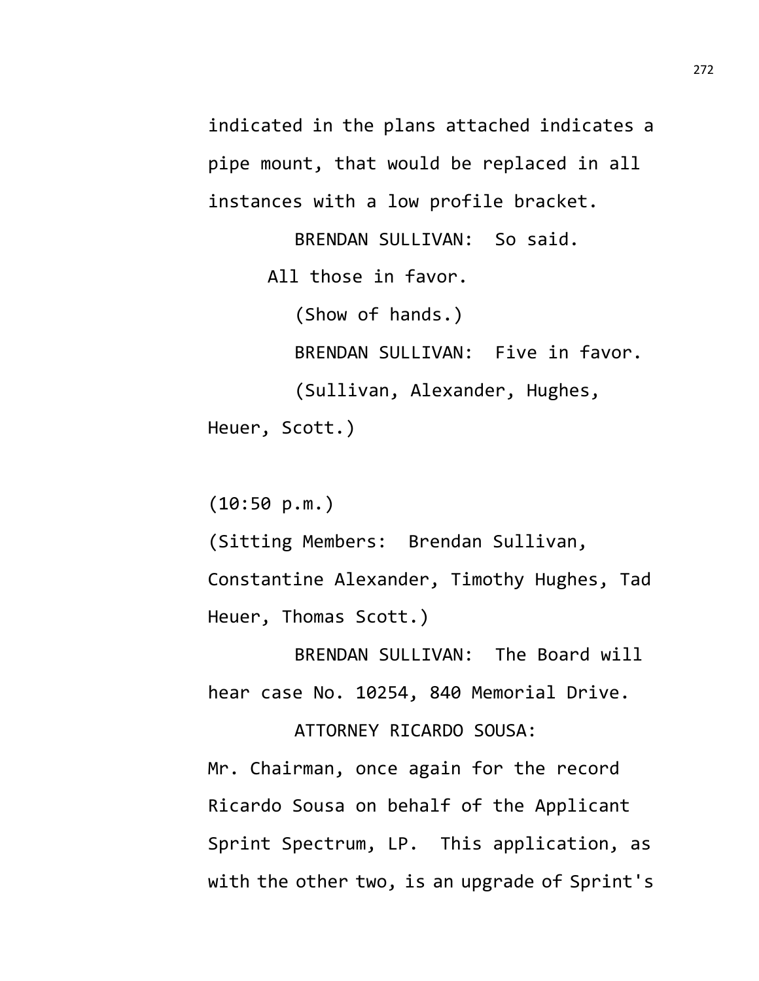indicated in the plans attached indicates a pipe mount, that would be replaced in all instances with a low profile bracket.

BRENDAN SULLIVAN: So said. All those in favor. (Show of hands.) BRENDAN SULLIVAN: Five in favor. (Sullivan, Alexander, Hughes, Heuer, Scott.)

(10:50 p.m.)

(Sitting Members: Brendan Sullivan, Constantine Alexander, Timothy Hughes, Tad Heuer, Thomas Scott.)

BRENDAN SULLIVAN: The Board will hear case No. 10254, 840 Memorial Drive.

ATTORNEY RICARDO SOUSA: Mr. Chairman, once again for the record Ricardo Sousa on behalf of the Applicant Sprint Spectrum, LP. This application, as

with the other two, is an upgrade of Sprint's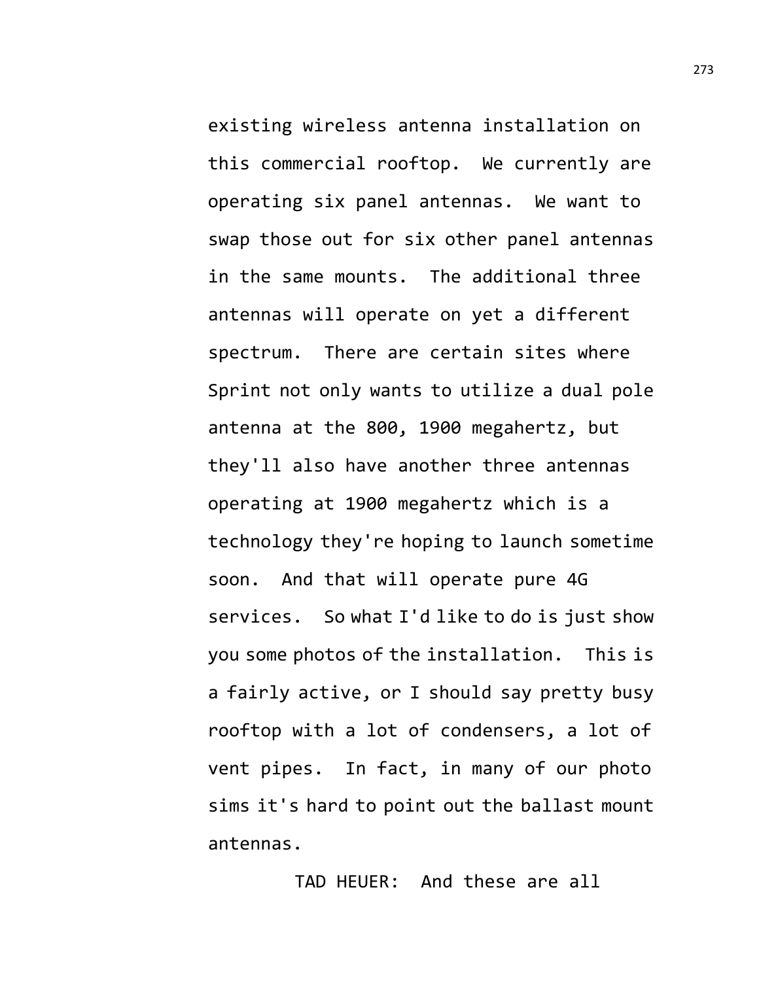existing wireless antenna installation on this commercial rooftop. We currently are operating six panel antennas. We want to swap those out for six other panel antennas in the same mounts. The additional three antennas will operate on yet a different spectrum. There are certain sites where Sprint not only wants to utilize a dual pole antenna at the 800, 1900 megahertz, but they'll also have another three antennas operating at 1900 megahertz which is a technology they're hoping to launch sometime soon. And that will operate pure 4G services. So what I'd like to do is just show you some photos of the installation. This is a fairly active, or I should say pretty busy rooftop with a lot of condensers, a lot of vent pipes. In fact, in many of our photo sims it's hard to point out the ballast mount antennas.

TAD HEUER: And these are all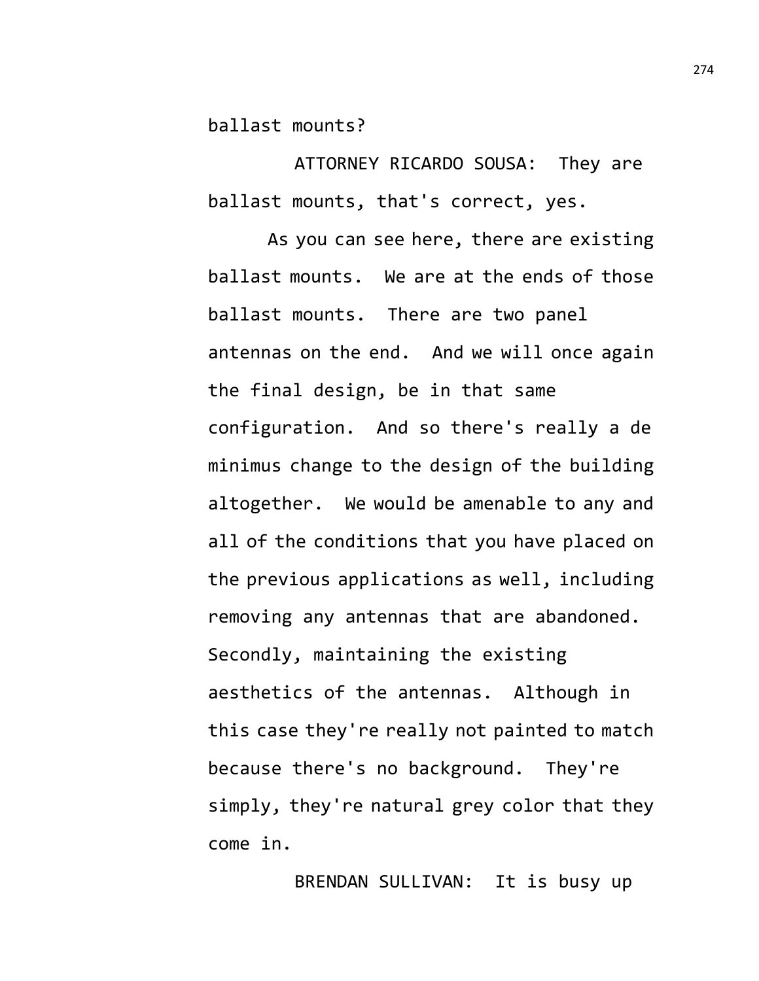ballast mounts?

ATTORNEY RICARDO SOUSA: They are ballast mounts, that's correct, yes.

As you can see here, there are existing ballast mounts. We are at the ends of those ballast mounts. There are two panel antennas on the end. And we will once again the final design, be in that same configuration. And so there's really a de minimus change to the design of the building altogether. We would be amenable to any and all of the conditions that you have placed on the previous applications as well, including removing any antennas that are abandoned. Secondly, maintaining the existing aesthetics of the antennas. Although in this case they're really not painted to match because there's no background. They're simply, they're natural grey color that they come in.

BRENDAN SULLIVAN: It is busy up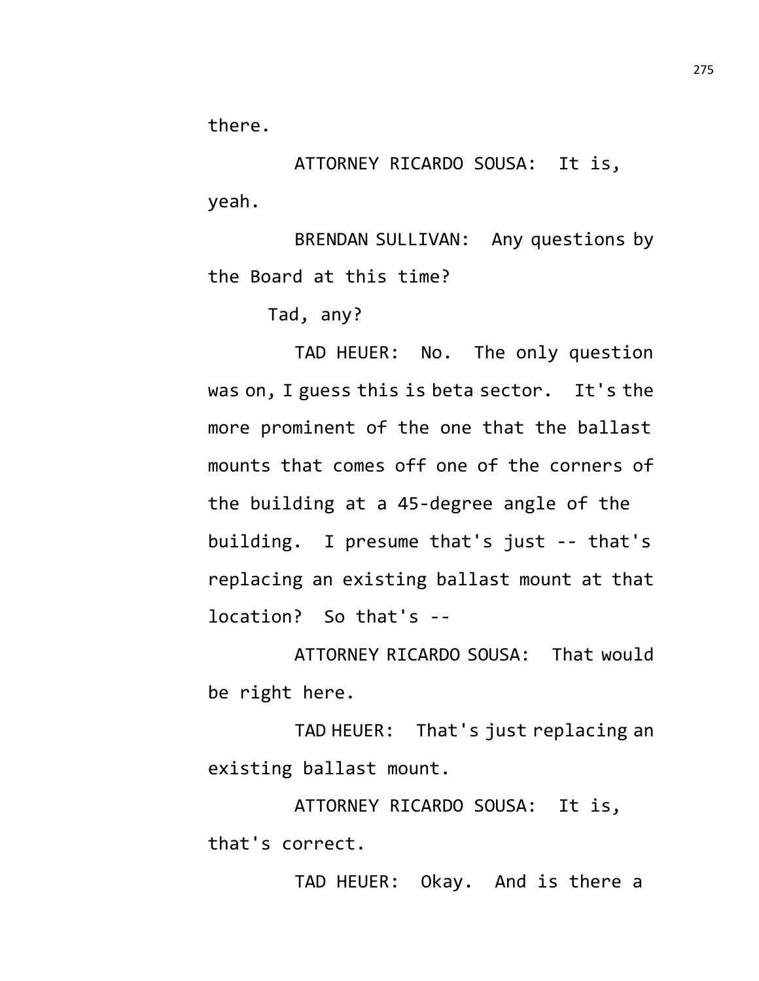there.

ATTORNEY RICARDO SOUSA: It is, yeah.

BRENDAN SULLIVAN: Any questions by the Board at this time?

Tad, any?

TAD HEUER: No. The only question was on, I guess this is beta sector. It's the more prominent of the one that the ballast mounts that comes off one of the corners of the building at a 45-degree angle of the building. I presume that's just -- that's replacing an existing ballast mount at that location? So that's --

ATTORNEY RICARDO SOUSA: That would be right here.

TAD HEUER: That's just replacing an existing ballast mount.

ATTORNEY RICARDO SOUSA: It is, that's correct.

TAD HEUER: Okay. And is there a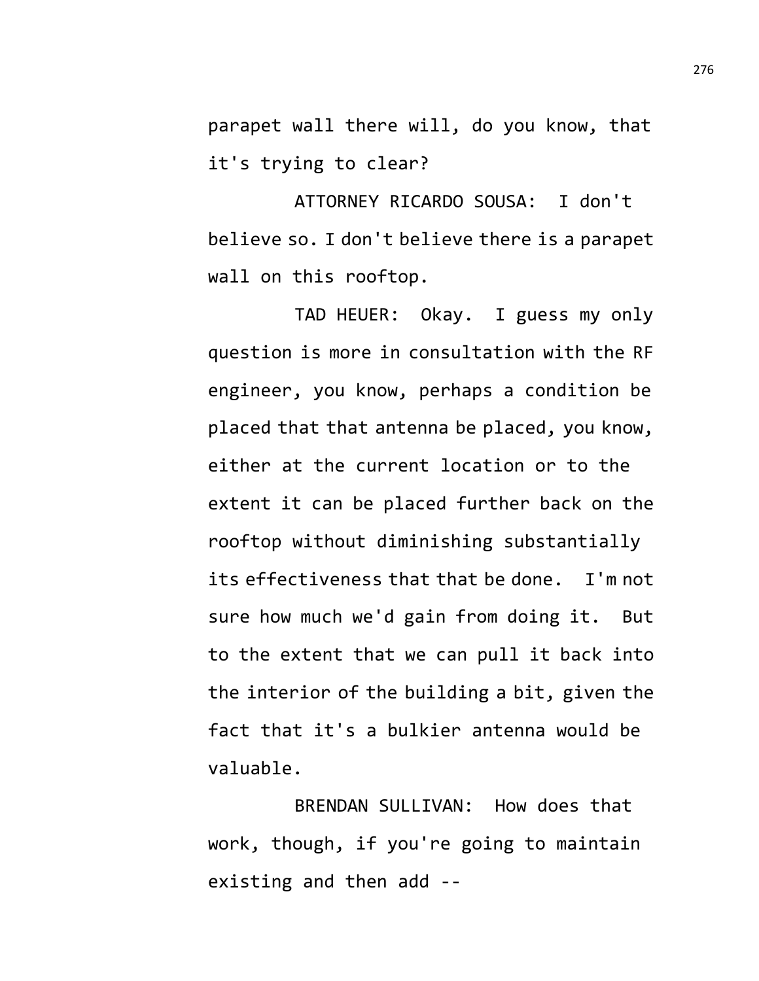parapet wall there will, do you know, that it's trying to clear?

ATTORNEY RICARDO SOUSA: I don't believe so. I don't believe there is a parapet wall on this rooftop.

TAD HEUER: Okay. I guess my only question is more in consultation with the RF engineer, you know, perhaps a condition be placed that that antenna be placed, you know, either at the current location or to the extent it can be placed further back on the rooftop without diminishing substantially its effectiveness that that be done. I'm not sure how much we'd gain from doing it. But to the extent that we can pull it back into the interior of the building a bit, given the fact that it's a bulkier antenna would be valuable.

BRENDAN SULLIVAN: How does that work, though, if you're going to maintain existing and then add --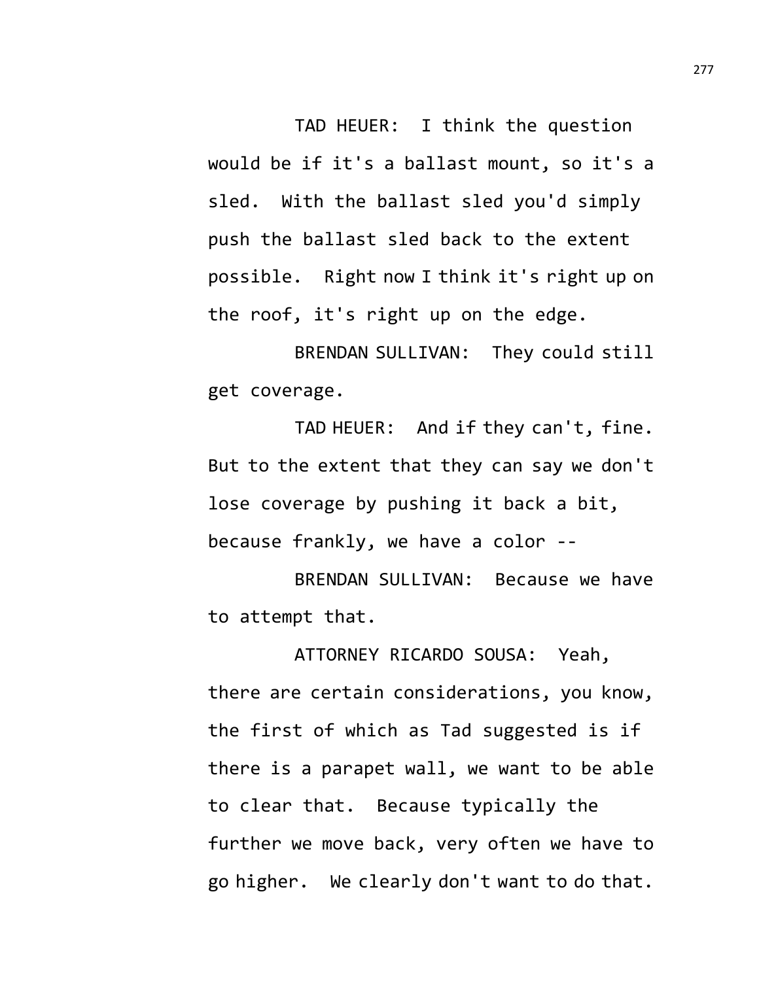TAD HEUER: I think the question would be if it's a ballast mount, so it's a sled. With the ballast sled you'd simply push the ballast sled back to the extent possible. Right now I think it's right up on the roof, it's right up on the edge.

BRENDAN SULLIVAN: They could still get coverage.

TAD HEUER: And if they can't, fine. But to the extent that they can say we don't lose coverage by pushing it back a bit, because frankly, we have a color --

BRENDAN SULLIVAN: Because we have to attempt that.

ATTORNEY RICARDO SOUSA: Yeah, there are certain considerations, you know, the first of which as Tad suggested is if there is a parapet wall, we want to be able to clear that. Because typically the further we move back, very often we have to go higher. We clearly don't want to do that.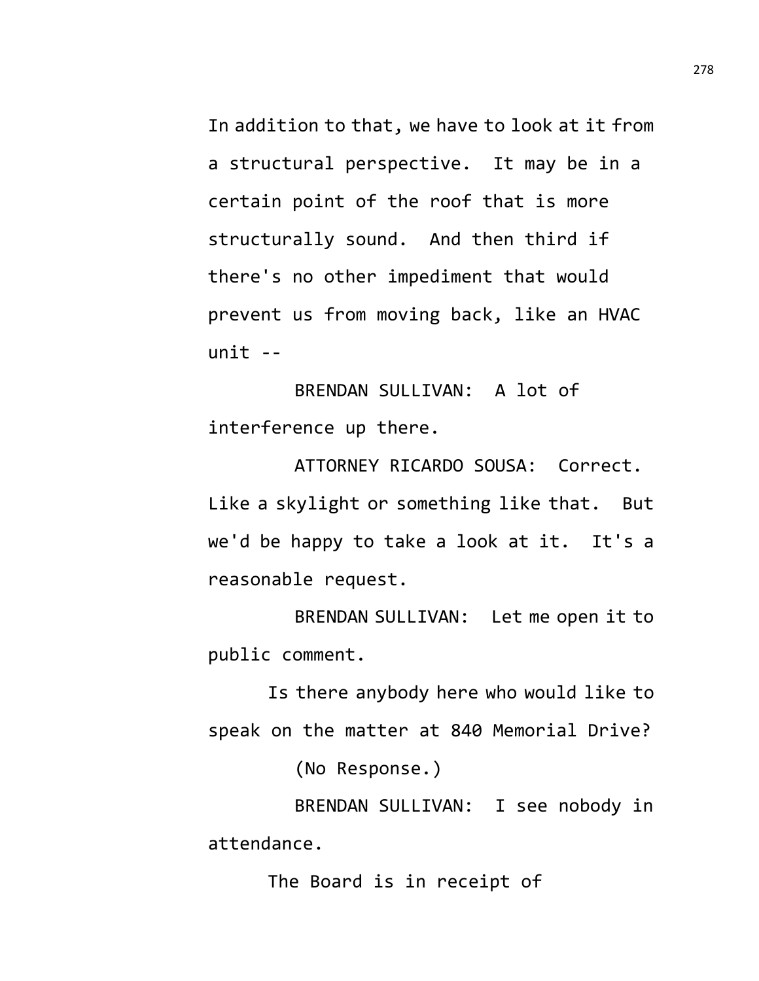In addition to that, we have to look at it from a structural perspective. It may be in a certain point of the roof that is more structurally sound. And then third if there's no other impediment that would prevent us from moving back, like an HVAC unit --

BRENDAN SULLIVAN: A lot of interference up there.

ATTORNEY RICARDO SOUSA: Correct. Like a skylight or something like that. But we'd be happy to take a look at it. It's a reasonable request.

BRENDAN SULLIVAN: Let me open it to public comment.

Is there anybody here who would like to speak on the matter at 840 Memorial Drive?

(No Response.)

BRENDAN SULLIVAN: I see nobody in attendance.

The Board is in receipt of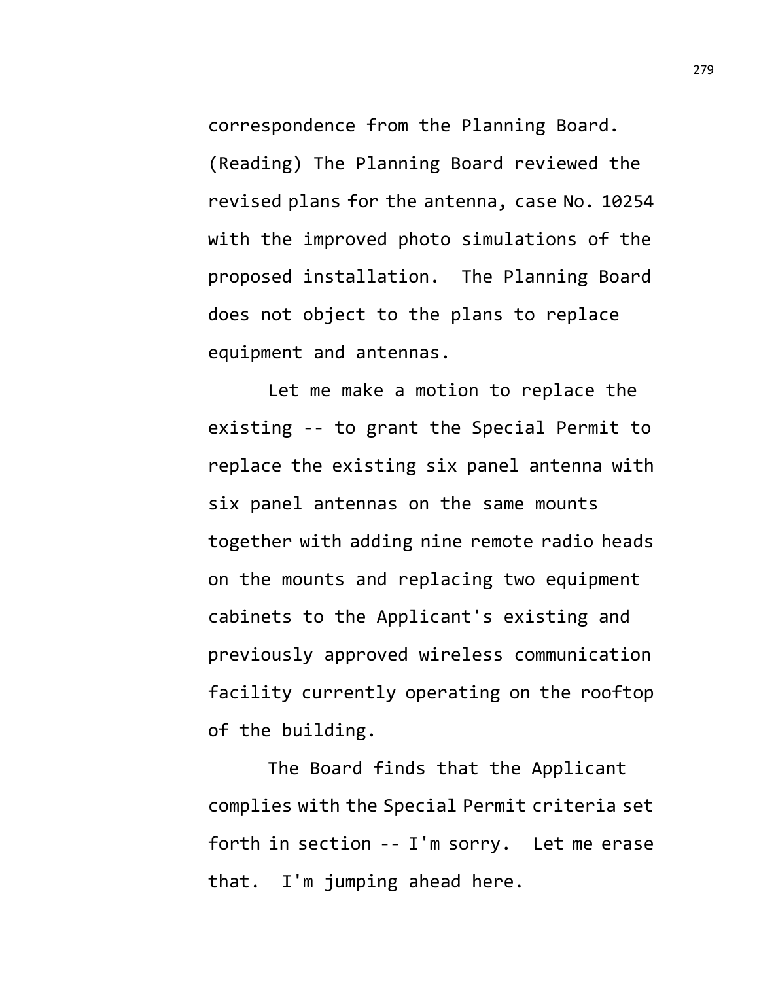correspondence from the Planning Board. (Reading) The Planning Board reviewed the revised plans for the antenna, case No. 10254 with the improved photo simulations of the proposed installation. The Planning Board does not object to the plans to replace equipment and antennas.

Let me make a motion to replace the existing -- to grant the Special Permit to replace the existing six panel antenna with six panel antennas on the same mounts together with adding nine remote radio heads on the mounts and replacing two equipment cabinets to the Applicant's existing and previously approved wireless communication facility currently operating on the rooftop of the building.

The Board finds that the Applicant complies with the Special Permit criteria set forth in section -- I'm sorry. Let me erase that. I'm jumping ahead here.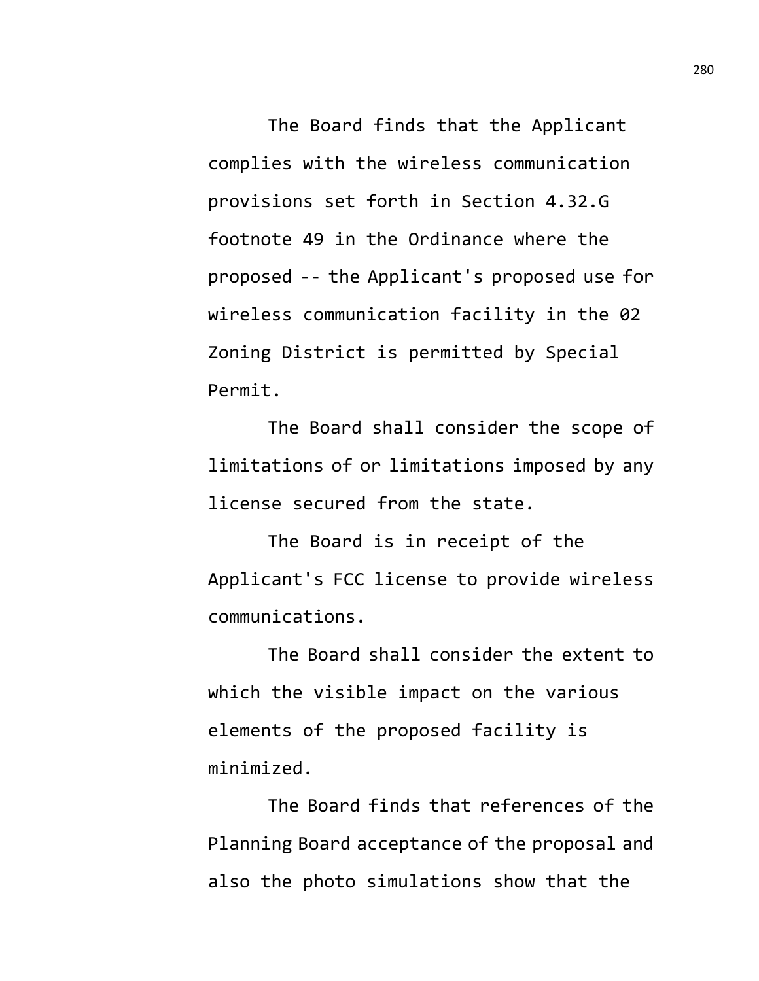The Board finds that the Applicant complies with the wireless communication provisions set forth in Section 4.32.G footnote 49 in the Ordinance where the proposed -- the Applicant's proposed use for wireless communication facility in the 02 Zoning District is permitted by Special Permit.

The Board shall consider the scope of limitations of or limitations imposed by any license secured from the state.

The Board is in receipt of the Applicant's FCC license to provide wireless communications.

The Board shall consider the extent to which the visible impact on the various elements of the proposed facility is minimized.

The Board finds that references of the Planning Board acceptance of the proposal and also the photo simulations show that the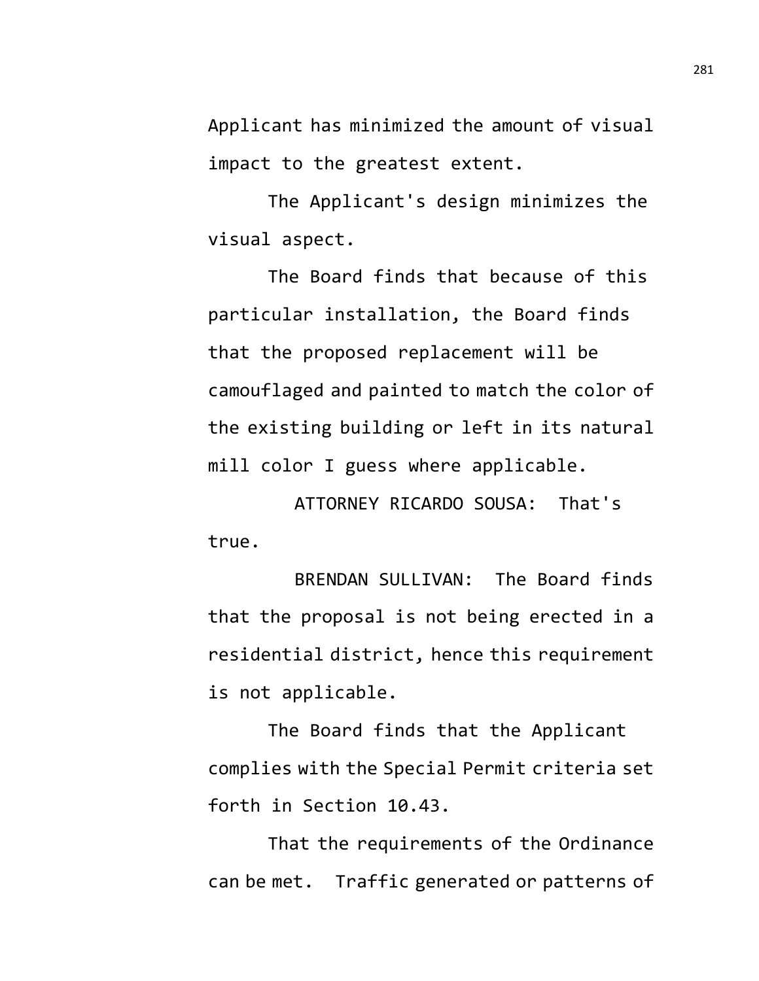Applicant has minimized the amount of visual impact to the greatest extent.

The Applicant's design minimizes the visual aspect.

The Board finds that because of this particular installation, the Board finds that the proposed replacement will be camouflaged and painted to match the color of the existing building or left in its natural mill color I guess where applicable.

ATTORNEY RICARDO SOUSA: That's true.

BRENDAN SULLIVAN: The Board finds that the proposal is not being erected in a residential district, hence this requirement is not applicable.

The Board finds that the Applicant complies with the Special Permit criteria set forth in Section 10.43.

That the requirements of the Ordinance can be met. Traffic generated or patterns of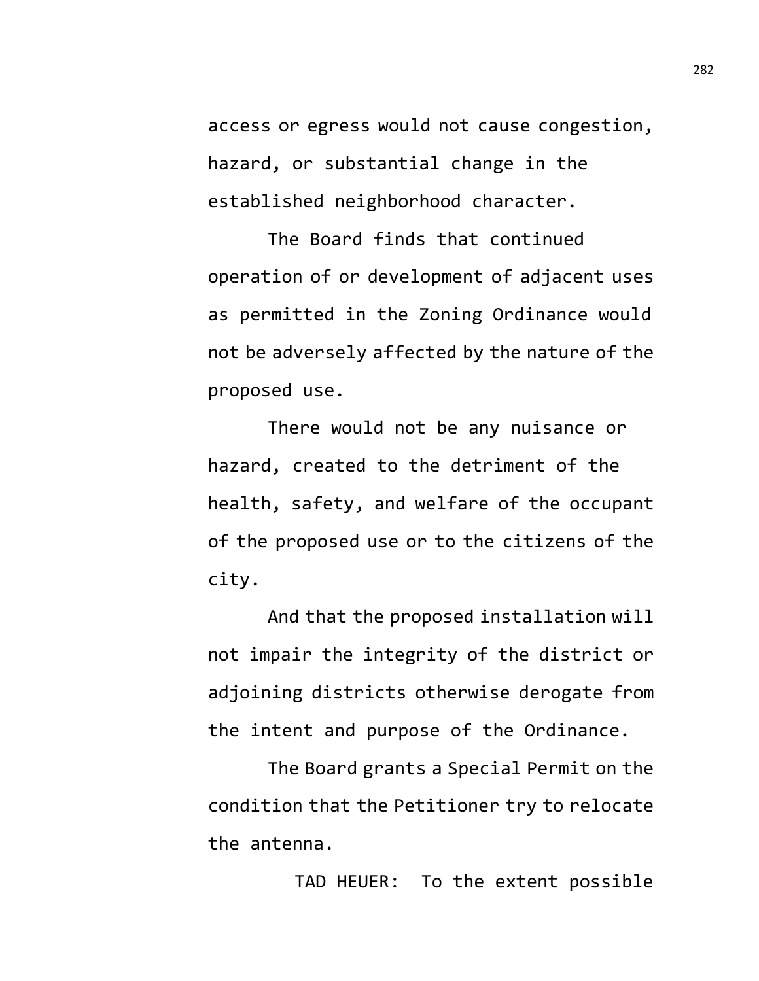access or egress would not cause congestion, hazard, or substantial change in the established neighborhood character.

The Board finds that continued operation of or development of adjacent uses as permitted in the Zoning Ordinance would not be adversely affected by the nature of the proposed use.

There would not be any nuisance or hazard, created to the detriment of the health, safety, and welfare of the occupant of the proposed use or to the citizens of the city.

And that the proposed installation will not impair the integrity of the district or adjoining districts otherwise derogate from the intent and purpose of the Ordinance.

The Board grants a Special Permit on the condition that the Petitioner try to relocate the antenna.

TAD HEUER: To the extent possible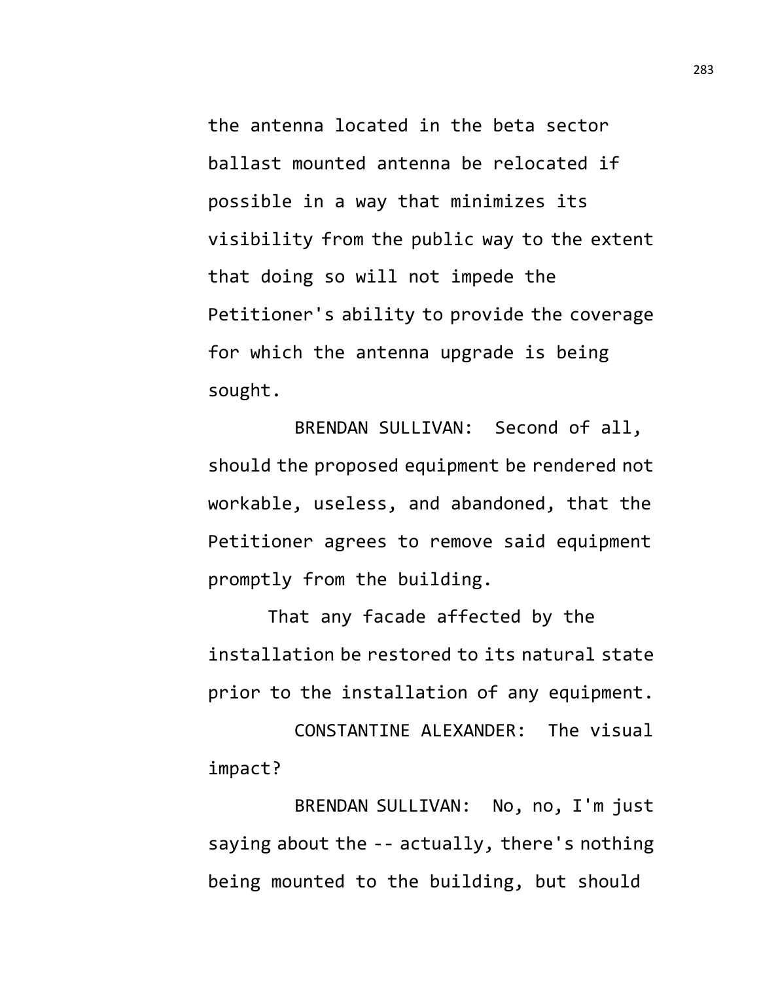the antenna located in the beta sector ballast mounted antenna be relocated if possible in a way that minimizes its visibility from the public way to the extent that doing so will not impede the Petitioner's ability to provide the coverage for which the antenna upgrade is being sought.

BRENDAN SULLIVAN: Second of all, should the proposed equipment be rendered not workable, useless, and abandoned, that the Petitioner agrees to remove said equipment promptly from the building.

That any facade affected by the installation be restored to its natural state prior to the installation of any equipment.

CONSTANTINE ALEXANDER: The visual impact?

BRENDAN SULLIVAN: No, no, I'm just saying about the -- actually, there's nothing being mounted to the building, but should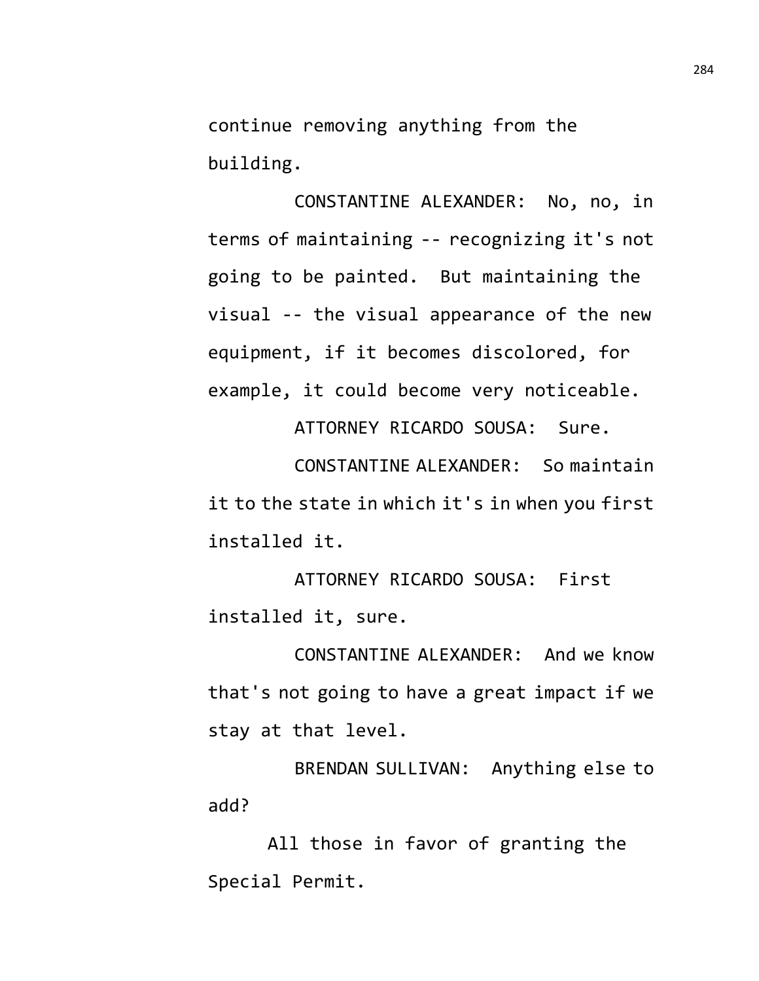continue removing anything from the building.

CONSTANTINE ALEXANDER: No, no, in terms of maintaining -- recognizing it's not going to be painted. But maintaining the visual -- the visual appearance of the new equipment, if it becomes discolored, for example, it could become very noticeable.

ATTORNEY RICARDO SOUSA: Sure.

CONSTANTINE ALEXANDER: So maintain it to the state in which it's in when you first installed it.

ATTORNEY RICARDO SOUSA: First installed it, sure.

CONSTANTINE ALEXANDER: And we know that's not going to have a great impact if we stay at that level.

BRENDAN SULLIVAN: Anything else to add?

All those in favor of granting the Special Permit.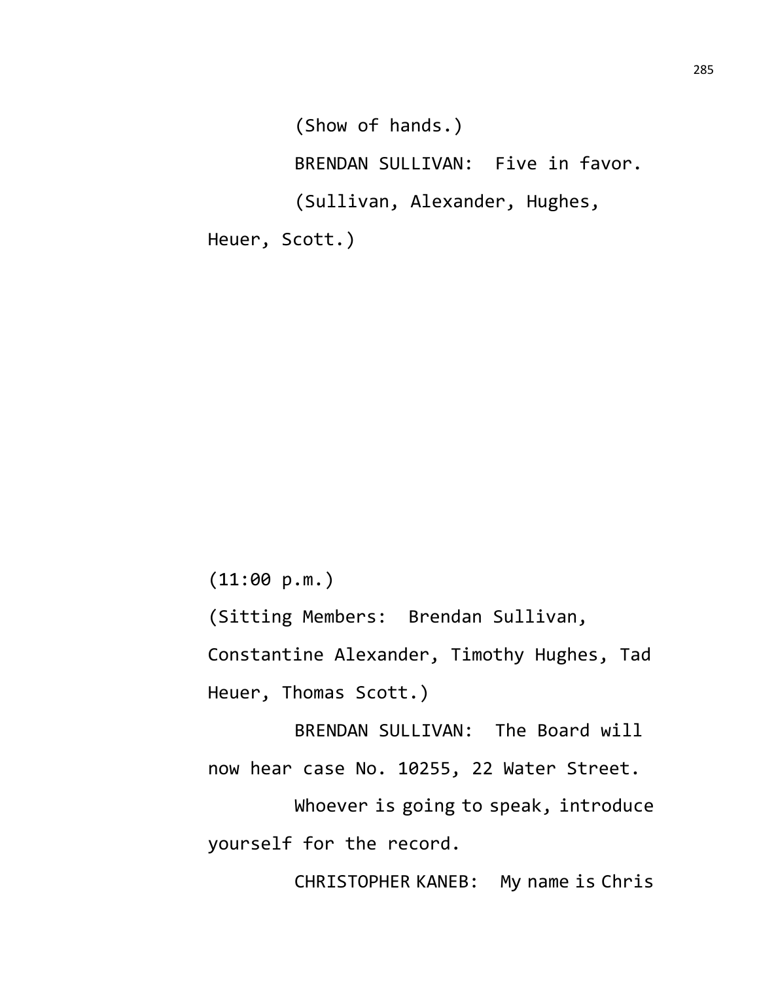(Show of hands.) BRENDAN SULLIVAN: Five in favor. (Sullivan, Alexander, Hughes, Heuer, Scott.)

(11:00 p.m.)

(Sitting Members: Brendan Sullivan,

Constantine Alexander, Timothy Hughes, Tad Heuer, Thomas Scott.)

BRENDAN SULLIVAN: The Board will now hear case No. 10255, 22 Water Street.

Whoever is going to speak, introduce yourself for the record.

CHRISTOPHER KANEB: My name is Chris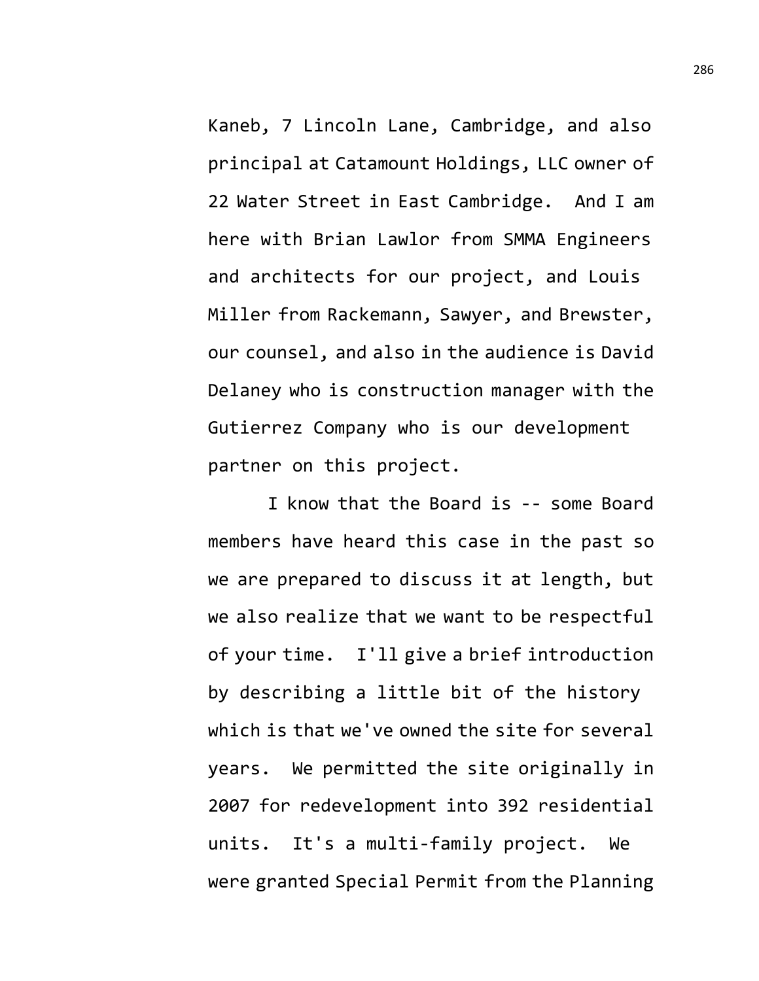Kaneb, 7 Lincoln Lane, Cambridge, and also principal at Catamount Holdings, LLC owner of 22 Water Street in East Cambridge. And I am here with Brian Lawlor from SMMA Engineers and architects for our project, and Louis Miller from Rackemann, Sawyer, and Brewster, our counsel, and also in the audience is David Delaney who is construction manager with the Gutierrez Company who is our development partner on this project.

I know that the Board is -- some Board members have heard this case in the past so we are prepared to discuss it at length, but we also realize that we want to be respectful of your time. I'll give a brief introduction by describing a little bit of the history which is that we've owned the site for several years. We permitted the site originally in 2007 for redevelopment into 392 residential units. It's a multi-family project. We were granted Special Permit from the Planning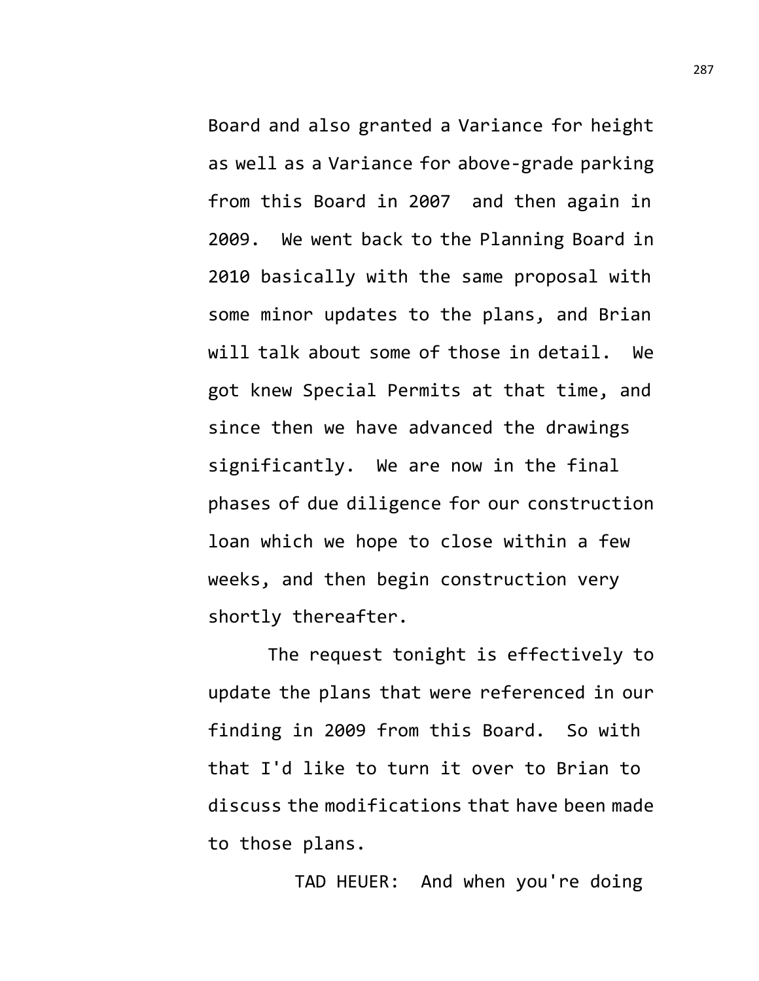Board and also granted a Variance for height as well as a Variance for above-grade parking from this Board in 2007 and then again in 2009. We went back to the Planning Board in 2010 basically with the same proposal with some minor updates to the plans, and Brian will talk about some of those in detail. We got knew Special Permits at that time, and since then we have advanced the drawings significantly. We are now in the final phases of due diligence for our construction loan which we hope to close within a few weeks, and then begin construction very shortly thereafter.

The request tonight is effectively to update the plans that were referenced in our finding in 2009 from this Board. So with that I'd like to turn it over to Brian to discuss the modifications that have been made to those plans.

TAD HEUER: And when you're doing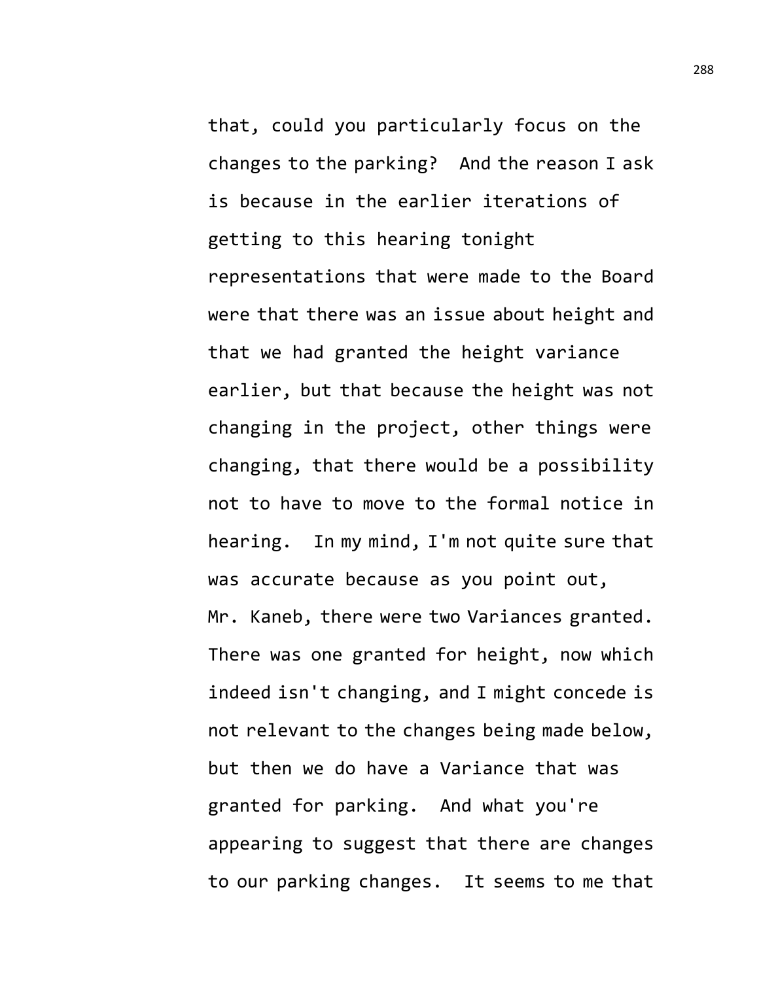that, could you particularly focus on the changes to the parking? And the reason I ask is because in the earlier iterations of getting to this hearing tonight representations that were made to the Board were that there was an issue about height and that we had granted the height variance earlier, but that because the height was not changing in the project, other things were changing, that there would be a possibility not to have to move to the formal notice in hearing. In my mind, I'm not quite sure that was accurate because as you point out, Mr. Kaneb, there were two Variances granted. There was one granted for height, now which indeed isn't changing, and I might concede is not relevant to the changes being made below, but then we do have a Variance that was granted for parking. And what you're appearing to suggest that there are changes to our parking changes. It seems to me that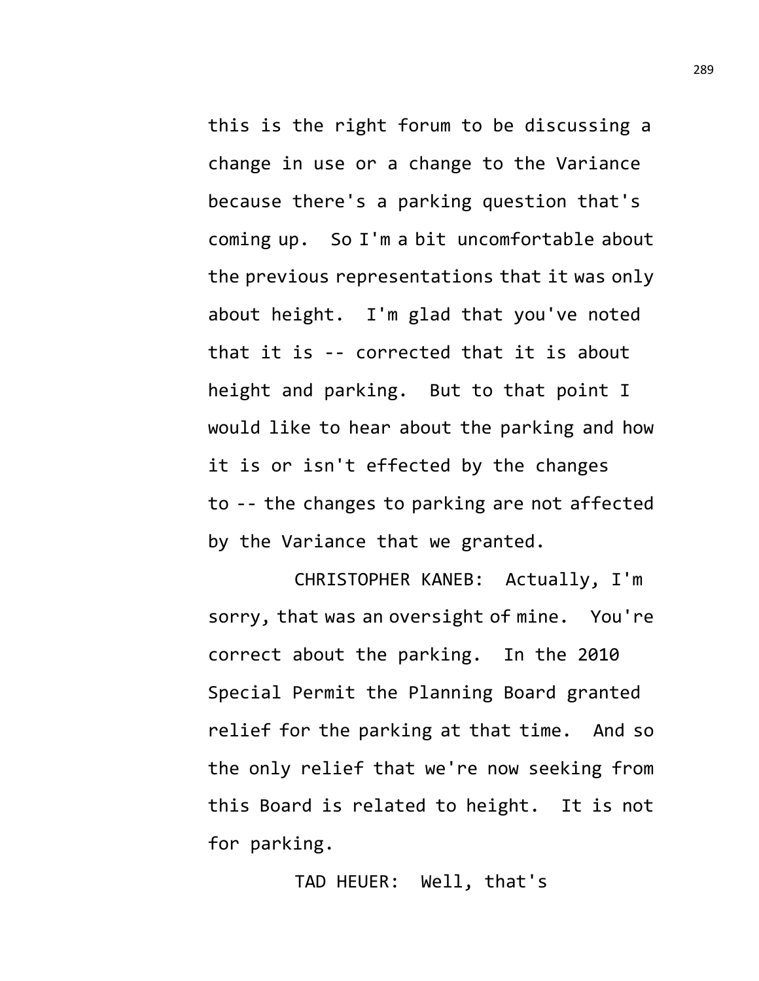this is the right forum to be discussing a change in use or a change to the Variance because there's a parking question that's coming up. So I'm a bit uncomfortable about the previous representations that it was only about height. I'm glad that you've noted that it is -- corrected that it is about height and parking. But to that point I would like to hear about the parking and how it is or isn't effected by the changes to -- the changes to parking are not affected by the Variance that we granted.

CHRISTOPHER KANEB: Actually, I'm sorry, that was an oversight of mine. You're correct about the parking. In the 2010 Special Permit the Planning Board granted relief for the parking at that time. And so the only relief that we're now seeking from this Board is related to height. It is not for parking.

TAD HEUER: Well, that's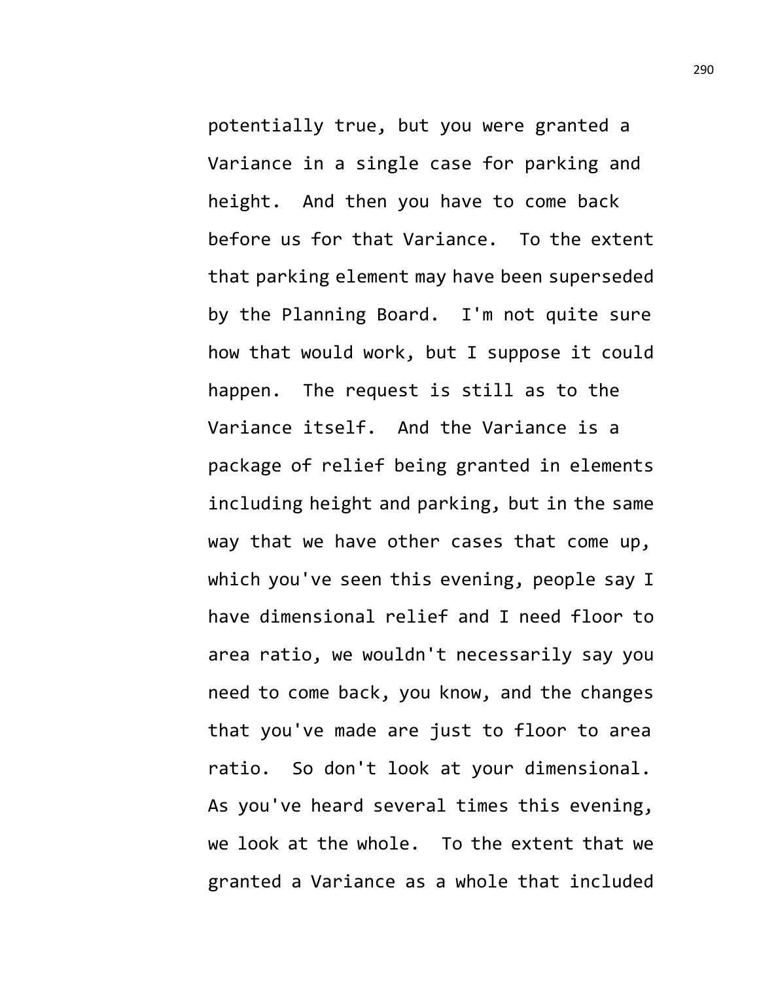potentially true, but you were granted a Variance in a single case for parking and height. And then you have to come back before us for that Variance. To the extent that parking element may have been superseded by the Planning Board. I'm not quite sure how that would work, but I suppose it could happen. The request is still as to the Variance itself. And the Variance is a package of relief being granted in elements including height and parking, but in the same way that we have other cases that come up, which you've seen this evening, people say I have dimensional relief and I need floor to area ratio, we wouldn't necessarily say you need to come back, you know, and the changes that you've made are just to floor to area ratio. So don't look at your dimensional. As you've heard several times this evening, we look at the whole. To the extent that we granted a Variance as a whole that included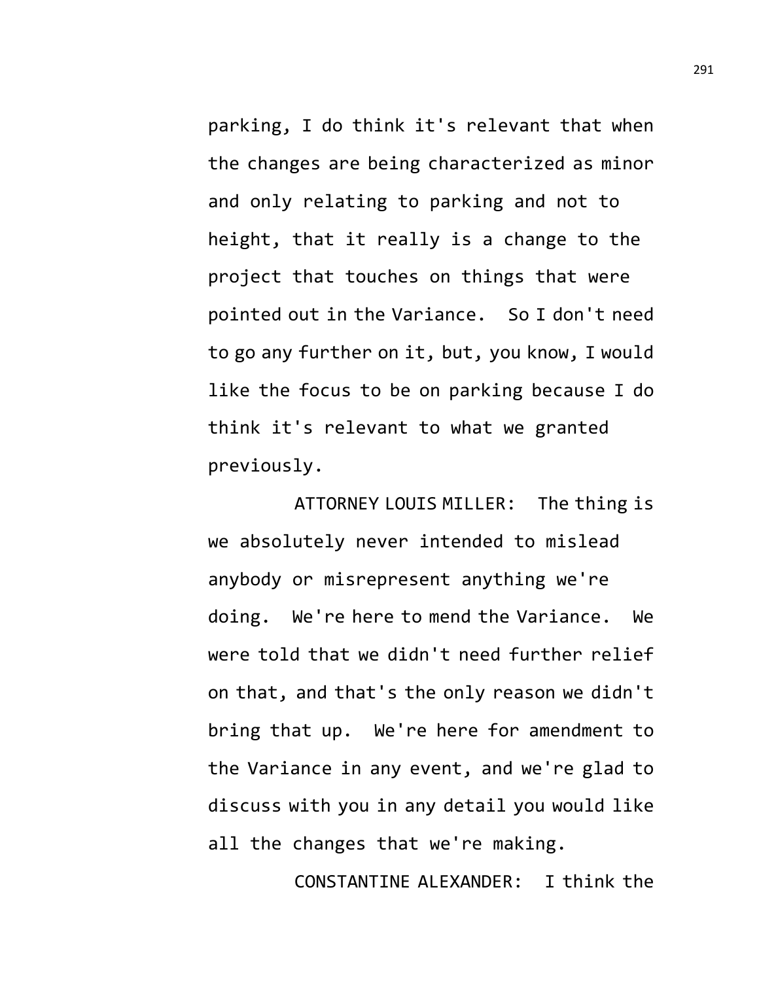parking, I do think it's relevant that when the changes are being characterized as minor and only relating to parking and not to height, that it really is a change to the project that touches on things that were pointed out in the Variance. So I don't need to go any further on it, but, you know, I would like the focus to be on parking because I do think it's relevant to what we granted previously.

ATTORNEY LOUIS MILLER: The thing is we absolutely never intended to mislead anybody or misrepresent anything we're doing. We're here to mend the Variance. We were told that we didn't need further relief on that, and that's the only reason we didn't bring that up. We're here for amendment to the Variance in any event, and we're glad to discuss with you in any detail you would like all the changes that we're making.

CONSTANTINE ALEXANDER: I think the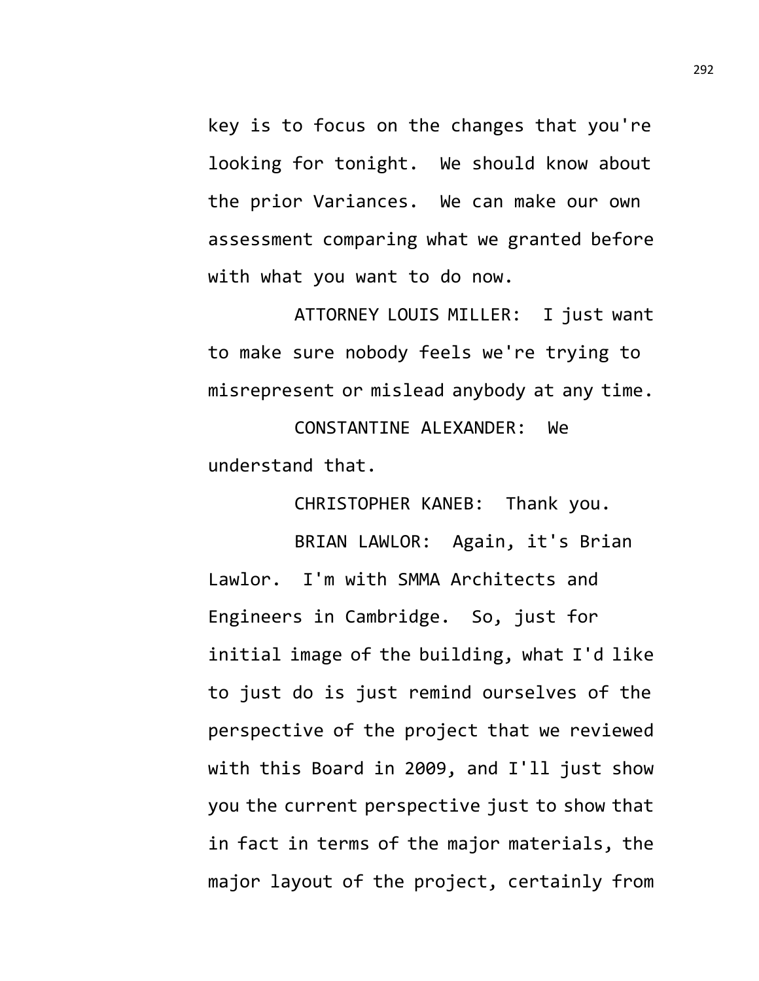key is to focus on the changes that you're looking for tonight. We should know about the prior Variances. We can make our own assessment comparing what we granted before with what you want to do now.

ATTORNEY LOUIS MILLER: I just want to make sure nobody feels we're trying to misrepresent or mislead anybody at any time.

CONSTANTINE ALEXANDER: We understand that.

CHRISTOPHER KANEB: Thank you.

BRIAN LAWLOR: Again, it's Brian Lawlor. I'm with SMMA Architects and Engineers in Cambridge. So, just for initial image of the building, what I'd like to just do is just remind ourselves of the perspective of the project that we reviewed with this Board in 2009, and I'll just show you the current perspective just to show that in fact in terms of the major materials, the major layout of the project, certainly from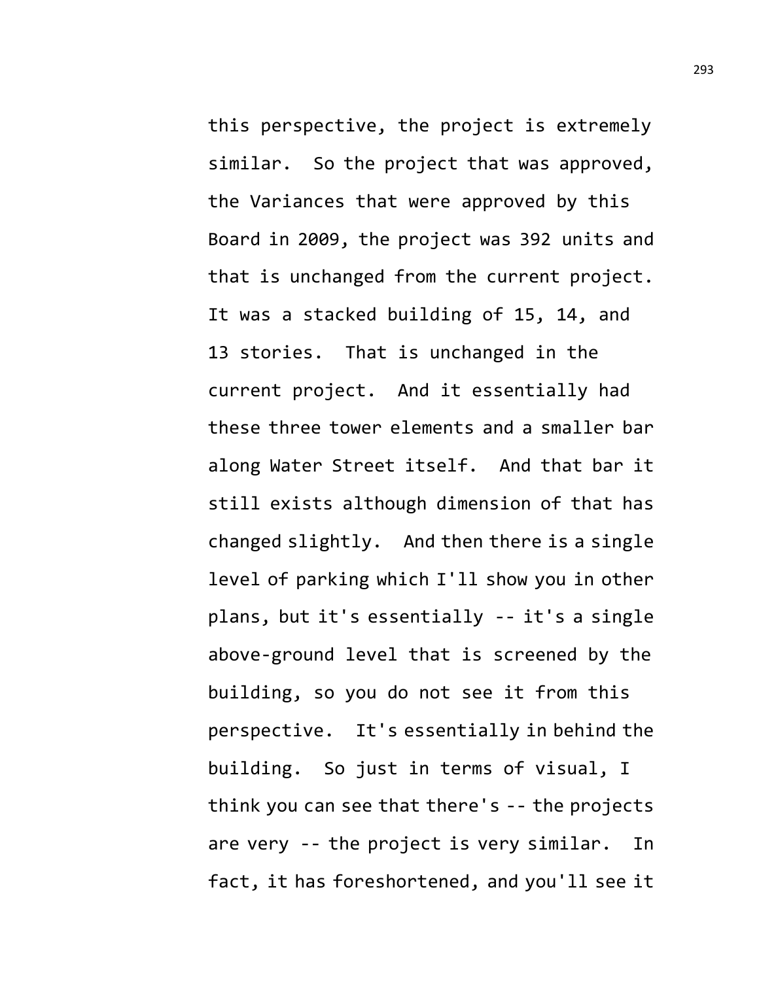this perspective, the project is extremely similar. So the project that was approved, the Variances that were approved by this Board in 2009, the project was 392 units and that is unchanged from the current project. It was a stacked building of 15, 14, and 13 stories. That is unchanged in the current project. And it essentially had these three tower elements and a smaller bar along Water Street itself. And that bar it still exists although dimension of that has changed slightly. And then there is a single level of parking which I'll show you in other plans, but it's essentially -- it's a single above-ground level that is screened by the building, so you do not see it from this perspective. It's essentially in behind the building. So just in terms of visual, I think you can see that there's -- the projects are very -- the project is very similar. In fact, it has foreshortened, and you'll see it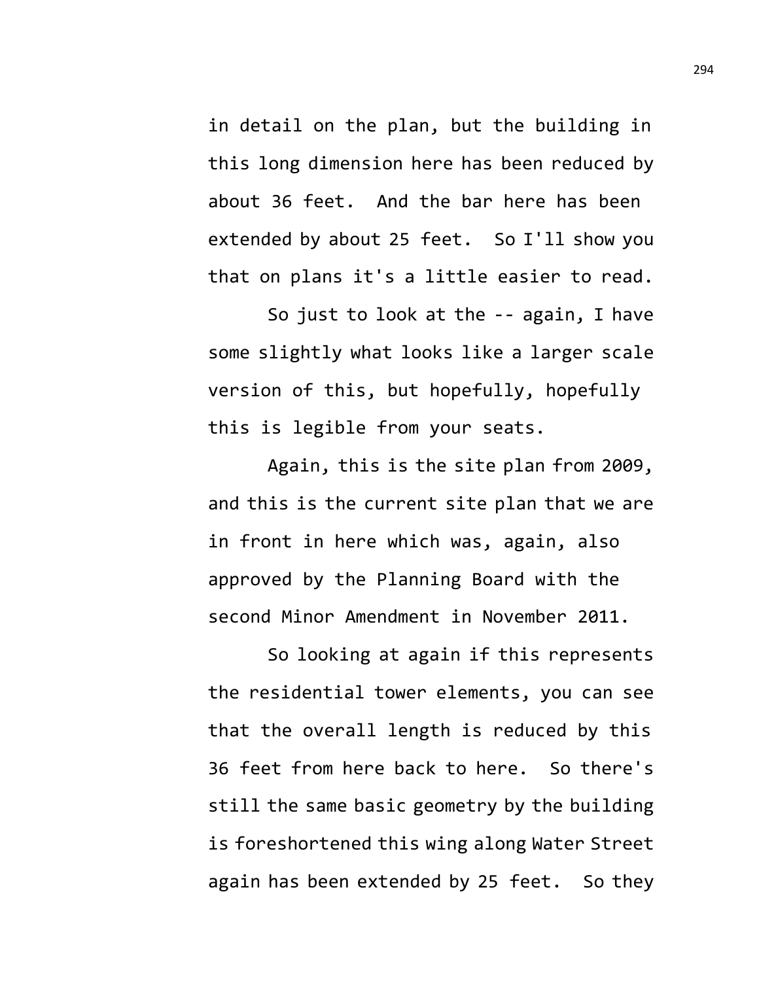in detail on the plan, but the building in this long dimension here has been reduced by about 36 feet. And the bar here has been extended by about 25 feet. So I'll show you that on plans it's a little easier to read.

So just to look at the -- again, I have some slightly what looks like a larger scale version of this, but hopefully, hopefully this is legible from your seats.

Again, this is the site plan from 2009, and this is the current site plan that we are in front in here which was, again, also approved by the Planning Board with the second Minor Amendment in November 2011.

So looking at again if this represents the residential tower elements, you can see that the overall length is reduced by this 36 feet from here back to here. So there's still the same basic geometry by the building is foreshortened this wing along Water Street again has been extended by 25 feet. So they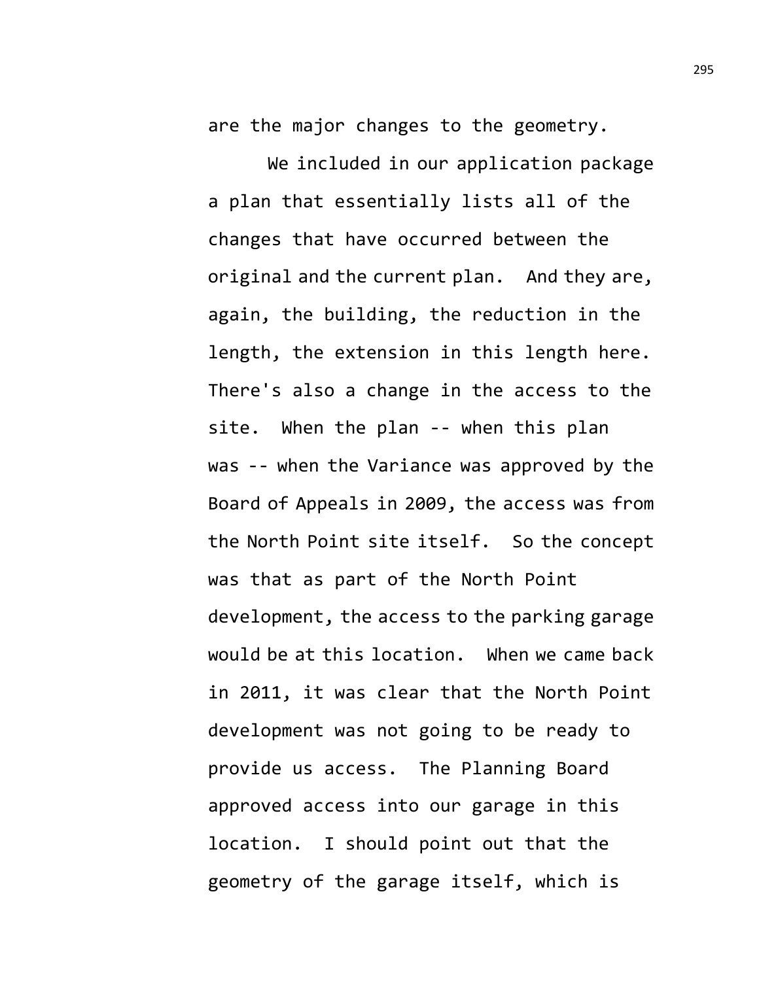are the major changes to the geometry.

We included in our application package a plan that essentially lists all of the changes that have occurred between the original and the current plan. And they are, again, the building, the reduction in the length, the extension in this length here. There's also a change in the access to the site. When the plan -- when this plan was -- when the Variance was approved by the Board of Appeals in 2009, the access was from the North Point site itself. So the concept was that as part of the North Point development, the access to the parking garage would be at this location. When we came back in 2011, it was clear that the North Point development was not going to be ready to provide us access. The Planning Board approved access into our garage in this location. I should point out that the geometry of the garage itself, which is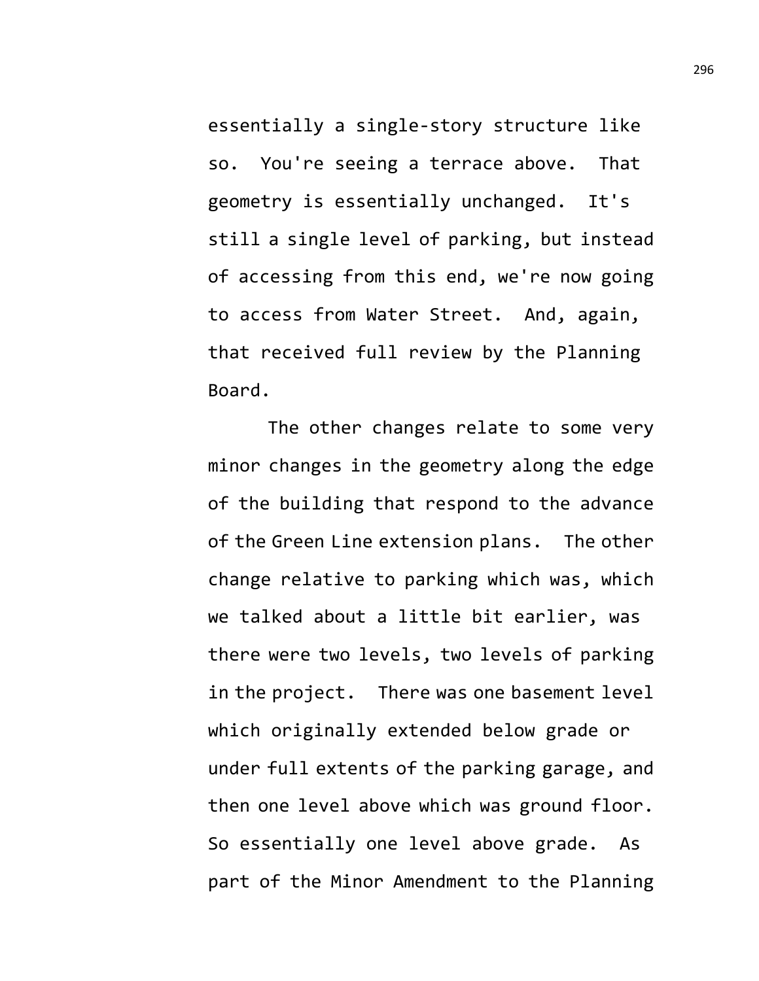essentially a single-story structure like so. You're seeing a terrace above. That geometry is essentially unchanged. It's still a single level of parking, but instead of accessing from this end, we're now going to access from Water Street. And, again, that received full review by the Planning Board.

The other changes relate to some very minor changes in the geometry along the edge of the building that respond to the advance of the Green Line extension plans. The other change relative to parking which was, which we talked about a little bit earlier, was there were two levels, two levels of parking in the project. There was one basement level which originally extended below grade or under full extents of the parking garage, and then one level above which was ground floor. So essentially one level above grade. As part of the Minor Amendment to the Planning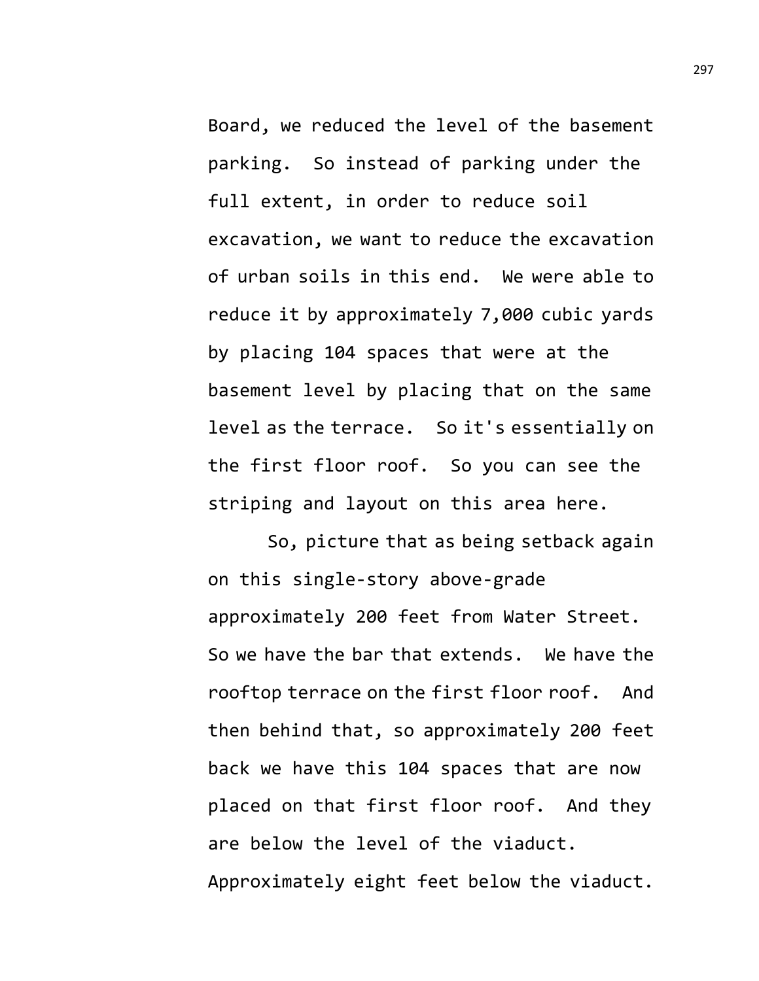Board, we reduced the level of the basement parking. So instead of parking under the full extent, in order to reduce soil excavation, we want to reduce the excavation of urban soils in this end. We were able to reduce it by approximately 7,000 cubic yards by placing 104 spaces that were at the basement level by placing that on the same level as the terrace. So it's essentially on the first floor roof. So you can see the striping and layout on this area here.

So, picture that as being setback again on this single-story above-grade approximately 200 feet from Water Street. So we have the bar that extends. We have the rooftop terrace on the first floor roof. And then behind that, so approximately 200 feet back we have this 104 spaces that are now placed on that first floor roof. And they are below the level of the viaduct. Approximately eight feet below the viaduct.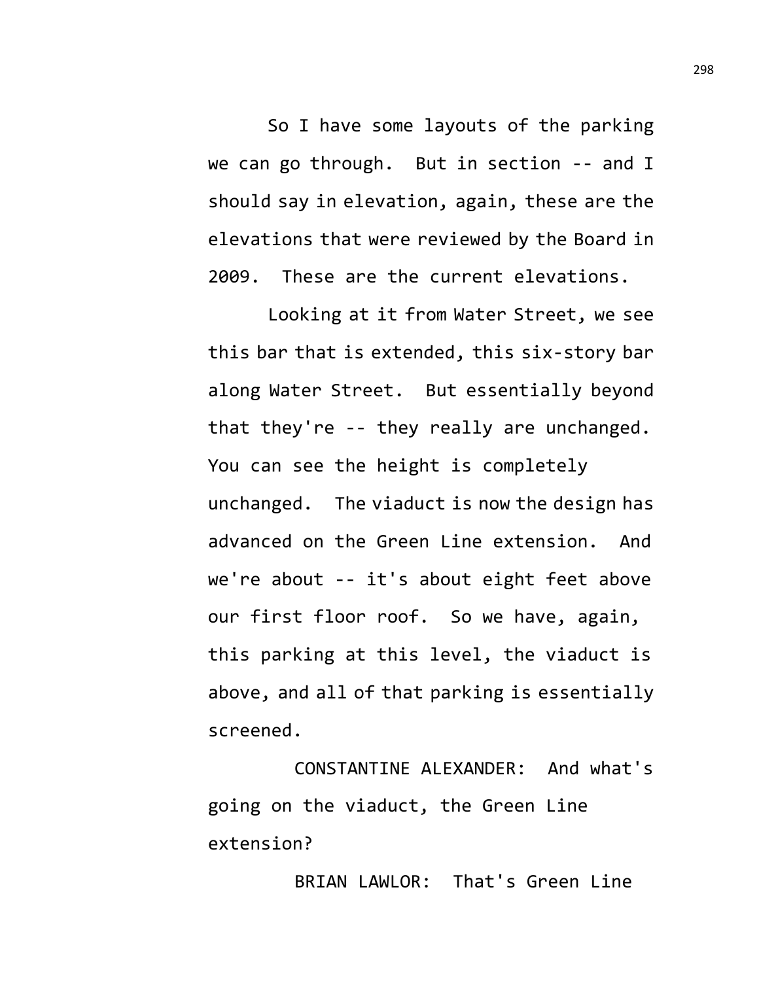So I have some layouts of the parking we can go through. But in section -- and I should say in elevation, again, these are the elevations that were reviewed by the Board in 2009. These are the current elevations.

Looking at it from Water Street, we see this bar that is extended, this six-story bar along Water Street. But essentially beyond that they're -- they really are unchanged. You can see the height is completely unchanged. The viaduct is now the design has advanced on the Green Line extension. And we're about -- it's about eight feet above our first floor roof. So we have, again, this parking at this level, the viaduct is above, and all of that parking is essentially screened.

CONSTANTINE ALEXANDER: And what's going on the viaduct, the Green Line extension?

BRIAN LAWLOR: That's Green Line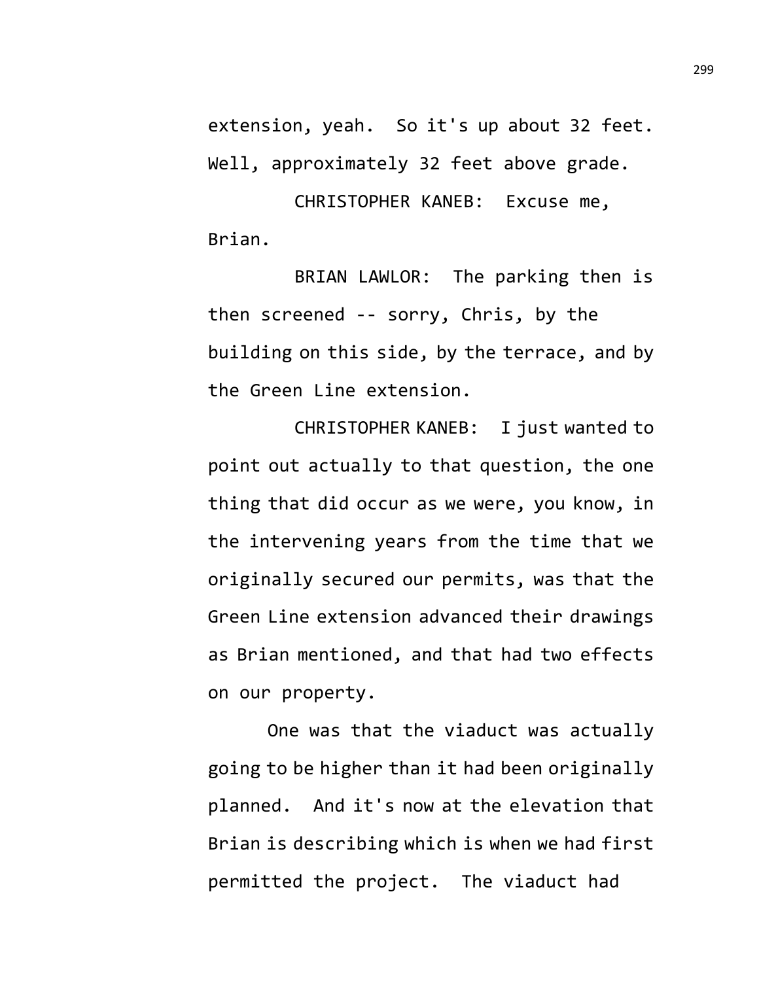extension, yeah. So it's up about 32 feet. Well, approximately 32 feet above grade.

CHRISTOPHER KANEB: Excuse me, Brian.

BRIAN LAWLOR: The parking then is then screened -- sorry, Chris, by the building on this side, by the terrace, and by the Green Line extension.

CHRISTOPHER KANEB: I just wanted to point out actually to that question, the one thing that did occur as we were, you know, in the intervening years from the time that we originally secured our permits, was that the Green Line extension advanced their drawings as Brian mentioned, and that had two effects on our property.

One was that the viaduct was actually going to be higher than it had been originally planned. And it's now at the elevation that Brian is describing which is when we had first permitted the project. The viaduct had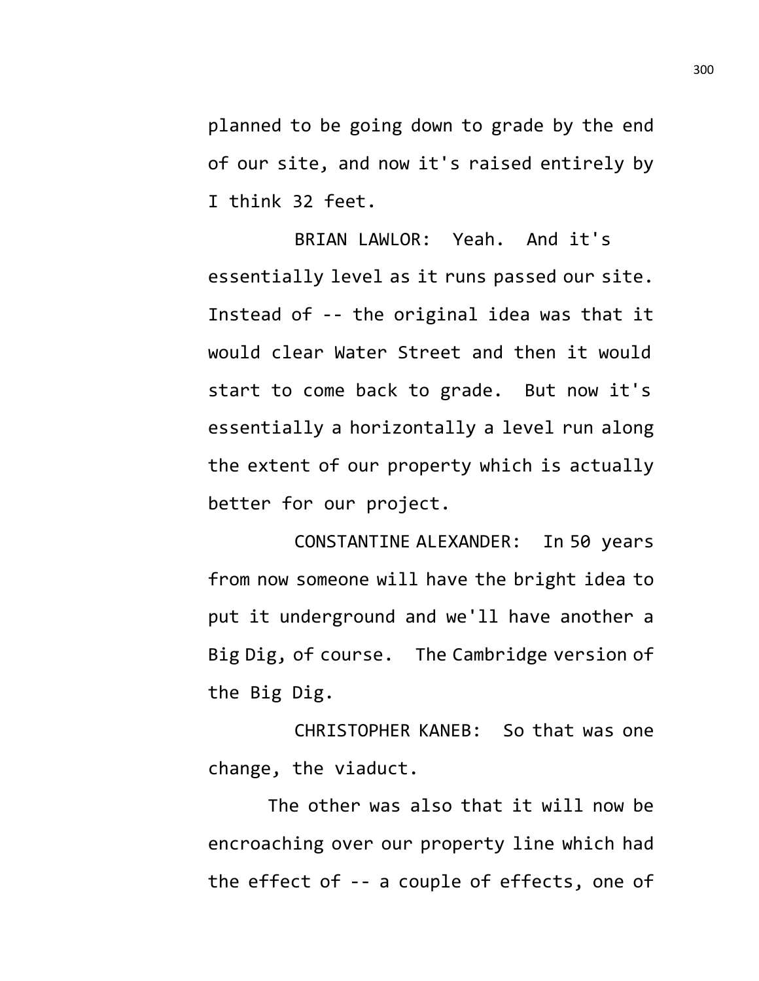planned to be going down to grade by the end of our site, and now it's raised entirely by I think 32 feet.

BRIAN LAWLOR: Yeah. And it's essentially level as it runs passed our site. Instead of -- the original idea was that it would clear Water Street and then it would start to come back to grade. But now it's essentially a horizontally a level run along the extent of our property which is actually better for our project.

CONSTANTINE ALEXANDER: In 50 years from now someone will have the bright idea to put it underground and we'll have another a Big Dig, of course. The Cambridge version of the Big Dig.

CHRISTOPHER KANEB: So that was one change, the viaduct.

The other was also that it will now be encroaching over our property line which had the effect of -- a couple of effects, one of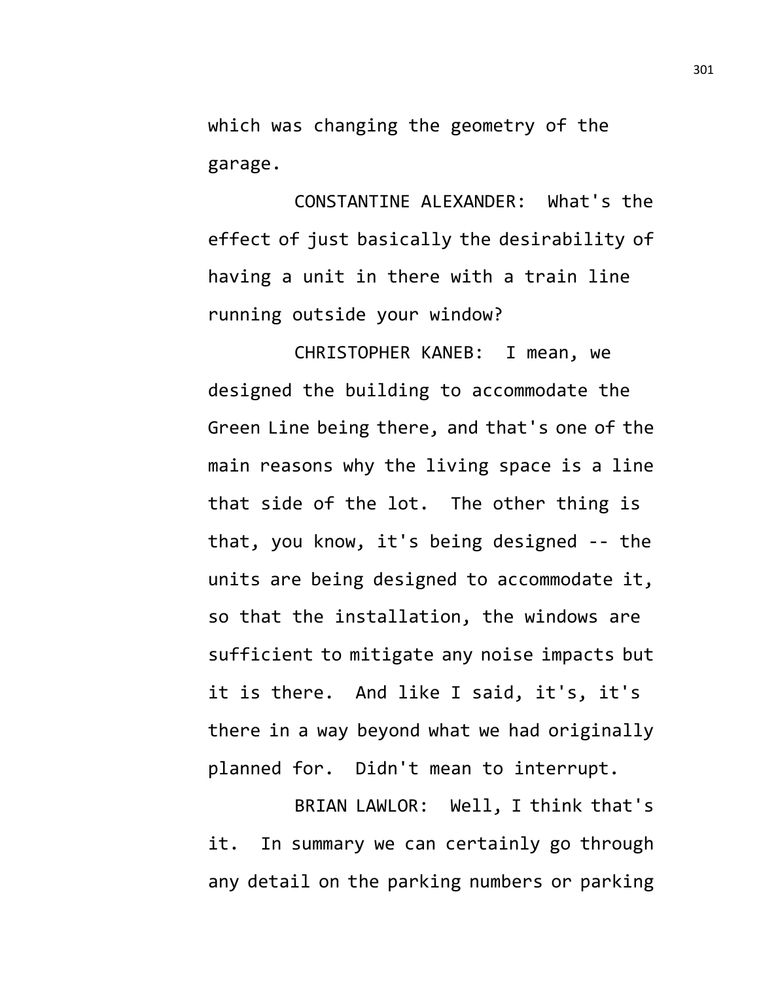which was changing the geometry of the garage.

CONSTANTINE ALEXANDER: What's the effect of just basically the desirability of having a unit in there with a train line running outside your window?

CHRISTOPHER KANEB: I mean, we designed the building to accommodate the Green Line being there, and that's one of the main reasons why the living space is a line that side of the lot. The other thing is that, you know, it's being designed -- the units are being designed to accommodate it, so that the installation, the windows are sufficient to mitigate any noise impacts but it is there. And like I said, it's, it's there in a way beyond what we had originally planned for. Didn't mean to interrupt.

BRIAN LAWLOR: Well, I think that's it. In summary we can certainly go through any detail on the parking numbers or parking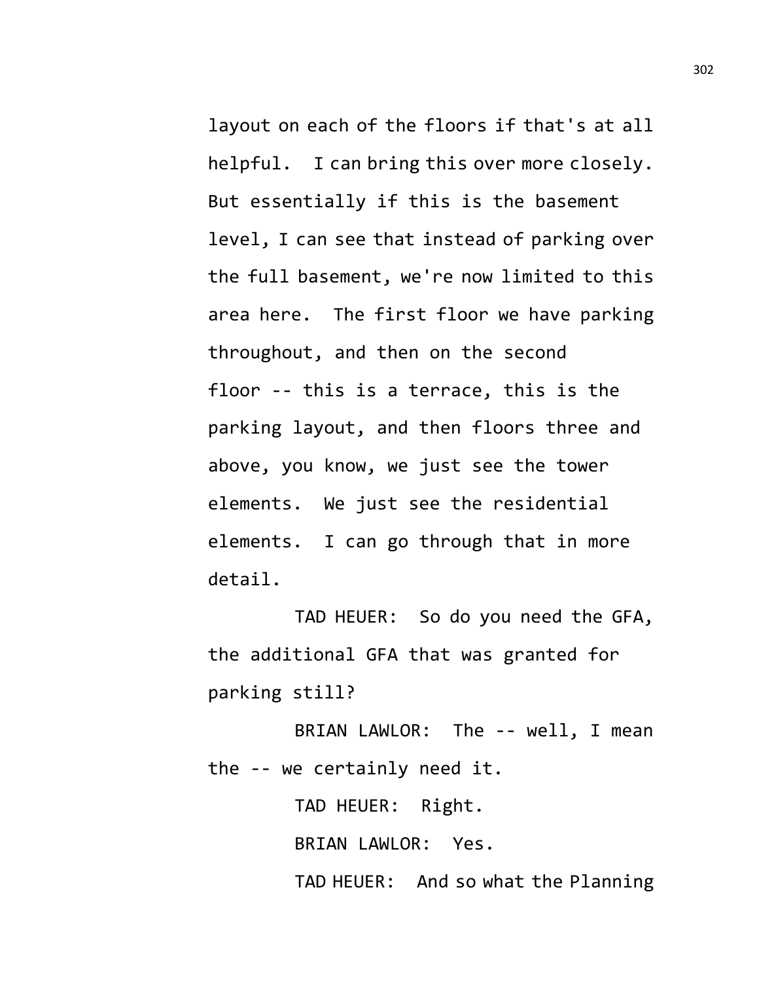layout on each of the floors if that's at all helpful. I can bring this over more closely. But essentially if this is the basement level, I can see that instead of parking over the full basement, we're now limited to this area here. The first floor we have parking throughout, and then on the second floor -- this is a terrace, this is the parking layout, and then floors three and above, you know, we just see the tower elements. We just see the residential elements. I can go through that in more detail.

TAD HEUER: So do you need the GFA, the additional GFA that was granted for parking still?

BRIAN LAWLOR: The -- well, I mean the -- we certainly need it.

TAD HEUER: Right. BRIAN LAWLOR: Yes. TAD HEUER: And so what the Planning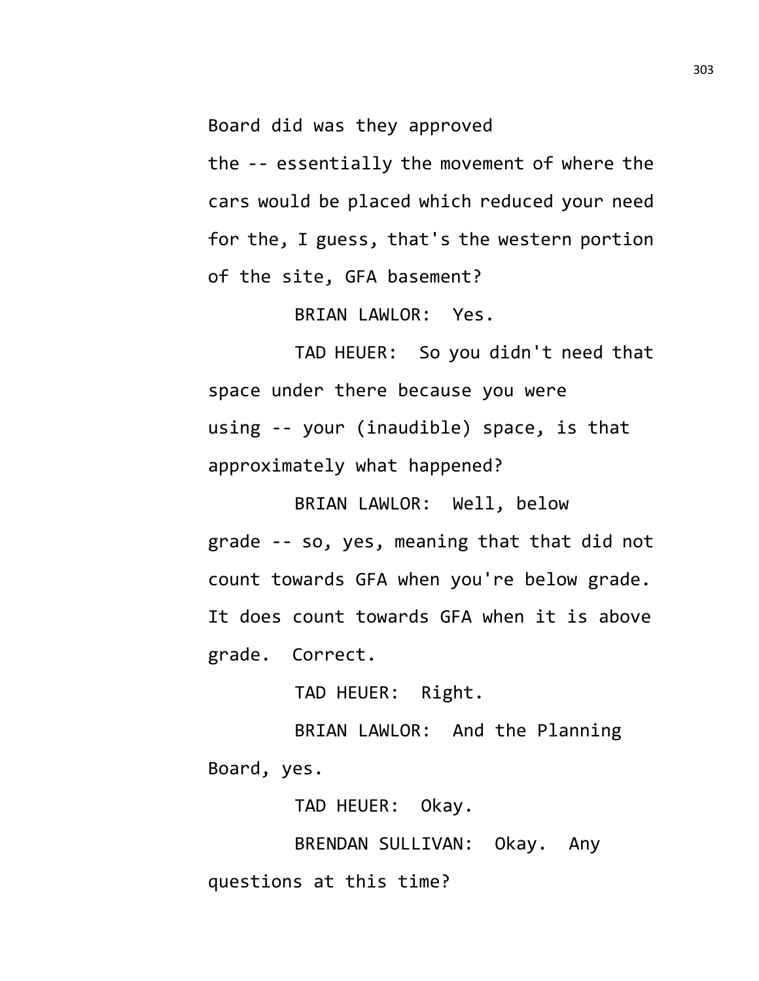Board did was they approved

the -- essentially the movement of where the cars would be placed which reduced your need for the, I guess, that's the western portion of the site, GFA basement?

BRIAN LAWLOR: Yes.

TAD HEUER: So you didn't need that space under there because you were using -- your (inaudible) space, is that approximately what happened?

BRIAN LAWLOR: Well, below grade -- so, yes, meaning that that did not count towards GFA when you're below grade. It does count towards GFA when it is above grade. Correct.

TAD HEUER: Right.

BRIAN LAWLOR: And the Planning Board, yes.

TAD HEUER: Okay.

BRENDAN SULLIVAN: Okay. Any questions at this time?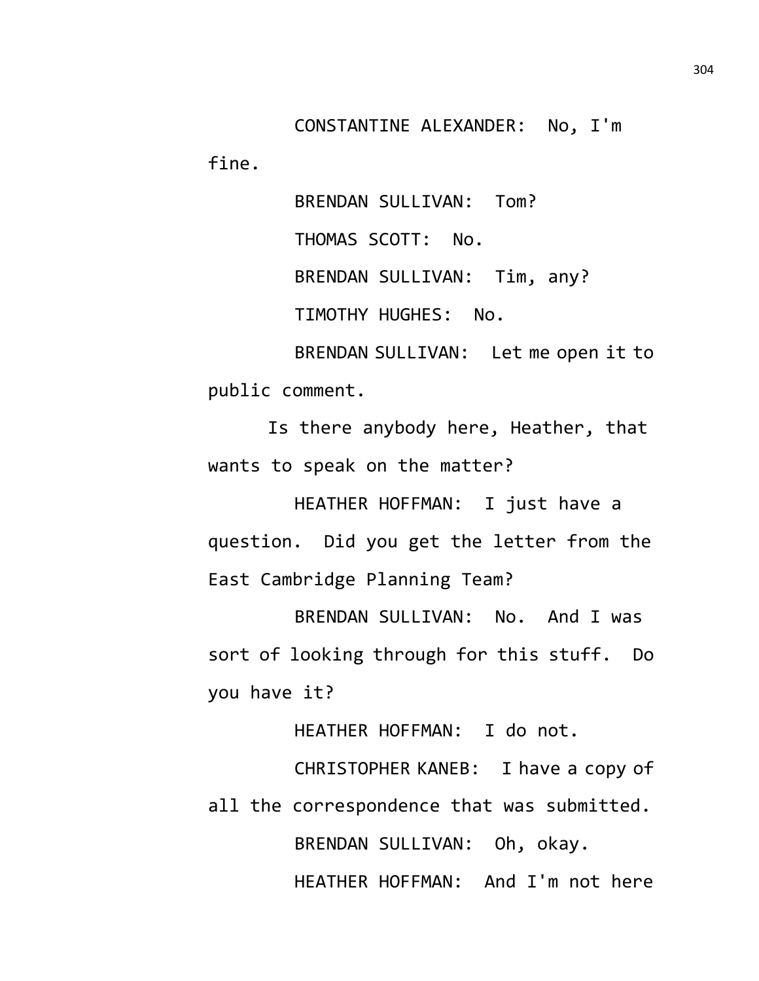CONSTANTINE ALEXANDER: No, I'm fine.

> BRENDAN SULLIVAN: Tom? THOMAS SCOTT: No. BRENDAN SULLIVAN: Tim, any? TIMOTHY HUGHES: No.

BRENDAN SULLIVAN: Let me open it to public comment.

Is there anybody here, Heather, that wants to speak on the matter?

HEATHER HOFFMAN: I just have a question. Did you get the letter from the East Cambridge Planning Team?

BRENDAN SULLIVAN: No. And I was sort of looking through for this stuff. Do you have it?

HEATHER HOFFMAN: I do not.

CHRISTOPHER KANEB: I have a copy of all the correspondence that was submitted. BRENDAN SULLIVAN: Oh, okay. HEATHER HOFFMAN: And I'm not here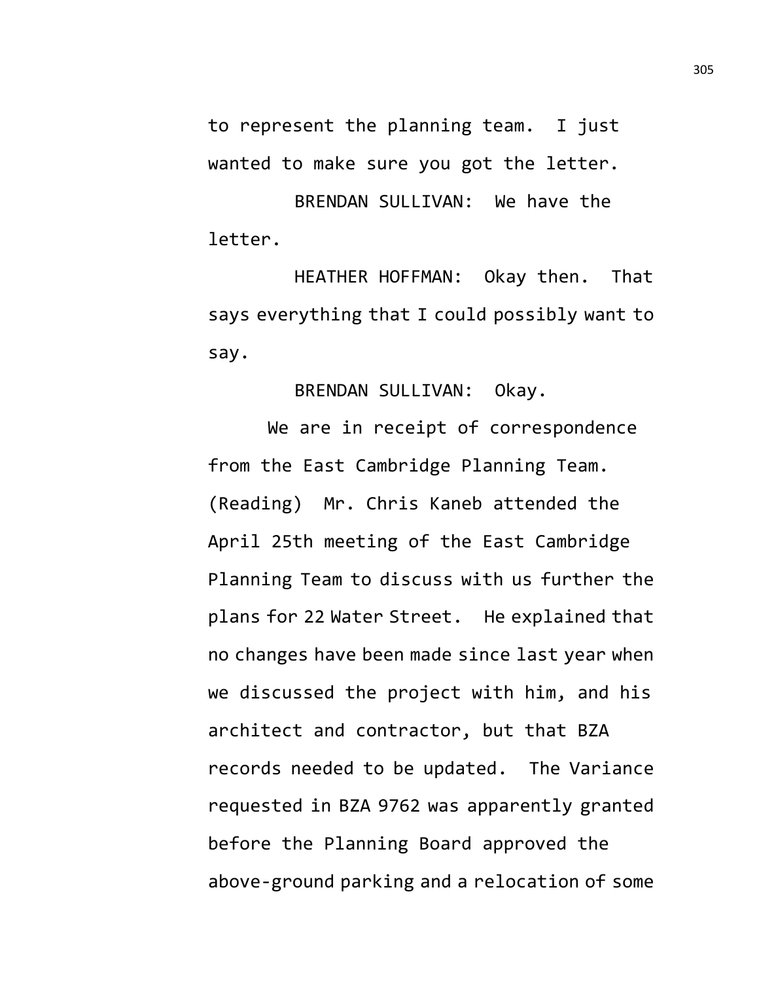to represent the planning team. I just wanted to make sure you got the letter.

BRENDAN SULLIVAN: We have the letter.

HEATHER HOFFMAN: Okay then. That says everything that I could possibly want to say.

BRENDAN SULLIVAN: Okay.

We are in receipt of correspondence from the East Cambridge Planning Team. (Reading) Mr. Chris Kaneb attended the April 25th meeting of the East Cambridge Planning Team to discuss with us further the plans for 22 Water Street. He explained that no changes have been made since last year when we discussed the project with him, and his architect and contractor, but that BZA records needed to be updated. The Variance requested in BZA 9762 was apparently granted before the Planning Board approved the above-ground parking and a relocation of some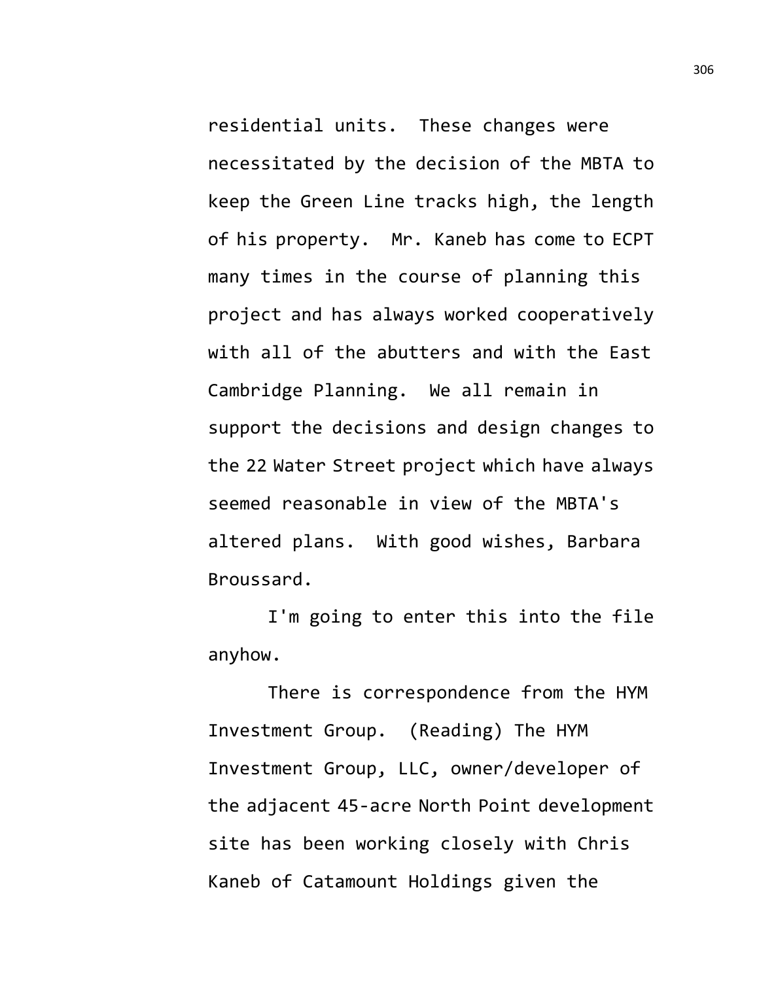residential units. These changes were necessitated by the decision of the MBTA to keep the Green Line tracks high, the length of his property. Mr. Kaneb has come to ECPT many times in the course of planning this project and has always worked cooperatively with all of the abutters and with the East Cambridge Planning. We all remain in support the decisions and design changes to the 22 Water Street project which have always seemed reasonable in view of the MBTA's altered plans. With good wishes, Barbara Broussard.

I'm going to enter this into the file anyhow.

There is correspondence from the HYM Investment Group. (Reading) The HYM Investment Group, LLC, owner/developer of the adjacent 45-acre North Point development site has been working closely with Chris Kaneb of Catamount Holdings given the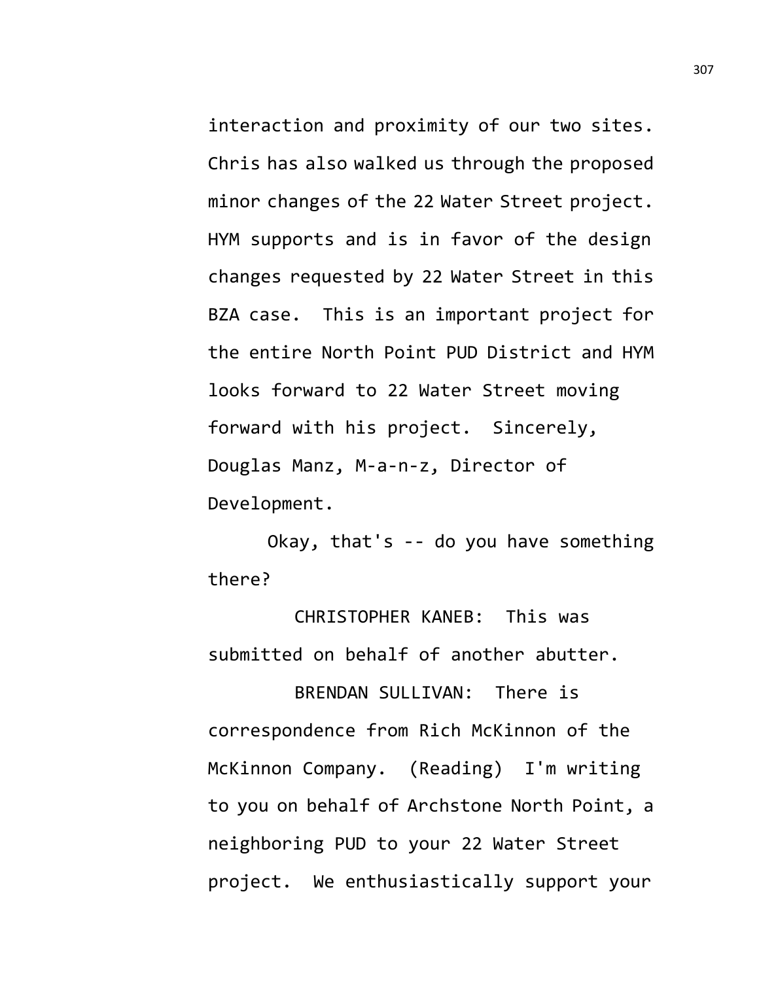interaction and proximity of our two sites. Chris has also walked us through the proposed minor changes of the 22 Water Street project. HYM supports and is in favor of the design changes requested by 22 Water Street in this BZA case. This is an important project for the entire North Point PUD District and HYM looks forward to 22 Water Street moving forward with his project. Sincerely, Douglas Manz, M-a-n-z, Director of Development.

Okay, that's -- do you have something there?

CHRISTOPHER KANEB: This was submitted on behalf of another abutter.

BRENDAN SULLIVAN: There is correspondence from Rich McKinnon of the McKinnon Company. (Reading) I'm writing to you on behalf of Archstone North Point, a neighboring PUD to your 22 Water Street project. We enthusiastically support your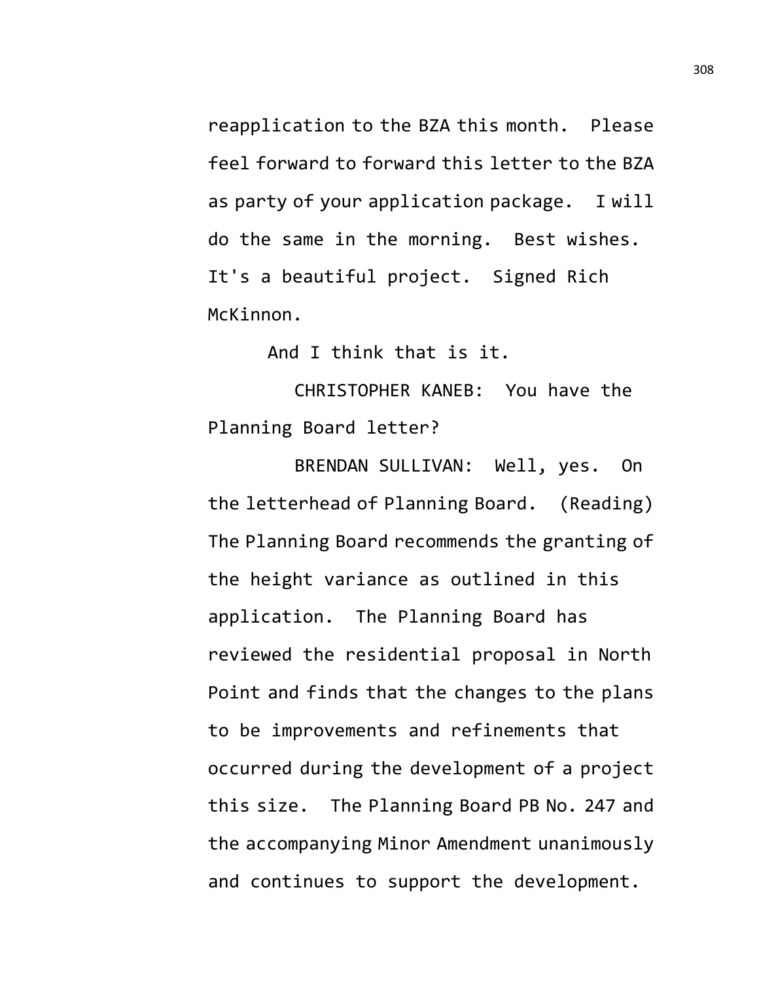reapplication to the BZA this month. Please feel forward to forward this letter to the BZA as party of your application package. I will do the same in the morning. Best wishes. It's a beautiful project. Signed Rich McKinnon.

And I think that is it.

CHRISTOPHER KANEB: You have the Planning Board letter?

BRENDAN SULLIVAN: Well, yes. On the letterhead of Planning Board. (Reading) The Planning Board recommends the granting of the height variance as outlined in this application. The Planning Board has reviewed the residential proposal in North Point and finds that the changes to the plans to be improvements and refinements that occurred during the development of a project this size. The Planning Board PB No. 247 and the accompanying Minor Amendment unanimously and continues to support the development.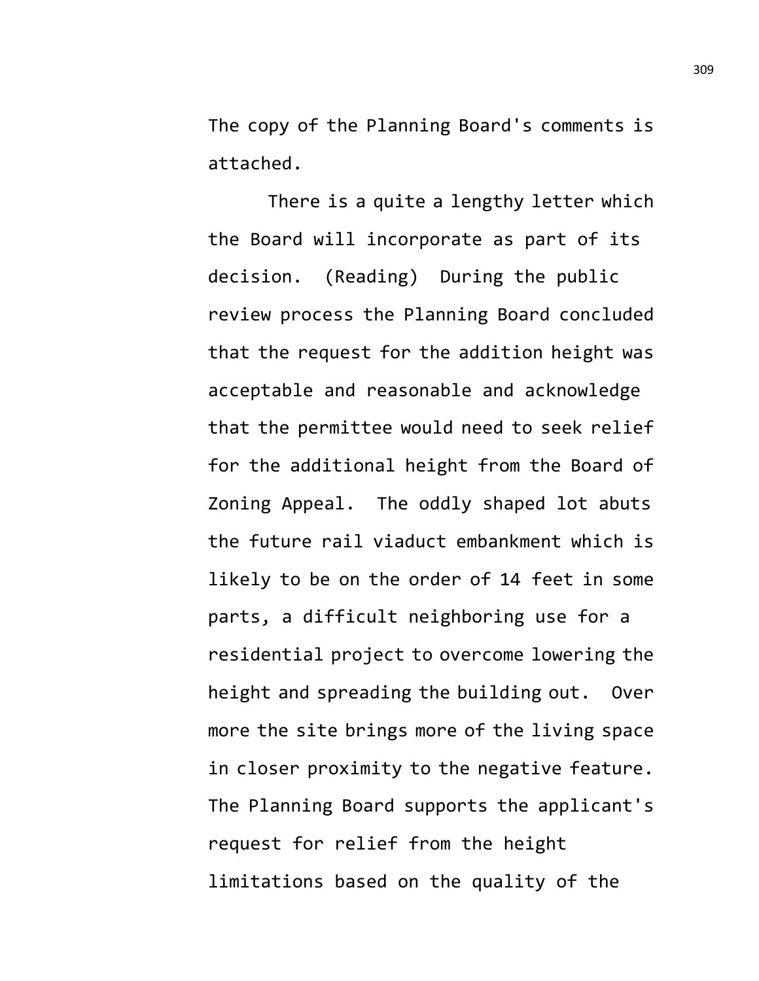The copy of the Planning Board's comments is attached.

There is a quite a lengthy letter which the Board will incorporate as part of its decision. (Reading) During the public review process the Planning Board concluded that the request for the addition height was acceptable and reasonable and acknowledge that the permittee would need to seek relief for the additional height from the Board of Zoning Appeal. The oddly shaped lot abuts the future rail viaduct embankment which is likely to be on the order of 14 feet in some parts, a difficult neighboring use for a residential project to overcome lowering the height and spreading the building out. Over more the site brings more of the living space in closer proximity to the negative feature. The Planning Board supports the applicant's request for relief from the height limitations based on the quality of the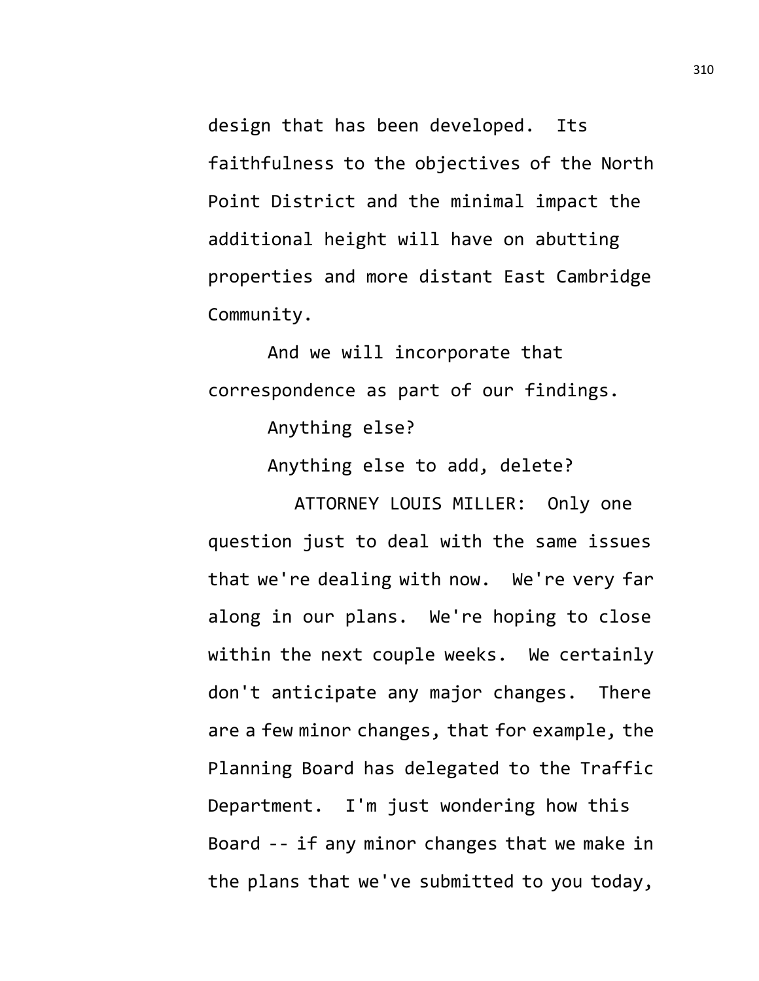design that has been developed. Its faithfulness to the objectives of the North Point District and the minimal impact the additional height will have on abutting properties and more distant East Cambridge Community.

And we will incorporate that correspondence as part of our findings.

Anything else?

Anything else to add, delete?

ATTORNEY LOUIS MILLER: Only one question just to deal with the same issues that we're dealing with now. We're very far along in our plans. We're hoping to close within the next couple weeks. We certainly don't anticipate any major changes. There are a few minor changes, that for example, the Planning Board has delegated to the Traffic Department. I'm just wondering how this Board -- if any minor changes that we make in the plans that we've submitted to you today,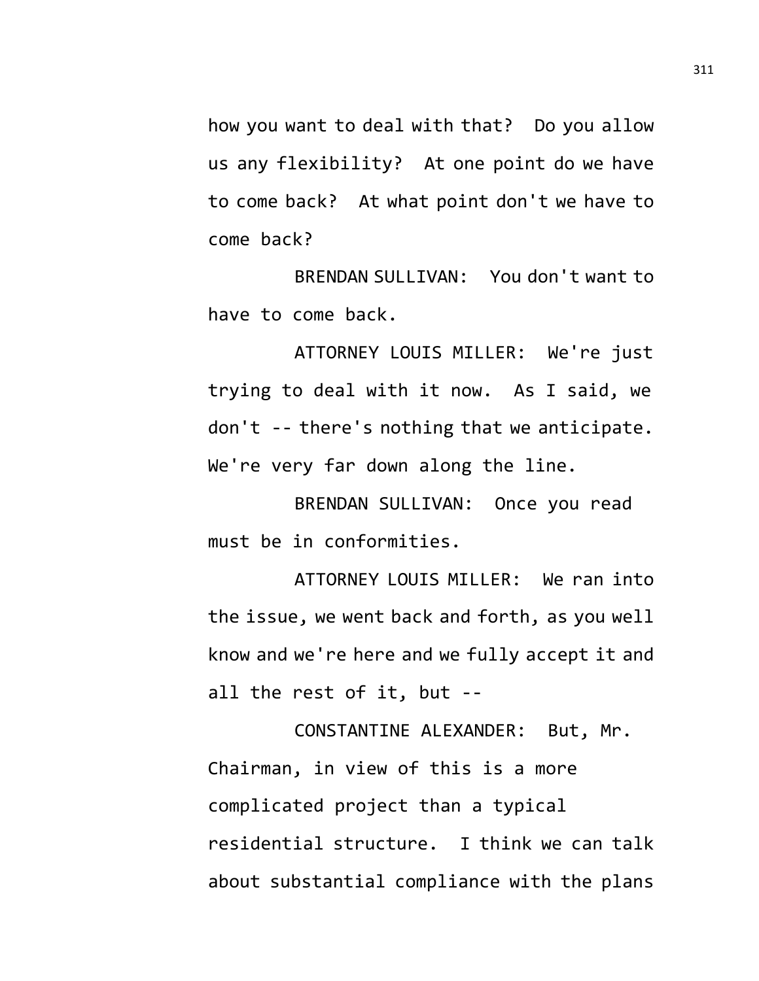how you want to deal with that? Do you allow us any flexibility? At one point do we have to come back? At what point don't we have to come back?

BRENDAN SULLIVAN: You don't want to have to come back.

ATTORNEY LOUIS MILLER: We're just trying to deal with it now. As I said, we don't -- there's nothing that we anticipate. We're very far down along the line.

BRENDAN SULLIVAN: Once you read must be in conformities.

ATTORNEY LOUIS MILLER: We ran into the issue, we went back and forth, as you well know and we're here and we fully accept it and all the rest of it, but --

CONSTANTINE ALEXANDER: But, Mr. Chairman, in view of this is a more complicated project than a typical residential structure. I think we can talk about substantial compliance with the plans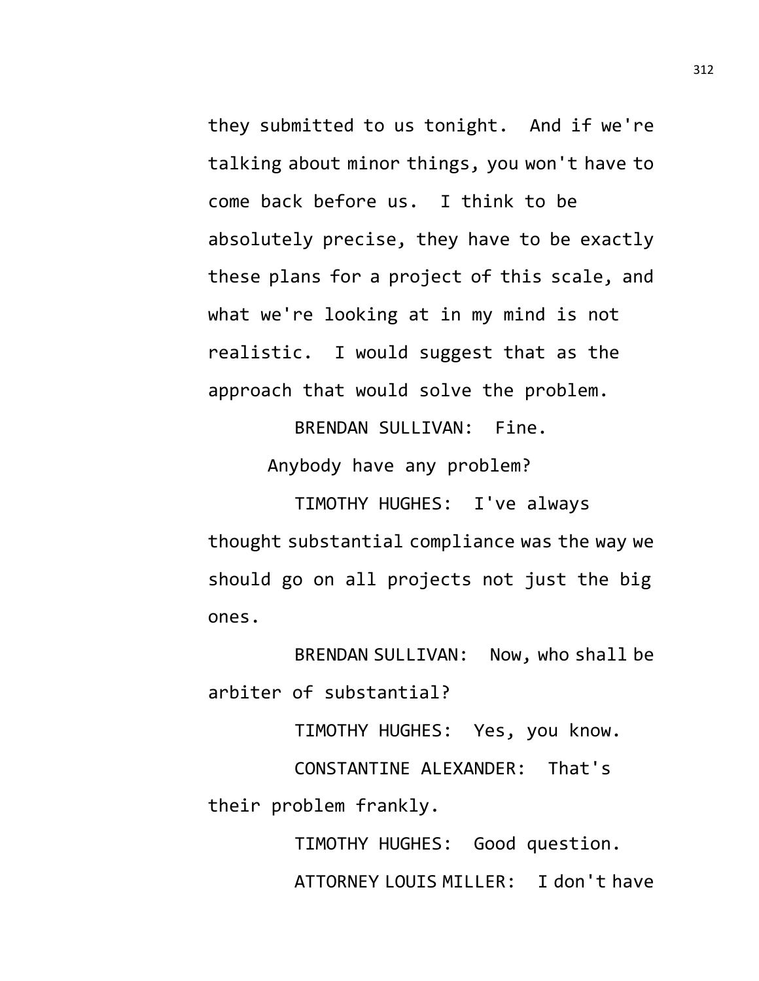they submitted to us tonight. And if we're talking about minor things, you won't have to come back before us. I think to be absolutely precise, they have to be exactly these plans for a project of this scale, and what we're looking at in my mind is not realistic. I would suggest that as the approach that would solve the problem.

BRENDAN SULLIVAN: Fine.

Anybody have any problem?

TIMOTHY HUGHES: I've always thought substantial compliance was the way we should go on all projects not just the big ones.

BRENDAN SULLIVAN: Now, who shall be arbiter of substantial?

TIMOTHY HUGHES: Yes, you know.

CONSTANTINE ALEXANDER: That's their problem frankly.

> TIMOTHY HUGHES: Good question. ATTORNEY LOUIS MILLER: I don't have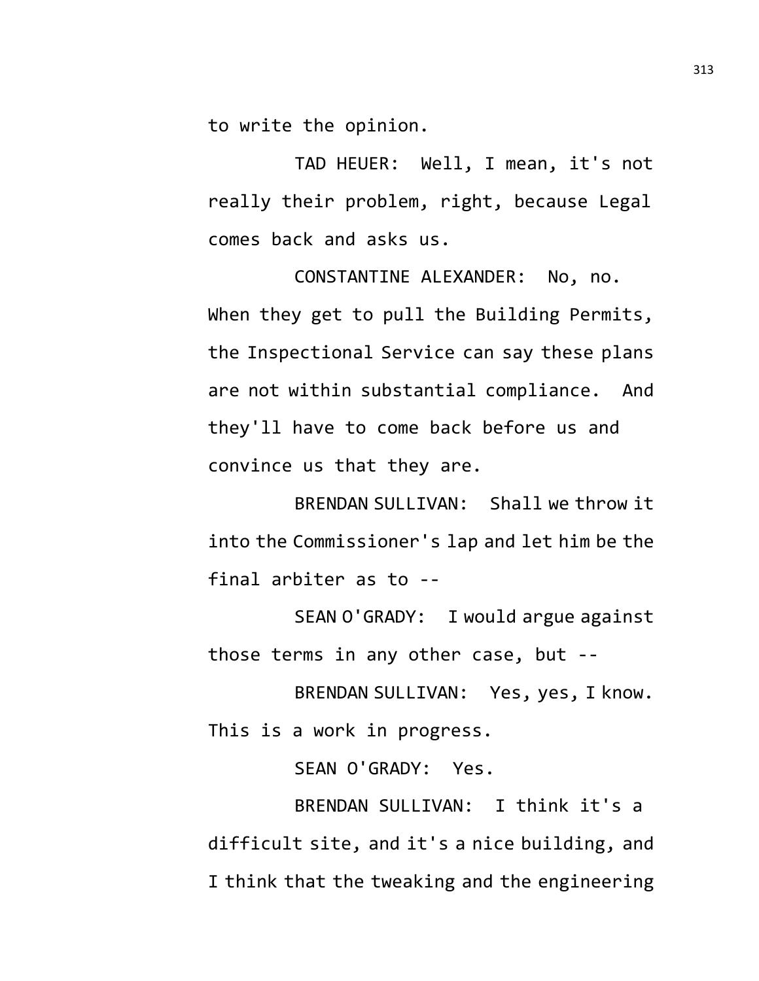to write the opinion.

TAD HEUER: Well, I mean, it's not really their problem, right, because Legal comes back and asks us.

CONSTANTINE ALEXANDER: No, no. When they get to pull the Building Permits, the Inspectional Service can say these plans are not within substantial compliance. And they'll have to come back before us and convince us that they are.

BRENDAN SULLIVAN: Shall we throw it into the Commissioner's lap and let him be the final arbiter as to --

SEAN O'GRADY: I would argue against those terms in any other case, but --

BRENDAN SULLIVAN: Yes, yes, I know. This is a work in progress.

SEAN O'GRADY: Yes.

BRENDAN SULLIVAN: I think it's a difficult site, and it's a nice building, and I think that the tweaking and the engineering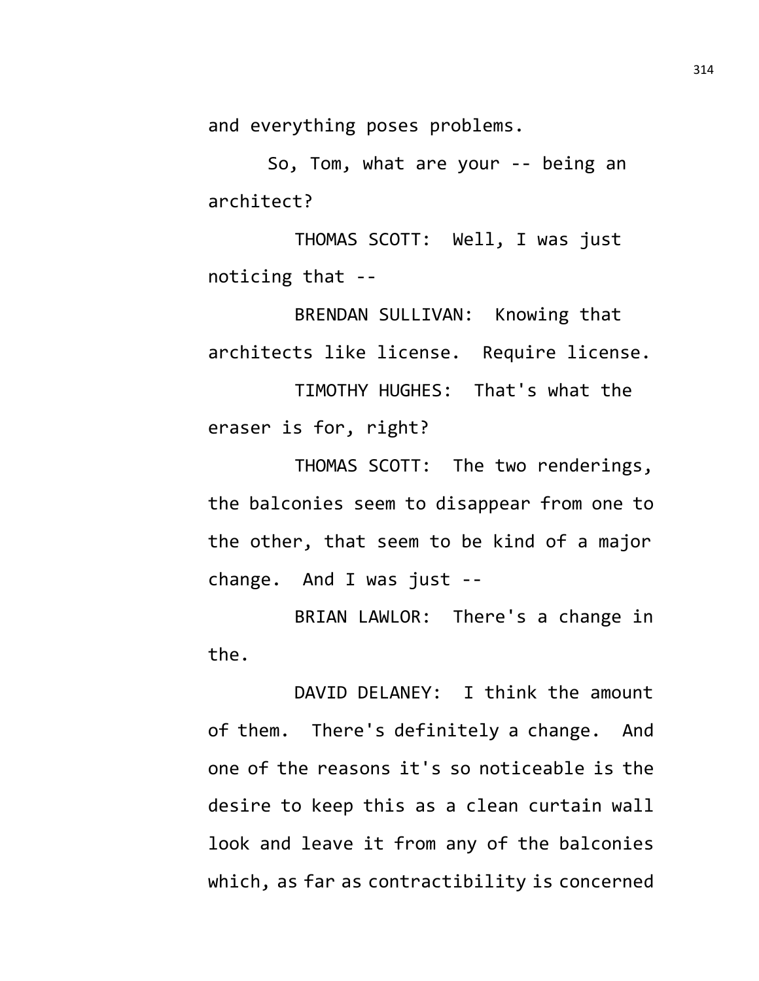and everything poses problems.

So, Tom, what are your -- being an architect?

THOMAS SCOTT: Well, I was just noticing that --

BRENDAN SULLIVAN: Knowing that architects like license. Require license. TIMOTHY HUGHES: That's what the

eraser is for, right?

THOMAS SCOTT: The two renderings, the balconies seem to disappear from one to the other, that seem to be kind of a major change. And I was just --

BRIAN LAWLOR: There's a change in the.

DAVID DELANEY: I think the amount of them. There's definitely a change. And one of the reasons it's so noticeable is the desire to keep this as a clean curtain wall look and leave it from any of the balconies which, as far as contractibility is concerned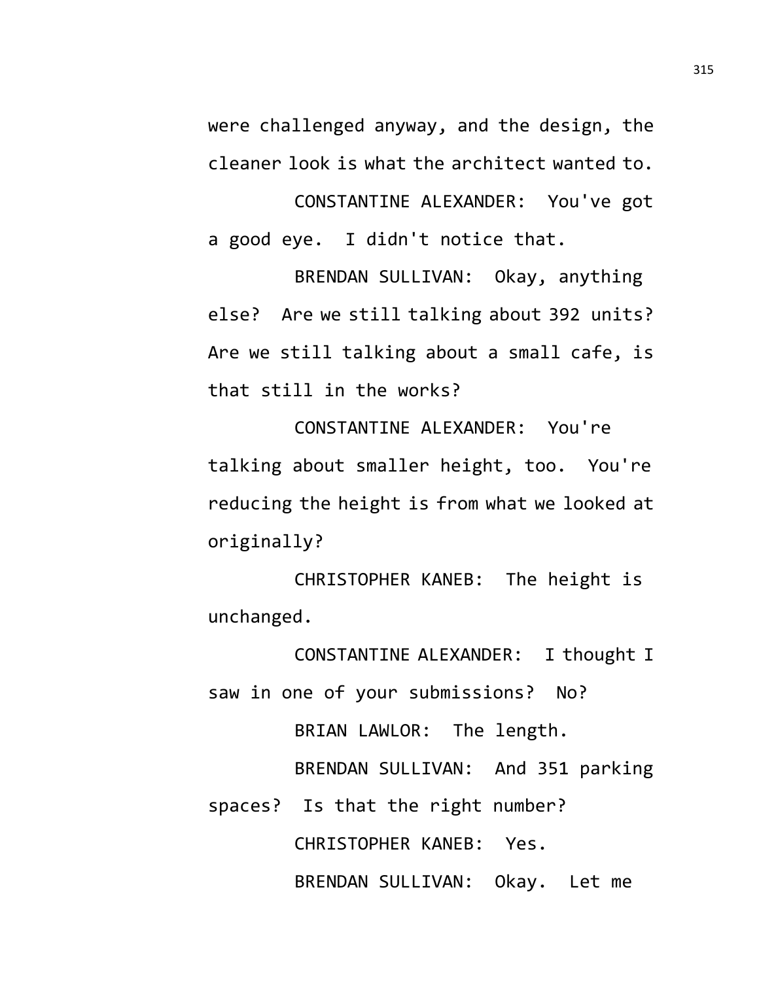were challenged anyway, and the design, the cleaner look is what the architect wanted to.

CONSTANTINE ALEXANDER: You've got a good eye. I didn't notice that.

BRENDAN SULLIVAN: Okay, anything else? Are we still talking about 392 units? Are we still talking about a small cafe, is that still in the works?

CONSTANTINE ALEXANDER: You're talking about smaller height, too. You're reducing the height is from what we looked at originally?

CHRISTOPHER KANEB: The height is unchanged.

CONSTANTINE ALEXANDER: I thought I saw in one of your submissions? No?

BRIAN LAWLOR: The length.

BRENDAN SULLIVAN: And 351 parking

spaces? Is that the right number?

CHRISTOPHER KANEB: Yes.

BRENDAN SULLIVAN: Okay. Let me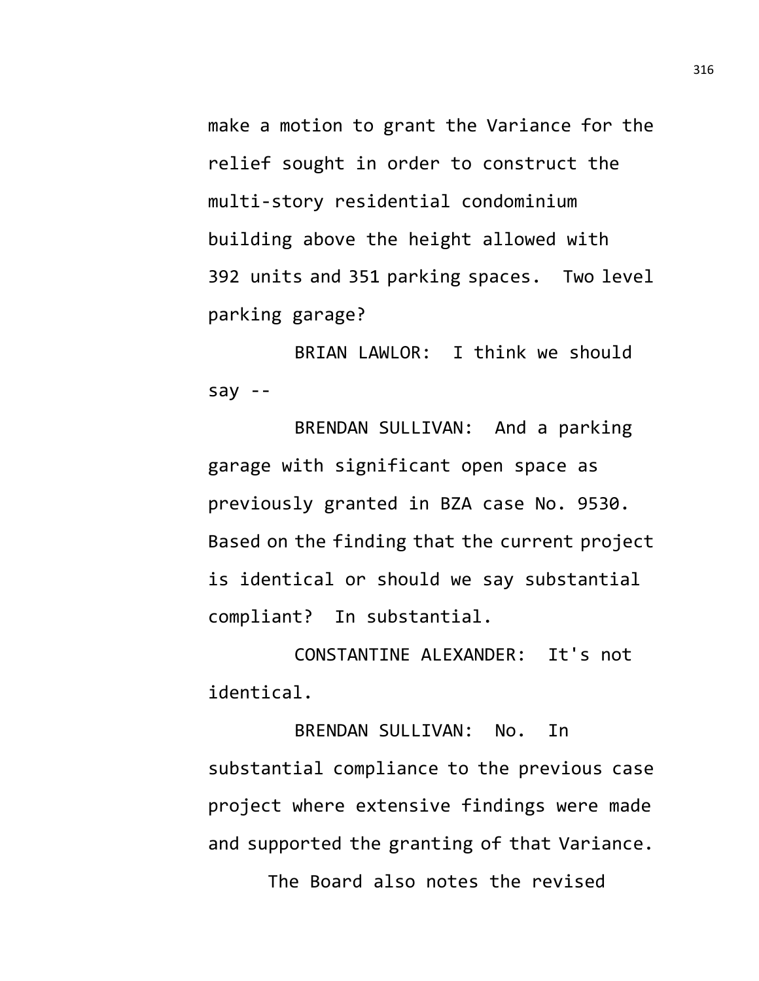make a motion to grant the Variance for the relief sought in order to construct the multi-story residential condominium building above the height allowed with 392 units and 351 parking spaces. Two level parking garage?

BRIAN LAWLOR: I think we should say --

BRENDAN SULLIVAN: And a parking garage with significant open space as previously granted in BZA case No. 9530. Based on the finding that the current project is identical or should we say substantial compliant? In substantial.

CONSTANTINE ALEXANDER: It's not identical.

BRENDAN SULLIVAN: No. In substantial compliance to the previous case project where extensive findings were made and supported the granting of that Variance. The Board also notes the revised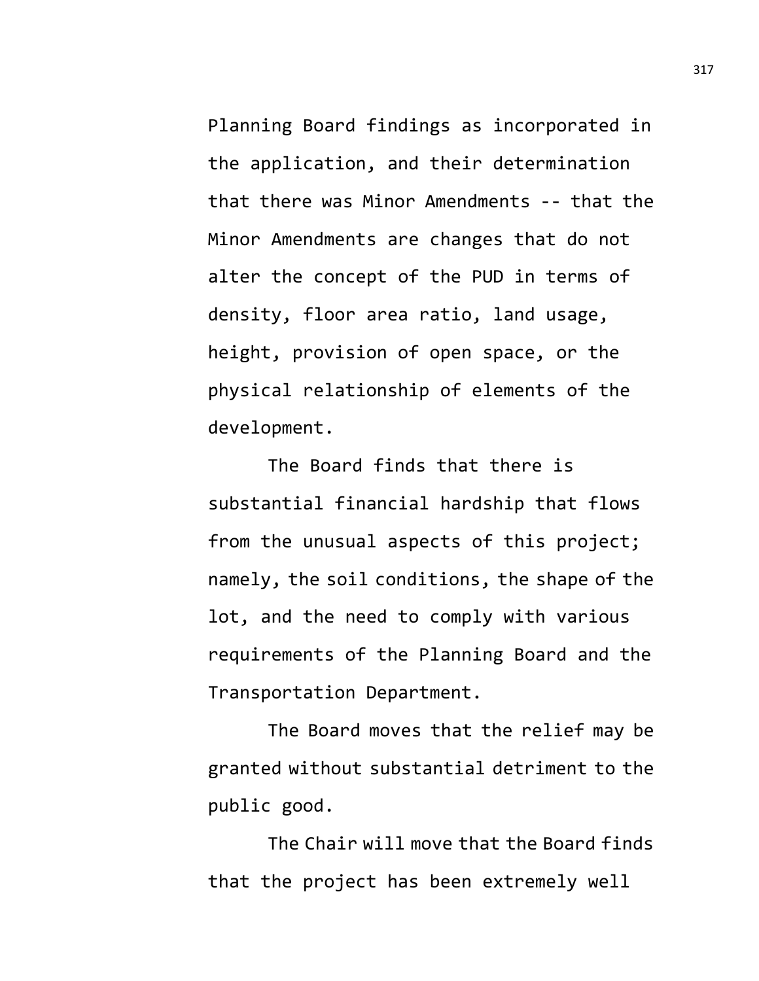Planning Board findings as incorporated in the application, and their determination that there was Minor Amendments -- that the Minor Amendments are changes that do not alter the concept of the PUD in terms of density, floor area ratio, land usage, height, provision of open space, or the physical relationship of elements of the development.

The Board finds that there is substantial financial hardship that flows from the unusual aspects of this project; namely, the soil conditions, the shape of the lot, and the need to comply with various requirements of the Planning Board and the Transportation Department.

The Board moves that the relief may be granted without substantial detriment to the public good.

The Chair will move that the Board finds that the project has been extremely well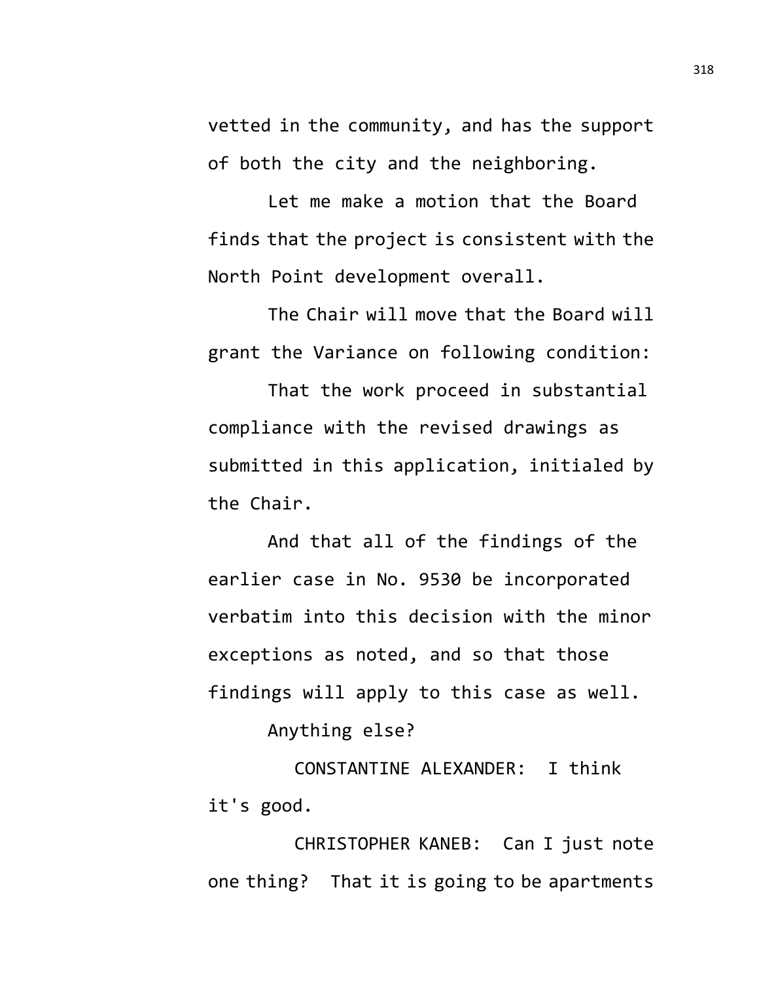vetted in the community, and has the support of both the city and the neighboring.

Let me make a motion that the Board finds that the project is consistent with the North Point development overall.

The Chair will move that the Board will grant the Variance on following condition:

That the work proceed in substantial compliance with the revised drawings as submitted in this application, initialed by the Chair.

And that all of the findings of the earlier case in No. 9530 be incorporated verbatim into this decision with the minor exceptions as noted, and so that those findings will apply to this case as well.

Anything else?

CONSTANTINE ALEXANDER: I think it's good.

CHRISTOPHER KANEB: Can I just note one thing? That it is going to be apartments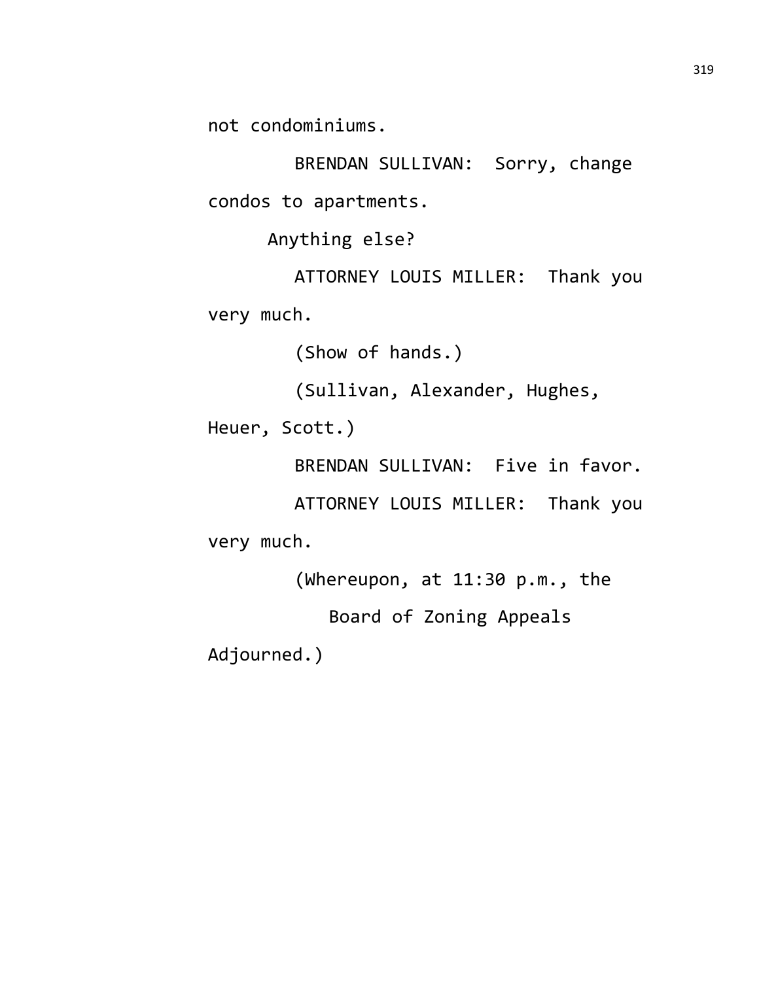not condominiums.

BRENDAN SULLIVAN: Sorry, change condos to apartments.

Anything else?

ATTORNEY LOUIS MILLER: Thank you very much.

(Show of hands.)

(Sullivan, Alexander, Hughes,

Heuer, Scott.)

BRENDAN SULLIVAN: Five in favor.

ATTORNEY LOUIS MILLER: Thank you very much.

(Whereupon, at 11:30 p.m., the

Board of Zoning Appeals

Adjourned.)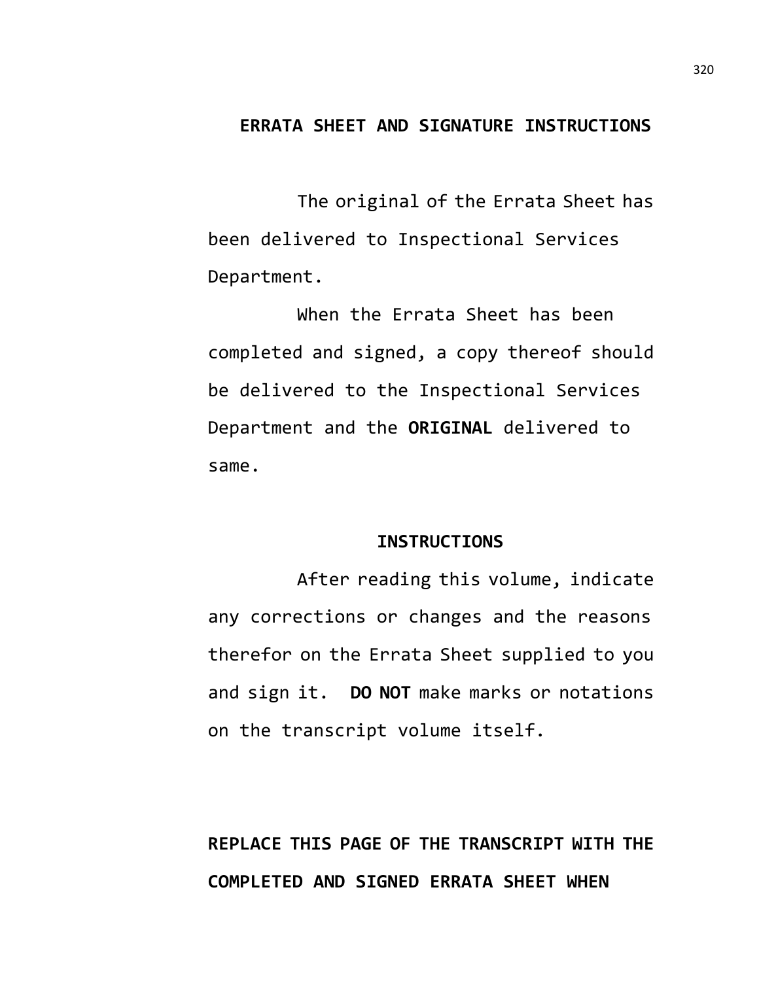## **ERRATA SHEET AND SIGNATURE INSTRUCTIONS**

The original of the Errata Sheet has been delivered to Inspectional Services Department.

When the Errata Sheet has been completed and signed, a copy thereof should be delivered to the Inspectional Services Department and the **ORIGINAL** delivered to same.

#### **INSTRUCTIONS**

After reading this volume, indicate any corrections or changes and the reasons therefor on the Errata Sheet supplied to you and sign it. **DO NOT** make marks or notations on the transcript volume itself.

# **REPLACE THIS PAGE OF THE TRANSCRIPT WITH THE COMPLETED AND SIGNED ERRATA SHEET WHEN**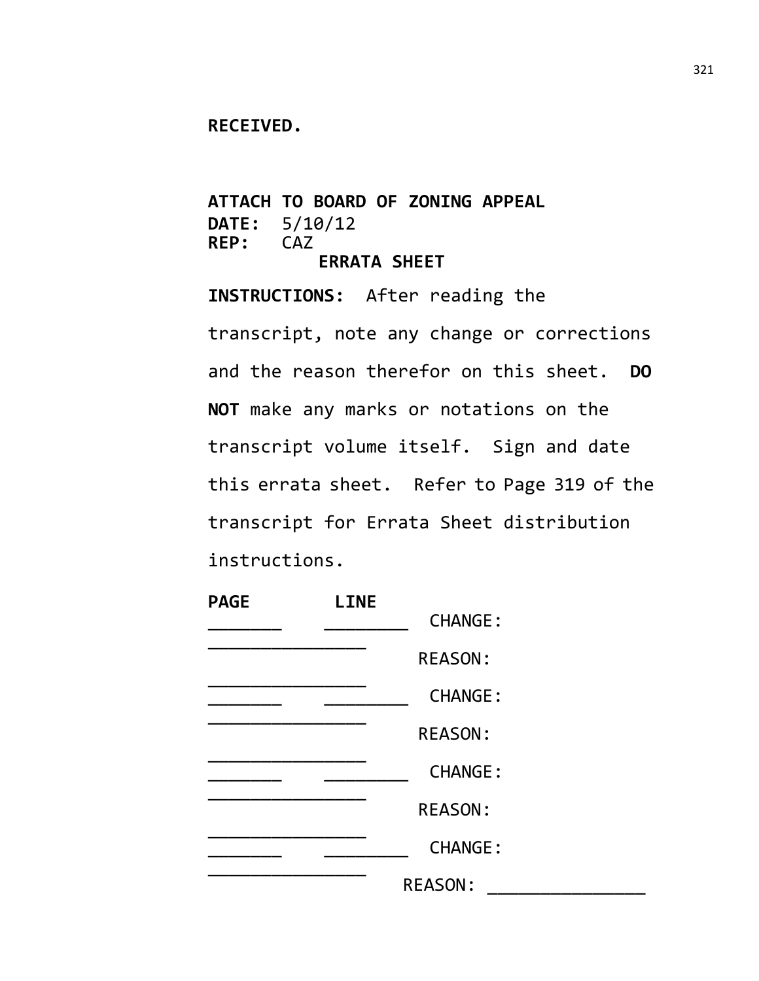#### **RECEIVED.**

**ATTACH TO BOARD OF ZONING APPEAL DATE:** 5/10/12 REP: **ERRATA SHEET**

**INSTRUCTIONS:** After reading the transcript, note any change or corrections and the reason therefor on this sheet. **DO NOT** make any marks or notations on the transcript volume itself. Sign and date this errata sheet. Refer to Page 319 of the transcript for Errata Sheet distribution instructions.

| <b>PAGE</b> | <b>LINE</b> |                |  |
|-------------|-------------|----------------|--|
|             |             | <b>CHANGE:</b> |  |
|             |             | <b>REASON:</b> |  |
|             |             | <b>CHANGE:</b> |  |
|             |             | <b>REASON:</b> |  |
|             |             | <b>CHANGE:</b> |  |
|             |             | <b>REASON:</b> |  |
|             |             | <b>CHANGE:</b> |  |
|             |             | <b>REASON:</b> |  |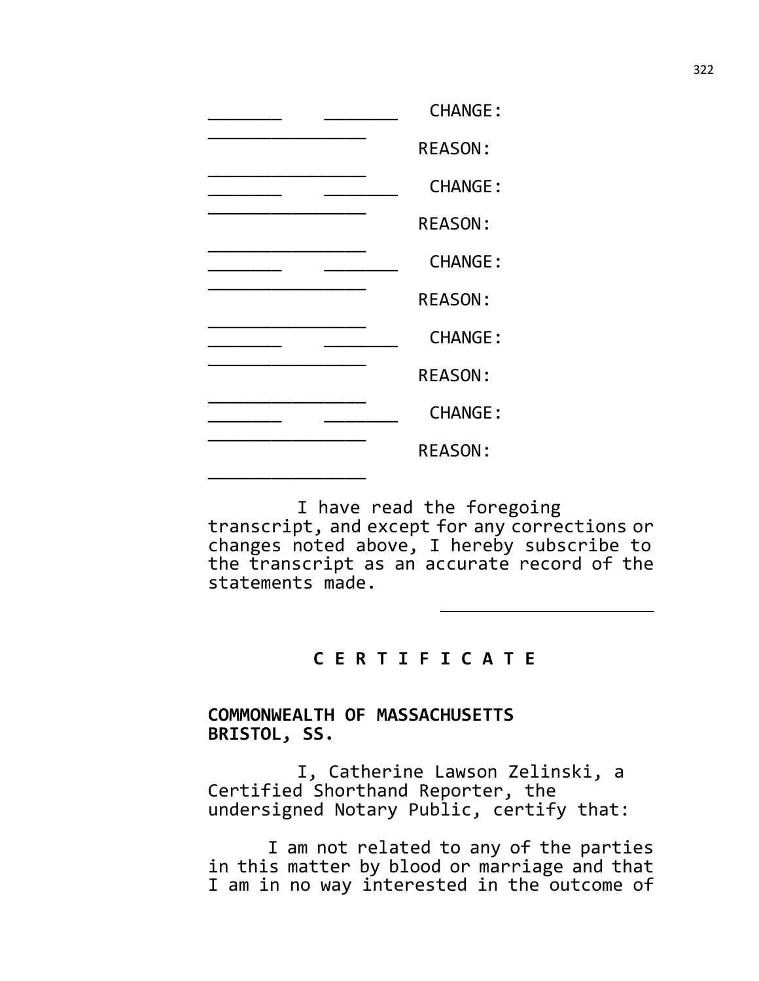| <b>CHANGE:</b> |
|----------------|
| <b>REASON:</b> |
| <b>CHANGE:</b> |
| <b>REASON:</b> |
| <b>CHANGE:</b> |
| <b>REASON:</b> |
| <b>CHANGE:</b> |
| <b>REASON:</b> |
| <b>CHANGE:</b> |
| <b>REASON:</b> |
|                |

I have read the foregoing transcript, and except for any corrections or changes noted above, I hereby subscribe to the transcript as an accurate record of the statements made.

# **C E R T I F I C A T E**

### **COMMONWEALTH OF MASSACHUSETTS BRISTOL, SS.**

I, Catherine Lawson Zelinski, a Certified Shorthand Reporter, the undersigned Notary Public, certify that:

I am not related to any of the parties in this matter by blood or marriage and that I am in no way interested in the outcome of